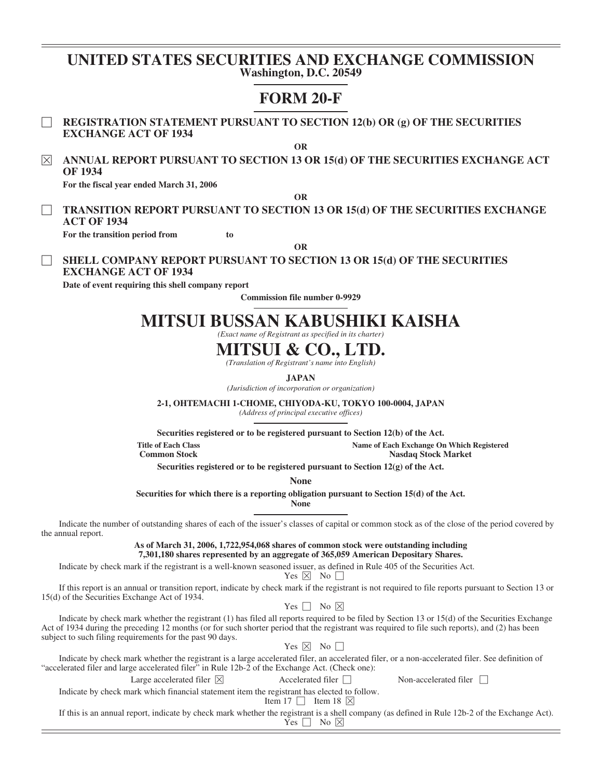## **UNITED STATES SECURITIES AND EXCHANGE COMMISSION Washington, D.C. 20549**

## **FORM 20-F**

' **REGISTRATION STATEMENT PURSUANT TO SECTION 12(b) OR (g) OF THE SECURITIES EXCHANGE ACT OF 1934**

**OR**

È **ANNUAL REPORT PURSUANT TO SECTION 13 OR 15(d) OF THE SECURITIES EXCHANGE ACT OF 1934**

**For the fiscal year ended March 31, 2006**

**OR**

' **TRANSITION REPORT PURSUANT TO SECTION 13 OR 15(d) OF THE SECURITIES EXCHANGE ACT OF 1934**

**For the transition period from to**

**OR**

## ' **SHELL COMPANY REPORT PURSUANT TO SECTION 13 OR 15(d) OF THE SECURITIES EXCHANGE ACT OF 1934**

**Date of event requiring this shell company report**

**Commission file number 0-9929**

# **MITSUI BUSSAN KABUSHIKI KAISHA**

*(Exact name of Registrant as specified in its charter)*

# **MITSUI & CO., LTD.**

*(Translation of Registrant's name into English)*

**JAPAN**

*(Jurisdiction of incorporation or organization)*

**2-1, OHTEMACHI 1-CHOME, CHIYODA-KU, TOKYO 100-0004, JAPAN**

*(Address of principal executive offices)*

**Securities registered or to be registered pursuant to Section 12(b) of the Act.**

**Title of Each Class Name of Each Exchange On Which Registered**

**Nasdaq Stock Market** 

**Securities registered or to be registered pursuant to Section 12(g) of the Act.**

**None**

**Securities for which there is a reporting obligation pursuant to Section 15(d) of the Act.**

**None**

Indicate the number of outstanding shares of each of the issuer's classes of capital or common stock as of the close of the period covered by the annual report.

> **As of March 31, 2006, 1,722,954,068 shares of common stock were outstanding including 7,301,180 shares represented by an aggregate of 365,059 American Depositary Shares.**

Indicate by check mark if the registrant is a well-known seasoned issuer, as defined in Rule 405 of the Securities Act.

Yes  $\times$  No  $\Box$ 

If this report is an annual or transition report, indicate by check mark if the registrant is not required to file reports pursuant to Section 13 or 15(d) of the Securities Exchange Act of 1934.

Yes  $\Box$  No  $\times$ 

Indicate by check mark whether the registrant (1) has filed all reports required to be filed by Section 13 or 15(d) of the Securities Exchange Act of 1934 during the preceding 12 months (or for such shorter period that the registrant was required to file such reports), and (2) has been subject to such filing requirements for the past 90 days.

Yes  $\boxtimes$  No  $\Box$ 

Indicate by check mark whether the registrant is a large accelerated filer, an accelerated filer, or a non-accelerated filer. See definition of "accelerated filer and large accelerated filer" in Rule 12b-2 of the Exchange Act. (Check one):

Large accelerated filer  $\boxed{\times}$  Accelerated filer  $\boxed{\phantom{\times}}$  Non-accelerated filer  $\boxed{\phantom{\times}}$ 

Indicate by check mark which financial statement item the registrant has elected to follow.

Item 17  $\Box$  Item 18  $\times$ 

If this is an annual report, indicate by check mark whether the registrant is a shell company (as defined in Rule 12b-2 of the Exchange Act).

## $Y$ es  $\Box$  No  $\times$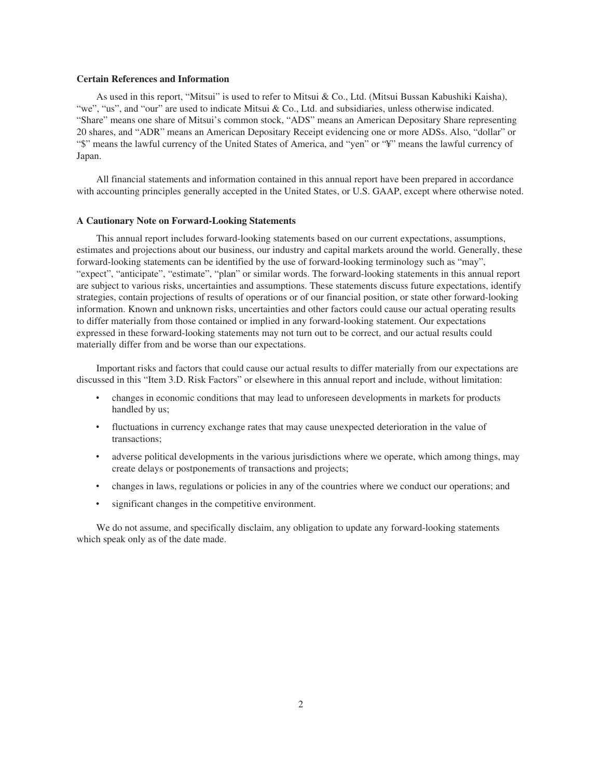#### **Certain References and Information**

As used in this report, "Mitsui" is used to refer to Mitsui & Co., Ltd. (Mitsui Bussan Kabushiki Kaisha), "we", "us", and "our" are used to indicate Mitsui & Co., Ltd. and subsidiaries, unless otherwise indicated. "Share" means one share of Mitsui's common stock, "ADS" means an American Depositary Share representing 20 shares, and "ADR" means an American Depositary Receipt evidencing one or more ADSs. Also, "dollar" or "\$" means the lawful currency of the United States of America, and "yen" or "¥" means the lawful currency of Japan.

All financial statements and information contained in this annual report have been prepared in accordance with accounting principles generally accepted in the United States, or U.S. GAAP, except where otherwise noted.

#### **A Cautionary Note on Forward-Looking Statements**

This annual report includes forward-looking statements based on our current expectations, assumptions, estimates and projections about our business, our industry and capital markets around the world. Generally, these forward-looking statements can be identified by the use of forward-looking terminology such as "may", "expect", "anticipate", "estimate", "plan" or similar words. The forward-looking statements in this annual report are subject to various risks, uncertainties and assumptions. These statements discuss future expectations, identify strategies, contain projections of results of operations or of our financial position, or state other forward-looking information. Known and unknown risks, uncertainties and other factors could cause our actual operating results to differ materially from those contained or implied in any forward-looking statement. Our expectations expressed in these forward-looking statements may not turn out to be correct, and our actual results could materially differ from and be worse than our expectations.

Important risks and factors that could cause our actual results to differ materially from our expectations are discussed in this "Item 3.D. Risk Factors" or elsewhere in this annual report and include, without limitation:

- ‰ changes in economic conditions that may lead to unforeseen developments in markets for products handled by us;
- fluctuations in currency exchange rates that may cause unexpected deterioration in the value of transactions;
- adverse political developments in the various jurisdictions where we operate, which among things, may create delays or postponements of transactions and projects;
- ‰ changes in laws, regulations or policies in any of the countries where we conduct our operations; and
- significant changes in the competitive environment.

We do not assume, and specifically disclaim, any obligation to update any forward-looking statements which speak only as of the date made.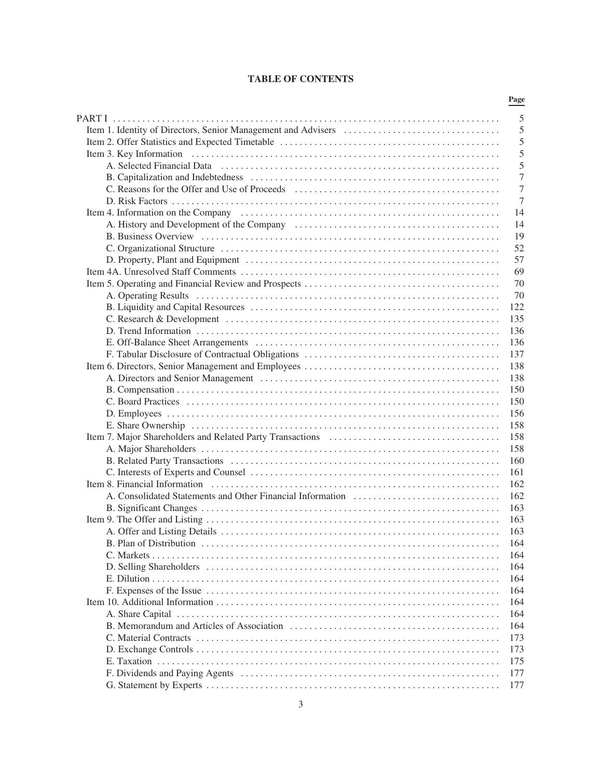## **TABLE OF CONTENTS**

|                                                                                                                                                                                                                               | Page       |
|-------------------------------------------------------------------------------------------------------------------------------------------------------------------------------------------------------------------------------|------------|
|                                                                                                                                                                                                                               | 5          |
|                                                                                                                                                                                                                               | 5          |
|                                                                                                                                                                                                                               | 5          |
|                                                                                                                                                                                                                               | 5          |
|                                                                                                                                                                                                                               | 5          |
|                                                                                                                                                                                                                               | 7          |
|                                                                                                                                                                                                                               | 7          |
|                                                                                                                                                                                                                               | 7          |
|                                                                                                                                                                                                                               | 14         |
|                                                                                                                                                                                                                               | 14         |
|                                                                                                                                                                                                                               | 19         |
|                                                                                                                                                                                                                               | 52         |
|                                                                                                                                                                                                                               | 57         |
|                                                                                                                                                                                                                               | 69         |
|                                                                                                                                                                                                                               | 70         |
|                                                                                                                                                                                                                               |            |
|                                                                                                                                                                                                                               | 70         |
|                                                                                                                                                                                                                               | 122        |
|                                                                                                                                                                                                                               | 135        |
|                                                                                                                                                                                                                               | 136        |
|                                                                                                                                                                                                                               | 136        |
|                                                                                                                                                                                                                               | 137        |
|                                                                                                                                                                                                                               | 138        |
|                                                                                                                                                                                                                               | 138        |
|                                                                                                                                                                                                                               | 150        |
|                                                                                                                                                                                                                               | 150        |
|                                                                                                                                                                                                                               | 156        |
|                                                                                                                                                                                                                               | 158        |
|                                                                                                                                                                                                                               | 158        |
|                                                                                                                                                                                                                               | 158        |
|                                                                                                                                                                                                                               | 160        |
|                                                                                                                                                                                                                               | 161        |
| Item 8. Financial Information (and all contracts) and all contracts are set of the set of the set of the set of the set of the set of the set of the set of the set of the set of the set of the set of the set of the set of | 162        |
|                                                                                                                                                                                                                               | 162        |
|                                                                                                                                                                                                                               | 163        |
|                                                                                                                                                                                                                               | 163        |
|                                                                                                                                                                                                                               | 163        |
|                                                                                                                                                                                                                               | 164        |
|                                                                                                                                                                                                                               | 164        |
|                                                                                                                                                                                                                               | 164        |
|                                                                                                                                                                                                                               | 164        |
|                                                                                                                                                                                                                               | 164        |
|                                                                                                                                                                                                                               | 164        |
|                                                                                                                                                                                                                               | 164        |
|                                                                                                                                                                                                                               | 164        |
|                                                                                                                                                                                                                               | 173        |
|                                                                                                                                                                                                                               | 173        |
|                                                                                                                                                                                                                               |            |
|                                                                                                                                                                                                                               | 175<br>177 |
|                                                                                                                                                                                                                               |            |
|                                                                                                                                                                                                                               | 177        |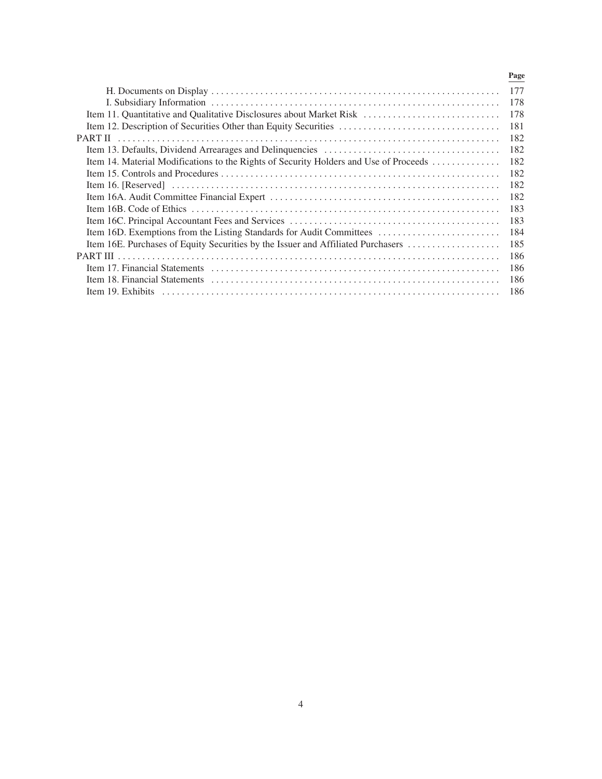|                                                                                       | Page |
|---------------------------------------------------------------------------------------|------|
|                                                                                       | 177  |
|                                                                                       | 178  |
| Item 11. Quantitative and Qualitative Disclosures about Market Risk                   | 178  |
| Item 12. Description of Securities Other than Equity Securities                       | 181  |
| PART II                                                                               | 182  |
|                                                                                       | 182  |
| Item 14. Material Modifications to the Rights of Security Holders and Use of Proceeds | 182  |
|                                                                                       | 182  |
|                                                                                       | 182  |
|                                                                                       | 182  |
|                                                                                       | 183  |
|                                                                                       | 183  |
| Item 16D. Exemptions from the Listing Standards for Audit Committees                  | 184  |
| Item 16E. Purchases of Equity Securities by the Issuer and Affiliated Purchasers      | 185  |
|                                                                                       | 186  |
|                                                                                       | 186  |
|                                                                                       | 186  |
| Item 19. Exhibits                                                                     | 186  |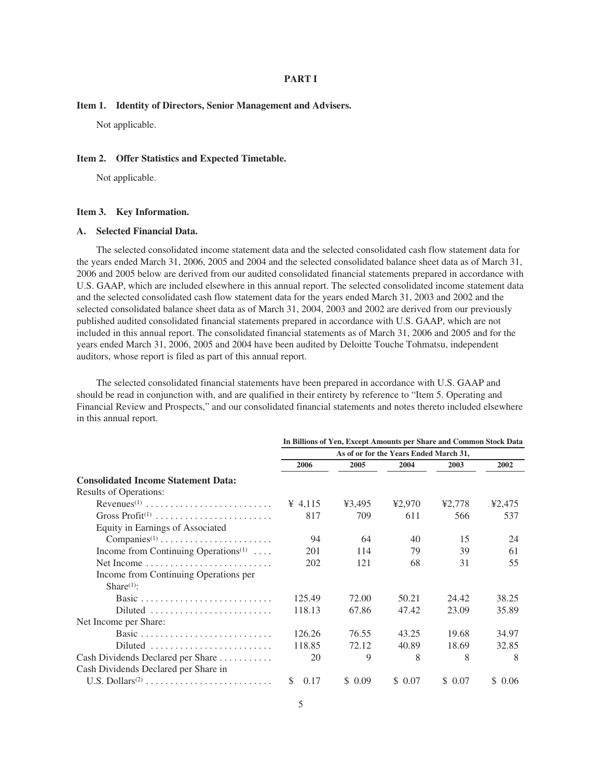#### **PART I**

#### **Item 1. Identity of Directors, Senior Management and Advisers.**

Not applicable.

#### **Item 2. Offer Statistics and Expected Timetable.**

Not applicable.

#### **Item 3. Key Information.**

## **A. Selected Financial Data.**

The selected consolidated income statement data and the selected consolidated cash flow statement data for the years ended March 31, 2006, 2005 and 2004 and the selected consolidated balance sheet data as of March 31, 2006 and 2005 below are derived from our audited consolidated financial statements prepared in accordance with U.S. GAAP, which are included elsewhere in this annual report. The selected consolidated income statement data and the selected consolidated cash flow statement data for the years ended March 31, 2003 and 2002 and the selected consolidated balance sheet data as of March 31, 2004, 2003 and 2002 are derived from our previously published audited consolidated financial statements prepared in accordance with U.S. GAAP, which are not included in this annual report. The consolidated financial statements as of March 31, 2006 and 2005 and for the years ended March 31, 2006, 2005 and 2004 have been audited by Deloitte Touche Tohmatsu, independent auditors, whose report is filed as part of this annual report.

The selected consolidated financial statements have been prepared in accordance with U.S. GAAP and should be read in conjunction with, and are qualified in their entirety by reference to "Item 5. Operating and Financial Review and Prospects," and our consolidated financial statements and notes thereto included elsewhere in this annual report.

|                                                                   | In Billions of Yen, Except Amounts per Share and Common Stock Data |        |         |         |        |  |  |  |
|-------------------------------------------------------------------|--------------------------------------------------------------------|--------|---------|---------|--------|--|--|--|
|                                                                   | As of or for the Years Ended March 31,                             |        |         |         |        |  |  |  |
|                                                                   | 2006                                                               | 2005   | 2004    | 2003    | 2002   |  |  |  |
| <b>Consolidated Income Statement Data:</b>                        |                                                                    |        |         |         |        |  |  |  |
| <b>Results of Operations:</b>                                     |                                                                    |        |         |         |        |  |  |  |
| Revenues <sup>(1)</sup>                                           | $\frac{4}{15}$                                                     | ¥3,495 | ¥2,970  | ¥2,778  | ¥2,475 |  |  |  |
|                                                                   | 817                                                                | 709    | 611     | 566     | 537    |  |  |  |
| Equity in Earnings of Associated                                  |                                                                    |        |         |         |        |  |  |  |
| $Companies^{(1)} \dots \dots \dots \dots \dots \dots \dots \dots$ | 94                                                                 | 64     | 40      | 15      | 24     |  |  |  |
| Income from Continuing Operations <sup>(1)</sup>                  | 201                                                                | 114    | 79      | 39      | 61     |  |  |  |
|                                                                   | 202                                                                | 121    | 68      | 31      | 55     |  |  |  |
| Income from Continuing Operations per                             |                                                                    |        |         |         |        |  |  |  |
| Share <sup>(1)</sup> :                                            |                                                                    |        |         |         |        |  |  |  |
| Basic                                                             | 125.49                                                             | 72.00  | 50.21   | 24.42   | 38.25  |  |  |  |
| Diluted                                                           | 118.13                                                             | 67.86  | 47.42   | 23.09   | 35.89  |  |  |  |
| Net Income per Share:                                             |                                                                    |        |         |         |        |  |  |  |
| Basic                                                             | 126.26                                                             | 76.55  | 43.25   | 19.68   | 34.97  |  |  |  |
| Diluted                                                           | 118.85                                                             | 72.12  | 40.89   | 18.69   | 32.85  |  |  |  |
| Cash Dividends Declared per Share                                 | 20                                                                 | 9      | 8       | 8       | 8      |  |  |  |
| Cash Dividends Declared per Share in                              |                                                                    |        |         |         |        |  |  |  |
| U.S. Dollars <sup>(2)</sup>                                       | 0.17<br>\$.                                                        | \$0.09 | \$ 0.07 | \$ 0.07 | \$0.06 |  |  |  |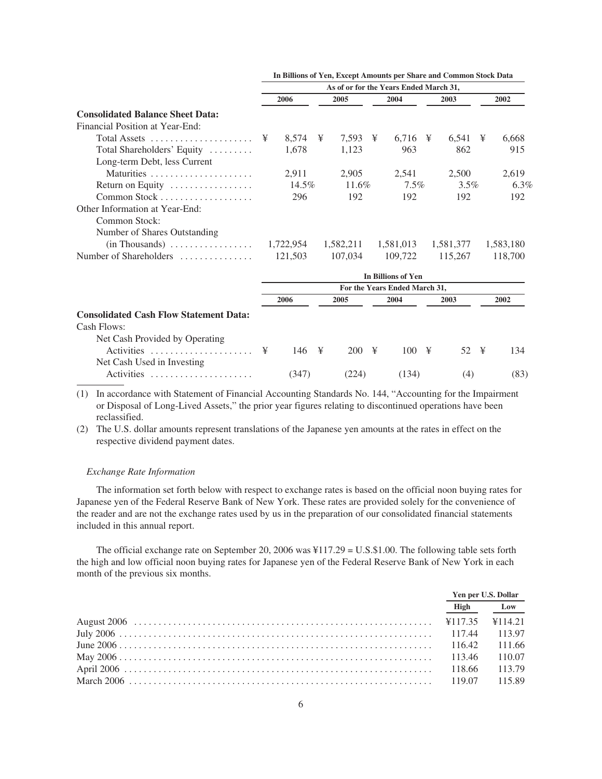|                                               |   |            |   |          |   | As of or for the Years Ended March 31, |               |   |           |
|-----------------------------------------------|---|------------|---|----------|---|----------------------------------------|---------------|---|-----------|
|                                               |   | 2006       |   | 2005     |   | 2004                                   | 2003          |   | 2002      |
| <b>Consolidated Balance Sheet Data:</b>       |   |            |   |          |   |                                        |               |   |           |
| Financial Position at Year-End:               |   |            |   |          |   |                                        |               |   |           |
| Total Assets                                  | ¥ | $8,574$ \; |   | 7,593    | ¥ | 6,716 $\frac{1}{2}$                    | 6,541         | ¥ | 6,668     |
| Total Shareholders' Equity                    |   | 1.678      |   | 1,123    |   | 963                                    | 862           |   | 915       |
| Long-term Debt, less Current                  |   |            |   |          |   |                                        |               |   |           |
| Maturities                                    |   | 2,911      |   | 2,905    |   | 2,541                                  | 2,500         |   | 2,619     |
| Return on Equity                              |   | 14.5%      |   | $11.6\%$ |   | $7.5\%$                                | $3.5\%$       |   | 6.3%      |
|                                               |   | 296        |   | 192      |   | 192                                    | 192           |   | 192       |
| Other Information at Year-End:                |   |            |   |          |   |                                        |               |   |           |
| <b>Common Stock:</b>                          |   |            |   |          |   |                                        |               |   |           |
| Number of Shares Outstanding                  |   |            |   |          |   |                                        |               |   |           |
|                                               |   |            |   |          |   | 1,582,211 1,581,013                    | 1,581,377     |   | 1,583,180 |
| Number of Shareholders                        |   | 121,503    |   |          |   | 107,034 109,722                        | 115,267       |   | 118,700   |
|                                               |   |            |   |          |   | <b>In Billions of Yen</b>              |               |   |           |
|                                               |   |            |   |          |   | For the Years Ended March 31,          |               |   |           |
|                                               |   | 2006       |   | 2005     |   | 2004                                   | 2003          |   | 2002      |
| <b>Consolidated Cash Flow Statement Data:</b> |   |            |   |          |   |                                        |               |   |           |
| Cash Flows:                                   |   |            |   |          |   |                                        |               |   |           |
| Net Cash Provided by Operating                |   |            |   |          |   |                                        |               |   |           |
| Activities                                    | ¥ | 146        | ¥ | 200      | ¥ |                                        | $52 \text{ }$ |   | 134       |
| Net Cash Used in Investing                    |   |            |   |          |   |                                        |               |   |           |
| Activities                                    |   | (347)      |   | (224)    |   | (134)                                  | (4)           |   | (83)      |

**In Billions of Yen, Except Amounts per Share and Common Stock Data**

(1) In accordance with Statement of Financial Accounting Standards No. 144, "Accounting for the Impairment or Disposal of Long-Lived Assets," the prior year figures relating to discontinued operations have been reclassified.

(2) The U.S. dollar amounts represent translations of the Japanese yen amounts at the rates in effect on the respective dividend payment dates.

#### *Exchange Rate Information*

The information set forth below with respect to exchange rates is based on the official noon buying rates for Japanese yen of the Federal Reserve Bank of New York. These rates are provided solely for the convenience of the reader and are not the exchange rates used by us in the preparation of our consolidated financial statements included in this annual report.

The official exchange rate on September 20, 2006 was ¥117.29 = U.S.\$1.00. The following table sets forth the high and low official noon buying rates for Japanese yen of the Federal Reserve Bank of New York in each month of the previous six months.

|      | Yen per U.S. Dollar |
|------|---------------------|
| High | Low                 |
|      |                     |
|      |                     |
|      |                     |
|      | 110.07              |
|      |                     |
|      | 115.89              |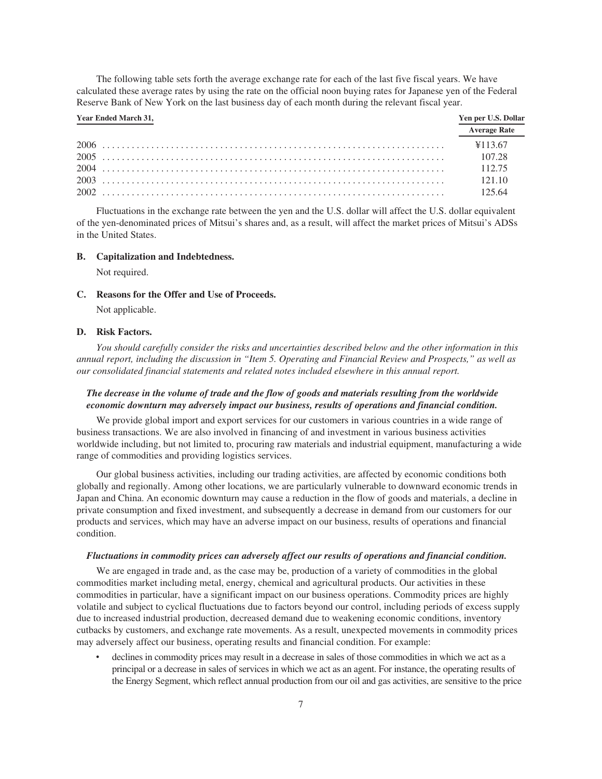The following table sets forth the average exchange rate for each of the last five fiscal years. We have calculated these average rates by using the rate on the official noon buying rates for Japanese yen of the Federal Reserve Bank of New York on the last business day of each month during the relevant fiscal year.

| Year Ended March 31, | Yen per U.S. Dollar |
|----------------------|---------------------|
|                      | <b>Average Rate</b> |
|                      | ¥113.67             |
|                      | 107.28              |
|                      |                     |
|                      | $-12110$            |
|                      | - 125.64            |

Fluctuations in the exchange rate between the yen and the U.S. dollar will affect the U.S. dollar equivalent of the yen-denominated prices of Mitsui's shares and, as a result, will affect the market prices of Mitsui's ADSs in the United States.

#### **B. Capitalization and Indebtedness.**

Not required.

**C. Reasons for the Offer and Use of Proceeds.**

Not applicable.

## **D. Risk Factors.**

*You should carefully consider the risks and uncertainties described below and the other information in this annual report, including the discussion in "Item 5. Operating and Financial Review and Prospects," as well as our consolidated financial statements and related notes included elsewhere in this annual report.*

## *The decrease in the volume of trade and the flow of goods and materials resulting from the worldwide economic downturn may adversely impact our business, results of operations and financial condition.*

We provide global import and export services for our customers in various countries in a wide range of business transactions. We are also involved in financing of and investment in various business activities worldwide including, but not limited to, procuring raw materials and industrial equipment, manufacturing a wide range of commodities and providing logistics services.

Our global business activities, including our trading activities, are affected by economic conditions both globally and regionally. Among other locations, we are particularly vulnerable to downward economic trends in Japan and China. An economic downturn may cause a reduction in the flow of goods and materials, a decline in private consumption and fixed investment, and subsequently a decrease in demand from our customers for our products and services, which may have an adverse impact on our business, results of operations and financial condition.

#### *Fluctuations in commodity prices can adversely affect our results of operations and financial condition.*

We are engaged in trade and, as the case may be, production of a variety of commodities in the global commodities market including metal, energy, chemical and agricultural products. Our activities in these commodities in particular, have a significant impact on our business operations. Commodity prices are highly volatile and subject to cyclical fluctuations due to factors beyond our control, including periods of excess supply due to increased industrial production, decreased demand due to weakening economic conditions, inventory cutbacks by customers, and exchange rate movements. As a result, unexpected movements in commodity prices may adversely affect our business, operating results and financial condition. For example:

declines in commodity prices may result in a decrease in sales of those commodities in which we act as a principal or a decrease in sales of services in which we act as an agent. For instance, the operating results of the Energy Segment, which reflect annual production from our oil and gas activities, are sensitive to the price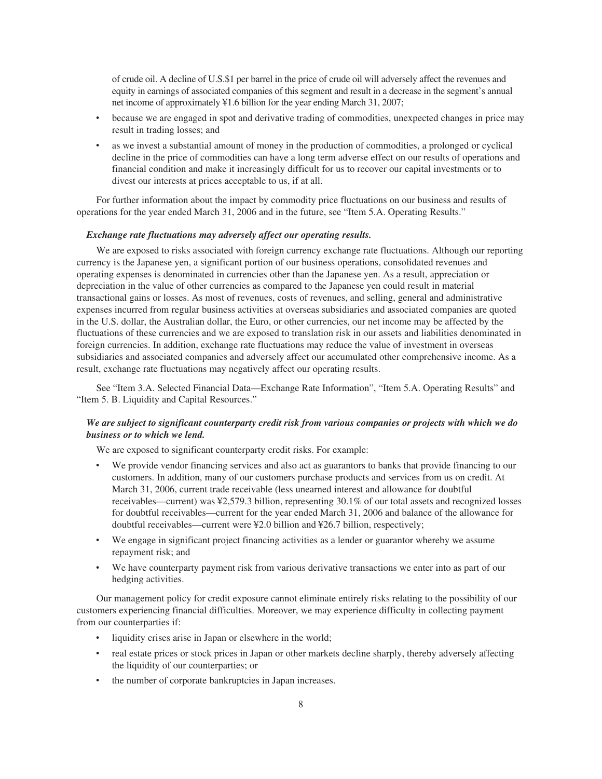of crude oil. A decline of U.S.\$1 per barrel in the price of crude oil will adversely affect the revenues and equity in earnings of associated companies of this segment and result in a decrease in the segment's annual net income of approximately ¥1.6 billion for the year ending March 31, 2007;

- because we are engaged in spot and derivative trading of commodities, unexpected changes in price may result in trading losses; and
- as we invest a substantial amount of money in the production of commodities, a prolonged or cyclical decline in the price of commodities can have a long term adverse effect on our results of operations and financial condition and make it increasingly difficult for us to recover our capital investments or to divest our interests at prices acceptable to us, if at all.

For further information about the impact by commodity price fluctuations on our business and results of operations for the year ended March 31, 2006 and in the future, see "Item 5.A. Operating Results."

#### *Exchange rate fluctuations may adversely affect our operating results.*

We are exposed to risks associated with foreign currency exchange rate fluctuations. Although our reporting currency is the Japanese yen, a significant portion of our business operations, consolidated revenues and operating expenses is denominated in currencies other than the Japanese yen. As a result, appreciation or depreciation in the value of other currencies as compared to the Japanese yen could result in material transactional gains or losses. As most of revenues, costs of revenues, and selling, general and administrative expenses incurred from regular business activities at overseas subsidiaries and associated companies are quoted in the U.S. dollar, the Australian dollar, the Euro, or other currencies, our net income may be affected by the fluctuations of these currencies and we are exposed to translation risk in our assets and liabilities denominated in foreign currencies. In addition, exchange rate fluctuations may reduce the value of investment in overseas subsidiaries and associated companies and adversely affect our accumulated other comprehensive income. As a result, exchange rate fluctuations may negatively affect our operating results.

See "Item 3.A. Selected Financial Data—Exchange Rate Information", "Item 5.A. Operating Results" and "Item 5. B. Liquidity and Capital Resources."

## *We are subject to significant counterparty credit risk from various companies or projects with which we do business or to which we lend.*

We are exposed to significant counterparty credit risks. For example:

- We provide vendor financing services and also act as guarantors to banks that provide financing to our customers. In addition, many of our customers purchase products and services from us on credit. At March 31, 2006, current trade receivable (less unearned interest and allowance for doubtful receivables—current) was ¥2,579.3 billion, representing 30.1% of our total assets and recognized losses for doubtful receivables—current for the year ended March 31, 2006 and balance of the allowance for doubtful receivables—current were ¥2.0 billion and ¥26.7 billion, respectively;
- We engage in significant project financing activities as a lender or guarantor whereby we assume repayment risk; and
- We have counterparty payment risk from various derivative transactions we enter into as part of our hedging activities.

Our management policy for credit exposure cannot eliminate entirely risks relating to the possibility of our customers experiencing financial difficulties. Moreover, we may experience difficulty in collecting payment from our counterparties if:

- liquidity crises arise in Japan or elsewhere in the world;
- real estate prices or stock prices in Japan or other markets decline sharply, thereby adversely affecting the liquidity of our counterparties; or
- the number of corporate bankruptcies in Japan increases.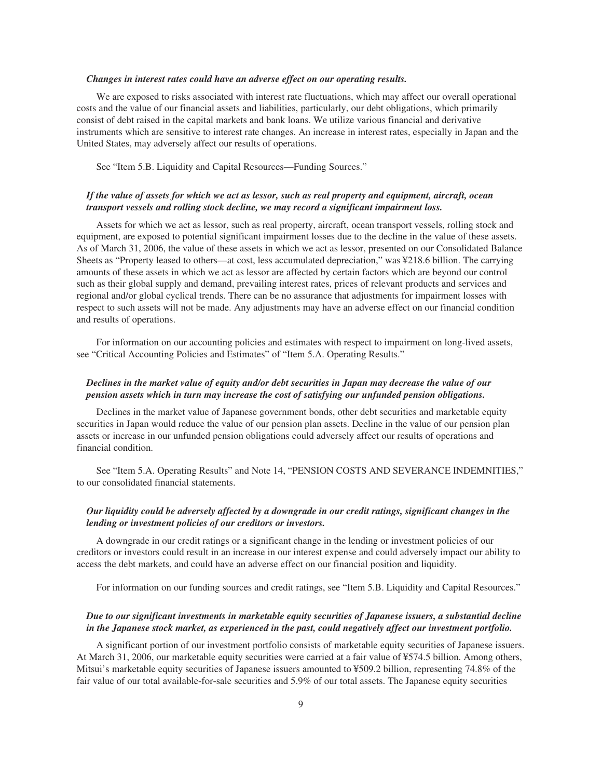#### *Changes in interest rates could have an adverse effect on our operating results.*

We are exposed to risks associated with interest rate fluctuations, which may affect our overall operational costs and the value of our financial assets and liabilities, particularly, our debt obligations, which primarily consist of debt raised in the capital markets and bank loans. We utilize various financial and derivative instruments which are sensitive to interest rate changes. An increase in interest rates, especially in Japan and the United States, may adversely affect our results of operations.

See "Item 5.B. Liquidity and Capital Resources—Funding Sources."

## *If the value of assets for which we act as lessor, such as real property and equipment, aircraft, ocean transport vessels and rolling stock decline, we may record a significant impairment loss.*

Assets for which we act as lessor, such as real property, aircraft, ocean transport vessels, rolling stock and equipment, are exposed to potential significant impairment losses due to the decline in the value of these assets. As of March 31, 2006, the value of these assets in which we act as lessor, presented on our Consolidated Balance Sheets as "Property leased to others—at cost, less accumulated depreciation," was ¥218.6 billion. The carrying amounts of these assets in which we act as lessor are affected by certain factors which are beyond our control such as their global supply and demand, prevailing interest rates, prices of relevant products and services and regional and/or global cyclical trends. There can be no assurance that adjustments for impairment losses with respect to such assets will not be made. Any adjustments may have an adverse effect on our financial condition and results of operations.

For information on our accounting policies and estimates with respect to impairment on long-lived assets, see "Critical Accounting Policies and Estimates" of "Item 5.A. Operating Results."

## *Declines in the market value of equity and/or debt securities in Japan may decrease the value of our pension assets which in turn may increase the cost of satisfying our unfunded pension obligations.*

Declines in the market value of Japanese government bonds, other debt securities and marketable equity securities in Japan would reduce the value of our pension plan assets. Decline in the value of our pension plan assets or increase in our unfunded pension obligations could adversely affect our results of operations and financial condition.

See "Item 5.A. Operating Results" and Note 14, "PENSION COSTS AND SEVERANCE INDEMNITIES," to our consolidated financial statements.

## *Our liquidity could be adversely affected by a downgrade in our credit ratings, significant changes in the lending or investment policies of our creditors or investors.*

A downgrade in our credit ratings or a significant change in the lending or investment policies of our creditors or investors could result in an increase in our interest expense and could adversely impact our ability to access the debt markets, and could have an adverse effect on our financial position and liquidity.

For information on our funding sources and credit ratings, see "Item 5.B. Liquidity and Capital Resources."

## *Due to our significant investments in marketable equity securities of Japanese issuers, a substantial decline in the Japanese stock market, as experienced in the past, could negatively affect our investment portfolio.*

A significant portion of our investment portfolio consists of marketable equity securities of Japanese issuers. At March 31, 2006, our marketable equity securities were carried at a fair value of ¥574.5 billion. Among others, Mitsui's marketable equity securities of Japanese issuers amounted to ¥509.2 billion, representing 74.8% of the fair value of our total available-for-sale securities and 5.9% of our total assets. The Japanese equity securities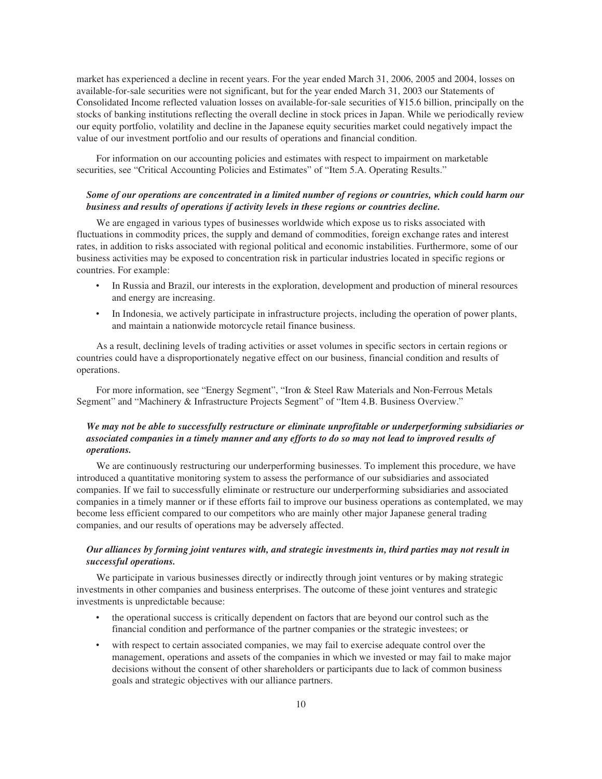market has experienced a decline in recent years. For the year ended March 31, 2006, 2005 and 2004, losses on available-for-sale securities were not significant, but for the year ended March 31, 2003 our Statements of Consolidated Income reflected valuation losses on available-for-sale securities of ¥15.6 billion, principally on the stocks of banking institutions reflecting the overall decline in stock prices in Japan. While we periodically review our equity portfolio, volatility and decline in the Japanese equity securities market could negatively impact the value of our investment portfolio and our results of operations and financial condition.

For information on our accounting policies and estimates with respect to impairment on marketable securities, see "Critical Accounting Policies and Estimates" of "Item 5.A. Operating Results."

## *Some of our operations are concentrated in a limited number of regions or countries, which could harm our business and results of operations if activity levels in these regions or countries decline.*

We are engaged in various types of businesses worldwide which expose us to risks associated with fluctuations in commodity prices, the supply and demand of commodities, foreign exchange rates and interest rates, in addition to risks associated with regional political and economic instabilities. Furthermore, some of our business activities may be exposed to concentration risk in particular industries located in specific regions or countries. For example:

- In Russia and Brazil, our interests in the exploration, development and production of mineral resources and energy are increasing.
- In Indonesia, we actively participate in infrastructure projects, including the operation of power plants, and maintain a nationwide motorcycle retail finance business.

As a result, declining levels of trading activities or asset volumes in specific sectors in certain regions or countries could have a disproportionately negative effect on our business, financial condition and results of operations.

For more information, see "Energy Segment", "Iron & Steel Raw Materials and Non-Ferrous Metals Segment" and "Machinery & Infrastructure Projects Segment" of "Item 4.B. Business Overview."

## *We may not be able to successfully restructure or eliminate unprofitable or underperforming subsidiaries or associated companies in a timely manner and any efforts to do so may not lead to improved results of operations.*

We are continuously restructuring our underperforming businesses. To implement this procedure, we have introduced a quantitative monitoring system to assess the performance of our subsidiaries and associated companies. If we fail to successfully eliminate or restructure our underperforming subsidiaries and associated companies in a timely manner or if these efforts fail to improve our business operations as contemplated, we may become less efficient compared to our competitors who are mainly other major Japanese general trading companies, and our results of operations may be adversely affected.

## *Our alliances by forming joint ventures with, and strategic investments in, third parties may not result in successful operations.*

We participate in various businesses directly or indirectly through joint ventures or by making strategic investments in other companies and business enterprises. The outcome of these joint ventures and strategic investments is unpredictable because:

- the operational success is critically dependent on factors that are beyond our control such as the financial condition and performance of the partner companies or the strategic investees; or
- with respect to certain associated companies, we may fail to exercise adequate control over the management, operations and assets of the companies in which we invested or may fail to make major decisions without the consent of other shareholders or participants due to lack of common business goals and strategic objectives with our alliance partners.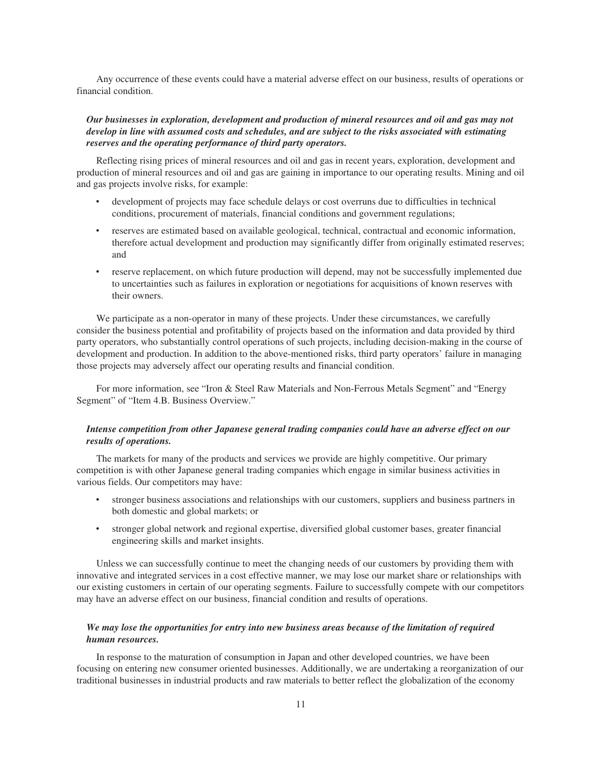Any occurrence of these events could have a material adverse effect on our business, results of operations or financial condition.

## *Our businesses in exploration, development and production of mineral resources and oil and gas may not develop in line with assumed costs and schedules, and are subject to the risks associated with estimating reserves and the operating performance of third party operators.*

Reflecting rising prices of mineral resources and oil and gas in recent years, exploration, development and production of mineral resources and oil and gas are gaining in importance to our operating results. Mining and oil and gas projects involve risks, for example:

- ‰ development of projects may face schedule delays or cost overruns due to difficulties in technical conditions, procurement of materials, financial conditions and government regulations;
- reserves are estimated based on available geological, technical, contractual and economic information, therefore actual development and production may significantly differ from originally estimated reserves; and
- reserve replacement, on which future production will depend, may not be successfully implemented due to uncertainties such as failures in exploration or negotiations for acquisitions of known reserves with their owners.

We participate as a non-operator in many of these projects. Under these circumstances, we carefully consider the business potential and profitability of projects based on the information and data provided by third party operators, who substantially control operations of such projects, including decision-making in the course of development and production. In addition to the above-mentioned risks, third party operators' failure in managing those projects may adversely affect our operating results and financial condition.

For more information, see "Iron & Steel Raw Materials and Non-Ferrous Metals Segment" and "Energy Segment" of "Item 4.B. Business Overview."

## *Intense competition from other Japanese general trading companies could have an adverse effect on our results of operations.*

The markets for many of the products and services we provide are highly competitive. Our primary competition is with other Japanese general trading companies which engage in similar business activities in various fields. Our competitors may have:

- stronger business associations and relationships with our customers, suppliers and business partners in both domestic and global markets; or
- ‰ stronger global network and regional expertise, diversified global customer bases, greater financial engineering skills and market insights.

Unless we can successfully continue to meet the changing needs of our customers by providing them with innovative and integrated services in a cost effective manner, we may lose our market share or relationships with our existing customers in certain of our operating segments. Failure to successfully compete with our competitors may have an adverse effect on our business, financial condition and results of operations.

## *We may lose the opportunities for entry into new business areas because of the limitation of required human resources.*

In response to the maturation of consumption in Japan and other developed countries, we have been focusing on entering new consumer oriented businesses. Additionally, we are undertaking a reorganization of our traditional businesses in industrial products and raw materials to better reflect the globalization of the economy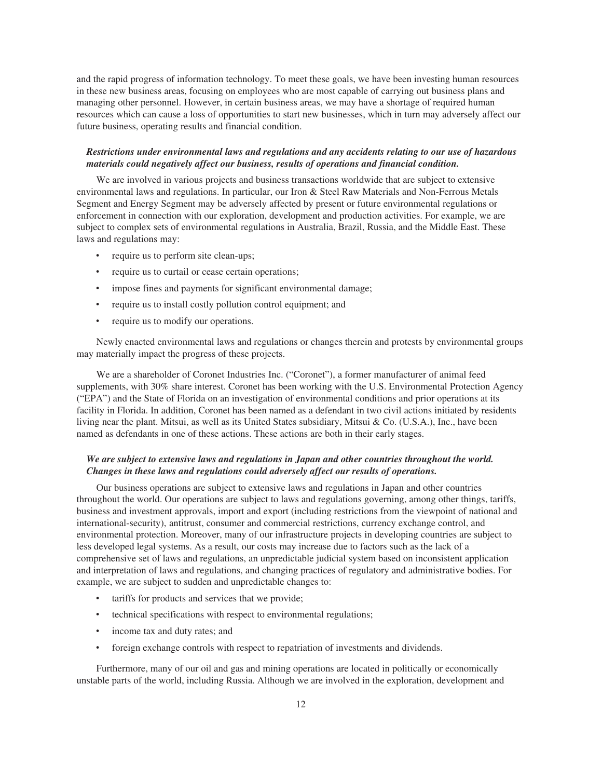and the rapid progress of information technology. To meet these goals, we have been investing human resources in these new business areas, focusing on employees who are most capable of carrying out business plans and managing other personnel. However, in certain business areas, we may have a shortage of required human resources which can cause a loss of opportunities to start new businesses, which in turn may adversely affect our future business, operating results and financial condition.

## *Restrictions under environmental laws and regulations and any accidents relating to our use of hazardous materials could negatively affect our business, results of operations and financial condition.*

We are involved in various projects and business transactions worldwide that are subject to extensive environmental laws and regulations. In particular, our Iron & Steel Raw Materials and Non-Ferrous Metals Segment and Energy Segment may be adversely affected by present or future environmental regulations or enforcement in connection with our exploration, development and production activities. For example, we are subject to complex sets of environmental regulations in Australia, Brazil, Russia, and the Middle East. These laws and regulations may:

- require us to perform site clean-ups;
- require us to curtail or cease certain operations;
- impose fines and payments for significant environmental damage;
- require us to install costly pollution control equipment; and
- require us to modify our operations.

Newly enacted environmental laws and regulations or changes therein and protests by environmental groups may materially impact the progress of these projects.

We are a shareholder of Coronet Industries Inc. ("Coronet"), a former manufacturer of animal feed supplements, with 30% share interest. Coronet has been working with the U.S. Environmental Protection Agency ("EPA") and the State of Florida on an investigation of environmental conditions and prior operations at its facility in Florida. In addition, Coronet has been named as a defendant in two civil actions initiated by residents living near the plant. Mitsui, as well as its United States subsidiary, Mitsui & Co. (U.S.A.), Inc., have been named as defendants in one of these actions. These actions are both in their early stages.

## *We are subject to extensive laws and regulations in Japan and other countries throughout the world. Changes in these laws and regulations could adversely affect our results of operations.*

Our business operations are subject to extensive laws and regulations in Japan and other countries throughout the world. Our operations are subject to laws and regulations governing, among other things, tariffs, business and investment approvals, import and export (including restrictions from the viewpoint of national and international-security), antitrust, consumer and commercial restrictions, currency exchange control, and environmental protection. Moreover, many of our infrastructure projects in developing countries are subject to less developed legal systems. As a result, our costs may increase due to factors such as the lack of a comprehensive set of laws and regulations, an unpredictable judicial system based on inconsistent application and interpretation of laws and regulations, and changing practices of regulatory and administrative bodies. For example, we are subject to sudden and unpredictable changes to:

- tariffs for products and services that we provide;
- technical specifications with respect to environmental regulations;
- income tax and duty rates; and
- foreign exchange controls with respect to repatriation of investments and dividends.

Furthermore, many of our oil and gas and mining operations are located in politically or economically unstable parts of the world, including Russia. Although we are involved in the exploration, development and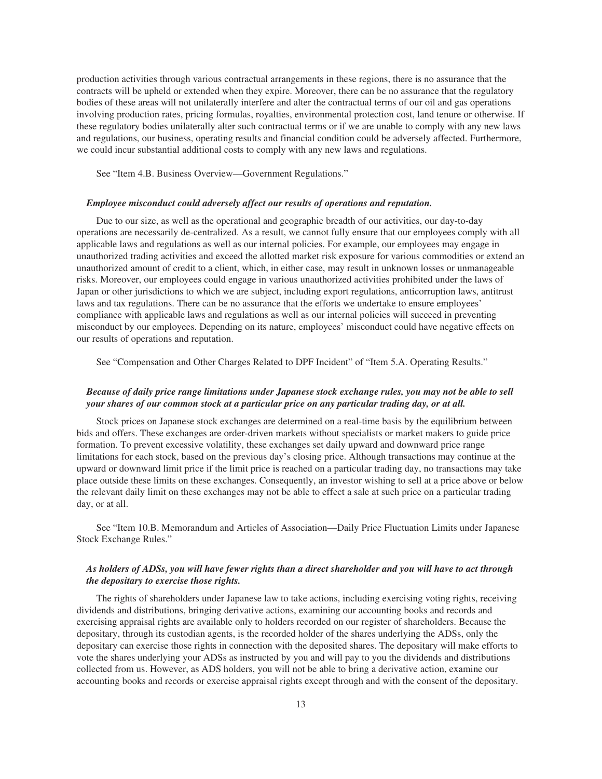production activities through various contractual arrangements in these regions, there is no assurance that the contracts will be upheld or extended when they expire. Moreover, there can be no assurance that the regulatory bodies of these areas will not unilaterally interfere and alter the contractual terms of our oil and gas operations involving production rates, pricing formulas, royalties, environmental protection cost, land tenure or otherwise. If these regulatory bodies unilaterally alter such contractual terms or if we are unable to comply with any new laws and regulations, our business, operating results and financial condition could be adversely affected. Furthermore, we could incur substantial additional costs to comply with any new laws and regulations.

See "Item 4.B. Business Overview—Government Regulations."

#### *Employee misconduct could adversely affect our results of operations and reputation.*

Due to our size, as well as the operational and geographic breadth of our activities, our day-to-day operations are necessarily de-centralized. As a result, we cannot fully ensure that our employees comply with all applicable laws and regulations as well as our internal policies. For example, our employees may engage in unauthorized trading activities and exceed the allotted market risk exposure for various commodities or extend an unauthorized amount of credit to a client, which, in either case, may result in unknown losses or unmanageable risks. Moreover, our employees could engage in various unauthorized activities prohibited under the laws of Japan or other jurisdictions to which we are subject, including export regulations, anticorruption laws, antitrust laws and tax regulations. There can be no assurance that the efforts we undertake to ensure employees' compliance with applicable laws and regulations as well as our internal policies will succeed in preventing misconduct by our employees. Depending on its nature, employees' misconduct could have negative effects on our results of operations and reputation.

See "Compensation and Other Charges Related to DPF Incident" of "Item 5.A. Operating Results."

## *Because of daily price range limitations under Japanese stock exchange rules, you may not be able to sell your shares of our common stock at a particular price on any particular trading day, or at all.*

Stock prices on Japanese stock exchanges are determined on a real-time basis by the equilibrium between bids and offers. These exchanges are order-driven markets without specialists or market makers to guide price formation. To prevent excessive volatility, these exchanges set daily upward and downward price range limitations for each stock, based on the previous day's closing price. Although transactions may continue at the upward or downward limit price if the limit price is reached on a particular trading day, no transactions may take place outside these limits on these exchanges. Consequently, an investor wishing to sell at a price above or below the relevant daily limit on these exchanges may not be able to effect a sale at such price on a particular trading day, or at all.

See "Item 10.B. Memorandum and Articles of Association—Daily Price Fluctuation Limits under Japanese Stock Exchange Rules."

## *As holders of ADSs, you will have fewer rights than a direct shareholder and you will have to act through the depositary to exercise those rights.*

The rights of shareholders under Japanese law to take actions, including exercising voting rights, receiving dividends and distributions, bringing derivative actions, examining our accounting books and records and exercising appraisal rights are available only to holders recorded on our register of shareholders. Because the depositary, through its custodian agents, is the recorded holder of the shares underlying the ADSs, only the depositary can exercise those rights in connection with the deposited shares. The depositary will make efforts to vote the shares underlying your ADSs as instructed by you and will pay to you the dividends and distributions collected from us. However, as ADS holders, you will not be able to bring a derivative action, examine our accounting books and records or exercise appraisal rights except through and with the consent of the depositary.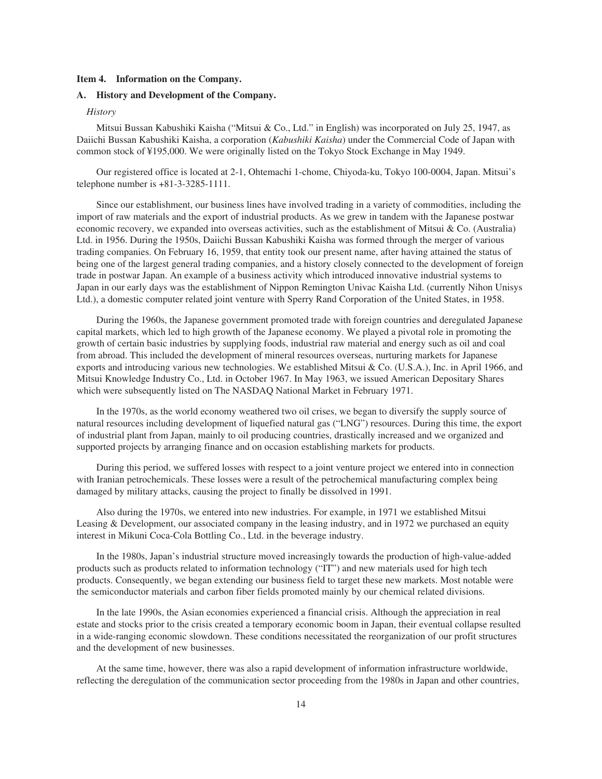#### **Item 4. Information on the Company.**

## **A. History and Development of the Company.**

## *History*

Mitsui Bussan Kabushiki Kaisha ("Mitsui & Co., Ltd." in English) was incorporated on July 25, 1947, as Daiichi Bussan Kabushiki Kaisha, a corporation (*Kabushiki Kaisha*) under the Commercial Code of Japan with common stock of ¥195,000. We were originally listed on the Tokyo Stock Exchange in May 1949.

Our registered office is located at 2-1, Ohtemachi 1-chome, Chiyoda-ku, Tokyo 100-0004, Japan. Mitsui's telephone number is +81-3-3285-1111.

Since our establishment, our business lines have involved trading in a variety of commodities, including the import of raw materials and the export of industrial products. As we grew in tandem with the Japanese postwar economic recovery, we expanded into overseas activities, such as the establishment of Mitsui & Co. (Australia) Ltd. in 1956. During the 1950s, Daiichi Bussan Kabushiki Kaisha was formed through the merger of various trading companies. On February 16, 1959, that entity took our present name, after having attained the status of being one of the largest general trading companies, and a history closely connected to the development of foreign trade in postwar Japan. An example of a business activity which introduced innovative industrial systems to Japan in our early days was the establishment of Nippon Remington Univac Kaisha Ltd. (currently Nihon Unisys Ltd.), a domestic computer related joint venture with Sperry Rand Corporation of the United States, in 1958.

During the 1960s, the Japanese government promoted trade with foreign countries and deregulated Japanese capital markets, which led to high growth of the Japanese economy. We played a pivotal role in promoting the growth of certain basic industries by supplying foods, industrial raw material and energy such as oil and coal from abroad. This included the development of mineral resources overseas, nurturing markets for Japanese exports and introducing various new technologies. We established Mitsui & Co. (U.S.A.), Inc. in April 1966, and Mitsui Knowledge Industry Co., Ltd. in October 1967. In May 1963, we issued American Depositary Shares which were subsequently listed on The NASDAQ National Market in February 1971.

In the 1970s, as the world economy weathered two oil crises, we began to diversify the supply source of natural resources including development of liquefied natural gas ("LNG") resources. During this time, the export of industrial plant from Japan, mainly to oil producing countries, drastically increased and we organized and supported projects by arranging finance and on occasion establishing markets for products.

During this period, we suffered losses with respect to a joint venture project we entered into in connection with Iranian petrochemicals. These losses were a result of the petrochemical manufacturing complex being damaged by military attacks, causing the project to finally be dissolved in 1991.

Also during the 1970s, we entered into new industries. For example, in 1971 we established Mitsui Leasing & Development, our associated company in the leasing industry, and in 1972 we purchased an equity interest in Mikuni Coca-Cola Bottling Co., Ltd. in the beverage industry.

In the 1980s, Japan's industrial structure moved increasingly towards the production of high-value-added products such as products related to information technology ("IT") and new materials used for high tech products. Consequently, we began extending our business field to target these new markets. Most notable were the semiconductor materials and carbon fiber fields promoted mainly by our chemical related divisions.

In the late 1990s, the Asian economies experienced a financial crisis. Although the appreciation in real estate and stocks prior to the crisis created a temporary economic boom in Japan, their eventual collapse resulted in a wide-ranging economic slowdown. These conditions necessitated the reorganization of our profit structures and the development of new businesses.

At the same time, however, there was also a rapid development of information infrastructure worldwide, reflecting the deregulation of the communication sector proceeding from the 1980s in Japan and other countries,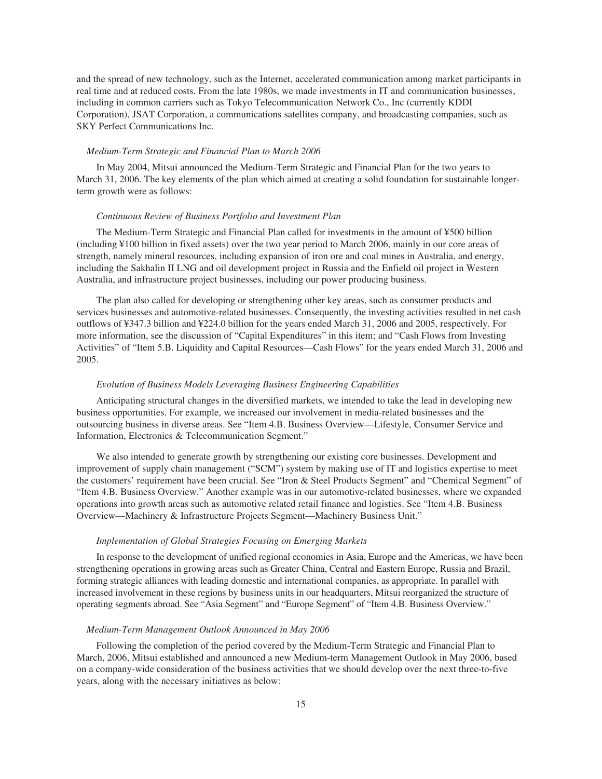and the spread of new technology, such as the Internet, accelerated communication among market participants in real time and at reduced costs. From the late 1980s, we made investments in IT and communication businesses, including in common carriers such as Tokyo Telecommunication Network Co., Inc (currently KDDI Corporation), JSAT Corporation, a communications satellites company, and broadcasting companies, such as SKY Perfect Communications Inc.

#### *Medium-Term Strategic and Financial Plan to March 2006*

In May 2004, Mitsui announced the Medium-Term Strategic and Financial Plan for the two years to March 31, 2006. The key elements of the plan which aimed at creating a solid foundation for sustainable longerterm growth were as follows:

#### *Continuous Review of Business Portfolio and Investment Plan*

The Medium-Term Strategic and Financial Plan called for investments in the amount of ¥500 billion (including ¥100 billion in fixed assets) over the two year period to March 2006, mainly in our core areas of strength, namely mineral resources, including expansion of iron ore and coal mines in Australia, and energy, including the Sakhalin II LNG and oil development project in Russia and the Enfield oil project in Western Australia, and infrastructure project businesses, including our power producing business.

The plan also called for developing or strengthening other key areas, such as consumer products and services businesses and automotive-related businesses. Consequently, the investing activities resulted in net cash outflows of ¥347.3 billion and ¥224.0 billion for the years ended March 31, 2006 and 2005, respectively. For more information, see the discussion of "Capital Expenditures" in this item; and "Cash Flows from Investing Activities" of "Item 5.B. Liquidity and Capital Resources—Cash Flows" for the years ended March 31, 2006 and 2005.

#### *Evolution of Business Models Leveraging Business Engineering Capabilities*

Anticipating structural changes in the diversified markets, we intended to take the lead in developing new business opportunities. For example, we increased our involvement in media-related businesses and the outsourcing business in diverse areas. See "Item 4.B. Business Overview—Lifestyle, Consumer Service and Information, Electronics & Telecommunication Segment."

We also intended to generate growth by strengthening our existing core businesses. Development and improvement of supply chain management ("SCM") system by making use of IT and logistics expertise to meet the customers' requirement have been crucial. See "Iron & Steel Products Segment" and "Chemical Segment" of "Item 4.B. Business Overview." Another example was in our automotive-related businesses, where we expanded operations into growth areas such as automotive related retail finance and logistics. See "Item 4.B. Business Overview—Machinery & Infrastructure Projects Segment—Machinery Business Unit."

#### *Implementation of Global Strategies Focusing on Emerging Markets*

In response to the development of unified regional economies in Asia, Europe and the Americas, we have been strengthening operations in growing areas such as Greater China, Central and Eastern Europe, Russia and Brazil, forming strategic alliances with leading domestic and international companies, as appropriate. In parallel with increased involvement in these regions by business units in our headquarters, Mitsui reorganized the structure of operating segments abroad. See "Asia Segment" and "Europe Segment" of "Item 4.B. Business Overview."

#### *Medium-Term Management Outlook Announced in May 2006*

Following the completion of the period covered by the Medium-Term Strategic and Financial Plan to March, 2006, Mitsui established and announced a new Medium-term Management Outlook in May 2006, based on a company-wide consideration of the business activities that we should develop over the next three-to-five years, along with the necessary initiatives as below: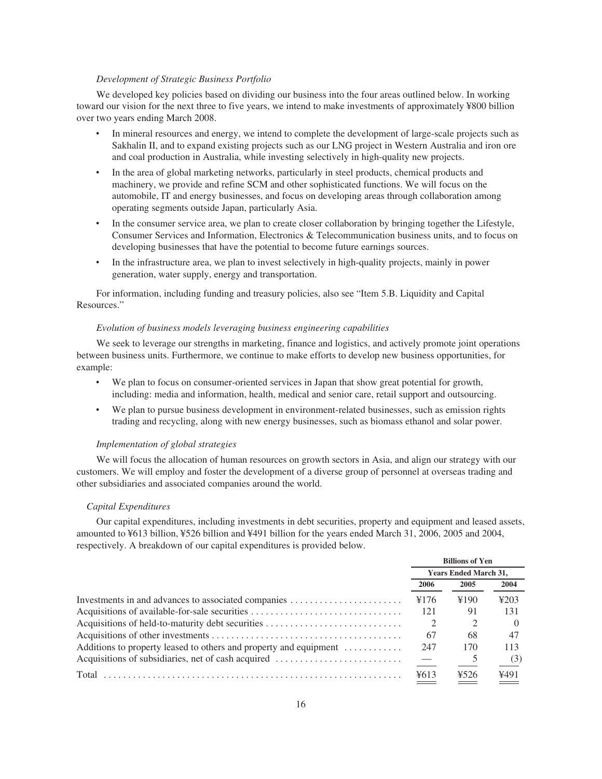#### *Development of Strategic Business Portfolio*

We developed key policies based on dividing our business into the four areas outlined below. In working toward our vision for the next three to five years, we intend to make investments of approximately ¥800 billion over two years ending March 2008.

- In mineral resources and energy, we intend to complete the development of large-scale projects such as Sakhalin II, and to expand existing projects such as our LNG project in Western Australia and iron ore and coal production in Australia, while investing selectively in high-quality new projects.
- In the area of global marketing networks, particularly in steel products, chemical products and machinery, we provide and refine SCM and other sophisticated functions. We will focus on the automobile, IT and energy businesses, and focus on developing areas through collaboration among operating segments outside Japan, particularly Asia.
- In the consumer service area, we plan to create closer collaboration by bringing together the Lifestyle, Consumer Services and Information, Electronics & Telecommunication business units, and to focus on developing businesses that have the potential to become future earnings sources.
- In the infrastructure area, we plan to invest selectively in high-quality projects, mainly in power generation, water supply, energy and transportation.

For information, including funding and treasury policies, also see "Item 5.B. Liquidity and Capital Resources."

#### *Evolution of business models leveraging business engineering capabilities*

We seek to leverage our strengths in marketing, finance and logistics, and actively promote joint operations between business units. Furthermore, we continue to make efforts to develop new business opportunities, for example:

- We plan to focus on consumer-oriented services in Japan that show great potential for growth, including: media and information, health, medical and senior care, retail support and outsourcing.
- We plan to pursue business development in environment-related businesses, such as emission rights trading and recycling, along with new energy businesses, such as biomass ethanol and solar power.

#### *Implementation of global strategies*

We will focus the allocation of human resources on growth sectors in Asia, and align our strategy with our customers. We will employ and foster the development of a diverse group of personnel at overseas trading and other subsidiaries and associated companies around the world.

#### *Capital Expenditures*

Our capital expenditures, including investments in debt securities, property and equipment and leased assets, amounted to ¥613 billion, ¥526 billion and ¥491 billion for the years ended March 31, 2006, 2005 and 2004, respectively. A breakdown of our capital expenditures is provided below.

|                                                                   | <b>Billions of Yen</b>       |      |                  |
|-------------------------------------------------------------------|------------------------------|------|------------------|
|                                                                   | <b>Years Ended March 31,</b> |      |                  |
|                                                                   | 2006                         | 2005 | 2004             |
| Investments in and advances to associated companies               | ¥176                         | ¥190 | 4203             |
|                                                                   | 121                          | 91   | 131              |
| Acquisitions of held-to-maturity debt securities                  | 2                            |      | $\left( \right)$ |
|                                                                   | 67                           | 68   | 47               |
| Additions to property leased to others and property and equipment | 247                          | 170  | 113              |
| Acquisitions of subsidiaries, net of cash acquired                | $\hspace{0.1cm}$             |      | (3)              |
| Total                                                             | 4613                         | ¥526 | ¥491             |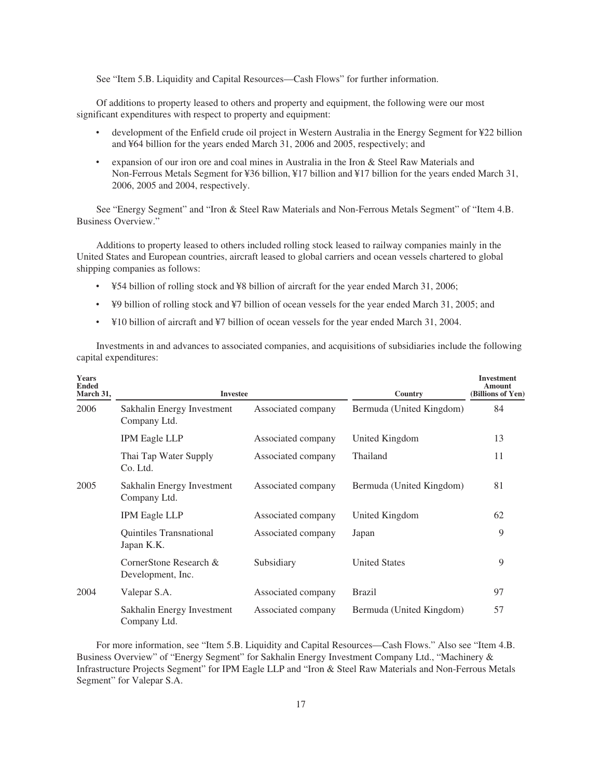See "Item 5.B. Liquidity and Capital Resources—Cash Flows" for further information.

Of additions to property leased to others and property and equipment, the following were our most significant expenditures with respect to property and equipment:

- ‰ development of the Enfield crude oil project in Western Australia in the Energy Segment for ¥22 billion and ¥64 billion for the years ended March 31, 2006 and 2005, respectively; and
- expansion of our iron ore and coal mines in Australia in the Iron & Steel Raw Materials and Non-Ferrous Metals Segment for ¥36 billion, ¥17 billion and ¥17 billion for the years ended March 31, 2006, 2005 and 2004, respectively.

See "Energy Segment" and "Iron & Steel Raw Materials and Non-Ferrous Metals Segment" of "Item 4.B. Business Overview."

Additions to property leased to others included rolling stock leased to railway companies mainly in the United States and European countries, aircraft leased to global carriers and ocean vessels chartered to global shipping companies as follows:

- ‰ ¥54 billion of rolling stock and ¥8 billion of aircraft for the year ended March 31, 2006;
- ‰ ¥9 billion of rolling stock and ¥7 billion of ocean vessels for the year ended March 31, 2005; and
- ‰ ¥10 billion of aircraft and ¥7 billion of ocean vessels for the year ended March 31, 2004.

Investments in and advances to associated companies, and acquisitions of subsidiaries include the following capital expenditures:

| <b>Years</b><br><b>Ended</b><br>March 31, | <b>Investee</b>                              |                    | Country                  | <b>Investment</b><br>Amount<br>(Billions of Yen) |
|-------------------------------------------|----------------------------------------------|--------------------|--------------------------|--------------------------------------------------|
| 2006                                      | Sakhalin Energy Investment<br>Company Ltd.   | Associated company | Bermuda (United Kingdom) | 84                                               |
|                                           | <b>IPM Eagle LLP</b>                         | Associated company | United Kingdom           | 13                                               |
|                                           | Thai Tap Water Supply<br>Co. Ltd.            | Associated company | Thailand                 | 11                                               |
| 2005                                      | Sakhalin Energy Investment<br>Company Ltd.   | Associated company | Bermuda (United Kingdom) | 81                                               |
|                                           | <b>IPM Eagle LLP</b>                         | Associated company | United Kingdom           | 62                                               |
|                                           | <b>Ouintiles Transnational</b><br>Japan K.K. | Associated company | Japan                    | 9                                                |
|                                           | CornerStone Research &<br>Development, Inc.  | Subsidiary         | <b>United States</b>     | 9                                                |
| 2004                                      | Valepar S.A.                                 | Associated company | <b>Brazil</b>            | 97                                               |
|                                           | Sakhalin Energy Investment<br>Company Ltd.   | Associated company | Bermuda (United Kingdom) | 57                                               |

For more information, see "Item 5.B. Liquidity and Capital Resources—Cash Flows." Also see "Item 4.B. Business Overview" of "Energy Segment" for Sakhalin Energy Investment Company Ltd., "Machinery & Infrastructure Projects Segment" for IPM Eagle LLP and "Iron & Steel Raw Materials and Non-Ferrous Metals Segment" for Valepar S.A.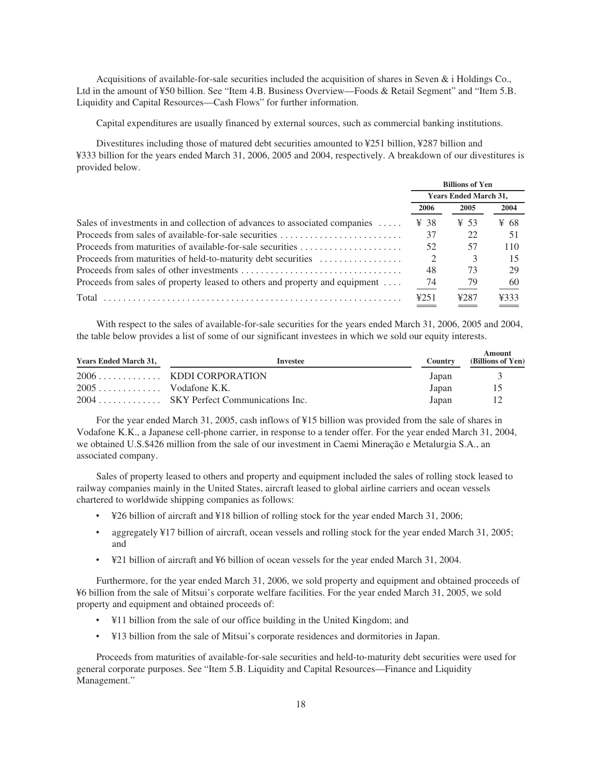Acquisitions of available-for-sale securities included the acquisition of shares in Seven & i Holdings Co., Ltd in the amount of ¥50 billion. See "Item 4.B. Business Overview—Foods & Retail Segment" and "Item 5.B. Liquidity and Capital Resources—Cash Flows" for further information.

Capital expenditures are usually financed by external sources, such as commercial banking institutions.

Divestitures including those of matured debt securities amounted to ¥251 billion, ¥287 billion and ¥333 billion for the years ended March 31, 2006, 2005 and 2004, respectively. A breakdown of our divestitures is provided below.

|                                                                             | <b>Billions of Yen</b>       |                  |      |  |
|-----------------------------------------------------------------------------|------------------------------|------------------|------|--|
|                                                                             | <b>Years Ended March 31,</b> |                  |      |  |
|                                                                             | 2006                         | 2005             | 2004 |  |
| Sales of investments in and collection of advances to associated companies  | ¥ 38                         | $\frac{1}{2}$ 53 | ¥ 68 |  |
| Proceeds from sales of available-for-sale securities                        | 37                           | 22               | 51   |  |
| Proceeds from maturities of available-for-sale securities                   | 52                           | 57               | 110  |  |
| Proceeds from maturities of held-to-maturity debt securities                |                              | 3                | 15   |  |
|                                                                             | 48                           | 73               | 29   |  |
| Proceeds from sales of property leased to others and property and equipment | -74                          | 79               | 60   |  |
| Total                                                                       | 4251                         | ¥287             | ¥333 |  |

With respect to the sales of available-for-sale securities for the years ended March 31, 2006, 2005 and 2004, the table below provides a list of some of our significant investees in which we sold our equity interests.

| <b>Years Ended March 31,</b> | Investee                                     | <b>Country</b> |       | Amount<br>(Billions of Yen) |
|------------------------------|----------------------------------------------|----------------|-------|-----------------------------|
|                              | $2006 \ldots \ldots \ldots$ KDDI CORPORATION | Japan          |       | $\rightarrow$               |
| $2005$ Vodafone K.K.         |                                              | Japan          |       | 15                          |
|                              | 2004 SKY Perfect Communications Inc.         |                | Japan | 12                          |

For the year ended March 31, 2005, cash inflows of ¥15 billion was provided from the sale of shares in Vodafone K.K., a Japanese cell-phone carrier, in response to a tender offer. For the year ended March 31, 2004, we obtained U.S.\$426 million from the sale of our investment in Caemi Mineração e Metalurgia S.A., an associated company.

Sales of property leased to others and property and equipment included the sales of rolling stock leased to railway companies mainly in the United States, aircraft leased to global airline carriers and ocean vessels chartered to worldwide shipping companies as follows:

- ‰ ¥26 billion of aircraft and ¥18 billion of rolling stock for the year ended March 31, 2006;
- aggregately ¥17 billion of aircraft, ocean vessels and rolling stock for the year ended March 31, 2005; and
- ‰ ¥21 billion of aircraft and ¥6 billion of ocean vessels for the year ended March 31, 2004.

Furthermore, for the year ended March 31, 2006, we sold property and equipment and obtained proceeds of ¥6 billion from the sale of Mitsui's corporate welfare facilities. For the year ended March 31, 2005, we sold property and equipment and obtained proceeds of:

- ‰ ¥11 billion from the sale of our office building in the United Kingdom; and
- ‰ ¥13 billion from the sale of Mitsui's corporate residences and dormitories in Japan.

Proceeds from maturities of available-for-sale securities and held-to-maturity debt securities were used for general corporate purposes. See "Item 5.B. Liquidity and Capital Resources—Finance and Liquidity Management."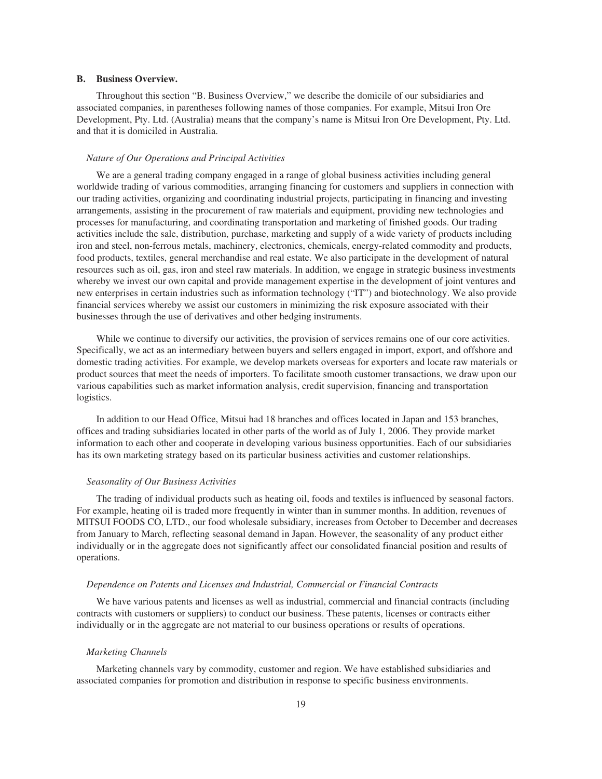#### **B. Business Overview.**

Throughout this section "B. Business Overview," we describe the domicile of our subsidiaries and associated companies, in parentheses following names of those companies. For example, Mitsui Iron Ore Development, Pty. Ltd. (Australia) means that the company's name is Mitsui Iron Ore Development, Pty. Ltd. and that it is domiciled in Australia.

#### *Nature of Our Operations and Principal Activities*

We are a general trading company engaged in a range of global business activities including general worldwide trading of various commodities, arranging financing for customers and suppliers in connection with our trading activities, organizing and coordinating industrial projects, participating in financing and investing arrangements, assisting in the procurement of raw materials and equipment, providing new technologies and processes for manufacturing, and coordinating transportation and marketing of finished goods. Our trading activities include the sale, distribution, purchase, marketing and supply of a wide variety of products including iron and steel, non-ferrous metals, machinery, electronics, chemicals, energy-related commodity and products, food products, textiles, general merchandise and real estate. We also participate in the development of natural resources such as oil, gas, iron and steel raw materials. In addition, we engage in strategic business investments whereby we invest our own capital and provide management expertise in the development of joint ventures and new enterprises in certain industries such as information technology ("IT") and biotechnology. We also provide financial services whereby we assist our customers in minimizing the risk exposure associated with their businesses through the use of derivatives and other hedging instruments.

While we continue to diversify our activities, the provision of services remains one of our core activities. Specifically, we act as an intermediary between buyers and sellers engaged in import, export, and offshore and domestic trading activities. For example, we develop markets overseas for exporters and locate raw materials or product sources that meet the needs of importers. To facilitate smooth customer transactions, we draw upon our various capabilities such as market information analysis, credit supervision, financing and transportation logistics.

In addition to our Head Office, Mitsui had 18 branches and offices located in Japan and 153 branches, offices and trading subsidiaries located in other parts of the world as of July 1, 2006. They provide market information to each other and cooperate in developing various business opportunities. Each of our subsidiaries has its own marketing strategy based on its particular business activities and customer relationships.

#### *Seasonality of Our Business Activities*

The trading of individual products such as heating oil, foods and textiles is influenced by seasonal factors. For example, heating oil is traded more frequently in winter than in summer months. In addition, revenues of MITSUI FOODS CO, LTD., our food wholesale subsidiary, increases from October to December and decreases from January to March, reflecting seasonal demand in Japan. However, the seasonality of any product either individually or in the aggregate does not significantly affect our consolidated financial position and results of operations.

#### *Dependence on Patents and Licenses and Industrial, Commercial or Financial Contracts*

We have various patents and licenses as well as industrial, commercial and financial contracts (including contracts with customers or suppliers) to conduct our business. These patents, licenses or contracts either individually or in the aggregate are not material to our business operations or results of operations.

#### *Marketing Channels*

Marketing channels vary by commodity, customer and region. We have established subsidiaries and associated companies for promotion and distribution in response to specific business environments.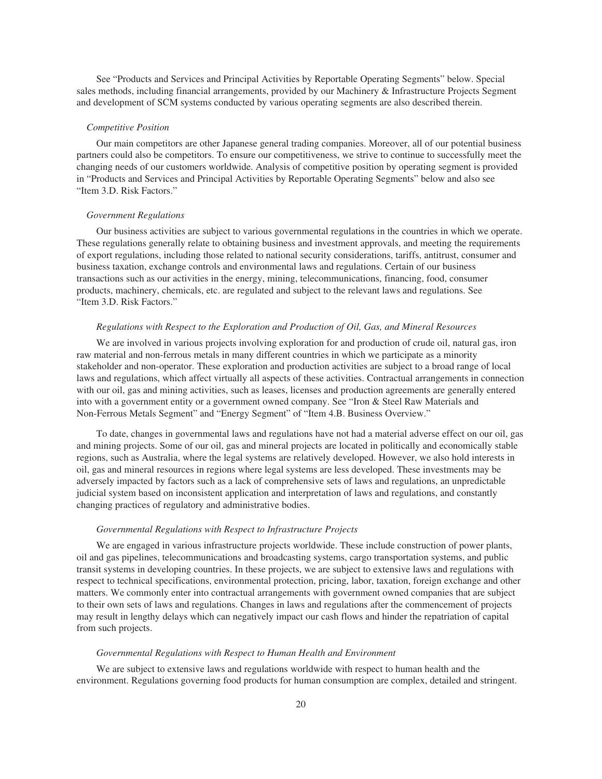See "Products and Services and Principal Activities by Reportable Operating Segments" below. Special sales methods, including financial arrangements, provided by our Machinery & Infrastructure Projects Segment and development of SCM systems conducted by various operating segments are also described therein.

#### *Competitive Position*

Our main competitors are other Japanese general trading companies. Moreover, all of our potential business partners could also be competitors. To ensure our competitiveness, we strive to continue to successfully meet the changing needs of our customers worldwide. Analysis of competitive position by operating segment is provided in "Products and Services and Principal Activities by Reportable Operating Segments" below and also see "Item 3.D. Risk Factors."

#### *Government Regulations*

Our business activities are subject to various governmental regulations in the countries in which we operate. These regulations generally relate to obtaining business and investment approvals, and meeting the requirements of export regulations, including those related to national security considerations, tariffs, antitrust, consumer and business taxation, exchange controls and environmental laws and regulations. Certain of our business transactions such as our activities in the energy, mining, telecommunications, financing, food, consumer products, machinery, chemicals, etc. are regulated and subject to the relevant laws and regulations. See "Item 3.D. Risk Factors."

#### *Regulations with Respect to the Exploration and Production of Oil, Gas, and Mineral Resources*

We are involved in various projects involving exploration for and production of crude oil, natural gas, iron raw material and non-ferrous metals in many different countries in which we participate as a minority stakeholder and non-operator. These exploration and production activities are subject to a broad range of local laws and regulations, which affect virtually all aspects of these activities. Contractual arrangements in connection with our oil, gas and mining activities, such as leases, licenses and production agreements are generally entered into with a government entity or a government owned company. See "Iron & Steel Raw Materials and Non-Ferrous Metals Segment" and "Energy Segment" of "Item 4.B. Business Overview."

To date, changes in governmental laws and regulations have not had a material adverse effect on our oil, gas and mining projects. Some of our oil, gas and mineral projects are located in politically and economically stable regions, such as Australia, where the legal systems are relatively developed. However, we also hold interests in oil, gas and mineral resources in regions where legal systems are less developed. These investments may be adversely impacted by factors such as a lack of comprehensive sets of laws and regulations, an unpredictable judicial system based on inconsistent application and interpretation of laws and regulations, and constantly changing practices of regulatory and administrative bodies.

#### *Governmental Regulations with Respect to Infrastructure Projects*

We are engaged in various infrastructure projects worldwide. These include construction of power plants, oil and gas pipelines, telecommunications and broadcasting systems, cargo transportation systems, and public transit systems in developing countries. In these projects, we are subject to extensive laws and regulations with respect to technical specifications, environmental protection, pricing, labor, taxation, foreign exchange and other matters. We commonly enter into contractual arrangements with government owned companies that are subject to their own sets of laws and regulations. Changes in laws and regulations after the commencement of projects may result in lengthy delays which can negatively impact our cash flows and hinder the repatriation of capital from such projects.

#### *Governmental Regulations with Respect to Human Health and Environment*

We are subject to extensive laws and regulations worldwide with respect to human health and the environment. Regulations governing food products for human consumption are complex, detailed and stringent.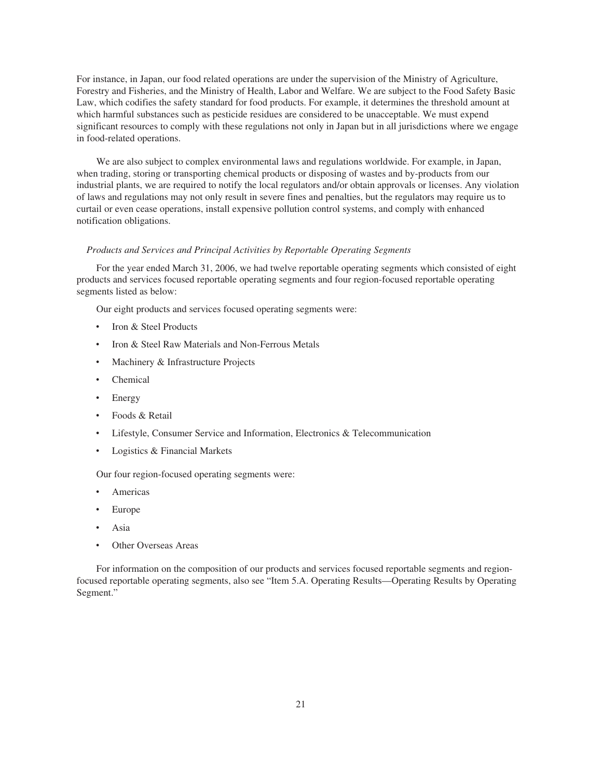For instance, in Japan, our food related operations are under the supervision of the Ministry of Agriculture, Forestry and Fisheries, and the Ministry of Health, Labor and Welfare. We are subject to the Food Safety Basic Law, which codifies the safety standard for food products. For example, it determines the threshold amount at which harmful substances such as pesticide residues are considered to be unacceptable. We must expend significant resources to comply with these regulations not only in Japan but in all jurisdictions where we engage in food-related operations.

We are also subject to complex environmental laws and regulations worldwide. For example, in Japan, when trading, storing or transporting chemical products or disposing of wastes and by-products from our industrial plants, we are required to notify the local regulators and/or obtain approvals or licenses. Any violation of laws and regulations may not only result in severe fines and penalties, but the regulators may require us to curtail or even cease operations, install expensive pollution control systems, and comply with enhanced notification obligations.

#### *Products and Services and Principal Activities by Reportable Operating Segments*

For the year ended March 31, 2006, we had twelve reportable operating segments which consisted of eight products and services focused reportable operating segments and four region-focused reportable operating segments listed as below:

Our eight products and services focused operating segments were:

- Iron & Steel Products
- Iron & Steel Raw Materials and Non-Ferrous Metals
- Machinery & Infrastructure Projects
- Chemical
- **Energy**
- Foods & Retail
- Lifestyle, Consumer Service and Information, Electronics & Telecommunication
- Logistics & Financial Markets

Our four region-focused operating segments were:

- ‰ Americas
- ‰ Europe
- ‰ Asia
- Other Overseas Areas

For information on the composition of our products and services focused reportable segments and regionfocused reportable operating segments, also see "Item 5.A. Operating Results—Operating Results by Operating Segment."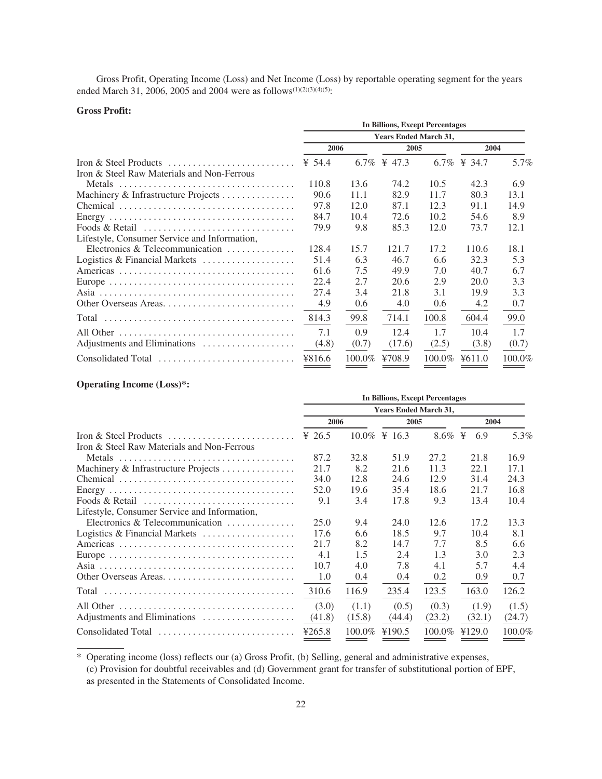Gross Profit, Operating Income (Loss) and Net Income (Loss) by reportable operating segment for the years ended March 31, 2006, 2005 and 2004 were as follows<sup>(1)(2)(3)(4)(5)</sup>:

## **Gross Profit:**

|                                                     | <b>In Billions, Except Percentages</b> |        |                  |           |                    |        |  |  |
|-----------------------------------------------------|----------------------------------------|--------|------------------|-----------|--------------------|--------|--|--|
|                                                     | <b>Years Ended March 31,</b>           |        |                  |           |                    |        |  |  |
|                                                     | 2006                                   |        | 2005             |           | 2004               |        |  |  |
|                                                     | ¥ 54.4                                 |        | 6.7\% \ \ \ 47.3 | 6.7%      | $\frac{1}{2}$ 34.7 | 5.7%   |  |  |
| Iron & Steel Raw Materials and Non-Ferrous          |                                        |        |                  |           |                    |        |  |  |
|                                                     | 110.8                                  | 13.6   | 74.2             | 10.5      | 42.3               | 6.9    |  |  |
| Machinery & Infrastructure Projects                 | 90.6                                   | 11.1   | 82.9             | 11.7      | 80.3               | 13.1   |  |  |
|                                                     | 97.8                                   | 12.0   | 87.1             | 12.3      | 91.1               | 14.9   |  |  |
|                                                     | 84.7                                   | 10.4   | 72.6             | 10.2      | 54.6               | 8.9    |  |  |
| Foods & Retail                                      | 79.9                                   | 9.8    | 85.3             | 12.0      | 73.7               | 12.1   |  |  |
| Lifestyle, Consumer Service and Information,        |                                        |        |                  |           |                    |        |  |  |
| Electronics & Telecommunication $\dots \dots \dots$ | 128.4                                  | 15.7   | 121.7            | 17.2      | 110.6              | 18.1   |  |  |
| Logistics & Financial Markets                       | 51.4                                   | 6.3    | 46.7             | 6.6       | 32.3               | 5.3    |  |  |
|                                                     | 61.6                                   | 7.5    | 49.9             | 7.0       | 40.7               | 6.7    |  |  |
|                                                     | 22.4                                   | 2.7    | 20.6             | 2.9       | 20.0               | 3.3    |  |  |
|                                                     | 27.4                                   | 3.4    | 21.8             | 3.1       | 19.9               | 3.3    |  |  |
|                                                     | 4.9                                    | 0.6    | 4.0              | 0.6       | 4.2                | 0.7    |  |  |
| Total                                               | 814.3                                  | 99.8   | 714.1            | 100.8     | 604.4              | 99.0   |  |  |
|                                                     | 7.1                                    | 0.9    | 12.4             | 1.7       | 10.4               | 1.7    |  |  |
| Adjustments and Eliminations                        | (4.8)                                  | (0.7)  | (17.6)           | (2.5)     | (3.8)              | (0.7)  |  |  |
| Consolidated Total                                  | ¥816.6                                 | 100.0% | ¥708.9           | $100.0\%$ | 4611.0             | 100.0% |  |  |

## **Operating Income (Loss)\*:**

|                                                                       | <b>In Billions, Except Percentages</b> |        |                     |        |          |        |  |  |
|-----------------------------------------------------------------------|----------------------------------------|--------|---------------------|--------|----------|--------|--|--|
|                                                                       | <b>Years Ended March 31,</b>           |        |                     |        |          |        |  |  |
|                                                                       | 2006                                   |        | 2005                |        | 2004     |        |  |  |
| Iron & Steel Products $\dots\dots\dots\dots\dots\dots\dots\dots\dots$ | ¥ 26.5                                 |        | $10.0\% \t{4} 16.3$ | 8.6%   | ¥<br>6.9 | 5.3%   |  |  |
| Iron & Steel Raw Materials and Non-Ferrous                            |                                        |        |                     |        |          |        |  |  |
|                                                                       | 87.2                                   | 32.8   | 51.9                | 27.2   | 21.8     | 16.9   |  |  |
| Machinery & Infrastructure Projects                                   | 21.7                                   | 8.2    | 21.6                | 11.3   | 22.1     | 17.1   |  |  |
|                                                                       | 34.0                                   | 12.8   | 24.6                | 12.9   | 31.4     | 24.3   |  |  |
|                                                                       | 52.0                                   | 19.6   | 35.4                | 18.6   | 21.7     | 16.8   |  |  |
| Foods & Retail                                                        | 9.1                                    | 3.4    | 17.8                | 9.3    | 13.4     | 10.4   |  |  |
| Lifestyle, Consumer Service and Information,                          |                                        |        |                     |        |          |        |  |  |
| Electronics & Telecommunication $\dots\dots\dots\dots$                | 25.0                                   | 9.4    | 24.0                | 12.6   | 17.2     | 13.3   |  |  |
| Logistics & Financial Markets                                         | 17.6                                   | 6.6    | 18.5                | 9.7    | 10.4     | 8.1    |  |  |
|                                                                       | 21.7                                   | 8.2    | 14.7                | 7.7    | 8.5      | 6.6    |  |  |
|                                                                       | 4.1                                    | 1.5    | 2.4                 | 1.3    | 3.0      | 2.3    |  |  |
|                                                                       | 10.7                                   | 4.0    | 7.8                 | 4.1    | 5.7      | 4.4    |  |  |
| Other Overseas Areas                                                  | 1.0                                    | 0.4    | 0.4                 | 0.2    | 0.9      | 0.7    |  |  |
| Total                                                                 | 310.6                                  | 116.9  | 235.4               | 123.5  | 163.0    | 126.2  |  |  |
|                                                                       | (3.0)                                  | (1.1)  | (0.5)               | (0.3)  | (1.9)    | (1.5)  |  |  |
| Adjustments and Eliminations                                          | (41.8)                                 | (15.8) | (44.4)              | (23.2) | (32.1)   | (24.7) |  |  |
| Consolidated Total                                                    | 4265.8                                 | 100.0% | ¥190.5              | 100.0% | ¥129.0   | 100.0% |  |  |

\* Operating income (loss) reflects our (a) Gross Profit, (b) Selling, general and administrative expenses, (c) Provision for doubtful receivables and (d) Government grant for transfer of substitutional portion of EPF, as presented in the Statements of Consolidated Income.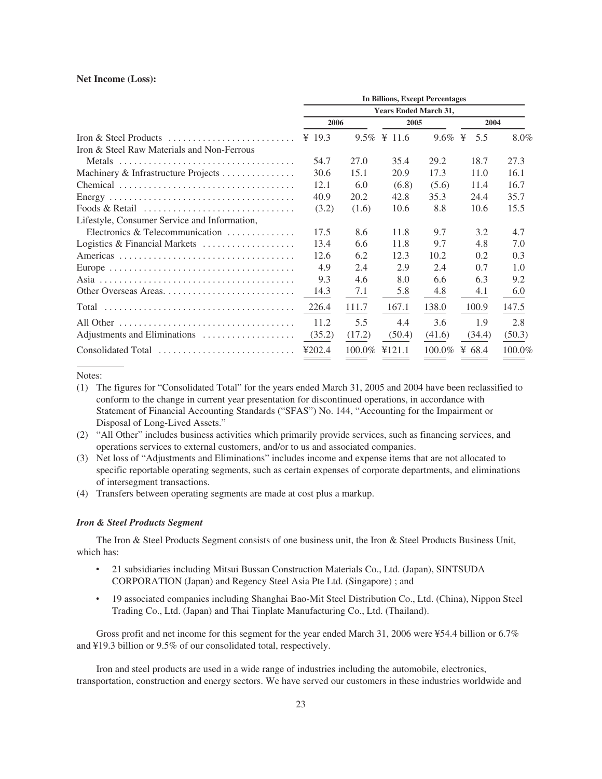#### **Net Income (Loss):**

|                                                        | <b>In Billions, Except Percentages</b><br><b>Years Ended March 31,</b> |        |                            |                              |        |         |  |
|--------------------------------------------------------|------------------------------------------------------------------------|--------|----------------------------|------------------------------|--------|---------|--|
|                                                        |                                                                        |        |                            |                              |        |         |  |
|                                                        | 2006                                                                   |        | 2005                       |                              | 2004   |         |  |
|                                                        | ¥ 19.3                                                                 |        | $9.5\% \text{ } \neq 11.6$ | $9.6\% \text{ } \frac{1}{2}$ | 5.5    | $8.0\%$ |  |
| Iron & Steel Raw Materials and Non-Ferrous             |                                                                        |        |                            |                              |        |         |  |
|                                                        | 54.7                                                                   | 27.0   | 35.4                       | 29.2                         | 18.7   | 27.3    |  |
| Machinery & Infrastructure Projects                    | 30.6                                                                   | 15.1   | 20.9                       | 17.3                         | 11.0   | 16.1    |  |
|                                                        | 12.1                                                                   | 6.0    | (6.8)                      | (5.6)                        | 11.4   | 16.7    |  |
|                                                        | 40.9                                                                   | 20.2   | 42.8                       | 35.3                         | 24.4   | 35.7    |  |
| Foods & Retail                                         | (3.2)                                                                  | (1.6)  | 10.6                       | 8.8                          | 10.6   | 15.5    |  |
| Lifestyle, Consumer Service and Information,           |                                                                        |        |                            |                              |        |         |  |
| Electronics & Telecommunication $\dots\dots\dots\dots$ | 17.5                                                                   | 8.6    | 11.8                       | 9.7                          | 3.2    | 4.7     |  |
| Logistics & Financial Markets                          | 13.4                                                                   | 6.6    | 11.8                       | 9.7                          | 4.8    | 7.0     |  |
|                                                        | 12.6                                                                   | 6.2    | 12.3                       | 10.2                         | 0.2    | 0.3     |  |
|                                                        | 4.9                                                                    | 2.4    | 2.9                        | 2.4                          | 0.7    | 1.0     |  |
|                                                        | 9.3                                                                    | 4.6    | 8.0                        | 6.6                          | 6.3    | 9.2     |  |
|                                                        | 14.3                                                                   | 7.1    | 5.8                        | 4.8                          | 4.1    | 6.0     |  |
| Total                                                  | 226.4                                                                  | 111.7  | 167.1                      | 138.0                        | 100.9  | 147.5   |  |
|                                                        | 11.2                                                                   | 5.5    | 4.4                        | 3.6                          | 1.9    | 2.8     |  |
| Adjustments and Eliminations                           | (35.2)                                                                 | (17.2) | (50.4)                     | (41.6)                       | (34.4) | (50.3)  |  |
| Consolidated Total                                     | ¥202.4                                                                 | 100.0% | 4121.1                     | 100.0%                       | ¥ 68.4 | 100.0%  |  |

#### Notes:

- (1) The figures for "Consolidated Total" for the years ended March 31, 2005 and 2004 have been reclassified to conform to the change in current year presentation for discontinued operations, in accordance with Statement of Financial Accounting Standards ("SFAS") No. 144, "Accounting for the Impairment or Disposal of Long-Lived Assets."
- (2) "All Other" includes business activities which primarily provide services, such as financing services, and operations services to external customers, and/or to us and associated companies.
- (3) Net loss of "Adjustments and Eliminations" includes income and expense items that are not allocated to specific reportable operating segments, such as certain expenses of corporate departments, and eliminations of intersegment transactions.
- (4) Transfers between operating segments are made at cost plus a markup.

#### *Iron & Steel Products Segment*

The Iron & Steel Products Segment consists of one business unit, the Iron & Steel Products Business Unit, which has:

- ‰ 21 subsidiaries including Mitsui Bussan Construction Materials Co., Ltd. (Japan), SINTSUDA CORPORATION (Japan) and Regency Steel Asia Pte Ltd. (Singapore) ; and
- ‰ 19 associated companies including Shanghai Bao-Mit Steel Distribution Co., Ltd. (China), Nippon Steel Trading Co., Ltd. (Japan) and Thai Tinplate Manufacturing Co., Ltd. (Thailand).

Gross profit and net income for this segment for the year ended March 31, 2006 were ¥54.4 billion or 6.7% and ¥19.3 billion or 9.5% of our consolidated total, respectively.

Iron and steel products are used in a wide range of industries including the automobile, electronics, transportation, construction and energy sectors. We have served our customers in these industries worldwide and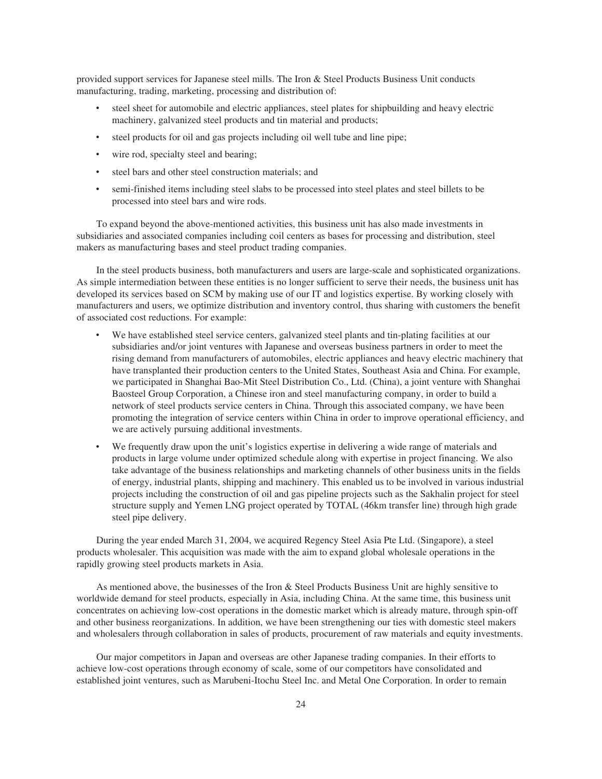provided support services for Japanese steel mills. The Iron & Steel Products Business Unit conducts manufacturing, trading, marketing, processing and distribution of:

- steel sheet for automobile and electric appliances, steel plates for shipbuilding and heavy electric machinery, galvanized steel products and tin material and products;
- steel products for oil and gas projects including oil well tube and line pipe;
- wire rod, specialty steel and bearing;
- steel bars and other steel construction materials; and
- semi-finished items including steel slabs to be processed into steel plates and steel billets to be processed into steel bars and wire rods.

To expand beyond the above-mentioned activities, this business unit has also made investments in subsidiaries and associated companies including coil centers as bases for processing and distribution, steel makers as manufacturing bases and steel product trading companies.

In the steel products business, both manufacturers and users are large-scale and sophisticated organizations. As simple intermediation between these entities is no longer sufficient to serve their needs, the business unit has developed its services based on SCM by making use of our IT and logistics expertise. By working closely with manufacturers and users, we optimize distribution and inventory control, thus sharing with customers the benefit of associated cost reductions. For example:

- We have established steel service centers, galvanized steel plants and tin-plating facilities at our subsidiaries and/or joint ventures with Japanese and overseas business partners in order to meet the rising demand from manufacturers of automobiles, electric appliances and heavy electric machinery that have transplanted their production centers to the United States, Southeast Asia and China. For example, we participated in Shanghai Bao-Mit Steel Distribution Co., Ltd. (China), a joint venture with Shanghai Baosteel Group Corporation, a Chinese iron and steel manufacturing company, in order to build a network of steel products service centers in China. Through this associated company, we have been promoting the integration of service centers within China in order to improve operational efficiency, and we are actively pursuing additional investments.
- We frequently draw upon the unit's logistics expertise in delivering a wide range of materials and products in large volume under optimized schedule along with expertise in project financing. We also take advantage of the business relationships and marketing channels of other business units in the fields of energy, industrial plants, shipping and machinery. This enabled us to be involved in various industrial projects including the construction of oil and gas pipeline projects such as the Sakhalin project for steel structure supply and Yemen LNG project operated by TOTAL (46km transfer line) through high grade steel pipe delivery.

During the year ended March 31, 2004, we acquired Regency Steel Asia Pte Ltd. (Singapore), a steel products wholesaler. This acquisition was made with the aim to expand global wholesale operations in the rapidly growing steel products markets in Asia.

As mentioned above, the businesses of the Iron & Steel Products Business Unit are highly sensitive to worldwide demand for steel products, especially in Asia, including China. At the same time, this business unit concentrates on achieving low-cost operations in the domestic market which is already mature, through spin-off and other business reorganizations. In addition, we have been strengthening our ties with domestic steel makers and wholesalers through collaboration in sales of products, procurement of raw materials and equity investments.

Our major competitors in Japan and overseas are other Japanese trading companies. In their efforts to achieve low-cost operations through economy of scale, some of our competitors have consolidated and established joint ventures, such as Marubeni-Itochu Steel Inc. and Metal One Corporation. In order to remain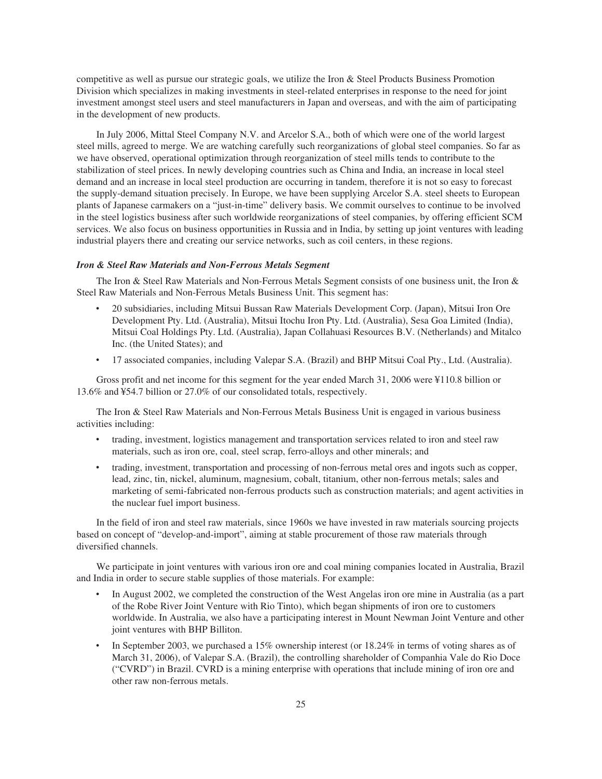competitive as well as pursue our strategic goals, we utilize the Iron & Steel Products Business Promotion Division which specializes in making investments in steel-related enterprises in response to the need for joint investment amongst steel users and steel manufacturers in Japan and overseas, and with the aim of participating in the development of new products.

In July 2006, Mittal Steel Company N.V. and Arcelor S.A., both of which were one of the world largest steel mills, agreed to merge. We are watching carefully such reorganizations of global steel companies. So far as we have observed, operational optimization through reorganization of steel mills tends to contribute to the stabilization of steel prices. In newly developing countries such as China and India, an increase in local steel demand and an increase in local steel production are occurring in tandem, therefore it is not so easy to forecast the supply-demand situation precisely. In Europe, we have been supplying Arcelor S.A. steel sheets to European plants of Japanese carmakers on a "just-in-time" delivery basis. We commit ourselves to continue to be involved in the steel logistics business after such worldwide reorganizations of steel companies, by offering efficient SCM services. We also focus on business opportunities in Russia and in India, by setting up joint ventures with leading industrial players there and creating our service networks, such as coil centers, in these regions.

## *Iron & Steel Raw Materials and Non-Ferrous Metals Segment*

The Iron & Steel Raw Materials and Non-Ferrous Metals Segment consists of one business unit, the Iron & Steel Raw Materials and Non-Ferrous Metals Business Unit. This segment has:

- ‰ 20 subsidiaries, including Mitsui Bussan Raw Materials Development Corp. (Japan), Mitsui Iron Ore Development Pty. Ltd. (Australia), Mitsui Itochu Iron Pty. Ltd. (Australia), Sesa Goa Limited (India), Mitsui Coal Holdings Pty. Ltd. (Australia), Japan Collahuasi Resources B.V. (Netherlands) and Mitalco Inc. (the United States); and
- ‰ 17 associated companies, including Valepar S.A. (Brazil) and BHP Mitsui Coal Pty., Ltd. (Australia).

Gross profit and net income for this segment for the year ended March 31, 2006 were ¥110.8 billion or 13.6% and ¥54.7 billion or 27.0% of our consolidated totals, respectively.

The Iron & Steel Raw Materials and Non-Ferrous Metals Business Unit is engaged in various business activities including:

- ‰ trading, investment, logistics management and transportation services related to iron and steel raw materials, such as iron ore, coal, steel scrap, ferro-alloys and other minerals; and
- ‰ trading, investment, transportation and processing of non-ferrous metal ores and ingots such as copper, lead, zinc, tin, nickel, aluminum, magnesium, cobalt, titanium, other non-ferrous metals; sales and marketing of semi-fabricated non-ferrous products such as construction materials; and agent activities in the nuclear fuel import business.

In the field of iron and steel raw materials, since 1960s we have invested in raw materials sourcing projects based on concept of "develop-and-import", aiming at stable procurement of those raw materials through diversified channels.

We participate in joint ventures with various iron ore and coal mining companies located in Australia, Brazil and India in order to secure stable supplies of those materials. For example:

- In August 2002, we completed the construction of the West Angelas iron ore mine in Australia (as a part of the Robe River Joint Venture with Rio Tinto), which began shipments of iron ore to customers worldwide. In Australia, we also have a participating interest in Mount Newman Joint Venture and other joint ventures with BHP Billiton.
- In September 2003, we purchased a 15% ownership interest (or 18.24% in terms of voting shares as of March 31, 2006), of Valepar S.A. (Brazil), the controlling shareholder of Companhia Vale do Rio Doce ("CVRD") in Brazil. CVRD is a mining enterprise with operations that include mining of iron ore and other raw non-ferrous metals.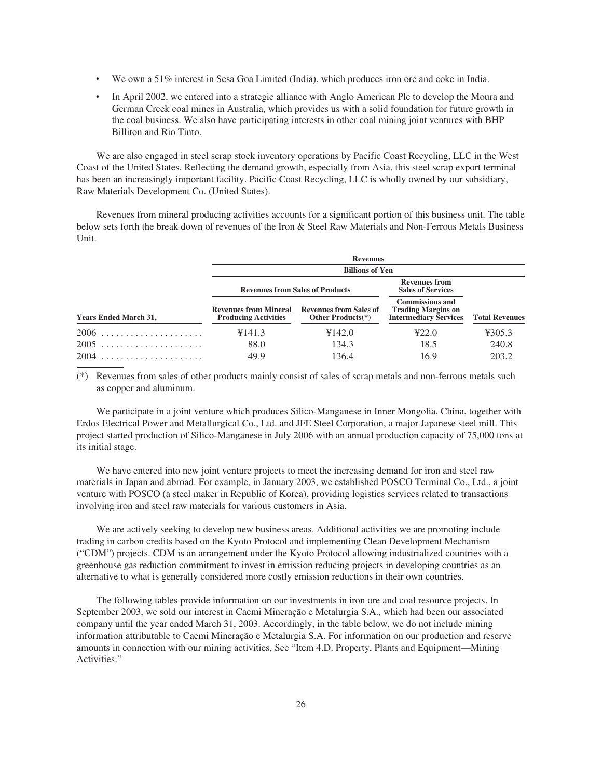- We own a 51% interest in Sesa Goa Limited (India), which produces iron ore and coke in India.
- In April 2002, we entered into a strategic alliance with Anglo American Plc to develop the Moura and German Creek coal mines in Australia, which provides us with a solid foundation for future growth in the coal business. We also have participating interests in other coal mining joint ventures with BHP Billiton and Rio Tinto.

We are also engaged in steel scrap stock inventory operations by Pacific Coast Recycling, LLC in the West Coast of the United States. Reflecting the demand growth, especially from Asia, this steel scrap export terminal has been an increasingly important facility. Pacific Coast Recycling, LLC is wholly owned by our subsidiary, Raw Materials Development Co. (United States).

Revenues from mineral producing activities accounts for a significant portion of this business unit. The table below sets forth the break down of revenues of the Iron & Steel Raw Materials and Non-Ferrous Metals Business Unit.

|                              | <b>Revenues</b>                                                                                                           |                                        |                                                                                     |                       |  |  |  |
|------------------------------|---------------------------------------------------------------------------------------------------------------------------|----------------------------------------|-------------------------------------------------------------------------------------|-----------------------|--|--|--|
|                              | <b>Billions of Yen</b>                                                                                                    |                                        |                                                                                     |                       |  |  |  |
|                              |                                                                                                                           | <b>Revenues from Sales of Products</b> | <b>Revenues from</b><br><b>Sales of Services</b>                                    |                       |  |  |  |
| <b>Years Ended March 31,</b> | <b>Revenues from Mineral</b><br><b>Revenues from Sales of</b><br><b>Producing Activities</b><br><b>Other Products</b> (*) |                                        | <b>Commissions and</b><br><b>Trading Margins on</b><br><b>Intermediary Services</b> | <b>Total Revenues</b> |  |  |  |
| 2006                         | ¥141.3                                                                                                                    | ¥142.0                                 | 422.0                                                                               | 4305.3                |  |  |  |
| $2005$                       | 88.0                                                                                                                      | 134.3                                  | 18.5                                                                                | 240.8                 |  |  |  |
|                              | 49.9                                                                                                                      | 136.4                                  | 16.9                                                                                | 203.2                 |  |  |  |

(\*) Revenues from sales of other products mainly consist of sales of scrap metals and non-ferrous metals such as copper and aluminum.

We participate in a joint venture which produces Silico-Manganese in Inner Mongolia, China, together with Erdos Electrical Power and Metallurgical Co., Ltd. and JFE Steel Corporation, a major Japanese steel mill. This project started production of Silico-Manganese in July 2006 with an annual production capacity of 75,000 tons at its initial stage.

We have entered into new joint venture projects to meet the increasing demand for iron and steel raw materials in Japan and abroad. For example, in January 2003, we established POSCO Terminal Co., Ltd., a joint venture with POSCO (a steel maker in Republic of Korea), providing logistics services related to transactions involving iron and steel raw materials for various customers in Asia.

We are actively seeking to develop new business areas. Additional activities we are promoting include trading in carbon credits based on the Kyoto Protocol and implementing Clean Development Mechanism ("CDM") projects. CDM is an arrangement under the Kyoto Protocol allowing industrialized countries with a greenhouse gas reduction commitment to invest in emission reducing projects in developing countries as an alternative to what is generally considered more costly emission reductions in their own countries.

The following tables provide information on our investments in iron ore and coal resource projects. In September 2003, we sold our interest in Caemi Mineração e Metalurgia S.A., which had been our associated company until the year ended March 31, 2003. Accordingly, in the table below, we do not include mining information attributable to Caemi Mineração e Metalurgia S.A. For information on our production and reserve amounts in connection with our mining activities, See "Item 4.D. Property, Plants and Equipment—Mining Activities."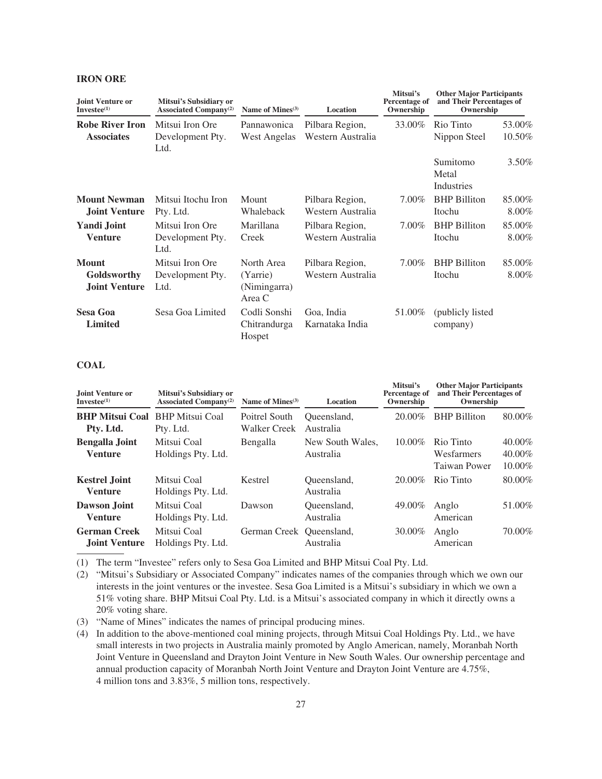## **IRON ORE**

| Joint Venture or<br>Investee <sup>(1)</sup>         | Mitsui's Subsidiary or<br><b>Associated Company</b> <sup>(2)</sup><br>Mitsui Iron Ore<br>Development Pty. | Name of Mines <sup>(3)</sup>                     | Location                             | Mitsui's<br>Percentage of<br>Ownership | <b>Other Major Participants</b><br>and Their Percentages of<br>Ownership |                    |
|-----------------------------------------------------|-----------------------------------------------------------------------------------------------------------|--------------------------------------------------|--------------------------------------|----------------------------------------|--------------------------------------------------------------------------|--------------------|
| <b>Robe River Iron</b><br><b>Associates</b>         |                                                                                                           | Pannawonica<br>West Angelas                      | Pilbara Region,<br>Western Australia | 33.00%                                 | Rio Tinto<br>Nippon Steel                                                | 53.00%<br>10.50%   |
|                                                     | Ltd.                                                                                                      |                                                  |                                      |                                        | Sumitomo<br>Metal<br>Industries                                          | 3.50%              |
| <b>Mount Newman</b><br><b>Joint Venture</b>         | Mitsui Itochu Iron<br>Pty. Ltd.                                                                           | Mount<br>Whaleback                               | Pilbara Region,<br>Western Australia | 7.00%                                  | <b>BHP</b> Billiton<br>Itochu                                            | 85.00%<br>8.00%    |
| <b>Yandi Joint</b><br><b>Venture</b>                | Mitsui Iron Ore<br>Development Pty.<br>Ltd.                                                               | Marillana<br>Creek                               | Pilbara Region,<br>Western Australia | 7.00%                                  | <b>BHP</b> Billiton<br>Itochu                                            | 85.00%<br>8.00%    |
| <b>Mount</b><br>Goldsworthy<br><b>Joint Venture</b> | Mitsui Iron Ore<br>Development Pty.<br>Ltd.                                                               | North Area<br>(Yarrie)<br>(Nimingarra)<br>Area C | Pilbara Region,<br>Western Australia | $7.00\%$                               | <b>BHP</b> Billiton<br>Itochu                                            | 85.00%<br>$8.00\%$ |
| <b>Sesa Goa</b><br><b>Limited</b>                   | Sesa Goa Limited                                                                                          | Codli Sonshi<br>Chitrandurga<br>Hospet           | Goa, India<br>Karnataka India        | 51.00%                                 | (publicly listed<br>company)                                             |                    |

#### **COAL**

| Joint Venture or<br>$Investee(1)$           | Mitsui's Subsidiary or<br><b>Associated Company</b> <sup>(2)</sup> | Name of Mines $(3)$<br>Poitrel South<br><b>Walker Creek</b> | Location                      | Mitsui's<br>Percentage of<br>Ownership | <b>Other Major Participants</b><br>and Their Percentages of<br>Ownership |                            |
|---------------------------------------------|--------------------------------------------------------------------|-------------------------------------------------------------|-------------------------------|----------------------------------------|--------------------------------------------------------------------------|----------------------------|
| <b>BHP Mitsui Coal</b><br>Pty. Ltd.         | <b>BHP</b> Mitsui Coal<br>Pty. Ltd.                                |                                                             | Oueensland.<br>Australia      | 20.00%                                 | <b>BHP</b> Billiton                                                      | 80.00%                     |
| <b>Bengalla Joint</b><br><b>Venture</b>     | Mitsui Coal<br>Holdings Pty. Ltd.                                  | Bengalla                                                    | New South Wales,<br>Australia | $10.00\%$                              | Rio Tinto<br>Wesfarmers<br>Taiwan Power                                  | 40.00%<br>40.00%<br>10.00% |
| <b>Kestrel Joint</b><br><b>Venture</b>      | Mitsui Coal<br>Holdings Pty. Ltd.                                  | Kestrel                                                     | Oueensland,<br>Australia      | $20.00\%$                              | Rio Tinto                                                                | 80.00%                     |
| Dawson Joint<br><b>Venture</b>              | Mitsui Coal<br>Holdings Pty. Ltd.                                  | Dawson                                                      | Oueensland,<br>Australia      | 49.00%                                 | Anglo<br>American                                                        | 51.00%                     |
| <b>German Creek</b><br><b>Joint Venture</b> | Mitsui Coal<br>Holdings Pty. Ltd.                                  | German Creek Queensland,                                    | Australia                     | 30.00%                                 | Anglo<br>American                                                        | 70.00%                     |

(1) The term "Investee" refers only to Sesa Goa Limited and BHP Mitsui Coal Pty. Ltd.

(2) "Mitsui's Subsidiary or Associated Company" indicates names of the companies through which we own our interests in the joint ventures or the investee. Sesa Goa Limited is a Mitsui's subsidiary in which we own a 51% voting share. BHP Mitsui Coal Pty. Ltd. is a Mitsui's associated company in which it directly owns a 20% voting share.

(3) "Name of Mines" indicates the names of principal producing mines.

(4) In addition to the above-mentioned coal mining projects, through Mitsui Coal Holdings Pty. Ltd., we have small interests in two projects in Australia mainly promoted by Anglo American, namely, Moranbah North Joint Venture in Queensland and Drayton Joint Venture in New South Wales. Our ownership percentage and annual production capacity of Moranbah North Joint Venture and Drayton Joint Venture are 4.75%, 4 million tons and 3.83%, 5 million tons, respectively.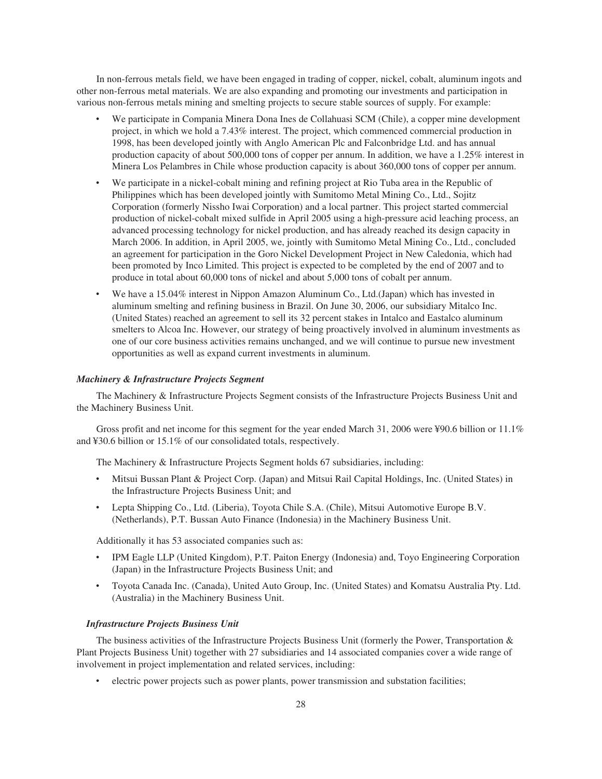In non-ferrous metals field, we have been engaged in trading of copper, nickel, cobalt, aluminum ingots and other non-ferrous metal materials. We are also expanding and promoting our investments and participation in various non-ferrous metals mining and smelting projects to secure stable sources of supply. For example:

- We participate in Compania Minera Dona Ines de Collahuasi SCM (Chile), a copper mine development project, in which we hold a 7.43% interest. The project, which commenced commercial production in 1998, has been developed jointly with Anglo American Plc and Falconbridge Ltd. and has annual production capacity of about 500,000 tons of copper per annum. In addition, we have a 1.25% interest in Minera Los Pelambres in Chile whose production capacity is about 360,000 tons of copper per annum.
- We participate in a nickel-cobalt mining and refining project at Rio Tuba area in the Republic of Philippines which has been developed jointly with Sumitomo Metal Mining Co., Ltd., Sojitz Corporation (formerly Nissho Iwai Corporation) and a local partner. This project started commercial production of nickel-cobalt mixed sulfide in April 2005 using a high-pressure acid leaching process, an advanced processing technology for nickel production, and has already reached its design capacity in March 2006. In addition, in April 2005, we, jointly with Sumitomo Metal Mining Co., Ltd., concluded an agreement for participation in the Goro Nickel Development Project in New Caledonia, which had been promoted by Inco Limited. This project is expected to be completed by the end of 2007 and to produce in total about 60,000 tons of nickel and about 5,000 tons of cobalt per annum.
- We have a 15.04% interest in Nippon Amazon Aluminum Co., Ltd.(Japan) which has invested in aluminum smelting and refining business in Brazil. On June 30, 2006, our subsidiary Mitalco Inc. (United States) reached an agreement to sell its 32 percent stakes in Intalco and Eastalco aluminum smelters to Alcoa Inc. However, our strategy of being proactively involved in aluminum investments as one of our core business activities remains unchanged, and we will continue to pursue new investment opportunities as well as expand current investments in aluminum.

#### *Machinery & Infrastructure Projects Segment*

The Machinery & Infrastructure Projects Segment consists of the Infrastructure Projects Business Unit and the Machinery Business Unit.

Gross profit and net income for this segment for the year ended March 31, 2006 were ¥90.6 billion or 11.1% and ¥30.6 billion or 15.1% of our consolidated totals, respectively.

The Machinery & Infrastructure Projects Segment holds 67 subsidiaries, including:

- ‰ Mitsui Bussan Plant & Project Corp. (Japan) and Mitsui Rail Capital Holdings, Inc. (United States) in the Infrastructure Projects Business Unit; and
- ‰ Lepta Shipping Co., Ltd. (Liberia), Toyota Chile S.A. (Chile), Mitsui Automotive Europe B.V. (Netherlands), P.T. Bussan Auto Finance (Indonesia) in the Machinery Business Unit.

Additionally it has 53 associated companies such as:

- IPM Eagle LLP (United Kingdom), P.T. Paiton Energy (Indonesia) and, Toyo Engineering Corporation (Japan) in the Infrastructure Projects Business Unit; and
- ‰ Toyota Canada Inc. (Canada), United Auto Group, Inc. (United States) and Komatsu Australia Pty. Ltd. (Australia) in the Machinery Business Unit.

#### *Infrastructure Projects Business Unit*

The business activities of the Infrastructure Projects Business Unit (formerly the Power, Transportation & Plant Projects Business Unit) together with 27 subsidiaries and 14 associated companies cover a wide range of involvement in project implementation and related services, including:

electric power projects such as power plants, power transmission and substation facilities;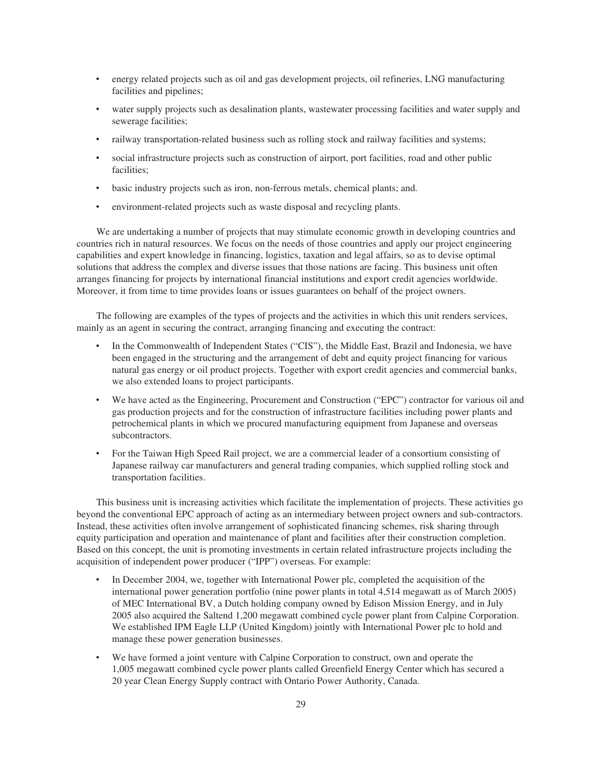- ‰ energy related projects such as oil and gas development projects, oil refineries, LNG manufacturing facilities and pipelines;
- water supply projects such as desalination plants, wastewater processing facilities and water supply and sewerage facilities;
- railway transportation-related business such as rolling stock and railway facilities and systems;
- social infrastructure projects such as construction of airport, port facilities, road and other public facilities;
- basic industry projects such as iron, non-ferrous metals, chemical plants; and.
- environment-related projects such as waste disposal and recycling plants.

We are undertaking a number of projects that may stimulate economic growth in developing countries and countries rich in natural resources. We focus on the needs of those countries and apply our project engineering capabilities and expert knowledge in financing, logistics, taxation and legal affairs, so as to devise optimal solutions that address the complex and diverse issues that those nations are facing. This business unit often arranges financing for projects by international financial institutions and export credit agencies worldwide. Moreover, it from time to time provides loans or issues guarantees on behalf of the project owners.

The following are examples of the types of projects and the activities in which this unit renders services, mainly as an agent in securing the contract, arranging financing and executing the contract:

- In the Commonwealth of Independent States ("CIS"), the Middle East, Brazil and Indonesia, we have been engaged in the structuring and the arrangement of debt and equity project financing for various natural gas energy or oil product projects. Together with export credit agencies and commercial banks, we also extended loans to project participants.
- We have acted as the Engineering, Procurement and Construction ("EPC") contractor for various oil and gas production projects and for the construction of infrastructure facilities including power plants and petrochemical plants in which we procured manufacturing equipment from Japanese and overseas subcontractors.
- For the Taiwan High Speed Rail project, we are a commercial leader of a consortium consisting of Japanese railway car manufacturers and general trading companies, which supplied rolling stock and transportation facilities.

This business unit is increasing activities which facilitate the implementation of projects. These activities go beyond the conventional EPC approach of acting as an intermediary between project owners and sub-contractors. Instead, these activities often involve arrangement of sophisticated financing schemes, risk sharing through equity participation and operation and maintenance of plant and facilities after their construction completion. Based on this concept, the unit is promoting investments in certain related infrastructure projects including the acquisition of independent power producer ("IPP") overseas. For example:

- In December 2004, we, together with International Power plc, completed the acquisition of the international power generation portfolio (nine power plants in total 4,514 megawatt as of March 2005) of MEC International BV, a Dutch holding company owned by Edison Mission Energy, and in July 2005 also acquired the Saltend 1,200 megawatt combined cycle power plant from Calpine Corporation. We established IPM Eagle LLP (United Kingdom) jointly with International Power plc to hold and manage these power generation businesses.
- We have formed a joint venture with Calpine Corporation to construct, own and operate the 1,005 megawatt combined cycle power plants called Greenfield Energy Center which has secured a 20 year Clean Energy Supply contract with Ontario Power Authority, Canada.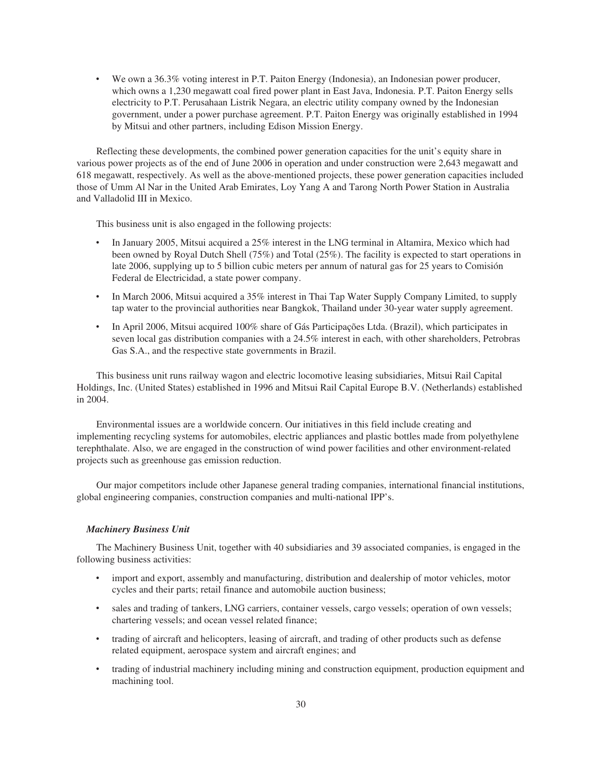We own a 36.3% voting interest in P.T. Paiton Energy (Indonesia), an Indonesian power producer, which owns a 1,230 megawatt coal fired power plant in East Java, Indonesia. P.T. Paiton Energy sells electricity to P.T. Perusahaan Listrik Negara, an electric utility company owned by the Indonesian government, under a power purchase agreement. P.T. Paiton Energy was originally established in 1994 by Mitsui and other partners, including Edison Mission Energy.

Reflecting these developments, the combined power generation capacities for the unit's equity share in various power projects as of the end of June 2006 in operation and under construction were 2,643 megawatt and 618 megawatt, respectively. As well as the above-mentioned projects, these power generation capacities included those of Umm Al Nar in the United Arab Emirates, Loy Yang A and Tarong North Power Station in Australia and Valladolid III in Mexico.

This business unit is also engaged in the following projects:

- In January 2005, Mitsui acquired a 25% interest in the LNG terminal in Altamira, Mexico which had been owned by Royal Dutch Shell (75%) and Total (25%). The facility is expected to start operations in late 2006, supplying up to 5 billion cubic meters per annum of natural gas for 25 years to Comisión Federal de Electricidad, a state power company.
- In March 2006, Mitsui acquired a 35% interest in Thai Tap Water Supply Company Limited, to supply tap water to the provincial authorities near Bangkok, Thailand under 30-year water supply agreement.
- In April 2006, Mitsui acquired 100% share of Gás Participações Ltda. (Brazil), which participates in seven local gas distribution companies with a 24.5% interest in each, with other shareholders, Petrobras Gas S.A., and the respective state governments in Brazil.

This business unit runs railway wagon and electric locomotive leasing subsidiaries, Mitsui Rail Capital Holdings, Inc. (United States) established in 1996 and Mitsui Rail Capital Europe B.V. (Netherlands) established in 2004.

Environmental issues are a worldwide concern. Our initiatives in this field include creating and implementing recycling systems for automobiles, electric appliances and plastic bottles made from polyethylene terephthalate. Also, we are engaged in the construction of wind power facilities and other environment-related projects such as greenhouse gas emission reduction.

Our major competitors include other Japanese general trading companies, international financial institutions, global engineering companies, construction companies and multi-national IPP's.

#### *Machinery Business Unit*

The Machinery Business Unit, together with 40 subsidiaries and 39 associated companies, is engaged in the following business activities:

- import and export, assembly and manufacturing, distribution and dealership of motor vehicles, motor cycles and their parts; retail finance and automobile auction business;
- sales and trading of tankers, LNG carriers, container vessels, cargo vessels; operation of own vessels; chartering vessels; and ocean vessel related finance;
- trading of aircraft and helicopters, leasing of aircraft, and trading of other products such as defense related equipment, aerospace system and aircraft engines; and
- trading of industrial machinery including mining and construction equipment, production equipment and machining tool.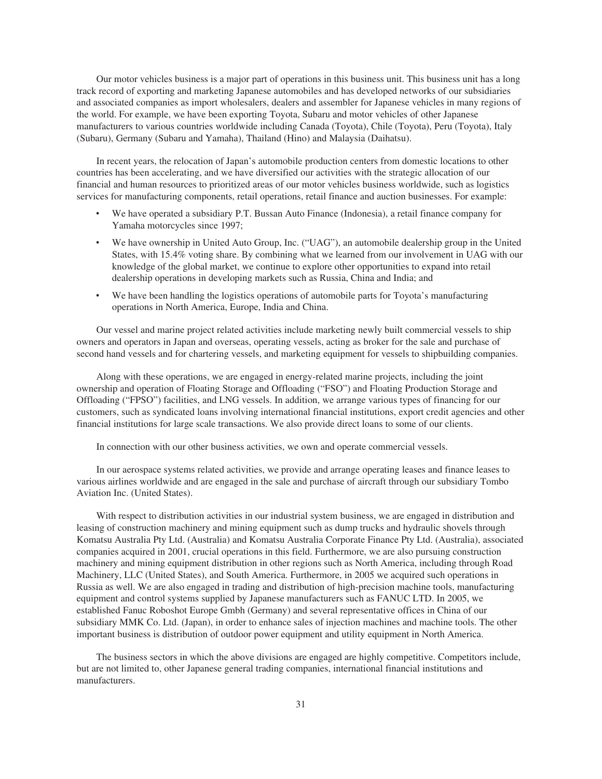Our motor vehicles business is a major part of operations in this business unit. This business unit has a long track record of exporting and marketing Japanese automobiles and has developed networks of our subsidiaries and associated companies as import wholesalers, dealers and assembler for Japanese vehicles in many regions of the world. For example, we have been exporting Toyota, Subaru and motor vehicles of other Japanese manufacturers to various countries worldwide including Canada (Toyota), Chile (Toyota), Peru (Toyota), Italy (Subaru), Germany (Subaru and Yamaha), Thailand (Hino) and Malaysia (Daihatsu).

In recent years, the relocation of Japan's automobile production centers from domestic locations to other countries has been accelerating, and we have diversified our activities with the strategic allocation of our financial and human resources to prioritized areas of our motor vehicles business worldwide, such as logistics services for manufacturing components, retail operations, retail finance and auction businesses. For example:

- We have operated a subsidiary P.T. Bussan Auto Finance (Indonesia), a retail finance company for Yamaha motorcycles since 1997;
- We have ownership in United Auto Group, Inc. ("UAG"), an automobile dealership group in the United States, with 15.4% voting share. By combining what we learned from our involvement in UAG with our knowledge of the global market, we continue to explore other opportunities to expand into retail dealership operations in developing markets such as Russia, China and India; and
- We have been handling the logistics operations of automobile parts for Toyota's manufacturing operations in North America, Europe, India and China.

Our vessel and marine project related activities include marketing newly built commercial vessels to ship owners and operators in Japan and overseas, operating vessels, acting as broker for the sale and purchase of second hand vessels and for chartering vessels, and marketing equipment for vessels to shipbuilding companies.

Along with these operations, we are engaged in energy-related marine projects, including the joint ownership and operation of Floating Storage and Offloading ("FSO") and Floating Production Storage and Offloading ("FPSO") facilities, and LNG vessels. In addition, we arrange various types of financing for our customers, such as syndicated loans involving international financial institutions, export credit agencies and other financial institutions for large scale transactions. We also provide direct loans to some of our clients.

In connection with our other business activities, we own and operate commercial vessels.

In our aerospace systems related activities, we provide and arrange operating leases and finance leases to various airlines worldwide and are engaged in the sale and purchase of aircraft through our subsidiary Tombo Aviation Inc. (United States).

With respect to distribution activities in our industrial system business, we are engaged in distribution and leasing of construction machinery and mining equipment such as dump trucks and hydraulic shovels through Komatsu Australia Pty Ltd. (Australia) and Komatsu Australia Corporate Finance Pty Ltd. (Australia), associated companies acquired in 2001, crucial operations in this field. Furthermore, we are also pursuing construction machinery and mining equipment distribution in other regions such as North America, including through Road Machinery, LLC (United States), and South America. Furthermore, in 2005 we acquired such operations in Russia as well. We are also engaged in trading and distribution of high-precision machine tools, manufacturing equipment and control systems supplied by Japanese manufacturers such as FANUC LTD. In 2005, we established Fanuc Roboshot Europe Gmbh (Germany) and several representative offices in China of our subsidiary MMK Co. Ltd. (Japan), in order to enhance sales of injection machines and machine tools. The other important business is distribution of outdoor power equipment and utility equipment in North America.

The business sectors in which the above divisions are engaged are highly competitive. Competitors include, but are not limited to, other Japanese general trading companies, international financial institutions and manufacturers.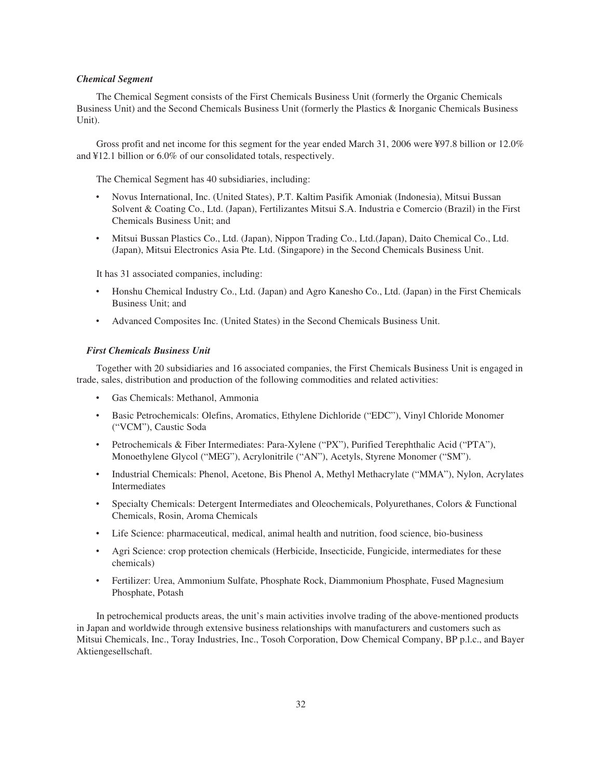#### *Chemical Segment*

The Chemical Segment consists of the First Chemicals Business Unit (formerly the Organic Chemicals Business Unit) and the Second Chemicals Business Unit (formerly the Plastics & Inorganic Chemicals Business Unit).

Gross profit and net income for this segment for the year ended March 31, 2006 were ¥97.8 billion or 12.0% and ¥12.1 billion or 6.0% of our consolidated totals, respectively.

The Chemical Segment has 40 subsidiaries, including:

- ‰ Novus International, Inc. (United States), P.T. Kaltim Pasifik Amoniak (Indonesia), Mitsui Bussan Solvent & Coating Co., Ltd. (Japan), Fertilizantes Mitsui S.A. Industria e Comercio (Brazil) in the First Chemicals Business Unit; and
- ‰ Mitsui Bussan Plastics Co., Ltd. (Japan), Nippon Trading Co., Ltd.(Japan), Daito Chemical Co., Ltd. (Japan), Mitsui Electronics Asia Pte. Ltd. (Singapore) in the Second Chemicals Business Unit.

It has 31 associated companies, including:

- ‰ Honshu Chemical Industry Co., Ltd. (Japan) and Agro Kanesho Co., Ltd. (Japan) in the First Chemicals Business Unit; and
- ‰ Advanced Composites Inc. (United States) in the Second Chemicals Business Unit.

#### *First Chemicals Business Unit*

Together with 20 subsidiaries and 16 associated companies, the First Chemicals Business Unit is engaged in trade, sales, distribution and production of the following commodities and related activities:

- ‰ Gas Chemicals: Methanol, Ammonia
- ‰ Basic Petrochemicals: Olefins, Aromatics, Ethylene Dichloride ("EDC"), Vinyl Chloride Monomer ("VCM"), Caustic Soda
- Petrochemicals & Fiber Intermediates: Para-Xylene ("PX"), Purified Terephthalic Acid ("PTA"), Monoethylene Glycol ("MEG"), Acrylonitrile ("AN"), Acetyls, Styrene Monomer ("SM").
- ‰ Industrial Chemicals: Phenol, Acetone, Bis Phenol A, Methyl Methacrylate ("MMA"), Nylon, Acrylates Intermediates
- Specialty Chemicals: Detergent Intermediates and Oleochemicals, Polyurethanes, Colors & Functional Chemicals, Rosin, Aroma Chemicals
- Life Science: pharmaceutical, medical, animal health and nutrition, food science, bio-business
- Agri Science: crop protection chemicals (Herbicide, Insecticide, Fungicide, intermediates for these chemicals)
- ‰ Fertilizer: Urea, Ammonium Sulfate, Phosphate Rock, Diammonium Phosphate, Fused Magnesium Phosphate, Potash

In petrochemical products areas, the unit's main activities involve trading of the above-mentioned products in Japan and worldwide through extensive business relationships with manufacturers and customers such as Mitsui Chemicals, Inc., Toray Industries, Inc., Tosoh Corporation, Dow Chemical Company, BP p.l.c., and Bayer Aktiengesellschaft.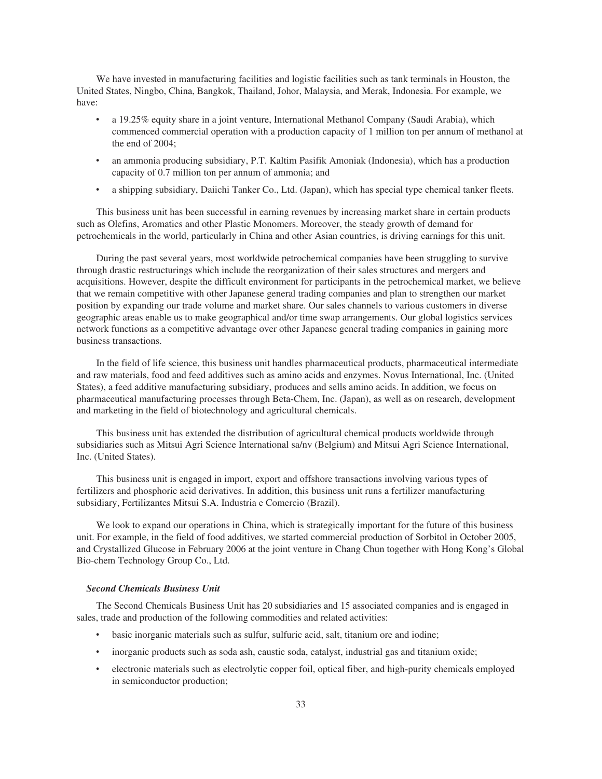We have invested in manufacturing facilities and logistic facilities such as tank terminals in Houston, the United States, Ningbo, China, Bangkok, Thailand, Johor, Malaysia, and Merak, Indonesia. For example, we have:

- ‰ a 19.25% equity share in a joint venture, International Methanol Company (Saudi Arabia), which commenced commercial operation with a production capacity of 1 million ton per annum of methanol at the end of 2004;
- ‰ an ammonia producing subsidiary, P.T. Kaltim Pasifik Amoniak (Indonesia), which has a production capacity of 0.7 million ton per annum of ammonia; and
- a shipping subsidiary, Daiichi Tanker Co., Ltd. (Japan), which has special type chemical tanker fleets.

This business unit has been successful in earning revenues by increasing market share in certain products such as Olefins, Aromatics and other Plastic Monomers. Moreover, the steady growth of demand for petrochemicals in the world, particularly in China and other Asian countries, is driving earnings for this unit.

During the past several years, most worldwide petrochemical companies have been struggling to survive through drastic restructurings which include the reorganization of their sales structures and mergers and acquisitions. However, despite the difficult environment for participants in the petrochemical market, we believe that we remain competitive with other Japanese general trading companies and plan to strengthen our market position by expanding our trade volume and market share. Our sales channels to various customers in diverse geographic areas enable us to make geographical and/or time swap arrangements. Our global logistics services network functions as a competitive advantage over other Japanese general trading companies in gaining more business transactions.

In the field of life science, this business unit handles pharmaceutical products, pharmaceutical intermediate and raw materials, food and feed additives such as amino acids and enzymes. Novus International, Inc. (United States), a feed additive manufacturing subsidiary, produces and sells amino acids. In addition, we focus on pharmaceutical manufacturing processes through Beta-Chem, Inc. (Japan), as well as on research, development and marketing in the field of biotechnology and agricultural chemicals.

This business unit has extended the distribution of agricultural chemical products worldwide through subsidiaries such as Mitsui Agri Science International sa/nv (Belgium) and Mitsui Agri Science International, Inc. (United States).

This business unit is engaged in import, export and offshore transactions involving various types of fertilizers and phosphoric acid derivatives. In addition, this business unit runs a fertilizer manufacturing subsidiary, Fertilizantes Mitsui S.A. Industria e Comercio (Brazil).

We look to expand our operations in China, which is strategically important for the future of this business unit. For example, in the field of food additives, we started commercial production of Sorbitol in October 2005, and Crystallized Glucose in February 2006 at the joint venture in Chang Chun together with Hong Kong's Global Bio-chem Technology Group Co., Ltd.

#### *Second Chemicals Business Unit*

The Second Chemicals Business Unit has 20 subsidiaries and 15 associated companies and is engaged in sales, trade and production of the following commodities and related activities:

- ‰ basic inorganic materials such as sulfur, sulfuric acid, salt, titanium ore and iodine;
- inorganic products such as soda ash, caustic soda, catalyst, industrial gas and titanium oxide;
- electronic materials such as electrolytic copper foil, optical fiber, and high-purity chemicals employed in semiconductor production;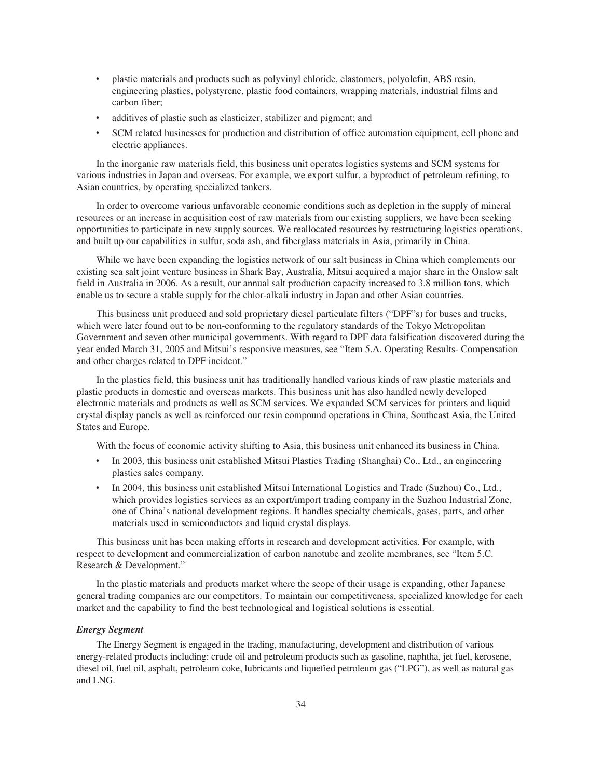- ‰ plastic materials and products such as polyvinyl chloride, elastomers, polyolefin, ABS resin, engineering plastics, polystyrene, plastic food containers, wrapping materials, industrial films and carbon fiber;
- additives of plastic such as elasticizer, stabilizer and pigment; and
- SCM related businesses for production and distribution of office automation equipment, cell phone and electric appliances.

In the inorganic raw materials field, this business unit operates logistics systems and SCM systems for various industries in Japan and overseas. For example, we export sulfur, a byproduct of petroleum refining, to Asian countries, by operating specialized tankers.

In order to overcome various unfavorable economic conditions such as depletion in the supply of mineral resources or an increase in acquisition cost of raw materials from our existing suppliers, we have been seeking opportunities to participate in new supply sources. We reallocated resources by restructuring logistics operations, and built up our capabilities in sulfur, soda ash, and fiberglass materials in Asia, primarily in China.

While we have been expanding the logistics network of our salt business in China which complements our existing sea salt joint venture business in Shark Bay, Australia, Mitsui acquired a major share in the Onslow salt field in Australia in 2006. As a result, our annual salt production capacity increased to 3.8 million tons, which enable us to secure a stable supply for the chlor-alkali industry in Japan and other Asian countries.

This business unit produced and sold proprietary diesel particulate filters ("DPF"s) for buses and trucks, which were later found out to be non-conforming to the regulatory standards of the Tokyo Metropolitan Government and seven other municipal governments. With regard to DPF data falsification discovered during the year ended March 31, 2005 and Mitsui's responsive measures, see "Item 5.A. Operating Results- Compensation and other charges related to DPF incident."

In the plastics field, this business unit has traditionally handled various kinds of raw plastic materials and plastic products in domestic and overseas markets. This business unit has also handled newly developed electronic materials and products as well as SCM services. We expanded SCM services for printers and liquid crystal display panels as well as reinforced our resin compound operations in China, Southeast Asia, the United States and Europe.

With the focus of economic activity shifting to Asia, this business unit enhanced its business in China.

- ‰ In 2003, this business unit established Mitsui Plastics Trading (Shanghai) Co., Ltd., an engineering plastics sales company.
- ‰ In 2004, this business unit established Mitsui International Logistics and Trade (Suzhou) Co., Ltd., which provides logistics services as an export/import trading company in the Suzhou Industrial Zone, one of China's national development regions. It handles specialty chemicals, gases, parts, and other materials used in semiconductors and liquid crystal displays.

This business unit has been making efforts in research and development activities. For example, with respect to development and commercialization of carbon nanotube and zeolite membranes, see "Item 5.C. Research & Development."

In the plastic materials and products market where the scope of their usage is expanding, other Japanese general trading companies are our competitors. To maintain our competitiveness, specialized knowledge for each market and the capability to find the best technological and logistical solutions is essential.

## *Energy Segment*

The Energy Segment is engaged in the trading, manufacturing, development and distribution of various energy-related products including: crude oil and petroleum products such as gasoline, naphtha, jet fuel, kerosene, diesel oil, fuel oil, asphalt, petroleum coke, lubricants and liquefied petroleum gas ("LPG"), as well as natural gas and LNG.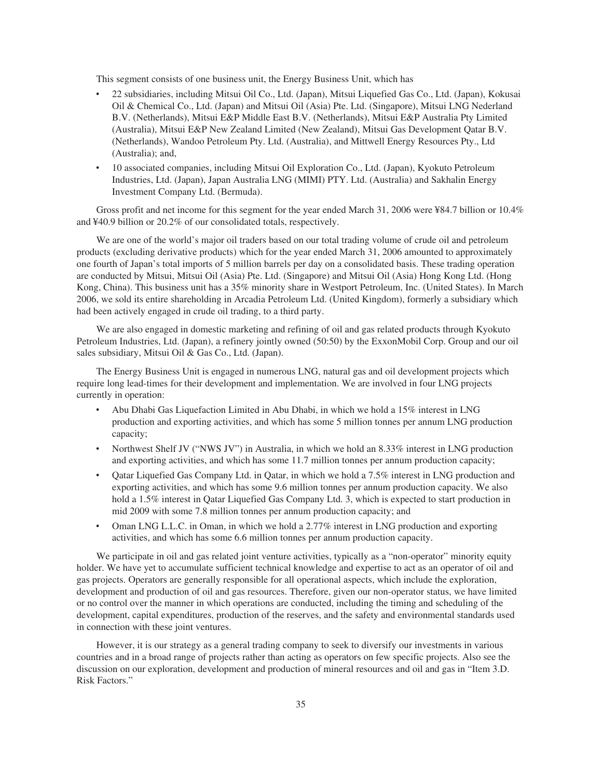This segment consists of one business unit, the Energy Business Unit, which has

- ‰ 22 subsidiaries, including Mitsui Oil Co., Ltd. (Japan), Mitsui Liquefied Gas Co., Ltd. (Japan), Kokusai Oil & Chemical Co., Ltd. (Japan) and Mitsui Oil (Asia) Pte. Ltd. (Singapore), Mitsui LNG Nederland B.V. (Netherlands), Mitsui E&P Middle East B.V. (Netherlands), Mitsui E&P Australia Pty Limited (Australia), Mitsui E&P New Zealand Limited (New Zealand), Mitsui Gas Development Qatar B.V. (Netherlands), Wandoo Petroleum Pty. Ltd. (Australia), and Mittwell Energy Resources Pty., Ltd (Australia); and,
- ‰ 10 associated companies, including Mitsui Oil Exploration Co., Ltd. (Japan), Kyokuto Petroleum Industries, Ltd. (Japan), Japan Australia LNG (MIMI) PTY. Ltd. (Australia) and Sakhalin Energy Investment Company Ltd. (Bermuda).

Gross profit and net income for this segment for the year ended March 31, 2006 were ¥84.7 billion or 10.4% and ¥40.9 billion or 20.2% of our consolidated totals, respectively.

We are one of the world's major oil traders based on our total trading volume of crude oil and petroleum products (excluding derivative products) which for the year ended March 31, 2006 amounted to approximately one fourth of Japan's total imports of 5 million barrels per day on a consolidated basis. These trading operation are conducted by Mitsui, Mitsui Oil (Asia) Pte. Ltd. (Singapore) and Mitsui Oil (Asia) Hong Kong Ltd. (Hong Kong, China). This business unit has a 35% minority share in Westport Petroleum, Inc. (United States). In March 2006, we sold its entire shareholding in Arcadia Petroleum Ltd. (United Kingdom), formerly a subsidiary which had been actively engaged in crude oil trading, to a third party.

We are also engaged in domestic marketing and refining of oil and gas related products through Kyokuto Petroleum Industries, Ltd. (Japan), a refinery jointly owned (50:50) by the ExxonMobil Corp. Group and our oil sales subsidiary, Mitsui Oil & Gas Co., Ltd. (Japan).

The Energy Business Unit is engaged in numerous LNG, natural gas and oil development projects which require long lead-times for their development and implementation. We are involved in four LNG projects currently in operation:

- ‰ Abu Dhabi Gas Liquefaction Limited in Abu Dhabi, in which we hold a 15% interest in LNG production and exporting activities, and which has some 5 million tonnes per annum LNG production capacity;
- ‰ Northwest Shelf JV ("NWS JV") in Australia, in which we hold an 8.33% interest in LNG production and exporting activities, and which has some 11.7 million tonnes per annum production capacity;
- Qatar Liquefied Gas Company Ltd. in Qatar, in which we hold a 7.5% interest in LNG production and exporting activities, and which has some 9.6 million tonnes per annum production capacity. We also hold a 1.5% interest in Qatar Liquefied Gas Company Ltd. 3, which is expected to start production in mid 2009 with some 7.8 million tonnes per annum production capacity; and
- ‰ Oman LNG L.L.C. in Oman, in which we hold a 2.77% interest in LNG production and exporting activities, and which has some 6.6 million tonnes per annum production capacity.

We participate in oil and gas related joint venture activities, typically as a "non-operator" minority equity holder. We have yet to accumulate sufficient technical knowledge and expertise to act as an operator of oil and gas projects. Operators are generally responsible for all operational aspects, which include the exploration, development and production of oil and gas resources. Therefore, given our non-operator status, we have limited or no control over the manner in which operations are conducted, including the timing and scheduling of the development, capital expenditures, production of the reserves, and the safety and environmental standards used in connection with these joint ventures.

However, it is our strategy as a general trading company to seek to diversify our investments in various countries and in a broad range of projects rather than acting as operators on few specific projects. Also see the discussion on our exploration, development and production of mineral resources and oil and gas in "Item 3.D. Risk Factors."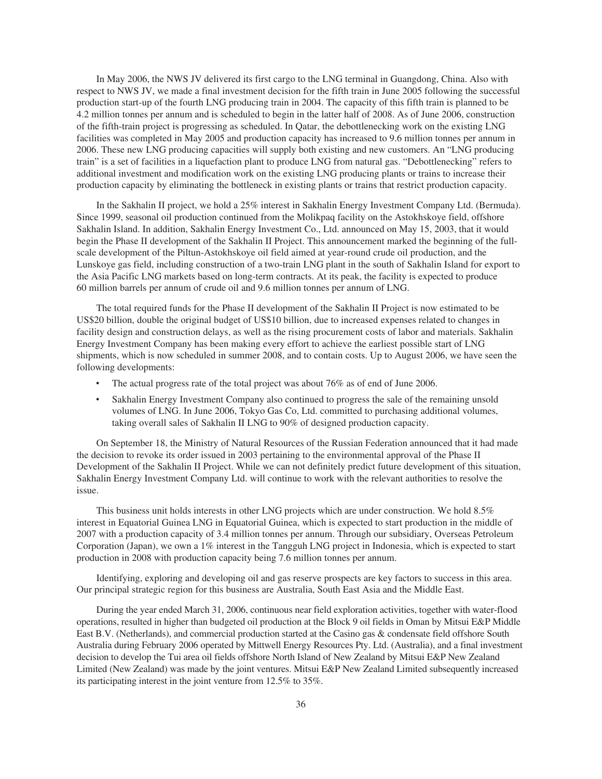In May 2006, the NWS JV delivered its first cargo to the LNG terminal in Guangdong, China. Also with respect to NWS JV, we made a final investment decision for the fifth train in June 2005 following the successful production start-up of the fourth LNG producing train in 2004. The capacity of this fifth train is planned to be 4.2 million tonnes per annum and is scheduled to begin in the latter half of 2008. As of June 2006, construction of the fifth-train project is progressing as scheduled. In Qatar, the debottlenecking work on the existing LNG facilities was completed in May 2005 and production capacity has increased to 9.6 million tonnes per annum in 2006. These new LNG producing capacities will supply both existing and new customers. An "LNG producing train" is a set of facilities in a liquefaction plant to produce LNG from natural gas. "Debottlenecking" refers to additional investment and modification work on the existing LNG producing plants or trains to increase their production capacity by eliminating the bottleneck in existing plants or trains that restrict production capacity.

In the Sakhalin II project, we hold a 25% interest in Sakhalin Energy Investment Company Ltd. (Bermuda). Since 1999, seasonal oil production continued from the Molikpaq facility on the Astokhskoye field, offshore Sakhalin Island. In addition, Sakhalin Energy Investment Co., Ltd. announced on May 15, 2003, that it would begin the Phase II development of the Sakhalin II Project. This announcement marked the beginning of the fullscale development of the Piltun-Astokhskoye oil field aimed at year-round crude oil production, and the Lunskoye gas field, including construction of a two-train LNG plant in the south of Sakhalin Island for export to the Asia Pacific LNG markets based on long-term contracts. At its peak, the facility is expected to produce 60 million barrels per annum of crude oil and 9.6 million tonnes per annum of LNG.

The total required funds for the Phase II development of the Sakhalin II Project is now estimated to be US\$20 billion, double the original budget of US\$10 billion, due to increased expenses related to changes in facility design and construction delays, as well as the rising procurement costs of labor and materials. Sakhalin Energy Investment Company has been making every effort to achieve the earliest possible start of LNG shipments, which is now scheduled in summer 2008, and to contain costs. Up to August 2006, we have seen the following developments:

- The actual progress rate of the total project was about 76% as of end of June 2006.
- Sakhalin Energy Investment Company also continued to progress the sale of the remaining unsold volumes of LNG. In June 2006, Tokyo Gas Co, Ltd. committed to purchasing additional volumes, taking overall sales of Sakhalin II LNG to 90% of designed production capacity.

On September 18, the Ministry of Natural Resources of the Russian Federation announced that it had made the decision to revoke its order issued in 2003 pertaining to the environmental approval of the Phase II Development of the Sakhalin II Project. While we can not definitely predict future development of this situation, Sakhalin Energy Investment Company Ltd. will continue to work with the relevant authorities to resolve the issue.

This business unit holds interests in other LNG projects which are under construction. We hold 8.5% interest in Equatorial Guinea LNG in Equatorial Guinea, which is expected to start production in the middle of 2007 with a production capacity of 3.4 million tonnes per annum. Through our subsidiary, Overseas Petroleum Corporation (Japan), we own a 1% interest in the Tangguh LNG project in Indonesia, which is expected to start production in 2008 with production capacity being 7.6 million tonnes per annum.

Identifying, exploring and developing oil and gas reserve prospects are key factors to success in this area. Our principal strategic region for this business are Australia, South East Asia and the Middle East.

During the year ended March 31, 2006, continuous near field exploration activities, together with water-flood operations, resulted in higher than budgeted oil production at the Block 9 oil fields in Oman by Mitsui E&P Middle East B.V. (Netherlands), and commercial production started at the Casino gas & condensate field offshore South Australia during February 2006 operated by Mittwell Energy Resources Pty. Ltd. (Australia), and a final investment decision to develop the Tui area oil fields offshore North Island of New Zealand by Mitsui E&P New Zealand Limited (New Zealand) was made by the joint ventures. Mitsui E&P New Zealand Limited subsequently increased its participating interest in the joint venture from 12.5% to 35%.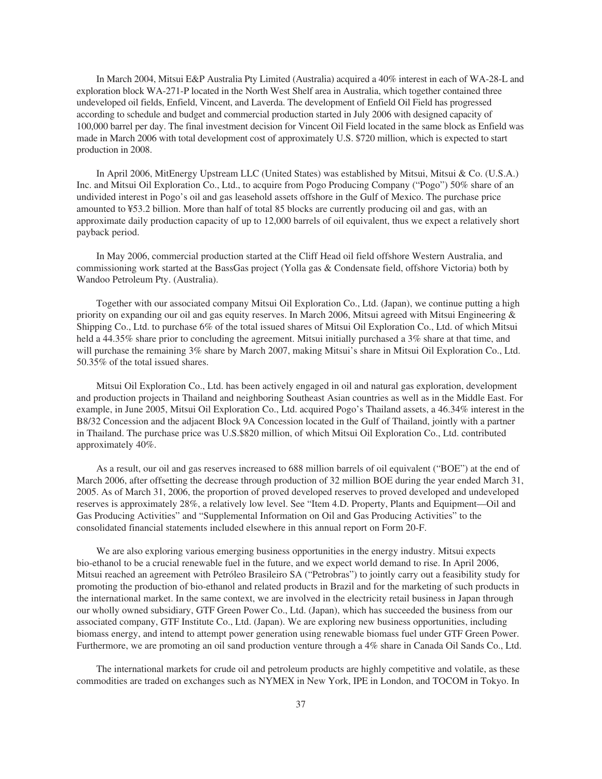In March 2004, Mitsui E&P Australia Pty Limited (Australia) acquired a 40% interest in each of WA-28-L and exploration block WA-271-P located in the North West Shelf area in Australia, which together contained three undeveloped oil fields, Enfield, Vincent, and Laverda. The development of Enfield Oil Field has progressed according to schedule and budget and commercial production started in July 2006 with designed capacity of 100,000 barrel per day. The final investment decision for Vincent Oil Field located in the same block as Enfield was made in March 2006 with total development cost of approximately U.S. \$720 million, which is expected to start production in 2008.

In April 2006, MitEnergy Upstream LLC (United States) was established by Mitsui, Mitsui & Co. (U.S.A.) Inc. and Mitsui Oil Exploration Co., Ltd., to acquire from Pogo Producing Company ("Pogo") 50% share of an undivided interest in Pogo's oil and gas leasehold assets offshore in the Gulf of Mexico. The purchase price amounted to ¥53.2 billion. More than half of total 85 blocks are currently producing oil and gas, with an approximate daily production capacity of up to 12,000 barrels of oil equivalent, thus we expect a relatively short payback period.

In May 2006, commercial production started at the Cliff Head oil field offshore Western Australia, and commissioning work started at the BassGas project (Yolla gas & Condensate field, offshore Victoria) both by Wandoo Petroleum Pty. (Australia).

Together with our associated company Mitsui Oil Exploration Co., Ltd. (Japan), we continue putting a high priority on expanding our oil and gas equity reserves. In March 2006, Mitsui agreed with Mitsui Engineering & Shipping Co., Ltd. to purchase 6% of the total issued shares of Mitsui Oil Exploration Co., Ltd. of which Mitsui held a 44.35% share prior to concluding the agreement. Mitsui initially purchased a 3% share at that time, and will purchase the remaining 3% share by March 2007, making Mitsui's share in Mitsui Oil Exploration Co., Ltd. 50.35% of the total issued shares.

Mitsui Oil Exploration Co., Ltd. has been actively engaged in oil and natural gas exploration, development and production projects in Thailand and neighboring Southeast Asian countries as well as in the Middle East. For example, in June 2005, Mitsui Oil Exploration Co., Ltd. acquired Pogo's Thailand assets, a 46.34% interest in the B8/32 Concession and the adjacent Block 9A Concession located in the Gulf of Thailand, jointly with a partner in Thailand. The purchase price was U.S.\$820 million, of which Mitsui Oil Exploration Co., Ltd. contributed approximately 40%.

As a result, our oil and gas reserves increased to 688 million barrels of oil equivalent ("BOE") at the end of March 2006, after offsetting the decrease through production of 32 million BOE during the year ended March 31, 2005. As of March 31, 2006, the proportion of proved developed reserves to proved developed and undeveloped reserves is approximately 28%, a relatively low level. See "Item 4.D. Property, Plants and Equipment—Oil and Gas Producing Activities" and "Supplemental Information on Oil and Gas Producing Activities" to the consolidated financial statements included elsewhere in this annual report on Form 20-F.

We are also exploring various emerging business opportunities in the energy industry. Mitsui expects bio-ethanol to be a crucial renewable fuel in the future, and we expect world demand to rise. In April 2006, Mitsui reached an agreement with Petróleo Brasileiro SA ("Petrobras") to jointly carry out a feasibility study for promoting the production of bio-ethanol and related products in Brazil and for the marketing of such products in the international market. In the same context, we are involved in the electricity retail business in Japan through our wholly owned subsidiary, GTF Green Power Co., Ltd. (Japan), which has succeeded the business from our associated company, GTF Institute Co., Ltd. (Japan). We are exploring new business opportunities, including biomass energy, and intend to attempt power generation using renewable biomass fuel under GTF Green Power. Furthermore, we are promoting an oil sand production venture through a 4% share in Canada Oil Sands Co., Ltd.

The international markets for crude oil and petroleum products are highly competitive and volatile, as these commodities are traded on exchanges such as NYMEX in New York, IPE in London, and TOCOM in Tokyo. In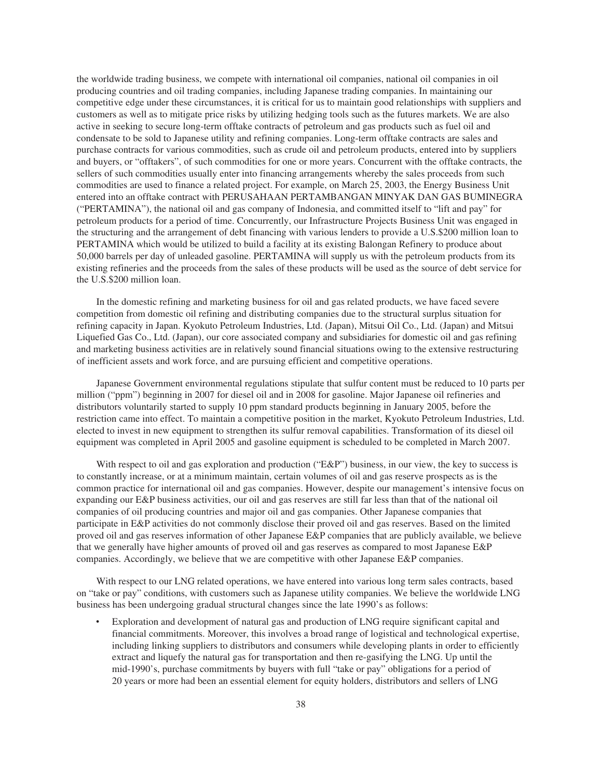the worldwide trading business, we compete with international oil companies, national oil companies in oil producing countries and oil trading companies, including Japanese trading companies. In maintaining our competitive edge under these circumstances, it is critical for us to maintain good relationships with suppliers and customers as well as to mitigate price risks by utilizing hedging tools such as the futures markets. We are also active in seeking to secure long-term offtake contracts of petroleum and gas products such as fuel oil and condensate to be sold to Japanese utility and refining companies. Long-term offtake contracts are sales and purchase contracts for various commodities, such as crude oil and petroleum products, entered into by suppliers and buyers, or "offtakers", of such commodities for one or more years. Concurrent with the offtake contracts, the sellers of such commodities usually enter into financing arrangements whereby the sales proceeds from such commodities are used to finance a related project. For example, on March 25, 2003, the Energy Business Unit entered into an offtake contract with PERUSAHAAN PERTAMBANGAN MINYAK DAN GAS BUMINEGRA ("PERTAMINA"), the national oil and gas company of Indonesia, and committed itself to "lift and pay" for petroleum products for a period of time. Concurrently, our Infrastructure Projects Business Unit was engaged in the structuring and the arrangement of debt financing with various lenders to provide a U.S.\$200 million loan to PERTAMINA which would be utilized to build a facility at its existing Balongan Refinery to produce about 50,000 barrels per day of unleaded gasoline. PERTAMINA will supply us with the petroleum products from its existing refineries and the proceeds from the sales of these products will be used as the source of debt service for the U.S.\$200 million loan.

In the domestic refining and marketing business for oil and gas related products, we have faced severe competition from domestic oil refining and distributing companies due to the structural surplus situation for refining capacity in Japan. Kyokuto Petroleum Industries, Ltd. (Japan), Mitsui Oil Co., Ltd. (Japan) and Mitsui Liquefied Gas Co., Ltd. (Japan), our core associated company and subsidiaries for domestic oil and gas refining and marketing business activities are in relatively sound financial situations owing to the extensive restructuring of inefficient assets and work force, and are pursuing efficient and competitive operations.

Japanese Government environmental regulations stipulate that sulfur content must be reduced to 10 parts per million ("ppm") beginning in 2007 for diesel oil and in 2008 for gasoline. Major Japanese oil refineries and distributors voluntarily started to supply 10 ppm standard products beginning in January 2005, before the restriction came into effect. To maintain a competitive position in the market, Kyokuto Petroleum Industries, Ltd. elected to invest in new equipment to strengthen its sulfur removal capabilities. Transformation of its diesel oil equipment was completed in April 2005 and gasoline equipment is scheduled to be completed in March 2007.

With respect to oil and gas exploration and production ("E&P") business, in our view, the key to success is to constantly increase, or at a minimum maintain, certain volumes of oil and gas reserve prospects as is the common practice for international oil and gas companies. However, despite our management's intensive focus on expanding our E&P business activities, our oil and gas reserves are still far less than that of the national oil companies of oil producing countries and major oil and gas companies. Other Japanese companies that participate in E&P activities do not commonly disclose their proved oil and gas reserves. Based on the limited proved oil and gas reserves information of other Japanese E&P companies that are publicly available, we believe that we generally have higher amounts of proved oil and gas reserves as compared to most Japanese E&P companies. Accordingly, we believe that we are competitive with other Japanese E&P companies.

With respect to our LNG related operations, we have entered into various long term sales contracts, based on "take or pay" conditions, with customers such as Japanese utility companies. We believe the worldwide LNG business has been undergoing gradual structural changes since the late 1990's as follows:

Exploration and development of natural gas and production of LNG require significant capital and financial commitments. Moreover, this involves a broad range of logistical and technological expertise, including linking suppliers to distributors and consumers while developing plants in order to efficiently extract and liquefy the natural gas for transportation and then re-gasifying the LNG. Up until the mid-1990's, purchase commitments by buyers with full "take or pay" obligations for a period of 20 years or more had been an essential element for equity holders, distributors and sellers of LNG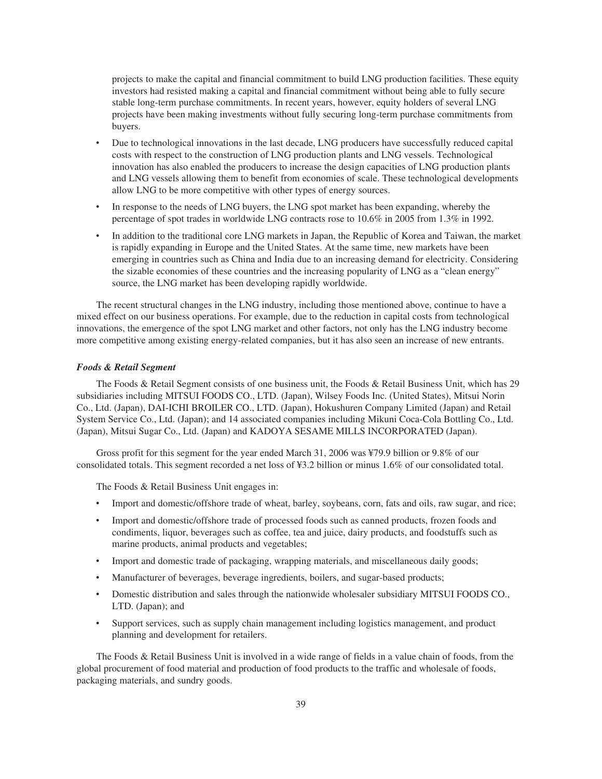projects to make the capital and financial commitment to build LNG production facilities. These equity investors had resisted making a capital and financial commitment without being able to fully secure stable long-term purchase commitments. In recent years, however, equity holders of several LNG projects have been making investments without fully securing long-term purchase commitments from buyers.

- Due to technological innovations in the last decade, LNG producers have successfully reduced capital costs with respect to the construction of LNG production plants and LNG vessels. Technological innovation has also enabled the producers to increase the design capacities of LNG production plants and LNG vessels allowing them to benefit from economies of scale. These technological developments allow LNG to be more competitive with other types of energy sources.
- In response to the needs of LNG buyers, the LNG spot market has been expanding, whereby the percentage of spot trades in worldwide LNG contracts rose to 10.6% in 2005 from 1.3% in 1992.
- In addition to the traditional core LNG markets in Japan, the Republic of Korea and Taiwan, the market is rapidly expanding in Europe and the United States. At the same time, new markets have been emerging in countries such as China and India due to an increasing demand for electricity. Considering the sizable economies of these countries and the increasing popularity of LNG as a "clean energy" source, the LNG market has been developing rapidly worldwide.

The recent structural changes in the LNG industry, including those mentioned above, continue to have a mixed effect on our business operations. For example, due to the reduction in capital costs from technological innovations, the emergence of the spot LNG market and other factors, not only has the LNG industry become more competitive among existing energy-related companies, but it has also seen an increase of new entrants.

## *Foods & Retail Segment*

The Foods & Retail Segment consists of one business unit, the Foods & Retail Business Unit, which has 29 subsidiaries including MITSUI FOODS CO., LTD. (Japan), Wilsey Foods Inc. (United States), Mitsui Norin Co., Ltd. (Japan), DAI-ICHI BROILER CO., LTD. (Japan), Hokushuren Company Limited (Japan) and Retail System Service Co., Ltd. (Japan); and 14 associated companies including Mikuni Coca-Cola Bottling Co., Ltd. (Japan), Mitsui Sugar Co., Ltd. (Japan) and KADOYA SESAME MILLS INCORPORATED (Japan).

Gross profit for this segment for the year ended March 31, 2006 was ¥79.9 billion or 9.8% of our consolidated totals. This segment recorded a net loss of ¥3.2 billion or minus 1.6% of our consolidated total.

The Foods & Retail Business Unit engages in:

- Import and domestic/offshore trade of wheat, barley, soybeans, corn, fats and oils, raw sugar, and rice;
- Import and domestic/offshore trade of processed foods such as canned products, frozen foods and condiments, liquor, beverages such as coffee, tea and juice, dairy products, and foodstuffs such as marine products, animal products and vegetables;
- Import and domestic trade of packaging, wrapping materials, and miscellaneous daily goods;
- Manufacturer of beverages, beverage ingredients, boilers, and sugar-based products;
- Domestic distribution and sales through the nationwide wholesaler subsidiary MITSUI FOODS CO., LTD. (Japan); and
- Support services, such as supply chain management including logistics management, and product planning and development for retailers.

The Foods & Retail Business Unit is involved in a wide range of fields in a value chain of foods, from the global procurement of food material and production of food products to the traffic and wholesale of foods, packaging materials, and sundry goods.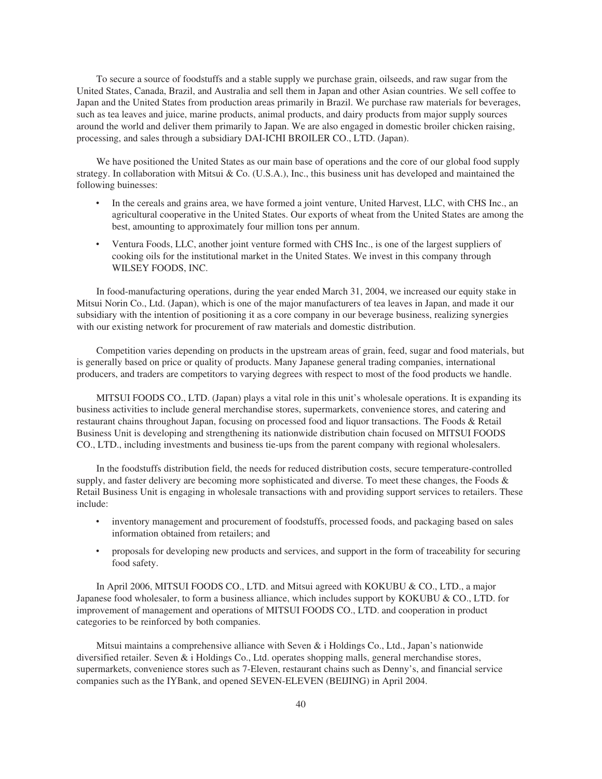To secure a source of foodstuffs and a stable supply we purchase grain, oilseeds, and raw sugar from the United States, Canada, Brazil, and Australia and sell them in Japan and other Asian countries. We sell coffee to Japan and the United States from production areas primarily in Brazil. We purchase raw materials for beverages, such as tea leaves and juice, marine products, animal products, and dairy products from major supply sources around the world and deliver them primarily to Japan. We are also engaged in domestic broiler chicken raising, processing, and sales through a subsidiary DAI-ICHI BROILER CO., LTD. (Japan).

We have positioned the United States as our main base of operations and the core of our global food supply strategy. In collaboration with Mitsui & Co. (U.S.A.), Inc., this business unit has developed and maintained the following buinesses:

- In the cereals and grains area, we have formed a joint venture, United Harvest, LLC, with CHS Inc., an agricultural cooperative in the United States. Our exports of wheat from the United States are among the best, amounting to approximately four million tons per annum.
- Ventura Foods, LLC, another joint venture formed with CHS Inc., is one of the largest suppliers of cooking oils for the institutional market in the United States. We invest in this company through WILSEY FOODS, INC.

In food-manufacturing operations, during the year ended March 31, 2004, we increased our equity stake in Mitsui Norin Co., Ltd. (Japan), which is one of the major manufacturers of tea leaves in Japan, and made it our subsidiary with the intention of positioning it as a core company in our beverage business, realizing synergies with our existing network for procurement of raw materials and domestic distribution.

Competition varies depending on products in the upstream areas of grain, feed, sugar and food materials, but is generally based on price or quality of products. Many Japanese general trading companies, international producers, and traders are competitors to varying degrees with respect to most of the food products we handle.

MITSUI FOODS CO., LTD. (Japan) plays a vital role in this unit's wholesale operations. It is expanding its business activities to include general merchandise stores, supermarkets, convenience stores, and catering and restaurant chains throughout Japan, focusing on processed food and liquor transactions. The Foods & Retail Business Unit is developing and strengthening its nationwide distribution chain focused on MITSUI FOODS CO., LTD., including investments and business tie-ups from the parent company with regional wholesalers.

In the foodstuffs distribution field, the needs for reduced distribution costs, secure temperature-controlled supply, and faster delivery are becoming more sophisticated and diverse. To meet these changes, the Foods & Retail Business Unit is engaging in wholesale transactions with and providing support services to retailers. These include:

- inventory management and procurement of foodstuffs, processed foods, and packaging based on sales information obtained from retailers; and
- proposals for developing new products and services, and support in the form of traceability for securing food safety.

In April 2006, MITSUI FOODS CO., LTD. and Mitsui agreed with KOKUBU & CO., LTD., a major Japanese food wholesaler, to form a business alliance, which includes support by KOKUBU & CO., LTD. for improvement of management and operations of MITSUI FOODS CO., LTD. and cooperation in product categories to be reinforced by both companies.

Mitsui maintains a comprehensive alliance with Seven  $\&$  i Holdings Co., Ltd., Japan's nationwide diversified retailer. Seven & i Holdings Co., Ltd. operates shopping malls, general merchandise stores, supermarkets, convenience stores such as 7-Eleven, restaurant chains such as Denny's, and financial service companies such as the IYBank, and opened SEVEN-ELEVEN (BEIJING) in April 2004.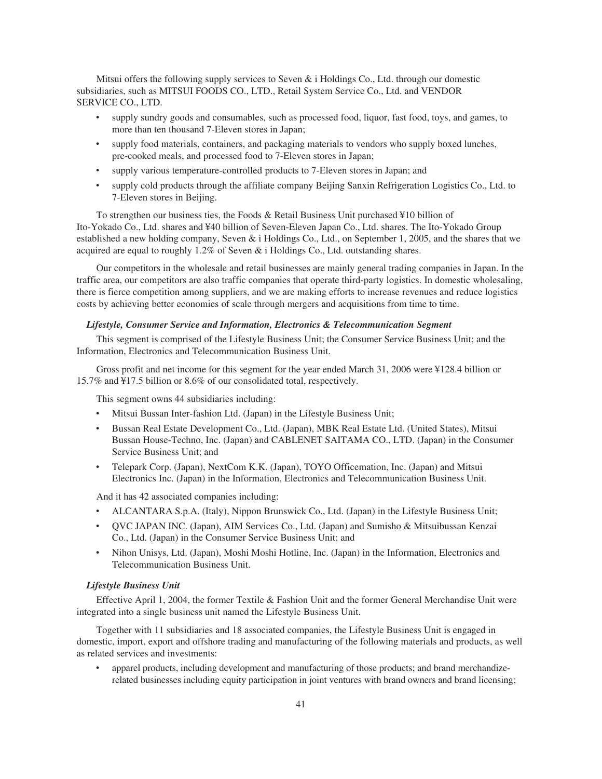Mitsui offers the following supply services to Seven  $\&$  i Holdings Co., Ltd. through our domestic subsidiaries, such as MITSUI FOODS CO., LTD., Retail System Service Co., Ltd. and VENDOR SERVICE CO., LTD.

- supply sundry goods and consumables, such as processed food, liquor, fast food, toys, and games, to more than ten thousand 7-Eleven stores in Japan;
- supply food materials, containers, and packaging materials to vendors who supply boxed lunches, pre-cooked meals, and processed food to 7-Eleven stores in Japan;
- ‰ supply various temperature-controlled products to 7-Eleven stores in Japan; and
- ‰ supply cold products through the affiliate company Beijing Sanxin Refrigeration Logistics Co., Ltd. to 7-Eleven stores in Beijing.

To strengthen our business ties, the Foods & Retail Business Unit purchased ¥10 billion of Ito-Yokado Co., Ltd. shares and ¥40 billion of Seven-Eleven Japan Co., Ltd. shares. The Ito-Yokado Group established a new holding company, Seven & i Holdings Co., Ltd., on September 1, 2005, and the shares that we acquired are equal to roughly 1.2% of Seven & i Holdings Co., Ltd. outstanding shares.

Our competitors in the wholesale and retail businesses are mainly general trading companies in Japan. In the traffic area, our competitors are also traffic companies that operate third-party logistics. In domestic wholesaling, there is fierce competition among suppliers, and we are making efforts to increase revenues and reduce logistics costs by achieving better economies of scale through mergers and acquisitions from time to time.

## *Lifestyle, Consumer Service and Information, Electronics & Telecommunication Segment*

This segment is comprised of the Lifestyle Business Unit; the Consumer Service Business Unit; and the Information, Electronics and Telecommunication Business Unit.

Gross profit and net income for this segment for the year ended March 31, 2006 were ¥128.4 billion or 15.7% and ¥17.5 billion or 8.6% of our consolidated total, respectively.

This segment owns 44 subsidiaries including:

- ‰ Mitsui Bussan Inter-fashion Ltd. (Japan) in the Lifestyle Business Unit;
- ‰ Bussan Real Estate Development Co., Ltd. (Japan), MBK Real Estate Ltd. (United States), Mitsui Bussan House-Techno, Inc. (Japan) and CABLENET SAITAMA CO., LTD. (Japan) in the Consumer Service Business Unit; and
- ‰ Telepark Corp. (Japan), NextCom K.K. (Japan), TOYO Officemation, Inc. (Japan) and Mitsui Electronics Inc. (Japan) in the Information, Electronics and Telecommunication Business Unit.

And it has 42 associated companies including:

- ‰ ALCANTARA S.p.A. (Italy), Nippon Brunswick Co., Ltd. (Japan) in the Lifestyle Business Unit;
- ‰ QVC JAPAN INC. (Japan), AIM Services Co., Ltd. (Japan) and Sumisho & Mitsuibussan Kenzai Co., Ltd. (Japan) in the Consumer Service Business Unit; and
- ‰ Nihon Unisys, Ltd. (Japan), Moshi Moshi Hotline, Inc. (Japan) in the Information, Electronics and Telecommunication Business Unit.

### *Lifestyle Business Unit*

Effective April 1, 2004, the former Textile & Fashion Unit and the former General Merchandise Unit were integrated into a single business unit named the Lifestyle Business Unit.

Together with 11 subsidiaries and 18 associated companies, the Lifestyle Business Unit is engaged in domestic, import, export and offshore trading and manufacturing of the following materials and products, as well as related services and investments:

apparel products, including development and manufacturing of those products; and brand merchandizerelated businesses including equity participation in joint ventures with brand owners and brand licensing;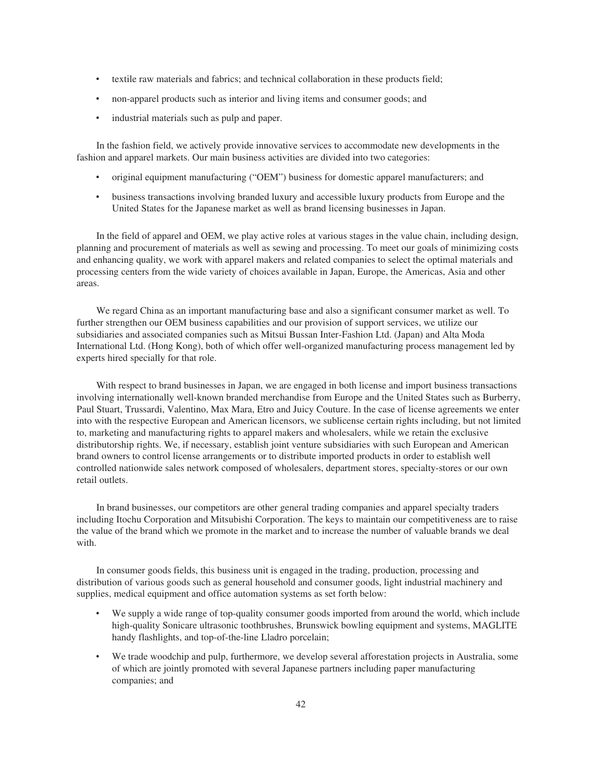- textile raw materials and fabrics; and technical collaboration in these products field;
- non-apparel products such as interior and living items and consumer goods; and
- industrial materials such as pulp and paper.

In the fashion field, we actively provide innovative services to accommodate new developments in the fashion and apparel markets. Our main business activities are divided into two categories:

- ‰ original equipment manufacturing ("OEM") business for domestic apparel manufacturers; and
- ‰ business transactions involving branded luxury and accessible luxury products from Europe and the United States for the Japanese market as well as brand licensing businesses in Japan.

In the field of apparel and OEM, we play active roles at various stages in the value chain, including design, planning and procurement of materials as well as sewing and processing. To meet our goals of minimizing costs and enhancing quality, we work with apparel makers and related companies to select the optimal materials and processing centers from the wide variety of choices available in Japan, Europe, the Americas, Asia and other areas.

We regard China as an important manufacturing base and also a significant consumer market as well. To further strengthen our OEM business capabilities and our provision of support services, we utilize our subsidiaries and associated companies such as Mitsui Bussan Inter-Fashion Ltd. (Japan) and Alta Moda International Ltd. (Hong Kong), both of which offer well-organized manufacturing process management led by experts hired specially for that role.

With respect to brand businesses in Japan, we are engaged in both license and import business transactions involving internationally well-known branded merchandise from Europe and the United States such as Burberry, Paul Stuart, Trussardi, Valentino, Max Mara, Etro and Juicy Couture. In the case of license agreements we enter into with the respective European and American licensors, we sublicense certain rights including, but not limited to, marketing and manufacturing rights to apparel makers and wholesalers, while we retain the exclusive distributorship rights. We, if necessary, establish joint venture subsidiaries with such European and American brand owners to control license arrangements or to distribute imported products in order to establish well controlled nationwide sales network composed of wholesalers, department stores, specialty-stores or our own retail outlets.

In brand businesses, our competitors are other general trading companies and apparel specialty traders including Itochu Corporation and Mitsubishi Corporation. The keys to maintain our competitiveness are to raise the value of the brand which we promote in the market and to increase the number of valuable brands we deal with.

In consumer goods fields, this business unit is engaged in the trading, production, processing and distribution of various goods such as general household and consumer goods, light industrial machinery and supplies, medical equipment and office automation systems as set forth below:

- We supply a wide range of top-quality consumer goods imported from around the world, which include high-quality Sonicare ultrasonic toothbrushes, Brunswick bowling equipment and systems, MAGLITE handy flashlights, and top-of-the-line Lladro porcelain;
- We trade woodchip and pulp, furthermore, we develop several afforestation projects in Australia, some of which are jointly promoted with several Japanese partners including paper manufacturing companies; and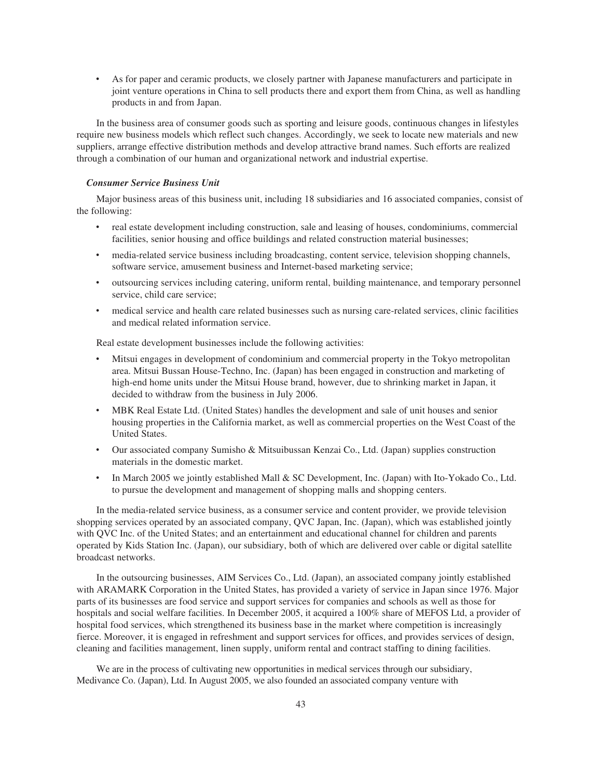As for paper and ceramic products, we closely partner with Japanese manufacturers and participate in joint venture operations in China to sell products there and export them from China, as well as handling products in and from Japan.

In the business area of consumer goods such as sporting and leisure goods, continuous changes in lifestyles require new business models which reflect such changes. Accordingly, we seek to locate new materials and new suppliers, arrange effective distribution methods and develop attractive brand names. Such efforts are realized through a combination of our human and organizational network and industrial expertise.

## *Consumer Service Business Unit*

Major business areas of this business unit, including 18 subsidiaries and 16 associated companies, consist of the following:

- real estate development including construction, sale and leasing of houses, condominiums, commercial facilities, senior housing and office buildings and related construction material businesses;
- media-related service business including broadcasting, content service, television shopping channels, software service, amusement business and Internet-based marketing service;
- ‰ outsourcing services including catering, uniform rental, building maintenance, and temporary personnel service, child care service;
- medical service and health care related businesses such as nursing care-related services, clinic facilities and medical related information service.

Real estate development businesses include the following activities:

- ‰ Mitsui engages in development of condominium and commercial property in the Tokyo metropolitan area. Mitsui Bussan House-Techno, Inc. (Japan) has been engaged in construction and marketing of high-end home units under the Mitsui House brand, however, due to shrinking market in Japan, it decided to withdraw from the business in July 2006.
- ‰ MBK Real Estate Ltd. (United States) handles the development and sale of unit houses and senior housing properties in the California market, as well as commercial properties on the West Coast of the United States.
- ‰ Our associated company Sumisho & Mitsuibussan Kenzai Co., Ltd. (Japan) supplies construction materials in the domestic market.
- In March 2005 we jointly established Mall & SC Development, Inc. (Japan) with Ito-Yokado Co., Ltd. to pursue the development and management of shopping malls and shopping centers.

In the media-related service business, as a consumer service and content provider, we provide television shopping services operated by an associated company, QVC Japan, Inc. (Japan), which was established jointly with QVC Inc. of the United States; and an entertainment and educational channel for children and parents operated by Kids Station Inc. (Japan), our subsidiary, both of which are delivered over cable or digital satellite broadcast networks.

In the outsourcing businesses, AIM Services Co., Ltd. (Japan), an associated company jointly established with ARAMARK Corporation in the United States, has provided a variety of service in Japan since 1976. Major parts of its businesses are food service and support services for companies and schools as well as those for hospitals and social welfare facilities. In December 2005, it acquired a 100% share of MEFOS Ltd, a provider of hospital food services, which strengthened its business base in the market where competition is increasingly fierce. Moreover, it is engaged in refreshment and support services for offices, and provides services of design, cleaning and facilities management, linen supply, uniform rental and contract staffing to dining facilities.

We are in the process of cultivating new opportunities in medical services through our subsidiary, Medivance Co. (Japan), Ltd. In August 2005, we also founded an associated company venture with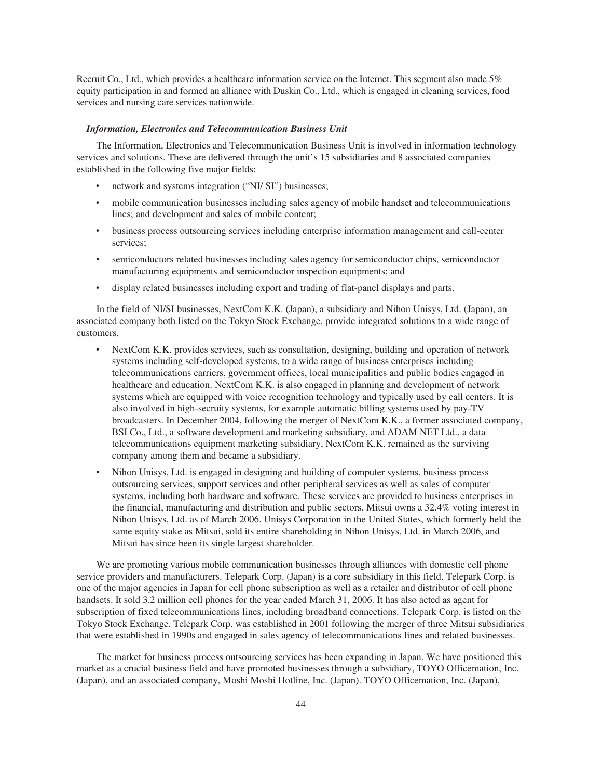Recruit Co., Ltd., which provides a healthcare information service on the Internet. This segment also made 5% equity participation in and formed an alliance with Duskin Co., Ltd., which is engaged in cleaning services, food services and nursing care services nationwide.

### *Information, Electronics and Telecommunication Business Unit*

The Information, Electronics and Telecommunication Business Unit is involved in information technology services and solutions. These are delivered through the unit's 15 subsidiaries and 8 associated companies established in the following five major fields:

- network and systems integration ("NI/ SI") businesses;
- mobile communication businesses including sales agency of mobile handset and telecommunications lines; and development and sales of mobile content;
- ‰ business process outsourcing services including enterprise information management and call-center services;
- semiconductors related businesses including sales agency for semiconductor chips, semiconductor manufacturing equipments and semiconductor inspection equipments; and
- display related businesses including export and trading of flat-panel displays and parts.

In the field of NI/SI businesses, NextCom K.K. (Japan), a subsidiary and Nihon Unisys, Ltd. (Japan), an associated company both listed on the Tokyo Stock Exchange, provide integrated solutions to a wide range of customers.

- ‰ NextCom K.K. provides services, such as consultation, designing, building and operation of network systems including self-developed systems, to a wide range of business enterprises including telecommunications carriers, government offices, local municipalities and public bodies engaged in healthcare and education. NextCom K.K. is also engaged in planning and development of network systems which are equipped with voice recognition technology and typically used by call centers. It is also involved in high-secruity systems, for example automatic billing systems used by pay-TV broadcasters. In December 2004, following the merger of NextCom K.K., a former associated company, BSI Co., Ltd., a software development and marketing subsidiary, and ADAM NET Ltd., a data telecommunications equipment marketing subsidiary, NextCom K.K. remained as the surviving company among them and became a subsidiary.
- Nihon Unisys, Ltd. is engaged in designing and building of computer systems, business process outsourcing services, support services and other peripheral services as well as sales of computer systems, including both hardware and software. These services are provided to business enterprises in the financial, manufacturing and distribution and public sectors. Mitsui owns a 32.4% voting interest in Nihon Unisys, Ltd. as of March 2006. Unisys Corporation in the United States, which formerly held the same equity stake as Mitsui, sold its entire shareholding in Nihon Unisys, Ltd. in March 2006, and Mitsui has since been its single largest shareholder.

We are promoting various mobile communication businesses through alliances with domestic cell phone service providers and manufacturers. Telepark Corp. (Japan) is a core subsidiary in this field. Telepark Corp. is one of the major agencies in Japan for cell phone subscription as well as a retailer and distributor of cell phone handsets. It sold 3.2 million cell phones for the year ended March 31, 2006. It has also acted as agent for subscription of fixed telecommunications lines, including broadband connections. Telepark Corp. is listed on the Tokyo Stock Exchange. Telepark Corp. was established in 2001 following the merger of three Mitsui subsidiaries that were established in 1990s and engaged in sales agency of telecommunications lines and related businesses.

The market for business process outsourcing services has been expanding in Japan. We have positioned this market as a crucial business field and have promoted businesses through a subsidiary, TOYO Officemation, Inc. (Japan), and an associated company, Moshi Moshi Hotline, Inc. (Japan). TOYO Officemation, Inc. (Japan),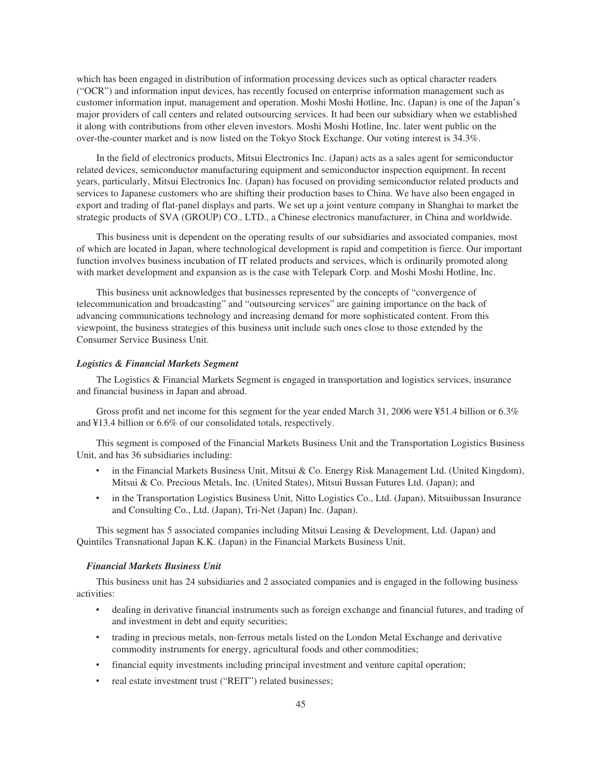which has been engaged in distribution of information processing devices such as optical character readers ("OCR") and information input devices, has recently focused on enterprise information management such as customer information input, management and operation. Moshi Moshi Hotline, Inc. (Japan) is one of the Japan's major providers of call centers and related outsourcing services. It had been our subsidiary when we established it along with contributions from other eleven investors. Moshi Moshi Hotline, Inc. later went public on the over-the-counter market and is now listed on the Tokyo Stock Exchange. Our voting interest is 34.3%.

In the field of electronics products, Mitsui Electronics Inc. (Japan) acts as a sales agent for semiconductor related devices, semiconductor manufacturing equipment and semiconductor inspection equipment. In recent years, particularly, Mitsui Electronics Inc. (Japan) has focused on providing semiconductor related products and services to Japanese customers who are shifting their production bases to China. We have also been engaged in export and trading of flat-panel displays and parts. We set up a joint venture company in Shanghai to market the strategic products of SVA (GROUP) CO., LTD., a Chinese electronics manufacturer, in China and worldwide.

This business unit is dependent on the operating results of our subsidiaries and associated companies, most of which are located in Japan, where technological development is rapid and competition is fierce. Our important function involves business incubation of IT related products and services, which is ordinarily promoted along with market development and expansion as is the case with Telepark Corp. and Moshi Moshi Hotline, Inc.

This business unit acknowledges that businesses represented by the concepts of "convergence of telecommunication and broadcasting" and "outsourcing services" are gaining importance on the back of advancing communications technology and increasing demand for more sophisticated content. From this viewpoint, the business strategies of this business unit include such ones close to those extended by the Consumer Service Business Unit.

### *Logistics & Financial Markets Segment*

The Logistics & Financial Markets Segment is engaged in transportation and logistics services, insurance and financial business in Japan and abroad.

Gross profit and net income for this segment for the year ended March 31, 2006 were ¥51.4 billion or 6.3% and ¥13.4 billion or 6.6% of our consolidated totals, respectively.

This segment is composed of the Financial Markets Business Unit and the Transportation Logistics Business Unit, and has 36 subsidiaries including:

- in the Financial Markets Business Unit, Mitsui & Co. Energy Risk Management Ltd. (United Kingdom), Mitsui & Co. Precious Metals, Inc. (United States), Mitsui Bussan Futures Ltd. (Japan); and
- in the Transportation Logistics Business Unit, Nitto Logistics Co., Ltd. (Japan), Mitsuibussan Insurance and Consulting Co., Ltd. (Japan), Tri-Net (Japan) Inc. (Japan).

This segment has 5 associated companies including Mitsui Leasing & Development, Ltd. (Japan) and Quintiles Transnational Japan K.K. (Japan) in the Financial Markets Business Unit.

### *Financial Markets Business Unit*

This business unit has 24 subsidiaries and 2 associated companies and is engaged in the following business activities:

- ‰ dealing in derivative financial instruments such as foreign exchange and financial futures, and trading of and investment in debt and equity securities;
- ‰ trading in precious metals, non-ferrous metals listed on the London Metal Exchange and derivative commodity instruments for energy, agricultural foods and other commodities;
- financial equity investments including principal investment and venture capital operation;
- real estate investment trust ("REIT") related businesses;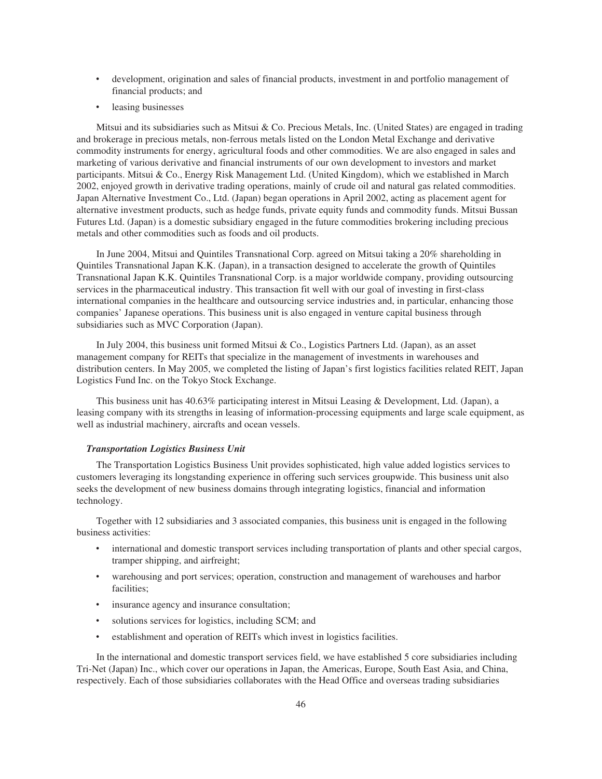- development, origination and sales of financial products, investment in and portfolio management of financial products; and
- leasing businesses

Mitsui and its subsidiaries such as Mitsui & Co. Precious Metals, Inc. (United States) are engaged in trading and brokerage in precious metals, non-ferrous metals listed on the London Metal Exchange and derivative commodity instruments for energy, agricultural foods and other commodities. We are also engaged in sales and marketing of various derivative and financial instruments of our own development to investors and market participants. Mitsui & Co., Energy Risk Management Ltd. (United Kingdom), which we established in March 2002, enjoyed growth in derivative trading operations, mainly of crude oil and natural gas related commodities. Japan Alternative Investment Co., Ltd. (Japan) began operations in April 2002, acting as placement agent for alternative investment products, such as hedge funds, private equity funds and commodity funds. Mitsui Bussan Futures Ltd. (Japan) is a domestic subsidiary engaged in the future commodities brokering including precious metals and other commodities such as foods and oil products.

In June 2004, Mitsui and Quintiles Transnational Corp. agreed on Mitsui taking a 20% shareholding in Quintiles Transnational Japan K.K. (Japan), in a transaction designed to accelerate the growth of Quintiles Transnational Japan K.K. Quintiles Transnational Corp. is a major worldwide company, providing outsourcing services in the pharmaceutical industry. This transaction fit well with our goal of investing in first-class international companies in the healthcare and outsourcing service industries and, in particular, enhancing those companies' Japanese operations. This business unit is also engaged in venture capital business through subsidiaries such as MVC Corporation (Japan).

In July 2004, this business unit formed Mitsui & Co., Logistics Partners Ltd. (Japan), as an asset management company for REITs that specialize in the management of investments in warehouses and distribution centers. In May 2005, we completed the listing of Japan's first logistics facilities related REIT, Japan Logistics Fund Inc. on the Tokyo Stock Exchange.

This business unit has 40.63% participating interest in Mitsui Leasing & Development, Ltd. (Japan), a leasing company with its strengths in leasing of information-processing equipments and large scale equipment, as well as industrial machinery, aircrafts and ocean vessels.

### *Transportation Logistics Business Unit*

The Transportation Logistics Business Unit provides sophisticated, high value added logistics services to customers leveraging its longstanding experience in offering such services groupwide. This business unit also seeks the development of new business domains through integrating logistics, financial and information technology.

Together with 12 subsidiaries and 3 associated companies, this business unit is engaged in the following business activities:

- international and domestic transport services including transportation of plants and other special cargos, tramper shipping, and airfreight;
- warehousing and port services; operation, construction and management of warehouses and harbor facilities;
- insurance agency and insurance consultation;
- ‰ solutions services for logistics, including SCM; and
- establishment and operation of REITs which invest in logistics facilities.

In the international and domestic transport services field, we have established 5 core subsidiaries including Tri-Net (Japan) Inc., which cover our operations in Japan, the Americas, Europe, South East Asia, and China, respectively. Each of those subsidiaries collaborates with the Head Office and overseas trading subsidiaries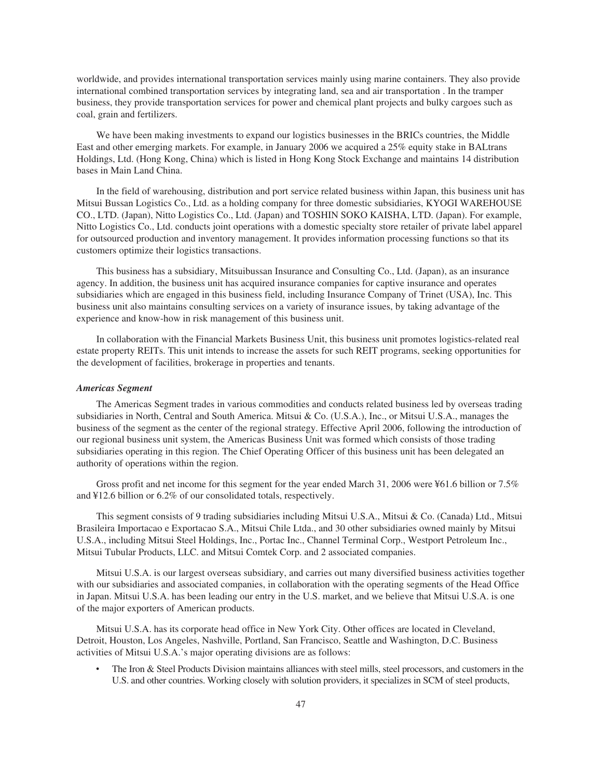worldwide, and provides international transportation services mainly using marine containers. They also provide international combined transportation services by integrating land, sea and air transportation . In the tramper business, they provide transportation services for power and chemical plant projects and bulky cargoes such as coal, grain and fertilizers.

We have been making investments to expand our logistics businesses in the BRICs countries, the Middle East and other emerging markets. For example, in January 2006 we acquired a 25% equity stake in BALtrans Holdings, Ltd. (Hong Kong, China) which is listed in Hong Kong Stock Exchange and maintains 14 distribution bases in Main Land China.

In the field of warehousing, distribution and port service related business within Japan, this business unit has Mitsui Bussan Logistics Co., Ltd. as a holding company for three domestic subsidiaries, KYOGI WAREHOUSE CO., LTD. (Japan), Nitto Logistics Co., Ltd. (Japan) and TOSHIN SOKO KAISHA, LTD. (Japan). For example, Nitto Logistics Co., Ltd. conducts joint operations with a domestic specialty store retailer of private label apparel for outsourced production and inventory management. It provides information processing functions so that its customers optimize their logistics transactions.

This business has a subsidiary, Mitsuibussan Insurance and Consulting Co., Ltd. (Japan), as an insurance agency. In addition, the business unit has acquired insurance companies for captive insurance and operates subsidiaries which are engaged in this business field, including Insurance Company of Trinet (USA), Inc. This business unit also maintains consulting services on a variety of insurance issues, by taking advantage of the experience and know-how in risk management of this business unit.

In collaboration with the Financial Markets Business Unit, this business unit promotes logistics-related real estate property REITs. This unit intends to increase the assets for such REIT programs, seeking opportunities for the development of facilities, brokerage in properties and tenants.

### *Americas Segment*

The Americas Segment trades in various commodities and conducts related business led by overseas trading subsidiaries in North, Central and South America. Mitsui & Co. (U.S.A.), Inc., or Mitsui U.S.A., manages the business of the segment as the center of the regional strategy. Effective April 2006, following the introduction of our regional business unit system, the Americas Business Unit was formed which consists of those trading subsidiaries operating in this region. The Chief Operating Officer of this business unit has been delegated an authority of operations within the region.

Gross profit and net income for this segment for the year ended March 31, 2006 were ¥61.6 billion or 7.5% and ¥12.6 billion or 6.2% of our consolidated totals, respectively.

This segment consists of 9 trading subsidiaries including Mitsui U.S.A., Mitsui & Co. (Canada) Ltd., Mitsui Brasileira Importacao e Exportacao S.A., Mitsui Chile Ltda., and 30 other subsidiaries owned mainly by Mitsui U.S.A., including Mitsui Steel Holdings, Inc., Portac Inc., Channel Terminal Corp., Westport Petroleum Inc., Mitsui Tubular Products, LLC. and Mitsui Comtek Corp. and 2 associated companies.

Mitsui U.S.A. is our largest overseas subsidiary, and carries out many diversified business activities together with our subsidiaries and associated companies, in collaboration with the operating segments of the Head Office in Japan. Mitsui U.S.A. has been leading our entry in the U.S. market, and we believe that Mitsui U.S.A. is one of the major exporters of American products.

Mitsui U.S.A. has its corporate head office in New York City. Other offices are located in Cleveland, Detroit, Houston, Los Angeles, Nashville, Portland, San Francisco, Seattle and Washington, D.C. Business activities of Mitsui U.S.A.'s major operating divisions are as follows:

The Iron & Steel Products Division maintains alliances with steel mills, steel processors, and customers in the U.S. and other countries. Working closely with solution providers, it specializes in SCM of steel products,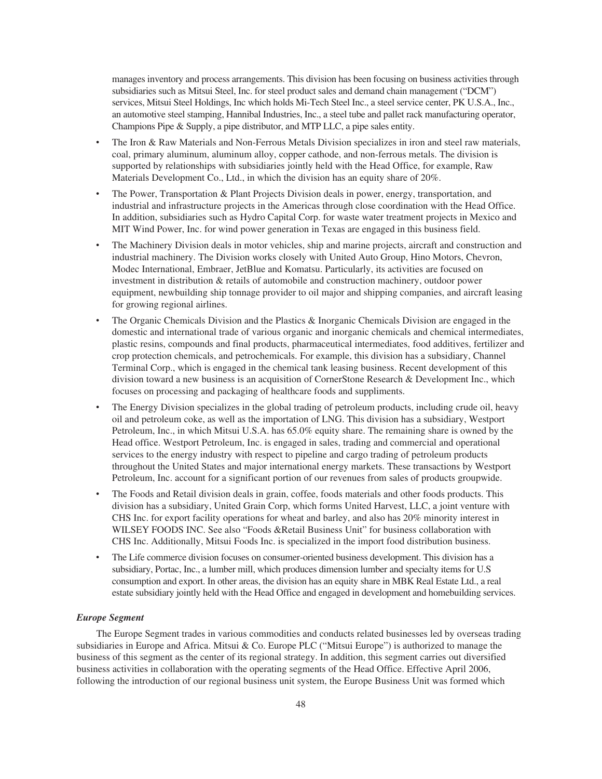manages inventory and process arrangements. This division has been focusing on business activities through subsidiaries such as Mitsui Steel, Inc. for steel product sales and demand chain management ("DCM") services, Mitsui Steel Holdings, Inc which holds Mi-Tech Steel Inc., a steel service center, PK U.S.A., Inc., an automotive steel stamping, Hannibal Industries, Inc., a steel tube and pallet rack manufacturing operator, Champions Pipe & Supply, a pipe distributor, and MTP LLC, a pipe sales entity.

- The Iron & Raw Materials and Non-Ferrous Metals Division specializes in iron and steel raw materials, coal, primary aluminum, aluminum alloy, copper cathode, and non-ferrous metals. The division is supported by relationships with subsidiaries jointly held with the Head Office, for example, Raw Materials Development Co., Ltd., in which the division has an equity share of 20%.
- The Power, Transportation & Plant Projects Division deals in power, energy, transportation, and industrial and infrastructure projects in the Americas through close coordination with the Head Office. In addition, subsidiaries such as Hydro Capital Corp. for waste water treatment projects in Mexico and MIT Wind Power, Inc. for wind power generation in Texas are engaged in this business field.
- The Machinery Division deals in motor vehicles, ship and marine projects, aircraft and construction and industrial machinery. The Division works closely with United Auto Group, Hino Motors, Chevron, Modec International, Embraer, JetBlue and Komatsu. Particularly, its activities are focused on investment in distribution & retails of automobile and construction machinery, outdoor power equipment, newbuilding ship tonnage provider to oil major and shipping companies, and aircraft leasing for growing regional airlines.
- The Organic Chemicals Division and the Plastics  $\&$  Inorganic Chemicals Division are engaged in the domestic and international trade of various organic and inorganic chemicals and chemical intermediates, plastic resins, compounds and final products, pharmaceutical intermediates, food additives, fertilizer and crop protection chemicals, and petrochemicals. For example, this division has a subsidiary, Channel Terminal Corp., which is engaged in the chemical tank leasing business. Recent development of this division toward a new business is an acquisition of CornerStone Research & Development Inc., which focuses on processing and packaging of healthcare foods and suppliments.
- The Energy Division specializes in the global trading of petroleum products, including crude oil, heavy oil and petroleum coke, as well as the importation of LNG. This division has a subsidiary, Westport Petroleum, Inc., in which Mitsui U.S.A. has 65.0% equity share. The remaining share is owned by the Head office. Westport Petroleum, Inc. is engaged in sales, trading and commercial and operational services to the energy industry with respect to pipeline and cargo trading of petroleum products throughout the United States and major international energy markets. These transactions by Westport Petroleum, Inc. account for a significant portion of our revenues from sales of products groupwide.
- The Foods and Retail division deals in grain, coffee, foods materials and other foods products. This division has a subsidiary, United Grain Corp, which forms United Harvest, LLC, a joint venture with CHS Inc. for export facility operations for wheat and barley, and also has 20% minority interest in WILSEY FOODS INC. See also "Foods &Retail Business Unit" for business collaboration with CHS Inc. Additionally, Mitsui Foods Inc. is specialized in the import food distribution business.
- The Life commerce division focuses on consumer-oriented business development. This division has a subsidiary, Portac, Inc., a lumber mill, which produces dimension lumber and specialty items for U.S consumption and export. In other areas, the division has an equity share in MBK Real Estate Ltd., a real estate subsidiary jointly held with the Head Office and engaged in development and homebuilding services.

### *Europe Segment*

The Europe Segment trades in various commodities and conducts related businesses led by overseas trading subsidiaries in Europe and Africa. Mitsui & Co. Europe PLC ("Mitsui Europe") is authorized to manage the business of this segment as the center of its regional strategy. In addition, this segment carries out diversified business activities in collaboration with the operating segments of the Head Office. Effective April 2006, following the introduction of our regional business unit system, the Europe Business Unit was formed which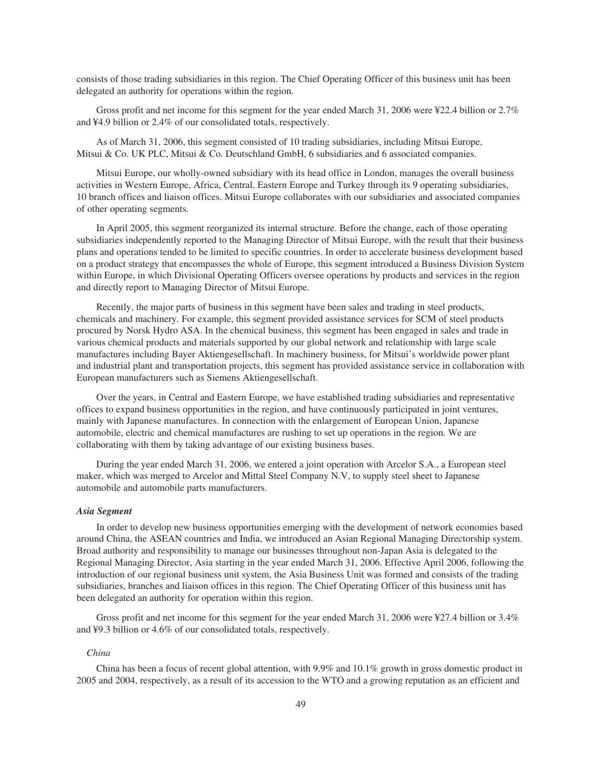consists of those trading subsidiaries in this region. The Chief Operating Officer of this business unit has been delegated an authority for operations within the region.

Gross profit and net income for this segment for the year ended March 31, 2006 were ¥22.4 billion or 2.7% and ¥4.9 billion or 2.4% of our consolidated totals, respectively.

As of March 31, 2006, this segment consisted of 10 trading subsidiaries, including Mitsui Europe, Mitsui & Co. UK PLC, Mitsui & Co. Deutschland GmbH, 6 subsidiaries and 6 associated companies.

Mitsui Europe, our wholly-owned subsidiary with its head office in London, manages the overall business activities in Western Europe, Africa, Central, Eastern Europe and Turkey through its 9 operating subsidiaries, 10 branch offices and liaison offices. Mitsui Europe collaborates with our subsidiaries and associated companies of other operating segments.

In April 2005, this segment reorganized its internal structure. Before the change, each of those operating subsidiaries independently reported to the Managing Director of Mitsui Europe, with the result that their business plans and operations tended to be limited to specific countries. In order to accelerate business development based on a product strategy that encompasses the whole of Europe, this segment introduced a Business Division System within Europe, in which Divisional Operating Officers oversee operations by products and services in the region and directly report to Managing Director of Mitsui Europe.

Recently, the major parts of business in this segment have been sales and trading in steel products, chemicals and machinery. For example, this segment provided assistance services for SCM of steel products procured by Norsk Hydro ASA. In the chemical business, this segment has been engaged in sales and trade in various chemical products and materials supported by our global network and relationship with large scale manufactures including Bayer Aktiengesellschaft. In machinery business, for Mitsui's worldwide power plant and industrial plant and transportation projects, this segment has provided assistance service in collaboration with European manufacturers such as Siemens Aktiengesellschaft.

Over the years, in Central and Eastern Europe, we have established trading subsidiaries and representative offices to expand business opportunities in the region, and have continuously participated in joint ventures, mainly with Japanese manufactures. In connection with the enlargement of European Union, Japanese automobile, electric and chemical manufactures are rushing to set up operations in the region. We are collaborating with them by taking advantage of our existing business bases.

During the year ended March 31, 2006, we entered a joint operation with Arcelor S.A., a European steel maker, which was merged to Arcelor and Mittal Steel Company N.V, to supply steel sheet to Japanese automobile and automobile parts manufacturers.

### *Asia Segment*

In order to develop new business opportunities emerging with the development of network economies based around China, the ASEAN countries and India, we introduced an Asian Regional Managing Directorship system. Broad authority and responsibility to manage our businesses throughout non-Japan Asia is delegated to the Regional Managing Director, Asia starting in the year ended March 31, 2006. Effective April 2006, following the introduction of our regional business unit system, the Asia Business Unit was formed and consists of the trading subsidiaries, branches and liaison offices in this region. The Chief Operating Officer of this business unit has been delegated an authority for operation within this region.

Gross profit and net income for this segment for the year ended March 31, 2006 were ¥27.4 billion or 3.4% and ¥9.3 billion or 4.6% of our consolidated totals, respectively.

### *China*

China has been a focus of recent global attention, with 9.9% and 10.1% growth in gross domestic product in 2005 and 2004, respectively, as a result of its accession to the WTO and a growing reputation as an efficient and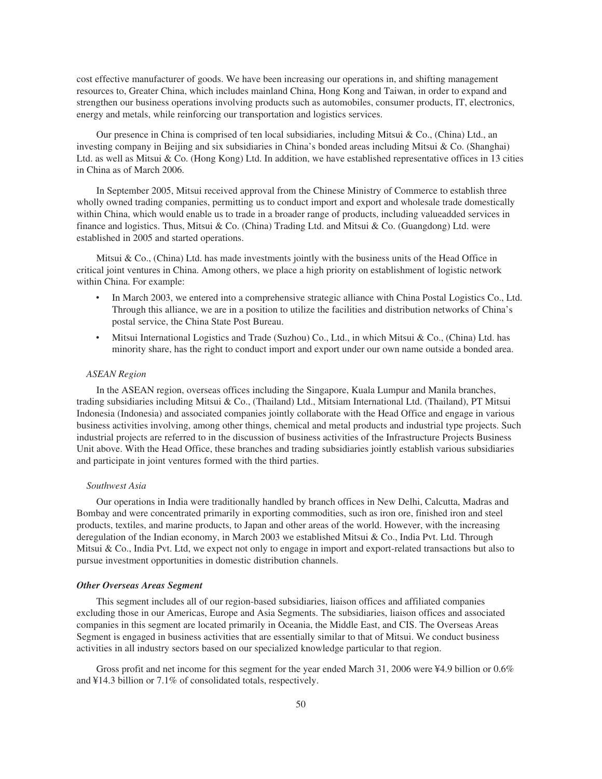cost effective manufacturer of goods. We have been increasing our operations in, and shifting management resources to, Greater China, which includes mainland China, Hong Kong and Taiwan, in order to expand and strengthen our business operations involving products such as automobiles, consumer products, IT, electronics, energy and metals, while reinforcing our transportation and logistics services.

Our presence in China is comprised of ten local subsidiaries, including Mitsui & Co., (China) Ltd., an investing company in Beijing and six subsidiaries in China's bonded areas including Mitsui & Co. (Shanghai) Ltd. as well as Mitsui & Co. (Hong Kong) Ltd. In addition, we have established representative offices in 13 cities in China as of March 2006.

In September 2005, Mitsui received approval from the Chinese Ministry of Commerce to establish three wholly owned trading companies, permitting us to conduct import and export and wholesale trade domestically within China, which would enable us to trade in a broader range of products, including valueadded services in finance and logistics. Thus, Mitsui & Co. (China) Trading Ltd. and Mitsui & Co. (Guangdong) Ltd. were established in 2005 and started operations.

Mitsui & Co., (China) Ltd. has made investments jointly with the business units of the Head Office in critical joint ventures in China. Among others, we place a high priority on establishment of logistic network within China. For example:

- In March 2003, we entered into a comprehensive strategic alliance with China Postal Logistics Co., Ltd. Through this alliance, we are in a position to utilize the facilities and distribution networks of China's postal service, the China State Post Bureau.
- Mitsui International Logistics and Trade (Suzhou) Co., Ltd., in which Mitsui & Co., (China) Ltd. has minority share, has the right to conduct import and export under our own name outside a bonded area.

### *ASEAN Region*

In the ASEAN region, overseas offices including the Singapore, Kuala Lumpur and Manila branches, trading subsidiaries including Mitsui & Co., (Thailand) Ltd., Mitsiam International Ltd. (Thailand), PT Mitsui Indonesia (Indonesia) and associated companies jointly collaborate with the Head Office and engage in various business activities involving, among other things, chemical and metal products and industrial type projects. Such industrial projects are referred to in the discussion of business activities of the Infrastructure Projects Business Unit above. With the Head Office, these branches and trading subsidiaries jointly establish various subsidiaries and participate in joint ventures formed with the third parties.

### *Southwest Asia*

Our operations in India were traditionally handled by branch offices in New Delhi, Calcutta, Madras and Bombay and were concentrated primarily in exporting commodities, such as iron ore, finished iron and steel products, textiles, and marine products, to Japan and other areas of the world. However, with the increasing deregulation of the Indian economy, in March 2003 we established Mitsui & Co., India Pvt. Ltd. Through Mitsui & Co., India Pvt. Ltd, we expect not only to engage in import and export-related transactions but also to pursue investment opportunities in domestic distribution channels.

#### *Other Overseas Areas Segment*

This segment includes all of our region-based subsidiaries, liaison offices and affiliated companies excluding those in our Americas, Europe and Asia Segments. The subsidiaries, liaison offices and associated companies in this segment are located primarily in Oceania, the Middle East, and CIS. The Overseas Areas Segment is engaged in business activities that are essentially similar to that of Mitsui. We conduct business activities in all industry sectors based on our specialized knowledge particular to that region.

Gross profit and net income for this segment for the year ended March 31, 2006 were ¥4.9 billion or 0.6% and ¥14.3 billion or 7.1% of consolidated totals, respectively.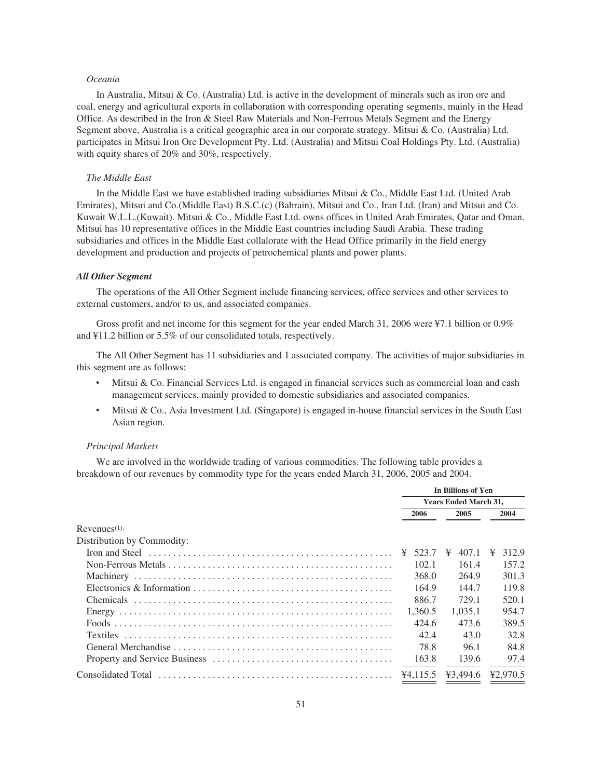## *Oceania*

In Australia, Mitsui & Co. (Australia) Ltd. is active in the development of minerals such as iron ore and coal, energy and agricultural exports in collaboration with corresponding operating segments, mainly in the Head Office. As described in the Iron & Steel Raw Materials and Non-Ferrous Metals Segment and the Energy Segment above, Australia is a critical geographic area in our corporate strategy. Mitsui & Co. (Australia) Ltd. participates in Mitsui Iron Ore Development Pty. Ltd. (Australia) and Mitsui Coal Holdings Pty. Ltd. (Australia) with equity shares of 20% and 30%, respectively.

## *The Middle East*

In the Middle East we have established trading subsidiaries Mitsui & Co., Middle East Ltd. (United Arab Emirates), Mitsui and Co.(Middle East) B.S.C.(c) (Bahrain), Mitsui and Co., Iran Ltd. (Iran) and Mitsui and Co. Kuwait W.L.L.(Kuwait). Mitsui & Co., Middle East Ltd. owns offices in United Arab Emirates, Qatar and Oman. Mitsui has 10 representative offices in the Middle East countries including Saudi Arabia. These trading subsidiaries and offices in the Middle East collalorate with the Head Office primarily in the field energy development and production and projects of petrochemical plants and power plants.

### *All Other Segment*

The operations of the All Other Segment include financing services, office services and other services to external customers, and/or to us, and associated companies.

Gross profit and net income for this segment for the year ended March 31, 2006 were ¥7.1 billion or 0.9% and ¥11.2 billion or 5.5% of our consolidated totals, respectively.

The All Other Segment has 11 subsidiaries and 1 associated company. The activities of major subsidiaries in this segment are as follows:

- Mitsui & Co. Financial Services Ltd. is engaged in financial services such as commercial loan and cash management services, mainly provided to domestic subsidiaries and associated companies.
- Mitsui & Co., Asia Investment Ltd. (Singapore) is engaged in-house financial services in the South East Asian region.

### *Principal Markets*

We are involved in the worldwide trading of various commodities. The following table provides a breakdown of our revenues by commodity type for the years ended March 31, 2006, 2005 and 2004.

|                                                                                         | In Billions of Yen |                              |            |  |  |
|-----------------------------------------------------------------------------------------|--------------------|------------------------------|------------|--|--|
|                                                                                         |                    | <b>Years Ended March 31,</b> |            |  |  |
|                                                                                         | 2006               | 2005                         | 2004       |  |  |
| Revenues <sup>(1)</sup>                                                                 |                    |                              |            |  |  |
| Distribution by Commodity:                                                              |                    |                              |            |  |  |
| Iron and Steel $\dots\dots\dots\dots\dots\dots\dots\dots\dots\dots\dots\dots\dots\dots$ | 523.7              | ¥<br>407.1                   | 312.9<br>¥ |  |  |
|                                                                                         | 102.1              | 161.4                        | 157.2      |  |  |
|                                                                                         | 368.0              | 264.9                        | 301.3      |  |  |
|                                                                                         | 164.9              | 144.7                        | 119.8      |  |  |
|                                                                                         | 886.7              | 729.1                        | 520.1      |  |  |
|                                                                                         | 1.360.5            | 1.035.1                      | 954.7      |  |  |
|                                                                                         | 424.6              | 473.6                        | 389.5      |  |  |
|                                                                                         | 42.4               | 43.0                         | 32.8       |  |  |
|                                                                                         | 78.8               | 96.1                         | 84.8       |  |  |
|                                                                                         | 163.8              | 139.6                        | 97.4       |  |  |
|                                                                                         | ¥4.115.5           | ¥3.494.6                     | 42.970.5   |  |  |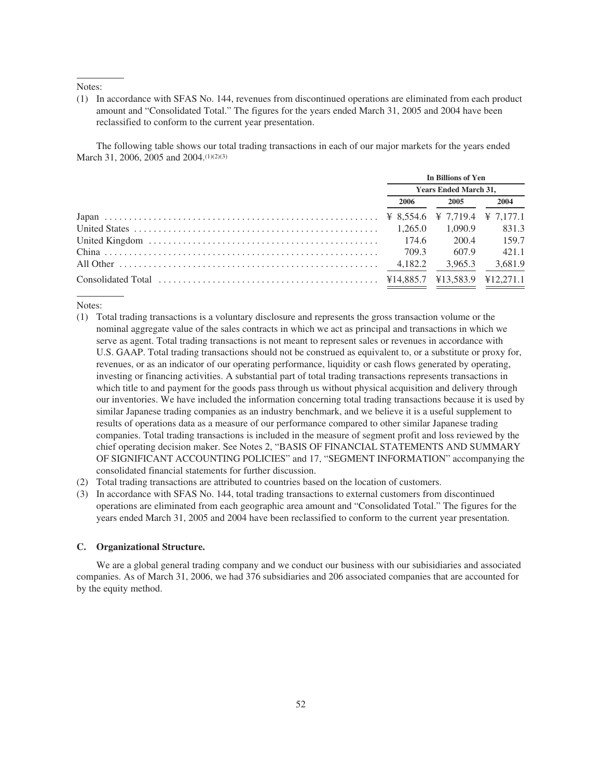## Notes:

(1) In accordance with SFAS No. 144, revenues from discontinued operations are eliminated from each product amount and "Consolidated Total." The figures for the years ended March 31, 2005 and 2004 have been reclassified to conform to the current year presentation.

The following table shows our total trading transactions in each of our major markets for the years ended March 31, 2006, 2005 and 2004.<sup>(1)(2)(3)</sup>

| In Billions of Yen |                              |         |  |  |
|--------------------|------------------------------|---------|--|--|
|                    | <b>Years Ended March 31,</b> |         |  |  |
| 2006               | 2005                         | 2004    |  |  |
|                    |                              |         |  |  |
| 1.265.0            | 1.090.9                      | 831.3   |  |  |
| 174.6              | 200.4                        | 159.7   |  |  |
| 709.3              | 607.9                        | 421.1   |  |  |
| 4.182.2            | 3.965.3                      | 3.681.9 |  |  |
|                    |                              |         |  |  |
|                    |                              |         |  |  |

Notes:

- (1) Total trading transactions is a voluntary disclosure and represents the gross transaction volume or the nominal aggregate value of the sales contracts in which we act as principal and transactions in which we serve as agent. Total trading transactions is not meant to represent sales or revenues in accordance with U.S. GAAP. Total trading transactions should not be construed as equivalent to, or a substitute or proxy for, revenues, or as an indicator of our operating performance, liquidity or cash flows generated by operating, investing or financing activities. A substantial part of total trading transactions represents transactions in which title to and payment for the goods pass through us without physical acquisition and delivery through our inventories. We have included the information concerning total trading transactions because it is used by similar Japanese trading companies as an industry benchmark, and we believe it is a useful supplement to results of operations data as a measure of our performance compared to other similar Japanese trading companies. Total trading transactions is included in the measure of segment profit and loss reviewed by the chief operating decision maker. See Notes 2, "BASIS OF FINANCIAL STATEMENTS AND SUMMARY OF SIGNIFICANT ACCOUNTING POLICIES" and 17, "SEGMENT INFORMATION" accompanying the consolidated financial statements for further discussion.
- (2) Total trading transactions are attributed to countries based on the location of customers.
- (3) In accordance with SFAS No. 144, total trading transactions to external customers from discontinued operations are eliminated from each geographic area amount and "Consolidated Total." The figures for the years ended March 31, 2005 and 2004 have been reclassified to conform to the current year presentation.

### **C. Organizational Structure.**

We are a global general trading company and we conduct our business with our subisidiaries and associated companies. As of March 31, 2006, we had 376 subsidiaries and 206 associated companies that are accounted for by the equity method.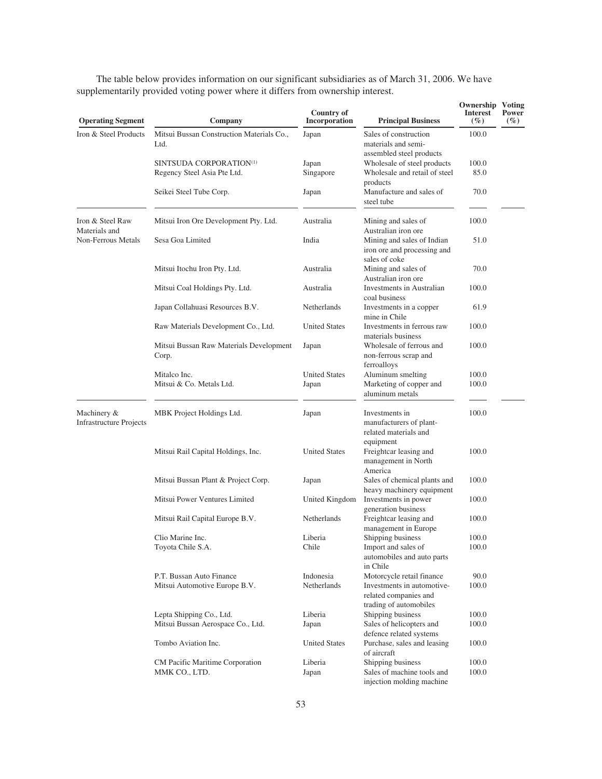| <b>Operating Segment</b>                      | Company                                                | Country of<br>Incorporation | <b>Principal Business</b>                                                       | <b>Ownership Voting</b><br><b>Interest</b><br>(%) | Power<br>$( \% )$ |
|-----------------------------------------------|--------------------------------------------------------|-----------------------------|---------------------------------------------------------------------------------|---------------------------------------------------|-------------------|
| Iron & Steel Products                         | Mitsui Bussan Construction Materials Co.,<br>Ltd.      | Japan                       | Sales of construction<br>materials and semi-<br>assembled steel products        | 100.0                                             |                   |
|                                               | SINTSUDA CORPORATION(1)<br>Regency Steel Asia Pte Ltd. | Japan<br>Singapore          | Wholesale of steel products<br>Wholesale and retail of steel<br>products        | 100.0<br>85.0                                     |                   |
|                                               | Seikei Steel Tube Corp.                                | Japan                       | Manufacture and sales of<br>steel tube                                          | 70.0                                              |                   |
| Iron & Steel Raw<br>Materials and             | Mitsui Iron Ore Development Pty. Ltd.                  | Australia                   | Mining and sales of<br>Australian iron ore                                      | 100.0                                             |                   |
| Non-Ferrous Metals                            | Sesa Goa Limited                                       | India                       | Mining and sales of Indian<br>iron ore and processing and<br>sales of coke      | 51.0                                              |                   |
|                                               | Mitsui Itochu Iron Pty. Ltd.                           | Australia                   | Mining and sales of<br>Australian iron ore                                      | 70.0                                              |                   |
|                                               | Mitsui Coal Holdings Pty. Ltd.                         | Australia                   | <b>Investments in Australian</b><br>coal business                               | 100.0                                             |                   |
|                                               | Japan Collahuasi Resources B.V.                        | <b>Netherlands</b>          | Investments in a copper<br>mine in Chile                                        | 61.9                                              |                   |
|                                               | Raw Materials Development Co., Ltd.                    | <b>United States</b>        | Investments in ferrous raw<br>materials business                                | 100.0                                             |                   |
|                                               | Mitsui Bussan Raw Materials Development<br>Corp.       | Japan                       | Wholesale of ferrous and<br>non-ferrous scrap and<br>ferroalloys                | 100.0                                             |                   |
|                                               | Mitalco Inc.                                           | <b>United States</b>        | Aluminum smelting                                                               | 100.0                                             |                   |
|                                               | Mitsui & Co. Metals Ltd.                               | Japan                       | Marketing of copper and<br>aluminum metals                                      | 100.0                                             |                   |
| Machinery &<br><b>Infrastructure Projects</b> | MBK Project Holdings Ltd.                              | Japan                       | Investments in<br>manufacturers of plant-<br>related materials and<br>equipment | 100.0                                             |                   |
|                                               | Mitsui Rail Capital Holdings, Inc.                     | <b>United States</b>        | Freightcar leasing and<br>management in North<br>America                        | 100.0                                             |                   |
|                                               | Mitsui Bussan Plant & Project Corp.                    | Japan                       | Sales of chemical plants and<br>heavy machinery equipment                       | 100.0                                             |                   |
|                                               | Mitsui Power Ventures Limited                          | United Kingdom              | Investments in power<br>generation business                                     | 100.0                                             |                   |
|                                               | Mitsui Rail Capital Europe B.V.                        | Netherlands                 | Freightcar leasing and<br>management in Europe                                  | 100.0                                             |                   |
|                                               | Clio Marine Inc.                                       | Liberia                     | Shipping business                                                               | 100.0                                             |                   |
|                                               | Toyota Chile S.A.                                      | Chile                       | Import and sales of<br>automobiles and auto parts<br>in Chile                   | 100.0                                             |                   |
|                                               | P.T. Bussan Auto Finance                               | Indonesia                   | Motorcycle retail finance                                                       | 90.0                                              |                   |
|                                               | Mitsui Automotive Europe B.V.                          | Netherlands                 | Investments in automotive-<br>related companies and<br>trading of automobiles   | 100.0                                             |                   |
|                                               | Lepta Shipping Co., Ltd.                               | Liberia                     | Shipping business                                                               | 100.0                                             |                   |
|                                               | Mitsui Bussan Aerospace Co., Ltd.                      | Japan                       | Sales of helicopters and<br>defence related systems                             | 100.0                                             |                   |
|                                               | Tombo Aviation Inc.                                    | <b>United States</b>        | Purchase, sales and leasing<br>of aircraft                                      | 100.0                                             |                   |
|                                               | CM Pacific Maritime Corporation                        | Liberia                     | Shipping business                                                               | 100.0                                             |                   |
|                                               | MMK CO., LTD.                                          | Japan                       | Sales of machine tools and<br>injection molding machine                         | 100.0                                             |                   |

The table below provides information on our significant subsidiaries as of March 31, 2006. We have supplementarily provided voting power where it differs from ownership interest.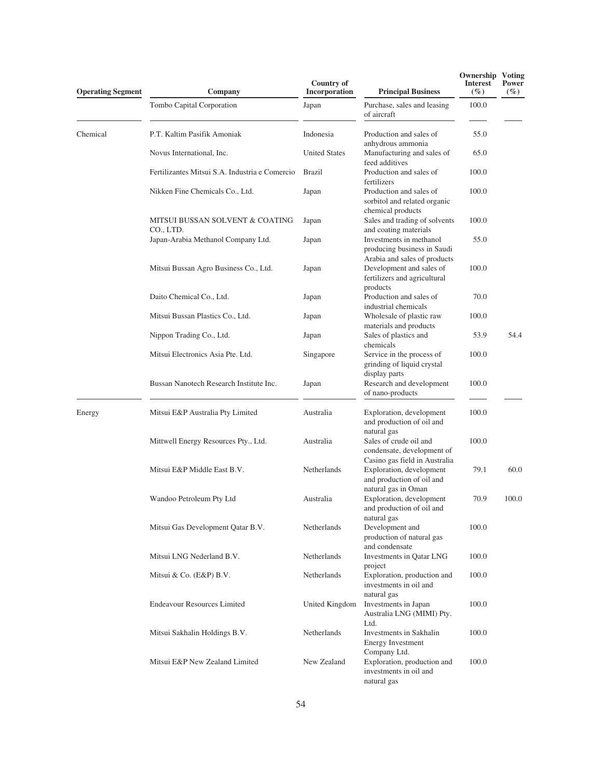| <b>Operating Segment</b> | Company                                        | <b>Country of</b><br>Incorporation | <b>Principal Business</b>                                                                            | <b>Ownership Voting</b><br><b>Interest</b><br>$(\%)$ | Power<br>$( \% )$ |
|--------------------------|------------------------------------------------|------------------------------------|------------------------------------------------------------------------------------------------------|------------------------------------------------------|-------------------|
|                          | Tombo Capital Corporation                      | Japan                              | Purchase, sales and leasing<br>of aircraft                                                           | 100.0                                                |                   |
| Chemical                 | P.T. Kaltim Pasifik Amoniak                    | Indonesia                          | Production and sales of<br>anhydrous ammonia                                                         | 55.0                                                 |                   |
|                          | Novus International, Inc.                      | <b>United States</b>               | Manufacturing and sales of                                                                           | 65.0                                                 |                   |
|                          | Fertilizantes Mitsui S.A. Industria e Comercio | <b>Brazil</b>                      | feed additives<br>Production and sales of<br>fertilizers                                             | 100.0                                                |                   |
|                          | Nikken Fine Chemicals Co., Ltd.                | Japan                              | Production and sales of<br>sorbitol and related organic<br>chemical products                         | 100.0                                                |                   |
|                          | MITSUI BUSSAN SOLVENT & COATING<br>CO., LTD.   | Japan                              | Sales and trading of solvents<br>and coating materials                                               | 100.0                                                |                   |
|                          | Japan-Arabia Methanol Company Ltd.             | Japan                              | Investments in methanol<br>producing business in Saudi                                               | 55.0                                                 |                   |
|                          | Mitsui Bussan Agro Business Co., Ltd.          | Japan                              | Arabia and sales of products<br>Development and sales of<br>fertilizers and agricultural<br>products | 100.0                                                |                   |
|                          | Daito Chemical Co., Ltd.                       | Japan                              | Production and sales of<br>industrial chemicals                                                      | 70.0                                                 |                   |
|                          | Mitsui Bussan Plastics Co., Ltd.               | Japan                              | Wholesale of plastic raw<br>materials and products                                                   | 100.0                                                |                   |
|                          | Nippon Trading Co., Ltd.                       | Japan                              | Sales of plastics and<br>chemicals                                                                   | 53.9                                                 | 54.4              |
|                          | Mitsui Electronics Asia Pte. Ltd.              | Singapore                          | Service in the process of<br>grinding of liquid crystal                                              | 100.0                                                |                   |
|                          | Bussan Nanotech Research Institute Inc.        | Japan                              | display parts<br>Research and development<br>of nano-products                                        | 100.0                                                |                   |
| Energy                   | Mitsui E&P Australia Pty Limited               | Australia                          | Exploration, development<br>and production of oil and                                                | 100.0                                                |                   |
|                          | Mittwell Energy Resources Pty., Ltd.           | Australia                          | natural gas<br>Sales of crude oil and<br>condensate, development of                                  | 100.0                                                |                   |
|                          | Mitsui E&P Middle East B.V.                    | Netherlands                        | Casino gas field in Australia<br>Exploration, development<br>and production of oil and               | 79.1                                                 | 60.0              |
|                          | Wandoo Petroleum Pty Ltd                       | Australia                          | natural gas in Oman<br>Exploration, development<br>and production of oil and<br>natural gas          | 70.9                                                 | 100.0             |
|                          | Mitsui Gas Development Oatar B.V.              | Netherlands                        | Development and<br>production of natural gas<br>and condensate                                       | 100.0                                                |                   |
|                          | Mitsui LNG Nederland B.V.                      | Netherlands                        | Investments in Oatar LNG<br>project                                                                  | 100.0                                                |                   |
|                          | Mitsui & Co. (E&P) B.V.                        | Netherlands                        | Exploration, production and<br>investments in oil and<br>natural gas                                 | 100.0                                                |                   |
|                          | <b>Endeavour Resources Limited</b>             | United Kingdom                     | Investments in Japan<br>Australia LNG (MIMI) Pty.<br>Ltd.                                            | 100.0                                                |                   |
|                          | Mitsui Sakhalin Holdings B.V.                  | Netherlands                        | Investments in Sakhalin<br><b>Energy Investment</b><br>Company Ltd.                                  | 100.0                                                |                   |
|                          | Mitsui E&P New Zealand Limited                 | New Zealand                        | Exploration, production and<br>investments in oil and<br>natural gas                                 | 100.0                                                |                   |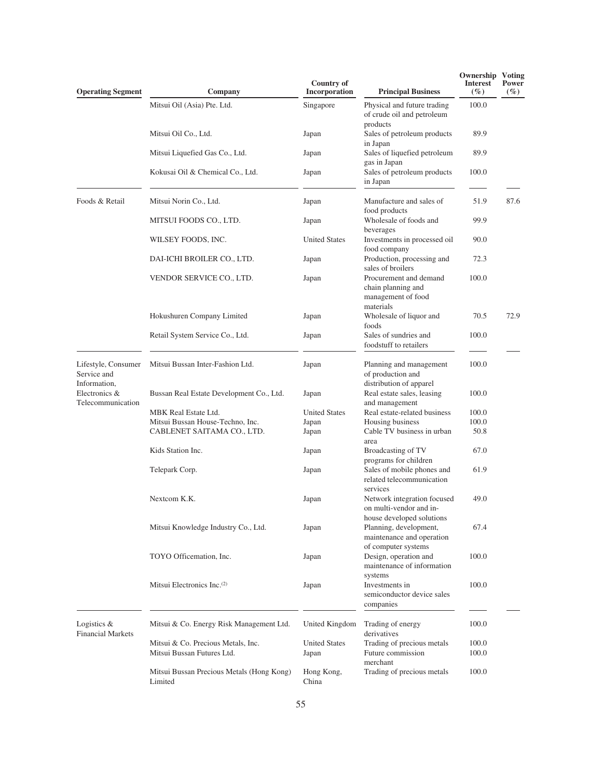| <b>Operating Segment</b>                           | Company                                                          | <b>Country of</b><br>Incorporation | <b>Principal Business</b>                                                           | Ownership<br>Interest<br>$(\%)$ | <b>Voting</b><br>Power<br>$(\%)$ |
|----------------------------------------------------|------------------------------------------------------------------|------------------------------------|-------------------------------------------------------------------------------------|---------------------------------|----------------------------------|
|                                                    | Mitsui Oil (Asia) Pte. Ltd.                                      | Singapore                          | Physical and future trading<br>of crude oil and petroleum                           | 100.0                           |                                  |
|                                                    | Mitsui Oil Co., Ltd.                                             | Japan                              | products<br>Sales of petroleum products<br>in Japan                                 | 89.9                            |                                  |
|                                                    | Mitsui Liquefied Gas Co., Ltd.                                   | Japan                              | Sales of liquefied petroleum<br>gas in Japan                                        | 89.9                            |                                  |
|                                                    | Kokusai Oil & Chemical Co., Ltd.                                 | Japan                              | Sales of petroleum products<br>in Japan                                             | 100.0                           |                                  |
| Foods & Retail                                     | Mitsui Norin Co., Ltd.                                           | Japan                              | Manufacture and sales of<br>food products                                           | 51.9                            | 87.6                             |
|                                                    | MITSUI FOODS CO., LTD.                                           | Japan                              | Wholesale of foods and<br>beverages                                                 | 99.9                            |                                  |
|                                                    | WILSEY FOODS, INC.                                               | <b>United States</b>               | Investments in processed oil<br>food company                                        | 90.0                            |                                  |
|                                                    | DAI-ICHI BROILER CO., LTD.                                       | Japan                              | Production, processing and<br>sales of broilers                                     | 72.3                            |                                  |
|                                                    | VENDOR SERVICE CO., LTD.                                         | Japan                              | Procurement and demand<br>chain planning and<br>management of food<br>materials     | 100.0                           |                                  |
|                                                    | Hokushuren Company Limited                                       | Japan                              | Wholesale of liquor and<br>foods                                                    | 70.5                            | 72.9                             |
|                                                    | Retail System Service Co., Ltd.                                  | Japan                              | Sales of sundries and<br>foodstuff to retailers                                     | 100.0                           |                                  |
| Lifestyle, Consumer<br>Service and                 | Mitsui Bussan Inter-Fashion Ltd.                                 | Japan                              | Planning and management<br>of production and<br>distribution of apparel             | 100.0                           |                                  |
| Information,<br>Electronics &<br>Telecommunication | Bussan Real Estate Development Co., Ltd.                         | Japan                              | Real estate sales, leasing<br>and management                                        | 100.0                           |                                  |
|                                                    | MBK Real Estate Ltd.                                             | <b>United States</b>               | Real estate-related business                                                        | 100.0                           |                                  |
|                                                    | Mitsui Bussan House-Techno, Inc.                                 | Japan                              | Housing business                                                                    | 100.0                           |                                  |
|                                                    | CABLENET SAITAMA CO., LTD.                                       | Japan                              | Cable TV business in urban<br>area                                                  | 50.8                            |                                  |
|                                                    | Kids Station Inc.                                                | Japan                              | Broadcasting of TV<br>programs for children                                         | 67.0                            |                                  |
|                                                    | Telepark Corp.                                                   | Japan                              | Sales of mobile phones and<br>related telecommunication<br>services                 | 61.9                            |                                  |
|                                                    | Nextcom K.K.                                                     | Japan                              | Network integration focused<br>on multi-vendor and in-<br>house developed solutions | 49.0                            |                                  |
|                                                    | Mitsui Knowledge Industry Co., Ltd.                              | Japan                              | Planning, development,<br>maintenance and operation<br>of computer systems          | 67.4                            |                                  |
|                                                    | TOYO Officemation, Inc.                                          | Japan                              | Design, operation and<br>maintenance of information                                 | 100.0                           |                                  |
|                                                    | Mitsui Electronics Inc. <sup>(2)</sup>                           | Japan                              | systems<br>Investments in<br>semiconductor device sales<br>companies                | 100.0                           |                                  |
| Logistics &<br><b>Financial Markets</b>            | Mitsui & Co. Energy Risk Management Ltd.                         | United Kingdom                     | Trading of energy<br>derivatives                                                    | 100.0                           |                                  |
|                                                    | Mitsui & Co. Precious Metals, Inc.<br>Mitsui Bussan Futures Ltd. | <b>United States</b><br>Japan      | Trading of precious metals<br>Future commission<br>merchant                         | 100.0<br>100.0                  |                                  |
|                                                    | Mitsui Bussan Precious Metals (Hong Kong)<br>Limited             | Hong Kong,<br>China                | Trading of precious metals                                                          | 100.0                           |                                  |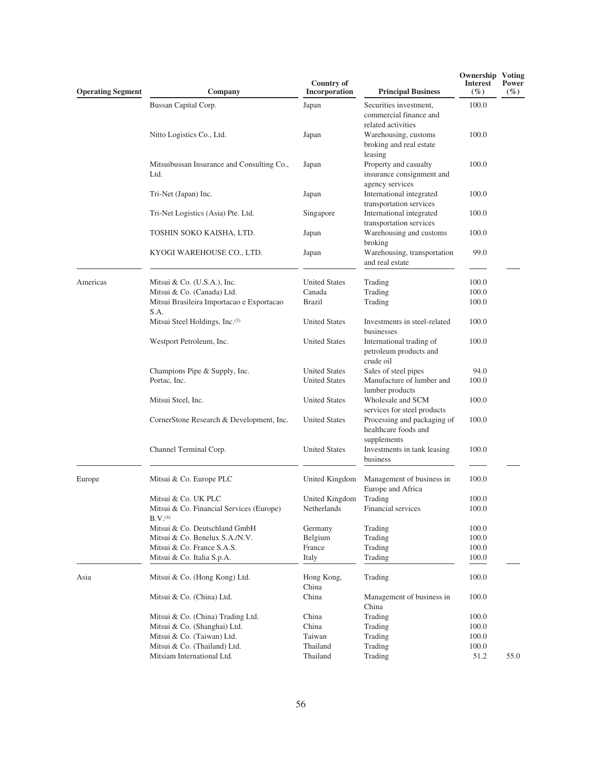| <b>Operating Segment</b> | Company                                                           | <b>Country of</b><br>Incorporation | <b>Principal Business</b>                                              | <b>Ownership Voting</b><br><b>Interest</b><br>$(\%)$ | Power<br>$( \% )$ |
|--------------------------|-------------------------------------------------------------------|------------------------------------|------------------------------------------------------------------------|------------------------------------------------------|-------------------|
|                          | Bussan Capital Corp.                                              | Japan                              | Securities investment,<br>commercial finance and<br>related activities | 100.0                                                |                   |
|                          | Nitto Logistics Co., Ltd.                                         | Japan                              | Warehousing, customs<br>broking and real estate<br>leasing             | 100.0                                                |                   |
|                          | Mitsuibussan Insurance and Consulting Co.,<br>Ltd.                | Japan                              | Property and casualty<br>insurance consignment and<br>agency services  | 100.0                                                |                   |
|                          | Tri-Net (Japan) Inc.                                              | Japan                              | International integrated<br>transportation services                    | 100.0                                                |                   |
|                          | Tri-Net Logistics (Asia) Pte. Ltd.                                | Singapore                          | International integrated<br>transportation services                    | 100.0                                                |                   |
|                          | TOSHIN SOKO KAISHA, LTD.                                          | Japan                              | Warehousing and customs<br>broking                                     | 100.0                                                |                   |
|                          | KYOGI WAREHOUSE CO., LTD.                                         | Japan                              | Warehousing, transportation<br>and real estate                         | 99.0                                                 |                   |
| Americas                 | Mitsui & Co. (U.S.A.), Inc.                                       | <b>United States</b>               | Trading                                                                | 100.0                                                |                   |
|                          | Mitsui & Co. (Canada) Ltd.                                        | Canada                             | Trading                                                                | 100.0                                                |                   |
|                          | Mitsui Brasileira Importacao e Exportacao<br>S.A.                 | Brazil                             | Trading                                                                | 100.0                                                |                   |
|                          | Mitsui Steel Holdings, Inc.(3)                                    | <b>United States</b>               | Investments in steel-related<br>businesses                             | 100.0                                                |                   |
|                          | Westport Petroleum, Inc.                                          | <b>United States</b>               | International trading of<br>petroleum products and<br>crude oil        | 100.0                                                |                   |
|                          | Champions Pipe & Supply, Inc.                                     | <b>United States</b>               | Sales of steel pipes                                                   | 94.0                                                 |                   |
|                          | Portac, Inc.                                                      | <b>United States</b>               | Manufacture of lumber and<br>lumber products                           | 100.0                                                |                   |
|                          | Mitsui Steel, Inc.                                                | <b>United States</b>               | Wholesale and SCM<br>services for steel products                       | 100.0                                                |                   |
|                          | CornerStone Research & Development, Inc.                          | <b>United States</b>               | Processing and packaging of<br>healthcare foods and<br>supplements     | 100.0                                                |                   |
|                          | Channel Terminal Corp.                                            | <b>United States</b>               | Investments in tank leasing<br>business                                | 100.0                                                |                   |
| Europe                   | Mitsui & Co. Europe PLC                                           | United Kingdom                     | Management of business in<br>Europe and Africa                         | 100.0                                                |                   |
|                          | Mitsui & Co. UK PLC                                               | United Kingdom                     | Trading                                                                | 100.0                                                |                   |
|                          | Mitsui & Co. Financial Services (Europe)<br>$B.V.$ <sup>(4)</sup> | Netherlands                        | Financial services                                                     | 100.0                                                |                   |
|                          | Mitsui & Co. Deutschland GmbH                                     | Germany                            | Trading                                                                | 100.0                                                |                   |
|                          | Mitsui & Co. Benelux S.A./N.V.                                    | Belgium                            | Trading                                                                | 100.0                                                |                   |
|                          | Mitsui & Co. France S.A.S.                                        | France                             | Trading                                                                | 100.0                                                |                   |
|                          | Mitsui & Co. Italia S.p.A.                                        | Italy                              | Trading                                                                | 100.0                                                |                   |
| Asia                     | Mitsui & Co. (Hong Kong) Ltd.                                     | Hong Kong,<br>China                | Trading                                                                | 100.0                                                |                   |
|                          | Mitsui & Co. (China) Ltd.                                         | China                              | Management of business in<br>China                                     | 100.0                                                |                   |
|                          | Mitsui & Co. (China) Trading Ltd.                                 | China                              | Trading                                                                | 100.0                                                |                   |
|                          | Mitsui & Co. (Shanghai) Ltd.                                      | China                              | Trading                                                                | 100.0                                                |                   |
|                          | Mitsui & Co. (Taiwan) Ltd.                                        | Taiwan                             | Trading                                                                | 100.0                                                |                   |
|                          | Mitsui & Co. (Thailand) Ltd.                                      | Thailand                           | Trading                                                                | 100.0                                                |                   |
|                          | Mitsiam International Ltd.                                        | Thailand                           | Trading                                                                | 51.2                                                 | 55.0              |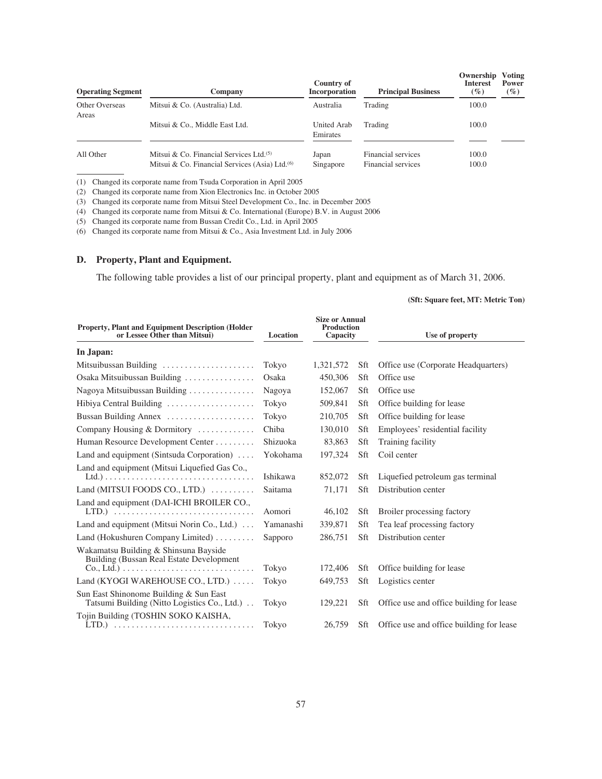| <b>Operating Segment</b> | Company                                                                                                  | Country of<br>Incorporation | <b>Principal Business</b>                | Ownership<br><b>Interest</b><br>$(\%)$ | Voting<br>Power<br>$(\%)$ |
|--------------------------|----------------------------------------------------------------------------------------------------------|-----------------------------|------------------------------------------|----------------------------------------|---------------------------|
| Other Overseas<br>Areas  | Mitsui & Co. (Australia) Ltd.                                                                            | Australia                   | Trading                                  | 100.0                                  |                           |
|                          | Mitsui & Co., Middle East Ltd.                                                                           | United Arab<br>Emirates     | Trading                                  | 100.0                                  |                           |
| All Other                | Mitsui & Co. Financial Services Ltd. $(5)$<br>Mitsui & Co. Financial Services (Asia) Ltd. <sup>(6)</sup> | Japan<br>Singapore          | Financial services<br>Financial services | 100.0<br>100.0                         |                           |

(1) Changed its corporate name from Tsuda Corporation in April 2005

(2) Changed its corporate name from Xion Electronics Inc. in October 2005

(3) Changed its corporate name from Mitsui Steel Development Co., Inc. in December 2005

(4) Changed its corporate name from Mitsui & Co. International (Europe) B.V. in August 2006

(5) Changed its corporate name from Bussan Credit Co., Ltd. in April 2005

(6) Changed its corporate name from Mitsui & Co., Asia Investment Ltd. in July 2006

# **D. Property, Plant and Equipment.**

The following table provides a list of our principal property, plant and equipment as of March 31, 2006.

## **(Sft: Square feet, MT: Metric Ton)**

| <b>Property, Plant and Equipment Description (Holder)</b><br>or Lessee Other than Mitsui)                                                                              | Location  | <b>Size or Annual</b><br><b>Production</b><br>Capacity |     | Use of property                          |  |
|------------------------------------------------------------------------------------------------------------------------------------------------------------------------|-----------|--------------------------------------------------------|-----|------------------------------------------|--|
| In Japan:                                                                                                                                                              |           |                                                        |     |                                          |  |
| Mitsuibussan Building                                                                                                                                                  | Tokyo     | 1,321,572                                              | Sft | Office use (Corporate Headquarters)      |  |
| Osaka Mitsuibussan Building                                                                                                                                            | Osaka     | 450,306                                                | Sft | Office use                               |  |
| Nagoya Mitsuibussan Building                                                                                                                                           | Nagoya    | 152,067                                                | Sft | Office use                               |  |
| Hibiya Central Building                                                                                                                                                | Tokyo     | 509,841                                                | Sft | Office building for lease                |  |
| Bussan Building Annex                                                                                                                                                  | Tokyo     | 210,705                                                | Sft | Office building for lease                |  |
| Company Housing & Dormitory                                                                                                                                            | Chiba     | 130,010                                                | Sft | Employees' residential facility          |  |
| Human Resource Development Center                                                                                                                                      | Shizuoka  | 83,863                                                 | Sft | Training facility                        |  |
| Land and equipment (Sintsuda Corporation) $\dots$                                                                                                                      | Yokohama  | 197,324                                                | Sft | Coil center                              |  |
| Land and equipment (Mitsui Liquefied Gas Co.,                                                                                                                          | Ishikawa  | 852,072                                                | Sft | Liquefied petroleum gas terminal         |  |
| Land (MITSUI FOODS CO., LTD.) $\ldots \ldots$                                                                                                                          | Saitama   | 71,171                                                 | Sft | Distribution center                      |  |
| Land and equipment (DAI-ICHI BROILER CO.,                                                                                                                              | Aomori    | 46,102                                                 | Sft | Broiler processing factory               |  |
| Land and equipment (Mitsui Norin Co., Ltd.)                                                                                                                            | Yamanashi | 339,871                                                | Sft | Tea leaf processing factory              |  |
| Land (Hokushuren Company Limited) $\dots\dots\dots$                                                                                                                    | Sapporo   | 286,751                                                | Sft | Distribution center                      |  |
| Wakamatsu Building & Shinsuna Bayside<br>Building (Bussan Real Estate Development<br>$Co, Ltd.) \ldots \ldots \ldots \ldots \ldots \ldots \ldots \ldots \ldots \ldots$ | Tokyo     | 172,406                                                | Sft | Office building for lease                |  |
| Land (KYOGI WAREHOUSE CO., LTD.)                                                                                                                                       | Tokyo     | 649,753                                                | Sft | Logistics center                         |  |
| Sun East Shinonome Building & Sun East<br>Tatsumi Building (Nitto Logistics Co., Ltd.)                                                                                 | Tokyo     | 129,221                                                | Sft | Office use and office building for lease |  |
| Tojin Building (TOSHIN SOKO KAISHA,                                                                                                                                    | Tokyo     | 26,759                                                 | Sft | Office use and office building for lease |  |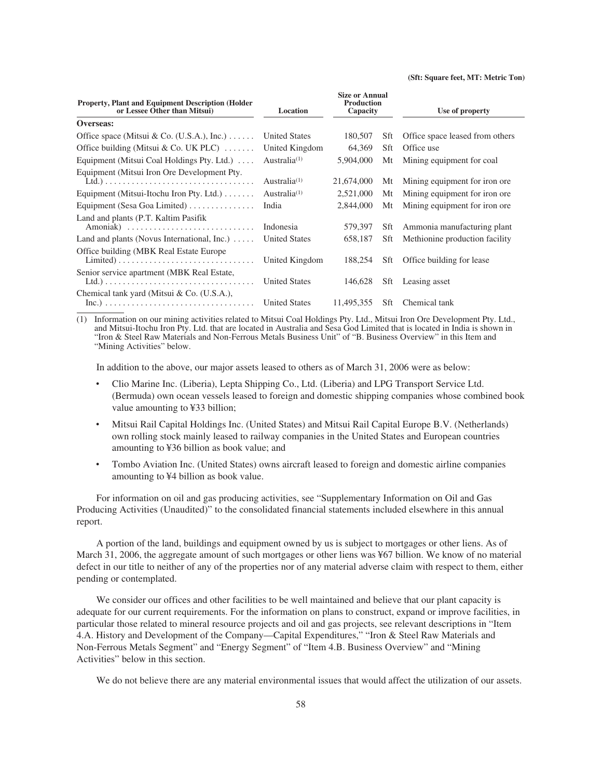### **(Sft: Square feet, MT: Metric Ton)**

| <b>Property, Plant and Equipment Description (Holder)</b><br>or Lessee Other than Mitsui)                                      | Location             | <b>Size or Annual</b><br><b>Production</b><br>Capacity |     | Use of property                 |
|--------------------------------------------------------------------------------------------------------------------------------|----------------------|--------------------------------------------------------|-----|---------------------------------|
| Overseas:                                                                                                                      |                      |                                                        |     |                                 |
| Office space (Mitsui & Co. (U.S.A.), Inc.) $\dots$ .                                                                           | <b>United States</b> | 180,507                                                | Sft | Office space leased from others |
| Office building (Mitsui & Co. UK PLC) $\dots$                                                                                  | United Kingdom       | 64,369                                                 | Sft | Office use                      |
| Equipment (Mitsui Coal Holdings Pty. Ltd.) $\dots$                                                                             | Australia $(1)$      | 5,904,000                                              | Mt  | Mining equipment for coal       |
| Equipment (Mitsui Iron Ore Development Pty.                                                                                    | Australia $(1)$      | 21,674,000                                             | Mt  | Mining equipment for iron ore.  |
| Equipment (Mitsui-Itochu Iron Pty. Ltd.)                                                                                       | Australia $(1)$      | 2,521,000                                              | Mt  | Mining equipment for iron ore.  |
| Equipment (Sesa Goa Limited) $\dots\dots\dots\dots$                                                                            | India                | 2,844,000                                              | Mt  | Mining equipment for iron ore.  |
| Land and plants (P.T. Kaltim Pasifik<br>Amoniak)                                                                               | Indonesia            | 579,397                                                | Sft | Ammonia manufacturing plant     |
| Land and plants (Novus International, Inc.) $\dots$                                                                            | <b>United States</b> | 658,187                                                | Sft | Methionine production facility  |
| Office building (MBK Real Estate Europe)<br>$Limited) \dots \dots \dots \dots \dots \dots \dots \dots \dots \dots \dots \dots$ | United Kingdom       | 188,254                                                | Sft | Office building for lease       |
| Senior service apartment (MBK Real Estate,                                                                                     | <b>United States</b> | 146,628                                                | Sft | Leasing asset                   |
| Chemical tank yard (Mitsui & Co. (U.S.A.),<br>$Inc.) \n \n \n \n \n \n \n \n \n$                                               | <b>United States</b> | 11.495.355                                             | Sft | Chemical tank                   |

(1) Information on our mining activities related to Mitsui Coal Holdings Pty. Ltd., Mitsui Iron Ore Development Pty. Ltd., and Mitsui-Itochu Iron Pty. Ltd. that are located in Australia and Sesa God Limited that is located in India is shown in "Iron & Steel Raw Materials and Non-Ferrous Metals Business Unit" of "B. Business Overview" in this Item and "Mining Activities" below.

In addition to the above, our major assets leased to others as of March 31, 2006 were as below:

- ‰ Clio Marine Inc. (Liberia), Lepta Shipping Co., Ltd. (Liberia) and LPG Transport Service Ltd. (Bermuda) own ocean vessels leased to foreign and domestic shipping companies whose combined book value amounting to ¥33 billion;
- ‰ Mitsui Rail Capital Holdings Inc. (United States) and Mitsui Rail Capital Europe B.V. (Netherlands) own rolling stock mainly leased to railway companies in the United States and European countries amounting to ¥36 billion as book value; and
- Tombo Aviation Inc. (United States) owns aircraft leased to foreign and domestic airline companies amounting to ¥4 billion as book value.

For information on oil and gas producing activities, see "Supplementary Information on Oil and Gas Producing Activities (Unaudited)" to the consolidated financial statements included elsewhere in this annual report.

A portion of the land, buildings and equipment owned by us is subject to mortgages or other liens. As of March 31, 2006, the aggregate amount of such mortgages or other liens was ¥67 billion. We know of no material defect in our title to neither of any of the properties nor of any material adverse claim with respect to them, either pending or contemplated.

We consider our offices and other facilities to be well maintained and believe that our plant capacity is adequate for our current requirements. For the information on plans to construct, expand or improve facilities, in particular those related to mineral resource projects and oil and gas projects, see relevant descriptions in "Item 4.A. History and Development of the Company—Capital Expenditures," "Iron & Steel Raw Materials and Non-Ferrous Metals Segment" and "Energy Segment" of "Item 4.B. Business Overview" and "Mining Activities" below in this section.

We do not believe there are any material environmental issues that would affect the utilization of our assets.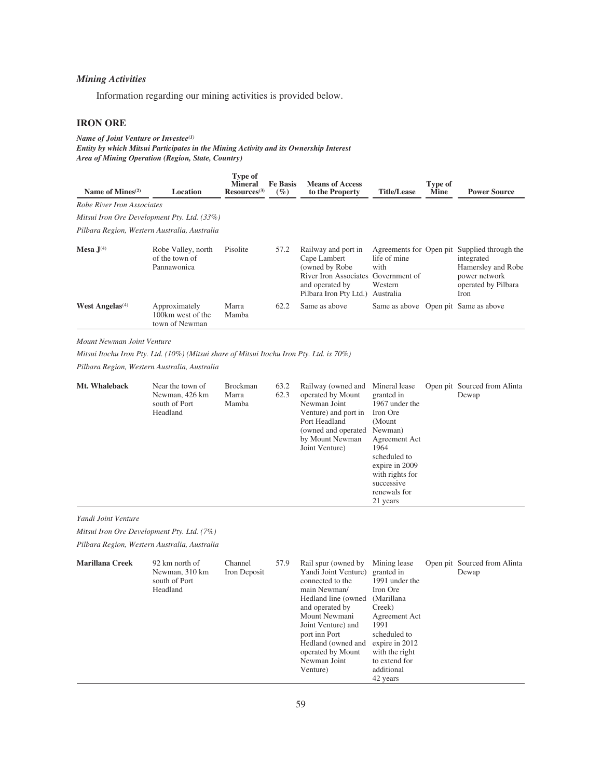# *Mining Activities*

Information regarding our mining activities is provided below.

## **IRON ORE**

*Name of Joint Venture or Investee(1) Entity by which Mitsui Participates in the Mining Activity and its Ownership Interest Area of Mining Operation (Region, State, Country)*

| Name of Mines $(2)$                          | Location                                             | <b>Type of</b><br><b>Mineral</b><br>$Resources^{(3)}$ | <b>Fe Basis</b><br>$(\%)$ | <b>Means of Access</b><br>to the Property                                                                                                  | <b>Title/Lease</b>                           | Type of<br>Mine | <b>Power Source</b>                                                                                                              |
|----------------------------------------------|------------------------------------------------------|-------------------------------------------------------|---------------------------|--------------------------------------------------------------------------------------------------------------------------------------------|----------------------------------------------|-----------------|----------------------------------------------------------------------------------------------------------------------------------|
| Robe River Iron Associates                   |                                                      |                                                       |                           |                                                                                                                                            |                                              |                 |                                                                                                                                  |
| Mitsui Iron Ore Development Pty. Ltd. (33%)  |                                                      |                                                       |                           |                                                                                                                                            |                                              |                 |                                                                                                                                  |
| Pilbara Region, Western Australia, Australia |                                                      |                                                       |                           |                                                                                                                                            |                                              |                 |                                                                                                                                  |
| Mesa $J(4)$                                  | Robe Valley, north<br>of the town of<br>Pannawonica  | Pisolite                                              | 57.2                      | Railway and port in<br>Cape Lambert<br>(owned by Robe)<br>River Iron Associates Government of<br>and operated by<br>Pilbara Iron Pty Ltd.) | life of mine<br>with<br>Western<br>Australia |                 | Agreements for Open pit Supplied through the<br>integrated<br>Hamersley and Robe<br>power network<br>operated by Pilbara<br>Iron |
| <b>West Angelas</b> <sup>(4)</sup>           | Approximately<br>100km west of the<br>town of Newman | Marra<br>Mamba                                        | 62.2                      | Same as above                                                                                                                              | Same as above Open pit Same as above         |                 |                                                                                                                                  |

## *Mount Newman Joint Venture*

*Mitsui Itochu Iron Pty. Ltd. (10%) (Mitsui share of Mitsui Itochu Iron Pty. Ltd. is 70%)*

*Pilbara Region, Western Australia, Australia*

| Mt. Whaleback       | Near the town of<br>Newman, 426 km<br>south of Port<br>Headland | <b>Brockman</b><br>Marra<br>Mamba | 63.2<br>62.3 | Railway (owned and<br>operated by Mount<br>Newman Joint<br>Venture) and port in<br>Port Headland<br>(owned and operated<br>by Mount Newman<br>Joint Venture)                                                                                 | Mineral lease<br>granted in<br>1967 under the<br>Iron Ore<br>(Mount<br>Newman)<br>Agreement Act<br>1964<br>scheduled to<br>expire in 2009<br>with rights for<br>successive<br>renewals for<br>21 years | Open pit Sourced from Alinta<br>Dewap |
|---------------------|-----------------------------------------------------------------|-----------------------------------|--------------|----------------------------------------------------------------------------------------------------------------------------------------------------------------------------------------------------------------------------------------------|--------------------------------------------------------------------------------------------------------------------------------------------------------------------------------------------------------|---------------------------------------|
| Yandi Joint Venture | Mitsui Iron Ore Development Pty. Ltd. (7%)                      |                                   |              |                                                                                                                                                                                                                                              |                                                                                                                                                                                                        |                                       |
|                     | Pilbara Region, Western Australia, Australia                    |                                   |              |                                                                                                                                                                                                                                              |                                                                                                                                                                                                        |                                       |
| Marillana Creek     | 92 km north of<br>Newman, 310 km<br>south of Port<br>Headland   | Channel<br>Iron Deposit           | 57.9         | Rail spur (owned by<br>Yandi Joint Venture)<br>connected to the<br>main Newman/<br>Hedland line (owned<br>and operated by<br>Mount Newmani<br>Joint Venture) and<br>port inn Port<br>Hedland (owned and<br>operated by Mount<br>Newman Joint | Mining lease<br>granted in<br>1991 under the<br>Iron Ore<br>(Marillana<br>Creek)<br>Agreement Act<br>1991<br>scheduled to<br>expire in 2012<br>with the right<br>to extend for                         | Open pit Sourced from Alinta<br>Dewap |

Venture)

additional 42 years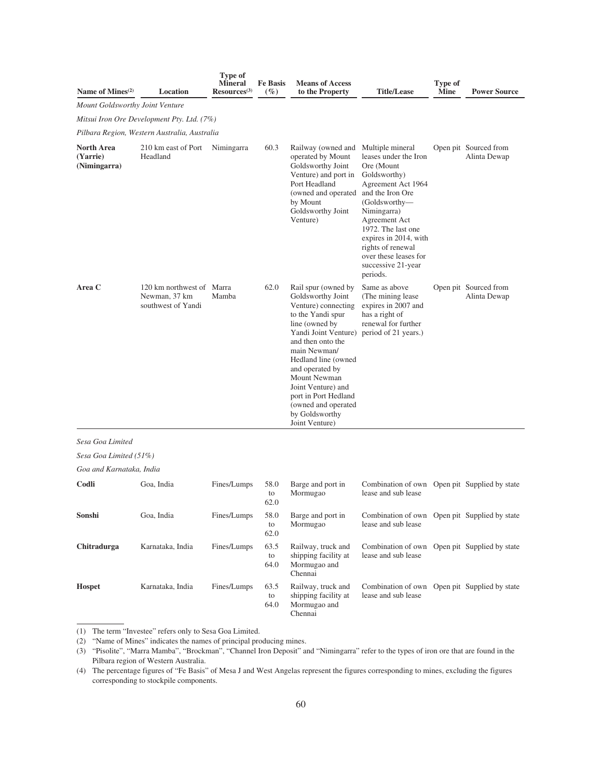| Name of Mines <sup>(2)</sup>               | Location                                                         | <b>Type of</b><br><b>Mineral</b><br>Resources <sup>(3)</sup> | <b>Fe Basis</b><br>(%) | <b>Means of Access</b><br>to the Property                                                                                                                                                                                                                                                                                              | <b>Title/Lease</b>                                                                                                                                                                                                                                                                                | Type of<br><b>Mine</b> | <b>Power Source</b>                   |  |  |  |  |  |
|--------------------------------------------|------------------------------------------------------------------|--------------------------------------------------------------|------------------------|----------------------------------------------------------------------------------------------------------------------------------------------------------------------------------------------------------------------------------------------------------------------------------------------------------------------------------------|---------------------------------------------------------------------------------------------------------------------------------------------------------------------------------------------------------------------------------------------------------------------------------------------------|------------------------|---------------------------------------|--|--|--|--|--|
| <b>Mount Goldsworthy Joint Venture</b>     |                                                                  |                                                              |                        |                                                                                                                                                                                                                                                                                                                                        |                                                                                                                                                                                                                                                                                                   |                        |                                       |  |  |  |  |  |
| Mitsui Iron Ore Development Pty. Ltd. (7%) |                                                                  |                                                              |                        |                                                                                                                                                                                                                                                                                                                                        |                                                                                                                                                                                                                                                                                                   |                        |                                       |  |  |  |  |  |
|                                            | Pilbara Region, Western Australia, Australia                     |                                                              |                        |                                                                                                                                                                                                                                                                                                                                        |                                                                                                                                                                                                                                                                                                   |                        |                                       |  |  |  |  |  |
| North Area<br>(Yarrie)<br>(Nimingarra)     | 210 km east of Port<br>Headland                                  | Nimingarra                                                   | 60.3                   | Railway (owned and<br>operated by Mount<br>Goldsworthy Joint<br>Venture) and port in<br>Port Headland<br>(owned and operated)<br>by Mount<br>Goldsworthy Joint<br>Venture)                                                                                                                                                             | Multiple mineral<br>leases under the Iron<br>Ore (Mount<br>Goldsworthy)<br>Agreement Act 1964<br>and the Iron Ore<br>(Goldsworthy-<br>Nimingarra)<br>Agreement Act<br>1972. The last one<br>expires in 2014, with<br>rights of renewal<br>over these leases for<br>successive 21-year<br>periods. |                        | Open pit Sourced from<br>Alinta Dewap |  |  |  |  |  |
| Area C                                     | 120 km northwest of Marra<br>Newman, 37 km<br>southwest of Yandi | Mamba                                                        | 62.0                   | Rail spur (owned by<br>Goldsworthy Joint<br>Venture) connecting<br>to the Yandi spur<br>line (owned by<br>Yandi Joint Venture)<br>and then onto the<br>main Newman/<br>Hedland line (owned<br>and operated by<br>Mount Newman<br>Joint Venture) and<br>port in Port Hedland<br>(owned and operated<br>by Goldsworthy<br>Joint Venture) | Same as above<br>(The mining lease)<br>expires in 2007 and<br>has a right of<br>renewal for further<br>period of 21 years.)                                                                                                                                                                       |                        | Open pit Sourced from<br>Alinta Dewap |  |  |  |  |  |
| Sesa Goa Limited                           |                                                                  |                                                              |                        |                                                                                                                                                                                                                                                                                                                                        |                                                                                                                                                                                                                                                                                                   |                        |                                       |  |  |  |  |  |
| Sesa Goa Limited (51%)                     |                                                                  |                                                              |                        |                                                                                                                                                                                                                                                                                                                                        |                                                                                                                                                                                                                                                                                                   |                        |                                       |  |  |  |  |  |
| Goa and Karnataka, India                   |                                                                  |                                                              |                        |                                                                                                                                                                                                                                                                                                                                        |                                                                                                                                                                                                                                                                                                   |                        |                                       |  |  |  |  |  |
| Codli                                      | Goa, India                                                       | Fines/Lumps                                                  | 58.0<br>to<br>62.0     | Barge and port in<br>Mormugao                                                                                                                                                                                                                                                                                                          | Combination of own Open pit Supplied by state<br>lease and sub lease                                                                                                                                                                                                                              |                        |                                       |  |  |  |  |  |
| Sonshi                                     | Goa, India                                                       | Fines/Lumps                                                  | 58.0<br>to<br>62.0     | Barge and port in<br>Mormugao                                                                                                                                                                                                                                                                                                          | Combination of own Open pit Supplied by state<br>lease and sub lease                                                                                                                                                                                                                              |                        |                                       |  |  |  |  |  |
| Chitradurga                                | Karnataka, India                                                 | Fines/Lumps                                                  | 63.5<br>to<br>64.0     | Railway, truck and<br>shipping facility at<br>Mormugao and<br>Chennai                                                                                                                                                                                                                                                                  | Combination of own Open pit Supplied by state<br>lease and sub lease                                                                                                                                                                                                                              |                        |                                       |  |  |  |  |  |
| <b>Hospet</b>                              | Karnataka, India                                                 | Fines/Lumps                                                  | 63.5<br>to<br>64.0     | Railway, truck and<br>shipping facility at<br>Mormugao and<br>Chennai                                                                                                                                                                                                                                                                  | Combination of own Open pit Supplied by state<br>lease and sub lease                                                                                                                                                                                                                              |                        |                                       |  |  |  |  |  |

(1) The term "Investee" refers only to Sesa Goa Limited.

(2) "Name of Mines" indicates the names of principal producing mines.

(3) "Pisolite", "Marra Mamba", "Brockman", "Channel Iron Deposit" and "Nimingarra" refer to the types of iron ore that are found in the Pilbara region of Western Australia.

(4) The percentage figures of "Fe Basis" of Mesa J and West Angelas represent the figures corresponding to mines, excluding the figures corresponding to stockpile components.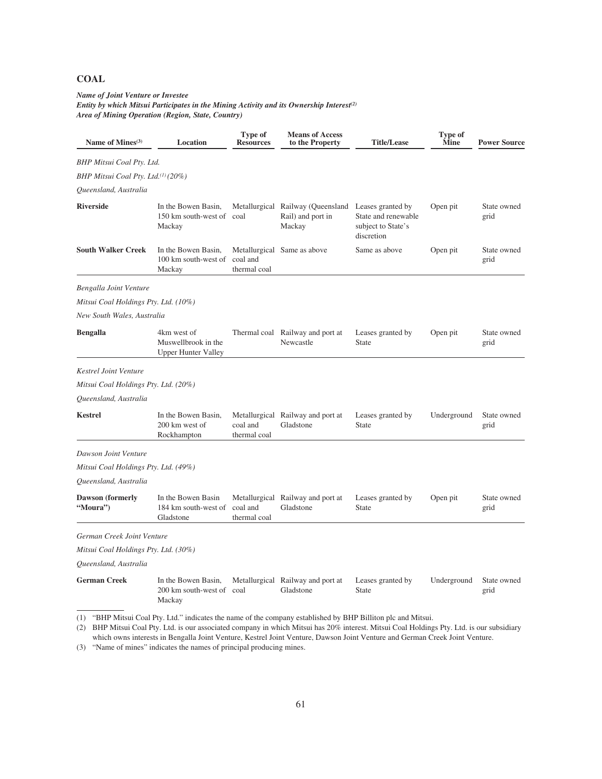# **COAL**

### *Name of Joint Venture or Investee Entity by which Mitsui Participates in the Mining Activity and its Ownership Interest(2) Area of Mining Operation (Region, State, Country)*

| Name of Mines <sup>(3)</sup>                   | Location                                                                                                                                                                                                                                                   | Type of<br><b>Resources</b> | <b>Means of Access</b><br>to the Property                                          | <b>Title/Lease</b>                                      | Type of<br>Mine | <b>Power Source</b> |
|------------------------------------------------|------------------------------------------------------------------------------------------------------------------------------------------------------------------------------------------------------------------------------------------------------------|-----------------------------|------------------------------------------------------------------------------------|---------------------------------------------------------|-----------------|---------------------|
| BHP Mitsui Coal Pty. Ltd.                      |                                                                                                                                                                                                                                                            |                             |                                                                                    |                                                         |                 |                     |
| BHP Mitsui Coal Pty. Ltd. <sup>(1)</sup> (20%) |                                                                                                                                                                                                                                                            |                             |                                                                                    |                                                         |                 |                     |
| Queensland, Australia                          |                                                                                                                                                                                                                                                            |                             |                                                                                    |                                                         |                 |                     |
| <b>Riverside</b>                               | In the Bowen Basin,<br>150 km south-west of<br>Mackay                                                                                                                                                                                                      | coal                        | Metallurgical Railway (Queensland Leases granted by<br>Rail) and port in<br>Mackay | State and renewable<br>subject to State's<br>discretion | Open pit        | State owned<br>grid |
| South Walker Creek                             | In the Bowen Basin,<br>100 km south-west of<br>Mackay                                                                                                                                                                                                      | coal and<br>thermal coal    | Metallurgical Same as above                                                        | Same as above                                           | Open pit        | State owned<br>grid |
| Bengalla Joint Venture                         |                                                                                                                                                                                                                                                            |                             |                                                                                    |                                                         |                 |                     |
| Mitsui Coal Holdings Pty. Ltd. (10%)           |                                                                                                                                                                                                                                                            |                             |                                                                                    |                                                         |                 |                     |
| New South Wales, Australia                     |                                                                                                                                                                                                                                                            |                             |                                                                                    |                                                         |                 |                     |
| <b>Bengalla</b>                                | 4km west of<br>Muswellbrook in the<br><b>Upper Hunter Valley</b>                                                                                                                                                                                           |                             | Thermal coal Railway and port at<br>Newcastle                                      | Leases granted by<br>State                              | Open pit        | State owned<br>grid |
| <b>Kestrel Joint Venture</b>                   |                                                                                                                                                                                                                                                            |                             |                                                                                    |                                                         |                 |                     |
| Mitsui Coal Holdings Pty. Ltd. (20%)           |                                                                                                                                                                                                                                                            |                             |                                                                                    |                                                         |                 |                     |
| Queensland, Australia                          |                                                                                                                                                                                                                                                            |                             |                                                                                    |                                                         |                 |                     |
| <b>Kestrel</b>                                 | In the Bowen Basin,<br>200 km west of<br>Rockhampton                                                                                                                                                                                                       | coal and<br>thermal coal    | Metallurgical Railway and port at<br>Gladstone                                     | Leases granted by<br>State                              | Underground     | State owned<br>grid |
| Dawson Joint Venture                           |                                                                                                                                                                                                                                                            |                             |                                                                                    |                                                         |                 |                     |
| Mitsui Coal Holdings Pty. Ltd. (49%)           |                                                                                                                                                                                                                                                            |                             |                                                                                    |                                                         |                 |                     |
| Queensland, Australia                          |                                                                                                                                                                                                                                                            |                             |                                                                                    |                                                         |                 |                     |
| <b>Dawson (formerly</b><br>"Moura")            | In the Bowen Basin<br>184 km south-west of<br>Gladstone                                                                                                                                                                                                    | coal and<br>thermal coal    | Metallurgical Railway and port at<br>Gladstone                                     | Leases granted by<br>State                              | Open pit        | State owned<br>grid |
| German Creek Joint Venture                     |                                                                                                                                                                                                                                                            |                             |                                                                                    |                                                         |                 |                     |
| Mitsui Coal Holdings Pty. Ltd. (30%)           |                                                                                                                                                                                                                                                            |                             |                                                                                    |                                                         |                 |                     |
| Queensland, Australia                          |                                                                                                                                                                                                                                                            |                             |                                                                                    |                                                         |                 |                     |
| <b>German Creek</b>                            | In the Bowen Basin,<br>200 km south-west of coal<br>Mackay                                                                                                                                                                                                 |                             | Metallurgical Railway and port at<br>Gladstone                                     | Leases granted by<br>State                              | Underground     | State owned<br>grid |
|                                                | (1) "BHP Mitsui Coal Pty. Ltd." indicates the name of the company established by BHP Billiton plc and Mitsui.<br>(2) RHP Mitsui Coal Pty I td. is our associated company in which Mitsui has 20% interest Mitsui Coal Holdings Pty I td. is our subsidiary |                             |                                                                                    |                                                         |                 |                     |

(2) BHP Mitsui Coal Pty. Ltd. is our associated company in which Mitsui has 20% interest. Mitsui Coal Holdings Pty. Ltd. is our subsidiary which owns interests in Bengalla Joint Venture, Kestrel Joint Venture, Dawson Joint Venture and German Creek Joint Venture.

(3) "Name of mines" indicates the names of principal producing mines.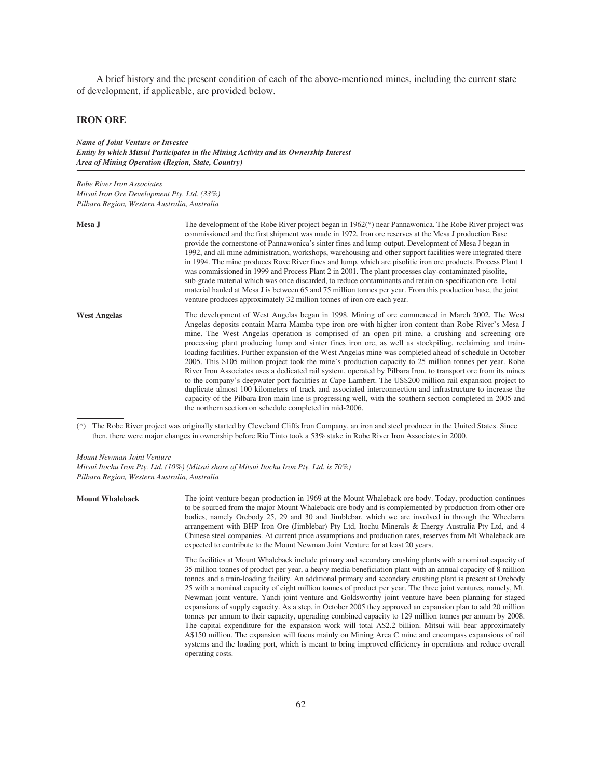A brief history and the present condition of each of the above-mentioned mines, including the current state of development, if applicable, are provided below.

# **IRON ORE**

*Name of Joint Venture or Investee Entity by which Mitsui Participates in the Mining Activity and its Ownership Interest Area of Mining Operation (Region, State, Country)*

*Robe River Iron Associates Mitsui Iron Ore Development Pty. Ltd. (33%) Pilbara Region, Western Australia, Australia*

| Mesa J              | The development of the Robe River project began in 1962(*) near Pannawonica. The Robe River project was<br>commissioned and the first shipment was made in 1972. Iron ore reserves at the Mesa J production Base<br>provide the cornerstone of Pannawonica's sinter fines and lump output. Development of Mesa J began in<br>1992, and all mine administration, workshops, warehousing and other support facilities were integrated there<br>in 1994. The mine produces Rove River fines and lump, which are pisolitic iron ore products. Process Plant 1<br>was commissioned in 1999 and Process Plant 2 in 2001. The plant processes clay-contaminated pisolite,<br>sub-grade material which was once discarded, to reduce contaminants and retain on-specification ore. Total<br>material hauled at Mesa J is between 65 and 75 million tonnes per year. From this production base, the joint<br>venture produces approximately 32 million tonnes of iron ore each year.                                                                                                                                                                                          |
|---------------------|----------------------------------------------------------------------------------------------------------------------------------------------------------------------------------------------------------------------------------------------------------------------------------------------------------------------------------------------------------------------------------------------------------------------------------------------------------------------------------------------------------------------------------------------------------------------------------------------------------------------------------------------------------------------------------------------------------------------------------------------------------------------------------------------------------------------------------------------------------------------------------------------------------------------------------------------------------------------------------------------------------------------------------------------------------------------------------------------------------------------------------------------------------------------|
| <b>West Angelas</b> | The development of West Angelas began in 1998. Mining of ore commenced in March 2002. The West<br>Angelas deposits contain Marra Mamba type iron ore with higher iron content than Robe River's Mesa J<br>mine. The West Angelas operation is comprised of an open pit mine, a crushing and screening ore<br>processing plant producing lump and sinter fines iron ore, as well as stockpiling, reclaiming and train-<br>loading facilities. Further expansion of the West Angelas mine was completed ahead of schedule in October<br>2005. This \$105 million project took the mine's production capacity to 25 million tonnes per year. Robe<br>River Iron Associates uses a dedicated rail system, operated by Pilbara Iron, to transport ore from its mines<br>to the company's deepwater port facilities at Cape Lambert. The US\$200 million rail expansion project to<br>duplicate almost 100 kilometers of track and associated interconnection and infrastructure to increase the<br>capacity of the Pilbara Iron main line is progressing well, with the southern section completed in 2005 and<br>the northern section on schedule completed in mid-2006. |

(\*) The Robe River project was originally started by Cleveland Cliffs Iron Company, an iron and steel producer in the United States. Since then, there were major changes in ownership before Rio Tinto took a 53% stake in Robe River Iron Associates in 2000.

*Mount Newman Joint Venture*

*Mitsui Itochu Iron Pty. Ltd. (10%) (Mitsui share of Mitsui Itochu Iron Pty. Ltd. is 70%) Pilbara Region, Western Australia, Australia*

| <b>Mount Whaleback</b> | The joint venture began production in 1969 at the Mount Whaleback ore body. Today, production continues<br>to be sourced from the major Mount Whaleback ore body and is complemented by production from other ore<br>bodies, namely Orebody 25, 29 and 30 and Jimblebar, which we are involved in through the Wheelarra<br>arrangement with BHP Iron Ore (Jimblebar) Pty Ltd, Itochu Minerals & Energy Australia Pty Ltd, and 4<br>Chinese steel companies. At current price assumptions and production rates, reserves from Mt Whaleback are<br>expected to contribute to the Mount Newman Joint Venture for at least 20 years.                                                                                                                                                                                                                                                                                                                                                                                                                                                                                                                          |
|------------------------|-----------------------------------------------------------------------------------------------------------------------------------------------------------------------------------------------------------------------------------------------------------------------------------------------------------------------------------------------------------------------------------------------------------------------------------------------------------------------------------------------------------------------------------------------------------------------------------------------------------------------------------------------------------------------------------------------------------------------------------------------------------------------------------------------------------------------------------------------------------------------------------------------------------------------------------------------------------------------------------------------------------------------------------------------------------------------------------------------------------------------------------------------------------|
|                        | The facilities at Mount Whaleback include primary and secondary crushing plants with a nominal capacity of<br>35 million tonnes of product per year, a heavy media beneficiation plant with an annual capacity of 8 million<br>tonnes and a train-loading facility. An additional primary and secondary crushing plant is present at Orebody<br>25 with a nominal capacity of eight million tonnes of product per year. The three joint ventures, namely, Mt.<br>Newman joint venture, Yandi joint venture and Goldsworthy joint venture have been planning for staged<br>expansions of supply capacity. As a step, in October 2005 they approved an expansion plan to add 20 million<br>tonnes per annum to their capacity, upgrading combined capacity to 129 million tonnes per annum by 2008.<br>The capital expenditure for the expansion work will total A\$2.2 billion. Mitsui will bear approximately<br>A\$150 million. The expansion will focus mainly on Mining Area C mine and encompass expansions of rail<br>systems and the loading port, which is meant to bring improved efficiency in operations and reduce overall<br>operating costs. |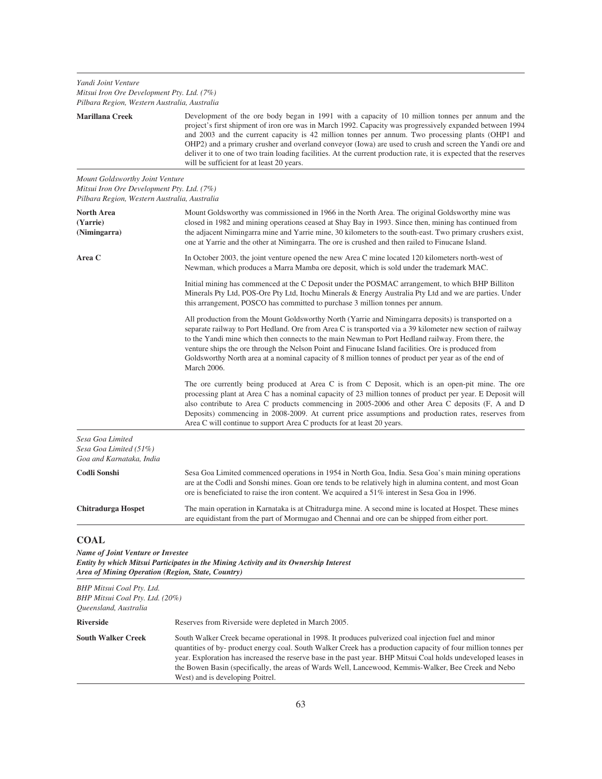*Yandi Joint Venture Mitsui Iron Ore Development Pty. Ltd. (7%)*

| Pilbara Region, Western Australia, Australia                                                                                  |                                                                                                                                                                                                                                                                                                                                                                                                                                                                                                                                                                                                  |
|-------------------------------------------------------------------------------------------------------------------------------|--------------------------------------------------------------------------------------------------------------------------------------------------------------------------------------------------------------------------------------------------------------------------------------------------------------------------------------------------------------------------------------------------------------------------------------------------------------------------------------------------------------------------------------------------------------------------------------------------|
| <b>Marillana Creek</b>                                                                                                        | Development of the ore body began in 1991 with a capacity of 10 million tonnes per annum and the<br>project's first shipment of iron ore was in March 1992. Capacity was progressively expanded between 1994<br>and 2003 and the current capacity is 42 million tonnes per annum. Two processing plants (OHP1 and<br>OHP2) and a primary crusher and overland conveyor (Iowa) are used to crush and screen the Yandi ore and<br>deliver it to one of two train loading facilities. At the current production rate, it is expected that the reserves<br>will be sufficient for at least 20 years. |
| Mount Goldsworthy Joint Venture<br>Mitsui Iron Ore Development Pty. Ltd. (7%)<br>Pilbara Region, Western Australia, Australia |                                                                                                                                                                                                                                                                                                                                                                                                                                                                                                                                                                                                  |
| North Area<br>(Yarrie)<br>(Nimingarra)                                                                                        | Mount Goldsworthy was commissioned in 1966 in the North Area. The original Goldsworthy mine was<br>closed in 1982 and mining operations ceased at Shay Bay in 1993. Since then, mining has continued from<br>the adjacent Nimingarra mine and Yarrie mine, 30 kilometers to the south-east. Two primary crushers exist,<br>one at Yarrie and the other at Nimingarra. The ore is crushed and then railed to Finucane Island.                                                                                                                                                                     |
| Area C                                                                                                                        | In October 2003, the joint venture opened the new Area C mine located 120 kilometers north-west of<br>Newman, which produces a Marra Mamba ore deposit, which is sold under the trademark MAC.                                                                                                                                                                                                                                                                                                                                                                                                   |
|                                                                                                                               | Initial mining has commenced at the C Deposit under the POSMAC arrangement, to which BHP Billiton<br>Minerals Pty Ltd, POS-Ore Pty Ltd, Itochu Minerals & Energy Australia Pty Ltd and we are parties. Under<br>this arrangement, POSCO has committed to purchase 3 million tonnes per annum.                                                                                                                                                                                                                                                                                                    |
|                                                                                                                               | All production from the Mount Goldsworthy North (Yarrie and Nimingarra deposits) is transported on a<br>separate railway to Port Hedland. Ore from Area C is transported via a 39 kilometer new section of railway<br>to the Yandi mine which then connects to the main Newman to Port Hedland railway. From there, the<br>venture ships the ore through the Nelson Point and Finucane Island facilities. Ore is produced from<br>Goldsworthy North area at a nominal capacity of 8 million tonnes of product per year as of the end of<br>March 2006.                                           |
|                                                                                                                               | The ore currently being produced at Area C is from C Deposit, which is an open-pit mine. The ore<br>processing plant at Area C has a nominal capacity of 23 million tonnes of product per year. E Deposit will<br>also contribute to Area C products commencing in 2005-2006 and other Area C deposits (F, A and D<br>Deposits) commencing in 2008-2009. At current price assumptions and production rates, reserves from<br>Area C will continue to support Area C products for at least 20 years.                                                                                              |
| Sesa Goa Limited<br>Sesa Goa Limited (51%)<br>Goa and Karnataka, India                                                        |                                                                                                                                                                                                                                                                                                                                                                                                                                                                                                                                                                                                  |
| Codli Sonshi                                                                                                                  | Sesa Goa Limited commenced operations in 1954 in North Goa, India. Sesa Goa's main mining operations<br>are at the Codli and Sonshi mines. Goan ore tends to be relatively high in alumina content, and most Goan<br>ore is beneficiated to raise the iron content. We acquired a 51% interest in Sesa Goa in 1996.                                                                                                                                                                                                                                                                              |
| <b>Chitradurga Hospet</b>                                                                                                     | The main operation in Karnataka is at Chitradurga mine. A second mine is located at Hospet. These mines<br>are equidistant from the part of Mormugao and Chennai and ore can be shipped from either port.                                                                                                                                                                                                                                                                                                                                                                                        |
| <b>COAL</b><br><b>Name of Joint Venture or Investee</b><br>Area of Mining Operation (Region, State, Country)                  | Entity by which Mitsui Participates in the Mining Activity and its Ownership Interest                                                                                                                                                                                                                                                                                                                                                                                                                                                                                                            |

*BHP Mitsui Coal Pty. Ltd. BHP Mitsui Coal Pty. Ltd. (20%) Queensland, Australia* **Riverside** Reserves from Riverside were depleted in March 2005. **South Walker Creek** South Walker Creek became operational in 1998. It produces pulverized coal injection fuel and minor quantities of by- product energy coal. South Walker Creek has a production capacity of four million tonnes per year. Exploration has increased the reserve base in the past year. BHP Mitsui Coal holds undeveloped leases in the Bowen Basin (specifically, the areas of Wards Well, Lancewood, Kemmis-Walker, Bee Creek and Nebo West) and is developing Poitrel.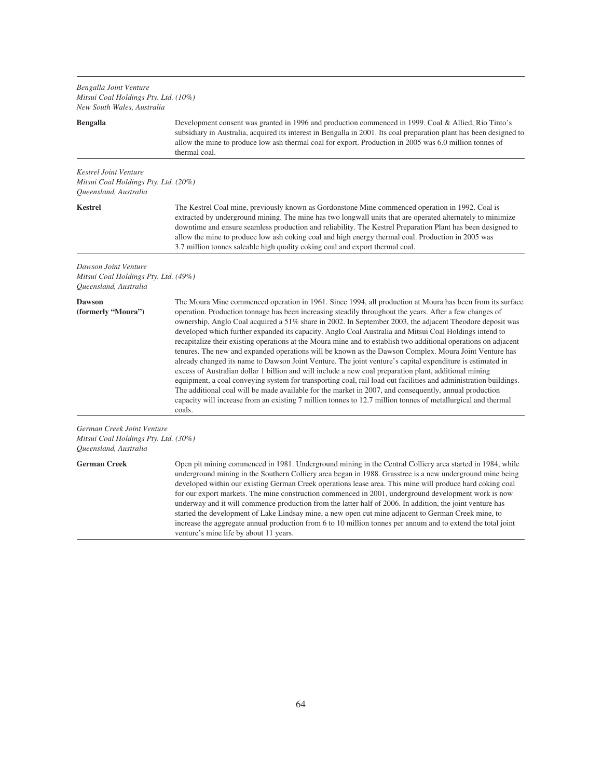*Bengalla Joint Venture Mitsui Coal Holdings Pty. Ltd. (10%) New South Wales, Australia*

## **Bengalla** Development consent was granted in 1996 and production commenced in 1999. Coal & Allied, Rio Tinto's subsidiary in Australia, acquired its interest in Bengalla in 2001. Its coal preparation plant has been designed to allow the mine to produce low ash thermal coal for export. Production in 2005 was 6.0 million tonnes of thermal coal. *Kestrel Joint Venture Mitsui Coal Holdings Pty. Ltd. (20%) Queensland, Australia* **Kestrel** The Kestrel Coal mine, previously known as Gordonstone Mine commenced operation in 1992. Coal is extracted by underground mining. The mine has two longwall units that are operated alternately to minimize downtime and ensure seamless production and reliability. The Kestrel Preparation Plant has been designed to allow the mine to produce low ash coking coal and high energy thermal coal. Production in 2005 was 3.7 million tonnes saleable high quality coking coal and export thermal coal. *Dawson Joint Venture Mitsui Coal Holdings Pty. Ltd. (49%) Queensland, Australia* **Dawson (formerly "Moura")** The Moura Mine commenced operation in 1961. Since 1994, all production at Moura has been from its surface operation. Production tonnage has been increasing steadily throughout the years. After a few changes of ownership, Anglo Coal acquired a 51% share in 2002. In September 2003, the adjacent Theodore deposit was developed which further expanded its capacity. Anglo Coal Australia and Mitsui Coal Holdings intend to recapitalize their existing operations at the Moura mine and to establish two additional operations on adjacent tenures. The new and expanded operations will be known as the Dawson Complex. Moura Joint Venture has already changed its name to Dawson Joint Venture. The joint venture's capital expenditure is estimated in excess of Australian dollar 1 billion and will include a new coal preparation plant, additional mining equipment, a coal conveying system for transporting coal, rail load out facilities and administration buildings. The additional coal will be made available for the market in 2007, and consequently, annual production capacity will increase from an existing 7 million tonnes to 12.7 million tonnes of metallurgical and thermal coals. *German Creek Joint Venture Mitsui Coal Holdings Pty. Ltd. (30%) Queensland, Australia* **German Creek** Open pit mining commenced in 1981. Underground mining in the Central Colliery area started in 1984, while underground mining in the Southern Colliery area began in 1988. Grasstree is a new underground mine being

developed within our existing German Creek operations lease area. This mine will produce hard coking coal for our export markets. The mine construction commenced in 2001, underground development work is now underway and it will commence production from the latter half of 2006. In addition, the joint venture has started the development of Lake Lindsay mine, a new open cut mine adjacent to German Creek mine, to increase the aggregate annual production from 6 to 10 million tonnes per annum and to extend the total joint venture's mine life by about 11 years.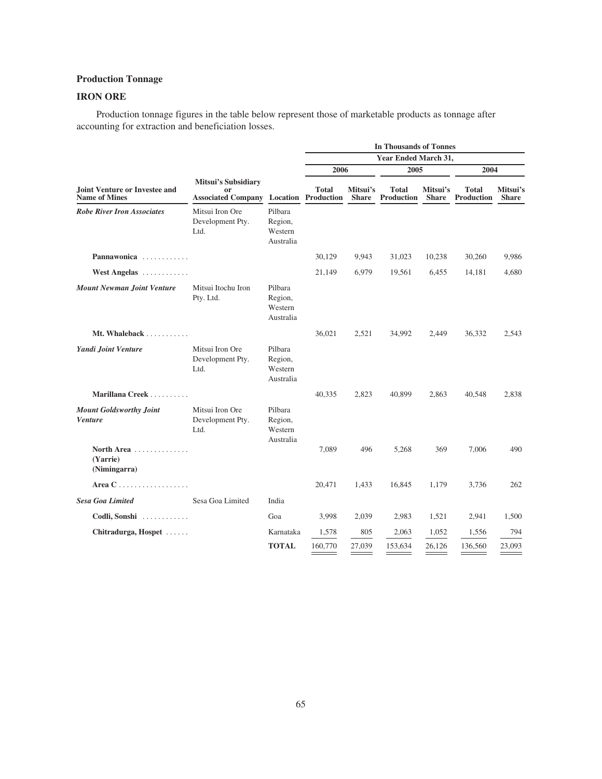# **Production Tonnage**

# **IRON ORE**

Production tonnage figures in the table below represent those of marketable products as tonnage after accounting for extraction and beneficiation losses.

|                                                              |                                                               | <b>In Thousands of Tonnes</b>              |                                            |                          |                                   |                          |                            |                          |
|--------------------------------------------------------------|---------------------------------------------------------------|--------------------------------------------|--------------------------------------------|--------------------------|-----------------------------------|--------------------------|----------------------------|--------------------------|
|                                                              |                                                               |                                            |                                            |                          | Year Ended March 31,              |                          |                            |                          |
|                                                              |                                                               |                                            |                                            | 2006                     |                                   | 2005                     | 2004                       |                          |
| <b>Joint Venture or Investee and</b><br><b>Name of Mines</b> | <b>Mitsui's Subsidiary</b><br>or<br><b>Associated Company</b> |                                            | <b>Total</b><br><b>Location Production</b> | Mitsui's<br><b>Share</b> | <b>Total</b><br><b>Production</b> | Mitsui's<br><b>Share</b> | Total<br><b>Production</b> | Mitsui's<br><b>Share</b> |
| <b>Robe River Iron Associates</b>                            | Mitsui Iron Ore<br>Development Pty.<br>Ltd.                   | Pilbara<br>Region,<br>Western<br>Australia |                                            |                          |                                   |                          |                            |                          |
| Pannawonica                                                  |                                                               |                                            | 30,129                                     | 9,943                    | 31,023                            | 10,238                   | 30,260                     | 9,986                    |
| West Angelas                                                 |                                                               |                                            | 21,149                                     | 6,979                    | 19,561                            | 6,455                    | 14,181                     | 4,680                    |
| <b>Mount Newman Joint Venture</b>                            | Mitsui Itochu Iron<br>Pty. Ltd.                               | Pilbara<br>Region,<br>Western<br>Australia |                                            |                          |                                   |                          |                            |                          |
| Mt. Whaleback                                                |                                                               |                                            | 36,021                                     | 2,521                    | 34,992                            | 2,449                    | 36,332                     | 2,543                    |
| Yandi Joint Venture                                          | Mitsui Iron Ore<br>Development Pty.<br>Ltd.                   | Pilbara<br>Region,<br>Western<br>Australia |                                            |                          |                                   |                          |                            |                          |
| Marillana Creek                                              |                                                               |                                            | 40,335                                     | 2,823                    | 40,899                            | 2,863                    | 40,548                     | 2,838                    |
| <b>Mount Goldsworthy Joint</b><br><b>Venture</b>             | Mitsui Iron Ore<br>Development Pty.<br>Ltd.                   | Pilbara<br>Region,<br>Western<br>Australia |                                            |                          |                                   |                          |                            |                          |
| North Area<br>(Yarrie)<br>(Nimingarra)                       |                                                               |                                            | 7,089                                      | 496                      | 5,268                             | 369                      | 7,006                      | 490                      |
| Area $C$                                                     |                                                               |                                            | 20,471                                     | 1,433                    | 16,845                            | 1,179                    | 3,736                      | 262                      |
| <b>Sesa Goa Limited</b>                                      | Sesa Goa Limited                                              | India                                      |                                            |                          |                                   |                          |                            |                          |
| Codli, Sonshi                                                |                                                               | Goa                                        | 3,998                                      | 2,039                    | 2,983                             | 1,521                    | 2,941                      | 1,500                    |
| Chitradurga, Hospet                                          |                                                               | Karnataka                                  | 1,578                                      | 805                      | 2,063                             | 1,052                    | 1,556                      | 794                      |
|                                                              |                                                               | <b>TOTAL</b>                               | 160,770                                    | 27,039                   | 153,634                           | 26.126                   | 136,560                    | 23,093                   |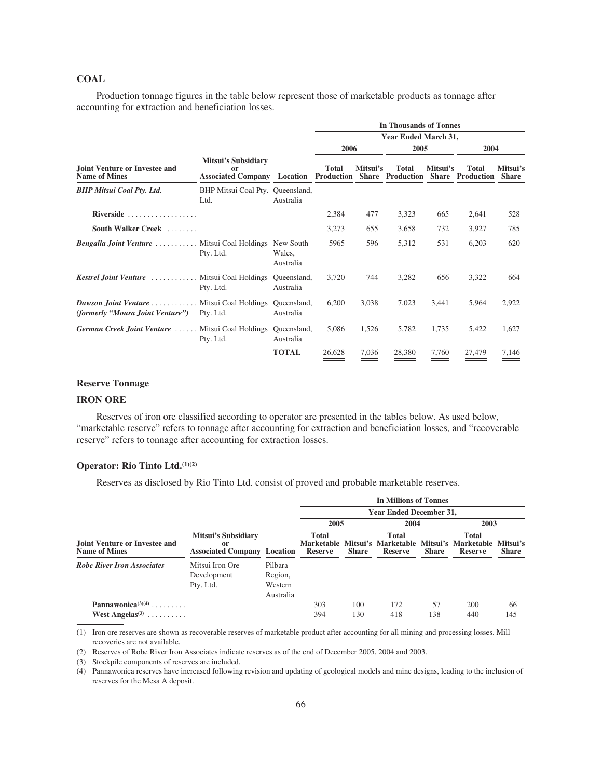## **COAL**

Production tonnage figures in the table below represent those of marketable products as tonnage after accounting for extraction and beneficiation losses.

|                                                                                                   |                                                                                   |                     | <b>In Thousands of Tonnes</b> |          |                                                   |          |              |                          |  |
|---------------------------------------------------------------------------------------------------|-----------------------------------------------------------------------------------|---------------------|-------------------------------|----------|---------------------------------------------------|----------|--------------|--------------------------|--|
|                                                                                                   |                                                                                   |                     | <b>Year Ended March 31,</b>   |          |                                                   |          |              |                          |  |
|                                                                                                   |                                                                                   |                     | 2006                          |          | 2005                                              |          | 2004         |                          |  |
| Joint Venture or Investee and<br><b>Name of Mines</b>                                             | <b>Mitsui's Subsidiary</b><br>or<br><b>Associated Company Location Production</b> |                     | <b>Total</b>                  | Mitsui's | <b>Total</b><br>Share Production Share Production | Mitsui's | <b>Total</b> | Mitsui's<br><b>Share</b> |  |
| <b>BHP Mitsui Coal Pty. Ltd.</b>                                                                  | BHP Mitsui Coal Pty. Queensland,<br>Ltd.                                          | Australia           |                               |          |                                                   |          |              |                          |  |
| Riverside $\ldots$ ,                                                                              |                                                                                   |                     | 2,384                         | 477      | 3,323                                             | 665      | 2,641        | 528                      |  |
| South Walker Creek                                                                                |                                                                                   |                     | 3,273                         | 655      | 3,658                                             | 732      | 3,927        | 785                      |  |
| <b>Bengalla Joint Venture </b> Mitsui Coal Holdings New South                                     | Pty. Ltd.                                                                         | Wales,<br>Australia | 5965                          | 596      | 5,312                                             | 531      | 6,203        | 620                      |  |
| <b>Kestrel Joint Venture</b> Mitsui Coal Holdings Queensland,                                     | Pty. Ltd.                                                                         | Australia           | 3,720                         | 744      | 3,282                                             | 656      | 3,322        | 664                      |  |
| <b>Dawson Joint Venture </b> Mitsui Coal Holdings Queensland,<br>(formerly "Moura Joint Venture") | Pty. Ltd.                                                                         | Australia           | 6,200                         | 3,038    | 7,023                                             | 3,441    | 5,964        | 2,922                    |  |
| German Creek Joint Venture  Mitsui Coal Holdings Queensland,                                      | Pty. Ltd.                                                                         | Australia           | 5,086                         | 1,526    | 5,782                                             | 1,735    | 5,422        | 1,627                    |  |
|                                                                                                   |                                                                                   | <b>TOTAL</b>        | 26,628                        | 7,036    | 28,380                                            | 7,760    | 27,479       | 7,146                    |  |

## **Reserve Tonnage**

# **IRON ORE**

Reserves of iron ore classified according to operator are presented in the tables below. As used below, "marketable reserve" refers to tonnage after accounting for extraction and beneficiation losses, and "recoverable reserve" refers to tonnage after accounting for extraction losses.

## **Operator: Rio Tinto Ltd.(1)(2)**

Reserves as disclosed by Rio Tinto Ltd. consist of proved and probable marketable reserves.

|                                                                  |                                                                 |                                            | <b>In Millions of Tonnes</b><br><b>Year Ended December 31,</b> |              |                                                |              |                                                |                          |  |
|------------------------------------------------------------------|-----------------------------------------------------------------|--------------------------------------------|----------------------------------------------------------------|--------------|------------------------------------------------|--------------|------------------------------------------------|--------------------------|--|
|                                                                  |                                                                 |                                            |                                                                |              |                                                |              |                                                |                          |  |
|                                                                  |                                                                 |                                            |                                                                | 2005         |                                                | 2004         |                                                | 2003                     |  |
| <b>Joint Venture or Investee and</b><br><b>Name of Mines</b>     | Mitsui's Subsidiary<br>or<br><b>Associated Company Location</b> |                                            | <b>Total</b><br><b>Marketable</b><br>Reserve                   | <b>Share</b> | <b>Total</b><br>Mitsui's Marketable<br>Reserve | <b>Share</b> | <b>Total</b><br>Mitsui's Marketable<br>Reserve | Mitsui's<br><b>Share</b> |  |
| <b>Robe River Iron Associates</b>                                | Mitsui Iron Ore<br>Development<br>Pty. Ltd.                     | Pilbara<br>Region,<br>Western<br>Australia |                                                                |              |                                                |              |                                                |                          |  |
| Pannawonica $(3)(4)$<br>West Angelas <sup><math>(3)</math></sup> |                                                                 |                                            | 303<br>394                                                     | 100<br>130   | 172<br>418                                     | 57<br>138    | 200<br>440                                     | 66<br>145                |  |

(1) Iron ore reserves are shown as recoverable reserves of marketable product after accounting for all mining and processing losses. Mill recoveries are not available.

(2) Reserves of Robe River Iron Associates indicate reserves as of the end of December 2005, 2004 and 2003.

(3) Stockpile components of reserves are included.

(4) Pannawonica reserves have increased following revision and updating of geological models and mine designs, leading to the inclusion of reserves for the Mesa A deposit.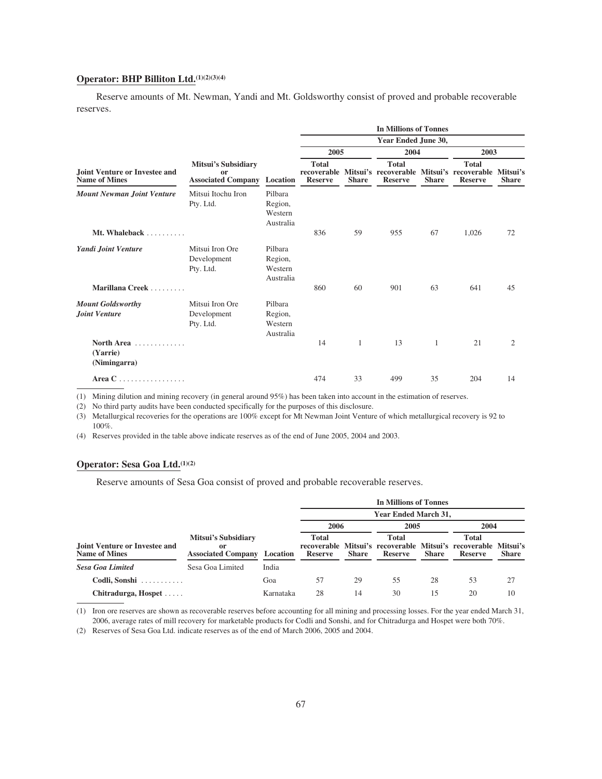# **Operator: BHP Billiton Ltd.(1)(2)(3)(4)**

Reserve amounts of Mt. Newman, Yandi and Mt. Goldsworthy consist of proved and probable recoverable reserves.

|                                                            |                                                                 |                                            | <b>In Millions of Tonnes</b><br>Year Ended June 30, |              |                                |              |                                                                                                  |              |  |
|------------------------------------------------------------|-----------------------------------------------------------------|--------------------------------------------|-----------------------------------------------------|--------------|--------------------------------|--------------|--------------------------------------------------------------------------------------------------|--------------|--|
|                                                            |                                                                 |                                            |                                                     |              |                                |              |                                                                                                  |              |  |
|                                                            |                                                                 |                                            | 2005                                                |              | 2004                           |              | 2003                                                                                             |              |  |
| Joint Venture or Investee and<br><b>Name of Mines</b>      | Mitsui's Subsidiary<br>or<br><b>Associated Company Location</b> |                                            | <b>Total</b><br><b>Reserve</b>                      | <b>Share</b> | <b>Total</b><br><b>Reserve</b> | <b>Share</b> | <b>Total</b><br>recoverable Mitsui's recoverable Mitsui's recoverable Mitsui's<br><b>Reserve</b> | <b>Share</b> |  |
| <b>Mount Newman Joint Venture</b>                          | Mitsui Itochu Iron<br>Pty. Ltd.                                 | Pilbara<br>Region,<br>Western<br>Australia |                                                     |              |                                |              |                                                                                                  |              |  |
| Mt. Whaleback $\ldots$                                     |                                                                 |                                            | 836                                                 | 59           | 955                            | 67           | 1,026                                                                                            | 72           |  |
| Yandi Joint Venture                                        | Mitsui Iron Ore<br>Development<br>Pty. Ltd.                     | Pilbara<br>Region,<br>Western<br>Australia |                                                     |              |                                |              |                                                                                                  |              |  |
| Marillana Creek                                            |                                                                 |                                            | 860                                                 | 60           | 901                            | 63           | 641                                                                                              | 45           |  |
| <b>Mount Goldsworthy</b><br>Joint Venture                  | Mitsui Iron Ore<br>Development<br>Pty. Ltd.                     | Pilbara<br>Region,<br>Western<br>Australia |                                                     |              |                                |              |                                                                                                  |              |  |
| North Area $\ldots$ , $\ldots$<br>(Yarrie)<br>(Nimingarra) |                                                                 |                                            | 14                                                  | 1            | 13                             | $\mathbf{1}$ | 21                                                                                               | 2            |  |
| Area C<br>.                                                |                                                                 |                                            | 474                                                 | 33           | 499                            | 35           | 204                                                                                              | 14           |  |

(1) Mining dilution and mining recovery (in general around 95%) has been taken into account in the estimation of reserves.

(2) No third party audits have been conducted specifically for the purposes of this disclosure.

(3) Metallurgical recoveries for the operations are 100% except for Mt Newman Joint Venture of which metallurgical recovery is 92 to 100%.

(4) Reserves provided in the table above indicate reserves as of the end of June 2005, 2004 and 2003.

# **Operator: Sesa Goa Ltd.(1)(2)**

Reserve amounts of Sesa Goa consist of proved and probable recoverable reserves.

|                                                       |                                                        |           | In Millions of Tonnes                                                                                                                                |      |                  |              |      |    |  |
|-------------------------------------------------------|--------------------------------------------------------|-----------|------------------------------------------------------------------------------------------------------------------------------------------------------|------|------------------|--------------|------|----|--|
|                                                       |                                                        |           | <b>Year Ended March 31.</b>                                                                                                                          |      |                  |              |      |    |  |
|                                                       |                                                        |           |                                                                                                                                                      | 2006 | 2005             |              | 2004 |    |  |
| Joint Venture or Investee and<br><b>Name of Mines</b> | Mitsui's Subsidiary<br>or<br><b>Associated Company</b> | Location  | <b>Total</b><br><b>Total</b><br>recoverable Mitsui's recoverable Mitsui's recoverable Mitsui's<br><b>Share</b><br><b>Reserve</b><br>Share<br>Reserve |      | Total<br>Reserve | <b>Share</b> |      |    |  |
| <b>Sesa Goa Limited</b>                               | Sesa Goa Limited                                       | India     |                                                                                                                                                      |      |                  |              |      |    |  |
| Codli, Sonshi                                         |                                                        | Goa       | 57                                                                                                                                                   | 29   | 55               | 28           | 53   | 27 |  |
| Chitradurga, Hospet                                   |                                                        | Karnataka | 28                                                                                                                                                   | 14   | 30               | 15           | 20   | 10 |  |

(1) Iron ore reserves are shown as recoverable reserves before accounting for all mining and processing losses. For the year ended March 31, 2006, average rates of mill recovery for marketable products for Codli and Sonshi, and for Chitradurga and Hospet were both 70%.

(2) Reserves of Sesa Goa Ltd. indicate reserves as of the end of March 2006, 2005 and 2004.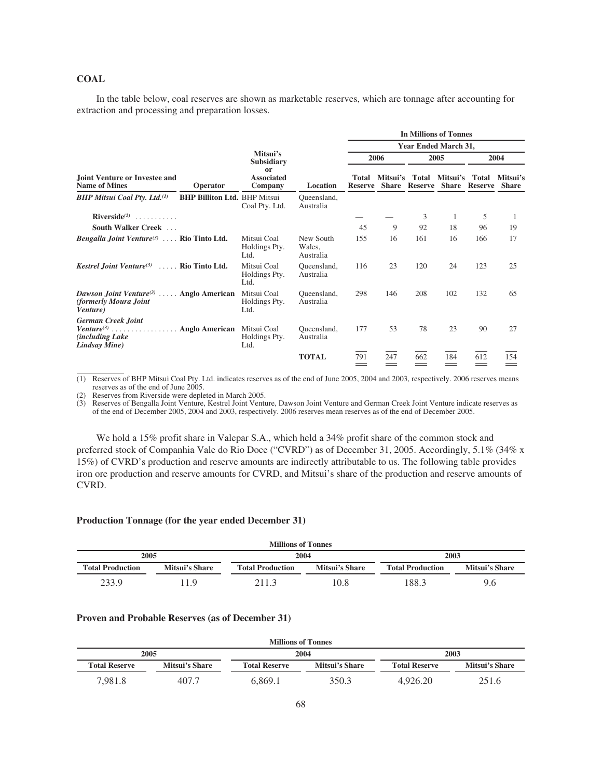## **COAL**

In the table below, coal reserves are shown as marketable reserves, which are tonnage after accounting for extraction and processing and preparation losses.

|                                                                                                                                         |                                     | <b>In Millions of Tonnes</b>         |                                                                                     |      |          |                               |                          |      |     |  |
|-----------------------------------------------------------------------------------------------------------------------------------------|-------------------------------------|--------------------------------------|-------------------------------------------------------------------------------------|------|----------|-------------------------------|--------------------------|------|-----|--|
|                                                                                                                                         |                                     |                                      |                                                                                     |      |          |                               | Year Ended March 31,     |      |     |  |
|                                                                                                                                         |                                     | Mitsui's<br><b>Subsidiary</b>        |                                                                                     | 2006 |          | 2005                          |                          | 2004 |     |  |
| <b>Joint Venture or Investee and</b><br><b>Name of Mines</b>                                                                            | Operator                            | or<br><b>Associated</b><br>Company   | Mitsui's<br>Total<br>Total<br>Location<br>Share<br><b>Reserve</b><br><b>Reserve</b> |      | Mitsui's | Total<br><b>Share Reserve</b> | Mitsui's<br><b>Share</b> |      |     |  |
| <b>BHP Mitsui Coal Pty. Ltd.</b> <sup>(1)</sup>                                                                                         | <b>BHP Billiton Ltd. BHP Mitsui</b> | Coal Pty. Ltd.                       | Queensland,<br>Australia                                                            |      |          |                               |                          |      |     |  |
| $Riverside^{(2)}$                                                                                                                       |                                     |                                      |                                                                                     |      |          | 3                             | 1                        | 5    | 1   |  |
| <b>South Walker Creek</b>                                                                                                               |                                     |                                      |                                                                                     | 45   | 9        | 92                            | 18                       | 96   | 19  |  |
| <i>Bengalla Joint Venture</i> <sup>(3)</sup> Rio Tinto Ltd.                                                                             |                                     | Mitsui Coal<br>Holdings Pty.<br>Ltd. | New South<br>Wales,<br>Australia                                                    | 155  | 16       | 161                           | 16                       | 166  | 17  |  |
| <i>Kestrel Joint Venture</i> <sup>(3)</sup> Rio Tinto Ltd.                                                                              |                                     | Mitsui Coal<br>Holdings Pty.<br>Ltd. | Queensland,<br>Australia                                                            | 116  | 23       | 120                           | 24                       | 123  | 25  |  |
| <i>Dawson Joint Venture</i> <sup>(3)</sup> Anglo American<br>(formerly Moura Joint)<br><i>Venture</i> )                                 |                                     | Mitsui Coal<br>Holdings Pty.<br>Ltd. | Queensland,<br>Australia                                                            | 298  | 146      | 208                           | 102                      | 132  | 65  |  |
| <b>German Creek Joint</b><br>$Venture^{(3)} \dots \dots \dots \dots \dots$ . Anglo American<br><i>(including Lake)</i><br>Lindsay Mine) |                                     | Mitsui Coal<br>Holdings Pty.<br>Ltd. | Queensland,<br>Australia                                                            | 177  | 53       | 78                            | 23                       | 90   | 27  |  |
|                                                                                                                                         |                                     |                                      | <b>TOTAL</b>                                                                        | 791  | 247      | 662                           | 184                      | 612  | 154 |  |

(1) Reserves of BHP Mitsui Coal Pty. Ltd. indicates reserves as of the end of June 2005, 2004 and 2003, respectively. 2006 reserves means reserves as of the end of June 2005.

(2) Reserves from Riverside were depleted in March 2005.

(3) Reserves of Bengalla Joint Venture, Kestrel Joint Venture, Dawson Joint Venture and German Creek Joint Venture indicate reserves as of the end of December 2005, 2004 and 2003, respectively. 2006 reserves mean reserves as of the end of December 2005.

We hold a 15% profit share in Valepar S.A., which held a 34% profit share of the common stock and preferred stock of Companhia Vale do Rio Doce ("CVRD") as of December 31, 2005. Accordingly, 5.1% (34% x 15%) of CVRD's production and reserve amounts are indirectly attributable to us. The following table provides iron ore production and reserve amounts for CVRD, and Mitsui's share of the production and reserve amounts of CVRD.

## **Production Tonnage (for the year ended December 31)**

| <b>Millions of Tonnes</b> |                |                         |                |                         |                |  |  |
|---------------------------|----------------|-------------------------|----------------|-------------------------|----------------|--|--|
| 2005<br>2004<br>2003      |                |                         |                |                         |                |  |  |
| <b>Total Production</b>   | Mitsui's Share | <b>Total Production</b> | Mitsui's Share | <b>Total Production</b> | Mitsui's Share |  |  |
| 233.9                     | 11 Q           | 211.3                   | 10.8           | 188.3                   | 9.6            |  |  |

### **Proven and Probable Reserves (as of December 31)**

| <b>Millions of Tonnes</b> |                       |                      |                       |                      |                       |  |  |
|---------------------------|-----------------------|----------------------|-----------------------|----------------------|-----------------------|--|--|
| 2005<br>2004<br>2003      |                       |                      |                       |                      |                       |  |  |
| <b>Total Reserve</b>      | <b>Mitsui's Share</b> | <b>Total Reserve</b> | <b>Mitsui's Share</b> | <b>Total Reserve</b> | <b>Mitsui's Share</b> |  |  |
| 7.981.8                   | 407.7                 | 6.869.1              | 350.3                 | 4.926.20             | 251.6                 |  |  |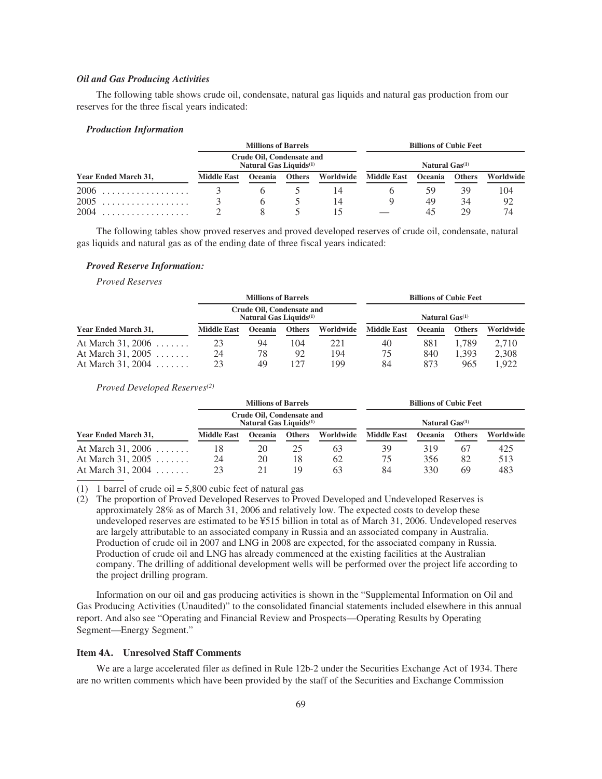## *Oil and Gas Producing Activities*

The following table shows crude oil, condensate, natural gas liquids and natural gas production from our reserves for the three fiscal years indicated:

### *Production Information*

|                      | <b>Millions of Barrels</b><br>Crude Oil, Condensate and<br>Natural Gas Liquids <sup>(1)</sup> |                |               |           | <b>Billions of Cubic Feet</b><br>Natural Gas <sup>(1)</sup> |    |               |           |
|----------------------|-----------------------------------------------------------------------------------------------|----------------|---------------|-----------|-------------------------------------------------------------|----|---------------|-----------|
| Year Ended March 31, |                                                                                               |                |               |           |                                                             |    |               |           |
|                      | <b>Middle East</b>                                                                            | <b>Oceania</b> | <b>Others</b> | Worldwide | Middle East Oceania                                         |    | <b>Others</b> | Worldwide |
|                      |                                                                                               |                |               | 14        |                                                             | 59 | 39            | 104       |
| 2005                 |                                                                                               |                |               | 14        |                                                             | 49 | 34            | 92        |
| 2004                 |                                                                                               |                |               |           |                                                             |    | 29            | 74        |

The following tables show proved reserves and proved developed reserves of crude oil, condensate, natural gas liquids and natural gas as of the ending date of three fiscal years indicated:

## *Proved Reserve Information:*

*Proved Reserves*

|                           | <b>Millions of Barrels</b><br>Crude Oil, Condensate and<br>Natural Gas Liquids <sup>(1)</sup> |                |               |           | <b>Billions of Cubic Feet</b><br>Natural Gas <sup>(1)</sup> |                |               |           |
|---------------------------|-----------------------------------------------------------------------------------------------|----------------|---------------|-----------|-------------------------------------------------------------|----------------|---------------|-----------|
|                           |                                                                                               |                |               |           |                                                             |                |               |           |
| Year Ended March 31,      | <b>Middle East</b>                                                                            | <b>Oceania</b> | <b>Others</b> | Worldwide | <b>Middle East</b>                                          | <b>Oceania</b> | <b>Others</b> | Worldwide |
| At March 31, 2006 $\dots$ | 23                                                                                            | 94             | 104           | 221       | 40                                                          | 881            | .789          | 2.710     |
| At March 31, 2005         | 24                                                                                            | 78             | 92            | 194       | 75                                                          | 840            | 1.393         | 2,308     |
| At March 31, 2004         | 23                                                                                            | 49             | 127           | 199       | 84                                                          | 873            | 965           | 1.922     |

*Proved Developed Reserves(2)*

|                                | <b>Millions of Barrels</b><br>Crude Oil, Condensate and<br>Natural Gas Liquids <sup>(1)</sup> |                |               |           | <b>Billions of Cubic Feet</b><br>Natural Gas <sup>(1)</sup> |                |               |           |
|--------------------------------|-----------------------------------------------------------------------------------------------|----------------|---------------|-----------|-------------------------------------------------------------|----------------|---------------|-----------|
| Year Ended March 31,           |                                                                                               |                |               |           |                                                             |                |               |           |
|                                | <b>Middle East</b>                                                                            | <b>Oceania</b> | <b>Others</b> | Worldwide | <b>Middle East</b>                                          | <b>Oceania</b> | <b>Others</b> | Worldwide |
| At March 31, 2006              | 18                                                                                            | 20             | 25            | 63        | 39                                                          | 319            | 67            | 425       |
| At March 31, 2005              | 24                                                                                            | 20             | 18            | 62        | 75                                                          | 356            | 82            | 513       |
| At March 31, 2004 $\dots\dots$ | 23                                                                                            |                | 19            | 63        | 84                                                          | 330            | 69            | 483       |

(1) 1 barrel of crude oil =  $5,800$  cubic feet of natural gas

(2) The proportion of Proved Developed Reserves to Proved Developed and Undeveloped Reserves is approximately 28% as of March 31, 2006 and relatively low. The expected costs to develop these undeveloped reserves are estimated to be ¥515 billion in total as of March 31, 2006. Undeveloped reserves are largely attributable to an associated company in Russia and an associated company in Australia. Production of crude oil in 2007 and LNG in 2008 are expected, for the associated company in Russia. Production of crude oil and LNG has already commenced at the existing facilities at the Australian company. The drilling of additional development wells will be performed over the project life according to the project drilling program.

Information on our oil and gas producing activities is shown in the "Supplemental Information on Oil and Gas Producing Activities (Unaudited)" to the consolidated financial statements included elsewhere in this annual report. And also see "Operating and Financial Review and Prospects—Operating Results by Operating Segment—Energy Segment."

### **Item 4A. Unresolved Staff Comments**

We are a large accelerated filer as defined in Rule 12b-2 under the Securities Exchange Act of 1934. There are no written comments which have been provided by the staff of the Securities and Exchange Commission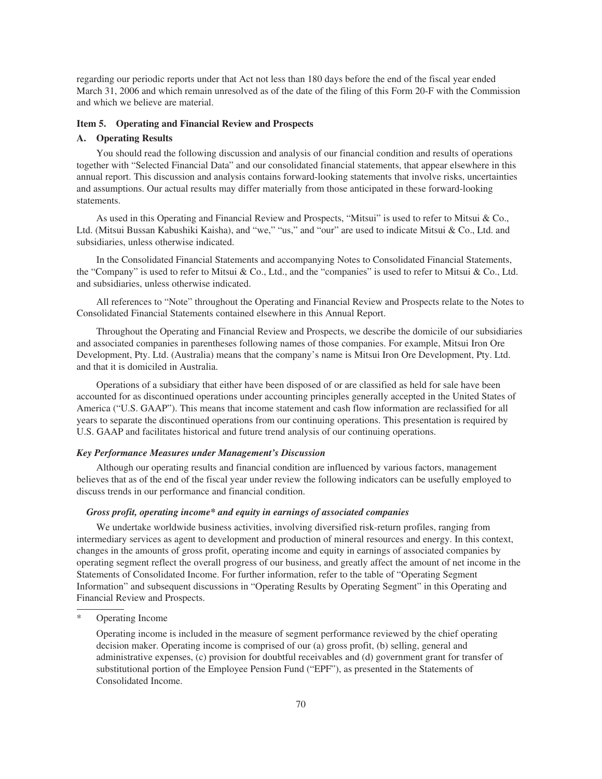regarding our periodic reports under that Act not less than 180 days before the end of the fiscal year ended March 31, 2006 and which remain unresolved as of the date of the filing of this Form 20-F with the Commission and which we believe are material.

## **Item 5. Operating and Financial Review and Prospects**

### **A. Operating Results**

You should read the following discussion and analysis of our financial condition and results of operations together with "Selected Financial Data" and our consolidated financial statements, that appear elsewhere in this annual report. This discussion and analysis contains forward-looking statements that involve risks, uncertainties and assumptions. Our actual results may differ materially from those anticipated in these forward-looking statements.

As used in this Operating and Financial Review and Prospects, "Mitsui" is used to refer to Mitsui & Co., Ltd. (Mitsui Bussan Kabushiki Kaisha), and "we," "us," and "our" are used to indicate Mitsui & Co., Ltd. and subsidiaries, unless otherwise indicated.

In the Consolidated Financial Statements and accompanying Notes to Consolidated Financial Statements, the "Company" is used to refer to Mitsui & Co., Ltd., and the "companies" is used to refer to Mitsui & Co., Ltd. and subsidiaries, unless otherwise indicated.

All references to "Note" throughout the Operating and Financial Review and Prospects relate to the Notes to Consolidated Financial Statements contained elsewhere in this Annual Report.

Throughout the Operating and Financial Review and Prospects, we describe the domicile of our subsidiaries and associated companies in parentheses following names of those companies. For example, Mitsui Iron Ore Development, Pty. Ltd. (Australia) means that the company's name is Mitsui Iron Ore Development, Pty. Ltd. and that it is domiciled in Australia.

Operations of a subsidiary that either have been disposed of or are classified as held for sale have been accounted for as discontinued operations under accounting principles generally accepted in the United States of America ("U.S. GAAP"). This means that income statement and cash flow information are reclassified for all years to separate the discontinued operations from our continuing operations. This presentation is required by U.S. GAAP and facilitates historical and future trend analysis of our continuing operations.

## *Key Performance Measures under Management's Discussion*

Although our operating results and financial condition are influenced by various factors, management believes that as of the end of the fiscal year under review the following indicators can be usefully employed to discuss trends in our performance and financial condition.

## *Gross profit, operating income\* and equity in earnings of associated companies*

We undertake worldwide business activities, involving diversified risk-return profiles, ranging from intermediary services as agent to development and production of mineral resources and energy. In this context, changes in the amounts of gross profit, operating income and equity in earnings of associated companies by operating segment reflect the overall progress of our business, and greatly affect the amount of net income in the Statements of Consolidated Income. For further information, refer to the table of "Operating Segment Information" and subsequent discussions in "Operating Results by Operating Segment" in this Operating and Financial Review and Prospects.

Operating Income

Operating income is included in the measure of segment performance reviewed by the chief operating decision maker. Operating income is comprised of our (a) gross profit, (b) selling, general and administrative expenses, (c) provision for doubtful receivables and (d) government grant for transfer of substitutional portion of the Employee Pension Fund ("EPF"), as presented in the Statements of Consolidated Income.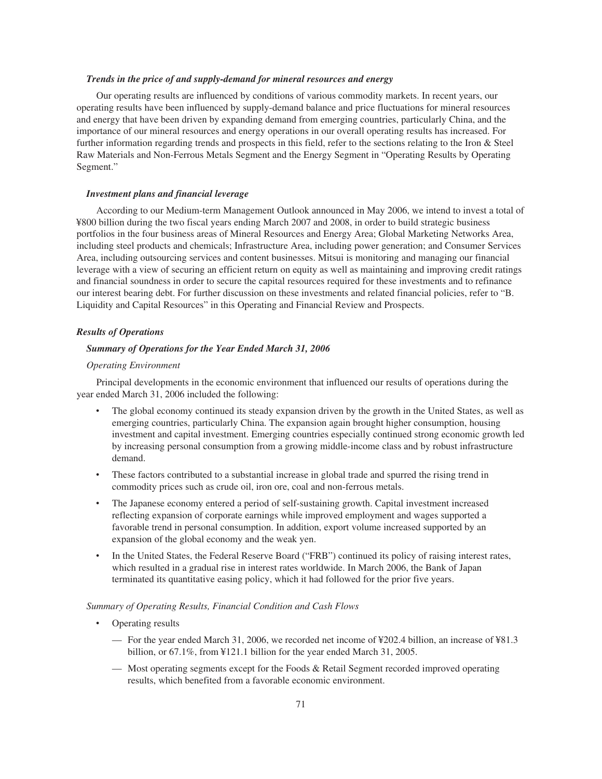## *Trends in the price of and supply-demand for mineral resources and energy*

Our operating results are influenced by conditions of various commodity markets. In recent years, our operating results have been influenced by supply-demand balance and price fluctuations for mineral resources and energy that have been driven by expanding demand from emerging countries, particularly China, and the importance of our mineral resources and energy operations in our overall operating results has increased. For further information regarding trends and prospects in this field, refer to the sections relating to the Iron & Steel Raw Materials and Non-Ferrous Metals Segment and the Energy Segment in "Operating Results by Operating Segment."

### *Investment plans and financial leverage*

According to our Medium-term Management Outlook announced in May 2006, we intend to invest a total of ¥800 billion during the two fiscal years ending March 2007 and 2008, in order to build strategic business portfolios in the four business areas of Mineral Resources and Energy Area; Global Marketing Networks Area, including steel products and chemicals; Infrastructure Area, including power generation; and Consumer Services Area, including outsourcing services and content businesses. Mitsui is monitoring and managing our financial leverage with a view of securing an efficient return on equity as well as maintaining and improving credit ratings and financial soundness in order to secure the capital resources required for these investments and to refinance our interest bearing debt. For further discussion on these investments and related financial policies, refer to "B. Liquidity and Capital Resources" in this Operating and Financial Review and Prospects.

### *Results of Operations*

## *Summary of Operations for the Year Ended March 31, 2006*

### *Operating Environment*

Principal developments in the economic environment that influenced our results of operations during the year ended March 31, 2006 included the following:

- The global economy continued its steady expansion driven by the growth in the United States, as well as emerging countries, particularly China. The expansion again brought higher consumption, housing investment and capital investment. Emerging countries especially continued strong economic growth led by increasing personal consumption from a growing middle-income class and by robust infrastructure demand.
- These factors contributed to a substantial increase in global trade and spurred the rising trend in commodity prices such as crude oil, iron ore, coal and non-ferrous metals.
- The Japanese economy entered a period of self-sustaining growth. Capital investment increased reflecting expansion of corporate earnings while improved employment and wages supported a favorable trend in personal consumption. In addition, export volume increased supported by an expansion of the global economy and the weak yen.
- In the United States, the Federal Reserve Board ("FRB") continued its policy of raising interest rates, which resulted in a gradual rise in interest rates worldwide. In March 2006, the Bank of Japan terminated its quantitative easing policy, which it had followed for the prior five years.

## *Summary of Operating Results, Financial Condition and Cash Flows*

- Operating results
	- For the year ended March 31, 2006, we recorded net income of ¥202.4 billion, an increase of ¥81.3 billion, or 67.1%, from ¥121.1 billion for the year ended March 31, 2005.
	- Most operating segments except for the Foods & Retail Segment recorded improved operating results, which benefited from a favorable economic environment.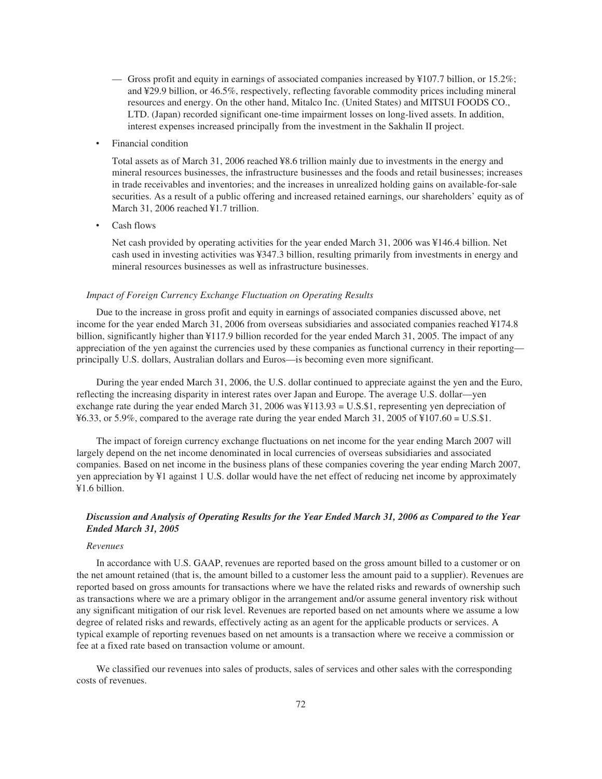- Gross profit and equity in earnings of associated companies increased by ¥107.7 billion, or 15.2%; and ¥29.9 billion, or 46.5%, respectively, reflecting favorable commodity prices including mineral resources and energy. On the other hand, Mitalco Inc. (United States) and MITSUI FOODS CO., LTD. (Japan) recorded significant one-time impairment losses on long-lived assets. In addition, interest expenses increased principally from the investment in the Sakhalin II project.
- Financial condition

Total assets as of March 31, 2006 reached ¥8.6 trillion mainly due to investments in the energy and mineral resources businesses, the infrastructure businesses and the foods and retail businesses; increases in trade receivables and inventories; and the increases in unrealized holding gains on available-for-sale securities. As a result of a public offering and increased retained earnings, our shareholders' equity as of March 31, 2006 reached ¥1.7 trillion.

‰ Cash flows

Net cash provided by operating activities for the year ended March 31, 2006 was ¥146.4 billion. Net cash used in investing activities was ¥347.3 billion, resulting primarily from investments in energy and mineral resources businesses as well as infrastructure businesses.

### *Impact of Foreign Currency Exchange Fluctuation on Operating Results*

Due to the increase in gross profit and equity in earnings of associated companies discussed above, net income for the year ended March 31, 2006 from overseas subsidiaries and associated companies reached ¥174.8 billion, significantly higher than ¥117.9 billion recorded for the year ended March 31, 2005. The impact of any appreciation of the yen against the currencies used by these companies as functional currency in their reporting principally U.S. dollars, Australian dollars and Euros—is becoming even more significant.

During the year ended March 31, 2006, the U.S. dollar continued to appreciate against the yen and the Euro, reflecting the increasing disparity in interest rates over Japan and Europe. The average U.S. dollar—yen exchange rate during the year ended March 31, 2006 was ¥113.93 = U.S.\$1, representing yen depreciation of  $\text{\textsterling}6.33$ , or 5.9%, compared to the average rate during the year ended March 31, 2005 of  $\text{\textsterling}107.60 = U.S.\$ \$1.

The impact of foreign currency exchange fluctuations on net income for the year ending March 2007 will largely depend on the net income denominated in local currencies of overseas subsidiaries and associated companies. Based on net income in the business plans of these companies covering the year ending March 2007, yen appreciation by ¥1 against 1 U.S. dollar would have the net effect of reducing net income by approximately ¥1.6 billion.

# *Discussion and Analysis of Operating Results for the Year Ended March 31, 2006 as Compared to the Year Ended March 31, 2005*

## *Revenues*

In accordance with U.S. GAAP, revenues are reported based on the gross amount billed to a customer or on the net amount retained (that is, the amount billed to a customer less the amount paid to a supplier). Revenues are reported based on gross amounts for transactions where we have the related risks and rewards of ownership such as transactions where we are a primary obligor in the arrangement and/or assume general inventory risk without any significant mitigation of our risk level. Revenues are reported based on net amounts where we assume a low degree of related risks and rewards, effectively acting as an agent for the applicable products or services. A typical example of reporting revenues based on net amounts is a transaction where we receive a commission or fee at a fixed rate based on transaction volume or amount.

We classified our revenues into sales of products, sales of services and other sales with the corresponding costs of revenues.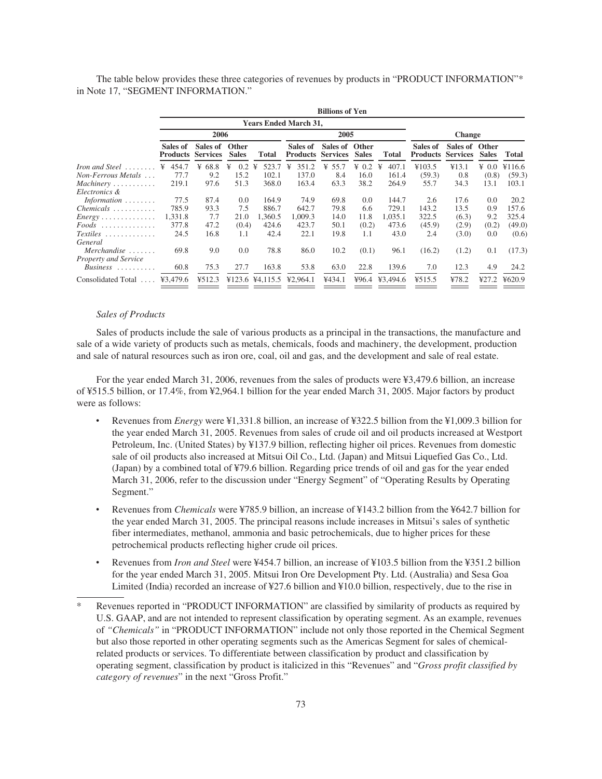The table below provides these three categories of revenues by products in "PRODUCT INFORMATION"\* in Note 17, "SEGMENT INFORMATION."

|                                                                |                                      |           |                       |              |                                      | <b>Billions of Yen</b> |              |                |                             |                                   |              |        |
|----------------------------------------------------------------|--------------------------------------|-----------|-----------------------|--------------|--------------------------------------|------------------------|--------------|----------------|-----------------------------|-----------------------------------|--------------|--------|
|                                                                |                                      |           |                       |              | <b>Years Ended March 31,</b>         |                        |              |                |                             |                                   |              |        |
|                                                                |                                      | 2006      |                       |              | 2005                                 |                        |              |                | <b>Change</b>               |                                   |              |        |
|                                                                | Sales of<br><b>Products Services</b> | Sales of  | Other<br><b>Sales</b> | <b>Total</b> | Sales of<br><b>Products Services</b> | Sales of Other         | <b>Sales</b> | <b>Total</b>   | Sales of<br><b>Products</b> | Sales of Other<br><b>Services</b> | <b>Sales</b> | Total  |
| <i>Iron and Steel</i>                                          | 454.7<br>¥                           | 68.8<br>¥ | 0.2<br>¥              | 523.7<br>¥   | 351.2<br>¥                           | 55.7<br>¥              | $\angle 0.2$ | 407.1<br>¥     | ¥103.5                      | ¥13.1                             | ¥ 0.0        | ¥116.6 |
| Non-Ferrous Metals                                             | 77.7                                 | 9.2       | 15.2                  | 102.1        | 137.0                                | 8.4                    | 16.0         | 161.4          | (59.3)                      | 0.8                               | (0.8)        | (59.3) |
| $Machinery \ldots \ldots \ldots$                               | 219.1                                | 97.6      | 51.3                  | 368.0        | 163.4                                | 63.3                   | 38.2         | 264.9          | 55.7                        | 34.3                              | 13.1         | 103.1  |
| Electronics &                                                  |                                      |           |                       |              |                                      |                        |              |                |                             |                                   |              |        |
| Information $\ldots \ldots$                                    | 77.5                                 | 87.4      | 0.0                   | 164.9        | 74.9                                 | 69.8                   | 0.0          | 144.7          | 2.6                         | 17.6                              | 0.0          | 20.2   |
| $Chemicals$                                                    | 785.9                                | 93.3      | 7.5                   | 886.7        | 642.7                                | 79.8                   | 6.6          | 729.1          | 143.2                       | 13.5                              | 0.9          | 157.6  |
| $Energy \ldots \ldots \ldots \ldots$                           | 1,331.8                              | 7.7       | 21.0                  | 1,360.5      | 1,009.3                              | 14.0                   | 11.8         | 1,035.1        | 322.5                       | (6.3)                             | 9.2          | 325.4  |
| $Foods$                                                        | 377.8                                | 47.2      | (0.4)                 | 424.6        | 423.7                                | 50.1                   | (0.2)        | 473.6          | (45.9)                      | (2.9)                             | (0.2)        | (49.0) |
| $Textiles$<br>General                                          | 24.5                                 | 16.8      | 1.1                   | 42.4         | 22.1                                 | 19.8                   | 1.1          | 43.0           | 2.4                         | (3.0)                             | 0.0          | (0.6)  |
| $Merchandise \ldots \ldots$                                    | 69.8                                 | 9.0       | 0.0                   | 78.8         | 86.0                                 | 10.2                   | (0.1)        | 96.1           | (16.2)                      | (1.2)                             | 0.1          | (17.3) |
| <b>Property and Service</b><br>$Business \ldots \ldots \ldots$ | 60.8                                 | 75.3      | 27.7                  | 163.8        | 53.8                                 | 63.0                   | 22.8         | 139.6          | 7.0                         | 12.3                              | 4.9          | 24.2   |
| Consolidated Total                                             | ¥3,479.6                             | ¥512.3    |                       |              | $¥123.6$ ¥4,115.5 ¥2,964.1           | ¥434.1                 |              | ¥96.4 ¥3.494.6 | ¥515.5                      | 478.2                             | ¥27.2        | ¥620.9 |

# *Sales of Products*

Sales of products include the sale of various products as a principal in the transactions, the manufacture and sale of a wide variety of products such as metals, chemicals, foods and machinery, the development, production and sale of natural resources such as iron ore, coal, oil and gas, and the development and sale of real estate.

For the year ended March 31, 2006, revenues from the sales of products were ¥3,479.6 billion, an increase of ¥515.5 billion, or 17.4%, from ¥2,964.1 billion for the year ended March 31, 2005. Major factors by product were as follows:

- Revenues from *Energy* were ¥1,331.8 billion, an increase of ¥322.5 billion from the ¥1,009.3 billion for the year ended March 31, 2005. Revenues from sales of crude oil and oil products increased at Westport Petroleum, Inc. (United States) by ¥137.9 billion, reflecting higher oil prices. Revenues from domestic sale of oil products also increased at Mitsui Oil Co., Ltd. (Japan) and Mitsui Liquefied Gas Co., Ltd. (Japan) by a combined total of ¥79.6 billion. Regarding price trends of oil and gas for the year ended March 31, 2006, refer to the discussion under "Energy Segment" of "Operating Results by Operating Segment."
- Revenues from *Chemicals* were ¥785.9 billion, an increase of ¥143.2 billion from the ¥642.7 billion for the year ended March 31, 2005. The principal reasons include increases in Mitsui's sales of synthetic fiber intermediates, methanol, ammonia and basic petrochemicals, due to higher prices for these petrochemical products reflecting higher crude oil prices.
- ‰ Revenues from *Iron and Steel* were ¥454.7 billion, an increase of ¥103.5 billion from the ¥351.2 billion for the year ended March 31, 2005. Mitsui Iron Ore Development Pty. Ltd. (Australia) and Sesa Goa Limited (India) recorded an increase of ¥27.6 billion and ¥10.0 billion, respectively, due to the rise in
- \* Revenues reported in "PRODUCT INFORMATION" are classified by similarity of products as required by U.S. GAAP, and are not intended to represent classification by operating segment. As an example, revenues of *"Chemicals"* in "PRODUCT INFORMATION" include not only those reported in the Chemical Segment but also those reported in other operating segments such as the Americas Segment for sales of chemicalrelated products or services. To differentiate between classification by product and classification by operating segment, classification by product is italicized in this "Revenues" and "*Gross profit classified by category of revenues*" in the next "Gross Profit."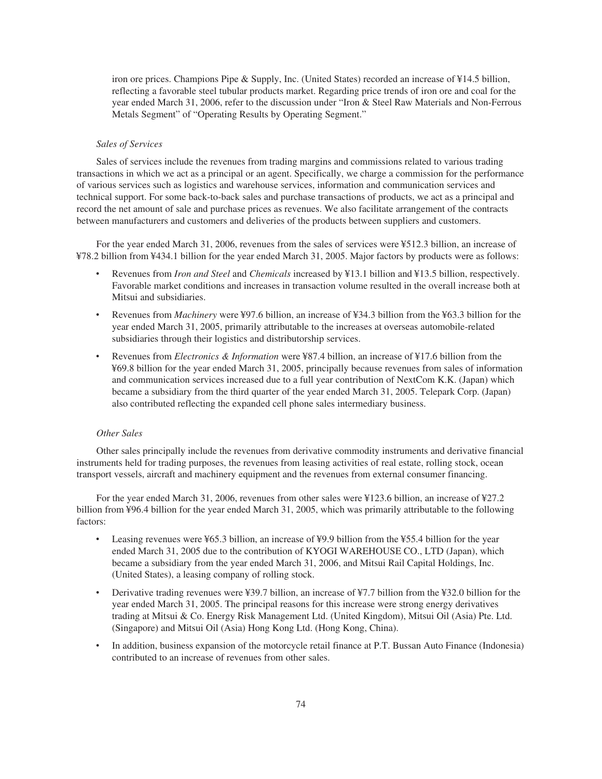iron ore prices. Champions Pipe & Supply, Inc. (United States) recorded an increase of ¥14.5 billion, reflecting a favorable steel tubular products market. Regarding price trends of iron ore and coal for the year ended March 31, 2006, refer to the discussion under "Iron & Steel Raw Materials and Non-Ferrous Metals Segment" of "Operating Results by Operating Segment."

## *Sales of Services*

Sales of services include the revenues from trading margins and commissions related to various trading transactions in which we act as a principal or an agent. Specifically, we charge a commission for the performance of various services such as logistics and warehouse services, information and communication services and technical support. For some back-to-back sales and purchase transactions of products, we act as a principal and record the net amount of sale and purchase prices as revenues. We also facilitate arrangement of the contracts between manufacturers and customers and deliveries of the products between suppliers and customers.

For the year ended March 31, 2006, revenues from the sales of services were ¥512.3 billion, an increase of ¥78.2 billion from ¥434.1 billion for the year ended March 31, 2005. Major factors by products were as follows:

- Revenues from *Iron and Steel* and *Chemicals* increased by ¥13.1 billion and ¥13.5 billion, respectively. Favorable market conditions and increases in transaction volume resulted in the overall increase both at Mitsui and subsidiaries.
- Revenues from *Machinery* were ¥97.6 billion, an increase of ¥34.3 billion from the ¥63.3 billion for the year ended March 31, 2005, primarily attributable to the increases at overseas automobile-related subsidiaries through their logistics and distributorship services.
- Revenues from *Electronics & Information* were ¥87.4 billion, an increase of ¥17.6 billion from the ¥69.8 billion for the year ended March 31, 2005, principally because revenues from sales of information and communication services increased due to a full year contribution of NextCom K.K. (Japan) which became a subsidiary from the third quarter of the year ended March 31, 2005. Telepark Corp. (Japan) also contributed reflecting the expanded cell phone sales intermediary business.

## *Other Sales*

Other sales principally include the revenues from derivative commodity instruments and derivative financial instruments held for trading purposes, the revenues from leasing activities of real estate, rolling stock, ocean transport vessels, aircraft and machinery equipment and the revenues from external consumer financing.

For the year ended March 31, 2006, revenues from other sales were ¥123.6 billion, an increase of ¥27.2 billion from ¥96.4 billion for the year ended March 31, 2005, which was primarily attributable to the following factors:

- Leasing revenues were ¥65.3 billion, an increase of ¥9.9 billion from the ¥55.4 billion for the year ended March 31, 2005 due to the contribution of KYOGI WAREHOUSE CO., LTD (Japan), which became a subsidiary from the year ended March 31, 2006, and Mitsui Rail Capital Holdings, Inc. (United States), a leasing company of rolling stock.
- Derivative trading revenues were ¥39.7 billion, an increase of ¥7.7 billion from the ¥32.0 billion for the year ended March 31, 2005. The principal reasons for this increase were strong energy derivatives trading at Mitsui & Co. Energy Risk Management Ltd. (United Kingdom), Mitsui Oil (Asia) Pte. Ltd. (Singapore) and Mitsui Oil (Asia) Hong Kong Ltd. (Hong Kong, China).
- In addition, business expansion of the motorcycle retail finance at P.T. Bussan Auto Finance (Indonesia) contributed to an increase of revenues from other sales.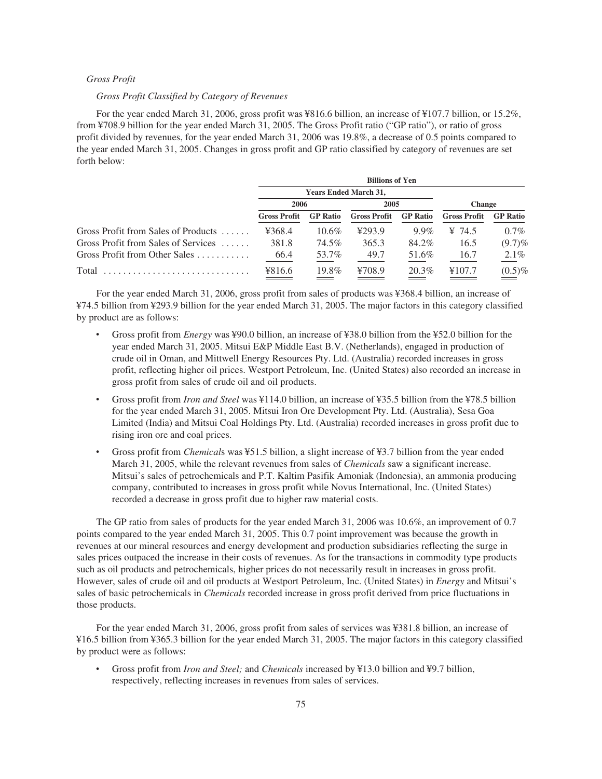# *Gross Profit*

# *Gross Profit Classified by Category of Revenues*

For the year ended March 31, 2006, gross profit was ¥816.6 billion, an increase of ¥107.7 billion, or 15.2%, from ¥708.9 billion for the year ended March 31, 2005. The Gross Profit ratio ("GP ratio"), or ratio of gross profit divided by revenues, for the year ended March 31, 2006 was 19.8%, a decrease of 0.5 points compared to the year ended March 31, 2005. Changes in gross profit and GP ratio classified by category of revenues are set forth below:

|                                     | <b>Billions of Yen</b> |                              |                     |                 |                     |                 |  |  |  |
|-------------------------------------|------------------------|------------------------------|---------------------|-----------------|---------------------|-----------------|--|--|--|
|                                     |                        | <b>Years Ended March 31,</b> |                     |                 |                     |                 |  |  |  |
|                                     | 2006                   |                              | 2005                |                 | <b>Change</b>       |                 |  |  |  |
|                                     | <b>Gross Profit</b>    | <b>GP</b> Ratio              | <b>Gross Profit</b> | <b>GP</b> Ratio | <b>Gross Profit</b> | <b>GP</b> Ratio |  |  |  |
| Gross Profit from Sales of Products | ¥368.4                 | $10.6\%$                     | 4293.9              | $9.9\%$         | ¥ 74.5              | $0.7\%$         |  |  |  |
| Gross Profit from Sales of Services | 381.8                  | 74.5%                        | 365.3               | 84.2%           | 16.5                | $(9.7)\%$       |  |  |  |
| Gross Profit from Other Sales       | 66.4                   | 53.7%                        | 49.7                | 51.6%           | 16.7                | $2.1\%$         |  |  |  |
| Total                               | ¥816.6                 | 19.8%                        | ¥708.9              | 20.3%           | ¥107.7              | $(0.5)\%$       |  |  |  |

For the year ended March 31, 2006, gross profit from sales of products was ¥368.4 billion, an increase of ¥74.5 billion from ¥293.9 billion for the year ended March 31, 2005. The major factors in this category classified by product are as follows:

- ‰ Gross profit from *Energy* was ¥90.0 billion, an increase of ¥38.0 billion from the ¥52.0 billion for the year ended March 31, 2005. Mitsui E&P Middle East B.V. (Netherlands), engaged in production of crude oil in Oman, and Mittwell Energy Resources Pty. Ltd. (Australia) recorded increases in gross profit, reflecting higher oil prices. Westport Petroleum, Inc. (United States) also recorded an increase in gross profit from sales of crude oil and oil products.
- ‰ Gross profit from *Iron and Steel* was ¥114.0 billion, an increase of ¥35.5 billion from the ¥78.5 billion for the year ended March 31, 2005. Mitsui Iron Ore Development Pty. Ltd. (Australia), Sesa Goa Limited (India) and Mitsui Coal Holdings Pty. Ltd. (Australia) recorded increases in gross profit due to rising iron ore and coal prices.
- ‰ Gross profit from *Chemical*s was ¥51.5 billion, a slight increase of ¥3.7 billion from the year ended March 31, 2005, while the relevant revenues from sales of *Chemicals* saw a significant increase. Mitsui's sales of petrochemicals and P.T. Kaltim Pasifik Amoniak (Indonesia), an ammonia producing company, contributed to increases in gross profit while Novus International, Inc. (United States) recorded a decrease in gross profit due to higher raw material costs.

The GP ratio from sales of products for the year ended March 31, 2006 was 10.6%, an improvement of 0.7 points compared to the year ended March 31, 2005. This 0.7 point improvement was because the growth in revenues at our mineral resources and energy development and production subsidiaries reflecting the surge in sales prices outpaced the increase in their costs of revenues. As for the transactions in commodity type products such as oil products and petrochemicals, higher prices do not necessarily result in increases in gross profit. However, sales of crude oil and oil products at Westport Petroleum, Inc. (United States) in *Energy* and Mitsui's sales of basic petrochemicals in *Chemicals* recorded increase in gross profit derived from price fluctuations in those products.

For the year ended March 31, 2006, gross profit from sales of services was ¥381.8 billion, an increase of ¥16.5 billion from ¥365.3 billion for the year ended March 31, 2005. The major factors in this category classified by product were as follows:

‰ Gross profit from *Iron and Steel;* and *Chemicals* increased by ¥13.0 billion and ¥9.7 billion, respectively, reflecting increases in revenues from sales of services.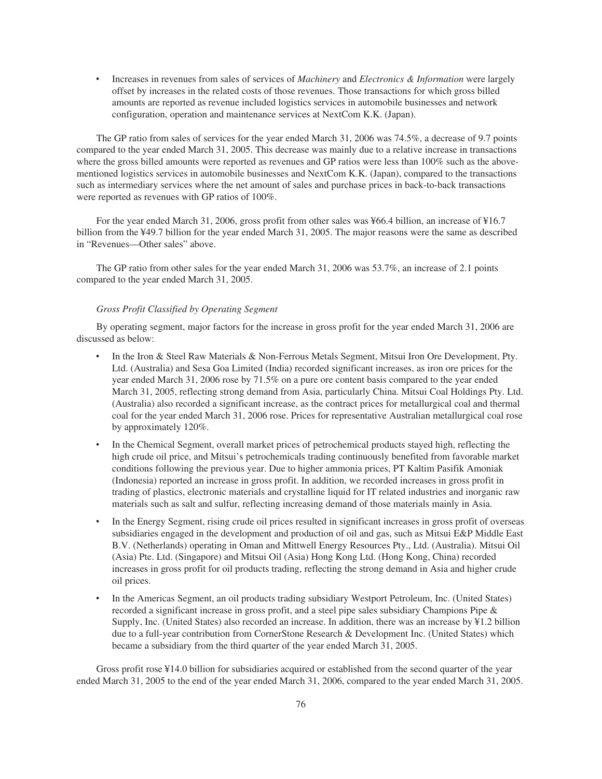‰ Increases in revenues from sales of services of *Machinery* and *Electronics & Information* were largely offset by increases in the related costs of those revenues. Those transactions for which gross billed amounts are reported as revenue included logistics services in automobile businesses and network configuration, operation and maintenance services at NextCom K.K. (Japan).

The GP ratio from sales of services for the year ended March 31, 2006 was 74.5%, a decrease of 9.7 points compared to the year ended March 31, 2005. This decrease was mainly due to a relative increase in transactions where the gross billed amounts were reported as revenues and GP ratios were less than 100% such as the abovementioned logistics services in automobile businesses and NextCom K.K. (Japan), compared to the transactions such as intermediary services where the net amount of sales and purchase prices in back-to-back transactions were reported as revenues with GP ratios of 100%.

For the year ended March 31, 2006, gross profit from other sales was ¥66.4 billion, an increase of ¥16.7 billion from the ¥49.7 billion for the year ended March 31, 2005. The major reasons were the same as described in "Revenues—Other sales" above.

The GP ratio from other sales for the year ended March 31, 2006 was 53.7%, an increase of 2.1 points compared to the year ended March 31, 2005.

# *Gross Profit Classified by Operating Segment*

By operating segment, major factors for the increase in gross profit for the year ended March 31, 2006 are discussed as below:

- In the Iron & Steel Raw Materials & Non-Ferrous Metals Segment, Mitsui Iron Ore Development, Pty. Ltd. (Australia) and Sesa Goa Limited (India) recorded significant increases, as iron ore prices for the year ended March 31, 2006 rose by 71.5% on a pure ore content basis compared to the year ended March 31, 2005, reflecting strong demand from Asia, particularly China. Mitsui Coal Holdings Pty. Ltd. (Australia) also recorded a significant increase, as the contract prices for metallurgical coal and thermal coal for the year ended March 31, 2006 rose. Prices for representative Australian metallurgical coal rose by approximately 120%.
- In the Chemical Segment, overall market prices of petrochemical products stayed high, reflecting the high crude oil price, and Mitsui's petrochemicals trading continuously benefited from favorable market conditions following the previous year. Due to higher ammonia prices, PT Kaltim Pasifik Amoniak (Indonesia) reported an increase in gross profit. In addition, we recorded increases in gross profit in trading of plastics, electronic materials and crystalline liquid for IT related industries and inorganic raw materials such as salt and sulfur, reflecting increasing demand of those materials mainly in Asia.
- In the Energy Segment, rising crude oil prices resulted in significant increases in gross profit of overseas subsidiaries engaged in the development and production of oil and gas, such as Mitsui E&P Middle East B.V. (Netherlands) operating in Oman and Mittwell Energy Resources Pty., Ltd. (Australia). Mitsui Oil (Asia) Pte. Ltd. (Singapore) and Mitsui Oil (Asia) Hong Kong Ltd. (Hong Kong, China) recorded increases in gross profit for oil products trading, reflecting the strong demand in Asia and higher crude oil prices.
- ‰ In the Americas Segment, an oil products trading subsidiary Westport Petroleum, Inc. (United States) recorded a significant increase in gross profit, and a steel pipe sales subsidiary Champions Pipe & Supply, Inc. (United States) also recorded an increase. In addition, there was an increase by ¥1.2 billion due to a full-year contribution from CornerStone Research & Development Inc. (United States) which became a subsidiary from the third quarter of the year ended March 31, 2005.

Gross profit rose ¥14.0 billion for subsidiaries acquired or established from the second quarter of the year ended March 31, 2005 to the end of the year ended March 31, 2006, compared to the year ended March 31, 2005.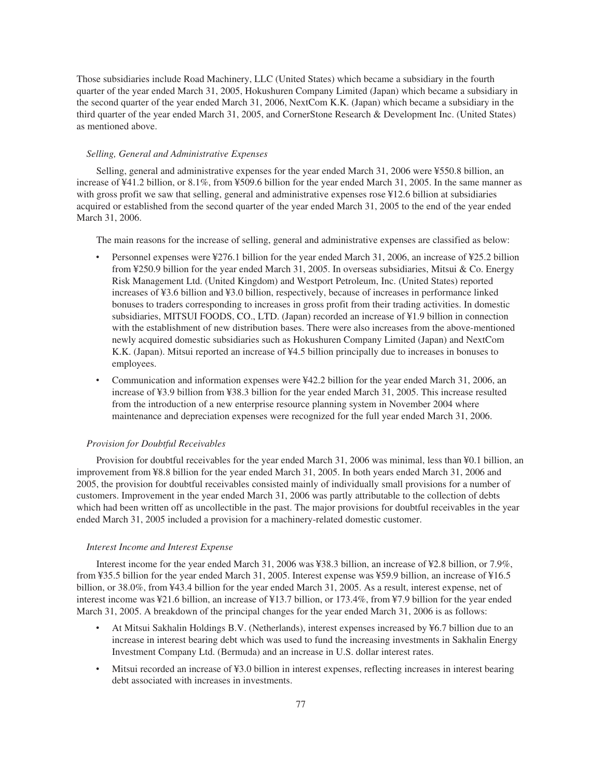Those subsidiaries include Road Machinery, LLC (United States) which became a subsidiary in the fourth quarter of the year ended March 31, 2005, Hokushuren Company Limited (Japan) which became a subsidiary in the second quarter of the year ended March 31, 2006, NextCom K.K. (Japan) which became a subsidiary in the third quarter of the year ended March 31, 2005, and CornerStone Research & Development Inc. (United States) as mentioned above.

#### *Selling, General and Administrative Expenses*

Selling, general and administrative expenses for the year ended March 31, 2006 were ¥550.8 billion, an increase of ¥41.2 billion, or 8.1%, from ¥509.6 billion for the year ended March 31, 2005. In the same manner as with gross profit we saw that selling, general and administrative expenses rose ¥12.6 billion at subsidiaries acquired or established from the second quarter of the year ended March 31, 2005 to the end of the year ended March 31, 2006.

The main reasons for the increase of selling, general and administrative expenses are classified as below:

- Personnel expenses were ¥276.1 billion for the year ended March 31, 2006, an increase of ¥25.2 billion from ¥250.9 billion for the year ended March 31, 2005. In overseas subsidiaries, Mitsui & Co. Energy Risk Management Ltd. (United Kingdom) and Westport Petroleum, Inc. (United States) reported increases of ¥3.6 billion and ¥3.0 billion, respectively, because of increases in performance linked bonuses to traders corresponding to increases in gross profit from their trading activities. In domestic subsidiaries, MITSUI FOODS, CO., LTD. (Japan) recorded an increase of ¥1.9 billion in connection with the establishment of new distribution bases. There were also increases from the above-mentioned newly acquired domestic subsidiaries such as Hokushuren Company Limited (Japan) and NextCom K.K. (Japan). Mitsui reported an increase of ¥4.5 billion principally due to increases in bonuses to employees.
- Communication and information expenses were ¥42.2 billion for the year ended March 31, 2006, an increase of ¥3.9 billion from ¥38.3 billion for the year ended March 31, 2005. This increase resulted from the introduction of a new enterprise resource planning system in November 2004 where maintenance and depreciation expenses were recognized for the full year ended March 31, 2006.

## *Provision for Doubtful Receivables*

Provision for doubtful receivables for the year ended March 31, 2006 was minimal, less than ¥0.1 billion, an improvement from ¥8.8 billion for the year ended March 31, 2005. In both years ended March 31, 2006 and 2005, the provision for doubtful receivables consisted mainly of individually small provisions for a number of customers. Improvement in the year ended March 31, 2006 was partly attributable to the collection of debts which had been written off as uncollectible in the past. The major provisions for doubtful receivables in the year ended March 31, 2005 included a provision for a machinery-related domestic customer.

#### *Interest Income and Interest Expense*

Interest income for the year ended March 31, 2006 was ¥38.3 billion, an increase of ¥2.8 billion, or 7.9%, from ¥35.5 billion for the year ended March 31, 2005. Interest expense was ¥59.9 billion, an increase of ¥16.5 billion, or 38.0%, from ¥43.4 billion for the year ended March 31, 2005. As a result, interest expense, net of interest income was ¥21.6 billion, an increase of ¥13.7 billion, or 173.4%, from ¥7.9 billion for the year ended March 31, 2005. A breakdown of the principal changes for the year ended March 31, 2006 is as follows:

- At Mitsui Sakhalin Holdings B.V. (Netherlands), interest expenses increased by ¥6.7 billion due to an increase in interest bearing debt which was used to fund the increasing investments in Sakhalin Energy Investment Company Ltd. (Bermuda) and an increase in U.S. dollar interest rates.
- Mitsui recorded an increase of ¥3.0 billion in interest expenses, reflecting increases in interest bearing debt associated with increases in investments.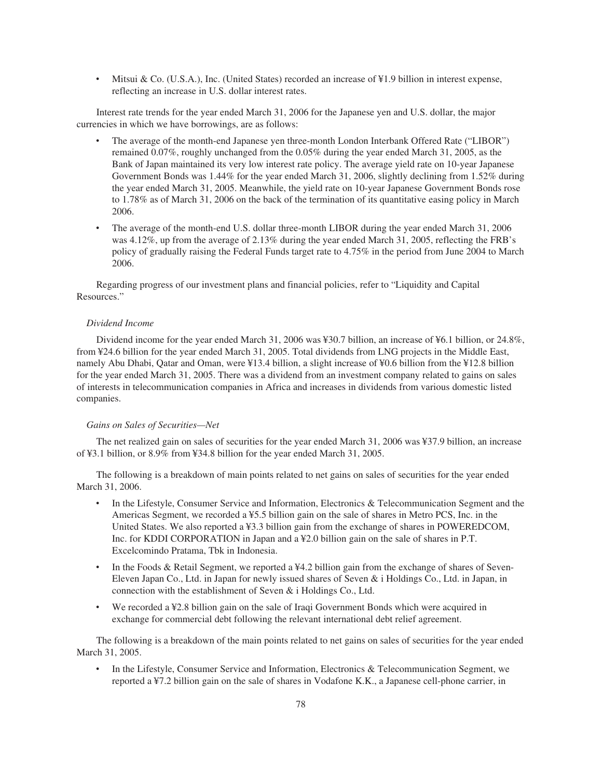Mitsui & Co. (U.S.A.), Inc. (United States) recorded an increase of ¥1.9 billion in interest expense, reflecting an increase in U.S. dollar interest rates.

Interest rate trends for the year ended March 31, 2006 for the Japanese yen and U.S. dollar, the major currencies in which we have borrowings, are as follows:

- The average of the month-end Japanese yen three-month London Interbank Offered Rate ("LIBOR") remained 0.07%, roughly unchanged from the 0.05% during the year ended March 31, 2005, as the Bank of Japan maintained its very low interest rate policy. The average yield rate on 10-year Japanese Government Bonds was 1.44% for the year ended March 31, 2006, slightly declining from 1.52% during the year ended March 31, 2005. Meanwhile, the yield rate on 10-year Japanese Government Bonds rose to 1.78% as of March 31, 2006 on the back of the termination of its quantitative easing policy in March 2006.
- The average of the month-end U.S. dollar three-month LIBOR during the year ended March 31, 2006 was 4.12%, up from the average of 2.13% during the year ended March 31, 2005, reflecting the FRB's policy of gradually raising the Federal Funds target rate to 4.75% in the period from June 2004 to March 2006.

Regarding progress of our investment plans and financial policies, refer to "Liquidity and Capital Resources."

#### *Dividend Income*

Dividend income for the year ended March 31, 2006 was ¥30.7 billion, an increase of ¥6.1 billion, or 24.8%, from ¥24.6 billion for the year ended March 31, 2005. Total dividends from LNG projects in the Middle East, namely Abu Dhabi, Qatar and Oman, were ¥13.4 billion, a slight increase of ¥0.6 billion from the ¥12.8 billion for the year ended March 31, 2005. There was a dividend from an investment company related to gains on sales of interests in telecommunication companies in Africa and increases in dividends from various domestic listed companies.

#### *Gains on Sales of Securities—Net*

The net realized gain on sales of securities for the year ended March 31, 2006 was ¥37.9 billion, an increase of ¥3.1 billion, or 8.9% from ¥34.8 billion for the year ended March 31, 2005.

The following is a breakdown of main points related to net gains on sales of securities for the year ended March 31, 2006.

- In the Lifestyle, Consumer Service and Information, Electronics & Telecommunication Segment and the Americas Segment, we recorded a ¥5.5 billion gain on the sale of shares in Metro PCS, Inc. in the United States. We also reported a ¥3.3 billion gain from the exchange of shares in POWEREDCOM, Inc. for KDDI CORPORATION in Japan and a ¥2.0 billion gain on the sale of shares in P.T. Excelcomindo Pratama, Tbk in Indonesia.
- ‰ In the Foods & Retail Segment, we reported a ¥4.2 billion gain from the exchange of shares of Seven-Eleven Japan Co., Ltd. in Japan for newly issued shares of Seven & i Holdings Co., Ltd. in Japan, in connection with the establishment of Seven & i Holdings Co., Ltd.
- We recorded a  $\frac{1}{2}$ .8 billion gain on the sale of Iraqi Government Bonds which were acquired in exchange for commercial debt following the relevant international debt relief agreement.

The following is a breakdown of the main points related to net gains on sales of securities for the year ended March 31, 2005.

In the Lifestyle, Consumer Service and Information, Electronics & Telecommunication Segment, we reported a ¥7.2 billion gain on the sale of shares in Vodafone K.K., a Japanese cell-phone carrier, in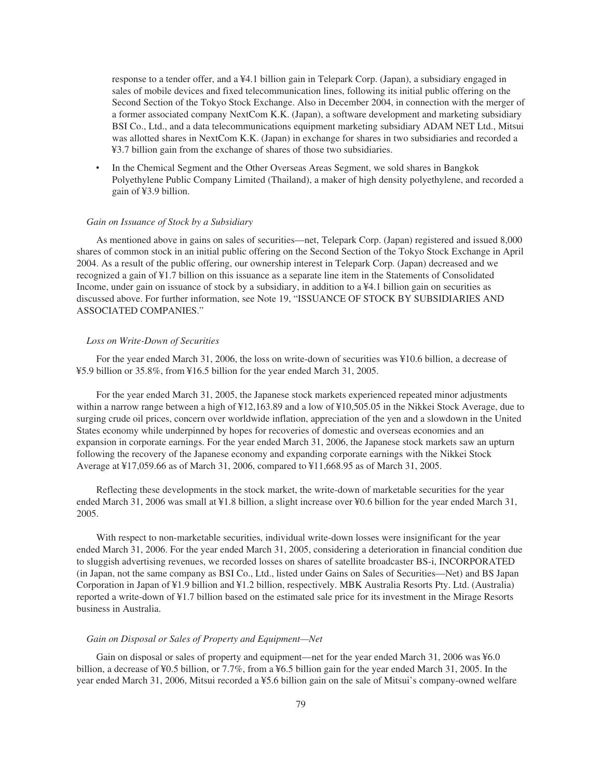response to a tender offer, and a ¥4.1 billion gain in Telepark Corp. (Japan), a subsidiary engaged in sales of mobile devices and fixed telecommunication lines, following its initial public offering on the Second Section of the Tokyo Stock Exchange. Also in December 2004, in connection with the merger of a former associated company NextCom K.K. (Japan), a software development and marketing subsidiary BSI Co., Ltd., and a data telecommunications equipment marketing subsidiary ADAM NET Ltd., Mitsui was allotted shares in NextCom K.K. (Japan) in exchange for shares in two subsidiaries and recorded a ¥3.7 billion gain from the exchange of shares of those two subsidiaries.

In the Chemical Segment and the Other Overseas Areas Segment, we sold shares in Bangkok Polyethylene Public Company Limited (Thailand), a maker of high density polyethylene, and recorded a gain of ¥3.9 billion.

#### *Gain on Issuance of Stock by a Subsidiary*

As mentioned above in gains on sales of securities—net, Telepark Corp. (Japan) registered and issued 8,000 shares of common stock in an initial public offering on the Second Section of the Tokyo Stock Exchange in April 2004. As a result of the public offering, our ownership interest in Telepark Corp. (Japan) decreased and we recognized a gain of ¥1.7 billion on this issuance as a separate line item in the Statements of Consolidated Income, under gain on issuance of stock by a subsidiary, in addition to a ¥4.1 billion gain on securities as discussed above. For further information, see Note 19, "ISSUANCE OF STOCK BY SUBSIDIARIES AND ASSOCIATED COMPANIES."

## *Loss on Write-Down of Securities*

For the year ended March 31, 2006, the loss on write-down of securities was ¥10.6 billion, a decrease of ¥5.9 billion or 35.8%, from ¥16.5 billion for the year ended March 31, 2005.

For the year ended March 31, 2005, the Japanese stock markets experienced repeated minor adjustments within a narrow range between a high of  $\frac{412,163.89}{2}$  and a low of  $\frac{410,505.05}{2}$  in the Nikkei Stock Average, due to surging crude oil prices, concern over worldwide inflation, appreciation of the yen and a slowdown in the United States economy while underpinned by hopes for recoveries of domestic and overseas economies and an expansion in corporate earnings. For the year ended March 31, 2006, the Japanese stock markets saw an upturn following the recovery of the Japanese economy and expanding corporate earnings with the Nikkei Stock Average at ¥17,059.66 as of March 31, 2006, compared to ¥11,668.95 as of March 31, 2005.

Reflecting these developments in the stock market, the write-down of marketable securities for the year ended March 31, 2006 was small at ¥1.8 billion, a slight increase over ¥0.6 billion for the year ended March 31, 2005.

With respect to non-marketable securities, individual write-down losses were insignificant for the year ended March 31, 2006. For the year ended March 31, 2005, considering a deterioration in financial condition due to sluggish advertising revenues, we recorded losses on shares of satellite broadcaster BS-i, INCORPORATED (in Japan, not the same company as BSI Co., Ltd., listed under Gains on Sales of Securities—Net) and BS Japan Corporation in Japan of ¥1.9 billion and ¥1.2 billion, respectively. MBK Australia Resorts Pty. Ltd. (Australia) reported a write-down of ¥1.7 billion based on the estimated sale price for its investment in the Mirage Resorts business in Australia.

# *Gain on Disposal or Sales of Property and Equipment—Net*

Gain on disposal or sales of property and equipment—net for the year ended March 31, 2006 was ¥6.0 billion, a decrease of ¥0.5 billion, or 7.7%, from a ¥6.5 billion gain for the year ended March 31, 2005. In the year ended March 31, 2006, Mitsui recorded a ¥5.6 billion gain on the sale of Mitsui's company-owned welfare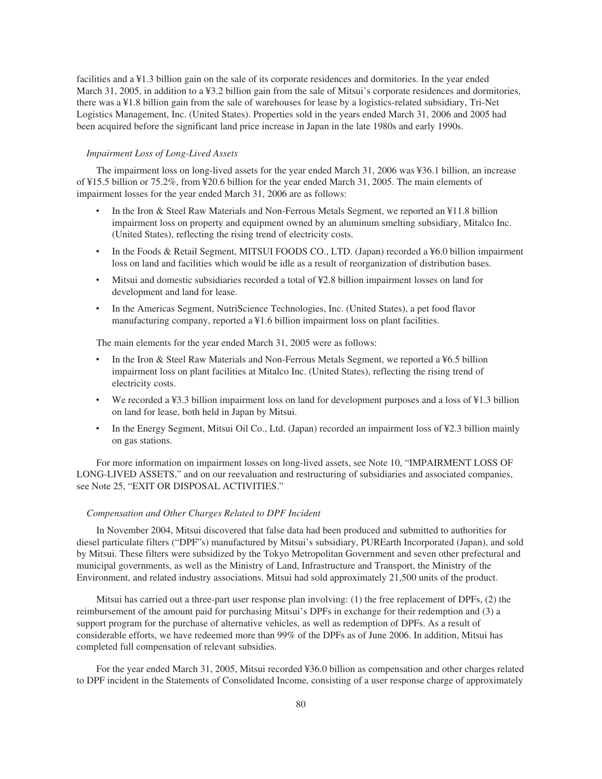facilities and a ¥1.3 billion gain on the sale of its corporate residences and dormitories. In the year ended March 31, 2005, in addition to a ¥3.2 billion gain from the sale of Mitsui's corporate residences and dormitories, there was a ¥1.8 billion gain from the sale of warehouses for lease by a logistics-related subsidiary, Tri-Net Logistics Management, Inc. (United States). Properties sold in the years ended March 31, 2006 and 2005 had been acquired before the significant land price increase in Japan in the late 1980s and early 1990s.

## *Impairment Loss of Long-Lived Assets*

The impairment loss on long-lived assets for the year ended March 31, 2006 was ¥36.1 billion, an increase of ¥15.5 billion or 75.2%, from ¥20.6 billion for the year ended March 31, 2005. The main elements of impairment losses for the year ended March 31, 2006 are as follows:

- In the Iron & Steel Raw Materials and Non-Ferrous Metals Segment, we reported an ¥11.8 billion impairment loss on property and equipment owned by an aluminum smelting subsidiary, Mitalco Inc. (United States), reflecting the rising trend of electricity costs.
- In the Foods & Retail Segment, MITSUI FOODS CO., LTD. (Japan) recorded a ¥6.0 billion impairment loss on land and facilities which would be idle as a result of reorganization of distribution bases.
- ‰ Mitsui and domestic subsidiaries recorded a total of ¥2.8 billion impairment losses on land for development and land for lease.
- ‰ In the Americas Segment, NutriScience Technologies, Inc. (United States), a pet food flavor manufacturing company, reported a ¥1.6 billion impairment loss on plant facilities.

The main elements for the year ended March 31, 2005 were as follows:

- In the Iron & Steel Raw Materials and Non-Ferrous Metals Segment, we reported a ¥6.5 billion impairment loss on plant facilities at Mitalco Inc. (United States), reflecting the rising trend of electricity costs.
- We recorded a ¥3.3 billion impairment loss on land for development purposes and a loss of ¥1.3 billion on land for lease, both held in Japan by Mitsui.
- In the Energy Segment, Mitsui Oil Co., Ltd. (Japan) recorded an impairment loss of ¥2.3 billion mainly on gas stations.

For more information on impairment losses on long-lived assets, see Note 10, "IMPAIRMENT LOSS OF LONG-LIVED ASSETS," and on our reevaluation and restructuring of subsidiaries and associated companies, see Note 25, "EXIT OR DISPOSAL ACTIVITIES."

# *Compensation and Other Charges Related to DPF Incident*

In November 2004, Mitsui discovered that false data had been produced and submitted to authorities for diesel particulate filters ("DPF"s) manufactured by Mitsui's subsidiary, PUREarth Incorporated (Japan), and sold by Mitsui. These filters were subsidized by the Tokyo Metropolitan Government and seven other prefectural and municipal governments, as well as the Ministry of Land, Infrastructure and Transport, the Ministry of the Environment, and related industry associations. Mitsui had sold approximately 21,500 units of the product.

Mitsui has carried out a three-part user response plan involving: (1) the free replacement of DPFs, (2) the reimbursement of the amount paid for purchasing Mitsui's DPFs in exchange for their redemption and (3) a support program for the purchase of alternative vehicles, as well as redemption of DPFs. As a result of considerable efforts, we have redeemed more than 99% of the DPFs as of June 2006. In addition, Mitsui has completed full compensation of relevant subsidies.

For the year ended March 31, 2005, Mitsui recorded ¥36.0 billion as compensation and other charges related to DPF incident in the Statements of Consolidated Income, consisting of a user response charge of approximately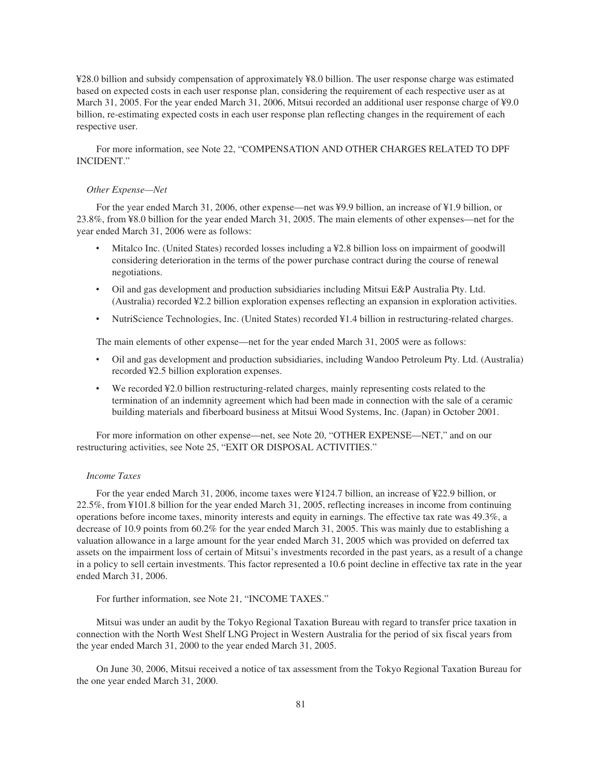¥28.0 billion and subsidy compensation of approximately ¥8.0 billion. The user response charge was estimated based on expected costs in each user response plan, considering the requirement of each respective user as at March 31, 2005. For the year ended March 31, 2006, Mitsui recorded an additional user response charge of ¥9.0 billion, re-estimating expected costs in each user response plan reflecting changes in the requirement of each respective user.

For more information, see Note 22, "COMPENSATION AND OTHER CHARGES RELATED TO DPF INCIDENT."

#### *Other Expense—Net*

For the year ended March 31, 2006, other expense—net was ¥9.9 billion, an increase of ¥1.9 billion, or 23.8%, from ¥8.0 billion for the year ended March 31, 2005. The main elements of other expenses—net for the year ended March 31, 2006 were as follows:

- ‰ Mitalco Inc. (United States) recorded losses including a ¥2.8 billion loss on impairment of goodwill considering deterioration in the terms of the power purchase contract during the course of renewal negotiations.
- ‰ Oil and gas development and production subsidiaries including Mitsui E&P Australia Pty. Ltd. (Australia) recorded ¥2.2 billion exploration expenses reflecting an expansion in exploration activities.
- ‰ NutriScience Technologies, Inc. (United States) recorded ¥1.4 billion in restructuring-related charges.

The main elements of other expense—net for the year ended March 31, 2005 were as follows:

- ‰ Oil and gas development and production subsidiaries, including Wandoo Petroleum Pty. Ltd. (Australia) recorded ¥2.5 billion exploration expenses.
- We recorded ¥2.0 billion restructuring-related charges, mainly representing costs related to the termination of an indemnity agreement which had been made in connection with the sale of a ceramic building materials and fiberboard business at Mitsui Wood Systems, Inc. (Japan) in October 2001.

For more information on other expense—net, see Note 20, "OTHER EXPENSE—NET," and on our restructuring activities, see Note 25, "EXIT OR DISPOSAL ACTIVITIES."

#### *Income Taxes*

For the year ended March 31, 2006, income taxes were ¥124.7 billion, an increase of ¥22.9 billion, or 22.5%, from ¥101.8 billion for the year ended March 31, 2005, reflecting increases in income from continuing operations before income taxes, minority interests and equity in earnings. The effective tax rate was 49.3%, a decrease of 10.9 points from 60.2% for the year ended March 31, 2005. This was mainly due to establishing a valuation allowance in a large amount for the year ended March 31, 2005 which was provided on deferred tax assets on the impairment loss of certain of Mitsui's investments recorded in the past years, as a result of a change in a policy to sell certain investments. This factor represented a 10.6 point decline in effective tax rate in the year ended March 31, 2006.

For further information, see Note 21, "INCOME TAXES."

Mitsui was under an audit by the Tokyo Regional Taxation Bureau with regard to transfer price taxation in connection with the North West Shelf LNG Project in Western Australia for the period of six fiscal years from the year ended March 31, 2000 to the year ended March 31, 2005.

On June 30, 2006, Mitsui received a notice of tax assessment from the Tokyo Regional Taxation Bureau for the one year ended March 31, 2000.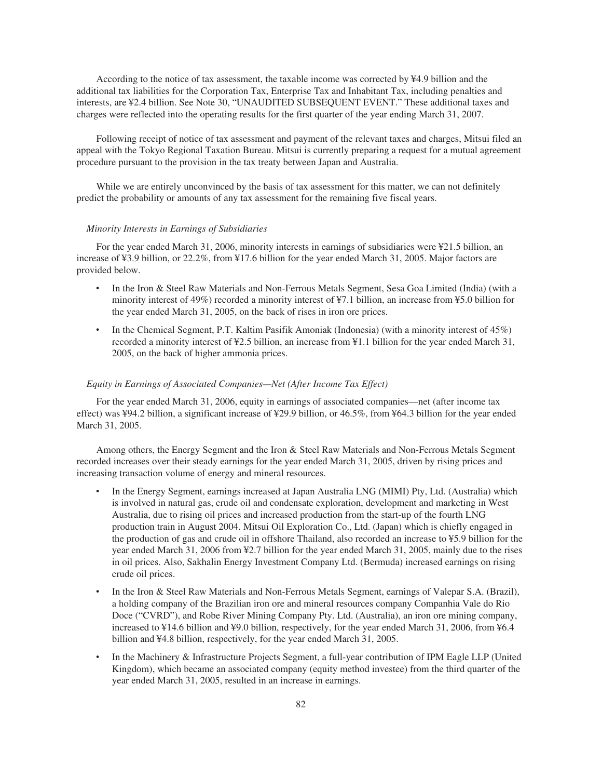According to the notice of tax assessment, the taxable income was corrected by ¥4.9 billion and the additional tax liabilities for the Corporation Tax, Enterprise Tax and Inhabitant Tax, including penalties and interests, are ¥2.4 billion. See Note 30, "UNAUDITED SUBSEQUENT EVENT." These additional taxes and charges were reflected into the operating results for the first quarter of the year ending March 31, 2007.

Following receipt of notice of tax assessment and payment of the relevant taxes and charges, Mitsui filed an appeal with the Tokyo Regional Taxation Bureau. Mitsui is currently preparing a request for a mutual agreement procedure pursuant to the provision in the tax treaty between Japan and Australia.

While we are entirely unconvinced by the basis of tax assessment for this matter, we can not definitely predict the probability or amounts of any tax assessment for the remaining five fiscal years.

### *Minority Interests in Earnings of Subsidiaries*

For the year ended March 31, 2006, minority interests in earnings of subsidiaries were ¥21.5 billion, an increase of ¥3.9 billion, or 22.2%, from ¥17.6 billion for the year ended March 31, 2005. Major factors are provided below.

- In the Iron & Steel Raw Materials and Non-Ferrous Metals Segment, Sesa Goa Limited (India) (with a minority interest of 49%) recorded a minority interest of ¥7.1 billion, an increase from ¥5.0 billion for the year ended March 31, 2005, on the back of rises in iron ore prices.
- In the Chemical Segment, P.T. Kaltim Pasifik Amoniak (Indonesia) (with a minority interest of 45%) recorded a minority interest of ¥2.5 billion, an increase from ¥1.1 billion for the year ended March 31, 2005, on the back of higher ammonia prices.

#### *Equity in Earnings of Associated Companies—Net (After Income Tax Effect)*

For the year ended March 31, 2006, equity in earnings of associated companies—net (after income tax effect) was ¥94.2 billion, a significant increase of ¥29.9 billion, or 46.5%, from ¥64.3 billion for the year ended March 31, 2005.

Among others, the Energy Segment and the Iron & Steel Raw Materials and Non-Ferrous Metals Segment recorded increases over their steady earnings for the year ended March 31, 2005, driven by rising prices and increasing transaction volume of energy and mineral resources.

- In the Energy Segment, earnings increased at Japan Australia LNG (MIMI) Pty, Ltd. (Australia) which is involved in natural gas, crude oil and condensate exploration, development and marketing in West Australia, due to rising oil prices and increased production from the start-up of the fourth LNG production train in August 2004. Mitsui Oil Exploration Co., Ltd. (Japan) which is chiefly engaged in the production of gas and crude oil in offshore Thailand, also recorded an increase to ¥5.9 billion for the year ended March 31, 2006 from ¥2.7 billion for the year ended March 31, 2005, mainly due to the rises in oil prices. Also, Sakhalin Energy Investment Company Ltd. (Bermuda) increased earnings on rising crude oil prices.
- In the Iron & Steel Raw Materials and Non-Ferrous Metals Segment, earnings of Valepar S.A. (Brazil), a holding company of the Brazilian iron ore and mineral resources company Companhia Vale do Rio Doce ("CVRD"), and Robe River Mining Company Pty. Ltd. (Australia), an iron ore mining company, increased to ¥14.6 billion and ¥9.0 billion, respectively, for the year ended March 31, 2006, from ¥6.4 billion and ¥4.8 billion, respectively, for the year ended March 31, 2005.
- In the Machinery & Infrastructure Projects Segment, a full-year contribution of IPM Eagle LLP (United Kingdom), which became an associated company (equity method investee) from the third quarter of the year ended March 31, 2005, resulted in an increase in earnings.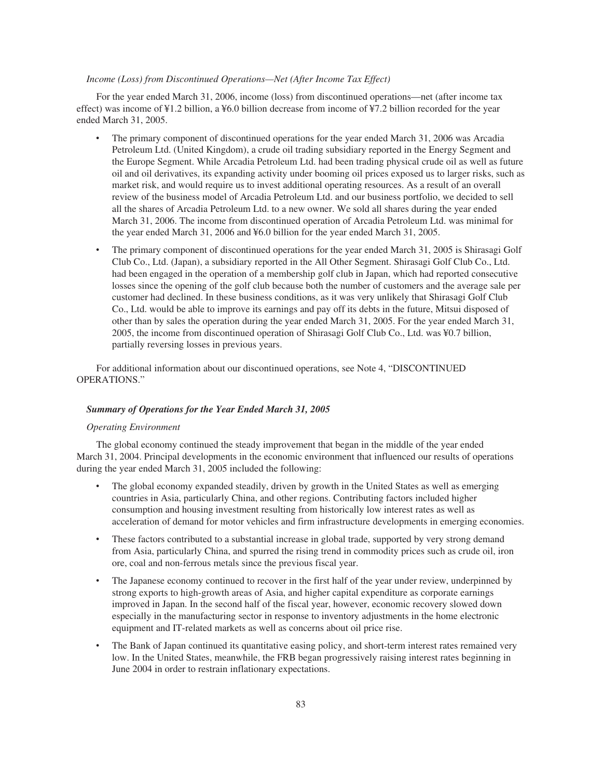# *Income (Loss) from Discontinued Operations—Net (After Income Tax Effect)*

For the year ended March 31, 2006, income (loss) from discontinued operations—net (after income tax effect) was income of ¥1.2 billion, a ¥6.0 billion decrease from income of ¥7.2 billion recorded for the year ended March 31, 2005.

- The primary component of discontinued operations for the year ended March 31, 2006 was Arcadia Petroleum Ltd. (United Kingdom), a crude oil trading subsidiary reported in the Energy Segment and the Europe Segment. While Arcadia Petroleum Ltd. had been trading physical crude oil as well as future oil and oil derivatives, its expanding activity under booming oil prices exposed us to larger risks, such as market risk, and would require us to invest additional operating resources. As a result of an overall review of the business model of Arcadia Petroleum Ltd. and our business portfolio, we decided to sell all the shares of Arcadia Petroleum Ltd. to a new owner. We sold all shares during the year ended March 31, 2006. The income from discontinued operation of Arcadia Petroleum Ltd. was minimal for the year ended March 31, 2006 and ¥6.0 billion for the year ended March 31, 2005.
- The primary component of discontinued operations for the year ended March 31, 2005 is Shirasagi Golf Club Co., Ltd. (Japan), a subsidiary reported in the All Other Segment. Shirasagi Golf Club Co., Ltd. had been engaged in the operation of a membership golf club in Japan, which had reported consecutive losses since the opening of the golf club because both the number of customers and the average sale per customer had declined. In these business conditions, as it was very unlikely that Shirasagi Golf Club Co., Ltd. would be able to improve its earnings and pay off its debts in the future, Mitsui disposed of other than by sales the operation during the year ended March 31, 2005. For the year ended March 31, 2005, the income from discontinued operation of Shirasagi Golf Club Co., Ltd. was ¥0.7 billion, partially reversing losses in previous years.

For additional information about our discontinued operations, see Note 4, "DISCONTINUED OPERATIONS."

# *Summary of Operations for the Year Ended March 31, 2005*

# *Operating Environment*

The global economy continued the steady improvement that began in the middle of the year ended March 31, 2004. Principal developments in the economic environment that influenced our results of operations during the year ended March 31, 2005 included the following:

- The global economy expanded steadily, driven by growth in the United States as well as emerging countries in Asia, particularly China, and other regions. Contributing factors included higher consumption and housing investment resulting from historically low interest rates as well as acceleration of demand for motor vehicles and firm infrastructure developments in emerging economies.
- These factors contributed to a substantial increase in global trade, supported by very strong demand from Asia, particularly China, and spurred the rising trend in commodity prices such as crude oil, iron ore, coal and non-ferrous metals since the previous fiscal year.
- The Japanese economy continued to recover in the first half of the year under review, underpinned by strong exports to high-growth areas of Asia, and higher capital expenditure as corporate earnings improved in Japan. In the second half of the fiscal year, however, economic recovery slowed down especially in the manufacturing sector in response to inventory adjustments in the home electronic equipment and IT-related markets as well as concerns about oil price rise.
- The Bank of Japan continued its quantitative easing policy, and short-term interest rates remained very low. In the United States, meanwhile, the FRB began progressively raising interest rates beginning in June 2004 in order to restrain inflationary expectations.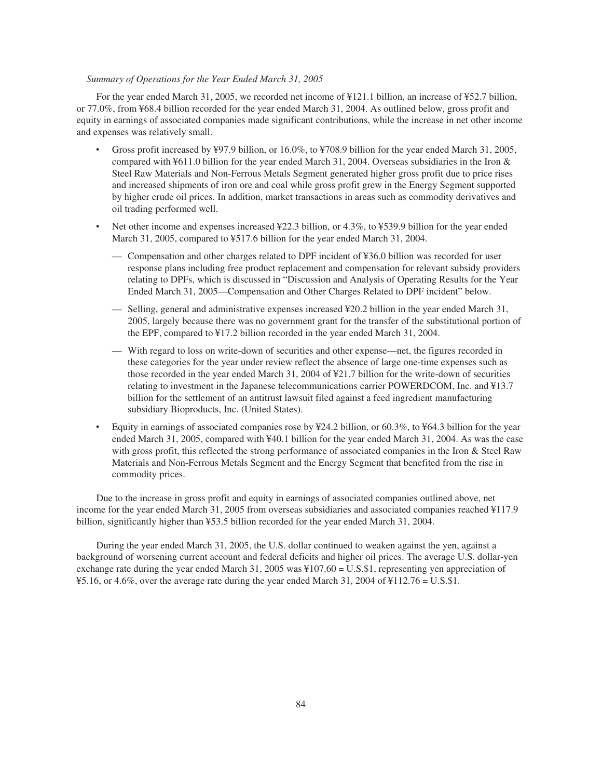# *Summary of Operations for the Year Ended March 31, 2005*

For the year ended March 31, 2005, we recorded net income of ¥121.1 billion, an increase of ¥52.7 billion, or 77.0%, from ¥68.4 billion recorded for the year ended March 31, 2004. As outlined below, gross profit and equity in earnings of associated companies made significant contributions, while the increase in net other income and expenses was relatively small.

- Gross profit increased by ¥97.9 billion, or 16.0%, to ¥708.9 billion for the year ended March 31, 2005, compared with ¥611.0 billion for the year ended March 31, 2004. Overseas subsidiaries in the Iron & Steel Raw Materials and Non-Ferrous Metals Segment generated higher gross profit due to price rises and increased shipments of iron ore and coal while gross profit grew in the Energy Segment supported by higher crude oil prices. In addition, market transactions in areas such as commodity derivatives and oil trading performed well.
- Net other income and expenses increased ¥22.3 billion, or 4.3%, to ¥539.9 billion for the year ended March 31, 2005, compared to ¥517.6 billion for the year ended March 31, 2004.
	- Compensation and other charges related to DPF incident of ¥36.0 billion was recorded for user response plans including free product replacement and compensation for relevant subsidy providers relating to DPFs, which is discussed in "Discussion and Analysis of Operating Results for the Year Ended March 31, 2005—Compensation and Other Charges Related to DPF incident" below.
	- Selling, general and administrative expenses increased ¥20.2 billion in the year ended March 31, 2005, largely because there was no government grant for the transfer of the substitutional portion of the EPF, compared to ¥17.2 billion recorded in the year ended March 31, 2004.
	- With regard to loss on write-down of securities and other expense—net, the figures recorded in these categories for the year under review reflect the absence of large one-time expenses such as those recorded in the year ended March 31, 2004 of ¥21.7 billion for the write-down of securities relating to investment in the Japanese telecommunications carrier POWERDCOM, Inc. and ¥13.7 billion for the settlement of an antitrust lawsuit filed against a feed ingredient manufacturing subsidiary Bioproducts, Inc. (United States).
- Equity in earnings of associated companies rose by ¥24.2 billion, or 60.3%, to ¥64.3 billion for the year ended March 31, 2005, compared with ¥40.1 billion for the year ended March 31, 2004. As was the case with gross profit, this reflected the strong performance of associated companies in the Iron & Steel Raw Materials and Non-Ferrous Metals Segment and the Energy Segment that benefited from the rise in commodity prices.

Due to the increase in gross profit and equity in earnings of associated companies outlined above, net income for the year ended March 31, 2005 from overseas subsidiaries and associated companies reached ¥117.9 billion, significantly higher than ¥53.5 billion recorded for the year ended March 31, 2004.

During the year ended March 31, 2005, the U.S. dollar continued to weaken against the yen, against a background of worsening current account and federal deficits and higher oil prices. The average U.S. dollar-yen exchange rate during the year ended March 31, 2005 was ¥107.60 = U.S.\$1, representing yen appreciation of  $\text{\textsterling}5.16$ , or 4.6%, over the average rate during the year ended March 31, 2004 of  $\text{\textsterling}112.76 = \text{U.S.}\$ \$1.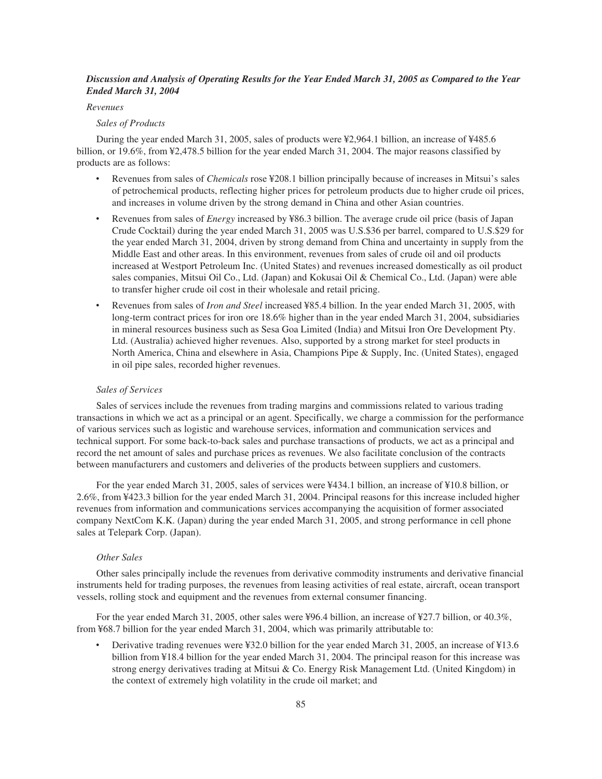# *Discussion and Analysis of Operating Results for the Year Ended March 31, 2005 as Compared to the Year Ended March 31, 2004*

# *Revenues*

# *Sales of Products*

During the year ended March 31, 2005, sales of products were ¥2,964.1 billion, an increase of ¥485.6 billion, or 19.6%, from ¥2,478.5 billion for the year ended March 31, 2004. The major reasons classified by products are as follows:

- ‰ Revenues from sales of *Chemicals* rose ¥208.1 billion principally because of increases in Mitsui's sales of petrochemical products, reflecting higher prices for petroleum products due to higher crude oil prices, and increases in volume driven by the strong demand in China and other Asian countries.
- Revenues from sales of *Energy* increased by ¥86.3 billion. The average crude oil price (basis of Japan Crude Cocktail) during the year ended March 31, 2005 was U.S.\$36 per barrel, compared to U.S.\$29 for the year ended March 31, 2004, driven by strong demand from China and uncertainty in supply from the Middle East and other areas. In this environment, revenues from sales of crude oil and oil products increased at Westport Petroleum Inc. (United States) and revenues increased domestically as oil product sales companies, Mitsui Oil Co., Ltd. (Japan) and Kokusai Oil & Chemical Co., Ltd. (Japan) were able to transfer higher crude oil cost in their wholesale and retail pricing.
- ‰ Revenues from sales of *Iron and Steel* increased ¥85.4 billion. In the year ended March 31, 2005, with long-term contract prices for iron ore 18.6% higher than in the year ended March 31, 2004, subsidiaries in mineral resources business such as Sesa Goa Limited (India) and Mitsui Iron Ore Development Pty. Ltd. (Australia) achieved higher revenues. Also, supported by a strong market for steel products in North America, China and elsewhere in Asia, Champions Pipe & Supply, Inc. (United States), engaged in oil pipe sales, recorded higher revenues.

#### *Sales of Services*

Sales of services include the revenues from trading margins and commissions related to various trading transactions in which we act as a principal or an agent. Specifically, we charge a commission for the performance of various services such as logistic and warehouse services, information and communication services and technical support. For some back-to-back sales and purchase transactions of products, we act as a principal and record the net amount of sales and purchase prices as revenues. We also facilitate conclusion of the contracts between manufacturers and customers and deliveries of the products between suppliers and customers.

For the year ended March 31, 2005, sales of services were ¥434.1 billion, an increase of ¥10.8 billion, or 2.6%, from ¥423.3 billion for the year ended March 31, 2004. Principal reasons for this increase included higher revenues from information and communications services accompanying the acquisition of former associated company NextCom K.K. (Japan) during the year ended March 31, 2005, and strong performance in cell phone sales at Telepark Corp. (Japan).

# *Other Sales*

Other sales principally include the revenues from derivative commodity instruments and derivative financial instruments held for trading purposes, the revenues from leasing activities of real estate, aircraft, ocean transport vessels, rolling stock and equipment and the revenues from external consumer financing.

For the year ended March 31, 2005, other sales were ¥96.4 billion, an increase of ¥27.7 billion, or 40.3%, from ¥68.7 billion for the year ended March 31, 2004, which was primarily attributable to:

Derivative trading revenues were ¥32.0 billion for the year ended March 31, 2005, an increase of ¥13.6 billion from ¥18.4 billion for the year ended March 31, 2004. The principal reason for this increase was strong energy derivatives trading at Mitsui & Co. Energy Risk Management Ltd. (United Kingdom) in the context of extremely high volatility in the crude oil market; and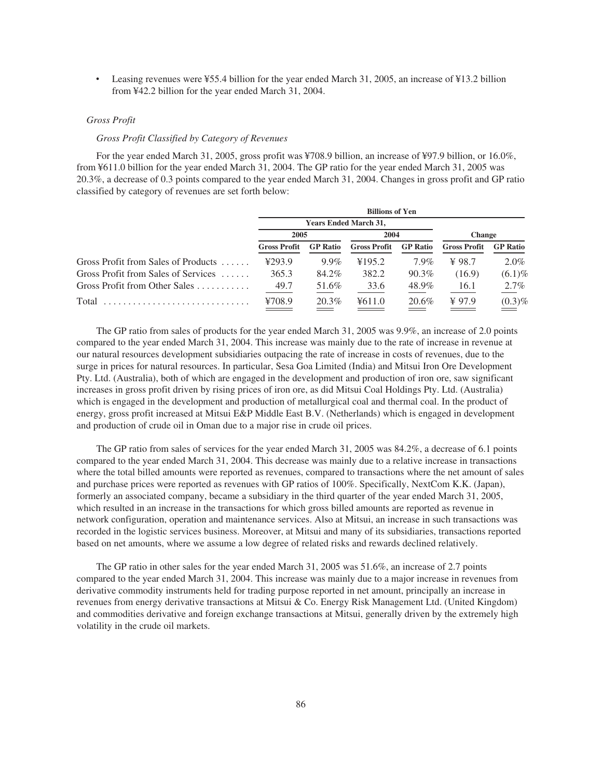Leasing revenues were ¥55.4 billion for the year ended March 31, 2005, an increase of ¥13.2 billion from ¥42.2 billion for the year ended March 31, 2004.

## *Gross Profit*

# *Gross Profit Classified by Category of Revenues*

For the year ended March 31, 2005, gross profit was ¥708.9 billion, an increase of ¥97.9 billion, or 16.0%, from ¥611.0 billion for the year ended March 31, 2004. The GP ratio for the year ended March 31, 2005 was 20.3%, a decrease of 0.3 points compared to the year ended March 31, 2004. Changes in gross profit and GP ratio classified by category of revenues are set forth below:

|                                             | <b>Billions of Yen</b> |                              |                     |                 |                     |                 |  |  |  |
|---------------------------------------------|------------------------|------------------------------|---------------------|-----------------|---------------------|-----------------|--|--|--|
|                                             |                        | <b>Years Ended March 31,</b> |                     |                 |                     |                 |  |  |  |
|                                             | 2005                   |                              | 2004                |                 | <b>Change</b>       |                 |  |  |  |
|                                             | <b>Gross Profit</b>    | <b>GP</b> Ratio              | <b>Gross Profit</b> | <b>GP</b> Ratio | <b>Gross Profit</b> | <b>GP</b> Ratio |  |  |  |
| Gross Profit from Sales of Products         | 4293.9                 | $9.9\%$                      | ¥195.2              | $7.9\%$         | $\angle 98.7$       | $2.0\%$         |  |  |  |
| Gross Profit from Sales of Services         | 365.3                  | 84.2%                        | 382.2               | $90.3\%$        | (16.9)              | $(6.1)\%$       |  |  |  |
| Gross Profit from Other Sales $\dots \dots$ | 49.7                   | 51.6%                        | 33.6                | 48.9%           | 16.1                | $2.7\%$         |  |  |  |
| Total                                       | ¥708.9                 | 20.3%                        | 4611.0              | 20.6%           | $¥$ 97.9            | $(0.3)\%$       |  |  |  |

The GP ratio from sales of products for the year ended March 31, 2005 was 9.9%, an increase of 2.0 points compared to the year ended March 31, 2004. This increase was mainly due to the rate of increase in revenue at our natural resources development subsidiaries outpacing the rate of increase in costs of revenues, due to the surge in prices for natural resources. In particular, Sesa Goa Limited (India) and Mitsui Iron Ore Development Pty. Ltd. (Australia), both of which are engaged in the development and production of iron ore, saw significant increases in gross profit driven by rising prices of iron ore, as did Mitsui Coal Holdings Pty. Ltd. (Australia) which is engaged in the development and production of metallurgical coal and thermal coal. In the product of energy, gross profit increased at Mitsui E&P Middle East B.V. (Netherlands) which is engaged in development and production of crude oil in Oman due to a major rise in crude oil prices.

The GP ratio from sales of services for the year ended March 31, 2005 was 84.2%, a decrease of 6.1 points compared to the year ended March 31, 2004. This decrease was mainly due to a relative increase in transactions where the total billed amounts were reported as revenues, compared to transactions where the net amount of sales and purchase prices were reported as revenues with GP ratios of 100%. Specifically, NextCom K.K. (Japan), formerly an associated company, became a subsidiary in the third quarter of the year ended March 31, 2005, which resulted in an increase in the transactions for which gross billed amounts are reported as revenue in network configuration, operation and maintenance services. Also at Mitsui, an increase in such transactions was recorded in the logistic services business. Moreover, at Mitsui and many of its subsidiaries, transactions reported based on net amounts, where we assume a low degree of related risks and rewards declined relatively.

The GP ratio in other sales for the year ended March 31, 2005 was 51.6%, an increase of 2.7 points compared to the year ended March 31, 2004. This increase was mainly due to a major increase in revenues from derivative commodity instruments held for trading purpose reported in net amount, principally an increase in revenues from energy derivative transactions at Mitsui & Co. Energy Risk Management Ltd. (United Kingdom) and commodities derivative and foreign exchange transactions at Mitsui, generally driven by the extremely high volatility in the crude oil markets.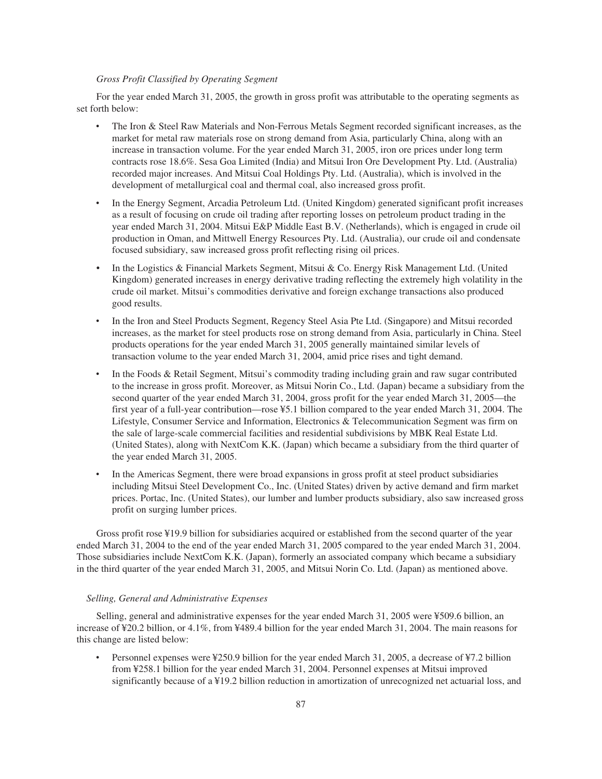# *Gross Profit Classified by Operating Segment*

For the year ended March 31, 2005, the growth in gross profit was attributable to the operating segments as set forth below:

- The Iron & Steel Raw Materials and Non-Ferrous Metals Segment recorded significant increases, as the market for metal raw materials rose on strong demand from Asia, particularly China, along with an increase in transaction volume. For the year ended March 31, 2005, iron ore prices under long term contracts rose 18.6%. Sesa Goa Limited (India) and Mitsui Iron Ore Development Pty. Ltd. (Australia) recorded major increases. And Mitsui Coal Holdings Pty. Ltd. (Australia), which is involved in the development of metallurgical coal and thermal coal, also increased gross profit.
- ‰ In the Energy Segment, Arcadia Petroleum Ltd. (United Kingdom) generated significant profit increases as a result of focusing on crude oil trading after reporting losses on petroleum product trading in the year ended March 31, 2004. Mitsui E&P Middle East B.V. (Netherlands), which is engaged in crude oil production in Oman, and Mittwell Energy Resources Pty. Ltd. (Australia), our crude oil and condensate focused subsidiary, saw increased gross profit reflecting rising oil prices.
- In the Logistics & Financial Markets Segment, Mitsui & Co. Energy Risk Management Ltd. (United Kingdom) generated increases in energy derivative trading reflecting the extremely high volatility in the crude oil market. Mitsui's commodities derivative and foreign exchange transactions also produced good results.
- In the Iron and Steel Products Segment, Regency Steel Asia Pte Ltd. (Singapore) and Mitsui recorded increases, as the market for steel products rose on strong demand from Asia, particularly in China. Steel products operations for the year ended March 31, 2005 generally maintained similar levels of transaction volume to the year ended March 31, 2004, amid price rises and tight demand.
- In the Foods & Retail Segment, Mitsui's commodity trading including grain and raw sugar contributed to the increase in gross profit. Moreover, as Mitsui Norin Co., Ltd. (Japan) became a subsidiary from the second quarter of the year ended March 31, 2004, gross profit for the year ended March 31, 2005—the first year of a full-year contribution—rose ¥5.1 billion compared to the year ended March 31, 2004. The Lifestyle, Consumer Service and Information, Electronics & Telecommunication Segment was firm on the sale of large-scale commercial facilities and residential subdivisions by MBK Real Estate Ltd. (United States), along with NextCom K.K. (Japan) which became a subsidiary from the third quarter of the year ended March 31, 2005.
- In the Americas Segment, there were broad expansions in gross profit at steel product subsidiaries including Mitsui Steel Development Co., Inc. (United States) driven by active demand and firm market prices. Portac, Inc. (United States), our lumber and lumber products subsidiary, also saw increased gross profit on surging lumber prices.

Gross profit rose ¥19.9 billion for subsidiaries acquired or established from the second quarter of the year ended March 31, 2004 to the end of the year ended March 31, 2005 compared to the year ended March 31, 2004. Those subsidiaries include NextCom K.K. (Japan), formerly an associated company which became a subsidiary in the third quarter of the year ended March 31, 2005, and Mitsui Norin Co. Ltd. (Japan) as mentioned above.

### *Selling, General and Administrative Expenses*

Selling, general and administrative expenses for the year ended March 31, 2005 were ¥509.6 billion, an increase of ¥20.2 billion, or 4.1%, from ¥489.4 billion for the year ended March 31, 2004. The main reasons for this change are listed below:

Personnel expenses were ¥250.9 billion for the year ended March 31, 2005, a decrease of ¥7.2 billion from ¥258.1 billion for the year ended March 31, 2004. Personnel expenses at Mitsui improved significantly because of a ¥19.2 billion reduction in amortization of unrecognized net actuarial loss, and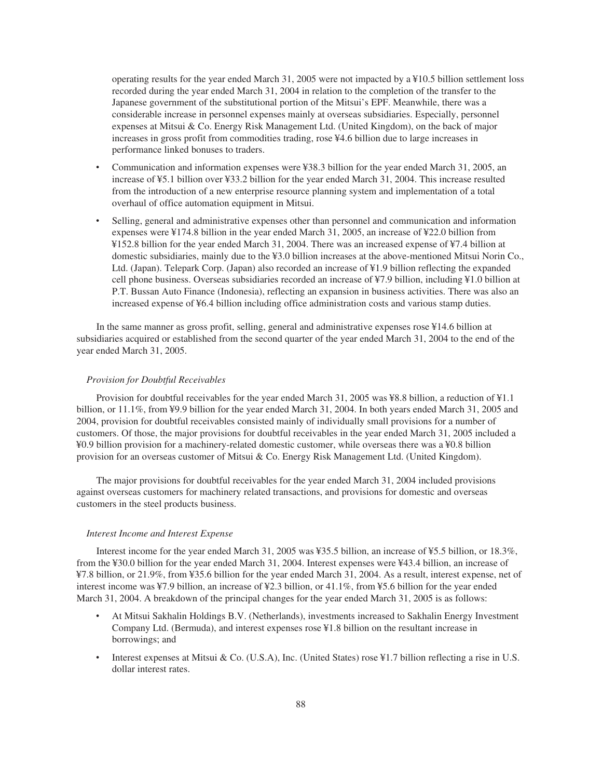operating results for the year ended March 31, 2005 were not impacted by a ¥10.5 billion settlement loss recorded during the year ended March 31, 2004 in relation to the completion of the transfer to the Japanese government of the substitutional portion of the Mitsui's EPF. Meanwhile, there was a considerable increase in personnel expenses mainly at overseas subsidiaries. Especially, personnel expenses at Mitsui & Co. Energy Risk Management Ltd. (United Kingdom), on the back of major increases in gross profit from commodities trading, rose ¥4.6 billion due to large increases in performance linked bonuses to traders.

- ‰ Communication and information expenses were ¥38.3 billion for the year ended March 31, 2005, an increase of ¥5.1 billion over ¥33.2 billion for the year ended March 31, 2004. This increase resulted from the introduction of a new enterprise resource planning system and implementation of a total overhaul of office automation equipment in Mitsui.
- Selling, general and administrative expenses other than personnel and communication and information expenses were ¥174.8 billion in the year ended March 31, 2005, an increase of ¥22.0 billion from ¥152.8 billion for the year ended March 31, 2004. There was an increased expense of ¥7.4 billion at domestic subsidiaries, mainly due to the ¥3.0 billion increases at the above-mentioned Mitsui Norin Co., Ltd. (Japan). Telepark Corp. (Japan) also recorded an increase of ¥1.9 billion reflecting the expanded cell phone business. Overseas subsidiaries recorded an increase of ¥7.9 billion, including ¥1.0 billion at P.T. Bussan Auto Finance (Indonesia), reflecting an expansion in business activities. There was also an increased expense of ¥6.4 billion including office administration costs and various stamp duties.

In the same manner as gross profit, selling, general and administrative expenses rose ¥14.6 billion at subsidiaries acquired or established from the second quarter of the year ended March 31, 2004 to the end of the year ended March 31, 2005.

#### *Provision for Doubtful Receivables*

Provision for doubtful receivables for the year ended March 31, 2005 was ¥8.8 billion, a reduction of ¥1.1 billion, or 11.1%, from ¥9.9 billion for the year ended March 31, 2004. In both years ended March 31, 2005 and 2004, provision for doubtful receivables consisted mainly of individually small provisions for a number of customers. Of those, the major provisions for doubtful receivables in the year ended March 31, 2005 included a ¥0.9 billion provision for a machinery-related domestic customer, while overseas there was a ¥0.8 billion provision for an overseas customer of Mitsui & Co. Energy Risk Management Ltd. (United Kingdom).

The major provisions for doubtful receivables for the year ended March 31, 2004 included provisions against overseas customers for machinery related transactions, and provisions for domestic and overseas customers in the steel products business.

#### *Interest Income and Interest Expense*

Interest income for the year ended March 31, 2005 was ¥35.5 billion, an increase of ¥5.5 billion, or 18.3%, from the ¥30.0 billion for the year ended March 31, 2004. Interest expenses were ¥43.4 billion, an increase of ¥7.8 billion, or 21.9%, from ¥35.6 billion for the year ended March 31, 2004. As a result, interest expense, net of interest income was ¥7.9 billion, an increase of ¥2.3 billion, or 41.1%, from ¥5.6 billion for the year ended March 31, 2004. A breakdown of the principal changes for the year ended March 31, 2005 is as follows:

- ‰ At Mitsui Sakhalin Holdings B.V. (Netherlands), investments increased to Sakhalin Energy Investment Company Ltd. (Bermuda), and interest expenses rose ¥1.8 billion on the resultant increase in borrowings; and
- ‰ Interest expenses at Mitsui & Co. (U.S.A), Inc. (United States) rose ¥1.7 billion reflecting a rise in U.S. dollar interest rates.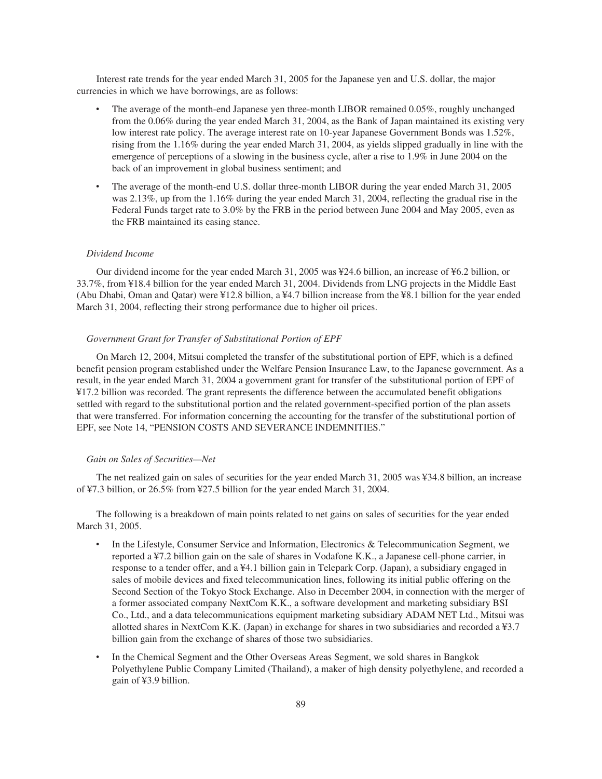Interest rate trends for the year ended March 31, 2005 for the Japanese yen and U.S. dollar, the major currencies in which we have borrowings, are as follows:

- The average of the month-end Japanese yen three-month LIBOR remained 0.05%, roughly unchanged from the 0.06% during the year ended March 31, 2004, as the Bank of Japan maintained its existing very low interest rate policy. The average interest rate on 10-year Japanese Government Bonds was 1.52%, rising from the 1.16% during the year ended March 31, 2004, as yields slipped gradually in line with the emergence of perceptions of a slowing in the business cycle, after a rise to 1.9% in June 2004 on the back of an improvement in global business sentiment; and
- The average of the month-end U.S. dollar three-month LIBOR during the year ended March 31, 2005 was 2.13%, up from the 1.16% during the year ended March 31, 2004, reflecting the gradual rise in the Federal Funds target rate to 3.0% by the FRB in the period between June 2004 and May 2005, even as the FRB maintained its easing stance.

# *Dividend Income*

Our dividend income for the year ended March 31, 2005 was ¥24.6 billion, an increase of ¥6.2 billion, or 33.7%, from ¥18.4 billion for the year ended March 31, 2004. Dividends from LNG projects in the Middle East (Abu Dhabi, Oman and Qatar) were ¥12.8 billion, a ¥4.7 billion increase from the ¥8.1 billion for the year ended March 31, 2004, reflecting their strong performance due to higher oil prices.

## *Government Grant for Transfer of Substitutional Portion of EPF*

On March 12, 2004, Mitsui completed the transfer of the substitutional portion of EPF, which is a defined benefit pension program established under the Welfare Pension Insurance Law, to the Japanese government. As a result, in the year ended March 31, 2004 a government grant for transfer of the substitutional portion of EPF of ¥17.2 billion was recorded. The grant represents the difference between the accumulated benefit obligations settled with regard to the substitutional portion and the related government-specified portion of the plan assets that were transferred. For information concerning the accounting for the transfer of the substitutional portion of EPF, see Note 14, "PENSION COSTS AND SEVERANCE INDEMNITIES."

#### *Gain on Sales of Securities—Net*

The net realized gain on sales of securities for the year ended March 31, 2005 was ¥34.8 billion, an increase of ¥7.3 billion, or 26.5% from ¥27.5 billion for the year ended March 31, 2004.

The following is a breakdown of main points related to net gains on sales of securities for the year ended March 31, 2005.

- In the Lifestyle, Consumer Service and Information, Electronics  $\&$  Telecommunication Segment, we reported a ¥7.2 billion gain on the sale of shares in Vodafone K.K., a Japanese cell-phone carrier, in response to a tender offer, and a ¥4.1 billion gain in Telepark Corp. (Japan), a subsidiary engaged in sales of mobile devices and fixed telecommunication lines, following its initial public offering on the Second Section of the Tokyo Stock Exchange. Also in December 2004, in connection with the merger of a former associated company NextCom K.K., a software development and marketing subsidiary BSI Co., Ltd., and a data telecommunications equipment marketing subsidiary ADAM NET Ltd., Mitsui was allotted shares in NextCom K.K. (Japan) in exchange for shares in two subsidiaries and recorded a ¥3.7 billion gain from the exchange of shares of those two subsidiaries.
- In the Chemical Segment and the Other Overseas Areas Segment, we sold shares in Bangkok Polyethylene Public Company Limited (Thailand), a maker of high density polyethylene, and recorded a gain of ¥3.9 billion.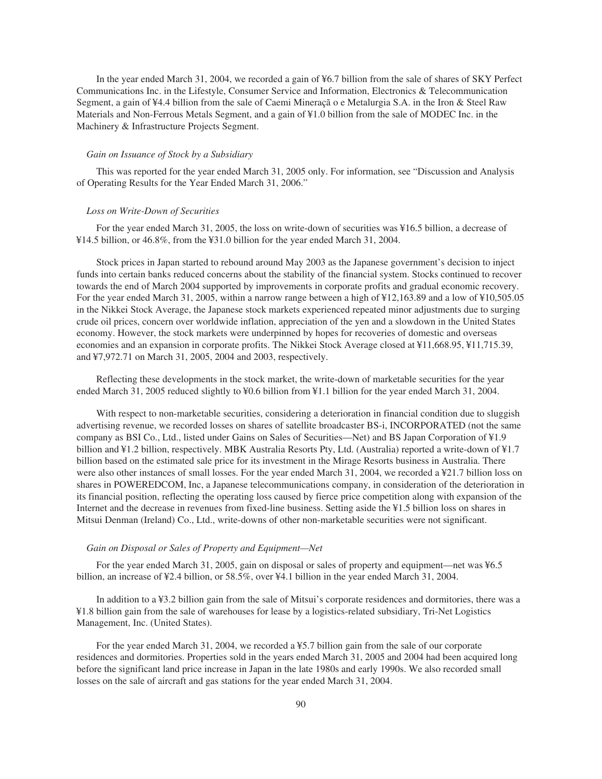In the year ended March 31, 2004, we recorded a gain of ¥6.7 billion from the sale of shares of SKY Perfect Communications Inc. in the Lifestyle, Consumer Service and Information, Electronics & Telecommunication Segment, a gain of ¥4.4 billion from the sale of Caemi Mineraçã o e Metalurgia S.A. in the Iron & Steel Raw Materials and Non-Ferrous Metals Segment, and a gain of ¥1.0 billion from the sale of MODEC Inc. in the Machinery & Infrastructure Projects Segment.

# *Gain on Issuance of Stock by a Subsidiary*

This was reported for the year ended March 31, 2005 only. For information, see "Discussion and Analysis of Operating Results for the Year Ended March 31, 2006."

## *Loss on Write-Down of Securities*

For the year ended March 31, 2005, the loss on write-down of securities was ¥16.5 billion, a decrease of ¥14.5 billion, or 46.8%, from the ¥31.0 billion for the year ended March 31, 2004.

Stock prices in Japan started to rebound around May 2003 as the Japanese government's decision to inject funds into certain banks reduced concerns about the stability of the financial system. Stocks continued to recover towards the end of March 2004 supported by improvements in corporate profits and gradual economic recovery. For the year ended March 31, 2005, within a narrow range between a high of ¥12,163.89 and a low of ¥10,505.05 in the Nikkei Stock Average, the Japanese stock markets experienced repeated minor adjustments due to surging crude oil prices, concern over worldwide inflation, appreciation of the yen and a slowdown in the United States economy. However, the stock markets were underpinned by hopes for recoveries of domestic and overseas economies and an expansion in corporate profits. The Nikkei Stock Average closed at ¥11,668.95, ¥11,715.39, and ¥7,972.71 on March 31, 2005, 2004 and 2003, respectively.

Reflecting these developments in the stock market, the write-down of marketable securities for the year ended March 31, 2005 reduced slightly to ¥0.6 billion from ¥1.1 billion for the year ended March 31, 2004.

With respect to non-marketable securities, considering a deterioration in financial condition due to sluggish advertising revenue, we recorded losses on shares of satellite broadcaster BS-i, INCORPORATED (not the same company as BSI Co., Ltd., listed under Gains on Sales of Securities—Net) and BS Japan Corporation of ¥1.9 billion and ¥1.2 billion, respectively. MBK Australia Resorts Pty, Ltd. (Australia) reported a write-down of ¥1.7 billion based on the estimated sale price for its investment in the Mirage Resorts business in Australia. There were also other instances of small losses. For the year ended March 31, 2004, we recorded a ¥21.7 billion loss on shares in POWEREDCOM, Inc, a Japanese telecommunications company, in consideration of the deterioration in its financial position, reflecting the operating loss caused by fierce price competition along with expansion of the Internet and the decrease in revenues from fixed-line business. Setting aside the ¥1.5 billion loss on shares in Mitsui Denman (Ireland) Co., Ltd., write-downs of other non-marketable securities were not significant.

#### *Gain on Disposal or Sales of Property and Equipment—Net*

For the year ended March 31, 2005, gain on disposal or sales of property and equipment—net was ¥6.5 billion, an increase of ¥2.4 billion, or 58.5%, over ¥4.1 billion in the year ended March 31, 2004.

In addition to a ¥3.2 billion gain from the sale of Mitsui's corporate residences and dormitories, there was a ¥1.8 billion gain from the sale of warehouses for lease by a logistics-related subsidiary, Tri-Net Logistics Management, Inc. (United States).

For the year ended March 31, 2004, we recorded a ¥5.7 billion gain from the sale of our corporate residences and dormitories. Properties sold in the years ended March 31, 2005 and 2004 had been acquired long before the significant land price increase in Japan in the late 1980s and early 1990s. We also recorded small losses on the sale of aircraft and gas stations for the year ended March 31, 2004.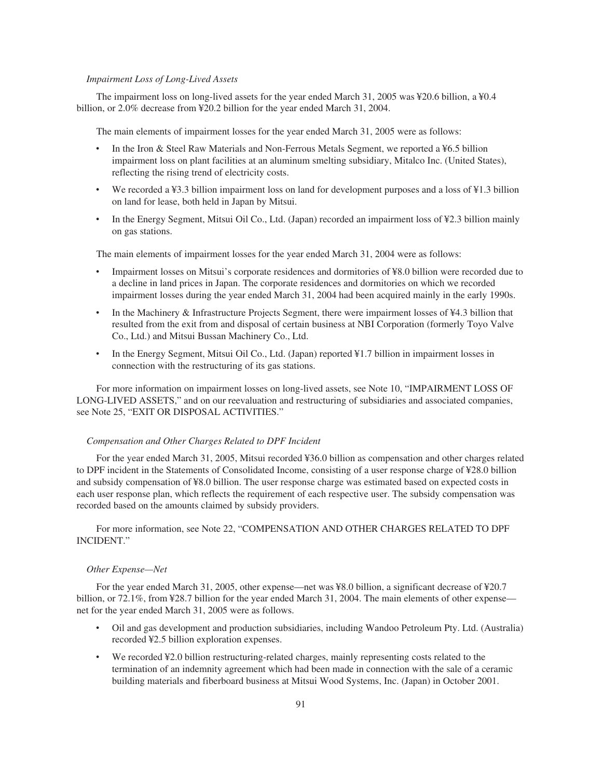### *Impairment Loss of Long-Lived Assets*

The impairment loss on long-lived assets for the year ended March 31, 2005 was ¥20.6 billion, a ¥0.4 billion, or 2.0% decrease from ¥20.2 billion for the year ended March 31, 2004.

The main elements of impairment losses for the year ended March 31, 2005 were as follows:

- In the Iron & Steel Raw Materials and Non-Ferrous Metals Segment, we reported a ¥6.5 billion impairment loss on plant facilities at an aluminum smelting subsidiary, Mitalco Inc. (United States), reflecting the rising trend of electricity costs.
- We recorded a ¥3.3 billion impairment loss on land for development purposes and a loss of ¥1.3 billion on land for lease, both held in Japan by Mitsui.
- In the Energy Segment, Mitsui Oil Co., Ltd. (Japan) recorded an impairment loss of ¥2.3 billion mainly on gas stations.

The main elements of impairment losses for the year ended March 31, 2004 were as follows:

- Impairment losses on Mitsui's corporate residences and dormitories of ¥8.0 billion were recorded due to a decline in land prices in Japan. The corporate residences and dormitories on which we recorded impairment losses during the year ended March 31, 2004 had been acquired mainly in the early 1990s.
- In the Machinery & Infrastructure Projects Segment, there were impairment losses of  $44.3$  billion that resulted from the exit from and disposal of certain business at NBI Corporation (formerly Toyo Valve Co., Ltd.) and Mitsui Bussan Machinery Co., Ltd.
- In the Energy Segment, Mitsui Oil Co., Ltd. (Japan) reported ¥1.7 billion in impairment losses in connection with the restructuring of its gas stations.

For more information on impairment losses on long-lived assets, see Note 10, "IMPAIRMENT LOSS OF LONG-LIVED ASSETS," and on our reevaluation and restructuring of subsidiaries and associated companies, see Note 25, "EXIT OR DISPOSAL ACTIVITIES."

#### *Compensation and Other Charges Related to DPF Incident*

For the year ended March 31, 2005, Mitsui recorded ¥36.0 billion as compensation and other charges related to DPF incident in the Statements of Consolidated Income, consisting of a user response charge of ¥28.0 billion and subsidy compensation of ¥8.0 billion. The user response charge was estimated based on expected costs in each user response plan, which reflects the requirement of each respective user. The subsidy compensation was recorded based on the amounts claimed by subsidy providers.

For more information, see Note 22, "COMPENSATION AND OTHER CHARGES RELATED TO DPF INCIDENT."

#### *Other Expense—Net*

For the year ended March 31, 2005, other expense—net was ¥8.0 billion, a significant decrease of ¥20.7 billion, or 72.1%, from ¥28.7 billion for the year ended March 31, 2004. The main elements of other expense net for the year ended March 31, 2005 were as follows.

- ‰ Oil and gas development and production subsidiaries, including Wandoo Petroleum Pty. Ltd. (Australia) recorded ¥2.5 billion exploration expenses.
- We recorded ¥2.0 billion restructuring-related charges, mainly representing costs related to the termination of an indemnity agreement which had been made in connection with the sale of a ceramic building materials and fiberboard business at Mitsui Wood Systems, Inc. (Japan) in October 2001.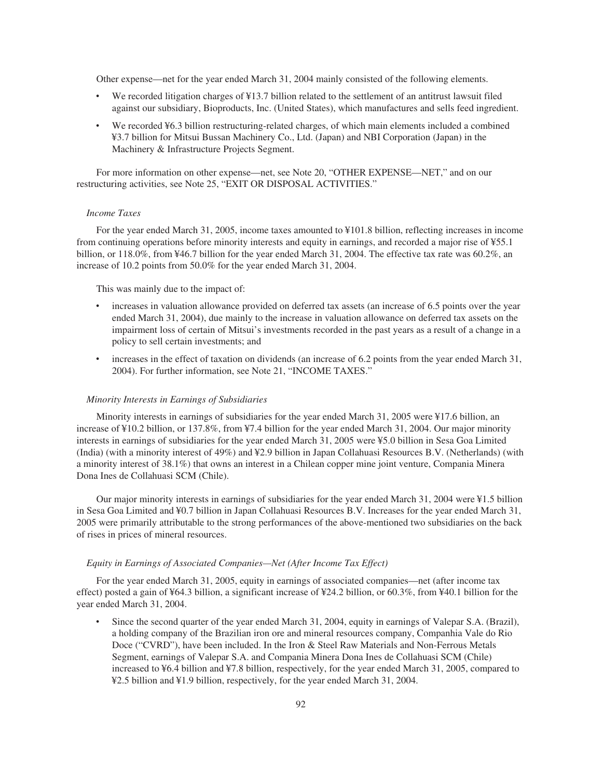Other expense—net for the year ended March 31, 2004 mainly consisted of the following elements.

- We recorded litigation charges of ¥13.7 billion related to the settlement of an antitrust lawsuit filed against our subsidiary, Bioproducts, Inc. (United States), which manufactures and sells feed ingredient.
- We recorded ¥6.3 billion restructuring-related charges, of which main elements included a combined ¥3.7 billion for Mitsui Bussan Machinery Co., Ltd. (Japan) and NBI Corporation (Japan) in the Machinery & Infrastructure Projects Segment.

For more information on other expense—net, see Note 20, "OTHER EXPENSE—NET," and on our restructuring activities, see Note 25, "EXIT OR DISPOSAL ACTIVITIES."

## *Income Taxes*

For the year ended March 31, 2005, income taxes amounted to ¥101.8 billion, reflecting increases in income from continuing operations before minority interests and equity in earnings, and recorded a major rise of ¥55.1 billion, or 118.0%, from ¥46.7 billion for the year ended March 31, 2004. The effective tax rate was 60.2%, an increase of 10.2 points from 50.0% for the year ended March 31, 2004.

This was mainly due to the impact of:

- increases in valuation allowance provided on deferred tax assets (an increase of 6.5 points over the year ended March 31, 2004), due mainly to the increase in valuation allowance on deferred tax assets on the impairment loss of certain of Mitsui's investments recorded in the past years as a result of a change in a policy to sell certain investments; and
- increases in the effect of taxation on dividends (an increase of 6.2 points from the year ended March 31, 2004). For further information, see Note 21, "INCOME TAXES."

#### *Minority Interests in Earnings of Subsidiaries*

Minority interests in earnings of subsidiaries for the year ended March 31, 2005 were ¥17.6 billion, an increase of ¥10.2 billion, or 137.8%, from ¥7.4 billion for the year ended March 31, 2004. Our major minority interests in earnings of subsidiaries for the year ended March 31, 2005 were ¥5.0 billion in Sesa Goa Limited (India) (with a minority interest of 49%) and ¥2.9 billion in Japan Collahuasi Resources B.V. (Netherlands) (with a minority interest of 38.1%) that owns an interest in a Chilean copper mine joint venture, Compania Minera Dona Ines de Collahuasi SCM (Chile).

Our major minority interests in earnings of subsidiaries for the year ended March 31, 2004 were ¥1.5 billion in Sesa Goa Limited and ¥0.7 billion in Japan Collahuasi Resources B.V. Increases for the year ended March 31, 2005 were primarily attributable to the strong performances of the above-mentioned two subsidiaries on the back of rises in prices of mineral resources.

## *Equity in Earnings of Associated Companies—Net (After Income Tax Effect)*

For the year ended March 31, 2005, equity in earnings of associated companies—net (after income tax effect) posted a gain of ¥64.3 billion, a significant increase of ¥24.2 billion, or 60.3%, from ¥40.1 billion for the year ended March 31, 2004.

Since the second quarter of the year ended March 31, 2004, equity in earnings of Valepar S.A. (Brazil), a holding company of the Brazilian iron ore and mineral resources company, Companhia Vale do Rio Doce ("CVRD"), have been included. In the Iron & Steel Raw Materials and Non-Ferrous Metals Segment, earnings of Valepar S.A. and Compania Minera Dona Ines de Collahuasi SCM (Chile) increased to ¥6.4 billion and ¥7.8 billion, respectively, for the year ended March 31, 2005, compared to ¥2.5 billion and ¥1.9 billion, respectively, for the year ended March 31, 2004.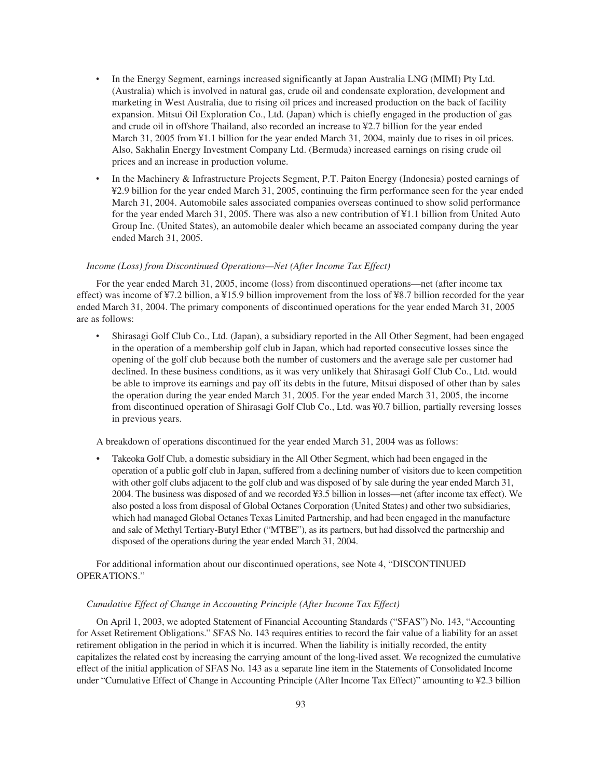- In the Energy Segment, earnings increased significantly at Japan Australia LNG (MIMI) Pty Ltd. (Australia) which is involved in natural gas, crude oil and condensate exploration, development and marketing in West Australia, due to rising oil prices and increased production on the back of facility expansion. Mitsui Oil Exploration Co., Ltd. (Japan) which is chiefly engaged in the production of gas and crude oil in offshore Thailand, also recorded an increase to ¥2.7 billion for the year ended March 31, 2005 from ¥1.1 billion for the year ended March 31, 2004, mainly due to rises in oil prices. Also, Sakhalin Energy Investment Company Ltd. (Bermuda) increased earnings on rising crude oil prices and an increase in production volume.
- In the Machinery & Infrastructure Projects Segment, P.T. Paiton Energy (Indonesia) posted earnings of ¥2.9 billion for the year ended March 31, 2005, continuing the firm performance seen for the year ended March 31, 2004. Automobile sales associated companies overseas continued to show solid performance for the year ended March 31, 2005. There was also a new contribution of ¥1.1 billion from United Auto Group Inc. (United States), an automobile dealer which became an associated company during the year ended March 31, 2005.

# *Income (Loss) from Discontinued Operations—Net (After Income Tax Effect)*

For the year ended March 31, 2005, income (loss) from discontinued operations—net (after income tax effect) was income of ¥7.2 billion, a ¥15.9 billion improvement from the loss of ¥8.7 billion recorded for the year ended March 31, 2004. The primary components of discontinued operations for the year ended March 31, 2005 are as follows:

‰ Shirasagi Golf Club Co., Ltd. (Japan), a subsidiary reported in the All Other Segment, had been engaged in the operation of a membership golf club in Japan, which had reported consecutive losses since the opening of the golf club because both the number of customers and the average sale per customer had declined. In these business conditions, as it was very unlikely that Shirasagi Golf Club Co., Ltd. would be able to improve its earnings and pay off its debts in the future, Mitsui disposed of other than by sales the operation during the year ended March 31, 2005. For the year ended March 31, 2005, the income from discontinued operation of Shirasagi Golf Club Co., Ltd. was ¥0.7 billion, partially reversing losses in previous years.

A breakdown of operations discontinued for the year ended March 31, 2004 was as follows:

• Takeoka Golf Club, a domestic subsidiary in the All Other Segment, which had been engaged in the operation of a public golf club in Japan, suffered from a declining number of visitors due to keen competition with other golf clubs adjacent to the golf club and was disposed of by sale during the year ended March 31, 2004. The business was disposed of and we recorded ¥3.5 billion in losses—net (after income tax effect). We also posted a loss from disposal of Global Octanes Corporation (United States) and other two subsidiaries, which had managed Global Octanes Texas Limited Partnership, and had been engaged in the manufacture and sale of Methyl Tertiary-Butyl Ether ("MTBE"), as its partners, but had dissolved the partnership and disposed of the operations during the year ended March 31, 2004.

For additional information about our discontinued operations, see Note 4, "DISCONTINUED OPERATIONS."

# *Cumulative Effect of Change in Accounting Principle (After Income Tax Effect)*

On April 1, 2003, we adopted Statement of Financial Accounting Standards ("SFAS") No. 143, "Accounting for Asset Retirement Obligations." SFAS No. 143 requires entities to record the fair value of a liability for an asset retirement obligation in the period in which it is incurred. When the liability is initially recorded, the entity capitalizes the related cost by increasing the carrying amount of the long-lived asset. We recognized the cumulative effect of the initial application of SFAS No. 143 as a separate line item in the Statements of Consolidated Income under "Cumulative Effect of Change in Accounting Principle (After Income Tax Effect)" amounting to ¥2.3 billion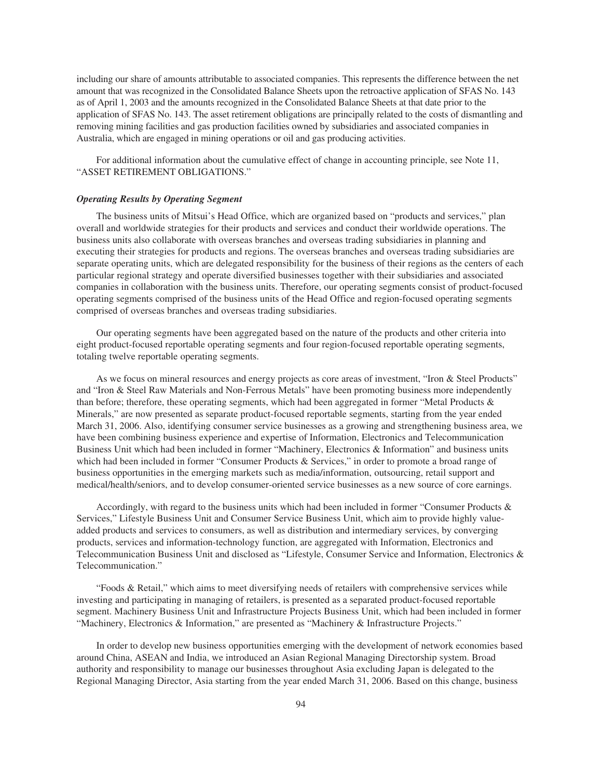including our share of amounts attributable to associated companies. This represents the difference between the net amount that was recognized in the Consolidated Balance Sheets upon the retroactive application of SFAS No. 143 as of April 1, 2003 and the amounts recognized in the Consolidated Balance Sheets at that date prior to the application of SFAS No. 143. The asset retirement obligations are principally related to the costs of dismantling and removing mining facilities and gas production facilities owned by subsidiaries and associated companies in Australia, which are engaged in mining operations or oil and gas producing activities.

For additional information about the cumulative effect of change in accounting principle, see Note 11, "ASSET RETIREMENT OBLIGATIONS."

# *Operating Results by Operating Segment*

The business units of Mitsui's Head Office, which are organized based on "products and services," plan overall and worldwide strategies for their products and services and conduct their worldwide operations. The business units also collaborate with overseas branches and overseas trading subsidiaries in planning and executing their strategies for products and regions. The overseas branches and overseas trading subsidiaries are separate operating units, which are delegated responsibility for the business of their regions as the centers of each particular regional strategy and operate diversified businesses together with their subsidiaries and associated companies in collaboration with the business units. Therefore, our operating segments consist of product-focused operating segments comprised of the business units of the Head Office and region-focused operating segments comprised of overseas branches and overseas trading subsidiaries.

Our operating segments have been aggregated based on the nature of the products and other criteria into eight product-focused reportable operating segments and four region-focused reportable operating segments, totaling twelve reportable operating segments.

As we focus on mineral resources and energy projects as core areas of investment, "Iron & Steel Products" and "Iron & Steel Raw Materials and Non-Ferrous Metals" have been promoting business more independently than before; therefore, these operating segments, which had been aggregated in former "Metal Products & Minerals," are now presented as separate product-focused reportable segments, starting from the year ended March 31, 2006. Also, identifying consumer service businesses as a growing and strengthening business area, we have been combining business experience and expertise of Information, Electronics and Telecommunication Business Unit which had been included in former "Machinery, Electronics & Information" and business units which had been included in former "Consumer Products & Services," in order to promote a broad range of business opportunities in the emerging markets such as media/information, outsourcing, retail support and medical/health/seniors, and to develop consumer-oriented service businesses as a new source of core earnings.

Accordingly, with regard to the business units which had been included in former "Consumer Products & Services," Lifestyle Business Unit and Consumer Service Business Unit, which aim to provide highly valueadded products and services to consumers, as well as distribution and intermediary services, by converging products, services and information-technology function, are aggregated with Information, Electronics and Telecommunication Business Unit and disclosed as "Lifestyle, Consumer Service and Information, Electronics & Telecommunication."

"Foods & Retail," which aims to meet diversifying needs of retailers with comprehensive services while investing and participating in managing of retailers, is presented as a separated product-focused reportable segment. Machinery Business Unit and Infrastructure Projects Business Unit, which had been included in former "Machinery, Electronics & Information," are presented as "Machinery & Infrastructure Projects."

In order to develop new business opportunities emerging with the development of network economies based around China, ASEAN and India, we introduced an Asian Regional Managing Directorship system. Broad authority and responsibility to manage our businesses throughout Asia excluding Japan is delegated to the Regional Managing Director, Asia starting from the year ended March 31, 2006. Based on this change, business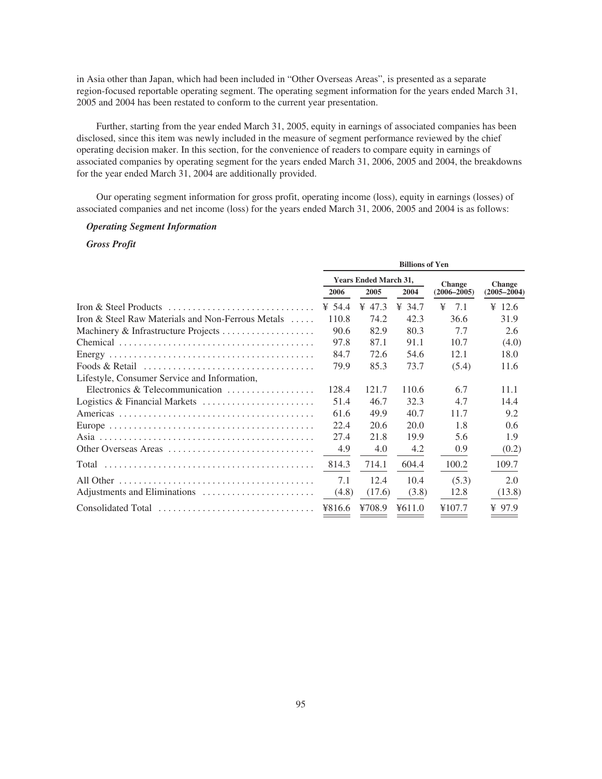in Asia other than Japan, which had been included in "Other Overseas Areas", is presented as a separate region-focused reportable operating segment. The operating segment information for the years ended March 31, 2005 and 2004 has been restated to conform to the current year presentation.

Further, starting from the year ended March 31, 2005, equity in earnings of associated companies has been disclosed, since this item was newly included in the measure of segment performance reviewed by the chief operating decision maker. In this section, for the convenience of readers to compare equity in earnings of associated companies by operating segment for the years ended March 31, 2006, 2005 and 2004, the breakdowns for the year ended March 31, 2004 are additionally provided.

Our operating segment information for gross profit, operating income (loss), equity in earnings (losses) of associated companies and net income (loss) for the years ended March 31, 2006, 2005 and 2004 is as follows:

# *Operating Segment Information*

# *Gross Profit*

|                                                                                         | <b>Billions of Yen</b>       |        |        |                 |                 |  |  |  |
|-----------------------------------------------------------------------------------------|------------------------------|--------|--------|-----------------|-----------------|--|--|--|
|                                                                                         | <b>Years Ended March 31,</b> |        |        | <b>Change</b>   | <b>Change</b>   |  |  |  |
|                                                                                         | 2006                         | 2005   | 2004   | $(2006 - 2005)$ | $(2005 - 2004)$ |  |  |  |
|                                                                                         | ¥ 54.4                       | ¥ 47.3 | ¥ 34.7 | ¥<br>7.1        | ¥ 12.6          |  |  |  |
| Iron & Steel Raw Materials and Non-Ferrous Metals                                       | 110.8                        | 74.2   | 42.3   | 36.6            | 31.9            |  |  |  |
|                                                                                         | 90.6                         | 82.9   | 80.3   | 7.7             | 2.6             |  |  |  |
|                                                                                         | 97.8                         | 87.1   | 91.1   | 10.7            | (4.0)           |  |  |  |
|                                                                                         | 84.7                         | 72.6   | 54.6   | 12.1            | 18.0            |  |  |  |
| Foods & Retail $\ldots, \ldots, \ldots, \ldots, \ldots, \ldots, \ldots, \ldots, \ldots$ | 79.9                         | 85.3   | 73.7   | (5.4)           | 11.6            |  |  |  |
| Lifestyle, Consumer Service and Information,                                            |                              |        |        |                 |                 |  |  |  |
| Electronics & Telecommunication $\ldots, \ldots, \ldots, \ldots$                        | 128.4                        | 121.7  | 110.6  | 6.7             | 11.1            |  |  |  |
| Logistics & Financial Markets $\dots \dots \dots \dots \dots \dots \dots$               | 51.4                         | 46.7   | 32.3   | 4.7             | 14.4            |  |  |  |
|                                                                                         | 61.6                         | 49.9   | 40.7   | 11.7            | 9.2             |  |  |  |
|                                                                                         | 22.4                         | 20.6   | 20.0   | 1.8             | 0.6             |  |  |  |
|                                                                                         | 27.4                         | 21.8   | 19.9   | 5.6             | 1.9             |  |  |  |
| Other Overseas Areas                                                                    | 4.9                          | 4.0    | 4.2    | 0.9             | (0.2)           |  |  |  |
|                                                                                         | 814.3                        | 714.1  | 604.4  | 100.2           | 109.7           |  |  |  |
|                                                                                         | 7.1                          | 12.4   | 10.4   | (5.3)           | 2.0             |  |  |  |
|                                                                                         | (4.8)                        | (17.6) | (3.8)  | 12.8            | (13.8)          |  |  |  |
| Consolidated Total                                                                      | ¥816.6                       | ¥708.9 | 4611.0 | ¥107.7          | ¥ 97.9          |  |  |  |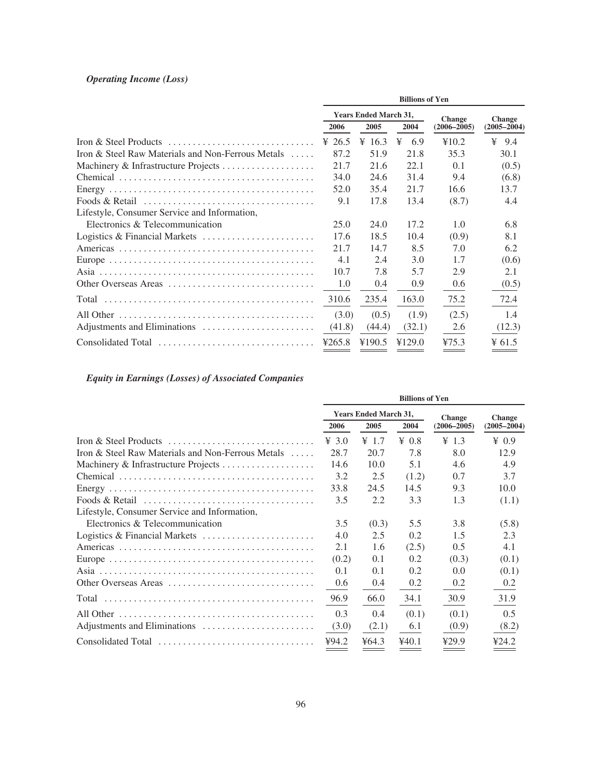# *Operating Income (Loss)*

|                                                                                         | <b>Billions of Yen</b>       |        |          |                 |                    |  |  |  |
|-----------------------------------------------------------------------------------------|------------------------------|--------|----------|-----------------|--------------------|--|--|--|
|                                                                                         | <b>Years Ended March 31,</b> |        |          | <b>Change</b>   | <b>Change</b>      |  |  |  |
|                                                                                         | 2006                         | 2005   | 2004     | $(2006 - 2005)$ | $(2005 - 2004)$    |  |  |  |
|                                                                                         | ¥ 26.5                       | ¥ 16.3 | ¥<br>6.9 | ¥10.2           | 9.4<br>¥           |  |  |  |
| Iron & Steel Raw Materials and Non-Ferrous Metals                                       | 87.2                         | 51.9   | 21.8     | 35.3            | 30.1               |  |  |  |
|                                                                                         | 21.7                         | 21.6   | 22.1     | 0.1             | (0.5)              |  |  |  |
|                                                                                         | 34.0                         | 24.6   | 31.4     | 9.4             | (6.8)              |  |  |  |
|                                                                                         | 52.0                         | 35.4   | 21.7     | 16.6            | 13.7               |  |  |  |
| Foods & Retail $\ldots, \ldots, \ldots, \ldots, \ldots, \ldots, \ldots, \ldots, \ldots$ | 9.1                          | 17.8   | 13.4     | (8.7)           | 4.4                |  |  |  |
| Lifestyle, Consumer Service and Information,                                            |                              |        |          |                 |                    |  |  |  |
| Electronics & Telecommunication                                                         | 25.0                         | 24.0   | 17.2     | 1.0             | 6.8                |  |  |  |
| Logistics & Financial Markets                                                           | 17.6                         | 18.5   | 10.4     | (0.9)           | 8.1                |  |  |  |
|                                                                                         | 21.7                         | 14.7   | 8.5      | 7.0             | 6.2                |  |  |  |
|                                                                                         | 4.1                          | 2.4    | 3.0      | 1.7             | (0.6)              |  |  |  |
|                                                                                         | 10.7                         | 7.8    | 5.7      | 2.9             | 2.1                |  |  |  |
| Other Overseas Areas                                                                    | 1.0                          | 0.4    | 0.9      | 0.6             | (0.5)              |  |  |  |
|                                                                                         | 310.6                        | 235.4  | 163.0    | 75.2            | 72.4               |  |  |  |
|                                                                                         | (3.0)                        | (0.5)  | (1.9)    | (2.5)           | 1.4                |  |  |  |
|                                                                                         | (41.8)                       | (44.4) | (32.1)   | 2.6             | (12.3)             |  |  |  |
| Consolidated Total                                                                      | 4265.8                       | ¥190.5 | ¥129.0   | 475.3           | $\frac{1}{2}$ 61.5 |  |  |  |

# *Equity in Earnings (Losses) of Associated Companies*

|                                                   | <b>Billions of Yen</b>       |                   |              |                 |                 |  |  |  |
|---------------------------------------------------|------------------------------|-------------------|--------------|-----------------|-----------------|--|--|--|
|                                                   | <b>Years Ended March 31,</b> |                   |              | <b>Change</b>   | <b>Change</b>   |  |  |  |
|                                                   | 2006                         | 2005              | 2004         | $(2006 - 2005)$ | $(2005 - 2004)$ |  |  |  |
|                                                   | $\frac{4}{3}$ .0             | $\frac{1}{2}$ 1.7 | $\angle 0.8$ | $\text{Y}$ 1.3  | $\angle 0.9$    |  |  |  |
| Iron & Steel Raw Materials and Non-Ferrous Metals | 28.7                         | 20.7              | 7.8          | 8.0             | 12.9            |  |  |  |
|                                                   | 14.6                         | 10.0              | 5.1          | 4.6             | 4.9             |  |  |  |
|                                                   | 3.2                          | 2.5               | (1.2)        | 0.7             | 3.7             |  |  |  |
|                                                   | 33.8                         | 24.5              | 14.5         | 9.3             | 10.0            |  |  |  |
|                                                   | 3.5                          | 2.2               | 3.3          | 1.3             | (1.1)           |  |  |  |
| Lifestyle, Consumer Service and Information,      |                              |                   |              |                 |                 |  |  |  |
| Electronics & Telecommunication                   | 3.5                          | (0.3)             | 5.5          | 3.8             | (5.8)           |  |  |  |
| Logistics & Financial Markets                     | 4.0                          | 2.5               | 0.2          | 1.5             | 2.3             |  |  |  |
|                                                   | 2.1                          | 1.6               | (2.5)        | 0.5             | 4.1             |  |  |  |
|                                                   | (0.2)                        | 0.1               | 0.2          | (0.3)           | (0.1)           |  |  |  |
|                                                   | 0.1                          | 0.1               | 0.2          | 0.0             | (0.1)           |  |  |  |
| Other Overseas Areas                              | 0.6                          | 0.4               | 0.2          | 0.2             | 0.2             |  |  |  |
|                                                   | 96.9                         | 66.0              | 34.1         | 30.9            | 31.9            |  |  |  |
|                                                   | 0.3                          | 0.4               | (0.1)        | (0.1)           | 0.5             |  |  |  |
|                                                   | (3.0)                        | (2.1)             | 6.1          | (0.9)           | (8.2)           |  |  |  |
| Consolidated Total                                | 494.2                        | ¥64.3             | 440.1        | 429.9           | ¥24.2           |  |  |  |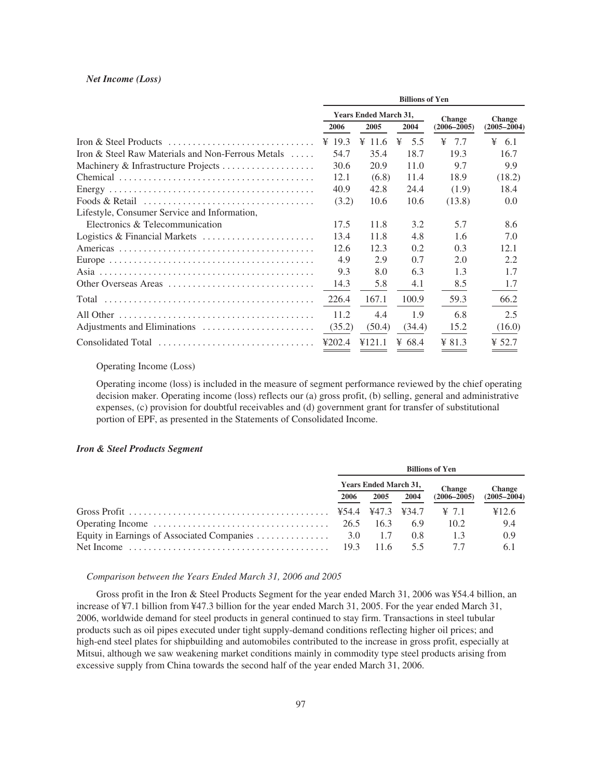#### *Net Income (Loss)*

|                                                                                         | <b>Billions of Yen</b>       |                  |          |                 |                   |  |  |  |
|-----------------------------------------------------------------------------------------|------------------------------|------------------|----------|-----------------|-------------------|--|--|--|
|                                                                                         | <b>Years Ended March 31,</b> |                  |          | <b>Change</b>   | <b>Change</b>     |  |  |  |
|                                                                                         | 2006                         | 2005             | 2004     | $(2006 - 2005)$ | $(2005 - 2004)$   |  |  |  |
|                                                                                         | ¥ 19.3                       | $\frac{4}{11.6}$ | 5.5<br>¥ | ¥<br>7.7        | $\frac{1}{2}$ 6.1 |  |  |  |
| Iron & Steel Raw Materials and Non-Ferrous Metals                                       | 54.7                         | 35.4             | 18.7     | 19.3            | 16.7              |  |  |  |
|                                                                                         | 30.6                         | 20.9             | 11.0     | 9.7             | 9.9               |  |  |  |
|                                                                                         | 12.1                         | (6.8)            | 11.4     | 18.9            | (18.2)            |  |  |  |
|                                                                                         | 40.9                         | 42.8             | 24.4     | (1.9)           | 18.4              |  |  |  |
| Foods & Retail $\ldots, \ldots, \ldots, \ldots, \ldots, \ldots, \ldots, \ldots, \ldots$ | (3.2)                        | 10.6             | 10.6     | (13.8)          | 0.0               |  |  |  |
| Lifestyle, Consumer Service and Information,                                            |                              |                  |          |                 |                   |  |  |  |
| Electronics & Telecommunication                                                         | 17.5                         | 11.8             | 3.2      | 5.7             | 8.6               |  |  |  |
|                                                                                         | 13.4                         | 11.8             | 4.8      | 1.6             | 7.0               |  |  |  |
|                                                                                         | 12.6                         | 12.3             | 0.2      | 0.3             | 12.1              |  |  |  |
|                                                                                         | 4.9                          | 2.9              | 0.7      | 2.0             | 2.2               |  |  |  |
|                                                                                         | 9.3                          | 8.0              | 6.3      | 1.3             | 1.7               |  |  |  |
| Other Overseas Areas                                                                    | 14.3                         | 5.8              | 4.1      | 8.5             | 1.7               |  |  |  |
|                                                                                         | 226.4                        | 167.1            | 100.9    | 59.3            | 66.2              |  |  |  |
|                                                                                         | 11.2                         | 4.4              | 1.9      | 6.8             | 2.5               |  |  |  |
|                                                                                         | (35.2)                       | (50.4)           | (34.4)   | 15.2            | (16.0)            |  |  |  |
| Consolidated Total                                                                      | 4202.4                       | 4121.1           | ¥ 68.4   | $¥$ 81.3        | ¥ 52.7            |  |  |  |

Operating Income (Loss)

Operating income (loss) is included in the measure of segment performance reviewed by the chief operating decision maker. Operating income (loss) reflects our (a) gross profit, (b) selling, general and administrative expenses, (c) provision for doubtful receivables and (d) government grant for transfer of substitutional portion of EPF, as presented in the Statements of Consolidated Income.

# *Iron & Steel Products Segment*

| <b>Billions of Yen</b>       |      |      |                   |                 |  |  |
|------------------------------|------|------|-------------------|-----------------|--|--|
| <b>Years Ended March 31,</b> |      |      | <b>Change</b>     | <b>Change</b>   |  |  |
| 2006                         | 2005 | 2004 | $(2006 - 2005)$   | $(2005 - 2004)$ |  |  |
|                              |      |      | $\cong 7.1$       | ¥12.6           |  |  |
| 26.5                         | 16.3 | 6.9  | 10.2 <sub>1</sub> | 9.4             |  |  |
|                              | 1.7  | 0.8  | 1.3               | 0.9             |  |  |
| 19.3                         | 11.6 | 55   |                   | 6.1             |  |  |

## *Comparison between the Years Ended March 31, 2006 and 2005*

Gross profit in the Iron & Steel Products Segment for the year ended March 31, 2006 was ¥54.4 billion, an increase of ¥7.1 billion from ¥47.3 billion for the year ended March 31, 2005. For the year ended March 31, 2006, worldwide demand for steel products in general continued to stay firm. Transactions in steel tubular products such as oil pipes executed under tight supply-demand conditions reflecting higher oil prices; and high-end steel plates for shipbuilding and automobiles contributed to the increase in gross profit, especially at Mitsui, although we saw weakening market conditions mainly in commodity type steel products arising from excessive supply from China towards the second half of the year ended March 31, 2006.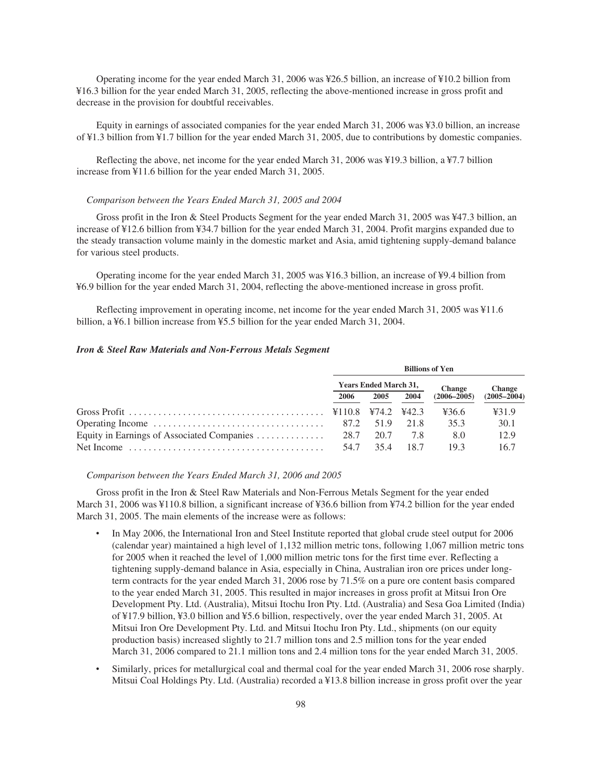Operating income for the year ended March 31, 2006 was ¥26.5 billion, an increase of ¥10.2 billion from ¥16.3 billion for the year ended March 31, 2005, reflecting the above-mentioned increase in gross profit and decrease in the provision for doubtful receivables.

Equity in earnings of associated companies for the year ended March 31, 2006 was ¥3.0 billion, an increase of ¥1.3 billion from ¥1.7 billion for the year ended March 31, 2005, due to contributions by domestic companies.

Reflecting the above, net income for the year ended March 31, 2006 was ¥19.3 billion, a ¥7.7 billion increase from ¥11.6 billion for the year ended March 31, 2005.

#### *Comparison between the Years Ended March 31, 2005 and 2004*

Gross profit in the Iron & Steel Products Segment for the year ended March 31, 2005 was ¥47.3 billion, an increase of ¥12.6 billion from ¥34.7 billion for the year ended March 31, 2004. Profit margins expanded due to the steady transaction volume mainly in the domestic market and Asia, amid tightening supply-demand balance for various steel products.

Operating income for the year ended March 31, 2005 was ¥16.3 billion, an increase of ¥9.4 billion from ¥6.9 billion for the year ended March 31, 2004, reflecting the above-mentioned increase in gross profit.

Reflecting improvement in operating income, net income for the year ended March 31, 2005 was ¥11.6 billion, a ¥6.1 billion increase from ¥5.5 billion for the year ended March 31, 2004.

# *Iron & Steel Raw Materials and Non-Ferrous Metals Segment*

|                                                                                                                                         | <b>Billions of Yen</b>       |           |       |                 |                 |  |  |
|-----------------------------------------------------------------------------------------------------------------------------------------|------------------------------|-----------|-------|-----------------|-----------------|--|--|
|                                                                                                                                         | <b>Years Ended March 31,</b> |           |       | <b>Change</b>   | <b>Change</b>   |  |  |
|                                                                                                                                         | 2006                         | 2005      | 2004  | $(2006 - 2005)$ | $(2005 - 2004)$ |  |  |
| Gross Profit $\ldots$ $\ldots$ $\ldots$ $\ldots$ $\ldots$ $\ldots$ $\ldots$ $\ldots$ $\ldots$ $\ddots$ $\ddagger$ 110.8 $\ddagger$ 74.2 |                              |           | 442.3 | ¥36.6           | 431.9           |  |  |
|                                                                                                                                         | 87.2                         | 51.9      | 218   | 35.3            | 30.1            |  |  |
| Equity in Earnings of Associated Companies                                                                                              |                              | 28.7 20.7 | 7.8   | 8.0             | 12.9            |  |  |
|                                                                                                                                         | 54.7                         | 354       | 18.7  | 193             | 16.7            |  |  |

*Comparison between the Years Ended March 31, 2006 and 2005*

Gross profit in the Iron & Steel Raw Materials and Non-Ferrous Metals Segment for the year ended March 31, 2006 was ¥110.8 billion, a significant increase of ¥36.6 billion from ¥74.2 billion for the year ended March 31, 2005. The main elements of the increase were as follows:

- In May 2006, the International Iron and Steel Institute reported that global crude steel output for 2006 (calendar year) maintained a high level of 1,132 million metric tons, following 1,067 million metric tons for 2005 when it reached the level of 1,000 million metric tons for the first time ever. Reflecting a tightening supply-demand balance in Asia, especially in China, Australian iron ore prices under longterm contracts for the year ended March 31, 2006 rose by 71.5% on a pure ore content basis compared to the year ended March 31, 2005. This resulted in major increases in gross profit at Mitsui Iron Ore Development Pty. Ltd. (Australia), Mitsui Itochu Iron Pty. Ltd. (Australia) and Sesa Goa Limited (India) of ¥17.9 billion, ¥3.0 billion and ¥5.6 billion, respectively, over the year ended March 31, 2005. At Mitsui Iron Ore Development Pty. Ltd. and Mitsui Itochu Iron Pty. Ltd., shipments (on our equity production basis) increased slightly to 21.7 million tons and 2.5 million tons for the year ended March 31, 2006 compared to 21.1 million tons and 2.4 million tons for the year ended March 31, 2005.
- Similarly, prices for metallurgical coal and thermal coal for the year ended March 31, 2006 rose sharply. Mitsui Coal Holdings Pty. Ltd. (Australia) recorded a ¥13.8 billion increase in gross profit over the year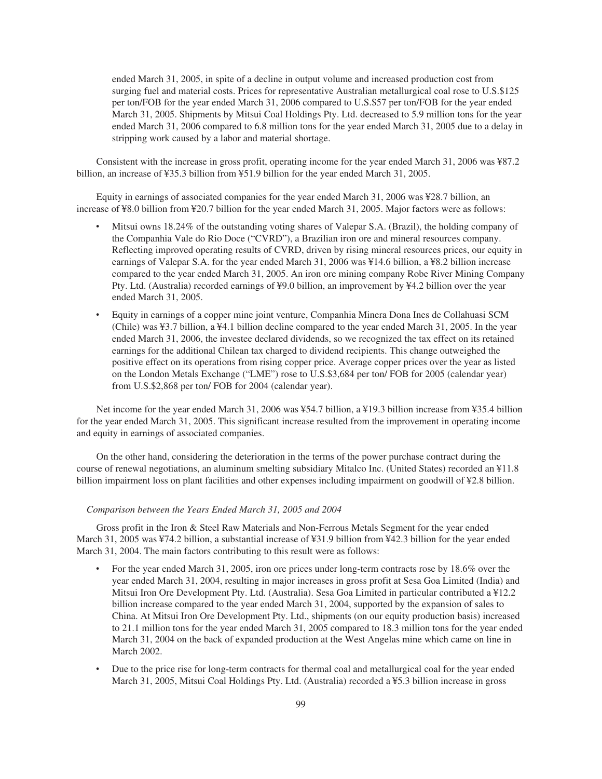ended March 31, 2005, in spite of a decline in output volume and increased production cost from surging fuel and material costs. Prices for representative Australian metallurgical coal rose to U.S.\$125 per ton/FOB for the year ended March 31, 2006 compared to U.S.\$57 per ton/FOB for the year ended March 31, 2005. Shipments by Mitsui Coal Holdings Pty. Ltd. decreased to 5.9 million tons for the year ended March 31, 2006 compared to 6.8 million tons for the year ended March 31, 2005 due to a delay in stripping work caused by a labor and material shortage.

Consistent with the increase in gross profit, operating income for the year ended March 31, 2006 was ¥87.2 billion, an increase of ¥35.3 billion from ¥51.9 billion for the year ended March 31, 2005.

Equity in earnings of associated companies for the year ended March 31, 2006 was ¥28.7 billion, an increase of ¥8.0 billion from ¥20.7 billion for the year ended March 31, 2005. Major factors were as follows:

- ‰ Mitsui owns 18.24% of the outstanding voting shares of Valepar S.A. (Brazil), the holding company of the Companhia Vale do Rio Doce ("CVRD"), a Brazilian iron ore and mineral resources company. Reflecting improved operating results of CVRD, driven by rising mineral resources prices, our equity in earnings of Valepar S.A. for the year ended March 31, 2006 was ¥14.6 billion, a ¥8.2 billion increase compared to the year ended March 31, 2005. An iron ore mining company Robe River Mining Company Pty. Ltd. (Australia) recorded earnings of ¥9.0 billion, an improvement by ¥4.2 billion over the year ended March 31, 2005.
- ‰ Equity in earnings of a copper mine joint venture, Companhia Minera Dona Ines de Collahuasi SCM (Chile) was ¥3.7 billion, a ¥4.1 billion decline compared to the year ended March 31, 2005. In the year ended March 31, 2006, the investee declared dividends, so we recognized the tax effect on its retained earnings for the additional Chilean tax charged to dividend recipients. This change outweighed the positive effect on its operations from rising copper price. Average copper prices over the year as listed on the London Metals Exchange ("LME") rose to U.S.\$3,684 per ton/ FOB for 2005 (calendar year) from U.S.\$2,868 per ton/ FOB for 2004 (calendar year).

Net income for the year ended March 31, 2006 was ¥54.7 billion, a ¥19.3 billion increase from ¥35.4 billion for the year ended March 31, 2005. This significant increase resulted from the improvement in operating income and equity in earnings of associated companies.

On the other hand, considering the deterioration in the terms of the power purchase contract during the course of renewal negotiations, an aluminum smelting subsidiary Mitalco Inc. (United States) recorded an ¥11.8 billion impairment loss on plant facilities and other expenses including impairment on goodwill of ¥2.8 billion.

# *Comparison between the Years Ended March 31, 2005 and 2004*

Gross profit in the Iron & Steel Raw Materials and Non-Ferrous Metals Segment for the year ended March 31, 2005 was ¥74.2 billion, a substantial increase of ¥31.9 billion from ¥42.3 billion for the year ended March 31, 2004. The main factors contributing to this result were as follows:

- For the year ended March 31, 2005, iron ore prices under long-term contracts rose by 18.6% over the year ended March 31, 2004, resulting in major increases in gross profit at Sesa Goa Limited (India) and Mitsui Iron Ore Development Pty. Ltd. (Australia). Sesa Goa Limited in particular contributed a ¥12.2 billion increase compared to the year ended March 31, 2004, supported by the expansion of sales to China. At Mitsui Iron Ore Development Pty. Ltd., shipments (on our equity production basis) increased to 21.1 million tons for the year ended March 31, 2005 compared to 18.3 million tons for the year ended March 31, 2004 on the back of expanded production at the West Angelas mine which came on line in March 2002.
- Due to the price rise for long-term contracts for thermal coal and metallurgical coal for the year ended March 31, 2005, Mitsui Coal Holdings Pty. Ltd. (Australia) recorded a ¥5.3 billion increase in gross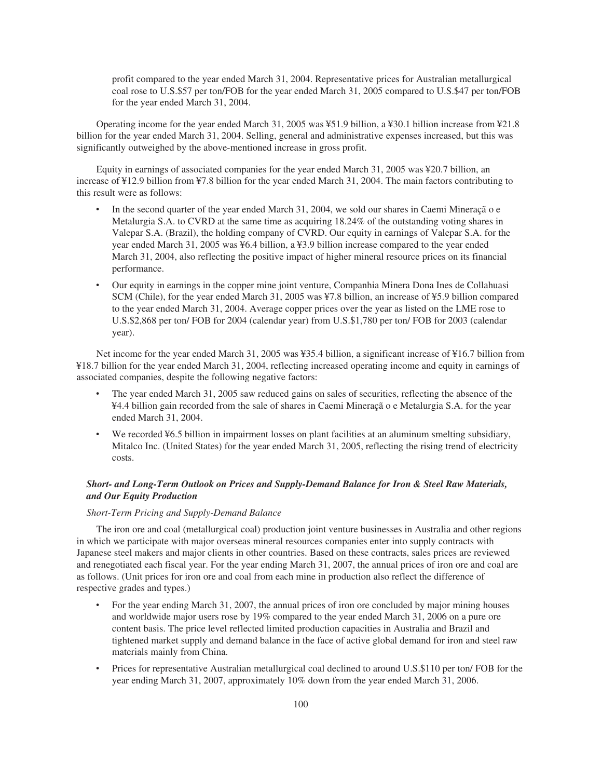profit compared to the year ended March 31, 2004. Representative prices for Australian metallurgical coal rose to U.S.\$57 per ton/FOB for the year ended March 31, 2005 compared to U.S.\$47 per ton/FOB for the year ended March 31, 2004.

Operating income for the year ended March 31, 2005 was ¥51.9 billion, a ¥30.1 billion increase from ¥21.8 billion for the year ended March 31, 2004. Selling, general and administrative expenses increased, but this was significantly outweighed by the above-mentioned increase in gross profit.

Equity in earnings of associated companies for the year ended March 31, 2005 was ¥20.7 billion, an increase of ¥12.9 billion from ¥7.8 billion for the year ended March 31, 2004. The main factors contributing to this result were as follows:

- In the second quarter of the year ended March 31, 2004, we sold our shares in Caemi Mineração e Metalurgia S.A. to CVRD at the same time as acquiring 18.24% of the outstanding voting shares in Valepar S.A. (Brazil), the holding company of CVRD. Our equity in earnings of Valepar S.A. for the year ended March 31, 2005 was ¥6.4 billion, a ¥3.9 billion increase compared to the year ended March 31, 2004, also reflecting the positive impact of higher mineral resource prices on its financial performance.
- ‰ Our equity in earnings in the copper mine joint venture, Companhia Minera Dona Ines de Collahuasi SCM (Chile), for the year ended March 31, 2005 was ¥7.8 billion, an increase of ¥5.9 billion compared to the year ended March 31, 2004. Average copper prices over the year as listed on the LME rose to U.S.\$2,868 per ton/ FOB for 2004 (calendar year) from U.S.\$1,780 per ton/ FOB for 2003 (calendar year).

Net income for the year ended March 31, 2005 was ¥35.4 billion, a significant increase of ¥16.7 billion from ¥18.7 billion for the year ended March 31, 2004, reflecting increased operating income and equity in earnings of associated companies, despite the following negative factors:

- The year ended March 31, 2005 saw reduced gains on sales of securities, reflecting the absence of the ¥4.4 billion gain recorded from the sale of shares in Caemi Mineraçã o e Metalurgia S.A. for the year ended March 31, 2004.
- We recorded ¥6.5 billion in impairment losses on plant facilities at an aluminum smelting subsidiary, Mitalco Inc. (United States) for the year ended March 31, 2005, reflecting the rising trend of electricity costs.

# *Short- and Long-Term Outlook on Prices and Supply-Demand Balance for Iron & Steel Raw Materials, and Our Equity Production*

# *Short-Term Pricing and Supply-Demand Balance*

The iron ore and coal (metallurgical coal) production joint venture businesses in Australia and other regions in which we participate with major overseas mineral resources companies enter into supply contracts with Japanese steel makers and major clients in other countries. Based on these contracts, sales prices are reviewed and renegotiated each fiscal year. For the year ending March 31, 2007, the annual prices of iron ore and coal are as follows. (Unit prices for iron ore and coal from each mine in production also reflect the difference of respective grades and types.)

- For the year ending March 31, 2007, the annual prices of iron ore concluded by major mining houses and worldwide major users rose by 19% compared to the year ended March 31, 2006 on a pure ore content basis. The price level reflected limited production capacities in Australia and Brazil and tightened market supply and demand balance in the face of active global demand for iron and steel raw materials mainly from China.
- Prices for representative Australian metallurgical coal declined to around U.S.\$110 per ton/ FOB for the year ending March 31, 2007, approximately 10% down from the year ended March 31, 2006.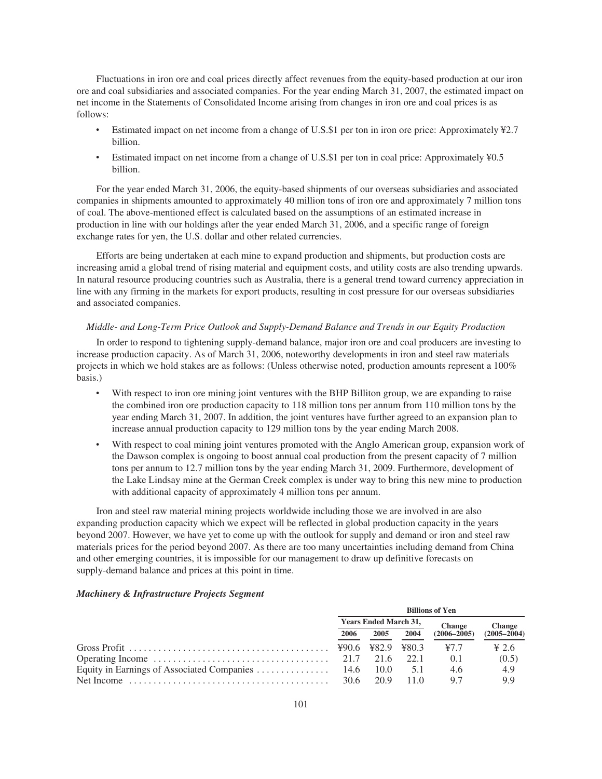Fluctuations in iron ore and coal prices directly affect revenues from the equity-based production at our iron ore and coal subsidiaries and associated companies. For the year ending March 31, 2007, the estimated impact on net income in the Statements of Consolidated Income arising from changes in iron ore and coal prices is as follows:

- ‰ Estimated impact on net income from a change of U.S.\$1 per ton in iron ore price: Approximately ¥2.7 billion.
- Estimated impact on net income from a change of U.S.\$1 per ton in coal price: Approximately ¥0.5 billion.

For the year ended March 31, 2006, the equity-based shipments of our overseas subsidiaries and associated companies in shipments amounted to approximately 40 million tons of iron ore and approximately 7 million tons of coal. The above-mentioned effect is calculated based on the assumptions of an estimated increase in production in line with our holdings after the year ended March 31, 2006, and a specific range of foreign exchange rates for yen, the U.S. dollar and other related currencies.

Efforts are being undertaken at each mine to expand production and shipments, but production costs are increasing amid a global trend of rising material and equipment costs, and utility costs are also trending upwards. In natural resource producing countries such as Australia, there is a general trend toward currency appreciation in line with any firming in the markets for export products, resulting in cost pressure for our overseas subsidiaries and associated companies.

## *Middle- and Long-Term Price Outlook and Supply-Demand Balance and Trends in our Equity Production*

In order to respond to tightening supply-demand balance, major iron ore and coal producers are investing to increase production capacity. As of March 31, 2006, noteworthy developments in iron and steel raw materials projects in which we hold stakes are as follows: (Unless otherwise noted, production amounts represent a 100% basis.)

- With respect to iron ore mining joint ventures with the BHP Billiton group, we are expanding to raise the combined iron ore production capacity to 118 million tons per annum from 110 million tons by the year ending March 31, 2007. In addition, the joint ventures have further agreed to an expansion plan to increase annual production capacity to 129 million tons by the year ending March 2008.
- With respect to coal mining joint ventures promoted with the Anglo American group, expansion work of the Dawson complex is ongoing to boost annual coal production from the present capacity of 7 million tons per annum to 12.7 million tons by the year ending March 31, 2009. Furthermore, development of the Lake Lindsay mine at the German Creek complex is under way to bring this new mine to production with additional capacity of approximately 4 million tons per annum.

Iron and steel raw material mining projects worldwide including those we are involved in are also expanding production capacity which we expect will be reflected in global production capacity in the years beyond 2007. However, we have yet to come up with the outlook for supply and demand or iron and steel raw materials prices for the period beyond 2007. As there are too many uncertainties including demand from China and other emerging countries, it is impossible for our management to draw up definitive forecasts on supply-demand balance and prices at this point in time.

| <b>Billions of Yen</b>       |      |         |                 |                   |  |  |
|------------------------------|------|---------|-----------------|-------------------|--|--|
| <b>Years Ended March 31,</b> |      |         | <b>Change</b>   | <b>Change</b>     |  |  |
| 2006                         | 2005 | 2004    | $(2006 - 2005)$ | $(2005 - 2004)$   |  |  |
|                              |      |         | 47.7            | $\frac{4}{2}$ 2.6 |  |  |
|                              |      | $-22.1$ | 0.1             | (0.5)             |  |  |
|                              |      | 5.1     | 4.6             | 4.9               |  |  |
| 30.6                         | 209  | 11 O    | 97              | 9.9               |  |  |

#### *Machinery & Infrastructure Projects Segment*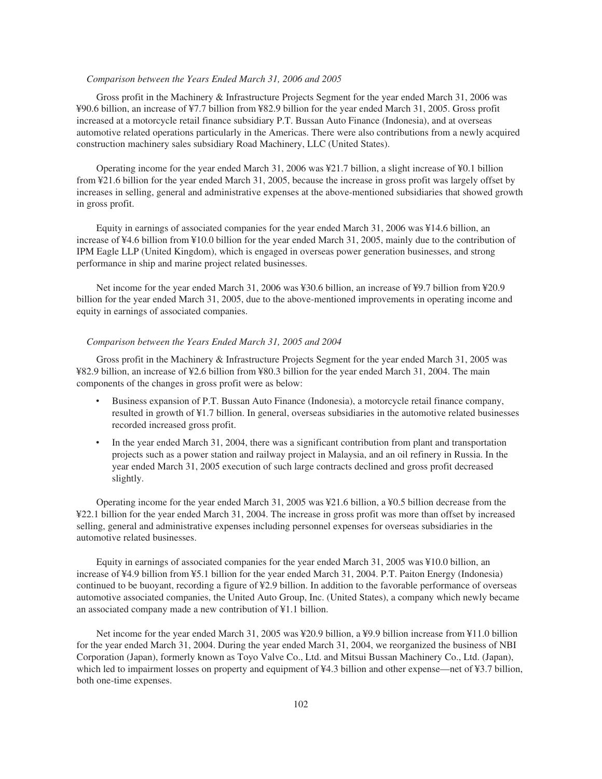# *Comparison between the Years Ended March 31, 2006 and 2005*

Gross profit in the Machinery & Infrastructure Projects Segment for the year ended March 31, 2006 was ¥90.6 billion, an increase of ¥7.7 billion from ¥82.9 billion for the year ended March 31, 2005. Gross profit increased at a motorcycle retail finance subsidiary P.T. Bussan Auto Finance (Indonesia), and at overseas automotive related operations particularly in the Americas. There were also contributions from a newly acquired construction machinery sales subsidiary Road Machinery, LLC (United States).

Operating income for the year ended March 31, 2006 was ¥21.7 billion, a slight increase of ¥0.1 billion from ¥21.6 billion for the year ended March 31, 2005, because the increase in gross profit was largely offset by increases in selling, general and administrative expenses at the above-mentioned subsidiaries that showed growth in gross profit.

Equity in earnings of associated companies for the year ended March 31, 2006 was ¥14.6 billion, an increase of ¥4.6 billion from ¥10.0 billion for the year ended March 31, 2005, mainly due to the contribution of IPM Eagle LLP (United Kingdom), which is engaged in overseas power generation businesses, and strong performance in ship and marine project related businesses.

Net income for the year ended March 31, 2006 was ¥30.6 billion, an increase of ¥9.7 billion from ¥20.9 billion for the year ended March 31, 2005, due to the above-mentioned improvements in operating income and equity in earnings of associated companies.

#### *Comparison between the Years Ended March 31, 2005 and 2004*

Gross profit in the Machinery & Infrastructure Projects Segment for the year ended March 31, 2005 was ¥82.9 billion, an increase of ¥2.6 billion from ¥80.3 billion for the year ended March 31, 2004. The main components of the changes in gross profit were as below:

- ‰ Business expansion of P.T. Bussan Auto Finance (Indonesia), a motorcycle retail finance company, resulted in growth of ¥1.7 billion. In general, overseas subsidiaries in the automotive related businesses recorded increased gross profit.
- In the year ended March 31, 2004, there was a significant contribution from plant and transportation projects such as a power station and railway project in Malaysia, and an oil refinery in Russia. In the year ended March 31, 2005 execution of such large contracts declined and gross profit decreased slightly.

Operating income for the year ended March 31, 2005 was ¥21.6 billion, a ¥0.5 billion decrease from the ¥22.1 billion for the year ended March 31, 2004. The increase in gross profit was more than offset by increased selling, general and administrative expenses including personnel expenses for overseas subsidiaries in the automotive related businesses.

Equity in earnings of associated companies for the year ended March 31, 2005 was ¥10.0 billion, an increase of ¥4.9 billion from ¥5.1 billion for the year ended March 31, 2004. P.T. Paiton Energy (Indonesia) continued to be buoyant, recording a figure of ¥2.9 billion. In addition to the favorable performance of overseas automotive associated companies, the United Auto Group, Inc. (United States), a company which newly became an associated company made a new contribution of ¥1.1 billion.

Net income for the year ended March 31, 2005 was ¥20.9 billion, a ¥9.9 billion increase from ¥11.0 billion for the year ended March 31, 2004. During the year ended March 31, 2004, we reorganized the business of NBI Corporation (Japan), formerly known as Toyo Valve Co., Ltd. and Mitsui Bussan Machinery Co., Ltd. (Japan), which led to impairment losses on property and equipment of ¥4.3 billion and other expense—net of ¥3.7 billion, both one-time expenses.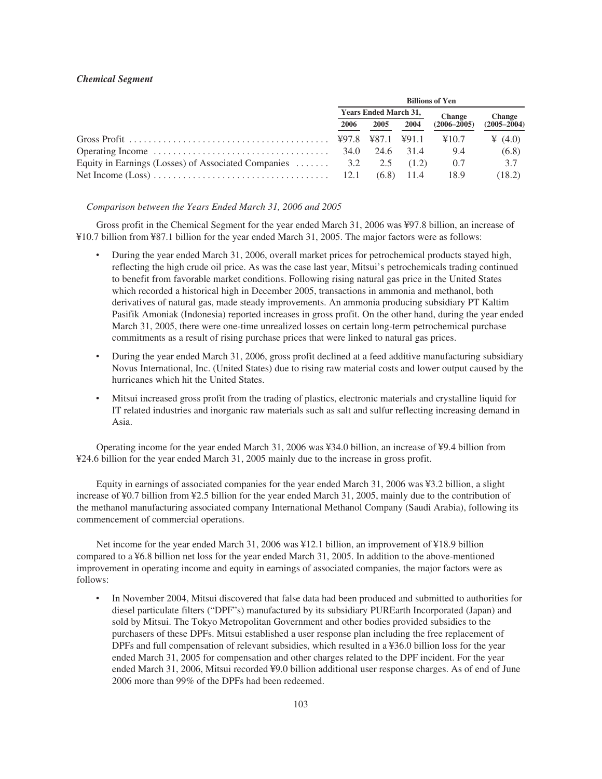# *Chemical Segment*

|                                                                                                           | <b>Billions of Yen</b>       |      |              |                 |                 |  |  |
|-----------------------------------------------------------------------------------------------------------|------------------------------|------|--------------|-----------------|-----------------|--|--|
|                                                                                                           | <b>Years Ended March 31,</b> |      |              | <b>Change</b>   | <b>Change</b>   |  |  |
|                                                                                                           | 2006                         | 2005 | 2004         | $(2006 - 2005)$ | $(2005 - 2004)$ |  |  |
|                                                                                                           |                              |      |              | ¥10.7           | $\angle (4.0)$  |  |  |
| Operating Income $\dots \dots \dots \dots \dots \dots \dots \dots \dots \dots \dots \dots$ 34.0 24.6 31.4 |                              |      |              | 9.4             | (6.8)           |  |  |
| Equity in Earnings (Losses) of Associated Companies  3.2 2.5 (1.2)                                        |                              |      |              | 0.7             | 3.7             |  |  |
|                                                                                                           |                              |      | $(6.8)$ 11.4 | 18.9            | (18.2)          |  |  |

#### *Comparison between the Years Ended March 31, 2006 and 2005*

Gross profit in the Chemical Segment for the year ended March 31, 2006 was ¥97.8 billion, an increase of ¥10.7 billion from ¥87.1 billion for the year ended March 31, 2005. The major factors were as follows:

- During the year ended March 31, 2006, overall market prices for petrochemical products stayed high, reflecting the high crude oil price. As was the case last year, Mitsui's petrochemicals trading continued to benefit from favorable market conditions. Following rising natural gas price in the United States which recorded a historical high in December 2005, transactions in ammonia and methanol, both derivatives of natural gas, made steady improvements. An ammonia producing subsidiary PT Kaltim Pasifik Amoniak (Indonesia) reported increases in gross profit. On the other hand, during the year ended March 31, 2005, there were one-time unrealized losses on certain long-term petrochemical purchase commitments as a result of rising purchase prices that were linked to natural gas prices.
- During the year ended March 31, 2006, gross profit declined at a feed additive manufacturing subsidiary Novus International, Inc. (United States) due to rising raw material costs and lower output caused by the hurricanes which hit the United States.
- ‰ Mitsui increased gross profit from the trading of plastics, electronic materials and crystalline liquid for IT related industries and inorganic raw materials such as salt and sulfur reflecting increasing demand in Asia.

Operating income for the year ended March 31, 2006 was ¥34.0 billion, an increase of ¥9.4 billion from ¥24.6 billion for the year ended March 31, 2005 mainly due to the increase in gross profit.

Equity in earnings of associated companies for the year ended March 31, 2006 was ¥3.2 billion, a slight increase of ¥0.7 billion from ¥2.5 billion for the year ended March 31, 2005, mainly due to the contribution of the methanol manufacturing associated company International Methanol Company (Saudi Arabia), following its commencement of commercial operations.

Net income for the year ended March 31, 2006 was ¥12.1 billion, an improvement of ¥18.9 billion compared to a ¥6.8 billion net loss for the year ended March 31, 2005. In addition to the above-mentioned improvement in operating income and equity in earnings of associated companies, the major factors were as follows:

In November 2004, Mitsui discovered that false data had been produced and submitted to authorities for diesel particulate filters ("DPF"s) manufactured by its subsidiary PUREarth Incorporated (Japan) and sold by Mitsui. The Tokyo Metropolitan Government and other bodies provided subsidies to the purchasers of these DPFs. Mitsui established a user response plan including the free replacement of DPFs and full compensation of relevant subsidies, which resulted in a ¥36.0 billion loss for the year ended March 31, 2005 for compensation and other charges related to the DPF incident. For the year ended March 31, 2006, Mitsui recorded ¥9.0 billion additional user response charges. As of end of June 2006 more than 99% of the DPFs had been redeemed.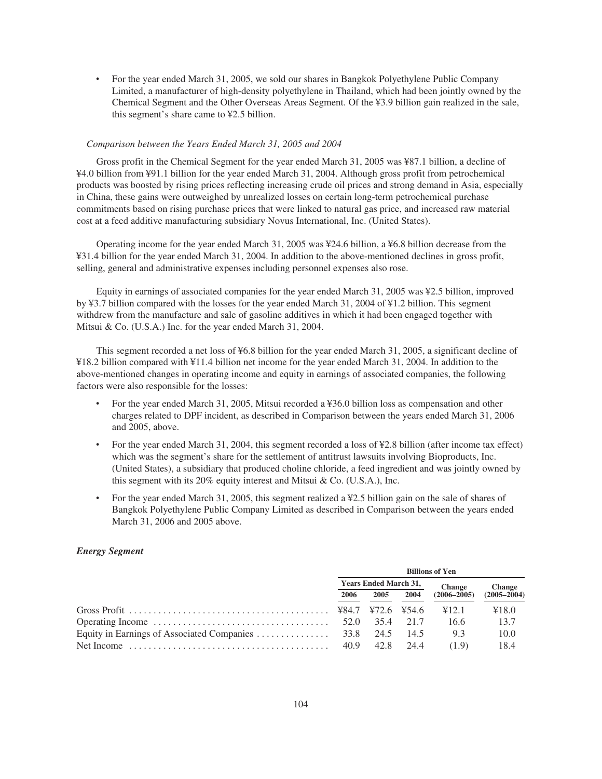For the year ended March 31, 2005, we sold our shares in Bangkok Polyethylene Public Company Limited, a manufacturer of high-density polyethylene in Thailand, which had been jointly owned by the Chemical Segment and the Other Overseas Areas Segment. Of the ¥3.9 billion gain realized in the sale, this segment's share came to ¥2.5 billion.

#### *Comparison between the Years Ended March 31, 2005 and 2004*

Gross profit in the Chemical Segment for the year ended March 31, 2005 was ¥87.1 billion, a decline of ¥4.0 billion from ¥91.1 billion for the year ended March 31, 2004. Although gross profit from petrochemical products was boosted by rising prices reflecting increasing crude oil prices and strong demand in Asia, especially in China, these gains were outweighed by unrealized losses on certain long-term petrochemical purchase commitments based on rising purchase prices that were linked to natural gas price, and increased raw material cost at a feed additive manufacturing subsidiary Novus International, Inc. (United States).

Operating income for the year ended March 31, 2005 was ¥24.6 billion, a ¥6.8 billion decrease from the ¥31.4 billion for the year ended March 31, 2004. In addition to the above-mentioned declines in gross profit, selling, general and administrative expenses including personnel expenses also rose.

Equity in earnings of associated companies for the year ended March 31, 2005 was ¥2.5 billion, improved by ¥3.7 billion compared with the losses for the year ended March 31, 2004 of ¥1.2 billion. This segment withdrew from the manufacture and sale of gasoline additives in which it had been engaged together with Mitsui & Co. (U.S.A.) Inc. for the year ended March 31, 2004.

This segment recorded a net loss of ¥6.8 billion for the year ended March 31, 2005, a significant decline of ¥18.2 billion compared with ¥11.4 billion net income for the year ended March 31, 2004. In addition to the above-mentioned changes in operating income and equity in earnings of associated companies, the following factors were also responsible for the losses:

- For the year ended March 31, 2005, Mitsui recorded a ¥36.0 billion loss as compensation and other charges related to DPF incident, as described in Comparison between the years ended March 31, 2006 and 2005, above.
- For the year ended March 31, 2004, this segment recorded a loss of ¥2.8 billion (after income tax effect) which was the segment's share for the settlement of antitrust lawsuits involving Bioproducts, Inc. (United States), a subsidiary that produced choline chloride, a feed ingredient and was jointly owned by this segment with its 20% equity interest and Mitsui & Co. (U.S.A.), Inc.
- For the year ended March 31, 2005, this segment realized a ¥2.5 billion gain on the sale of shares of Bangkok Polyethylene Public Company Limited as described in Comparison between the years ended March 31, 2006 and 2005 above.

## *Energy Segment*

|                                                                                               | <b>Billions of Yen</b>       |      |        |                 |                 |  |  |
|-----------------------------------------------------------------------------------------------|------------------------------|------|--------|-----------------|-----------------|--|--|
|                                                                                               | <b>Years Ended March 31,</b> |      |        | <b>Change</b>   | <b>Change</b>   |  |  |
|                                                                                               | 2006                         | 2005 | 2004   | $(2006 - 2005)$ | $(2005 - 2004)$ |  |  |
|                                                                                               |                              |      |        | ¥12.1           | ¥18.0           |  |  |
| Operating Income $\ldots \ldots \ldots \ldots \ldots \ldots \ldots \ldots \ldots \ldots$ 52.0 |                              | 35.4 | 21.7   | 16.6            | 13.7            |  |  |
|                                                                                               |                              |      | - 14.5 | 9.3             | 10.0            |  |  |
| Net Income $\dots\dots\dots\dots\dots\dots\dots\dots\dots\dots\dots\dots\dots\dots$           | 40.9                         | 42.8 | 24.4   | (19)            | 18.4            |  |  |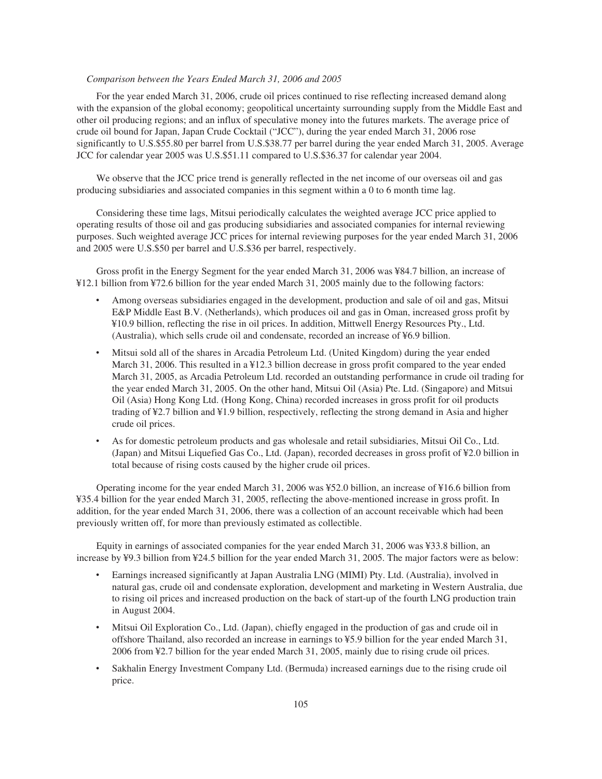# *Comparison between the Years Ended March 31, 2006 and 2005*

For the year ended March 31, 2006, crude oil prices continued to rise reflecting increased demand along with the expansion of the global economy; geopolitical uncertainty surrounding supply from the Middle East and other oil producing regions; and an influx of speculative money into the futures markets. The average price of crude oil bound for Japan, Japan Crude Cocktail ("JCC"), during the year ended March 31, 2006 rose significantly to U.S.\$55.80 per barrel from U.S.\$38.77 per barrel during the year ended March 31, 2005. Average JCC for calendar year 2005 was U.S.\$51.11 compared to U.S.\$36.37 for calendar year 2004.

We observe that the JCC price trend is generally reflected in the net income of our overseas oil and gas producing subsidiaries and associated companies in this segment within a 0 to 6 month time lag.

Considering these time lags, Mitsui periodically calculates the weighted average JCC price applied to operating results of those oil and gas producing subsidiaries and associated companies for internal reviewing purposes. Such weighted average JCC prices for internal reviewing purposes for the year ended March 31, 2006 and 2005 were U.S.\$50 per barrel and U.S.\$36 per barrel, respectively.

Gross profit in the Energy Segment for the year ended March 31, 2006 was ¥84.7 billion, an increase of ¥12.1 billion from ¥72.6 billion for the year ended March 31, 2005 mainly due to the following factors:

- ‰ Among overseas subsidiaries engaged in the development, production and sale of oil and gas, Mitsui E&P Middle East B.V. (Netherlands), which produces oil and gas in Oman, increased gross profit by ¥10.9 billion, reflecting the rise in oil prices. In addition, Mittwell Energy Resources Pty., Ltd. (Australia), which sells crude oil and condensate, recorded an increase of ¥6.9 billion.
- ‰ Mitsui sold all of the shares in Arcadia Petroleum Ltd. (United Kingdom) during the year ended March 31, 2006. This resulted in a ¥12.3 billion decrease in gross profit compared to the year ended March 31, 2005, as Arcadia Petroleum Ltd. recorded an outstanding performance in crude oil trading for the year ended March 31, 2005. On the other hand, Mitsui Oil (Asia) Pte. Ltd. (Singapore) and Mitsui Oil (Asia) Hong Kong Ltd. (Hong Kong, China) recorded increases in gross profit for oil products trading of ¥2.7 billion and ¥1.9 billion, respectively, reflecting the strong demand in Asia and higher crude oil prices.
- ‰ As for domestic petroleum products and gas wholesale and retail subsidiaries, Mitsui Oil Co., Ltd. (Japan) and Mitsui Liquefied Gas Co., Ltd. (Japan), recorded decreases in gross profit of ¥2.0 billion in total because of rising costs caused by the higher crude oil prices.

Operating income for the year ended March 31, 2006 was ¥52.0 billion, an increase of ¥16.6 billion from ¥35.4 billion for the year ended March 31, 2005, reflecting the above-mentioned increase in gross profit. In addition, for the year ended March 31, 2006, there was a collection of an account receivable which had been previously written off, for more than previously estimated as collectible.

Equity in earnings of associated companies for the year ended March 31, 2006 was ¥33.8 billion, an increase by ¥9.3 billion from ¥24.5 billion for the year ended March 31, 2005. The major factors were as below:

- Earnings increased significantly at Japan Australia LNG (MIMI) Pty. Ltd. (Australia), involved in natural gas, crude oil and condensate exploration, development and marketing in Western Australia, due to rising oil prices and increased production on the back of start-up of the fourth LNG production train in August 2004.
- ‰ Mitsui Oil Exploration Co., Ltd. (Japan), chiefly engaged in the production of gas and crude oil in offshore Thailand, also recorded an increase in earnings to ¥5.9 billion for the year ended March 31, 2006 from ¥2.7 billion for the year ended March 31, 2005, mainly due to rising crude oil prices.
- Sakhalin Energy Investment Company Ltd. (Bermuda) increased earnings due to the rising crude oil price.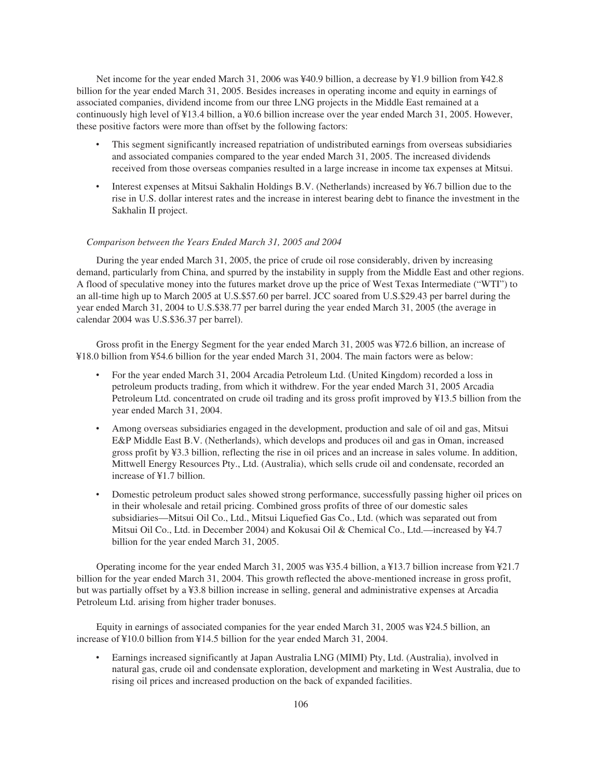Net income for the year ended March 31, 2006 was ¥40.9 billion, a decrease by ¥1.9 billion from ¥42.8 billion for the year ended March 31, 2005. Besides increases in operating income and equity in earnings of associated companies, dividend income from our three LNG projects in the Middle East remained at a continuously high level of ¥13.4 billion, a ¥0.6 billion increase over the year ended March 31, 2005. However, these positive factors were more than offset by the following factors:

- This segment significantly increased repatriation of undistributed earnings from overseas subsidiaries and associated companies compared to the year ended March 31, 2005. The increased dividends received from those overseas companies resulted in a large increase in income tax expenses at Mitsui.
- Interest expenses at Mitsui Sakhalin Holdings B.V. (Netherlands) increased by ¥6.7 billion due to the rise in U.S. dollar interest rates and the increase in interest bearing debt to finance the investment in the Sakhalin II project.

#### *Comparison between the Years Ended March 31, 2005 and 2004*

During the year ended March 31, 2005, the price of crude oil rose considerably, driven by increasing demand, particularly from China, and spurred by the instability in supply from the Middle East and other regions. A flood of speculative money into the futures market drove up the price of West Texas Intermediate ("WTI") to an all-time high up to March 2005 at U.S.\$57.60 per barrel. JCC soared from U.S.\$29.43 per barrel during the year ended March 31, 2004 to U.S.\$38.77 per barrel during the year ended March 31, 2005 (the average in calendar 2004 was U.S.\$36.37 per barrel).

Gross profit in the Energy Segment for the year ended March 31, 2005 was ¥72.6 billion, an increase of ¥18.0 billion from ¥54.6 billion for the year ended March 31, 2004. The main factors were as below:

- ‰ For the year ended March 31, 2004 Arcadia Petroleum Ltd. (United Kingdom) recorded a loss in petroleum products trading, from which it withdrew. For the year ended March 31, 2005 Arcadia Petroleum Ltd. concentrated on crude oil trading and its gross profit improved by ¥13.5 billion from the year ended March 31, 2004.
- ‰ Among overseas subsidiaries engaged in the development, production and sale of oil and gas, Mitsui E&P Middle East B.V. (Netherlands), which develops and produces oil and gas in Oman, increased gross profit by ¥3.3 billion, reflecting the rise in oil prices and an increase in sales volume. In addition, Mittwell Energy Resources Pty., Ltd. (Australia), which sells crude oil and condensate, recorded an increase of ¥1.7 billion.
- Domestic petroleum product sales showed strong performance, successfully passing higher oil prices on in their wholesale and retail pricing. Combined gross profits of three of our domestic sales subsidiaries—Mitsui Oil Co., Ltd., Mitsui Liquefied Gas Co., Ltd. (which was separated out from Mitsui Oil Co., Ltd. in December 2004) and Kokusai Oil & Chemical Co., Ltd.—increased by ¥4.7 billion for the year ended March 31, 2005.

Operating income for the year ended March 31, 2005 was ¥35.4 billion, a ¥13.7 billion increase from ¥21.7 billion for the year ended March 31, 2004. This growth reflected the above-mentioned increase in gross profit, but was partially offset by a ¥3.8 billion increase in selling, general and administrative expenses at Arcadia Petroleum Ltd. arising from higher trader bonuses.

Equity in earnings of associated companies for the year ended March 31, 2005 was ¥24.5 billion, an increase of ¥10.0 billion from ¥14.5 billion for the year ended March 31, 2004.

Earnings increased significantly at Japan Australia LNG (MIMI) Pty, Ltd. (Australia), involved in natural gas, crude oil and condensate exploration, development and marketing in West Australia, due to rising oil prices and increased production on the back of expanded facilities.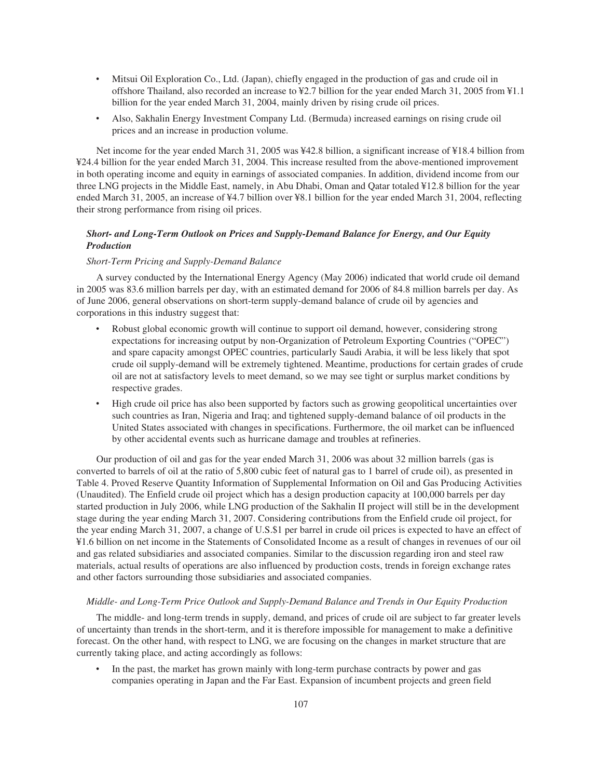- ‰ Mitsui Oil Exploration Co., Ltd. (Japan), chiefly engaged in the production of gas and crude oil in offshore Thailand, also recorded an increase to ¥2.7 billion for the year ended March 31, 2005 from ¥1.1 billion for the year ended March 31, 2004, mainly driven by rising crude oil prices.
- ‰ Also, Sakhalin Energy Investment Company Ltd. (Bermuda) increased earnings on rising crude oil prices and an increase in production volume.

Net income for the year ended March 31, 2005 was ¥42.8 billion, a significant increase of ¥18.4 billion from ¥24.4 billion for the year ended March 31, 2004. This increase resulted from the above-mentioned improvement in both operating income and equity in earnings of associated companies. In addition, dividend income from our three LNG projects in the Middle East, namely, in Abu Dhabi, Oman and Qatar totaled ¥12.8 billion for the year ended March 31, 2005, an increase of ¥4.7 billion over ¥8.1 billion for the year ended March 31, 2004, reflecting their strong performance from rising oil prices.

# *Short- and Long-Term Outlook on Prices and Supply-Demand Balance for Energy, and Our Equity Production*

# *Short-Term Pricing and Supply-Demand Balance*

A survey conducted by the International Energy Agency (May 2006) indicated that world crude oil demand in 2005 was 83.6 million barrels per day, with an estimated demand for 2006 of 84.8 million barrels per day. As of June 2006, general observations on short-term supply-demand balance of crude oil by agencies and corporations in this industry suggest that:

- Robust global economic growth will continue to support oil demand, however, considering strong expectations for increasing output by non-Organization of Petroleum Exporting Countries ("OPEC") and spare capacity amongst OPEC countries, particularly Saudi Arabia, it will be less likely that spot crude oil supply-demand will be extremely tightened. Meantime, productions for certain grades of crude oil are not at satisfactory levels to meet demand, so we may see tight or surplus market conditions by respective grades.
- High crude oil price has also been supported by factors such as growing geopolitical uncertainties over such countries as Iran, Nigeria and Iraq; and tightened supply-demand balance of oil products in the United States associated with changes in specifications. Furthermore, the oil market can be influenced by other accidental events such as hurricane damage and troubles at refineries.

Our production of oil and gas for the year ended March 31, 2006 was about 32 million barrels (gas is converted to barrels of oil at the ratio of 5,800 cubic feet of natural gas to 1 barrel of crude oil), as presented in Table 4. Proved Reserve Quantity Information of Supplemental Information on Oil and Gas Producing Activities (Unaudited). The Enfield crude oil project which has a design production capacity at 100,000 barrels per day started production in July 2006, while LNG production of the Sakhalin II project will still be in the development stage during the year ending March 31, 2007. Considering contributions from the Enfield crude oil project, for the year ending March 31, 2007, a change of U.S.\$1 per barrel in crude oil prices is expected to have an effect of ¥1.6 billion on net income in the Statements of Consolidated Income as a result of changes in revenues of our oil and gas related subsidiaries and associated companies. Similar to the discussion regarding iron and steel raw materials, actual results of operations are also influenced by production costs, trends in foreign exchange rates and other factors surrounding those subsidiaries and associated companies.

#### *Middle- and Long-Term Price Outlook and Supply-Demand Balance and Trends in Our Equity Production*

The middle- and long-term trends in supply, demand, and prices of crude oil are subject to far greater levels of uncertainty than trends in the short-term, and it is therefore impossible for management to make a definitive forecast. On the other hand, with respect to LNG, we are focusing on the changes in market structure that are currently taking place, and acting accordingly as follows:

In the past, the market has grown mainly with long-term purchase contracts by power and gas companies operating in Japan and the Far East. Expansion of incumbent projects and green field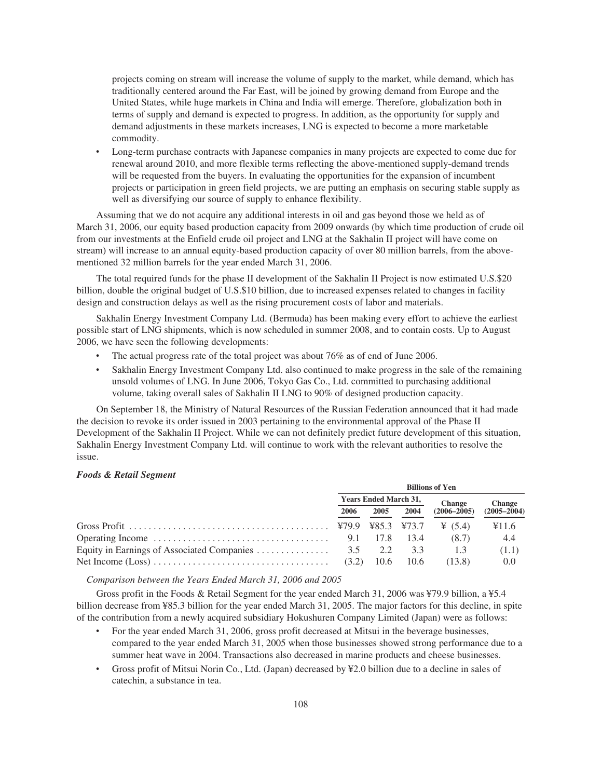projects coming on stream will increase the volume of supply to the market, while demand, which has traditionally centered around the Far East, will be joined by growing demand from Europe and the United States, while huge markets in China and India will emerge. Therefore, globalization both in terms of supply and demand is expected to progress. In addition, as the opportunity for supply and demand adjustments in these markets increases, LNG is expected to become a more marketable commodity.

Long-term purchase contracts with Japanese companies in many projects are expected to come due for renewal around 2010, and more flexible terms reflecting the above-mentioned supply-demand trends will be requested from the buyers. In evaluating the opportunities for the expansion of incumbent projects or participation in green field projects, we are putting an emphasis on securing stable supply as well as diversifying our source of supply to enhance flexibility.

Assuming that we do not acquire any additional interests in oil and gas beyond those we held as of March 31, 2006, our equity based production capacity from 2009 onwards (by which time production of crude oil from our investments at the Enfield crude oil project and LNG at the Sakhalin II project will have come on stream) will increase to an annual equity-based production capacity of over 80 million barrels, from the abovementioned 32 million barrels for the year ended March 31, 2006.

The total required funds for the phase II development of the Sakhalin II Project is now estimated U.S.\$20 billion, double the original budget of U.S.\$10 billion, due to increased expenses related to changes in facility design and construction delays as well as the rising procurement costs of labor and materials.

Sakhalin Energy Investment Company Ltd. (Bermuda) has been making every effort to achieve the earliest possible start of LNG shipments, which is now scheduled in summer 2008, and to contain costs. Up to August 2006, we have seen the following developments:

- The actual progress rate of the total project was about 76% as of end of June 2006.
- ‰ Sakhalin Energy Investment Company Ltd. also continued to make progress in the sale of the remaining unsold volumes of LNG. In June 2006, Tokyo Gas Co., Ltd. committed to purchasing additional volume, taking overall sales of Sakhalin II LNG to 90% of designed production capacity.

On September 18, the Ministry of Natural Resources of the Russian Federation announced that it had made the decision to revoke its order issued in 2003 pertaining to the environmental approval of the Phase II Development of the Sakhalin II Project. While we can not definitely predict future development of this situation, Sakhalin Energy Investment Company Ltd. will continue to work with the relevant authorities to resolve the issue.

#### *Foods & Retail Segment*

|                                                                                          | <b>Billions of Yen</b>       |      |                 |                 |                 |
|------------------------------------------------------------------------------------------|------------------------------|------|-----------------|-----------------|-----------------|
|                                                                                          | <b>Years Ended March 31,</b> |      |                 | <b>Change</b>   | <b>Change</b>   |
|                                                                                          | 2006                         | 2005 | 2004            | $(2006 - 2005)$ | $(2005 - 2004)$ |
|                                                                                          |                              |      |                 |                 | ¥11.6           |
| Operating Income $\dots \dots \dots \dots \dots \dots \dots \dots \dots \dots \dots$ 9.1 |                              | 17.8 | 13.4            | (8.7)           | -4.4            |
|                                                                                          |                              |      | $\frac{3.3}{2}$ | 1.3             | (1.1)           |
|                                                                                          |                              |      | - 10.6          | (13.8)          | 0.0             |

*Comparison between the Years Ended March 31, 2006 and 2005*

Gross profit in the Foods & Retail Segment for the year ended March 31, 2006 was ¥79.9 billion, a ¥5.4 billion decrease from ¥85.3 billion for the year ended March 31, 2005. The major factors for this decline, in spite of the contribution from a newly acquired subsidiary Hokushuren Company Limited (Japan) were as follows:

- For the year ended March 31, 2006, gross profit decreased at Mitsui in the beverage businesses, compared to the year ended March 31, 2005 when those businesses showed strong performance due to a summer heat wave in 2004. Transactions also decreased in marine products and cheese businesses.
- ‰ Gross profit of Mitsui Norin Co., Ltd. (Japan) decreased by ¥2.0 billion due to a decline in sales of catechin, a substance in tea.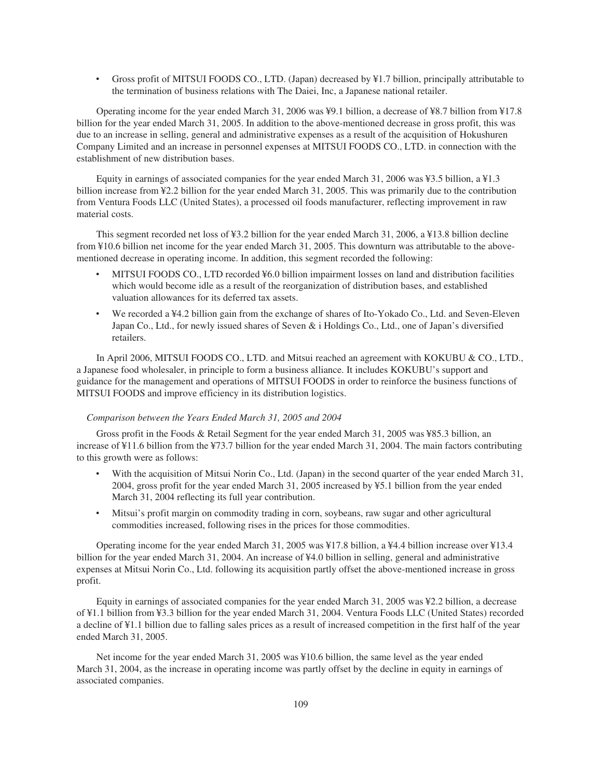‰ Gross profit of MITSUI FOODS CO., LTD. (Japan) decreased by ¥1.7 billion, principally attributable to the termination of business relations with The Daiei, Inc, a Japanese national retailer.

Operating income for the year ended March 31, 2006 was ¥9.1 billion, a decrease of ¥8.7 billion from ¥17.8 billion for the year ended March 31, 2005. In addition to the above-mentioned decrease in gross profit, this was due to an increase in selling, general and administrative expenses as a result of the acquisition of Hokushuren Company Limited and an increase in personnel expenses at MITSUI FOODS CO., LTD. in connection with the establishment of new distribution bases.

Equity in earnings of associated companies for the year ended March 31, 2006 was ¥3.5 billion, a ¥1.3 billion increase from ¥2.2 billion for the year ended March 31, 2005. This was primarily due to the contribution from Ventura Foods LLC (United States), a processed oil foods manufacturer, reflecting improvement in raw material costs.

This segment recorded net loss of ¥3.2 billion for the year ended March 31, 2006, a ¥13.8 billion decline from ¥10.6 billion net income for the year ended March 31, 2005. This downturn was attributable to the abovementioned decrease in operating income. In addition, this segment recorded the following:

- MITSUI FOODS CO., LTD recorded ¥6.0 billion impairment losses on land and distribution facilities which would become idle as a result of the reorganization of distribution bases, and established valuation allowances for its deferred tax assets.
- We recorded a ¥4.2 billion gain from the exchange of shares of Ito-Yokado Co., Ltd. and Seven-Eleven Japan Co., Ltd., for newly issued shares of Seven & i Holdings Co., Ltd., one of Japan's diversified retailers.

In April 2006, MITSUI FOODS CO., LTD. and Mitsui reached an agreement with KOKUBU & CO., LTD., a Japanese food wholesaler, in principle to form a business alliance. It includes KOKUBU's support and guidance for the management and operations of MITSUI FOODS in order to reinforce the business functions of MITSUI FOODS and improve efficiency in its distribution logistics.

## *Comparison between the Years Ended March 31, 2005 and 2004*

Gross profit in the Foods & Retail Segment for the year ended March 31, 2005 was ¥85.3 billion, an increase of ¥11.6 billion from the ¥73.7 billion for the year ended March 31, 2004. The main factors contributing to this growth were as follows:

- With the acquisition of Mitsui Norin Co., Ltd. (Japan) in the second quarter of the year ended March 31, 2004, gross profit for the year ended March 31, 2005 increased by ¥5.1 billion from the year ended March 31, 2004 reflecting its full year contribution.
- ‰ Mitsui's profit margin on commodity trading in corn, soybeans, raw sugar and other agricultural commodities increased, following rises in the prices for those commodities.

Operating income for the year ended March 31, 2005 was ¥17.8 billion, a ¥4.4 billion increase over ¥13.4 billion for the year ended March 31, 2004. An increase of ¥4.0 billion in selling, general and administrative expenses at Mitsui Norin Co., Ltd. following its acquisition partly offset the above-mentioned increase in gross profit.

Equity in earnings of associated companies for the year ended March 31, 2005 was ¥2.2 billion, a decrease of ¥1.1 billion from ¥3.3 billion for the year ended March 31, 2004. Ventura Foods LLC (United States) recorded a decline of ¥1.1 billion due to falling sales prices as a result of increased competition in the first half of the year ended March 31, 2005.

Net income for the year ended March 31, 2005 was ¥10.6 billion, the same level as the year ended March 31, 2004, as the increase in operating income was partly offset by the decline in equity in earnings of associated companies.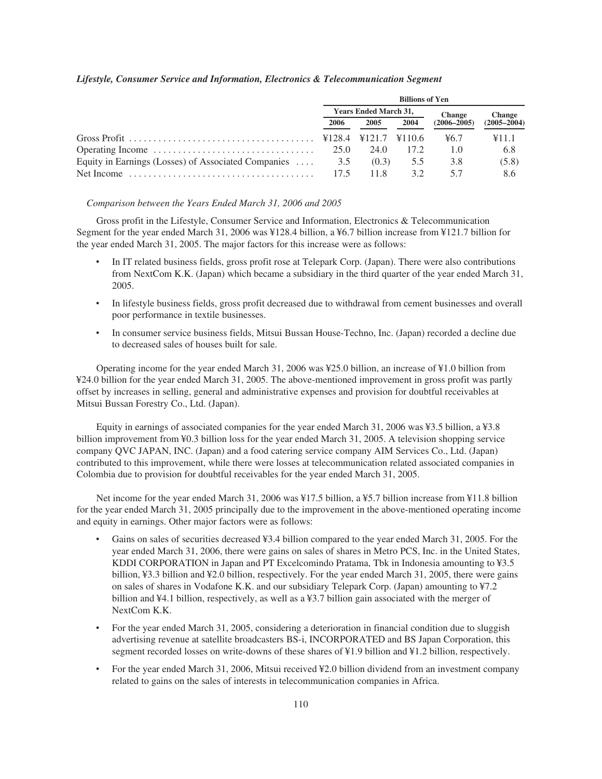|  |  |  | Lifestyle, Consumer Service and Information, Electronics & Telecommunication Segment |  |
|--|--|--|--------------------------------------------------------------------------------------|--|
|--|--|--|--------------------------------------------------------------------------------------|--|

|                                                     | <b>Billions of Yen</b>       |       |        |                 |                 |  |
|-----------------------------------------------------|------------------------------|-------|--------|-----------------|-----------------|--|
|                                                     | <b>Years Ended March 31,</b> |       |        | <b>Change</b>   | <b>Change</b>   |  |
|                                                     | 2006                         | 2005  | 2004   | $(2006 - 2005)$ | $(2005 - 2004)$ |  |
|                                                     | ¥128.4 ¥121.7                |       | ¥110.6 | 46.7            | ¥11.1           |  |
|                                                     | 25.0                         | 24.0  | 17.2   | 1.0             | 6.8             |  |
| Equity in Earnings (Losses) of Associated Companies | 3.5                          | (0.3) | 5.5    | 3.8             | (5.8)           |  |
|                                                     | 17.5                         | 11.8  | 32     | 57              | 8.6             |  |

#### *Comparison between the Years Ended March 31, 2006 and 2005*

Gross profit in the Lifestyle, Consumer Service and Information, Electronics & Telecommunication Segment for the year ended March 31, 2006 was ¥128.4 billion, a ¥6.7 billion increase from ¥121.7 billion for the year ended March 31, 2005. The major factors for this increase were as follows:

- In IT related business fields, gross profit rose at Telepark Corp. (Japan). There were also contributions from NextCom K.K. (Japan) which became a subsidiary in the third quarter of the year ended March 31, 2005.
- In lifestyle business fields, gross profit decreased due to withdrawal from cement businesses and overall poor performance in textile businesses.
- ‰ In consumer service business fields, Mitsui Bussan House-Techno, Inc. (Japan) recorded a decline due to decreased sales of houses built for sale.

Operating income for the year ended March 31, 2006 was ¥25.0 billion, an increase of ¥1.0 billion from ¥24.0 billion for the year ended March 31, 2005. The above-mentioned improvement in gross profit was partly offset by increases in selling, general and administrative expenses and provision for doubtful receivables at Mitsui Bussan Forestry Co., Ltd. (Japan).

Equity in earnings of associated companies for the year ended March 31, 2006 was ¥3.5 billion, a ¥3.8 billion improvement from ¥0.3 billion loss for the year ended March 31, 2005. A television shopping service company QVC JAPAN, INC. (Japan) and a food catering service company AIM Services Co., Ltd. (Japan) contributed to this improvement, while there were losses at telecommunication related associated companies in Colombia due to provision for doubtful receivables for the year ended March 31, 2005.

Net income for the year ended March 31, 2006 was ¥17.5 billion, a ¥5.7 billion increase from ¥11.8 billion for the year ended March 31, 2005 principally due to the improvement in the above-mentioned operating income and equity in earnings. Other major factors were as follows:

- Gains on sales of securities decreased ¥3.4 billion compared to the year ended March 31, 2005. For the year ended March 31, 2006, there were gains on sales of shares in Metro PCS, Inc. in the United States, KDDI CORPORATION in Japan and PT Excelcomindo Pratama, Tbk in Indonesia amounting to ¥3.5 billion, ¥3.3 billion and ¥2.0 billion, respectively. For the year ended March 31, 2005, there were gains on sales of shares in Vodafone K.K. and our subsidiary Telepark Corp. (Japan) amounting to ¥7.2 billion and ¥4.1 billion, respectively, as well as a ¥3.7 billion gain associated with the merger of NextCom K.K.
- For the year ended March 31, 2005, considering a deterioration in financial condition due to sluggish advertising revenue at satellite broadcasters BS-i, INCORPORATED and BS Japan Corporation, this segment recorded losses on write-downs of these shares of ¥1.9 billion and ¥1.2 billion, respectively.
- For the year ended March 31, 2006, Mitsui received ¥2.0 billion dividend from an investment company related to gains on the sales of interests in telecommunication companies in Africa.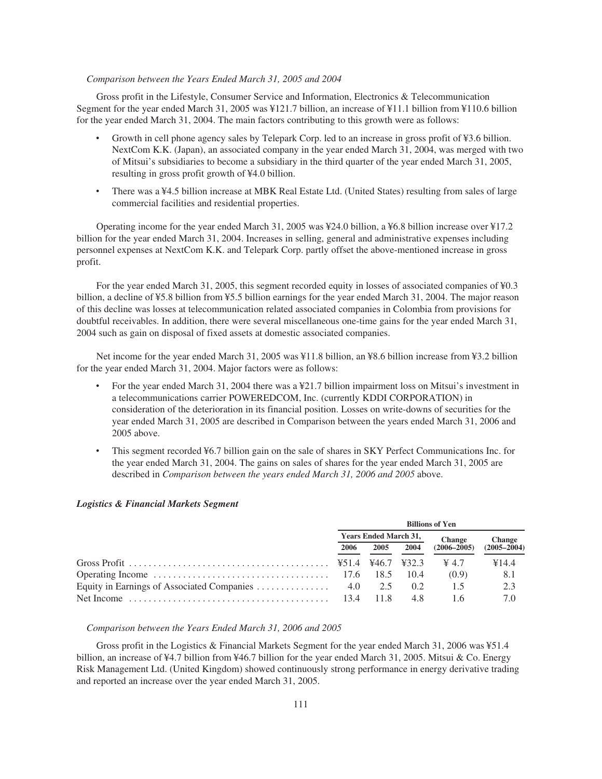# *Comparison between the Years Ended March 31, 2005 and 2004*

Gross profit in the Lifestyle, Consumer Service and Information, Electronics & Telecommunication Segment for the year ended March 31, 2005 was ¥121.7 billion, an increase of ¥11.1 billion from ¥110.6 billion for the year ended March 31, 2004. The main factors contributing to this growth were as follows:

- Growth in cell phone agency sales by Telepark Corp. led to an increase in gross profit of ¥3.6 billion. NextCom K.K. (Japan), an associated company in the year ended March 31, 2004, was merged with two of Mitsui's subsidiaries to become a subsidiary in the third quarter of the year ended March 31, 2005, resulting in gross profit growth of ¥4.0 billion.
- There was a ¥4.5 billion increase at MBK Real Estate Ltd. (United States) resulting from sales of large commercial facilities and residential properties.

Operating income for the year ended March 31, 2005 was ¥24.0 billion, a ¥6.8 billion increase over ¥17.2 billion for the year ended March 31, 2004. Increases in selling, general and administrative expenses including personnel expenses at NextCom K.K. and Telepark Corp. partly offset the above-mentioned increase in gross profit.

For the year ended March 31, 2005, this segment recorded equity in losses of associated companies of ¥0.3 billion, a decline of ¥5.8 billion from ¥5.5 billion earnings for the year ended March 31, 2004. The major reason of this decline was losses at telecommunication related associated companies in Colombia from provisions for doubtful receivables. In addition, there were several miscellaneous one-time gains for the year ended March 31, 2004 such as gain on disposal of fixed assets at domestic associated companies.

Net income for the year ended March 31, 2005 was ¥11.8 billion, an ¥8.6 billion increase from ¥3.2 billion for the year ended March 31, 2004. Major factors were as follows:

- For the year ended March 31, 2004 there was a ¥21.7 billion impairment loss on Mitsui's investment in a telecommunications carrier POWEREDCOM, Inc. (currently KDDI CORPORATION) in consideration of the deterioration in its financial position. Losses on write-downs of securities for the year ended March 31, 2005 are described in Comparison between the years ended March 31, 2006 and 2005 above.
- This segment recorded ¥6.7 billion gain on the sale of shares in SKY Perfect Communications Inc. for the year ended March 31, 2004. The gains on sales of shares for the year ended March 31, 2005 are described in *Comparison between the years ended March 31, 2006 and 2005* above.

| <b>Billions of Yen</b>       |       |      |                   |                 |
|------------------------------|-------|------|-------------------|-----------------|
| <b>Years Ended March 31,</b> |       |      | <b>Change</b>     | <b>Change</b>   |
| 2006                         | 2005  | 2004 | $(2006 - 2005)$   | $(2005 - 2004)$ |
|                              |       |      | $\frac{1}{2}$ 4.7 | ¥14.4           |
|                              |       | 10.4 | (0.9)             | 8.1             |
|                              |       | 0.2  | 15                | 2.3             |
|                              | -11.8 | 4.8  | 16                | 7.0             |

# *Logistics & Financial Markets Segment*

# *Comparison between the Years Ended March 31, 2006 and 2005*

Gross profit in the Logistics & Financial Markets Segment for the year ended March 31, 2006 was ¥51.4 billion, an increase of ¥4.7 billion from ¥46.7 billion for the year ended March 31, 2005. Mitsui & Co. Energy Risk Management Ltd. (United Kingdom) showed continuously strong performance in energy derivative trading and reported an increase over the year ended March 31, 2005.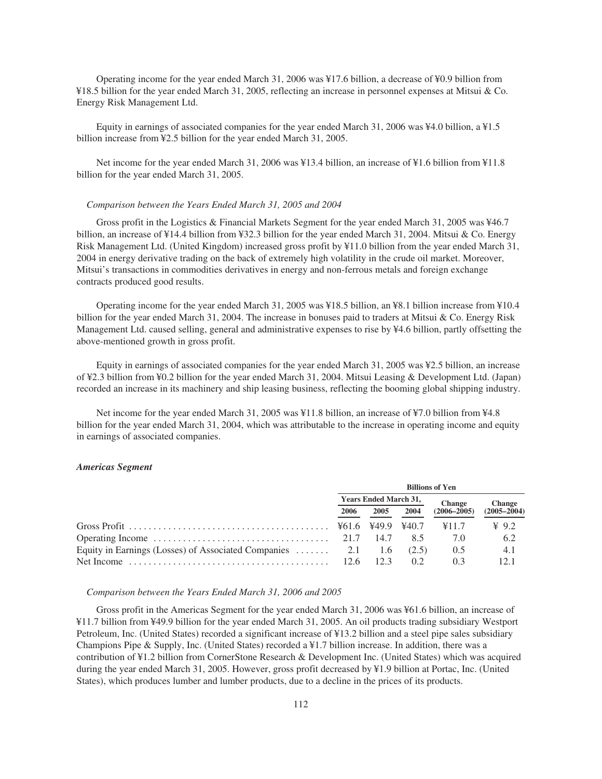Operating income for the year ended March 31, 2006 was ¥17.6 billion, a decrease of ¥0.9 billion from ¥18.5 billion for the year ended March 31, 2005, reflecting an increase in personnel expenses at Mitsui & Co. Energy Risk Management Ltd.

Equity in earnings of associated companies for the year ended March 31, 2006 was ¥4.0 billion, a ¥1.5 billion increase from ¥2.5 billion for the year ended March 31, 2005.

Net income for the year ended March 31, 2006 was ¥13.4 billion, an increase of ¥1.6 billion from ¥11.8 billion for the year ended March 31, 2005.

### *Comparison between the Years Ended March 31, 2005 and 2004*

Gross profit in the Logistics & Financial Markets Segment for the year ended March 31, 2005 was ¥46.7 billion, an increase of ¥14.4 billion from ¥32.3 billion for the year ended March 31, 2004. Mitsui & Co. Energy Risk Management Ltd. (United Kingdom) increased gross profit by ¥11.0 billion from the year ended March 31, 2004 in energy derivative trading on the back of extremely high volatility in the crude oil market. Moreover, Mitsui's transactions in commodities derivatives in energy and non-ferrous metals and foreign exchange contracts produced good results.

Operating income for the year ended March 31, 2005 was ¥18.5 billion, an ¥8.1 billion increase from ¥10.4 billion for the year ended March 31, 2004. The increase in bonuses paid to traders at Mitsui & Co. Energy Risk Management Ltd. caused selling, general and administrative expenses to rise by ¥4.6 billion, partly offsetting the above-mentioned growth in gross profit.

Equity in earnings of associated companies for the year ended March 31, 2005 was ¥2.5 billion, an increase of ¥2.3 billion from ¥0.2 billion for the year ended March 31, 2004. Mitsui Leasing & Development Ltd. (Japan) recorded an increase in its machinery and ship leasing business, reflecting the booming global shipping industry.

Net income for the year ended March 31, 2005 was ¥11.8 billion, an increase of ¥7.0 billion from ¥4.8 billion for the year ended March 31, 2004, which was attributable to the increase in operating income and equity in earnings of associated companies.

#### *Americas Segment*

|                                                                                           | <b>Billions of Yen</b>       |      |       |                 |                 |
|-------------------------------------------------------------------------------------------|------------------------------|------|-------|-----------------|-----------------|
|                                                                                           | <b>Years Ended March 31,</b> |      |       | <b>Change</b>   | <b>Change</b>   |
|                                                                                           | 2006                         | 2005 | 2004  | $(2006 - 2005)$ | $(2005 - 2004)$ |
|                                                                                           |                              |      | 440.7 | ¥11.7           | $\angle 9.2$    |
|                                                                                           |                              | 14.7 | 85    | 7.0             | 6.2             |
| Equity in Earnings (Losses) of Associated Companies  2.1 1.6                              |                              |      | (2.5) | 0.5             | 4.1             |
| Net Income $\ldots \ldots \ldots \ldots \ldots \ldots \ldots \ldots \ldots \ldots \ldots$ | 12.6                         |      | 02    | 03              | 121             |

### *Comparison between the Years Ended March 31, 2006 and 2005*

Gross profit in the Americas Segment for the year ended March 31, 2006 was ¥61.6 billion, an increase of ¥11.7 billion from ¥49.9 billion for the year ended March 31, 2005. An oil products trading subsidiary Westport Petroleum, Inc. (United States) recorded a significant increase of ¥13.2 billion and a steel pipe sales subsidiary Champions Pipe & Supply, Inc. (United States) recorded a ¥1.7 billion increase. In addition, there was a contribution of ¥1.2 billion from CornerStone Research & Development Inc. (United States) which was acquired during the year ended March 31, 2005. However, gross profit decreased by ¥1.9 billion at Portac, Inc. (United States), which produces lumber and lumber products, due to a decline in the prices of its products.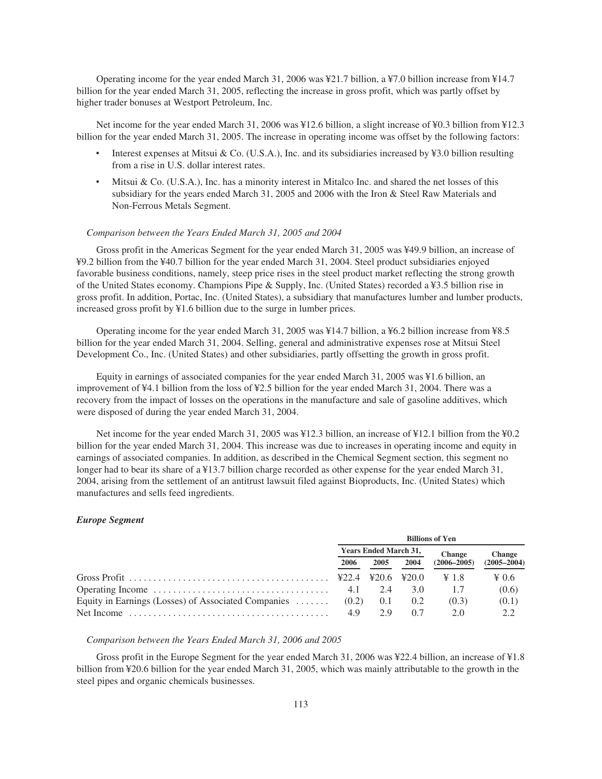Operating income for the year ended March 31, 2006 was ¥21.7 billion, a ¥7.0 billion increase from ¥14.7 billion for the year ended March 31, 2005, reflecting the increase in gross profit, which was partly offset by higher trader bonuses at Westport Petroleum, Inc.

Net income for the year ended March 31, 2006 was ¥12.6 billion, a slight increase of ¥0.3 billion from ¥12.3 billion for the year ended March 31, 2005. The increase in operating income was offset by the following factors:

- Interest expenses at Mitsui & Co. (U.S.A.), Inc. and its subsidiaries increased by  $\yen$ 3.0 billion resulting from a rise in U.S. dollar interest rates.
- Mitsui & Co. (U.S.A.), Inc. has a minority interest in Mitalco Inc. and shared the net losses of this subsidiary for the years ended March 31, 2005 and 2006 with the Iron & Steel Raw Materials and Non-Ferrous Metals Segment.

### *Comparison between the Years Ended March 31, 2005 and 2004*

Gross profit in the Americas Segment for the year ended March 31, 2005 was ¥49.9 billion, an increase of ¥9.2 billion from the ¥40.7 billion for the year ended March 31, 2004. Steel product subsidiaries enjoyed favorable business conditions, namely, steep price rises in the steel product market reflecting the strong growth of the United States economy. Champions Pipe & Supply, Inc. (United States) recorded a ¥3.5 billion rise in gross profit. In addition, Portac, Inc. (United States), a subsidiary that manufactures lumber and lumber products, increased gross profit by ¥1.6 billion due to the surge in lumber prices.

Operating income for the year ended March 31, 2005 was ¥14.7 billion, a ¥6.2 billion increase from ¥8.5 billion for the year ended March 31, 2004. Selling, general and administrative expenses rose at Mitsui Steel Development Co., Inc. (United States) and other subsidiaries, partly offsetting the growth in gross profit.

Equity in earnings of associated companies for the year ended March 31, 2005 was ¥1.6 billion, an improvement of ¥4.1 billion from the loss of ¥2.5 billion for the year ended March 31, 2004. There was a recovery from the impact of losses on the operations in the manufacture and sale of gasoline additives, which were disposed of during the year ended March 31, 2004.

Net income for the year ended March 31, 2005 was ¥12.3 billion, an increase of ¥12.1 billion from the ¥0.2 billion for the year ended March 31, 2004. This increase was due to increases in operating income and equity in earnings of associated companies. In addition, as described in the Chemical Segment section, this segment no longer had to bear its share of a ¥13.7 billion charge recorded as other expense for the year ended March 31, 2004, arising from the settlement of an antitrust lawsuit filed against Bioproducts, Inc. (United States) which manufactures and sells feed ingredients.

#### *Europe Segment*

|                                                     | <b>Billions of Yen</b>       |              |       |                 |                 |  |
|-----------------------------------------------------|------------------------------|--------------|-------|-----------------|-----------------|--|
|                                                     | <b>Years Ended March 31,</b> |              |       | <b>Change</b>   | <b>Change</b>   |  |
|                                                     | 2006                         | 2004<br>2005 |       | $(2006 - 2005)$ | $(2005 - 2004)$ |  |
|                                                     |                              | 420.6        | 420.0 | $\geq 1.8$      | $\geq 0.6$      |  |
|                                                     | 4.1                          | 2.4          | 3.0   |                 | (0.6)           |  |
| Equity in Earnings (Losses) of Associated Companies | (0.2)                        | (0.1)        | 0.2   | (0.3)           | (0.1)           |  |
|                                                     | 4.9                          | 29           | 07    | 20              | 2.2             |  |

### *Comparison between the Years Ended March 31, 2006 and 2005*

Gross profit in the Europe Segment for the year ended March 31, 2006 was ¥22.4 billion, an increase of ¥1.8 billion from ¥20.6 billion for the year ended March 31, 2005, which was mainly attributable to the growth in the steel pipes and organic chemicals businesses.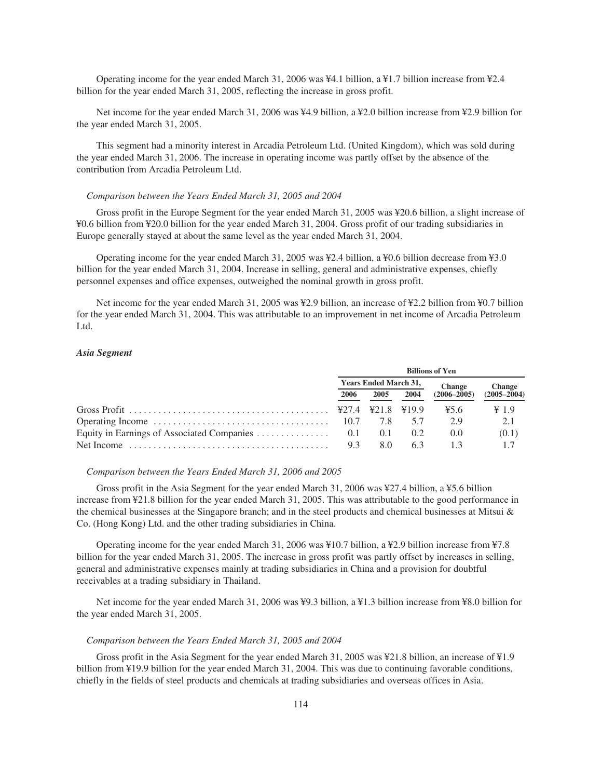Operating income for the year ended March 31, 2006 was ¥4.1 billion, a ¥1.7 billion increase from ¥2.4 billion for the year ended March 31, 2005, reflecting the increase in gross profit.

Net income for the year ended March 31, 2006 was ¥4.9 billion, a ¥2.0 billion increase from ¥2.9 billion for the year ended March 31, 2005.

This segment had a minority interest in Arcadia Petroleum Ltd. (United Kingdom), which was sold during the year ended March 31, 2006. The increase in operating income was partly offset by the absence of the contribution from Arcadia Petroleum Ltd.

#### *Comparison between the Years Ended March 31, 2005 and 2004*

Gross profit in the Europe Segment for the year ended March 31, 2005 was ¥20.6 billion, a slight increase of ¥0.6 billion from ¥20.0 billion for the year ended March 31, 2004. Gross profit of our trading subsidiaries in Europe generally stayed at about the same level as the year ended March 31, 2004.

Operating income for the year ended March 31, 2005 was ¥2.4 billion, a ¥0.6 billion decrease from ¥3.0 billion for the year ended March 31, 2004. Increase in selling, general and administrative expenses, chiefly personnel expenses and office expenses, outweighed the nominal growth in gross profit.

Net income for the year ended March 31, 2005 was ¥2.9 billion, an increase of ¥2.2 billion from ¥0.7 billion for the year ended March 31, 2004. This was attributable to an improvement in net income of Arcadia Petroleum Ltd.

# *Asia Segment*

|                                                                                                             | <b>Billions of Yen</b>       |     |                 |                 |                   |
|-------------------------------------------------------------------------------------------------------------|------------------------------|-----|-----------------|-----------------|-------------------|
|                                                                                                             | <b>Years Ended March 31,</b> |     |                 | <b>Change</b>   | <b>Change</b>     |
|                                                                                                             | 2006<br>2004<br>2005         |     | $(2006 - 2005)$ | $(2005 - 2004)$ |                   |
|                                                                                                             |                              |     | ¥19.9           | 45.6            | $\frac{1}{2}$ 1.9 |
| Operating Income $\ldots \ldots \ldots \ldots \ldots \ldots \ldots \ldots \ldots \ldots \ldots \qquad 10.7$ |                              | 7.8 | 57              | 29              | 2.1               |
|                                                                                                             |                              | 0.1 | 0.2             | (0.0)           | (0.1)             |
| Net Income $\ldots \ldots \ldots \ldots \ldots \ldots \ldots \ldots \ldots \ldots \ldots$                   | 9.3                          | 8.0 | 63              | 13              |                   |

#### *Comparison between the Years Ended March 31, 2006 and 2005*

Gross profit in the Asia Segment for the year ended March 31, 2006 was ¥27.4 billion, a ¥5.6 billion increase from ¥21.8 billion for the year ended March 31, 2005. This was attributable to the good performance in the chemical businesses at the Singapore branch; and in the steel products and chemical businesses at Mitsui & Co. (Hong Kong) Ltd. and the other trading subsidiaries in China.

Operating income for the year ended March 31, 2006 was ¥10.7 billion, a ¥2.9 billion increase from ¥7.8 billion for the year ended March 31, 2005. The increase in gross profit was partly offset by increases in selling, general and administrative expenses mainly at trading subsidiaries in China and a provision for doubtful receivables at a trading subsidiary in Thailand.

Net income for the year ended March 31, 2006 was ¥9.3 billion, a ¥1.3 billion increase from ¥8.0 billion for the year ended March 31, 2005.

### *Comparison between the Years Ended March 31, 2005 and 2004*

Gross profit in the Asia Segment for the year ended March 31, 2005 was ¥21.8 billion, an increase of ¥1.9 billion from ¥19.9 billion for the year ended March 31, 2004. This was due to continuing favorable conditions, chiefly in the fields of steel products and chemicals at trading subsidiaries and overseas offices in Asia.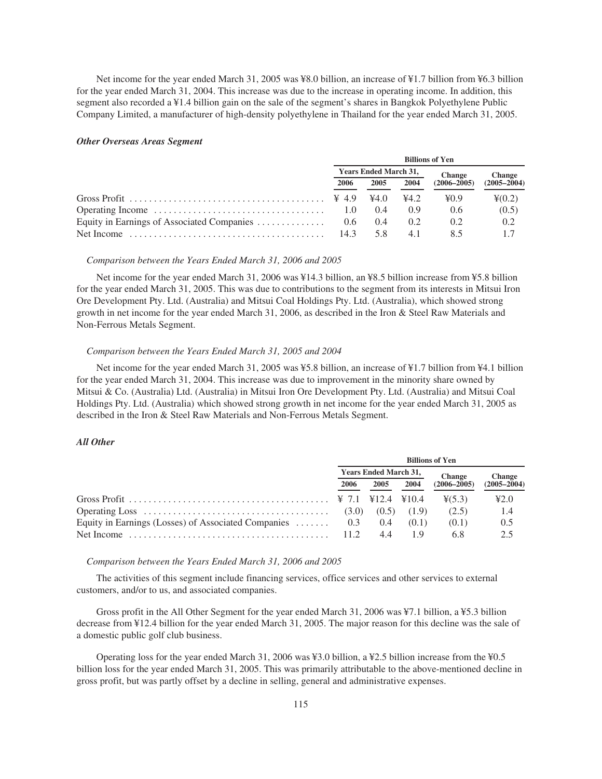Net income for the year ended March 31, 2005 was ¥8.0 billion, an increase of ¥1.7 billion from ¥6.3 billion for the year ended March 31, 2004. This increase was due to the increase in operating income. In addition, this segment also recorded a ¥1.4 billion gain on the sale of the segment's shares in Bangkok Polyethylene Public Company Limited, a manufacturer of high-density polyethylene in Thailand for the year ended March 31, 2005.

### *Other Overseas Areas Segment*

|                                            | <b>Billions of Yen</b>       |       |      |                 |                  |  |
|--------------------------------------------|------------------------------|-------|------|-----------------|------------------|--|
|                                            | <b>Years Ended March 31,</b> |       |      | <b>Change</b>   | <b>Change</b>    |  |
|                                            | 2006                         | 2005  | 2004 | $(2006 - 2005)$ | $(2005 - 2004)$  |  |
|                                            |                              | 44.0  | 44.2 | 40.9            | $\frac{40.2}{2}$ |  |
|                                            | 1.0                          | (0.4) | () 9 | 0.6             | (0.5)            |  |
| Equity in Earnings of Associated Companies | $0.6^{\circ}$                | (0.4) | 0.2  | 0.2             | 0.2              |  |
|                                            | 14.3                         |       | 41   |                 |                  |  |

### *Comparison between the Years Ended March 31, 2006 and 2005*

Net income for the year ended March 31, 2006 was ¥14.3 billion, an ¥8.5 billion increase from ¥5.8 billion for the year ended March 31, 2005. This was due to contributions to the segment from its interests in Mitsui Iron Ore Development Pty. Ltd. (Australia) and Mitsui Coal Holdings Pty. Ltd. (Australia), which showed strong growth in net income for the year ended March 31, 2006, as described in the Iron & Steel Raw Materials and Non-Ferrous Metals Segment.

# *Comparison between the Years Ended March 31, 2005 and 2004*

Net income for the year ended March 31, 2005 was ¥5.8 billion, an increase of ¥1.7 billion from ¥4.1 billion for the year ended March 31, 2004. This increase was due to improvement in the minority share owned by Mitsui & Co. (Australia) Ltd. (Australia) in Mitsui Iron Ore Development Pty. Ltd. (Australia) and Mitsui Coal Holdings Pty. Ltd. (Australia) which showed strong growth in net income for the year ended March 31, 2005 as described in the Iron & Steel Raw Materials and Non-Ferrous Metals Segment.

# *All Other*

|                                                                                                           | <b>Billions of Yen</b>       |    |                 |                 |               |  |
|-----------------------------------------------------------------------------------------------------------|------------------------------|----|-----------------|-----------------|---------------|--|
|                                                                                                           | <b>Years Ended March 31,</b> |    |                 | <b>Change</b>   | <b>Change</b> |  |
|                                                                                                           | 2004<br>2006<br>2005         |    | $(2006 - 2005)$ | $(2005 - 2004)$ |               |  |
|                                                                                                           |                              |    |                 | (5.3)           | 42.0          |  |
| Operating Loss $\ldots \ldots \ldots \ldots \ldots \ldots \ldots \ldots \ldots \ldots \ldots$ (3.0) (0.5) |                              |    | (1.9)           | (2.5)           | 1.4           |  |
| Equity in Earnings (Losses) of Associated Companies  0.3 0.4                                              |                              |    | (0.1)           | (0.1)           | 0.5           |  |
|                                                                                                           |                              | 44 |                 | 6.8             | 2.5           |  |

# *Comparison between the Years Ended March 31, 2006 and 2005*

The activities of this segment include financing services, office services and other services to external customers, and/or to us, and associated companies.

Gross profit in the All Other Segment for the year ended March 31, 2006 was ¥7.1 billion, a ¥5.3 billion decrease from ¥12.4 billion for the year ended March 31, 2005. The major reason for this decline was the sale of a domestic public golf club business.

Operating loss for the year ended March 31, 2006 was ¥3.0 billion, a ¥2.5 billion increase from the ¥0.5 billion loss for the year ended March 31, 2005. This was primarily attributable to the above-mentioned decline in gross profit, but was partly offset by a decline in selling, general and administrative expenses.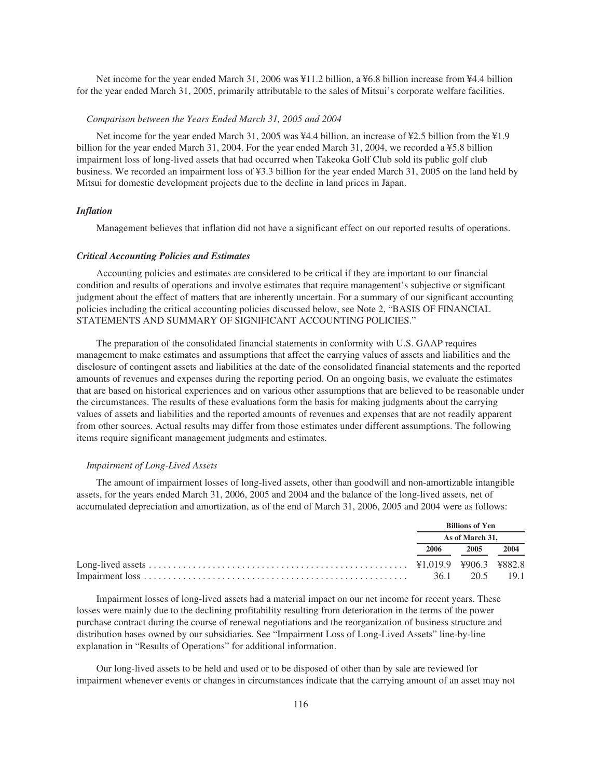Net income for the year ended March 31, 2006 was ¥11.2 billion, a ¥6.8 billion increase from ¥4.4 billion for the year ended March 31, 2005, primarily attributable to the sales of Mitsui's corporate welfare facilities.

### *Comparison between the Years Ended March 31, 2005 and 2004*

Net income for the year ended March 31, 2005 was ¥4.4 billion, an increase of ¥2.5 billion from the ¥1.9 billion for the year ended March 31, 2004. For the year ended March 31, 2004, we recorded a ¥5.8 billion impairment loss of long-lived assets that had occurred when Takeoka Golf Club sold its public golf club business. We recorded an impairment loss of ¥3.3 billion for the year ended March 31, 2005 on the land held by Mitsui for domestic development projects due to the decline in land prices in Japan.

# *Inflation*

Management believes that inflation did not have a significant effect on our reported results of operations.

#### *Critical Accounting Policies and Estimates*

Accounting policies and estimates are considered to be critical if they are important to our financial condition and results of operations and involve estimates that require management's subjective or significant judgment about the effect of matters that are inherently uncertain. For a summary of our significant accounting policies including the critical accounting policies discussed below, see Note 2, "BASIS OF FINANCIAL STATEMENTS AND SUMMARY OF SIGNIFICANT ACCOUNTING POLICIES."

The preparation of the consolidated financial statements in conformity with U.S. GAAP requires management to make estimates and assumptions that affect the carrying values of assets and liabilities and the disclosure of contingent assets and liabilities at the date of the consolidated financial statements and the reported amounts of revenues and expenses during the reporting period. On an ongoing basis, we evaluate the estimates that are based on historical experiences and on various other assumptions that are believed to be reasonable under the circumstances. The results of these evaluations form the basis for making judgments about the carrying values of assets and liabilities and the reported amounts of revenues and expenses that are not readily apparent from other sources. Actual results may differ from those estimates under different assumptions. The following items require significant management judgments and estimates.

#### *Impairment of Long-Lived Assets*

The amount of impairment losses of long-lived assets, other than goodwill and non-amortizable intangible assets, for the years ended March 31, 2006, 2005 and 2004 and the balance of the long-lived assets, net of accumulated depreciation and amortization, as of the end of March 31, 2006, 2005 and 2004 were as follows:

| <b>Billions of Yen</b> |                |      |  |
|------------------------|----------------|------|--|
| As of March 31.        |                |      |  |
| 2006                   | 2005           | 2004 |  |
|                        |                |      |  |
|                        | 36.1 20.5 19.1 |      |  |

Impairment losses of long-lived assets had a material impact on our net income for recent years. These losses were mainly due to the declining profitability resulting from deterioration in the terms of the power purchase contract during the course of renewal negotiations and the reorganization of business structure and distribution bases owned by our subsidiaries. See "Impairment Loss of Long-Lived Assets" line-by-line explanation in "Results of Operations" for additional information.

Our long-lived assets to be held and used or to be disposed of other than by sale are reviewed for impairment whenever events or changes in circumstances indicate that the carrying amount of an asset may not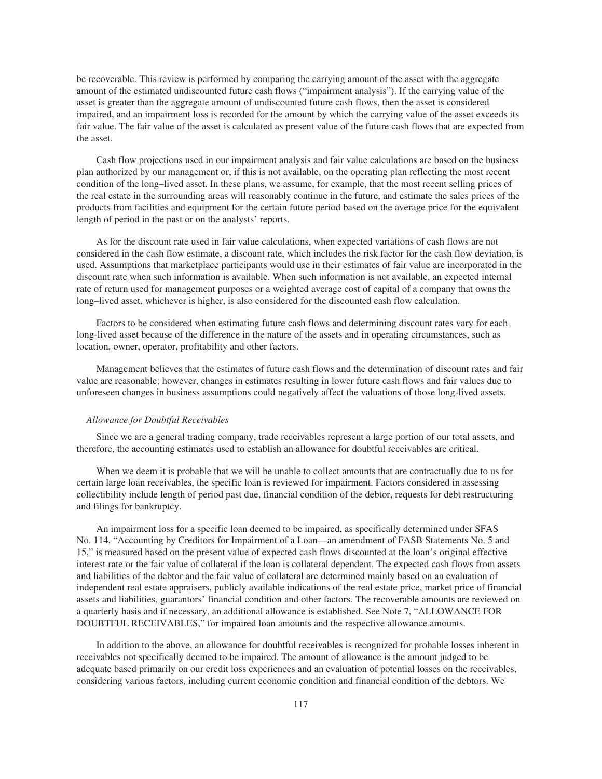be recoverable. This review is performed by comparing the carrying amount of the asset with the aggregate amount of the estimated undiscounted future cash flows ("impairment analysis"). If the carrying value of the asset is greater than the aggregate amount of undiscounted future cash flows, then the asset is considered impaired, and an impairment loss is recorded for the amount by which the carrying value of the asset exceeds its fair value. The fair value of the asset is calculated as present value of the future cash flows that are expected from the asset.

Cash flow projections used in our impairment analysis and fair value calculations are based on the business plan authorized by our management or, if this is not available, on the operating plan reflecting the most recent condition of the long–lived asset. In these plans, we assume, for example, that the most recent selling prices of the real estate in the surrounding areas will reasonably continue in the future, and estimate the sales prices of the products from facilities and equipment for the certain future period based on the average price for the equivalent length of period in the past or on the analysts' reports.

As for the discount rate used in fair value calculations, when expected variations of cash flows are not considered in the cash flow estimate, a discount rate, which includes the risk factor for the cash flow deviation, is used. Assumptions that marketplace participants would use in their estimates of fair value are incorporated in the discount rate when such information is available. When such information is not available, an expected internal rate of return used for management purposes or a weighted average cost of capital of a company that owns the long–lived asset, whichever is higher, is also considered for the discounted cash flow calculation.

Factors to be considered when estimating future cash flows and determining discount rates vary for each long-lived asset because of the difference in the nature of the assets and in operating circumstances, such as location, owner, operator, profitability and other factors.

Management believes that the estimates of future cash flows and the determination of discount rates and fair value are reasonable; however, changes in estimates resulting in lower future cash flows and fair values due to unforeseen changes in business assumptions could negatively affect the valuations of those long-lived assets.

# *Allowance for Doubtful Receivables*

Since we are a general trading company, trade receivables represent a large portion of our total assets, and therefore, the accounting estimates used to establish an allowance for doubtful receivables are critical.

When we deem it is probable that we will be unable to collect amounts that are contractually due to us for certain large loan receivables, the specific loan is reviewed for impairment. Factors considered in assessing collectibility include length of period past due, financial condition of the debtor, requests for debt restructuring and filings for bankruptcy.

An impairment loss for a specific loan deemed to be impaired, as specifically determined under SFAS No. 114, "Accounting by Creditors for Impairment of a Loan—an amendment of FASB Statements No. 5 and 15," is measured based on the present value of expected cash flows discounted at the loan's original effective interest rate or the fair value of collateral if the loan is collateral dependent. The expected cash flows from assets and liabilities of the debtor and the fair value of collateral are determined mainly based on an evaluation of independent real estate appraisers, publicly available indications of the real estate price, market price of financial assets and liabilities, guarantors' financial condition and other factors. The recoverable amounts are reviewed on a quarterly basis and if necessary, an additional allowance is established. See Note 7, "ALLOWANCE FOR DOUBTFUL RECEIVABLES," for impaired loan amounts and the respective allowance amounts.

In addition to the above, an allowance for doubtful receivables is recognized for probable losses inherent in receivables not specifically deemed to be impaired. The amount of allowance is the amount judged to be adequate based primarily on our credit loss experiences and an evaluation of potential losses on the receivables, considering various factors, including current economic condition and financial condition of the debtors. We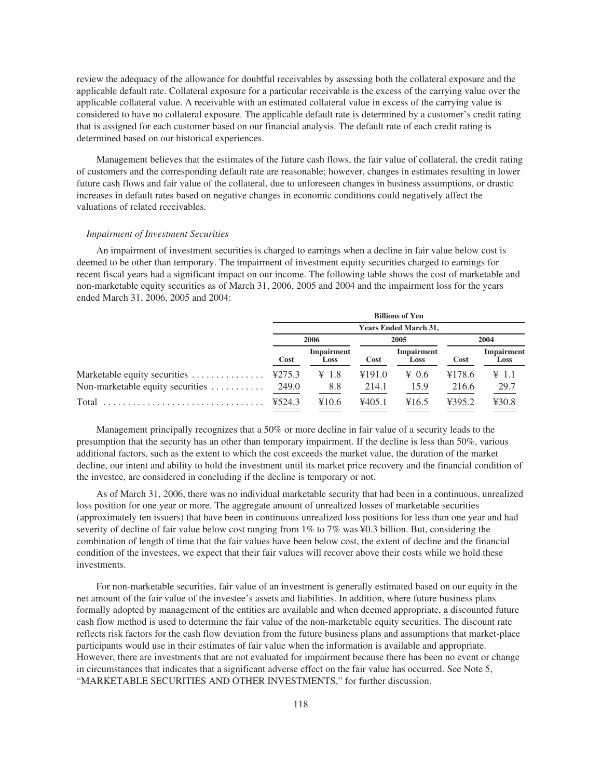review the adequacy of the allowance for doubtful receivables by assessing both the collateral exposure and the applicable default rate. Collateral exposure for a particular receivable is the excess of the carrying value over the applicable collateral value. A receivable with an estimated collateral value in excess of the carrying value is considered to have no collateral exposure. The applicable default rate is determined by a customer's credit rating that is assigned for each customer based on our financial analysis. The default rate of each credit rating is determined based on our historical experiences.

Management believes that the estimates of the future cash flows, the fair value of collateral, the credit rating of customers and the corresponding default rate are reasonable; however, changes in estimates resulting in lower future cash flows and fair value of the collateral, due to unforeseen changes in business assumptions, or drastic increases in default rates based on negative changes in economic conditions could negatively affect the valuations of related receivables.

# *Impairment of Investment Securities*

An impairment of investment securities is charged to earnings when a decline in fair value below cost is deemed to be other than temporary. The impairment of investment equity securities charged to earnings for recent fiscal years had a significant impact on our income. The following table shows the cost of marketable and non-marketable equity securities as of March 31, 2006, 2005 and 2004 and the impairment loss for the years ended March 31, 2006, 2005 and 2004:

|                                  |        |                           |             | <b>Billions of Yen</b>       |             |                               |
|----------------------------------|--------|---------------------------|-------------|------------------------------|-------------|-------------------------------|
|                                  |        |                           |             | <b>Years Ended March 31,</b> |             |                               |
|                                  |        | 2006                      |             | 2005                         | 2004        |                               |
|                                  | Cost   | <b>Impairment</b><br>Loss | <b>Cost</b> | <b>Impairment</b><br>Loss    | <b>Cost</b> | Impairment<br>Loss            |
| Marketable equity securities     | ¥275.3 | $\angle 1.8$              | ¥191.0      | $\angle 0.6$                 | ¥178.6      | $\textnormal{\textbf{Y}}$ 1.1 |
| Non-marketable equity securities | 249.0  | 8.8                       | 214.1       | 15.9                         | 216.6       | 29.7                          |
|                                  | ¥524.3 | ¥10.6                     | 4405.1      | ¥16.5                        | ¥395.2      | 430.8                         |
|                                  |        |                           |             |                              |             |                               |

Management principally recognizes that a 50% or more decline in fair value of a security leads to the presumption that the security has an other than temporary impairment. If the decline is less than 50%, various additional factors, such as the extent to which the cost exceeds the market value, the duration of the market decline, our intent and ability to hold the investment until its market price recovery and the financial condition of the investee, are considered in concluding if the decline is temporary or not.

As of March 31, 2006, there was no individual marketable security that had been in a continuous, unrealized loss position for one year or more. The aggregate amount of unrealized losses of marketable securities (approximately ten issuers) that have been in continuous unrealized loss positions for less than one year and had severity of decline of fair value below cost ranging from 1% to 7% was ¥0.3 billion. But, considering the combination of length of time that the fair values have been below cost, the extent of decline and the financial condition of the investees, we expect that their fair values will recover above their costs while we hold these investments.

For non-marketable securities, fair value of an investment is generally estimated based on our equity in the net amount of the fair value of the investee's assets and liabilities. In addition, where future business plans formally adopted by management of the entities are available and when deemed appropriate, a discounted future cash flow method is used to determine the fair value of the non-marketable equity securities. The discount rate reflects risk factors for the cash flow deviation from the future business plans and assumptions that market-place participants would use in their estimates of fair value when the information is available and appropriate. However, there are investments that are not evaluated for impairment because there has been no event or change in circumstances that indicates that a significant adverse effect on the fair value has occurred. See Note 5, "MARKETABLE SECURITIES AND OTHER INVESTMENTS," for further discussion.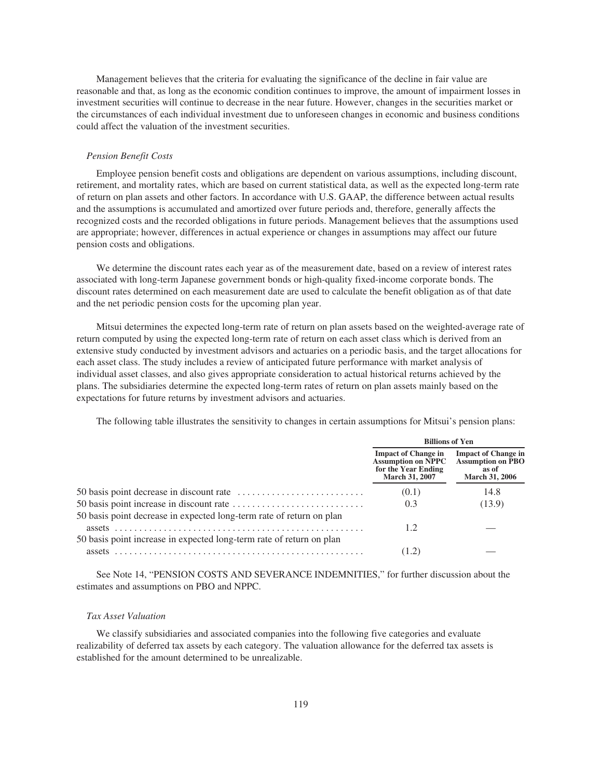Management believes that the criteria for evaluating the significance of the decline in fair value are reasonable and that, as long as the economic condition continues to improve, the amount of impairment losses in investment securities will continue to decrease in the near future. However, changes in the securities market or the circumstances of each individual investment due to unforeseen changes in economic and business conditions could affect the valuation of the investment securities.

## *Pension Benefit Costs*

Employee pension benefit costs and obligations are dependent on various assumptions, including discount, retirement, and mortality rates, which are based on current statistical data, as well as the expected long-term rate of return on plan assets and other factors. In accordance with U.S. GAAP, the difference between actual results and the assumptions is accumulated and amortized over future periods and, therefore, generally affects the recognized costs and the recorded obligations in future periods. Management believes that the assumptions used are appropriate; however, differences in actual experience or changes in assumptions may affect our future pension costs and obligations.

We determine the discount rates each year as of the measurement date, based on a review of interest rates associated with long-term Japanese government bonds or high-quality fixed-income corporate bonds. The discount rates determined on each measurement date are used to calculate the benefit obligation as of that date and the net periodic pension costs for the upcoming plan year.

Mitsui determines the expected long-term rate of return on plan assets based on the weighted-average rate of return computed by using the expected long-term rate of return on each asset class which is derived from an extensive study conducted by investment advisors and actuaries on a periodic basis, and the target allocations for each asset class. The study includes a review of anticipated future performance with market analysis of individual asset classes, and also gives appropriate consideration to actual historical returns achieved by the plans. The subsidiaries determine the expected long-term rates of return on plan assets mainly based on the expectations for future returns by investment advisors and actuaries.

The following table illustrates the sensitivity to changes in certain assumptions for Mitsui's pension plans:

|                                                                                | <b>Billions of Yen</b>                                                                                  |                                                                                          |  |  |
|--------------------------------------------------------------------------------|---------------------------------------------------------------------------------------------------------|------------------------------------------------------------------------------------------|--|--|
|                                                                                | <b>Impact of Change in</b><br><b>Assumption on NPPC</b><br>for the Year Ending<br><b>March 31, 2007</b> | <b>Impact of Change in</b><br><b>Assumption on PBO</b><br>as of<br><b>March 31, 2006</b> |  |  |
|                                                                                | (0.1)                                                                                                   | 14.8                                                                                     |  |  |
|                                                                                | 0.3                                                                                                     | (13.9)                                                                                   |  |  |
| 50 basis point decrease in expected long-term rate of return on plan           | 1.2                                                                                                     |                                                                                          |  |  |
| 50 basis point increase in expected long-term rate of return on plan<br>assets | (1.2)                                                                                                   |                                                                                          |  |  |

See Note 14, "PENSION COSTS AND SEVERANCE INDEMNITIES," for further discussion about the estimates and assumptions on PBO and NPPC.

# *Tax Asset Valuation*

We classify subsidiaries and associated companies into the following five categories and evaluate realizability of deferred tax assets by each category. The valuation allowance for the deferred tax assets is established for the amount determined to be unrealizable.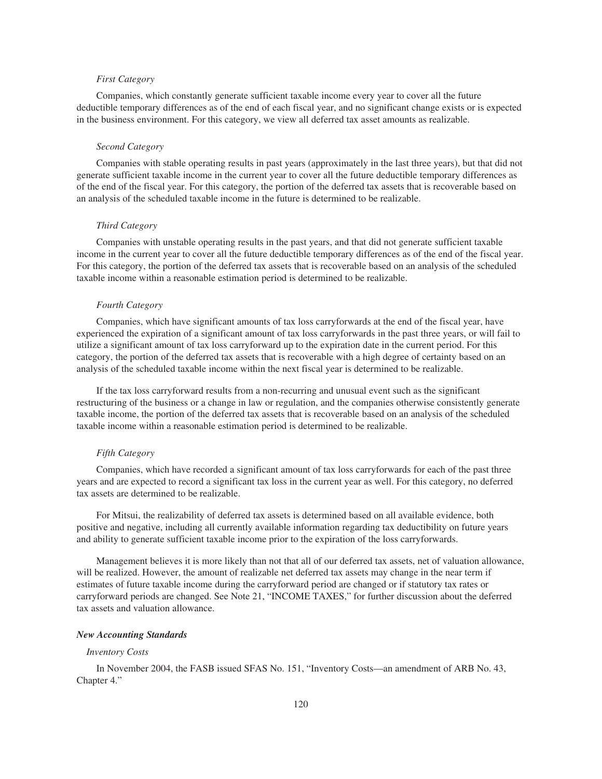# *First Category*

Companies, which constantly generate sufficient taxable income every year to cover all the future deductible temporary differences as of the end of each fiscal year, and no significant change exists or is expected in the business environment. For this category, we view all deferred tax asset amounts as realizable.

#### *Second Category*

Companies with stable operating results in past years (approximately in the last three years), but that did not generate sufficient taxable income in the current year to cover all the future deductible temporary differences as of the end of the fiscal year. For this category, the portion of the deferred tax assets that is recoverable based on an analysis of the scheduled taxable income in the future is determined to be realizable.

# *Third Category*

Companies with unstable operating results in the past years, and that did not generate sufficient taxable income in the current year to cover all the future deductible temporary differences as of the end of the fiscal year. For this category, the portion of the deferred tax assets that is recoverable based on an analysis of the scheduled taxable income within a reasonable estimation period is determined to be realizable.

#### *Fourth Category*

Companies, which have significant amounts of tax loss carryforwards at the end of the fiscal year, have experienced the expiration of a significant amount of tax loss carryforwards in the past three years, or will fail to utilize a significant amount of tax loss carryforward up to the expiration date in the current period. For this category, the portion of the deferred tax assets that is recoverable with a high degree of certainty based on an analysis of the scheduled taxable income within the next fiscal year is determined to be realizable.

If the tax loss carryforward results from a non-recurring and unusual event such as the significant restructuring of the business or a change in law or regulation, and the companies otherwise consistently generate taxable income, the portion of the deferred tax assets that is recoverable based on an analysis of the scheduled taxable income within a reasonable estimation period is determined to be realizable.

## *Fifth Category*

Companies, which have recorded a significant amount of tax loss carryforwards for each of the past three years and are expected to record a significant tax loss in the current year as well. For this category, no deferred tax assets are determined to be realizable.

For Mitsui, the realizability of deferred tax assets is determined based on all available evidence, both positive and negative, including all currently available information regarding tax deductibility on future years and ability to generate sufficient taxable income prior to the expiration of the loss carryforwards.

Management believes it is more likely than not that all of our deferred tax assets, net of valuation allowance, will be realized. However, the amount of realizable net deferred tax assets may change in the near term if estimates of future taxable income during the carryforward period are changed or if statutory tax rates or carryforward periods are changed. See Note 21, "INCOME TAXES," for further discussion about the deferred tax assets and valuation allowance.

#### *New Accounting Standards*

#### *Inventory Costs*

In November 2004, the FASB issued SFAS No. 151, "Inventory Costs—an amendment of ARB No. 43, Chapter 4."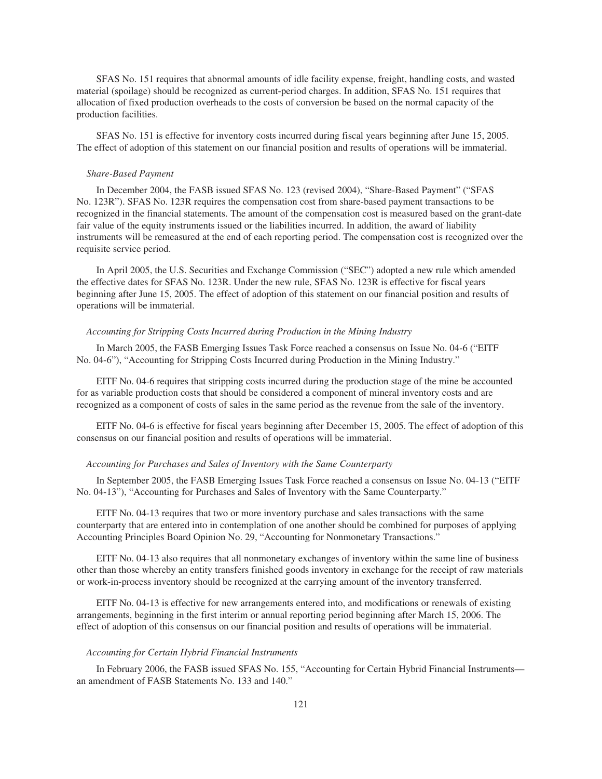SFAS No. 151 requires that abnormal amounts of idle facility expense, freight, handling costs, and wasted material (spoilage) should be recognized as current-period charges. In addition, SFAS No. 151 requires that allocation of fixed production overheads to the costs of conversion be based on the normal capacity of the production facilities.

SFAS No. 151 is effective for inventory costs incurred during fiscal years beginning after June 15, 2005. The effect of adoption of this statement on our financial position and results of operations will be immaterial.

### *Share-Based Payment*

In December 2004, the FASB issued SFAS No. 123 (revised 2004), "Share-Based Payment" ("SFAS No. 123R"). SFAS No. 123R requires the compensation cost from share-based payment transactions to be recognized in the financial statements. The amount of the compensation cost is measured based on the grant-date fair value of the equity instruments issued or the liabilities incurred. In addition, the award of liability instruments will be remeasured at the end of each reporting period. The compensation cost is recognized over the requisite service period.

In April 2005, the U.S. Securities and Exchange Commission ("SEC") adopted a new rule which amended the effective dates for SFAS No. 123R. Under the new rule, SFAS No. 123R is effective for fiscal years beginning after June 15, 2005. The effect of adoption of this statement on our financial position and results of operations will be immaterial.

# *Accounting for Stripping Costs Incurred during Production in the Mining Industry*

In March 2005, the FASB Emerging Issues Task Force reached a consensus on Issue No. 04-6 ("EITF No. 04-6"), "Accounting for Stripping Costs Incurred during Production in the Mining Industry."

EITF No. 04-6 requires that stripping costs incurred during the production stage of the mine be accounted for as variable production costs that should be considered a component of mineral inventory costs and are recognized as a component of costs of sales in the same period as the revenue from the sale of the inventory.

EITF No. 04-6 is effective for fiscal years beginning after December 15, 2005. The effect of adoption of this consensus on our financial position and results of operations will be immaterial.

# *Accounting for Purchases and Sales of Inventory with the Same Counterparty*

In September 2005, the FASB Emerging Issues Task Force reached a consensus on Issue No. 04-13 ("EITF No. 04-13"), "Accounting for Purchases and Sales of Inventory with the Same Counterparty."

EITF No. 04-13 requires that two or more inventory purchase and sales transactions with the same counterparty that are entered into in contemplation of one another should be combined for purposes of applying Accounting Principles Board Opinion No. 29, "Accounting for Nonmonetary Transactions."

EITF No. 04-13 also requires that all nonmonetary exchanges of inventory within the same line of business other than those whereby an entity transfers finished goods inventory in exchange for the receipt of raw materials or work-in-process inventory should be recognized at the carrying amount of the inventory transferred.

EITF No. 04-13 is effective for new arrangements entered into, and modifications or renewals of existing arrangements, beginning in the first interim or annual reporting period beginning after March 15, 2006. The effect of adoption of this consensus on our financial position and results of operations will be immaterial.

### *Accounting for Certain Hybrid Financial Instruments*

In February 2006, the FASB issued SFAS No. 155, "Accounting for Certain Hybrid Financial Instruments an amendment of FASB Statements No. 133 and 140."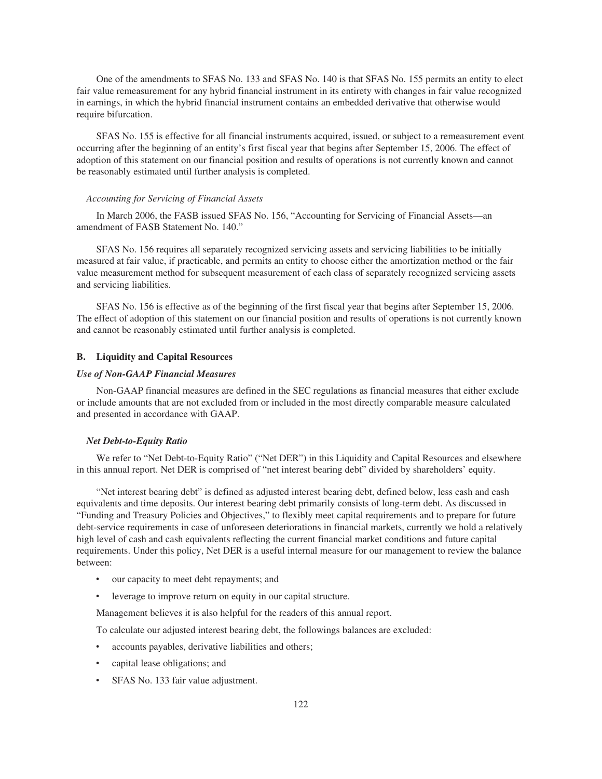One of the amendments to SFAS No. 133 and SFAS No. 140 is that SFAS No. 155 permits an entity to elect fair value remeasurement for any hybrid financial instrument in its entirety with changes in fair value recognized in earnings, in which the hybrid financial instrument contains an embedded derivative that otherwise would require bifurcation.

SFAS No. 155 is effective for all financial instruments acquired, issued, or subject to a remeasurement event occurring after the beginning of an entity's first fiscal year that begins after September 15, 2006. The effect of adoption of this statement on our financial position and results of operations is not currently known and cannot be reasonably estimated until further analysis is completed.

### *Accounting for Servicing of Financial Assets*

In March 2006, the FASB issued SFAS No. 156, "Accounting for Servicing of Financial Assets—an amendment of FASB Statement No. 140."

SFAS No. 156 requires all separately recognized servicing assets and servicing liabilities to be initially measured at fair value, if practicable, and permits an entity to choose either the amortization method or the fair value measurement method for subsequent measurement of each class of separately recognized servicing assets and servicing liabilities.

SFAS No. 156 is effective as of the beginning of the first fiscal year that begins after September 15, 2006. The effect of adoption of this statement on our financial position and results of operations is not currently known and cannot be reasonably estimated until further analysis is completed.

# **B. Liquidity and Capital Resources**

# *Use of Non-GAAP Financial Measures*

Non-GAAP financial measures are defined in the SEC regulations as financial measures that either exclude or include amounts that are not excluded from or included in the most directly comparable measure calculated and presented in accordance with GAAP.

#### *Net Debt-to-Equity Ratio*

We refer to "Net Debt-to-Equity Ratio" ("Net DER") in this Liquidity and Capital Resources and elsewhere in this annual report. Net DER is comprised of "net interest bearing debt" divided by shareholders' equity.

"Net interest bearing debt" is defined as adjusted interest bearing debt, defined below, less cash and cash equivalents and time deposits. Our interest bearing debt primarily consists of long-term debt. As discussed in "Funding and Treasury Policies and Objectives," to flexibly meet capital requirements and to prepare for future debt-service requirements in case of unforeseen deteriorations in financial markets, currently we hold a relatively high level of cash and cash equivalents reflecting the current financial market conditions and future capital requirements. Under this policy, Net DER is a useful internal measure for our management to review the balance between:

- our capacity to meet debt repayments; and
- leverage to improve return on equity in our capital structure.

Management believes it is also helpful for the readers of this annual report.

To calculate our adjusted interest bearing debt, the followings balances are excluded:

- accounts payables, derivative liabilities and others;
- capital lease obligations; and
- SFAS No. 133 fair value adjustment.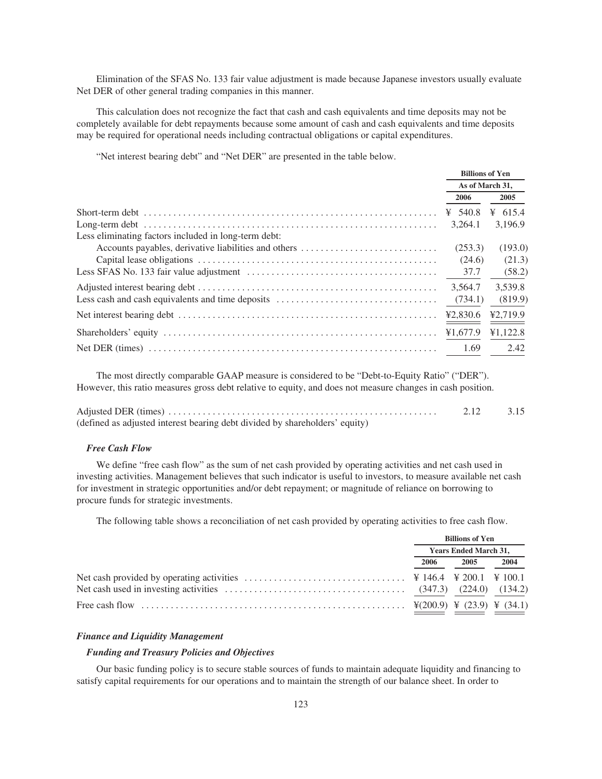Elimination of the SFAS No. 133 fair value adjustment is made because Japanese investors usually evaluate Net DER of other general trading companies in this manner.

This calculation does not recognize the fact that cash and cash equivalents and time deposits may not be completely available for debt repayments because some amount of cash and cash equivalents and time deposits may be required for operational needs including contractual obligations or capital expenditures.

"Net interest bearing debt" and "Net DER" are presented in the table below.

|                                                      | <b>Billions of Yen</b><br>As of March 31, |           |  |
|------------------------------------------------------|-------------------------------------------|-----------|--|
|                                                      |                                           |           |  |
|                                                      | 2006                                      | 2005      |  |
|                                                      | ¥ 540.8                                   | ¥ $615.4$ |  |
|                                                      | 3.264.1                                   | 3,196.9   |  |
| Less eliminating factors included in long-term debt: |                                           |           |  |
| Accounts payables, derivative liabilities and others | (253.3)                                   | (193.0)   |  |
|                                                      | (24.6)                                    | (21.3)    |  |
|                                                      | 37.7                                      | (58.2)    |  |
|                                                      | 3.564.7                                   | 3.539.8   |  |
| Less cash and cash equivalents and time deposits     | (734.1)                                   | (819.9)   |  |
|                                                      | 42.830.6                                  | ¥2,719.9  |  |
|                                                      | ¥1,677.9                                  | ¥1,122.8  |  |
|                                                      | 1.69                                      | 2.42      |  |

The most directly comparable GAAP measure is considered to be "Debt-to-Equity Ratio" ("DER"). However, this ratio measures gross debt relative to equity, and does not measure changes in cash position.

|                                                                             | 3.15 |
|-----------------------------------------------------------------------------|------|
| (defined as adjusted interest bearing debt divided by shareholders' equity) |      |

# *Free Cash Flow*

We define "free cash flow" as the sum of net cash provided by operating activities and net cash used in investing activities. Management believes that such indicator is useful to investors, to measure available net cash for investment in strategic opportunities and/or debt repayment; or magnitude of reliance on borrowing to procure funds for strategic investments.

The following table shows a reconciliation of net cash provided by operating activities to free cash flow.

| <b>Billions of Yen</b>       |      |      |
|------------------------------|------|------|
| <b>Years Ended March 31,</b> |      |      |
| 2006                         | 2005 | 2004 |
|                              |      |      |
|                              |      |      |
|                              |      |      |

## *Finance and Liquidity Management*

### *Funding and Treasury Policies and Objectives*

Our basic funding policy is to secure stable sources of funds to maintain adequate liquidity and financing to satisfy capital requirements for our operations and to maintain the strength of our balance sheet. In order to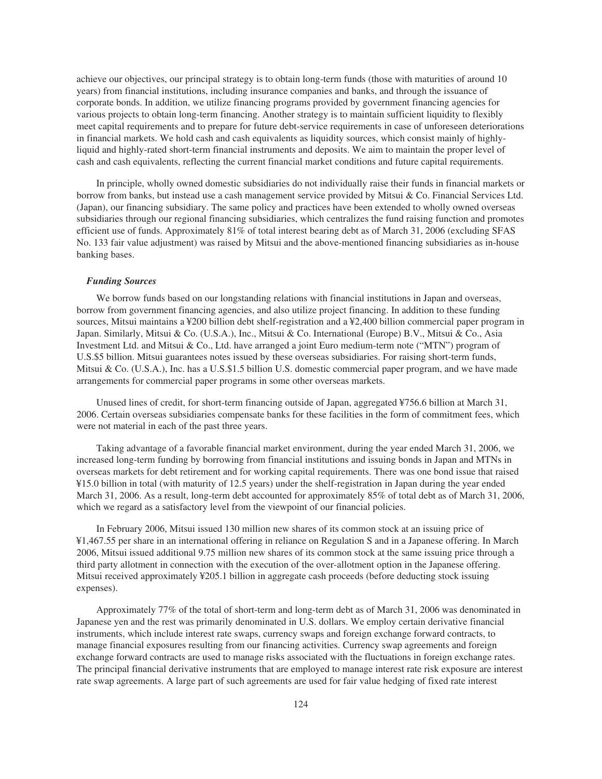achieve our objectives, our principal strategy is to obtain long-term funds (those with maturities of around 10 years) from financial institutions, including insurance companies and banks, and through the issuance of corporate bonds. In addition, we utilize financing programs provided by government financing agencies for various projects to obtain long-term financing. Another strategy is to maintain sufficient liquidity to flexibly meet capital requirements and to prepare for future debt-service requirements in case of unforeseen deteriorations in financial markets. We hold cash and cash equivalents as liquidity sources, which consist mainly of highlyliquid and highly-rated short-term financial instruments and deposits. We aim to maintain the proper level of cash and cash equivalents, reflecting the current financial market conditions and future capital requirements.

In principle, wholly owned domestic subsidiaries do not individually raise their funds in financial markets or borrow from banks, but instead use a cash management service provided by Mitsui & Co. Financial Services Ltd. (Japan), our financing subsidiary. The same policy and practices have been extended to wholly owned overseas subsidiaries through our regional financing subsidiaries, which centralizes the fund raising function and promotes efficient use of funds. Approximately 81% of total interest bearing debt as of March 31, 2006 (excluding SFAS No. 133 fair value adjustment) was raised by Mitsui and the above-mentioned financing subsidiaries as in-house banking bases.

# *Funding Sources*

We borrow funds based on our longstanding relations with financial institutions in Japan and overseas, borrow from government financing agencies, and also utilize project financing. In addition to these funding sources, Mitsui maintains a ¥200 billion debt shelf-registration and a ¥2,400 billion commercial paper program in Japan. Similarly, Mitsui & Co. (U.S.A.), Inc., Mitsui & Co. International (Europe) B.V., Mitsui & Co., Asia Investment Ltd. and Mitsui & Co., Ltd. have arranged a joint Euro medium-term note ("MTN") program of U.S.\$5 billion. Mitsui guarantees notes issued by these overseas subsidiaries. For raising short-term funds, Mitsui & Co. (U.S.A.), Inc. has a U.S.\$1.5 billion U.S. domestic commercial paper program, and we have made arrangements for commercial paper programs in some other overseas markets.

Unused lines of credit, for short-term financing outside of Japan, aggregated ¥756.6 billion at March 31, 2006. Certain overseas subsidiaries compensate banks for these facilities in the form of commitment fees, which were not material in each of the past three years.

Taking advantage of a favorable financial market environment, during the year ended March 31, 2006, we increased long-term funding by borrowing from financial institutions and issuing bonds in Japan and MTNs in overseas markets for debt retirement and for working capital requirements. There was one bond issue that raised ¥15.0 billion in total (with maturity of 12.5 years) under the shelf-registration in Japan during the year ended March 31, 2006. As a result, long-term debt accounted for approximately 85% of total debt as of March 31, 2006, which we regard as a satisfactory level from the viewpoint of our financial policies.

In February 2006, Mitsui issued 130 million new shares of its common stock at an issuing price of ¥1,467.55 per share in an international offering in reliance on Regulation S and in a Japanese offering. In March 2006, Mitsui issued additional 9.75 million new shares of its common stock at the same issuing price through a third party allotment in connection with the execution of the over-allotment option in the Japanese offering. Mitsui received approximately ¥205.1 billion in aggregate cash proceeds (before deducting stock issuing expenses).

Approximately 77% of the total of short-term and long-term debt as of March 31, 2006 was denominated in Japanese yen and the rest was primarily denominated in U.S. dollars. We employ certain derivative financial instruments, which include interest rate swaps, currency swaps and foreign exchange forward contracts, to manage financial exposures resulting from our financing activities. Currency swap agreements and foreign exchange forward contracts are used to manage risks associated with the fluctuations in foreign exchange rates. The principal financial derivative instruments that are employed to manage interest rate risk exposure are interest rate swap agreements. A large part of such agreements are used for fair value hedging of fixed rate interest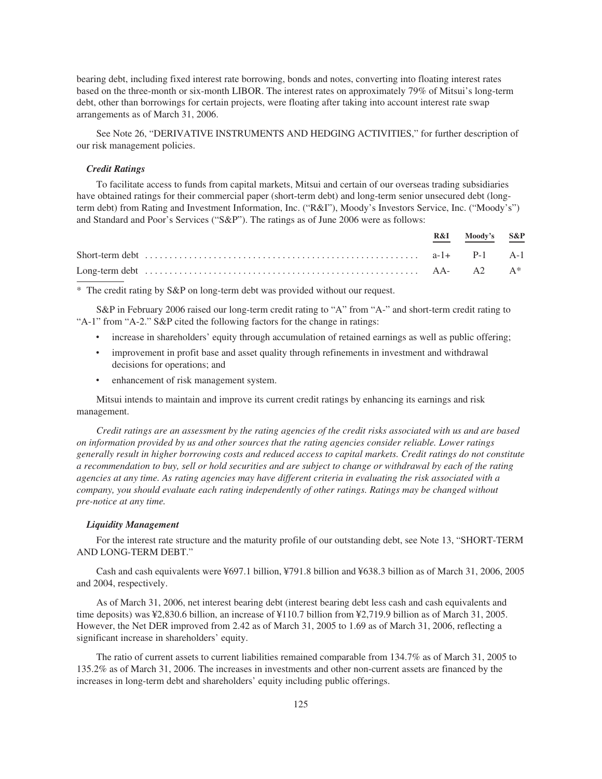bearing debt, including fixed interest rate borrowing, bonds and notes, converting into floating interest rates based on the three-month or six-month LIBOR. The interest rates on approximately 79% of Mitsui's long-term debt, other than borrowings for certain projects, were floating after taking into account interest rate swap arrangements as of March 31, 2006.

See Note 26, "DERIVATIVE INSTRUMENTS AND HEDGING ACTIVITIES," for further description of our risk management policies.

# *Credit Ratings*

To facilitate access to funds from capital markets, Mitsui and certain of our overseas trading subsidiaries have obtained ratings for their commercial paper (short-term debt) and long-term senior unsecured debt (longterm debt) from Rating and Investment Information, Inc. ("R&I"), Moody's Investors Service, Inc. ("Moody's") and Standard and Poor's Services ("S&P"). The ratings as of June 2006 were as follows:

|  | R&I Moody's S&P |  |
|--|-----------------|--|
|  |                 |  |
|  |                 |  |

\* The credit rating by S&P on long-term debt was provided without our request.

S&P in February 2006 raised our long-term credit rating to "A" from "A-" and short-term credit rating to "A-1" from "A-2." S&P cited the following factors for the change in ratings:

- increase in shareholders' equity through accumulation of retained earnings as well as public offering;
- ‰ improvement in profit base and asset quality through refinements in investment and withdrawal decisions for operations; and
- enhancement of risk management system.

Mitsui intends to maintain and improve its current credit ratings by enhancing its earnings and risk management.

*Credit ratings are an assessment by the rating agencies of the credit risks associated with us and are based on information provided by us and other sources that the rating agencies consider reliable. Lower ratings generally result in higher borrowing costs and reduced access to capital markets. Credit ratings do not constitute a recommendation to buy, sell or hold securities and are subject to change or withdrawal by each of the rating agencies at any time. As rating agencies may have different criteria in evaluating the risk associated with a company, you should evaluate each rating independently of other ratings. Ratings may be changed without pre-notice at any time.*

# *Liquidity Management*

For the interest rate structure and the maturity profile of our outstanding debt, see Note 13, "SHORT-TERM AND LONG-TERM DEBT."

Cash and cash equivalents were ¥697.1 billion, ¥791.8 billion and ¥638.3 billion as of March 31, 2006, 2005 and 2004, respectively.

As of March 31, 2006, net interest bearing debt (interest bearing debt less cash and cash equivalents and time deposits) was ¥2,830.6 billion, an increase of ¥110.7 billion from ¥2,719.9 billion as of March 31, 2005. However, the Net DER improved from 2.42 as of March 31, 2005 to 1.69 as of March 31, 2006, reflecting a significant increase in shareholders' equity.

The ratio of current assets to current liabilities remained comparable from 134.7% as of March 31, 2005 to 135.2% as of March 31, 2006. The increases in investments and other non-current assets are financed by the increases in long-term debt and shareholders' equity including public offerings.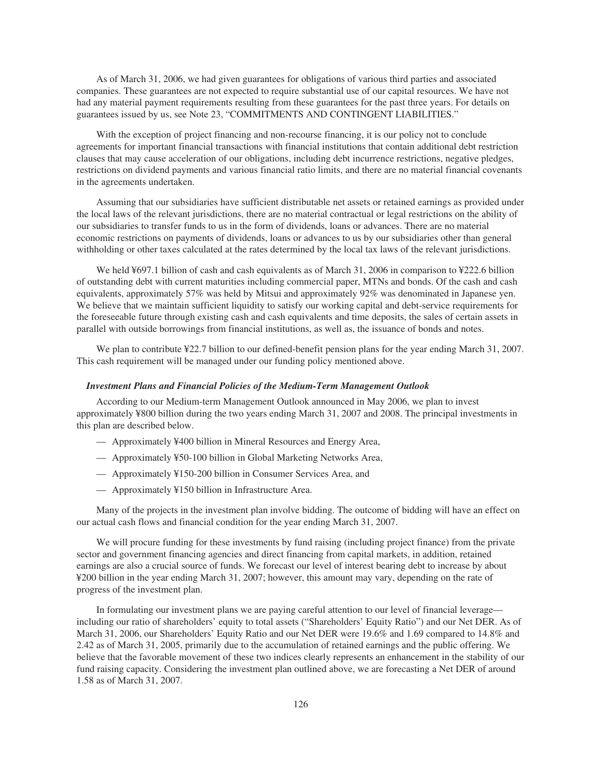As of March 31, 2006, we had given guarantees for obligations of various third parties and associated companies. These guarantees are not expected to require substantial use of our capital resources. We have not had any material payment requirements resulting from these guarantees for the past three years. For details on guarantees issued by us, see Note 23, "COMMITMENTS AND CONTINGENT LIABILITIES."

With the exception of project financing and non-recourse financing, it is our policy not to conclude agreements for important financial transactions with financial institutions that contain additional debt restriction clauses that may cause acceleration of our obligations, including debt incurrence restrictions, negative pledges, restrictions on dividend payments and various financial ratio limits, and there are no material financial covenants in the agreements undertaken.

Assuming that our subsidiaries have sufficient distributable net assets or retained earnings as provided under the local laws of the relevant jurisdictions, there are no material contractual or legal restrictions on the ability of our subsidiaries to transfer funds to us in the form of dividends, loans or advances. There are no material economic restrictions on payments of dividends, loans or advances to us by our subsidiaries other than general withholding or other taxes calculated at the rates determined by the local tax laws of the relevant jurisdictions.

We held ¥697.1 billion of cash and cash equivalents as of March 31, 2006 in comparison to ¥222.6 billion of outstanding debt with current maturities including commercial paper, MTNs and bonds. Of the cash and cash equivalents, approximately 57% was held by Mitsui and approximately 92% was denominated in Japanese yen. We believe that we maintain sufficient liquidity to satisfy our working capital and debt-service requirements for the foreseeable future through existing cash and cash equivalents and time deposits, the sales of certain assets in parallel with outside borrowings from financial institutions, as well as, the issuance of bonds and notes.

We plan to contribute ¥22.7 billion to our defined-benefit pension plans for the year ending March 31, 2007. This cash requirement will be managed under our funding policy mentioned above.

# *Investment Plans and Financial Policies of the Medium-Term Management Outlook*

According to our Medium-term Management Outlook announced in May 2006, we plan to invest approximately ¥800 billion during the two years ending March 31, 2007 and 2008. The principal investments in this plan are described below.

- Approximately ¥400 billion in Mineral Resources and Energy Area,
- Approximately ¥50-100 billion in Global Marketing Networks Area,
- Approximately ¥150-200 billion in Consumer Services Area, and
- Approximately ¥150 billion in Infrastructure Area.

Many of the projects in the investment plan involve bidding. The outcome of bidding will have an effect on our actual cash flows and financial condition for the year ending March 31, 2007.

We will procure funding for these investments by fund raising (including project finance) from the private sector and government financing agencies and direct financing from capital markets, in addition, retained earnings are also a crucial source of funds. We forecast our level of interest bearing debt to increase by about ¥200 billion in the year ending March 31, 2007; however, this amount may vary, depending on the rate of progress of the investment plan.

In formulating our investment plans we are paying careful attention to our level of financial leverage including our ratio of shareholders' equity to total assets ("Shareholders' Equity Ratio") and our Net DER. As of March 31, 2006, our Shareholders' Equity Ratio and our Net DER were 19.6% and 1.69 compared to 14.8% and 2.42 as of March 31, 2005, primarily due to the accumulation of retained earnings and the public offering. We believe that the favorable movement of these two indices clearly represents an enhancement in the stability of our fund raising capacity. Considering the investment plan outlined above, we are forecasting a Net DER of around 1.58 as of March 31, 2007.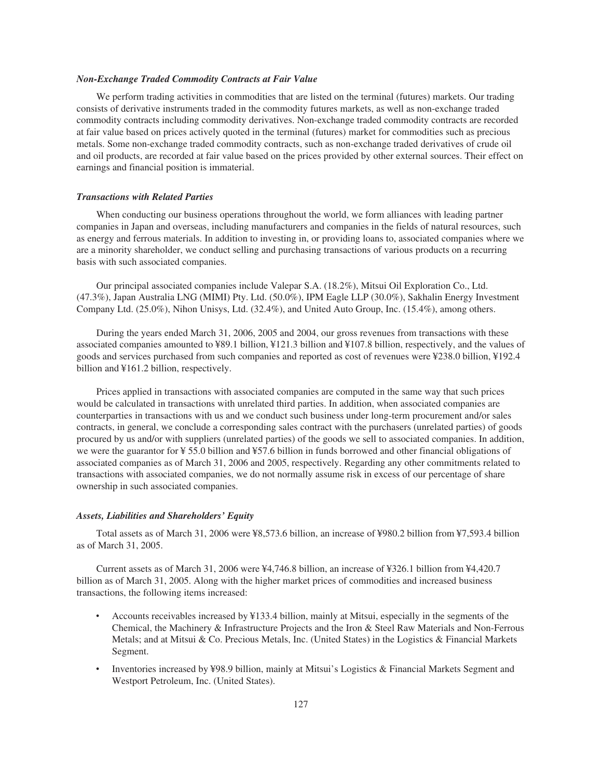# *Non-Exchange Traded Commodity Contracts at Fair Value*

We perform trading activities in commodities that are listed on the terminal (futures) markets. Our trading consists of derivative instruments traded in the commodity futures markets, as well as non-exchange traded commodity contracts including commodity derivatives. Non-exchange traded commodity contracts are recorded at fair value based on prices actively quoted in the terminal (futures) market for commodities such as precious metals. Some non-exchange traded commodity contracts, such as non-exchange traded derivatives of crude oil and oil products, are recorded at fair value based on the prices provided by other external sources. Their effect on earnings and financial position is immaterial.

# *Transactions with Related Parties*

When conducting our business operations throughout the world, we form alliances with leading partner companies in Japan and overseas, including manufacturers and companies in the fields of natural resources, such as energy and ferrous materials. In addition to investing in, or providing loans to, associated companies where we are a minority shareholder, we conduct selling and purchasing transactions of various products on a recurring basis with such associated companies.

Our principal associated companies include Valepar S.A. (18.2%), Mitsui Oil Exploration Co., Ltd. (47.3%), Japan Australia LNG (MIMI) Pty. Ltd. (50.0%), IPM Eagle LLP (30.0%), Sakhalin Energy Investment Company Ltd. (25.0%), Nihon Unisys, Ltd. (32.4%), and United Auto Group, Inc. (15.4%), among others.

During the years ended March 31, 2006, 2005 and 2004, our gross revenues from transactions with these associated companies amounted to ¥89.1 billion, ¥121.3 billion and ¥107.8 billion, respectively, and the values of goods and services purchased from such companies and reported as cost of revenues were ¥238.0 billion, ¥192.4 billion and ¥161.2 billion, respectively.

Prices applied in transactions with associated companies are computed in the same way that such prices would be calculated in transactions with unrelated third parties. In addition, when associated companies are counterparties in transactions with us and we conduct such business under long-term procurement and/or sales contracts, in general, we conclude a corresponding sales contract with the purchasers (unrelated parties) of goods procured by us and/or with suppliers (unrelated parties) of the goods we sell to associated companies. In addition, we were the guarantor for ¥ 55.0 billion and ¥57.6 billion in funds borrowed and other financial obligations of associated companies as of March 31, 2006 and 2005, respectively. Regarding any other commitments related to transactions with associated companies, we do not normally assume risk in excess of our percentage of share ownership in such associated companies.

### *Assets, Liabilities and Shareholders' Equity*

Total assets as of March 31, 2006 were ¥8,573.6 billion, an increase of ¥980.2 billion from ¥7,593.4 billion as of March 31, 2005.

Current assets as of March 31, 2006 were ¥4,746.8 billion, an increase of ¥326.1 billion from ¥4,420.7 billion as of March 31, 2005. Along with the higher market prices of commodities and increased business transactions, the following items increased:

- Accounts receivables increased by ¥133.4 billion, mainly at Mitsui, especially in the segments of the Chemical, the Machinery & Infrastructure Projects and the Iron & Steel Raw Materials and Non-Ferrous Metals; and at Mitsui & Co. Precious Metals, Inc. (United States) in the Logistics & Financial Markets Segment.
- ‰ Inventories increased by ¥98.9 billion, mainly at Mitsui's Logistics & Financial Markets Segment and Westport Petroleum, Inc. (United States).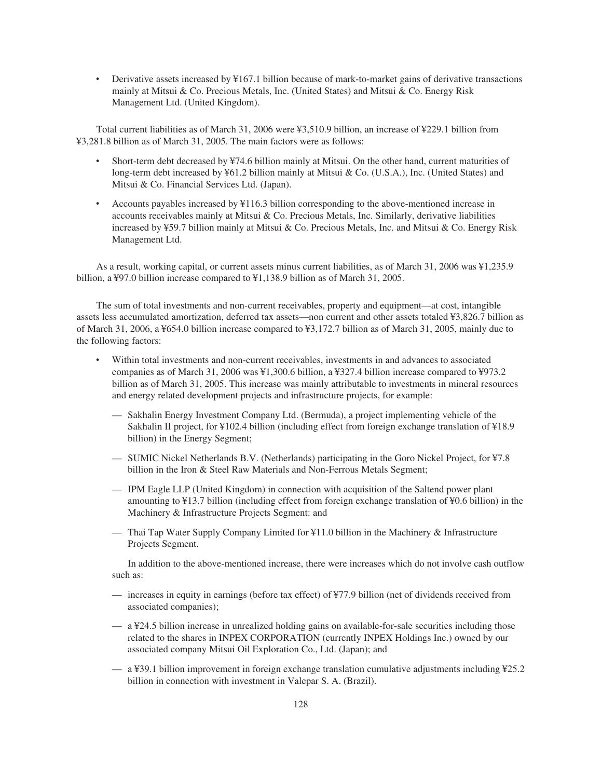Derivative assets increased by ¥167.1 billion because of mark-to-market gains of derivative transactions mainly at Mitsui & Co. Precious Metals, Inc. (United States) and Mitsui & Co. Energy Risk Management Ltd. (United Kingdom).

Total current liabilities as of March 31, 2006 were ¥3,510.9 billion, an increase of ¥229.1 billion from ¥3,281.8 billion as of March 31, 2005. The main factors were as follows:

- Short-term debt decreased by ¥74.6 billion mainly at Mitsui. On the other hand, current maturities of long-term debt increased by ¥61.2 billion mainly at Mitsui & Co. (U.S.A.), Inc. (United States) and Mitsui & Co. Financial Services Ltd. (Japan).
- Accounts payables increased by ¥116.3 billion corresponding to the above-mentioned increase in accounts receivables mainly at Mitsui & Co. Precious Metals, Inc. Similarly, derivative liabilities increased by ¥59.7 billion mainly at Mitsui & Co. Precious Metals, Inc. and Mitsui & Co. Energy Risk Management Ltd.

As a result, working capital, or current assets minus current liabilities, as of March 31, 2006 was ¥1,235.9 billion, a ¥97.0 billion increase compared to ¥1,138.9 billion as of March 31, 2005.

The sum of total investments and non-current receivables, property and equipment—at cost, intangible assets less accumulated amortization, deferred tax assets—non current and other assets totaled ¥3,826.7 billion as of March 31, 2006, a ¥654.0 billion increase compared to ¥3,172.7 billion as of March 31, 2005, mainly due to the following factors:

- Within total investments and non-current receivables, investments in and advances to associated companies as of March 31, 2006 was ¥1,300.6 billion, a ¥327.4 billion increase compared to ¥973.2 billion as of March 31, 2005. This increase was mainly attributable to investments in mineral resources and energy related development projects and infrastructure projects, for example:
	- Sakhalin Energy Investment Company Ltd. (Bermuda), a project implementing vehicle of the Sakhalin II project, for ¥102.4 billion (including effect from foreign exchange translation of ¥18.9 billion) in the Energy Segment;
	- SUMIC Nickel Netherlands B.V. (Netherlands) participating in the Goro Nickel Project, for ¥7.8 billion in the Iron & Steel Raw Materials and Non-Ferrous Metals Segment;
	- IPM Eagle LLP (United Kingdom) in connection with acquisition of the Saltend power plant amounting to ¥13.7 billion (including effect from foreign exchange translation of ¥0.6 billion) in the Machinery & Infrastructure Projects Segment: and
	- Thai Tap Water Supply Company Limited for ¥11.0 billion in the Machinery & Infrastructure Projects Segment.

In addition to the above-mentioned increase, there were increases which do not involve cash outflow such as:

- increases in equity in earnings (before tax effect) of ¥77.9 billion (net of dividends received from associated companies);
- a ¥24.5 billion increase in unrealized holding gains on available-for-sale securities including those related to the shares in INPEX CORPORATION (currently INPEX Holdings Inc.) owned by our associated company Mitsui Oil Exploration Co., Ltd. (Japan); and
- a ¥39.1 billion improvement in foreign exchange translation cumulative adjustments including ¥25.2 billion in connection with investment in Valepar S. A. (Brazil).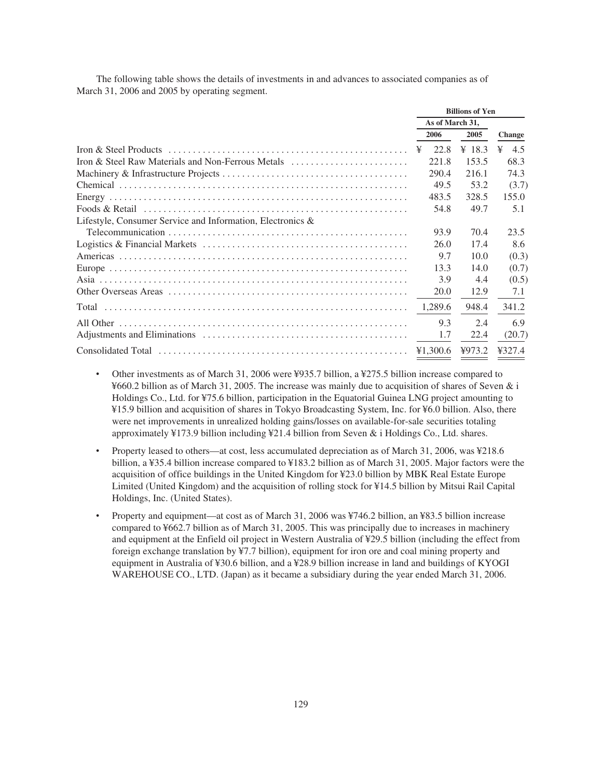The following table shows the details of investments in and advances to associated companies as of March 31, 2006 and 2005 by operating segment.

|                                                               | <b>Billions of Yen</b> |          |        |   |               |
|---------------------------------------------------------------|------------------------|----------|--------|---|---------------|
|                                                               | As of March 31,        |          |        |   |               |
|                                                               |                        | 2006     | 2005   |   | <b>Change</b> |
|                                                               | ¥                      | 22.8     | ¥ 18.3 | ¥ | 4.5           |
| Iron & Steel Raw Materials and Non-Ferrous Metals             |                        | 221.8    | 153.5  |   | 68.3          |
|                                                               |                        | 290.4    | 216.1  |   | 74.3          |
|                                                               |                        | 49.5     | 53.2   |   | (3.7)         |
|                                                               |                        | 483.5    | 328.5  |   | 155.0         |
|                                                               |                        | 54.8     | 49.7   |   | 5.1           |
| Lifestyle, Consumer Service and Information, Electronics $\&$ |                        |          |        |   |               |
|                                                               |                        | 93.9     | 70.4   |   | 23.5          |
|                                                               |                        | 26.0     | 17.4   |   | 8.6           |
|                                                               |                        | 9.7      | 10.0   |   | (0.3)         |
|                                                               |                        | 13.3     | 14.0   |   | (0.7)         |
|                                                               |                        | 3.9      | 4.4    |   | (0.5)         |
|                                                               |                        | 20.0     | 12.9   |   | 7.1           |
|                                                               |                        | 1,289.6  | 948.4  |   | 341.2         |
|                                                               |                        | 9.3      | 2.4    |   | 6.9           |
|                                                               |                        | 1.7      | 22.4   |   | (20.7)        |
|                                                               |                        | ¥1,300.6 | 4973.2 |   | ¥327.4        |

- ‰ Other investments as of March 31, 2006 were ¥935.7 billion, a ¥275.5 billion increase compared to ¥660.2 billion as of March 31, 2005. The increase was mainly due to acquisition of shares of Seven & i Holdings Co., Ltd. for ¥75.6 billion, participation in the Equatorial Guinea LNG project amounting to ¥15.9 billion and acquisition of shares in Tokyo Broadcasting System, Inc. for ¥6.0 billion. Also, there were net improvements in unrealized holding gains/losses on available-for-sale securities totaling approximately ¥173.9 billion including ¥21.4 billion from Seven & i Holdings Co., Ltd. shares.
- Property leased to others—at cost, less accumulated depreciation as of March 31, 2006, was ¥218.6 billion, a ¥35.4 billion increase compared to ¥183.2 billion as of March 31, 2005. Major factors were the acquisition of office buildings in the United Kingdom for ¥23.0 billion by MBK Real Estate Europe Limited (United Kingdom) and the acquisition of rolling stock for ¥14.5 billion by Mitsui Rail Capital Holdings, Inc. (United States).
- Property and equipment—at cost as of March 31, 2006 was ¥746.2 billion, an ¥83.5 billion increase compared to ¥662.7 billion as of March 31, 2005. This was principally due to increases in machinery and equipment at the Enfield oil project in Western Australia of ¥29.5 billion (including the effect from foreign exchange translation by ¥7.7 billion), equipment for iron ore and coal mining property and equipment in Australia of ¥30.6 billion, and a ¥28.9 billion increase in land and buildings of KYOGI WAREHOUSE CO., LTD. (Japan) as it became a subsidiary during the year ended March 31, 2006.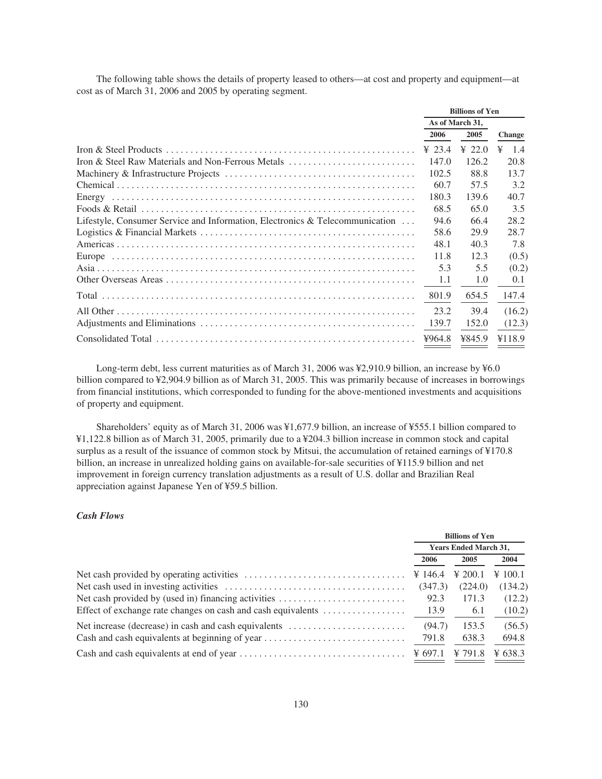The following table shows the details of property leased to others—at cost and property and equipment—at cost as of March 31, 2006 and 2005 by operating segment.

|                                                                              | <b>Billions of Yen</b> |        |               |
|------------------------------------------------------------------------------|------------------------|--------|---------------|
|                                                                              | As of March 31,        |        |               |
|                                                                              | 2006                   | 2005   | <b>Change</b> |
|                                                                              | ¥ 23.4                 | ¥ 22.0 | -1.4<br>¥     |
| Iron & Steel Raw Materials and Non-Ferrous Metals                            | 147.0                  | 126.2  | 20.8          |
|                                                                              | 102.5                  | 88.8   | 13.7          |
|                                                                              | 60.7                   | 57.5   | 3.2           |
|                                                                              | 180.3                  | 139.6  | 40.7          |
|                                                                              | 68.5                   | 65.0   | 3.5           |
| Lifestyle, Consumer Service and Information, Electronics & Telecommunication | 94.6                   | 66.4   | 28.2          |
|                                                                              | 58.6                   | 29.9   | 28.7          |
|                                                                              | 48.1                   | 40.3   | 7.8           |
|                                                                              | 11.8                   | 12.3   | (0.5)         |
|                                                                              | 5.3                    | 5.5    | (0.2)         |
|                                                                              | 1.1                    | 1.0    | 0.1           |
|                                                                              | 801.9                  | 654.5  | 147.4         |
|                                                                              | 23.2                   | 39.4   | (16.2)        |
|                                                                              | 139.7                  | 152.0  | (12.3)        |
|                                                                              | ¥964.8                 | ¥845.9 | ¥118.9        |

Long-term debt, less current maturities as of March 31, 2006 was ¥2,910.9 billion, an increase by ¥6.0 billion compared to ¥2,904.9 billion as of March 31, 2005. This was primarily because of increases in borrowings from financial institutions, which corresponded to funding for the above-mentioned investments and acquisitions of property and equipment.

Shareholders' equity as of March 31, 2006 was ¥1,677.9 billion, an increase of ¥555.1 billion compared to ¥1,122.8 billion as of March 31, 2005, primarily due to a ¥204.3 billion increase in common stock and capital surplus as a result of the issuance of common stock by Mitsui, the accumulation of retained earnings of ¥170.8 billion, an increase in unrealized holding gains on available-for-sale securities of ¥115.9 billion and net improvement in foreign currency translation adjustments as a result of U.S. dollar and Brazilian Real appreciation against Japanese Yen of ¥59.5 billion.

# *Cash Flows*

|                                                      | <b>Billions of Yen</b>       |                |                                 |
|------------------------------------------------------|------------------------------|----------------|---------------------------------|
|                                                      | <b>Years Ended March 31,</b> |                |                                 |
|                                                      | 2006                         | 2005           | 2004                            |
|                                                      |                              | $\angle 200.1$ | $\textnormal{\textbf{Y}} 100.1$ |
|                                                      | (347.3)                      | (224.0)        | (134.2)                         |
| Net cash provided by (used in) financing activities  | 92.3                         | 171.3          | (12.2)                          |
|                                                      |                              | -6.1           | (10.2)                          |
| Net increase (decrease) in cash and cash equivalents | (94.7)                       | 153.5          | (56.5)                          |
| Cash and cash equivalents at beginning of year       | 791.8                        | 638.3          | 694.8                           |
|                                                      |                              | ¥ 791.8        | ¥ 638.3                         |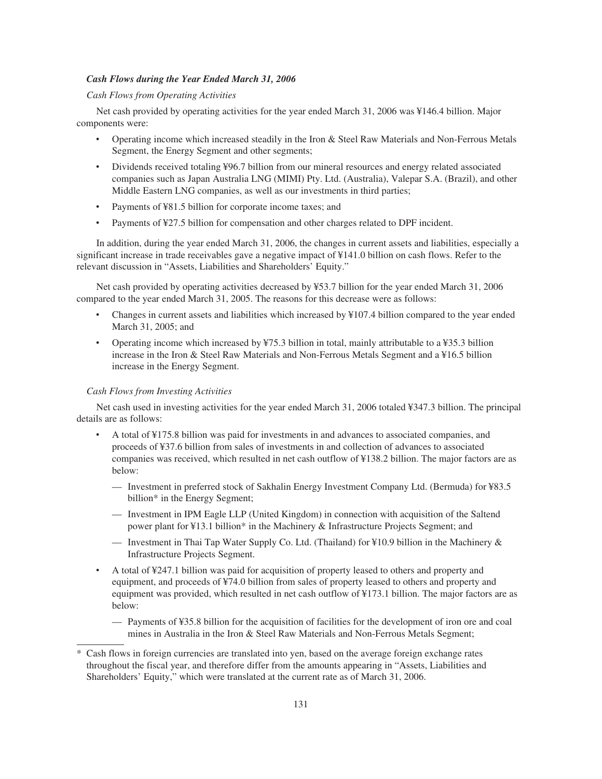# *Cash Flows during the Year Ended March 31, 2006*

# *Cash Flows from Operating Activities*

Net cash provided by operating activities for the year ended March 31, 2006 was ¥146.4 billion. Major components were:

- ‰ Operating income which increased steadily in the Iron & Steel Raw Materials and Non-Ferrous Metals Segment, the Energy Segment and other segments;
- Dividends received totaling ¥96.7 billion from our mineral resources and energy related associated companies such as Japan Australia LNG (MIMI) Pty. Ltd. (Australia), Valepar S.A. (Brazil), and other Middle Eastern LNG companies, as well as our investments in third parties;
- Payments of ¥81.5 billion for corporate income taxes; and
- Payments of ¥27.5 billion for compensation and other charges related to DPF incident.

In addition, during the year ended March 31, 2006, the changes in current assets and liabilities, especially a significant increase in trade receivables gave a negative impact of ¥141.0 billion on cash flows. Refer to the relevant discussion in "Assets, Liabilities and Shareholders' Equity."

Net cash provided by operating activities decreased by ¥53.7 billion for the year ended March 31, 2006 compared to the year ended March 31, 2005. The reasons for this decrease were as follows:

- ‰ Changes in current assets and liabilities which increased by ¥107.4 billion compared to the year ended March 31, 2005; and
- ‰ Operating income which increased by ¥75.3 billion in total, mainly attributable to a ¥35.3 billion increase in the Iron & Steel Raw Materials and Non-Ferrous Metals Segment and a ¥16.5 billion increase in the Energy Segment.

# *Cash Flows from Investing Activities*

Net cash used in investing activities for the year ended March 31, 2006 totaled ¥347.3 billion. The principal details are as follows:

- ‰ A total of ¥175.8 billion was paid for investments in and advances to associated companies, and proceeds of ¥37.6 billion from sales of investments in and collection of advances to associated companies was received, which resulted in net cash outflow of ¥138.2 billion. The major factors are as below:
	- Investment in preferred stock of Sakhalin Energy Investment Company Ltd. (Bermuda) for ¥83.5 billion\* in the Energy Segment;
	- Investment in IPM Eagle LLP (United Kingdom) in connection with acquisition of the Saltend power plant for ¥13.1 billion\* in the Machinery & Infrastructure Projects Segment; and
	- Investment in Thai Tap Water Supply Co. Ltd. (Thailand) for  $\frac{1}{2}10.9$  billion in the Machinery & Infrastructure Projects Segment.
- ‰ A total of ¥247.1 billion was paid for acquisition of property leased to others and property and equipment, and proceeds of ¥74.0 billion from sales of property leased to others and property and equipment was provided, which resulted in net cash outflow of ¥173.1 billion. The major factors are as below:
	- Payments of ¥35.8 billion for the acquisition of facilities for the development of iron ore and coal mines in Australia in the Iron & Steel Raw Materials and Non-Ferrous Metals Segment;

Cash flows in foreign currencies are translated into yen, based on the average foreign exchange rates throughout the fiscal year, and therefore differ from the amounts appearing in "Assets, Liabilities and Shareholders' Equity," which were translated at the current rate as of March 31, 2006.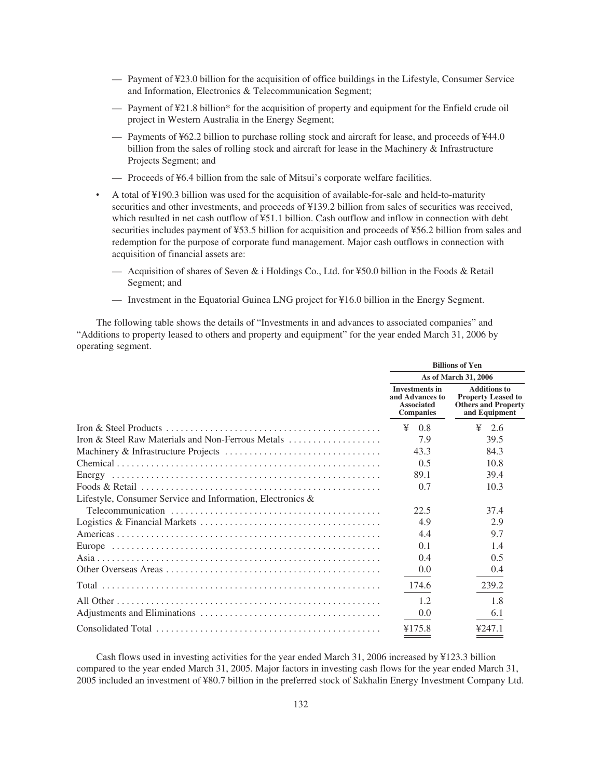- Payment of ¥23.0 billion for the acquisition of office buildings in the Lifestyle, Consumer Service and Information, Electronics & Telecommunication Segment;
- Payment of ¥21.8 billion\* for the acquisition of property and equipment for the Enfield crude oil project in Western Australia in the Energy Segment;
- Payments of ¥62.2 billion to purchase rolling stock and aircraft for lease, and proceeds of ¥44.0 billion from the sales of rolling stock and aircraft for lease in the Machinery & Infrastructure Projects Segment; and
- Proceeds of ¥6.4 billion from the sale of Mitsui's corporate welfare facilities.
- A total of ¥190.3 billion was used for the acquisition of available-for-sale and held-to-maturity securities and other investments, and proceeds of ¥139.2 billion from sales of securities was received, which resulted in net cash outflow of ¥51.1 billion. Cash outflow and inflow in connection with debt securities includes payment of ¥53.5 billion for acquisition and proceeds of ¥56.2 billion from sales and redemption for the purpose of corporate fund management. Major cash outflows in connection with acquisition of financial assets are:
	- Acquisition of shares of Seven & i Holdings Co., Ltd. for ¥50.0 billion in the Foods & Retail Segment; and
	- Investment in the Equatorial Guinea LNG project for ¥16.0 billion in the Energy Segment.

The following table shows the details of "Investments in and advances to associated companies" and "Additions to property leased to others and property and equipment" for the year ended March 31, 2006 by operating segment.

| <b>Investments in</b><br>and Advances to<br><b>Associated</b><br><b>Companies</b><br>¥<br>0.8 | As of March 31, 2006<br><b>Additions to</b><br><b>Property Leased to</b><br><b>Others and Property</b><br>and Equipment |
|-----------------------------------------------------------------------------------------------|-------------------------------------------------------------------------------------------------------------------------|
|                                                                                               |                                                                                                                         |
|                                                                                               |                                                                                                                         |
|                                                                                               | ¥<br>2.6                                                                                                                |
| 7.9                                                                                           | 39.5                                                                                                                    |
| 43.3                                                                                          | 84.3                                                                                                                    |
| 0.5                                                                                           | 10.8                                                                                                                    |
| 89.1                                                                                          | 39.4                                                                                                                    |
| 0.7                                                                                           | 10.3                                                                                                                    |
| Lifestyle, Consumer Service and Information, Electronics &                                    |                                                                                                                         |
| 22.5                                                                                          | 37.4                                                                                                                    |
| 4.9                                                                                           | 2.9                                                                                                                     |
| 4.4                                                                                           | 9.7                                                                                                                     |
| 0.1                                                                                           | 1.4                                                                                                                     |
| 0.4                                                                                           | 0.5                                                                                                                     |
| 0.0                                                                                           | 0.4                                                                                                                     |
| 174.6                                                                                         | 239.2                                                                                                                   |
| 1.2                                                                                           | 1.8                                                                                                                     |
| 0.0                                                                                           | 6.1                                                                                                                     |
| ¥175.8                                                                                        | 4247.1                                                                                                                  |

Cash flows used in investing activities for the year ended March 31, 2006 increased by ¥123.3 billion compared to the year ended March 31, 2005. Major factors in investing cash flows for the year ended March 31, 2005 included an investment of ¥80.7 billion in the preferred stock of Sakhalin Energy Investment Company Ltd.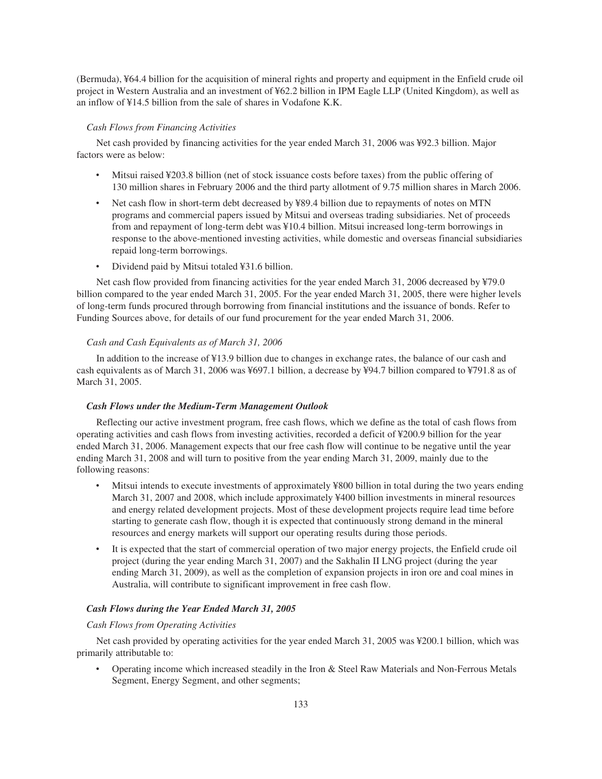(Bermuda), ¥64.4 billion for the acquisition of mineral rights and property and equipment in the Enfield crude oil project in Western Australia and an investment of ¥62.2 billion in IPM Eagle LLP (United Kingdom), as well as an inflow of ¥14.5 billion from the sale of shares in Vodafone K.K.

# *Cash Flows from Financing Activities*

Net cash provided by financing activities for the year ended March 31, 2006 was ¥92.3 billion. Major factors were as below:

- Mitsui raised ¥203.8 billion (net of stock issuance costs before taxes) from the public offering of 130 million shares in February 2006 and the third party allotment of 9.75 million shares in March 2006.
- Net cash flow in short-term debt decreased by ¥89.4 billion due to repayments of notes on MTN programs and commercial papers issued by Mitsui and overseas trading subsidiaries. Net of proceeds from and repayment of long-term debt was ¥10.4 billion. Mitsui increased long-term borrowings in response to the above-mentioned investing activities, while domestic and overseas financial subsidiaries repaid long-term borrowings.
- Dividend paid by Mitsui totaled ¥31.6 billion.

Net cash flow provided from financing activities for the year ended March 31, 2006 decreased by ¥79.0 billion compared to the year ended March 31, 2005. For the year ended March 31, 2005, there were higher levels of long-term funds procured through borrowing from financial institutions and the issuance of bonds. Refer to Funding Sources above, for details of our fund procurement for the year ended March 31, 2006.

# *Cash and Cash Equivalents as of March 31, 2006*

In addition to the increase of ¥13.9 billion due to changes in exchange rates, the balance of our cash and cash equivalents as of March 31, 2006 was ¥697.1 billion, a decrease by ¥94.7 billion compared to ¥791.8 as of March 31, 2005.

# *Cash Flows under the Medium-Term Management Outlook*

Reflecting our active investment program, free cash flows, which we define as the total of cash flows from operating activities and cash flows from investing activities, recorded a deficit of ¥200.9 billion for the year ended March 31, 2006. Management expects that our free cash flow will continue to be negative until the year ending March 31, 2008 and will turn to positive from the year ending March 31, 2009, mainly due to the following reasons:

- ‰ Mitsui intends to execute investments of approximately ¥800 billion in total during the two years ending March 31, 2007 and 2008, which include approximately ¥400 billion investments in mineral resources and energy related development projects. Most of these development projects require lead time before starting to generate cash flow, though it is expected that continuously strong demand in the mineral resources and energy markets will support our operating results during those periods.
- It is expected that the start of commercial operation of two major energy projects, the Enfield crude oil project (during the year ending March 31, 2007) and the Sakhalin II LNG project (during the year ending March 31, 2009), as well as the completion of expansion projects in iron ore and coal mines in Australia, will contribute to significant improvement in free cash flow.

#### *Cash Flows during the Year Ended March 31, 2005*

### *Cash Flows from Operating Activities*

Net cash provided by operating activities for the year ended March 31, 2005 was ¥200.1 billion, which was primarily attributable to:

• Operating income which increased steadily in the Iron & Steel Raw Materials and Non-Ferrous Metals Segment, Energy Segment, and other segments;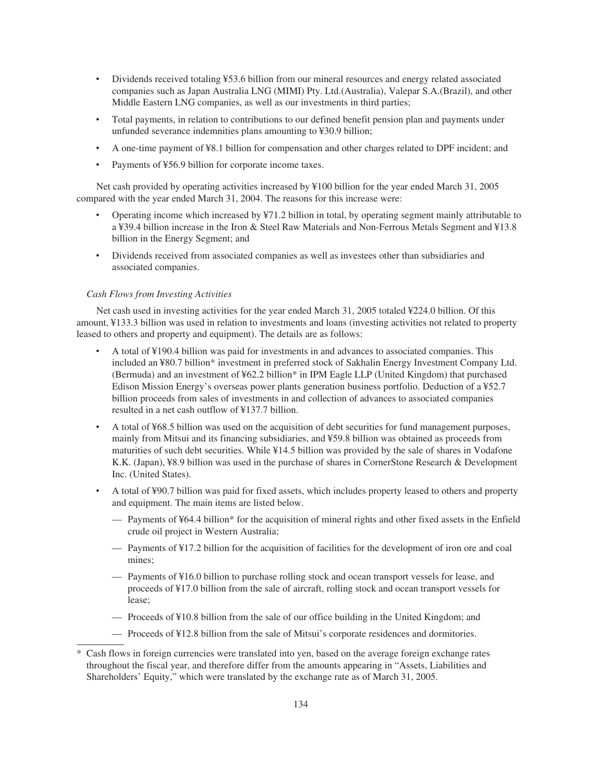- Dividends received totaling ¥53.6 billion from our mineral resources and energy related associated companies such as Japan Australia LNG (MIMI) Pty. Ltd.(Australia), Valepar S.A.(Brazil), and other Middle Eastern LNG companies, as well as our investments in third parties;
- ‰ Total payments, in relation to contributions to our defined benefit pension plan and payments under unfunded severance indemnities plans amounting to ¥30.9 billion;
- ‰ A one-time payment of ¥8.1 billion for compensation and other charges related to DPF incident; and
- Payments of ¥56.9 billion for corporate income taxes.

Net cash provided by operating activities increased by ¥100 billion for the year ended March 31, 2005 compared with the year ended March 31, 2004. The reasons for this increase were:

- ‰ Operating income which increased by ¥71.2 billion in total, by operating segment mainly attributable to a ¥39.4 billion increase in the Iron & Steel Raw Materials and Non-Ferrous Metals Segment and ¥13.8 billion in the Energy Segment; and
- ‰ Dividends received from associated companies as well as investees other than subsidiaries and associated companies.

# *Cash Flows from Investing Activities*

Net cash used in investing activities for the year ended March 31, 2005 totaled ¥224.0 billion. Of this amount, ¥133.3 billion was used in relation to investments and loans (investing activities not related to property leased to others and property and equipment). The details are as follows:

- ‰ A total of ¥190.4 billion was paid for investments in and advances to associated companies. This included an ¥80.7 billion\* investment in preferred stock of Sakhalin Energy Investment Company Ltd. (Bermuda) and an investment of ¥62.2 billion\* in IPM Eagle LLP (United Kingdom) that purchased Edison Mission Energy's overseas power plants generation business portfolio. Deduction of a ¥52.7 billion proceeds from sales of investments in and collection of advances to associated companies resulted in a net cash outflow of ¥137.7 billion.
- A total of ¥68.5 billion was used on the acquisition of debt securities for fund management purposes, mainly from Mitsui and its financing subsidiaries, and ¥59.8 billion was obtained as proceeds from maturities of such debt securities. While ¥14.5 billion was provided by the sale of shares in Vodafone K.K. (Japan), ¥8.9 billion was used in the purchase of shares in CornerStone Research & Development Inc. (United States).
- ‰ A total of ¥90.7 billion was paid for fixed assets, which includes property leased to others and property and equipment. The main items are listed below.
	- Payments of ¥64.4 billion\* for the acquisition of mineral rights and other fixed assets in the Enfield crude oil project in Western Australia;
	- Payments of ¥17.2 billion for the acquisition of facilities for the development of iron ore and coal mines;
	- Payments of ¥16.0 billion to purchase rolling stock and ocean transport vessels for lease, and proceeds of ¥17.0 billion from the sale of aircraft, rolling stock and ocean transport vessels for lease;
	- Proceeds of ¥10.8 billion from the sale of our office building in the United Kingdom; and
	- Proceeds of ¥12.8 billion from the sale of Mitsui's corporate residences and dormitories.

Cash flows in foreign currencies were translated into yen, based on the average foreign exchange rates throughout the fiscal year, and therefore differ from the amounts appearing in "Assets, Liabilities and Shareholders' Equity," which were translated by the exchange rate as of March 31, 2005.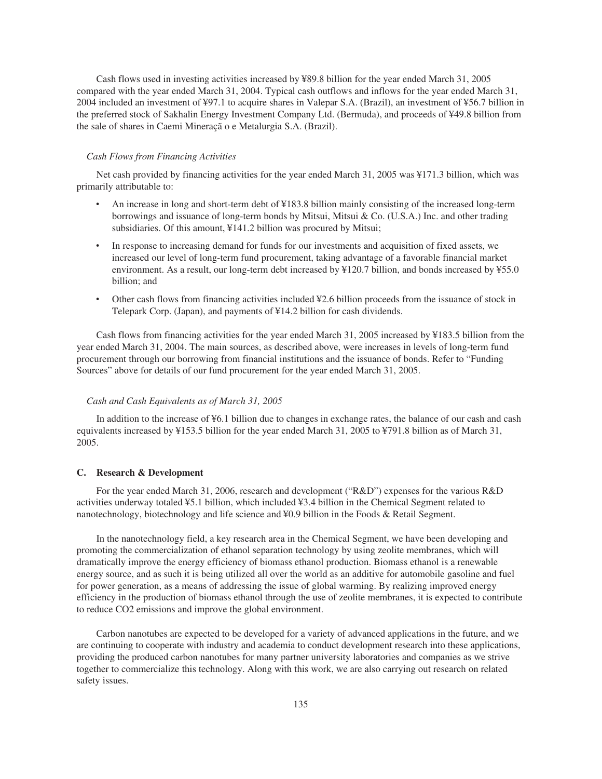Cash flows used in investing activities increased by ¥89.8 billion for the year ended March 31, 2005 compared with the year ended March 31, 2004. Typical cash outflows and inflows for the year ended March 31, 2004 included an investment of ¥97.1 to acquire shares in Valepar S.A. (Brazil), an investment of ¥56.7 billion in the preferred stock of Sakhalin Energy Investment Company Ltd. (Bermuda), and proceeds of ¥49.8 billion from the sale of shares in Caemi Mineraçã o e Metalurgia S.A. (Brazil).

# *Cash Flows from Financing Activities*

Net cash provided by financing activities for the year ended March 31, 2005 was ¥171.3 billion, which was primarily attributable to:

- An increase in long and short-term debt of ¥183.8 billion mainly consisting of the increased long-term borrowings and issuance of long-term bonds by Mitsui, Mitsui & Co. (U.S.A.) Inc. and other trading subsidiaries. Of this amount, ¥141.2 billion was procured by Mitsui;
- In response to increasing demand for funds for our investments and acquisition of fixed assets, we increased our level of long-term fund procurement, taking advantage of a favorable financial market environment. As a result, our long-term debt increased by ¥120.7 billion, and bonds increased by ¥55.0 billion; and
- Other cash flows from financing activities included ¥2.6 billion proceeds from the issuance of stock in Telepark Corp. (Japan), and payments of ¥14.2 billion for cash dividends.

Cash flows from financing activities for the year ended March 31, 2005 increased by ¥183.5 billion from the year ended March 31, 2004. The main sources, as described above, were increases in levels of long-term fund procurement through our borrowing from financial institutions and the issuance of bonds. Refer to "Funding Sources" above for details of our fund procurement for the year ended March 31, 2005.

# *Cash and Cash Equivalents as of March 31, 2005*

In addition to the increase of ¥6.1 billion due to changes in exchange rates, the balance of our cash and cash equivalents increased by ¥153.5 billion for the year ended March 31, 2005 to ¥791.8 billion as of March 31, 2005.

# **C. Research & Development**

For the year ended March 31, 2006, research and development ("R&D") expenses for the various R&D activities underway totaled ¥5.1 billion, which included ¥3.4 billion in the Chemical Segment related to nanotechnology, biotechnology and life science and ¥0.9 billion in the Foods & Retail Segment.

In the nanotechnology field, a key research area in the Chemical Segment, we have been developing and promoting the commercialization of ethanol separation technology by using zeolite membranes, which will dramatically improve the energy efficiency of biomass ethanol production. Biomass ethanol is a renewable energy source, and as such it is being utilized all over the world as an additive for automobile gasoline and fuel for power generation, as a means of addressing the issue of global warming. By realizing improved energy efficiency in the production of biomass ethanol through the use of zeolite membranes, it is expected to contribute to reduce CO2 emissions and improve the global environment.

Carbon nanotubes are expected to be developed for a variety of advanced applications in the future, and we are continuing to cooperate with industry and academia to conduct development research into these applications, providing the produced carbon nanotubes for many partner university laboratories and companies as we strive together to commercialize this technology. Along with this work, we are also carrying out research on related safety issues.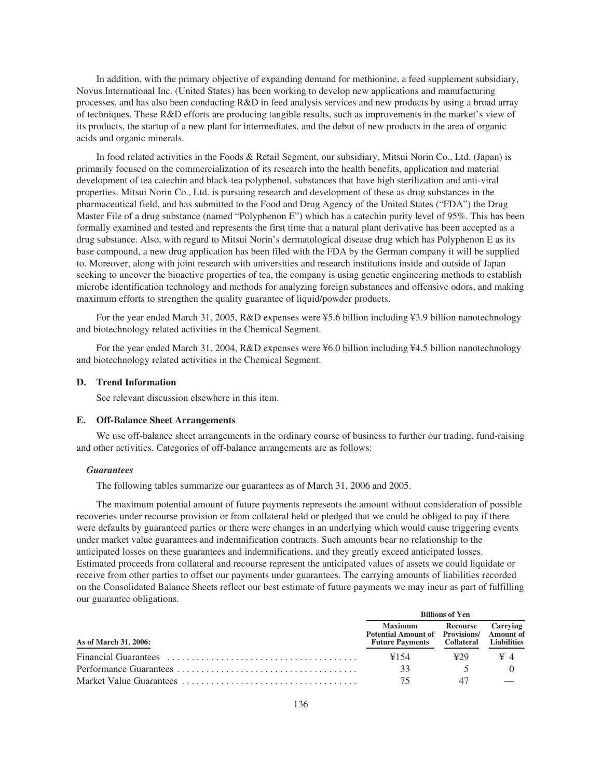In addition, with the primary objective of expanding demand for methionine, a feed supplement subsidiary, Novus International Inc. (United States) has been working to develop new applications and manufacturing processes, and has also been conducting R&D in feed analysis services and new products by using a broad array of techniques. These R&D efforts are producing tangible results, such as improvements in the market's view of its products, the startup of a new plant for intermediates, and the debut of new products in the area of organic acids and organic minerals.

In food related activities in the Foods & Retail Segment, our subsidiary, Mitsui Norin Co., Ltd. (Japan) is primarily focused on the commercialization of its research into the health benefits, application and material development of tea catechin and black-tea polyphenol, substances that have high sterilization and anti-viral properties. Mitsui Norin Co., Ltd. is pursuing research and development of these as drug substances in the pharmaceutical field, and has submitted to the Food and Drug Agency of the United States ("FDA") the Drug Master File of a drug substance (named "Polyphenon E") which has a catechin purity level of 95%. This has been formally examined and tested and represents the first time that a natural plant derivative has been accepted as a drug substance. Also, with regard to Mitsui Norin's dermatological disease drug which has Polyphenon E as its base compound, a new drug application has been filed with the FDA by the German company it will be supplied to. Moreover, along with joint research with universities and research institutions inside and outside of Japan seeking to uncover the bioactive properties of tea, the company is using genetic engineering methods to establish microbe identification technology and methods for analyzing foreign substances and offensive odors, and making maximum efforts to strengthen the quality guarantee of liquid/powder products.

For the year ended March 31, 2005, R&D expenses were ¥5.6 billion including ¥3.9 billion nanotechnology and biotechnology related activities in the Chemical Segment.

For the year ended March 31, 2004, R&D expenses were ¥6.0 billion including ¥4.5 billion nanotechnology and biotechnology related activities in the Chemical Segment.

# **D. Trend Information**

See relevant discussion elsewhere in this item.

# **E. Off-Balance Sheet Arrangements**

We use off-balance sheet arrangements in the ordinary course of business to further our trading, fund-raising and other activities. Categories of off-balance arrangements are as follows:

# *Guarantees*

The following tables summarize our guarantees as of March 31, 2006 and 2005.

The maximum potential amount of future payments represents the amount without consideration of possible recoveries under recourse provision or from collateral held or pledged that we could be obliged to pay if there were defaults by guaranteed parties or there were changes in an underlying which would cause triggering events under market value guarantees and indemnification contracts. Such amounts bear no relationship to the anticipated losses on these guarantees and indemnifications, and they greatly exceed anticipated losses. Estimated proceeds from collateral and recourse represent the anticipated values of assets we could liquidate or receive from other parties to offset our payments under guarantees. The carrying amounts of liabilities recorded on the Consolidated Balance Sheets reflect our best estimate of future payments we may incur as part of fulfilling our guarantee obligations.

|                       |                                                                                       | <b>Billions of Yen</b>             |          |
|-----------------------|---------------------------------------------------------------------------------------|------------------------------------|----------|
| As of March 31, 2006: | <b>Maximum</b><br>Potential Amount of Provisions/ Amount of<br><b>Future Payments</b> | Recourse<br>Collateral Liabilities | Carrying |
|                       | ¥154                                                                                  | 429                                | ¥4       |
|                       | 33                                                                                    |                                    |          |
|                       | 75                                                                                    | 47                                 |          |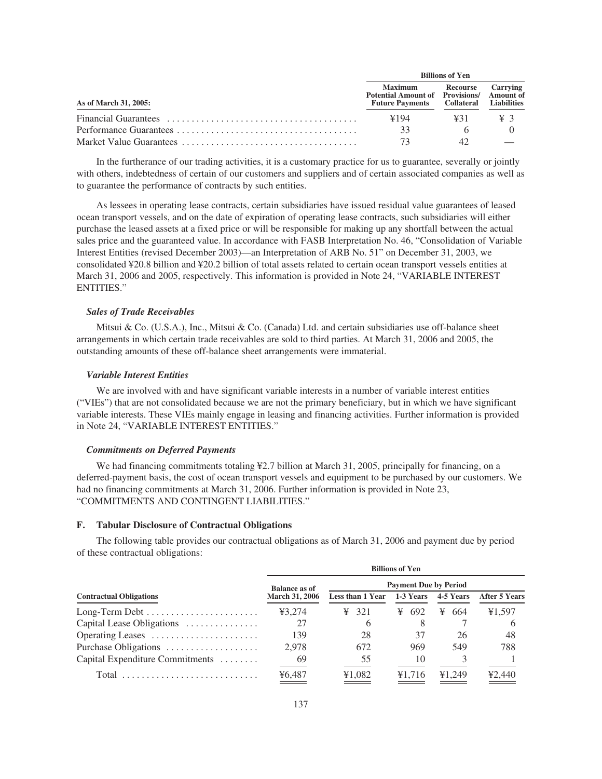|                       |                                                                                       | <b>Billions of Yen</b>                    |          |  |  |  |
|-----------------------|---------------------------------------------------------------------------------------|-------------------------------------------|----------|--|--|--|
| As of March 31, 2005: | <b>Maximum</b><br>Potential Amount of Provisions/ Amount of<br><b>Future Payments</b> | Recourse<br><b>Collateral</b> Liabilities | Carrying |  |  |  |
|                       | ¥194                                                                                  | 431                                       | ¥3       |  |  |  |
|                       | 33                                                                                    |                                           |          |  |  |  |
|                       | 73                                                                                    | 42                                        |          |  |  |  |

In the furtherance of our trading activities, it is a customary practice for us to guarantee, severally or jointly with others, indebtedness of certain of our customers and suppliers and of certain associated companies as well as to guarantee the performance of contracts by such entities.

As lessees in operating lease contracts, certain subsidiaries have issued residual value guarantees of leased ocean transport vessels, and on the date of expiration of operating lease contracts, such subsidiaries will either purchase the leased assets at a fixed price or will be responsible for making up any shortfall between the actual sales price and the guaranteed value. In accordance with FASB Interpretation No. 46, "Consolidation of Variable Interest Entities (revised December 2003)—an Interpretation of ARB No. 51" on December 31, 2003, we consolidated ¥20.8 billion and ¥20.2 billion of total assets related to certain ocean transport vessels entities at March 31, 2006 and 2005, respectively. This information is provided in Note 24, "VARIABLE INTEREST ENTITIES."

# *Sales of Trade Receivables*

Mitsui & Co. (U.S.A.), Inc., Mitsui & Co. (Canada) Ltd. and certain subsidiaries use off-balance sheet arrangements in which certain trade receivables are sold to third parties. At March 31, 2006 and 2005, the outstanding amounts of these off-balance sheet arrangements were immaterial.

#### *Variable Interest Entities*

We are involved with and have significant variable interests in a number of variable interest entities ("VIEs") that are not consolidated because we are not the primary beneficiary, but in which we have significant variable interests. These VIEs mainly engage in leasing and financing activities. Further information is provided in Note 24, "VARIABLE INTEREST ENTITIES."

### *Commitments on Deferred Payments*

We had financing commitments totaling ¥2.7 billion at March 31, 2005, principally for financing, on a deferred-payment basis, the cost of ocean transport vessels and equipment to be purchased by our customers. We had no financing commitments at March 31, 2006. Further information is provided in Note 23, "COMMITMENTS AND CONTINGENT LIABILITIES."

# **F. Tabular Disclosure of Contractual Obligations**

The following table provides our contractual obligations as of March 31, 2006 and payment due by period of these contractual obligations:

|                                 |                       |                   | <b>Billions of Yen</b>       |           |                      |
|---------------------------------|-----------------------|-------------------|------------------------------|-----------|----------------------|
|                                 | <b>Balance as of</b>  |                   | <b>Payment Due by Period</b> |           |                      |
| <b>Contractual Obligations</b>  | <b>March 31, 2006</b> | Less than 1 Year  | 1-3 Years                    | 4-5 Years | <b>After 5 Years</b> |
|                                 | ¥3.274                | $\frac{1}{2}$ 321 | ¥ 692                        | ¥ 664     | ¥1,597               |
| Capital Lease Obligations       | 27                    | $\mathfrak b$     | 8                            |           | $\sigma$             |
| Operating Leases                | 139                   | 28                | 37                           | 26        | 48                   |
| Purchase Obligations            | 2.978                 | 672               | 969                          | 549       | 788                  |
| Capital Expenditure Commitments | - 69                  | 55                | 10                           |           |                      |
| $Total$                         | ¥6.487                | ¥1.082            | ¥1.716                       | ¥1,249    | ¥2.440               |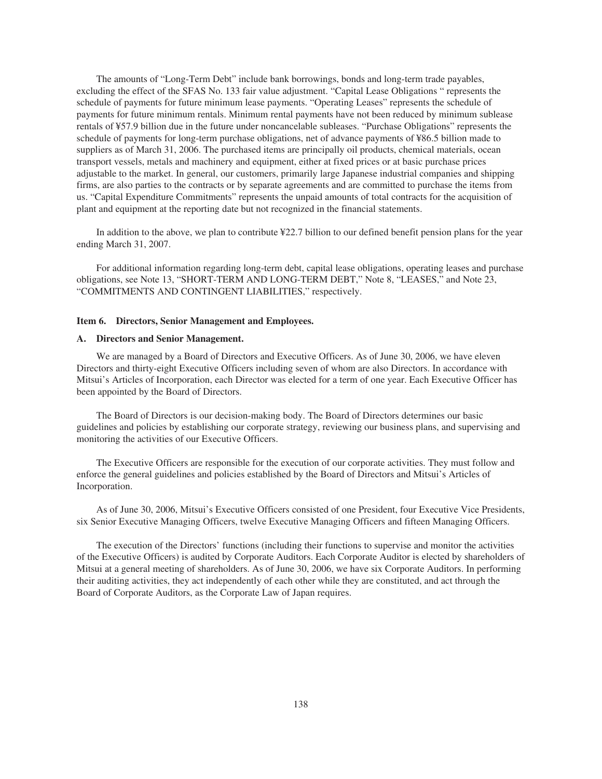The amounts of "Long-Term Debt" include bank borrowings, bonds and long-term trade payables, excluding the effect of the SFAS No. 133 fair value adjustment. "Capital Lease Obligations " represents the schedule of payments for future minimum lease payments. "Operating Leases" represents the schedule of payments for future minimum rentals. Minimum rental payments have not been reduced by minimum sublease rentals of ¥57.9 billion due in the future under noncancelable subleases. "Purchase Obligations" represents the schedule of payments for long-term purchase obligations, net of advance payments of ¥86.5 billion made to suppliers as of March 31, 2006. The purchased items are principally oil products, chemical materials, ocean transport vessels, metals and machinery and equipment, either at fixed prices or at basic purchase prices adjustable to the market. In general, our customers, primarily large Japanese industrial companies and shipping firms, are also parties to the contracts or by separate agreements and are committed to purchase the items from us. "Capital Expenditure Commitments" represents the unpaid amounts of total contracts for the acquisition of plant and equipment at the reporting date but not recognized in the financial statements.

In addition to the above, we plan to contribute ¥22.7 billion to our defined benefit pension plans for the year ending March 31, 2007.

For additional information regarding long-term debt, capital lease obligations, operating leases and purchase obligations, see Note 13, "SHORT-TERM AND LONG-TERM DEBT," Note 8, "LEASES," and Note 23, "COMMITMENTS AND CONTINGENT LIABILITIES," respectively.

#### **Item 6. Directors, Senior Management and Employees.**

# **A. Directors and Senior Management.**

We are managed by a Board of Directors and Executive Officers. As of June 30, 2006, we have eleven Directors and thirty-eight Executive Officers including seven of whom are also Directors. In accordance with Mitsui's Articles of Incorporation, each Director was elected for a term of one year. Each Executive Officer has been appointed by the Board of Directors.

The Board of Directors is our decision-making body. The Board of Directors determines our basic guidelines and policies by establishing our corporate strategy, reviewing our business plans, and supervising and monitoring the activities of our Executive Officers.

The Executive Officers are responsible for the execution of our corporate activities. They must follow and enforce the general guidelines and policies established by the Board of Directors and Mitsui's Articles of Incorporation.

As of June 30, 2006, Mitsui's Executive Officers consisted of one President, four Executive Vice Presidents, six Senior Executive Managing Officers, twelve Executive Managing Officers and fifteen Managing Officers.

The execution of the Directors' functions (including their functions to supervise and monitor the activities of the Executive Officers) is audited by Corporate Auditors. Each Corporate Auditor is elected by shareholders of Mitsui at a general meeting of shareholders. As of June 30, 2006, we have six Corporate Auditors. In performing their auditing activities, they act independently of each other while they are constituted, and act through the Board of Corporate Auditors, as the Corporate Law of Japan requires.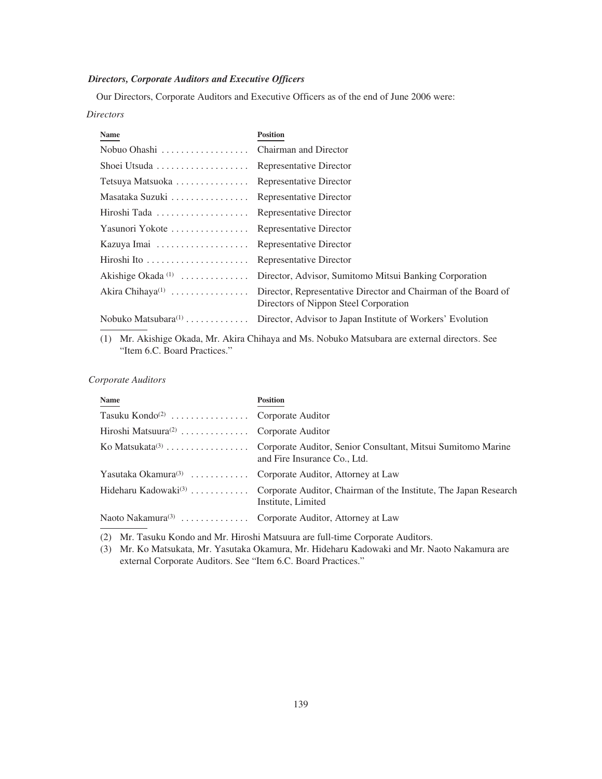# *Directors, Corporate Auditors and Executive Officers*

Our Directors, Corporate Auditors and Executive Officers as of the end of June 2006 were:

# *Directors*

| Name                                                   | <b>Position</b>                                                                                         |
|--------------------------------------------------------|---------------------------------------------------------------------------------------------------------|
|                                                        |                                                                                                         |
| Shoei Utsuda $\ldots \ldots \ldots \ldots \ldots$      | Representative Director                                                                                 |
| Tetsuya Matsuoka                                       | Representative Director                                                                                 |
| Masataka Suzuki                                        | Representative Director                                                                                 |
| Hiroshi Tada                                           | Representative Director                                                                                 |
| Yasunori Yokote                                        | Representative Director                                                                                 |
|                                                        | Representative Director                                                                                 |
| Hiroshi Ito $\dots\dots\dots\dots\dots\dots\dots\dots$ | Representative Director                                                                                 |
| Akishige Okada $(1)$                                   | Director, Advisor, Sumitomo Mitsui Banking Corporation                                                  |
| Akira Chihaya <sup><math>(1)</math></sup>              | Director, Representative Director and Chairman of the Board of<br>Directors of Nippon Steel Corporation |
| Nobuko Matsubara $^{(1)}$                              | Director, Advisor to Japan Institute of Workers' Evolution                                              |

(1) Mr. Akishige Okada, Mr. Akira Chihaya and Ms. Nobuko Matsubara are external directors. See "Item 6.C. Board Practices."

# *Corporate Auditors*

| Name                                                               | <b>Position</b>                                                                                                         |
|--------------------------------------------------------------------|-------------------------------------------------------------------------------------------------------------------------|
| Tasuku Kondo <sup>(2)</sup> Corporate Auditor                      |                                                                                                                         |
| Hiroshi Matsuura <sup>(2)</sup> Corporate Auditor                  |                                                                                                                         |
|                                                                    | and Fire Insurance Co., Ltd.                                                                                            |
| Yasutaka Okamura <sup>(3)</sup> Corporate Auditor, Attorney at Law |                                                                                                                         |
|                                                                    | Hideharu Kadowaki <sup>(3)</sup> Corporate Auditor, Chairman of the Institute, The Japan Research<br>Institute, Limited |
| Naoto Nakamura <sup>(3)</sup> Corporate Auditor, Attorney at Law   |                                                                                                                         |

(2) Mr. Tasuku Kondo and Mr. Hiroshi Matsuura are full-time Corporate Auditors.

(3) Mr. Ko Matsukata, Mr. Yasutaka Okamura, Mr. Hideharu Kadowaki and Mr. Naoto Nakamura are external Corporate Auditors. See "Item 6.C. Board Practices."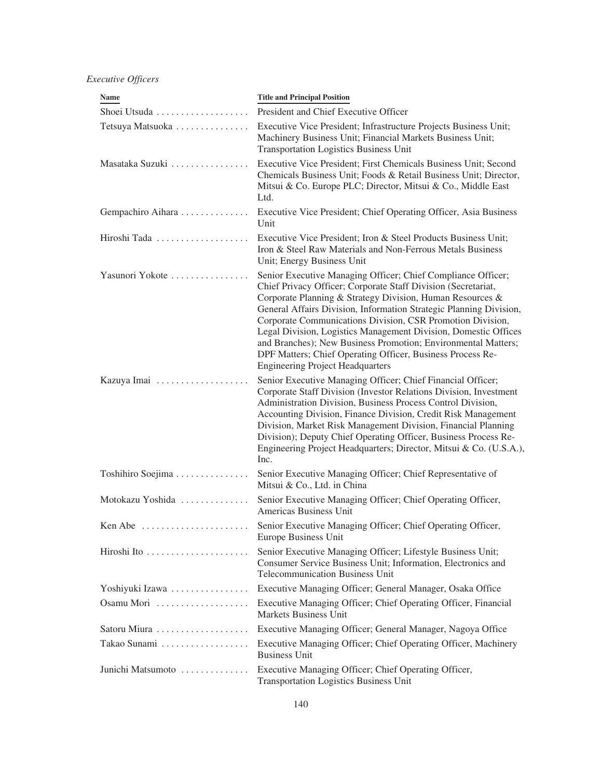*Executive Officers*

| <b>Name</b>       | <b>Title and Principal Position</b>                                                                                                                                                                                                                                                                                                                                                                                                                                                                                                                                         |
|-------------------|-----------------------------------------------------------------------------------------------------------------------------------------------------------------------------------------------------------------------------------------------------------------------------------------------------------------------------------------------------------------------------------------------------------------------------------------------------------------------------------------------------------------------------------------------------------------------------|
| Shoei Utsuda      | President and Chief Executive Officer                                                                                                                                                                                                                                                                                                                                                                                                                                                                                                                                       |
| Tetsuya Matsuoka  | Executive Vice President; Infrastructure Projects Business Unit;<br>Machinery Business Unit; Financial Markets Business Unit;<br><b>Transportation Logistics Business Unit</b>                                                                                                                                                                                                                                                                                                                                                                                              |
| Masataka Suzuki   | Executive Vice President; First Chemicals Business Unit; Second<br>Chemicals Business Unit; Foods & Retail Business Unit; Director,<br>Mitsui & Co. Europe PLC; Director, Mitsui & Co., Middle East<br>Ltd.                                                                                                                                                                                                                                                                                                                                                                 |
| Gempachiro Aihara | Executive Vice President; Chief Operating Officer, Asia Business<br>Unit                                                                                                                                                                                                                                                                                                                                                                                                                                                                                                    |
| Hiroshi Tada      | Executive Vice President; Iron & Steel Products Business Unit;<br>Iron & Steel Raw Materials and Non-Ferrous Metals Business<br>Unit; Energy Business Unit                                                                                                                                                                                                                                                                                                                                                                                                                  |
| Yasunori Yokote   | Senior Executive Managing Officer; Chief Compliance Officer;<br>Chief Privacy Officer; Corporate Staff Division (Secretariat,<br>Corporate Planning & Strategy Division, Human Resources &<br>General Affairs Division, Information Strategic Planning Division,<br>Corporate Communications Division, CSR Promotion Division,<br>Legal Division, Logistics Management Division, Domestic Offices<br>and Branches); New Business Promotion; Environmental Matters;<br>DPF Matters; Chief Operating Officer, Business Process Re-<br><b>Engineering Project Headquarters</b> |
|                   | Senior Executive Managing Officer; Chief Financial Officer;<br>Corporate Staff Division (Investor Relations Division, Investment<br>Administration Division, Business Process Control Division,<br>Accounting Division, Finance Division, Credit Risk Management<br>Division, Market Risk Management Division, Financial Planning<br>Division); Deputy Chief Operating Officer, Business Process Re-<br>Engineering Project Headquarters; Director, Mitsui & Co. (U.S.A.),<br>Inc.                                                                                          |
| Toshihiro Soejima | Senior Executive Managing Officer; Chief Representative of<br>Mitsui & Co., Ltd. in China                                                                                                                                                                                                                                                                                                                                                                                                                                                                                   |
| Motokazu Yoshida  | Senior Executive Managing Officer; Chief Operating Officer,<br>Americas Business Unit                                                                                                                                                                                                                                                                                                                                                                                                                                                                                       |
| Ken Abe           | Senior Executive Managing Officer; Chief Operating Officer,<br>Europe Business Unit                                                                                                                                                                                                                                                                                                                                                                                                                                                                                         |
|                   | Senior Executive Managing Officer; Lifestyle Business Unit;<br>Consumer Service Business Unit; Information, Electronics and<br><b>Telecommunication Business Unit</b>                                                                                                                                                                                                                                                                                                                                                                                                       |
| Yoshiyuki Izawa   | Executive Managing Officer; General Manager, Osaka Office                                                                                                                                                                                                                                                                                                                                                                                                                                                                                                                   |
| Osamu Mori        | Executive Managing Officer; Chief Operating Officer, Financial<br>Markets Business Unit                                                                                                                                                                                                                                                                                                                                                                                                                                                                                     |
| Satoru Miura      | Executive Managing Officer; General Manager, Nagoya Office                                                                                                                                                                                                                                                                                                                                                                                                                                                                                                                  |
| Takao Sunami      | Executive Managing Officer; Chief Operating Officer, Machinery<br><b>Business Unit</b>                                                                                                                                                                                                                                                                                                                                                                                                                                                                                      |
| Junichi Matsumoto | Executive Managing Officer; Chief Operating Officer,<br><b>Transportation Logistics Business Unit</b>                                                                                                                                                                                                                                                                                                                                                                                                                                                                       |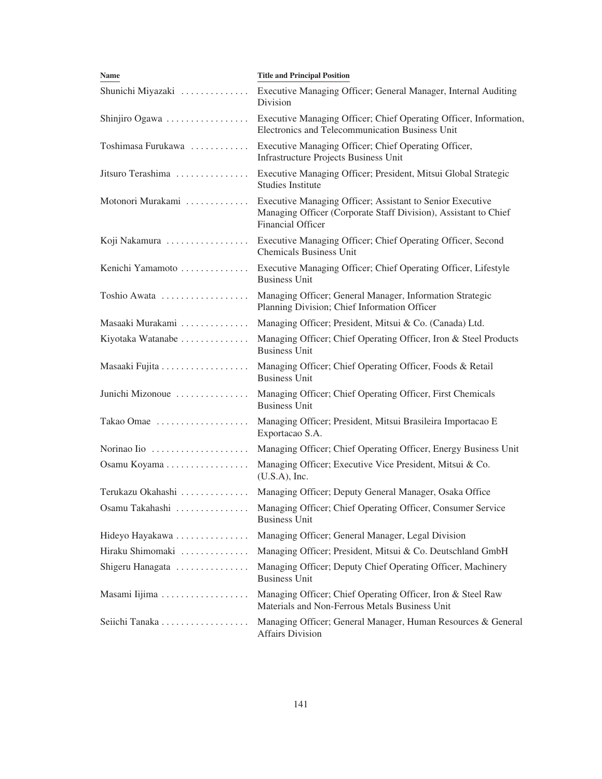| <b>Name</b>        | <b>Title and Principal Position</b>                                                                                                                      |
|--------------------|----------------------------------------------------------------------------------------------------------------------------------------------------------|
| Shunichi Miyazaki  | Executive Managing Officer; General Manager, Internal Auditing<br>Division                                                                               |
| Shinjiro Ogawa     | Executive Managing Officer; Chief Operating Officer, Information,<br>Electronics and Telecommunication Business Unit                                     |
| Toshimasa Furukawa | Executive Managing Officer; Chief Operating Officer,<br><b>Infrastructure Projects Business Unit</b>                                                     |
| Jitsuro Terashima  | Executive Managing Officer; President, Mitsui Global Strategic<br><b>Studies Institute</b>                                                               |
| Motonori Murakami  | Executive Managing Officer; Assistant to Senior Executive<br>Managing Officer (Corporate Staff Division), Assistant to Chief<br><b>Financial Officer</b> |
| Koji Nakamura      | Executive Managing Officer; Chief Operating Officer, Second<br><b>Chemicals Business Unit</b>                                                            |
| Kenichi Yamamoto   | Executive Managing Officer; Chief Operating Officer, Lifestyle<br><b>Business Unit</b>                                                                   |
| Toshio Awata       | Managing Officer; General Manager, Information Strategic<br>Planning Division; Chief Information Officer                                                 |
| Masaaki Murakami   | Managing Officer; President, Mitsui & Co. (Canada) Ltd.                                                                                                  |
| Kiyotaka Watanabe  | Managing Officer; Chief Operating Officer, Iron & Steel Products<br><b>Business Unit</b>                                                                 |
| Masaaki Fujita     | Managing Officer; Chief Operating Officer, Foods & Retail<br><b>Business Unit</b>                                                                        |
| Junichi Mizonoue   | Managing Officer; Chief Operating Officer, First Chemicals<br><b>Business Unit</b>                                                                       |
| Takao Omae         | Managing Officer; President, Mitsui Brasileira Importacao E<br>Exportacao S.A.                                                                           |
| Norinao Iio        | Managing Officer; Chief Operating Officer, Energy Business Unit                                                                                          |
| Osamu Koyama       | Managing Officer; Executive Vice President, Mitsui & Co.<br>$(U.S.A)$ , Inc.                                                                             |
| Terukazu Okahashi  | Managing Officer; Deputy General Manager, Osaka Office                                                                                                   |
| Osamu Takahashi    | Managing Officer; Chief Operating Officer, Consumer Service<br><b>Business Unit</b>                                                                      |
| Hideyo Hayakawa    | Managing Officer; General Manager, Legal Division                                                                                                        |
| Hiraku Shimomaki   | Managing Officer; President, Mitsui & Co. Deutschland GmbH                                                                                               |
| Shigeru Hanagata   | Managing Officer; Deputy Chief Operating Officer, Machinery<br><b>Business Unit</b>                                                                      |
| Masami Iijima      | Managing Officer; Chief Operating Officer, Iron & Steel Raw<br>Materials and Non-Ferrous Metals Business Unit                                            |
| Seiichi Tanaka     | Managing Officer; General Manager, Human Resources & General<br><b>Affairs Division</b>                                                                  |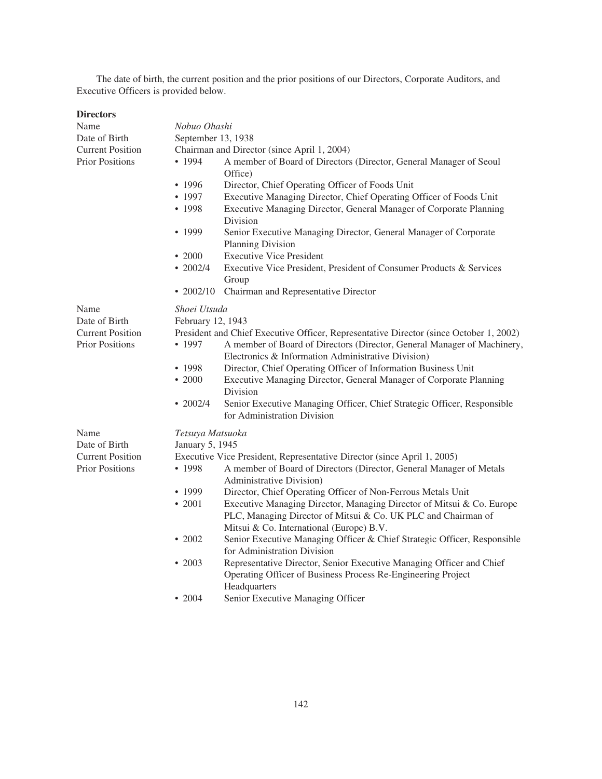The date of birth, the current position and the prior positions of our Directors, Corporate Auditors, and Executive Officers is provided below.

| <b>Directors</b>        |                                             |                                                                                                                                                                                    |  |
|-------------------------|---------------------------------------------|------------------------------------------------------------------------------------------------------------------------------------------------------------------------------------|--|
| Name                    | Nobuo Ohashi                                |                                                                                                                                                                                    |  |
| Date of Birth           | September 13, 1938                          |                                                                                                                                                                                    |  |
| <b>Current Position</b> | Chairman and Director (since April 1, 2004) |                                                                                                                                                                                    |  |
| <b>Prior Positions</b>  | • 1994                                      | A member of Board of Directors (Director, General Manager of Seoul<br>Office)                                                                                                      |  |
|                         | $\cdot$ 1996                                | Director, Chief Operating Officer of Foods Unit                                                                                                                                    |  |
|                         | • 1997<br>• $1998$                          | Executive Managing Director, Chief Operating Officer of Foods Unit<br>Executive Managing Director, General Manager of Corporate Planning<br>Division                               |  |
|                         | • 1999                                      | Senior Executive Managing Director, General Manager of Corporate<br>Planning Division                                                                                              |  |
|                         | $\cdot\ 2000$                               | <b>Executive Vice President</b>                                                                                                                                                    |  |
|                         | $\cdot 2002/4$                              | Executive Vice President, President of Consumer Products & Services<br>Group                                                                                                       |  |
|                         | $\cdot$ 2002/10                             | Chairman and Representative Director                                                                                                                                               |  |
| Name<br>Date of Birth   | Shoei Utsuda<br>February 12, 1943           |                                                                                                                                                                                    |  |
| <b>Current Position</b> |                                             | President and Chief Executive Officer, Representative Director (since October 1, 2002)                                                                                             |  |
| <b>Prior Positions</b>  | • 1997                                      | A member of Board of Directors (Director, General Manager of Machinery,<br>Electronics & Information Administrative Division)                                                      |  |
|                         | • 1998                                      | Director, Chief Operating Officer of Information Business Unit                                                                                                                     |  |
|                         | $\cdot$ 2000                                | Executive Managing Director, General Manager of Corporate Planning<br>Division                                                                                                     |  |
|                         | $\cdot 2002/4$                              | Senior Executive Managing Officer, Chief Strategic Officer, Responsible<br>for Administration Division                                                                             |  |
| Name<br>Date of Birth   | Tetsuya Matsuoka<br>January 5, 1945         |                                                                                                                                                                                    |  |
| <b>Current Position</b> |                                             | Executive Vice President, Representative Director (since April 1, 2005)                                                                                                            |  |
| <b>Prior Positions</b>  | • 1998                                      | A member of Board of Directors (Director, General Manager of Metals<br>Administrative Division)                                                                                    |  |
|                         | • 1999                                      | Director, Chief Operating Officer of Non-Ferrous Metals Unit                                                                                                                       |  |
|                         | • 2001                                      | Executive Managing Director, Managing Director of Mitsui & Co. Europe<br>PLC, Managing Director of Mitsui & Co. UK PLC and Chairman of<br>Mitsui & Co. International (Europe) B.V. |  |
|                         | $\cdot$ 2002                                | Senior Executive Managing Officer & Chief Strategic Officer, Responsible<br>for Administration Division                                                                            |  |
|                         | $\cdot$ 2003                                | Representative Director, Senior Executive Managing Officer and Chief<br>Operating Officer of Business Process Re-Engineering Project                                               |  |
|                         | $\cdot$ 2004                                | Headquarters<br>Senior Executive Managing Officer                                                                                                                                  |  |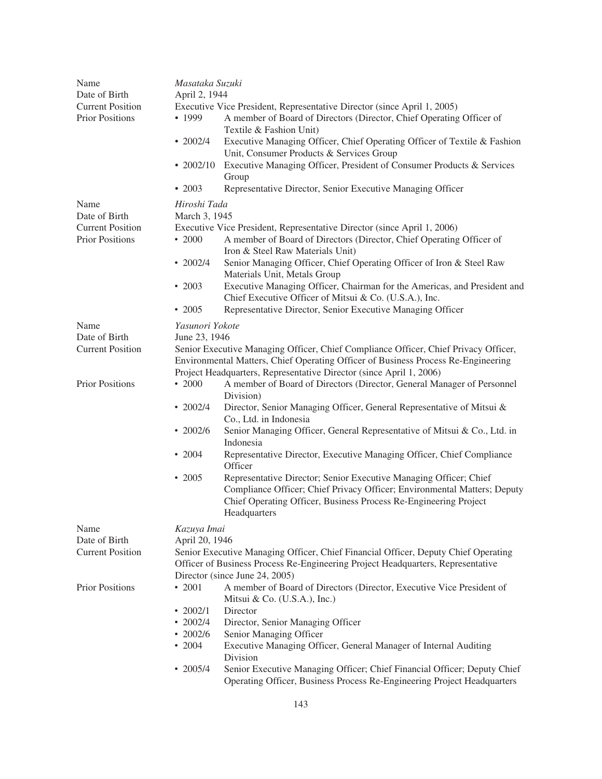| Name<br>Date of Birth   |                                                                                 | Masataka Suzuki<br>April 2, 1944                                                                                                                             |  |  |
|-------------------------|---------------------------------------------------------------------------------|--------------------------------------------------------------------------------------------------------------------------------------------------------------|--|--|
| <b>Current Position</b> | Executive Vice President, Representative Director (since April 1, 2005)         |                                                                                                                                                              |  |  |
| <b>Prior Positions</b>  | • 1999                                                                          | A member of Board of Directors (Director, Chief Operating Officer of<br>Textile & Fashion Unit)                                                              |  |  |
|                         | $\cdot$ 2002/4                                                                  | Executive Managing Officer, Chief Operating Officer of Textile & Fashion<br>Unit, Consumer Products & Services Group                                         |  |  |
|                         | $\cdot$ 2002/10                                                                 | Executive Managing Officer, President of Consumer Products & Services<br>Group                                                                               |  |  |
|                         | • 2003                                                                          | Representative Director, Senior Executive Managing Officer                                                                                                   |  |  |
| Name                    | Hiroshi Tada                                                                    |                                                                                                                                                              |  |  |
| Date of Birth           | March 3, 1945                                                                   |                                                                                                                                                              |  |  |
| <b>Current Position</b> |                                                                                 | Executive Vice President, Representative Director (since April 1, 2006)                                                                                      |  |  |
| <b>Prior Positions</b>  | $\cdot$ 2000                                                                    | A member of Board of Directors (Director, Chief Operating Officer of<br>Iron & Steel Raw Materials Unit)                                                     |  |  |
|                         | $\cdot$ 2002/4                                                                  | Senior Managing Officer, Chief Operating Officer of Iron & Steel Raw<br>Materials Unit, Metals Group                                                         |  |  |
|                         | $\cdot$ 2003                                                                    | Executive Managing Officer, Chairman for the Americas, and President and<br>Chief Executive Officer of Mitsui & Co. (U.S.A.), Inc.                           |  |  |
|                         | $\cdot$ 2005                                                                    | Representative Director, Senior Executive Managing Officer                                                                                                   |  |  |
| Name                    | Yasunori Yokote                                                                 |                                                                                                                                                              |  |  |
| Date of Birth           | June 23, 1946                                                                   |                                                                                                                                                              |  |  |
| <b>Current Position</b> |                                                                                 | Senior Executive Managing Officer, Chief Compliance Officer, Chief Privacy Officer,                                                                          |  |  |
|                         |                                                                                 | Environmental Matters, Chief Operating Officer of Business Process Re-Engineering                                                                            |  |  |
|                         |                                                                                 | Project Headquarters, Representative Director (since April 1, 2006)                                                                                          |  |  |
| <b>Prior Positions</b>  | $\cdot$ 2000                                                                    | A member of Board of Directors (Director, General Manager of Personnel<br>Division)                                                                          |  |  |
|                         | $\cdot$ 2002/4                                                                  | Director, Senior Managing Officer, General Representative of Mitsui &<br>Co., Ltd. in Indonesia                                                              |  |  |
|                         | $\cdot$ 2002/6                                                                  | Senior Managing Officer, General Representative of Mitsui & Co., Ltd. in<br>Indonesia                                                                        |  |  |
|                         | $\cdot 2004$                                                                    | Representative Director, Executive Managing Officer, Chief Compliance<br>Officer                                                                             |  |  |
|                         | $\cdot$ 2005                                                                    | Representative Director; Senior Executive Managing Officer; Chief                                                                                            |  |  |
|                         |                                                                                 | Compliance Officer; Chief Privacy Officer; Environmental Matters; Deputy<br>Chief Operating Officer, Business Process Re-Engineering Project<br>Headquarters |  |  |
| Name                    | Kazuya Imai                                                                     |                                                                                                                                                              |  |  |
| Date of Birth           | April 20, 1946                                                                  |                                                                                                                                                              |  |  |
| <b>Current Position</b> |                                                                                 | Senior Executive Managing Officer, Chief Financial Officer, Deputy Chief Operating                                                                           |  |  |
|                         | Officer of Business Process Re-Engineering Project Headquarters, Representative |                                                                                                                                                              |  |  |
|                         | Director (since June 24, 2005)                                                  |                                                                                                                                                              |  |  |
| <b>Prior Positions</b>  | $\cdot$ 2001                                                                    | A member of Board of Directors (Director, Executive Vice President of<br>Mitsui & Co. (U.S.A.), Inc.)                                                        |  |  |
|                         | • $2002/1$                                                                      | Director                                                                                                                                                     |  |  |
|                         | $\cdot$ 2002/4                                                                  | Director, Senior Managing Officer                                                                                                                            |  |  |
|                         | $\cdot$ 2002/6                                                                  | Senior Managing Officer                                                                                                                                      |  |  |
|                         | $\cdot$ 2004                                                                    | Executive Managing Officer, General Manager of Internal Auditing<br>Division                                                                                 |  |  |
|                         | $\cdot$ 2005/4                                                                  | Senior Executive Managing Officer; Chief Financial Officer; Deputy Chief<br>Operating Officer, Business Process Re-Engineering Project Headquarters          |  |  |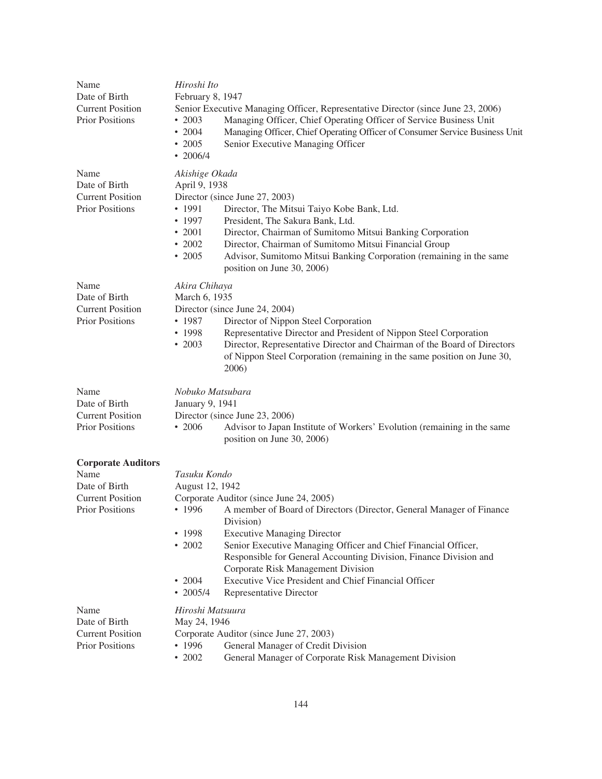| Name<br>Date of Birth<br><b>Current Position</b><br><b>Prior Positions</b>                              | Hiroshi Ito<br>February 8, 1947<br>$\cdot$ 2003<br>$\cdot$ 2004<br>$\cdot$ 2005<br>$\cdot$ 2006/4                                                                                              | Senior Executive Managing Officer, Representative Director (since June 23, 2006)<br>Managing Officer, Chief Operating Officer of Service Business Unit<br>Managing Officer, Chief Operating Officer of Consumer Service Business Unit<br>Senior Executive Managing Officer                                                                                                                                                         |
|---------------------------------------------------------------------------------------------------------|------------------------------------------------------------------------------------------------------------------------------------------------------------------------------------------------|------------------------------------------------------------------------------------------------------------------------------------------------------------------------------------------------------------------------------------------------------------------------------------------------------------------------------------------------------------------------------------------------------------------------------------|
| Name<br>Date of Birth<br><b>Current Position</b><br><b>Prior Positions</b>                              | Akishige Okada<br>April 9, 1938<br>• 1991<br>• 1997<br>$\cdot$ 2001<br>$\cdot$ 2002<br>$\cdot$ 2005                                                                                            | Director (since June 27, 2003)<br>Director, The Mitsui Taiyo Kobe Bank, Ltd.<br>President, The Sakura Bank, Ltd.<br>Director, Chairman of Sumitomo Mitsui Banking Corporation<br>Director, Chairman of Sumitomo Mitsui Financial Group<br>Advisor, Sumitomo Mitsui Banking Corporation (remaining in the same<br>position on June 30, 2006)                                                                                        |
| Name<br>Date of Birth<br><b>Current Position</b><br><b>Prior Positions</b>                              | Akira Chihaya<br>March 6, 1935<br>• 1987<br>• 1998<br>$\cdot$ 2003                                                                                                                             | Director (since June 24, 2004)<br>Director of Nippon Steel Corporation<br>Representative Director and President of Nippon Steel Corporation<br>Director, Representative Director and Chairman of the Board of Directors<br>of Nippon Steel Corporation (remaining in the same position on June 30,<br>2006)                                                                                                                        |
| Name<br>Date of Birth<br><b>Current Position</b><br><b>Prior Positions</b>                              | Nobuko Matsubara<br>January 9, 1941<br>Director (since June 23, 2006)<br>Advisor to Japan Institute of Workers' Evolution (remaining in the same<br>$\cdot$ 2006<br>position on June 30, 2006) |                                                                                                                                                                                                                                                                                                                                                                                                                                    |
| <b>Corporate Auditors</b><br>Name<br>Date of Birth<br><b>Current Position</b><br><b>Prior Positions</b> | Tasuku Kondo<br>August 12, 1942<br>• 1996<br>• 1998<br>$\cdot$ 2002<br>$\cdot$ 2004<br>$\cdot$ 2005/4                                                                                          | Corporate Auditor (since June 24, 2005)<br>A member of Board of Directors (Director, General Manager of Finance<br>Division)<br><b>Executive Managing Director</b><br>Senior Executive Managing Officer and Chief Financial Officer,<br>Responsible for General Accounting Division, Finance Division and<br>Corporate Risk Management Division<br>Executive Vice President and Chief Financial Officer<br>Representative Director |
| Name<br>Date of Birth<br><b>Current Position</b><br><b>Prior Positions</b>                              | Hiroshi Matsuura<br>May 24, 1946<br>• 1996<br>$\cdot$ 2002                                                                                                                                     | Corporate Auditor (since June 27, 2003)<br>General Manager of Credit Division<br>General Manager of Corporate Risk Management Division                                                                                                                                                                                                                                                                                             |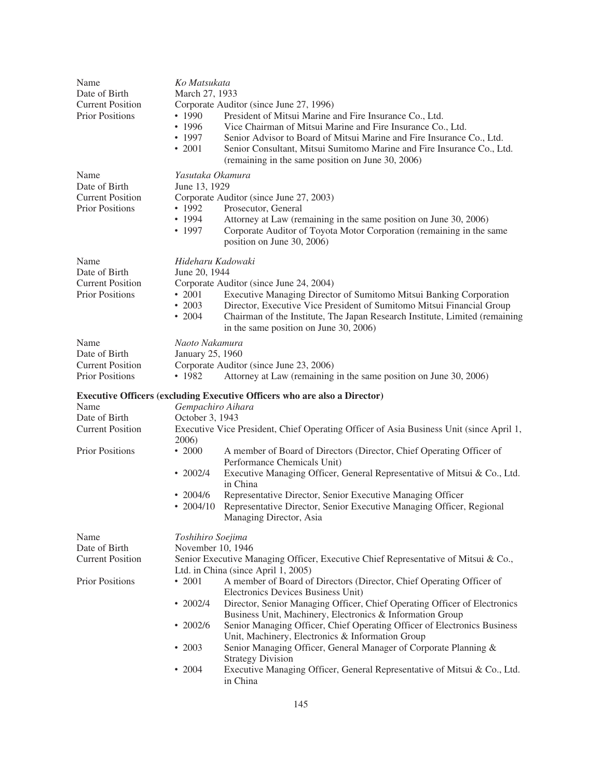| Name<br>Date of Birth<br><b>Current Position</b><br><b>Prior Positions</b> | Ko Matsukata<br>March 27, 1933<br>• 1990<br>• 1996<br>• 1997<br>$\cdot 2001$       | Corporate Auditor (since June 27, 1996)<br>President of Mitsui Marine and Fire Insurance Co., Ltd.<br>Vice Chairman of Mitsui Marine and Fire Insurance Co., Ltd.<br>Senior Advisor to Board of Mitsui Marine and Fire Insurance Co., Ltd.<br>Senior Consultant, Mitsui Sumitomo Marine and Fire Insurance Co., Ltd.<br>(remaining in the same position on June 30, 2006)                                                                                                            |
|----------------------------------------------------------------------------|------------------------------------------------------------------------------------|--------------------------------------------------------------------------------------------------------------------------------------------------------------------------------------------------------------------------------------------------------------------------------------------------------------------------------------------------------------------------------------------------------------------------------------------------------------------------------------|
| Name<br>Date of Birth<br><b>Current Position</b><br><b>Prior Positions</b> | Yasutaka Okamura<br>June 13, 1929<br>• 1992<br>• 1994<br>• 1997                    | Corporate Auditor (since June 27, 2003)<br>Prosecutor, General<br>Attorney at Law (remaining in the same position on June 30, 2006)<br>Corporate Auditor of Toyota Motor Corporation (remaining in the same<br>position on June 30, 2006)                                                                                                                                                                                                                                            |
| Name<br>Date of Birth<br><b>Current Position</b><br><b>Prior Positions</b> | Hideharu Kadowaki<br>June 20, 1944<br>$\cdot$ 2001<br>$\cdot$ 2003<br>$\cdot$ 2004 | Corporate Auditor (since June 24, 2004)<br>Executive Managing Director of Sumitomo Mitsui Banking Corporation<br>Director, Executive Vice President of Sumitomo Mitsui Financial Group<br>Chairman of the Institute, The Japan Research Institute, Limited (remaining<br>in the same position on June 30, 2006)                                                                                                                                                                      |
| Name<br>Date of Birth<br><b>Current Position</b><br><b>Prior Positions</b> | Naoto Nakamura<br>January 25, 1960<br>• 1982                                       | Corporate Auditor (since June 23, 2006)<br>Attorney at Law (remaining in the same position on June 30, 2006)                                                                                                                                                                                                                                                                                                                                                                         |
| Name<br>Date of Birth<br><b>Current Position</b>                           | Gempachiro Aihara<br>October 3, 1943<br>2006)                                      | <b>Executive Officers (excluding Executive Officers who are also a Director)</b><br>Executive Vice President, Chief Operating Officer of Asia Business Unit (since April 1,                                                                                                                                                                                                                                                                                                          |
| <b>Prior Positions</b>                                                     | $\cdot$ 2000<br>$\cdot$ 2002/4<br>$\cdot$ 2004/6<br>• $2004/10$                    | A member of Board of Directors (Director, Chief Operating Officer of<br>Performance Chemicals Unit)<br>Executive Managing Officer, General Representative of Mitsui & Co., Ltd.<br>in China<br>Representative Director, Senior Executive Managing Officer<br>Representative Director, Senior Executive Managing Officer, Regional<br>Managing Director, Asia                                                                                                                         |
| Name<br>Date of Birth<br><b>Current Position</b>                           | Toshihiro Soejima<br>November 10, 1946                                             | Senior Executive Managing Officer, Executive Chief Representative of Mitsui & Co.,<br>Ltd. in China (since April 1, 2005)                                                                                                                                                                                                                                                                                                                                                            |
| <b>Prior Positions</b>                                                     | $\cdot$ 2001<br>$\cdot$ 2002/4<br>$\cdot$ 2002/6<br>$\cdot$ 2003                   | A member of Board of Directors (Director, Chief Operating Officer of<br>Electronics Devices Business Unit)<br>Director, Senior Managing Officer, Chief Operating Officer of Electronics<br>Business Unit, Machinery, Electronics & Information Group<br>Senior Managing Officer, Chief Operating Officer of Electronics Business<br>Unit, Machinery, Electronics & Information Group<br>Senior Managing Officer, General Manager of Corporate Planning &<br><b>Strategy Division</b> |
|                                                                            | $\cdot$ 2004                                                                       | Executive Managing Officer, General Representative of Mitsui & Co., Ltd.<br>in China                                                                                                                                                                                                                                                                                                                                                                                                 |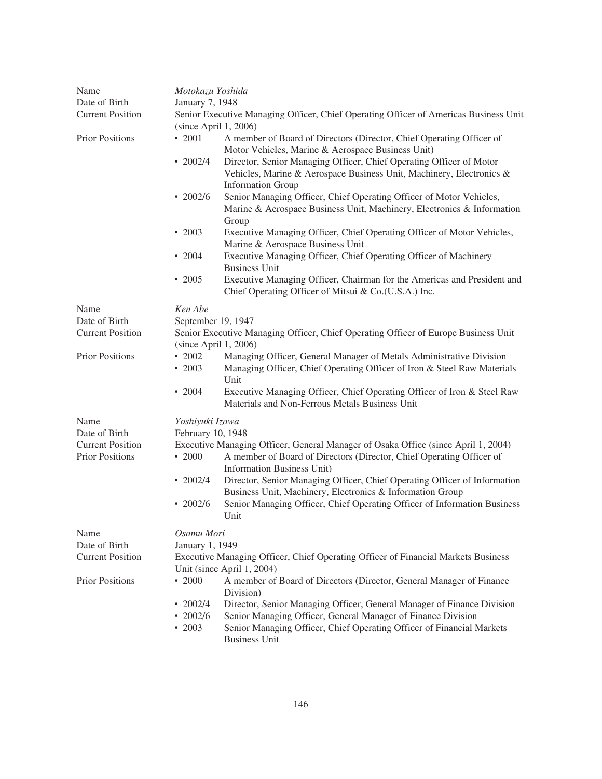| Name                                                                                                            | Motokazu Yoshida        |                                                                                                                                                                         |
|-----------------------------------------------------------------------------------------------------------------|-------------------------|-------------------------------------------------------------------------------------------------------------------------------------------------------------------------|
| Date of Birth                                                                                                   | January 7, 1948         |                                                                                                                                                                         |
| <b>Current Position</b><br>Senior Executive Managing Officer, Chief Operating Officer of Americas Business Unit |                         |                                                                                                                                                                         |
|                                                                                                                 | $(since$ April 1, 2006) |                                                                                                                                                                         |
| <b>Prior Positions</b>                                                                                          | $\cdot$ 2001            | A member of Board of Directors (Director, Chief Operating Officer of<br>Motor Vehicles, Marine & Aerospace Business Unit)                                               |
|                                                                                                                 | • $2002/4$              | Director, Senior Managing Officer, Chief Operating Officer of Motor<br>Vehicles, Marine & Aerospace Business Unit, Machinery, Electronics &<br><b>Information Group</b> |
|                                                                                                                 | $\cdot$ 2002/6          | Senior Managing Officer, Chief Operating Officer of Motor Vehicles,<br>Marine & Aerospace Business Unit, Machinery, Electronics & Information<br>Group                  |
|                                                                                                                 | $\cdot$ 2003            | Executive Managing Officer, Chief Operating Officer of Motor Vehicles,<br>Marine & Aerospace Business Unit                                                              |
|                                                                                                                 | $\cdot$ 2004            | Executive Managing Officer, Chief Operating Officer of Machinery<br><b>Business Unit</b>                                                                                |
|                                                                                                                 | $\cdot$ 2005            | Executive Managing Officer, Chairman for the Americas and President and<br>Chief Operating Officer of Mitsui & Co.(U.S.A.) Inc.                                         |
| Name                                                                                                            | Ken Abe                 |                                                                                                                                                                         |
| Date of Birth                                                                                                   | September 19, 1947      |                                                                                                                                                                         |
| <b>Current Position</b>                                                                                         |                         | Senior Executive Managing Officer, Chief Operating Officer of Europe Business Unit<br>(since April 1, 2006)                                                             |
| <b>Prior Positions</b>                                                                                          | $\cdot$ 2002            | Managing Officer, General Manager of Metals Administrative Division                                                                                                     |
|                                                                                                                 | $\cdot\ 2003$           | Managing Officer, Chief Operating Officer of Iron & Steel Raw Materials<br>Unit                                                                                         |
|                                                                                                                 | $\cdot$ 2004            | Executive Managing Officer, Chief Operating Officer of Iron & Steel Raw<br>Materials and Non-Ferrous Metals Business Unit                                               |
| Name                                                                                                            | Yoshiyuki Izawa         |                                                                                                                                                                         |
| Date of Birth                                                                                                   | February 10, 1948       |                                                                                                                                                                         |
| <b>Current Position</b><br><b>Prior Positions</b>                                                               | $\cdot$ 2000            | Executive Managing Officer, General Manager of Osaka Office (since April 1, 2004)<br>A member of Board of Directors (Director, Chief Operating Officer of               |
|                                                                                                                 | • $2002/4$              | Information Business Unit)<br>Director, Senior Managing Officer, Chief Operating Officer of Information<br>Business Unit, Machinery, Electronics & Information Group    |
|                                                                                                                 | $\cdot$ 2002/6          | Senior Managing Officer, Chief Operating Officer of Information Business<br>Unit                                                                                        |
| Name                                                                                                            | Osamu Mori              |                                                                                                                                                                         |
| Date of Birth                                                                                                   | January 1, 1949         |                                                                                                                                                                         |
| <b>Current Position</b>                                                                                         |                         | Executive Managing Officer, Chief Operating Officer of Financial Markets Business                                                                                       |
|                                                                                                                 |                         | Unit (since April 1, 2004)                                                                                                                                              |
| <b>Prior Positions</b>                                                                                          | $\cdot$ 2000            | A member of Board of Directors (Director, General Manager of Finance<br>Division)                                                                                       |
|                                                                                                                 | • $2002/4$              | Director, Senior Managing Officer, General Manager of Finance Division                                                                                                  |
|                                                                                                                 | $\cdot$ 2002/6          | Senior Managing Officer, General Manager of Finance Division                                                                                                            |
|                                                                                                                 | $\cdot$ 2003            | Senior Managing Officer, Chief Operating Officer of Financial Markets<br><b>Business Unit</b>                                                                           |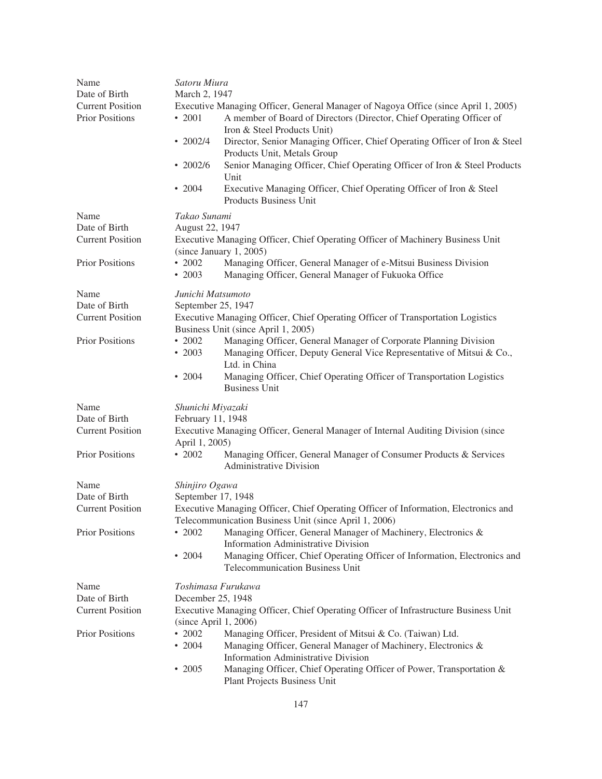| Name                    | Satoru Miura                 |                                                                                                                                           |
|-------------------------|------------------------------|-------------------------------------------------------------------------------------------------------------------------------------------|
| Date of Birth           | March 2, 1947                |                                                                                                                                           |
| <b>Current Position</b> |                              | Executive Managing Officer, General Manager of Nagoya Office (since April 1, 2005)                                                        |
| <b>Prior Positions</b>  | $\cdot$ 2001                 | A member of Board of Directors (Director, Chief Operating Officer of                                                                      |
|                         |                              | Iron & Steel Products Unit)                                                                                                               |
|                         | $\cdot$ 2002/4               | Director, Senior Managing Officer, Chief Operating Officer of Iron & Steel<br>Products Unit, Metals Group                                 |
|                         | $\cdot$ 2002/6               | Senior Managing Officer, Chief Operating Officer of Iron & Steel Products<br>Unit                                                         |
|                         | $\cdot$ 2004                 | Executive Managing Officer, Chief Operating Officer of Iron & Steel<br>Products Business Unit                                             |
| Name                    | Takao Sunami                 |                                                                                                                                           |
| Date of Birth           | August 22, 1947              |                                                                                                                                           |
| <b>Current Position</b> |                              | Executive Managing Officer, Chief Operating Officer of Machinery Business Unit<br>(since January 1, 2005)                                 |
| <b>Prior Positions</b>  | $\cdot$ 2002<br>$\cdot$ 2003 | Managing Officer, General Manager of e-Mitsui Business Division<br>Managing Officer, General Manager of Fukuoka Office                    |
| Name                    | Junichi Matsumoto            |                                                                                                                                           |
| Date of Birth           | September 25, 1947           |                                                                                                                                           |
| <b>Current Position</b> |                              | Executive Managing Officer, Chief Operating Officer of Transportation Logistics<br>Business Unit (since April 1, 2005)                    |
| <b>Prior Positions</b>  | $\cdot$ 2002<br>$\cdot$ 2003 | Managing Officer, General Manager of Corporate Planning Division<br>Managing Officer, Deputy General Vice Representative of Mitsui & Co., |
|                         | $\cdot$ 2004                 | Ltd. in China<br>Managing Officer, Chief Operating Officer of Transportation Logistics<br><b>Business Unit</b>                            |
| Name                    | Shunichi Miyazaki            |                                                                                                                                           |
| Date of Birth           | February 11, 1948            |                                                                                                                                           |
| <b>Current Position</b> |                              | Executive Managing Officer, General Manager of Internal Auditing Division (since                                                          |
|                         | April 1, 2005)               |                                                                                                                                           |
| <b>Prior Positions</b>  | $\cdot$ 2002                 | Managing Officer, General Manager of Consumer Products & Services<br><b>Administrative Division</b>                                       |
| Name                    | Shinjiro Ogawa               |                                                                                                                                           |
| Date of Birth           | September 17, 1948           |                                                                                                                                           |
| <b>Current Position</b> |                              | Executive Managing Officer, Chief Operating Officer of Information, Electronics and                                                       |
|                         |                              | Telecommunication Business Unit (since April 1, 2006)                                                                                     |
| <b>Prior Positions</b>  | $\cdot$ 2002                 | Managing Officer, General Manager of Machinery, Electronics &<br><b>Information Administrative Division</b>                               |
|                         | $\cdot$ 2004                 | Managing Officer, Chief Operating Officer of Information, Electronics and<br><b>Telecommunication Business Unit</b>                       |
| Name                    | Toshimasa Furukawa           |                                                                                                                                           |
| Date of Birth           | December 25, 1948            |                                                                                                                                           |
| <b>Current Position</b> |                              | Executive Managing Officer, Chief Operating Officer of Infrastructure Business Unit                                                       |
|                         | $(since$ April 1, 2006)      |                                                                                                                                           |
| <b>Prior Positions</b>  | $\cdot$ 2002                 | Managing Officer, President of Mitsui & Co. (Taiwan) Ltd.                                                                                 |
|                         | $\cdot$ 2004                 | Managing Officer, General Manager of Machinery, Electronics &<br><b>Information Administrative Division</b>                               |
|                         | $\cdot$ 2005                 | Managing Officer, Chief Operating Officer of Power, Transportation &<br>Plant Projects Business Unit                                      |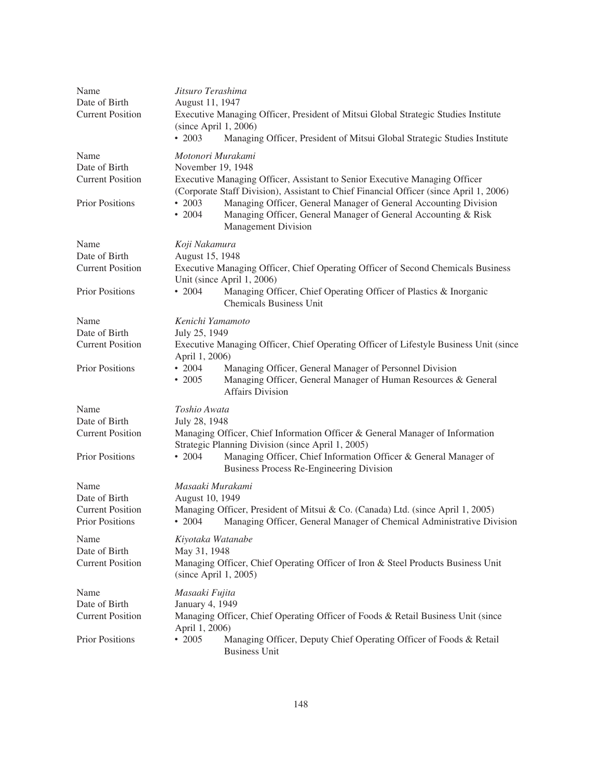| Name<br>Date of Birth<br><b>Current Position</b>                           | Jitsuro Terashima<br>August 11, 1947<br>Executive Managing Officer, President of Mitsui Global Strategic Studies Institute<br>$(since$ April 1, 2006)<br>$\cdot\ 2003$<br>Managing Officer, President of Mitsui Global Strategic Studies Institute                                                                                                                                                                 |
|----------------------------------------------------------------------------|--------------------------------------------------------------------------------------------------------------------------------------------------------------------------------------------------------------------------------------------------------------------------------------------------------------------------------------------------------------------------------------------------------------------|
| Name<br>Date of Birth<br><b>Current Position</b><br><b>Prior Positions</b> | Motonori Murakami<br>November 19, 1948<br>Executive Managing Officer, Assistant to Senior Executive Managing Officer<br>(Corporate Staff Division), Assistant to Chief Financial Officer (since April 1, 2006)<br>$\cdot$ 2003<br>Managing Officer, General Manager of General Accounting Division<br>$\cdot 2004$<br>Managing Officer, General Manager of General Accounting & Risk<br><b>Management Division</b> |
| Name<br>Date of Birth<br><b>Current Position</b><br><b>Prior Positions</b> | Koji Nakamura<br>August 15, 1948<br>Executive Managing Officer, Chief Operating Officer of Second Chemicals Business<br>Unit (since April 1, 2006)<br>$\cdot$ 2004<br>Managing Officer, Chief Operating Officer of Plastics & Inorganic<br><b>Chemicals Business Unit</b>                                                                                                                                          |
| Name<br>Date of Birth<br><b>Current Position</b><br><b>Prior Positions</b> | Kenichi Yamamoto<br>July 25, 1949<br>Executive Managing Officer, Chief Operating Officer of Lifestyle Business Unit (since<br>April 1, 2006)<br>$\cdot$ 2004<br>Managing Officer, General Manager of Personnel Division<br>$\cdot$ 2005<br>Managing Officer, General Manager of Human Resources & General<br><b>Affairs Division</b>                                                                               |
| Name<br>Date of Birth<br><b>Current Position</b><br><b>Prior Positions</b> | Toshio Awata<br>July 28, 1948<br>Managing Officer, Chief Information Officer & General Manager of Information<br>Strategic Planning Division (since April 1, 2005)<br>Managing Officer, Chief Information Officer & General Manager of<br>$\cdot$ 2004<br>Business Process Re-Engineering Division                                                                                                                 |
| Name<br>Date of Birth<br><b>Current Position</b><br><b>Prior Positions</b> | Masaaki Murakami<br>August 10, 1949<br>Managing Officer, President of Mitsui & Co. (Canada) Ltd. (since April 1, 2005)<br>$\cdot$ 2004<br>Managing Officer, General Manager of Chemical Administrative Division                                                                                                                                                                                                    |
| Name<br>Date of Birth<br><b>Current Position</b>                           | Kiyotaka Watanabe<br>May 31, 1948<br>Managing Officer, Chief Operating Officer of Iron & Steel Products Business Unit<br>(since April 1, 2005)                                                                                                                                                                                                                                                                     |
| Name<br>Date of Birth<br><b>Current Position</b><br>Prior Positions        | Masaaki Fujita<br>January 4, 1949<br>Managing Officer, Chief Operating Officer of Foods & Retail Business Unit (since<br>April 1, 2006)<br>$\cdot$ 2005<br>Managing Officer, Deputy Chief Operating Officer of Foods & Retail<br><b>Business Unit</b>                                                                                                                                                              |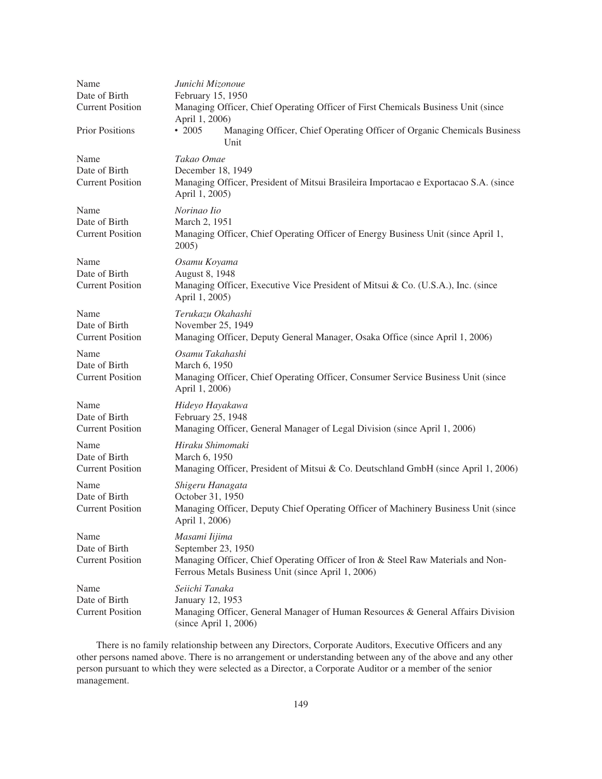| Name<br>Date of Birth<br><b>Current Position</b><br><b>Prior Positions</b> | Junichi Mizonoue<br>February 15, 1950<br>Managing Officer, Chief Operating Officer of First Chemicals Business Unit (since<br>April 1, 2006)<br>$\cdot$ 2005<br>Managing Officer, Chief Operating Officer of Organic Chemicals Business |
|----------------------------------------------------------------------------|-----------------------------------------------------------------------------------------------------------------------------------------------------------------------------------------------------------------------------------------|
| Name<br>Date of Birth<br><b>Current Position</b>                           | Unit<br>Takao Omae<br>December 18, 1949<br>Managing Officer, President of Mitsui Brasileira Importacao e Exportacao S.A. (since<br>April 1, 2005)                                                                                       |
| Name<br>Date of Birth<br><b>Current Position</b>                           | Norinao Iio<br>March 2, 1951<br>Managing Officer, Chief Operating Officer of Energy Business Unit (since April 1,<br>$2005$ )                                                                                                           |
| Name<br>Date of Birth<br><b>Current Position</b>                           | Osamu Koyama<br>August 8, 1948<br>Managing Officer, Executive Vice President of Mitsui & Co. (U.S.A.), Inc. (since<br>April 1, 2005)                                                                                                    |
| Name<br>Date of Birth<br><b>Current Position</b>                           | Terukazu Okahashi<br>November 25, 1949<br>Managing Officer, Deputy General Manager, Osaka Office (since April 1, 2006)                                                                                                                  |
| Name<br>Date of Birth<br><b>Current Position</b>                           | Osamu Takahashi<br>March 6, 1950<br>Managing Officer, Chief Operating Officer, Consumer Service Business Unit (since<br>April 1, 2006)                                                                                                  |
| Name<br>Date of Birth<br><b>Current Position</b>                           | Hideyo Hayakawa<br>February 25, 1948<br>Managing Officer, General Manager of Legal Division (since April 1, 2006)                                                                                                                       |
| Name<br>Date of Birth<br><b>Current Position</b>                           | Hiraku Shimomaki<br>March 6, 1950<br>Managing Officer, President of Mitsui & Co. Deutschland GmbH (since April 1, 2006)                                                                                                                 |
| Name<br>Date of Birth<br><b>Current Position</b>                           | Shigeru Hanagata<br>October 31, 1950<br>Managing Officer, Deputy Chief Operating Officer of Machinery Business Unit (since<br>April 1, 2006)                                                                                            |
| Name<br>Date of Birth<br><b>Current Position</b>                           | Masami Iijima<br>September 23, 1950<br>Managing Officer, Chief Operating Officer of Iron & Steel Raw Materials and Non-<br>Ferrous Metals Business Unit (since April 1, 2006)                                                           |
| Name<br>Date of Birth<br><b>Current Position</b>                           | Seiichi Tanaka<br>January 12, 1953<br>Managing Officer, General Manager of Human Resources & General Affairs Division<br>(since April 1, 2006)                                                                                          |

There is no family relationship between any Directors, Corporate Auditors, Executive Officers and any other persons named above. There is no arrangement or understanding between any of the above and any other person pursuant to which they were selected as a Director, a Corporate Auditor or a member of the senior management.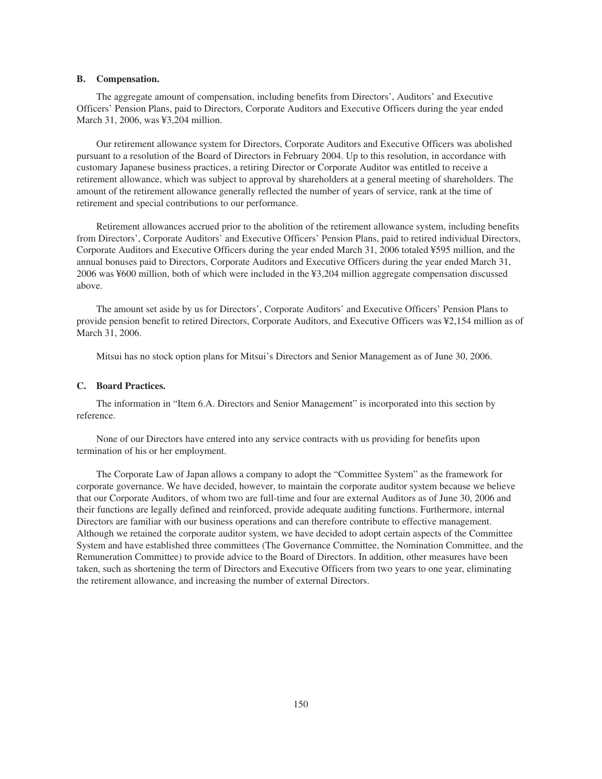## **B. Compensation.**

The aggregate amount of compensation, including benefits from Directors', Auditors' and Executive Officers' Pension Plans, paid to Directors, Corporate Auditors and Executive Officers during the year ended March 31, 2006, was ¥3,204 million.

Our retirement allowance system for Directors, Corporate Auditors and Executive Officers was abolished pursuant to a resolution of the Board of Directors in February 2004. Up to this resolution, in accordance with customary Japanese business practices, a retiring Director or Corporate Auditor was entitled to receive a retirement allowance, which was subject to approval by shareholders at a general meeting of shareholders. The amount of the retirement allowance generally reflected the number of years of service, rank at the time of retirement and special contributions to our performance.

Retirement allowances accrued prior to the abolition of the retirement allowance system, including benefits from Directors', Corporate Auditors' and Executive Officers' Pension Plans, paid to retired individual Directors, Corporate Auditors and Executive Officers during the year ended March 31, 2006 totaled ¥595 million, and the annual bonuses paid to Directors, Corporate Auditors and Executive Officers during the year ended March 31, 2006 was ¥600 million, both of which were included in the ¥3,204 million aggregate compensation discussed above.

The amount set aside by us for Directors', Corporate Auditors' and Executive Officers' Pension Plans to provide pension benefit to retired Directors, Corporate Auditors, and Executive Officers was ¥2,154 million as of March 31, 2006.

Mitsui has no stock option plans for Mitsui's Directors and Senior Management as of June 30, 2006.

#### **C. Board Practices.**

The information in "Item 6.A. Directors and Senior Management" is incorporated into this section by reference.

None of our Directors have entered into any service contracts with us providing for benefits upon termination of his or her employment.

The Corporate Law of Japan allows a company to adopt the "Committee System" as the framework for corporate governance. We have decided, however, to maintain the corporate auditor system because we believe that our Corporate Auditors, of whom two are full-time and four are external Auditors as of June 30, 2006 and their functions are legally defined and reinforced, provide adequate auditing functions. Furthermore, internal Directors are familiar with our business operations and can therefore contribute to effective management. Although we retained the corporate auditor system, we have decided to adopt certain aspects of the Committee System and have established three committees (The Governance Committee, the Nomination Committee, and the Remuneration Committee) to provide advice to the Board of Directors. In addition, other measures have been taken, such as shortening the term of Directors and Executive Officers from two years to one year, eliminating the retirement allowance, and increasing the number of external Directors.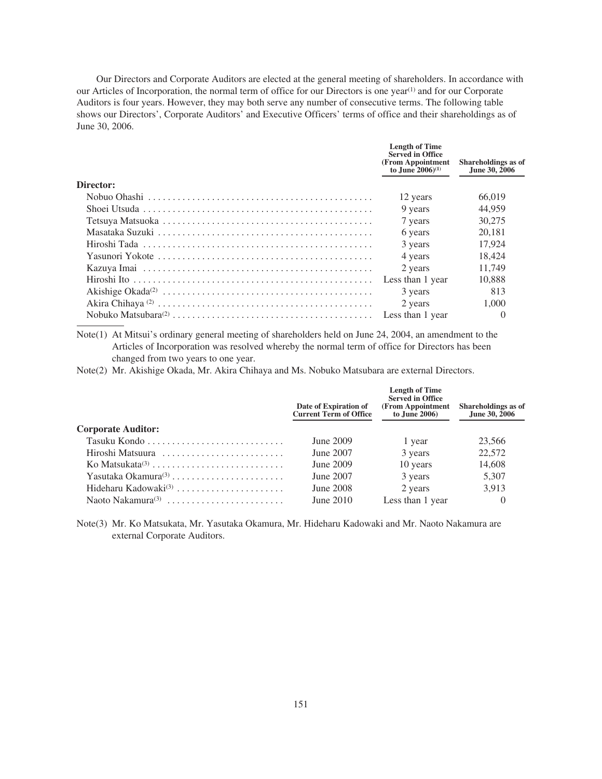Our Directors and Corporate Auditors are elected at the general meeting of shareholders. In accordance with our Articles of Incorporation, the normal term of office for our Directors is one year<sup>(1)</sup> and for our Corporate Auditors is four years. However, they may both serve any number of consecutive terms. The following table shows our Directors', Corporate Auditors' and Executive Officers' terms of office and their shareholdings as of June 30, 2006.

|           | <b>Length of Time</b><br><b>Served in Office</b><br>(From Appointment<br>to June $2006^{(1)}$ | <b>Shareholdings</b> as of<br>June 30, 2006 |
|-----------|-----------------------------------------------------------------------------------------------|---------------------------------------------|
| Director: |                                                                                               |                                             |
|           | 12 years                                                                                      | 66,019                                      |
|           | 9 years                                                                                       | 44,959                                      |
|           | 7 years                                                                                       | 30,275                                      |
|           | 6 years                                                                                       | 20.181                                      |
|           | 3 years                                                                                       | 17.924                                      |
|           | 4 years                                                                                       | 18.424                                      |
|           | 2 years                                                                                       | 11.749                                      |
|           | Less than 1 year                                                                              | 10.888                                      |
|           | 3 years                                                                                       | 813                                         |
|           | 2 years                                                                                       | 1,000                                       |
|           | Less than 1 year                                                                              | $\theta$                                    |
|           |                                                                                               |                                             |

Note(1) At Mitsui's ordinary general meeting of shareholders held on June 24, 2004, an amendment to the Articles of Incorporation was resolved whereby the normal term of office for Directors has been changed from two years to one year.

Note(2) Mr. Akishige Okada, Mr. Akira Chihaya and Ms. Nobuko Matsubara are external Directors.

|                                  | Date of Expiration of<br><b>Current Term of Office</b> | <b>Length of Time</b><br><b>Served in Office</b><br>(From Appointment)<br>to June 2006) | <b>Shareholdings</b> as of<br>June 30, 2006 |
|----------------------------------|--------------------------------------------------------|-----------------------------------------------------------------------------------------|---------------------------------------------|
| <b>Corporate Auditor:</b>        |                                                        |                                                                                         |                                             |
|                                  | June 2009                                              | 1 year                                                                                  | 23,566                                      |
| Hiroshi Matsuura                 | June 2007                                              | 3 years                                                                                 | 22,572                                      |
|                                  | June 2009                                              | 10 years                                                                                | 14,608                                      |
| Yasutaka Okamura $(3)$           | June 2007                                              | 3 years                                                                                 | 5,307                                       |
| Hideharu Kadowaki <sup>(3)</sup> | June 2008                                              | 2 years                                                                                 | 3,913                                       |
|                                  | June $2010$                                            | Less than 1 year                                                                        | $\theta$                                    |

Note(3) Mr. Ko Matsukata, Mr. Yasutaka Okamura, Mr. Hideharu Kadowaki and Mr. Naoto Nakamura are external Corporate Auditors.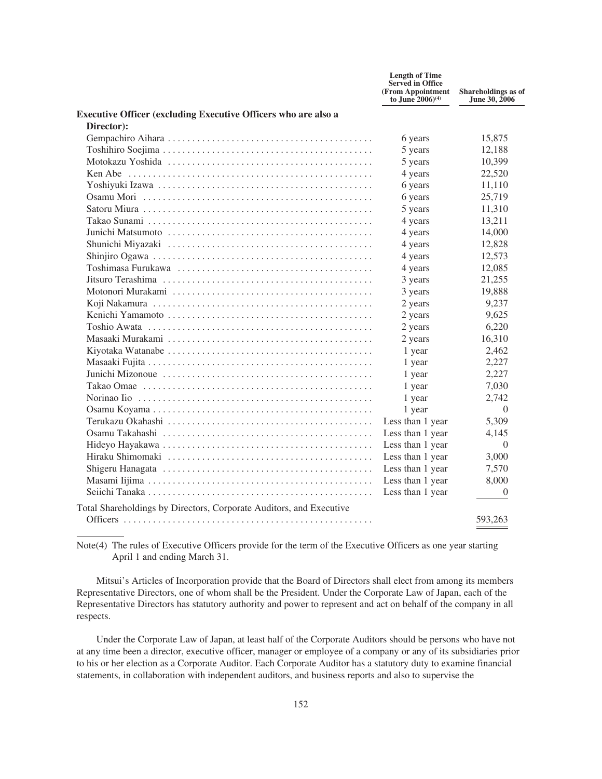|                                                                                                                | <b>Length of Time</b><br><b>Served in Office</b><br>(From Appointment<br>to June $2006^{(4)}$ | Shareholdings as of<br>June 30, 2006 |
|----------------------------------------------------------------------------------------------------------------|-----------------------------------------------------------------------------------------------|--------------------------------------|
| <b>Executive Officer (excluding Executive Officers who are also a</b>                                          |                                                                                               |                                      |
| Director):                                                                                                     |                                                                                               |                                      |
|                                                                                                                | 6 years                                                                                       | 15,875                               |
|                                                                                                                | 5 years                                                                                       | 12,188                               |
|                                                                                                                | 5 years                                                                                       | 10,399                               |
|                                                                                                                | 4 years                                                                                       | 22,520                               |
|                                                                                                                | 6 years                                                                                       | 11,110                               |
|                                                                                                                | 6 years                                                                                       | 25,719                               |
|                                                                                                                | 5 years                                                                                       | 11,310                               |
|                                                                                                                | 4 years                                                                                       | 13,211                               |
|                                                                                                                | 4 years                                                                                       | 14,000                               |
|                                                                                                                | 4 years                                                                                       | 12,828                               |
|                                                                                                                | 4 years                                                                                       | 12,573                               |
| Toshimasa Furukawa (1999) - Alexandria (1999) - Alexandria Furukawa (1999) - Alexandria (1999) - Alexandria Fu | 4 years                                                                                       | 12,085                               |
|                                                                                                                | 3 years                                                                                       | 21,255                               |
|                                                                                                                | 3 years                                                                                       | 19,888                               |
|                                                                                                                | 2 years                                                                                       | 9,237                                |
|                                                                                                                | 2 years                                                                                       | 9,625                                |
|                                                                                                                | 2 years                                                                                       | 6,220                                |
|                                                                                                                | 2 years                                                                                       | 16,310                               |
|                                                                                                                | 1 year                                                                                        | 2,462                                |
|                                                                                                                | 1 year                                                                                        | 2,227                                |
|                                                                                                                | 1 year                                                                                        | 2,227                                |
|                                                                                                                | 1 year                                                                                        | 7,030                                |
|                                                                                                                | 1 year                                                                                        | 2,742                                |
|                                                                                                                | 1 year                                                                                        | $\Omega$                             |
|                                                                                                                | Less than 1 year                                                                              | 5,309                                |
|                                                                                                                | Less than 1 year                                                                              | 4.145                                |
|                                                                                                                | Less than 1 year                                                                              | $\Omega$                             |
|                                                                                                                | Less than 1 year                                                                              | 3,000                                |
|                                                                                                                | Less than 1 year                                                                              | 7,570                                |
|                                                                                                                | Less than 1 year                                                                              | 8,000                                |
|                                                                                                                | Less than 1 year                                                                              | $\theta$                             |
| Total Shareholdings by Directors, Corporate Auditors, and Executive                                            |                                                                                               |                                      |
|                                                                                                                |                                                                                               | 593,263                              |

Note(4) The rules of Executive Officers provide for the term of the Executive Officers as one year starting April 1 and ending March 31.

Mitsui's Articles of Incorporation provide that the Board of Directors shall elect from among its members Representative Directors, one of whom shall be the President. Under the Corporate Law of Japan, each of the Representative Directors has statutory authority and power to represent and act on behalf of the company in all respects.

Under the Corporate Law of Japan, at least half of the Corporate Auditors should be persons who have not at any time been a director, executive officer, manager or employee of a company or any of its subsidiaries prior to his or her election as a Corporate Auditor. Each Corporate Auditor has a statutory duty to examine financial statements, in collaboration with independent auditors, and business reports and also to supervise the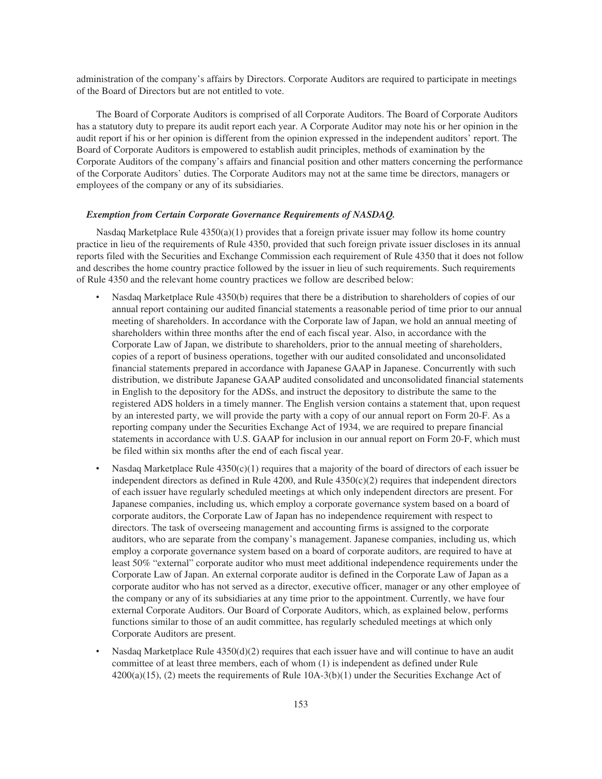administration of the company's affairs by Directors. Corporate Auditors are required to participate in meetings of the Board of Directors but are not entitled to vote.

The Board of Corporate Auditors is comprised of all Corporate Auditors. The Board of Corporate Auditors has a statutory duty to prepare its audit report each year. A Corporate Auditor may note his or her opinion in the audit report if his or her opinion is different from the opinion expressed in the independent auditors' report. The Board of Corporate Auditors is empowered to establish audit principles, methods of examination by the Corporate Auditors of the company's affairs and financial position and other matters concerning the performance of the Corporate Auditors' duties. The Corporate Auditors may not at the same time be directors, managers or employees of the company or any of its subsidiaries.

### *Exemption from Certain Corporate Governance Requirements of NASDAQ.*

Nasdaq Marketplace Rule  $4350(a)(1)$  provides that a foreign private issuer may follow its home country practice in lieu of the requirements of Rule 4350, provided that such foreign private issuer discloses in its annual reports filed with the Securities and Exchange Commission each requirement of Rule 4350 that it does not follow and describes the home country practice followed by the issuer in lieu of such requirements. Such requirements of Rule 4350 and the relevant home country practices we follow are described below:

- ‰ Nasdaq Marketplace Rule 4350(b) requires that there be a distribution to shareholders of copies of our annual report containing our audited financial statements a reasonable period of time prior to our annual meeting of shareholders. In accordance with the Corporate law of Japan, we hold an annual meeting of shareholders within three months after the end of each fiscal year. Also, in accordance with the Corporate Law of Japan, we distribute to shareholders, prior to the annual meeting of shareholders, copies of a report of business operations, together with our audited consolidated and unconsolidated financial statements prepared in accordance with Japanese GAAP in Japanese. Concurrently with such distribution, we distribute Japanese GAAP audited consolidated and unconsolidated financial statements in English to the depository for the ADSs, and instruct the depository to distribute the same to the registered ADS holders in a timely manner. The English version contains a statement that, upon request by an interested party, we will provide the party with a copy of our annual report on Form 20-F. As a reporting company under the Securities Exchange Act of 1934, we are required to prepare financial statements in accordance with U.S. GAAP for inclusion in our annual report on Form 20-F, which must be filed within six months after the end of each fiscal year.
- Nasdaq Marketplace Rule  $4350(c)(1)$  requires that a majority of the board of directors of each issuer be independent directors as defined in Rule  $4200$ , and Rule  $4350(c)(2)$  requires that independent directors of each issuer have regularly scheduled meetings at which only independent directors are present. For Japanese companies, including us, which employ a corporate governance system based on a board of corporate auditors, the Corporate Law of Japan has no independence requirement with respect to directors. The task of overseeing management and accounting firms is assigned to the corporate auditors, who are separate from the company's management. Japanese companies, including us, which employ a corporate governance system based on a board of corporate auditors, are required to have at least 50% "external" corporate auditor who must meet additional independence requirements under the Corporate Law of Japan. An external corporate auditor is defined in the Corporate Law of Japan as a corporate auditor who has not served as a director, executive officer, manager or any other employee of the company or any of its subsidiaries at any time prior to the appointment. Currently, we have four external Corporate Auditors. Our Board of Corporate Auditors, which, as explained below, performs functions similar to those of an audit committee, has regularly scheduled meetings at which only Corporate Auditors are present.
- ‰ Nasdaq Marketplace Rule 4350(d)(2) requires that each issuer have and will continue to have an audit committee of at least three members, each of whom (1) is independent as defined under Rule 4200(a)(15), (2) meets the requirements of Rule 10A-3(b)(1) under the Securities Exchange Act of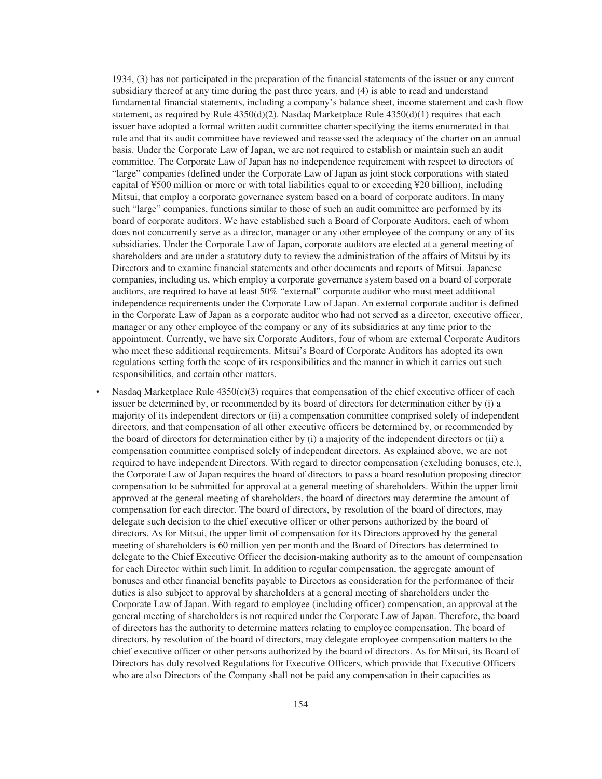1934, (3) has not participated in the preparation of the financial statements of the issuer or any current subsidiary thereof at any time during the past three years, and (4) is able to read and understand fundamental financial statements, including a company's balance sheet, income statement and cash flow statement, as required by Rule  $4350(d)(2)$ . Nasdaq Marketplace Rule  $4350(d)(1)$  requires that each issuer have adopted a formal written audit committee charter specifying the items enumerated in that rule and that its audit committee have reviewed and reassessed the adequacy of the charter on an annual basis. Under the Corporate Law of Japan, we are not required to establish or maintain such an audit committee. The Corporate Law of Japan has no independence requirement with respect to directors of "large" companies (defined under the Corporate Law of Japan as joint stock corporations with stated capital of ¥500 million or more or with total liabilities equal to or exceeding ¥20 billion), including Mitsui, that employ a corporate governance system based on a board of corporate auditors. In many such "large" companies, functions similar to those of such an audit committee are performed by its board of corporate auditors. We have established such a Board of Corporate Auditors, each of whom does not concurrently serve as a director, manager or any other employee of the company or any of its subsidiaries. Under the Corporate Law of Japan, corporate auditors are elected at a general meeting of shareholders and are under a statutory duty to review the administration of the affairs of Mitsui by its Directors and to examine financial statements and other documents and reports of Mitsui. Japanese companies, including us, which employ a corporate governance system based on a board of corporate auditors, are required to have at least 50% "external" corporate auditor who must meet additional independence requirements under the Corporate Law of Japan. An external corporate auditor is defined in the Corporate Law of Japan as a corporate auditor who had not served as a director, executive officer, manager or any other employee of the company or any of its subsidiaries at any time prior to the appointment. Currently, we have six Corporate Auditors, four of whom are external Corporate Auditors who meet these additional requirements. Mitsui's Board of Corporate Auditors has adopted its own regulations setting forth the scope of its responsibilities and the manner in which it carries out such responsibilities, and certain other matters.

Nasdaq Marketplace Rule  $4350(c)(3)$  requires that compensation of the chief executive officer of each issuer be determined by, or recommended by its board of directors for determination either by (i) a majority of its independent directors or (ii) a compensation committee comprised solely of independent directors, and that compensation of all other executive officers be determined by, or recommended by the board of directors for determination either by (i) a majority of the independent directors or (ii) a compensation committee comprised solely of independent directors. As explained above, we are not required to have independent Directors. With regard to director compensation (excluding bonuses, etc.), the Corporate Law of Japan requires the board of directors to pass a board resolution proposing director compensation to be submitted for approval at a general meeting of shareholders. Within the upper limit approved at the general meeting of shareholders, the board of directors may determine the amount of compensation for each director. The board of directors, by resolution of the board of directors, may delegate such decision to the chief executive officer or other persons authorized by the board of directors. As for Mitsui, the upper limit of compensation for its Directors approved by the general meeting of shareholders is 60 million yen per month and the Board of Directors has determined to delegate to the Chief Executive Officer the decision-making authority as to the amount of compensation for each Director within such limit. In addition to regular compensation, the aggregate amount of bonuses and other financial benefits payable to Directors as consideration for the performance of their duties is also subject to approval by shareholders at a general meeting of shareholders under the Corporate Law of Japan. With regard to employee (including officer) compensation, an approval at the general meeting of shareholders is not required under the Corporate Law of Japan. Therefore, the board of directors has the authority to determine matters relating to employee compensation. The board of directors, by resolution of the board of directors, may delegate employee compensation matters to the chief executive officer or other persons authorized by the board of directors. As for Mitsui, its Board of Directors has duly resolved Regulations for Executive Officers, which provide that Executive Officers who are also Directors of the Company shall not be paid any compensation in their capacities as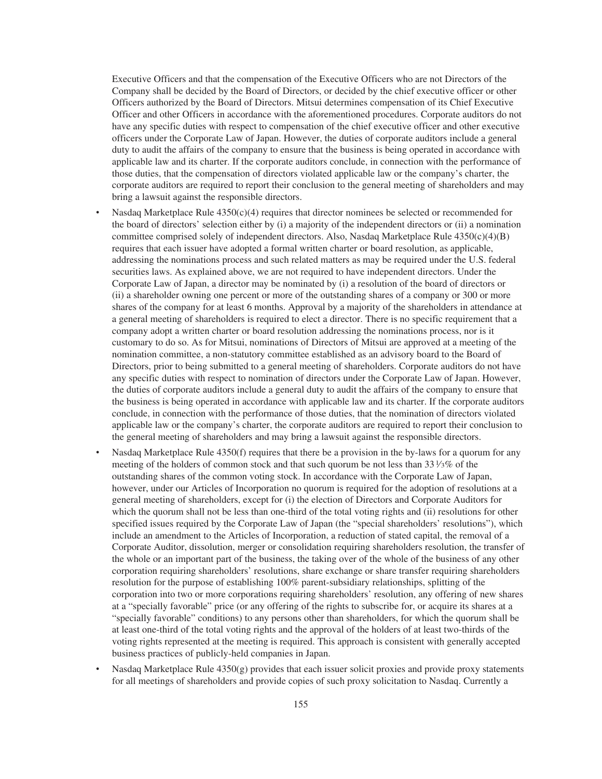Executive Officers and that the compensation of the Executive Officers who are not Directors of the Company shall be decided by the Board of Directors, or decided by the chief executive officer or other Officers authorized by the Board of Directors. Mitsui determines compensation of its Chief Executive Officer and other Officers in accordance with the aforementioned procedures. Corporate auditors do not have any specific duties with respect to compensation of the chief executive officer and other executive officers under the Corporate Law of Japan. However, the duties of corporate auditors include a general duty to audit the affairs of the company to ensure that the business is being operated in accordance with applicable law and its charter. If the corporate auditors conclude, in connection with the performance of those duties, that the compensation of directors violated applicable law or the company's charter, the corporate auditors are required to report their conclusion to the general meeting of shareholders and may bring a lawsuit against the responsible directors.

- Nasdaq Marketplace Rule  $4350(c)(4)$  requires that director nominees be selected or recommended for the board of directors' selection either by (i) a majority of the independent directors or (ii) a nomination committee comprised solely of independent directors. Also, Nasdaq Marketplace Rule 4350(c)(4)(B) requires that each issuer have adopted a formal written charter or board resolution, as applicable, addressing the nominations process and such related matters as may be required under the U.S. federal securities laws. As explained above, we are not required to have independent directors. Under the Corporate Law of Japan, a director may be nominated by (i) a resolution of the board of directors or (ii) a shareholder owning one percent or more of the outstanding shares of a company or 300 or more shares of the company for at least 6 months. Approval by a majority of the shareholders in attendance at a general meeting of shareholders is required to elect a director. There is no specific requirement that a company adopt a written charter or board resolution addressing the nominations process, nor is it customary to do so. As for Mitsui, nominations of Directors of Mitsui are approved at a meeting of the nomination committee, a non-statutory committee established as an advisory board to the Board of Directors, prior to being submitted to a general meeting of shareholders. Corporate auditors do not have any specific duties with respect to nomination of directors under the Corporate Law of Japan. However, the duties of corporate auditors include a general duty to audit the affairs of the company to ensure that the business is being operated in accordance with applicable law and its charter. If the corporate auditors conclude, in connection with the performance of those duties, that the nomination of directors violated applicable law or the company's charter, the corporate auditors are required to report their conclusion to the general meeting of shareholders and may bring a lawsuit against the responsible directors.
- Nasdaq Marketplace Rule  $4350(f)$  requires that there be a provision in the by-laws for a quorum for any meeting of the holders of common stock and that such quorum be not less than  $33\frac{1}{3}\%$  of the outstanding shares of the common voting stock. In accordance with the Corporate Law of Japan, however, under our Articles of Incorporation no quorum is required for the adoption of resolutions at a general meeting of shareholders, except for (i) the election of Directors and Corporate Auditors for which the quorum shall not be less than one-third of the total voting rights and (ii) resolutions for other specified issues required by the Corporate Law of Japan (the "special shareholders' resolutions"), which include an amendment to the Articles of Incorporation, a reduction of stated capital, the removal of a Corporate Auditor, dissolution, merger or consolidation requiring shareholders resolution, the transfer of the whole or an important part of the business, the taking over of the whole of the business of any other corporation requiring shareholders' resolutions, share exchange or share transfer requiring shareholders resolution for the purpose of establishing 100% parent-subsidiary relationships, splitting of the corporation into two or more corporations requiring shareholders' resolution, any offering of new shares at a "specially favorable" price (or any offering of the rights to subscribe for, or acquire its shares at a "specially favorable" conditions) to any persons other than shareholders, for which the quorum shall be at least one-third of the total voting rights and the approval of the holders of at least two-thirds of the voting rights represented at the meeting is required. This approach is consistent with generally accepted business practices of publicly-held companies in Japan.
- Nasdaq Marketplace Rule  $4350(g)$  provides that each issuer solicit proxies and provide proxy statements for all meetings of shareholders and provide copies of such proxy solicitation to Nasdaq. Currently a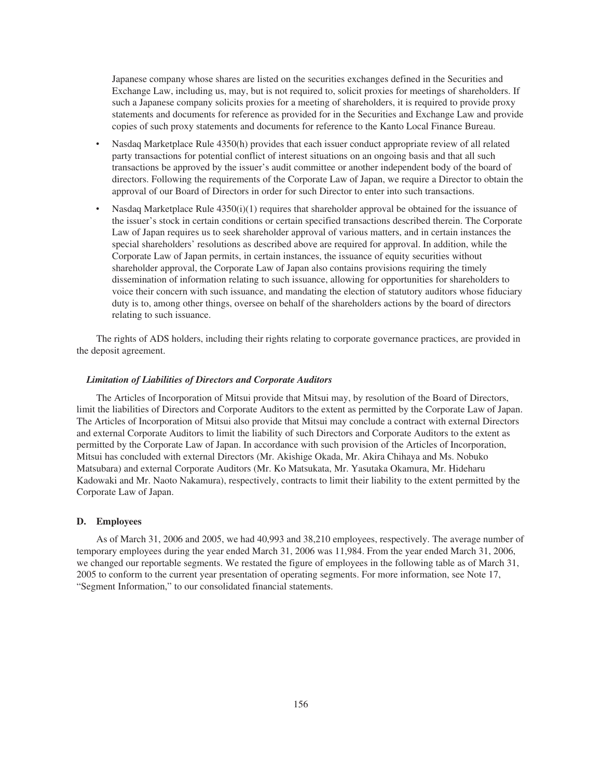Japanese company whose shares are listed on the securities exchanges defined in the Securities and Exchange Law, including us, may, but is not required to, solicit proxies for meetings of shareholders. If such a Japanese company solicits proxies for a meeting of shareholders, it is required to provide proxy statements and documents for reference as provided for in the Securities and Exchange Law and provide copies of such proxy statements and documents for reference to the Kanto Local Finance Bureau.

- ‰ Nasdaq Marketplace Rule 4350(h) provides that each issuer conduct appropriate review of all related party transactions for potential conflict of interest situations on an ongoing basis and that all such transactions be approved by the issuer's audit committee or another independent body of the board of directors. Following the requirements of the Corporate Law of Japan, we require a Director to obtain the approval of our Board of Directors in order for such Director to enter into such transactions.
- ‰ Nasdaq Marketplace Rule 4350(i)(1) requires that shareholder approval be obtained for the issuance of the issuer's stock in certain conditions or certain specified transactions described therein. The Corporate Law of Japan requires us to seek shareholder approval of various matters, and in certain instances the special shareholders' resolutions as described above are required for approval. In addition, while the Corporate Law of Japan permits, in certain instances, the issuance of equity securities without shareholder approval, the Corporate Law of Japan also contains provisions requiring the timely dissemination of information relating to such issuance, allowing for opportunities for shareholders to voice their concern with such issuance, and mandating the election of statutory auditors whose fiduciary duty is to, among other things, oversee on behalf of the shareholders actions by the board of directors relating to such issuance.

The rights of ADS holders, including their rights relating to corporate governance practices, are provided in the deposit agreement.

### *Limitation of Liabilities of Directors and Corporate Auditors*

The Articles of Incorporation of Mitsui provide that Mitsui may, by resolution of the Board of Directors, limit the liabilities of Directors and Corporate Auditors to the extent as permitted by the Corporate Law of Japan. The Articles of Incorporation of Mitsui also provide that Mitsui may conclude a contract with external Directors and external Corporate Auditors to limit the liability of such Directors and Corporate Auditors to the extent as permitted by the Corporate Law of Japan. In accordance with such provision of the Articles of Incorporation, Mitsui has concluded with external Directors (Mr. Akishige Okada, Mr. Akira Chihaya and Ms. Nobuko Matsubara) and external Corporate Auditors (Mr. Ko Matsukata, Mr. Yasutaka Okamura, Mr. Hideharu Kadowaki and Mr. Naoto Nakamura), respectively, contracts to limit their liability to the extent permitted by the Corporate Law of Japan.

#### **D. Employees**

As of March 31, 2006 and 2005, we had 40,993 and 38,210 employees, respectively. The average number of temporary employees during the year ended March 31, 2006 was 11,984. From the year ended March 31, 2006, we changed our reportable segments. We restated the figure of employees in the following table as of March 31, 2005 to conform to the current year presentation of operating segments. For more information, see Note 17, "Segment Information," to our consolidated financial statements.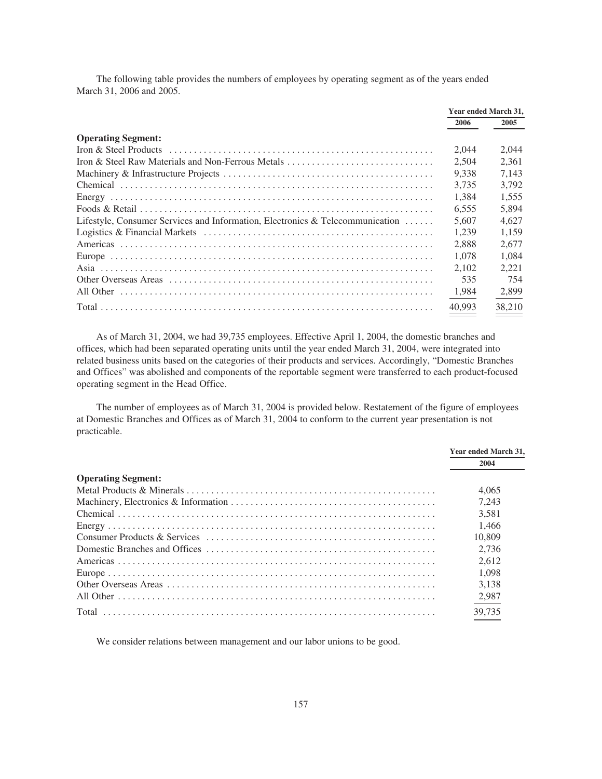The following table provides the numbers of employees by operating segment as of the years ended March 31, 2006 and 2005.

|                                                                                       | Year ended March 31, |        |
|---------------------------------------------------------------------------------------|----------------------|--------|
|                                                                                       | 2006                 | 2005   |
| <b>Operating Segment:</b>                                                             |                      |        |
|                                                                                       | 2.044                | 2.044  |
| Iron & Steel Raw Materials and Non-Ferrous Metals                                     | 2.504                | 2.361  |
|                                                                                       | 9.338                | 7.143  |
|                                                                                       | 3.735                | 3.792  |
|                                                                                       | 1.384                | 1.555  |
|                                                                                       | 6.555                | 5.894  |
| Lifestyle, Consumer Services and Information, Electronics & Telecommunication $\dots$ | 5.607                | 4.627  |
|                                                                                       | 1.239                | 1.159  |
|                                                                                       | 2.888                | 2.677  |
|                                                                                       | 1.078                | 1.084  |
|                                                                                       | 2.102                | 2.221  |
|                                                                                       | 535                  | 754    |
|                                                                                       | 1,984                | 2,899  |
|                                                                                       | 40.993               | 38,210 |

As of March 31, 2004, we had 39,735 employees. Effective April 1, 2004, the domestic branches and offices, which had been separated operating units until the year ended March 31, 2004, were integrated into related business units based on the categories of their products and services. Accordingly, "Domestic Branches and Offices" was abolished and components of the reportable segment were transferred to each product-focused operating segment in the Head Office.

The number of employees as of March 31, 2004 is provided below. Restatement of the figure of employees at Domestic Branches and Offices as of March 31, 2004 to conform to the current year presentation is not practicable.

|                           | Year ended March 31, |
|---------------------------|----------------------|
|                           | 2004                 |
| <b>Operating Segment:</b> |                      |
|                           | 4.065                |
|                           | 7.243                |
|                           | 3.581                |
|                           | 1.466                |
|                           | 10.809               |
|                           | 2,736                |
|                           | 2.612                |
|                           | 1.098                |
|                           | 3.138                |
|                           | 2,987                |
|                           | 39,735               |

We consider relations between management and our labor unions to be good.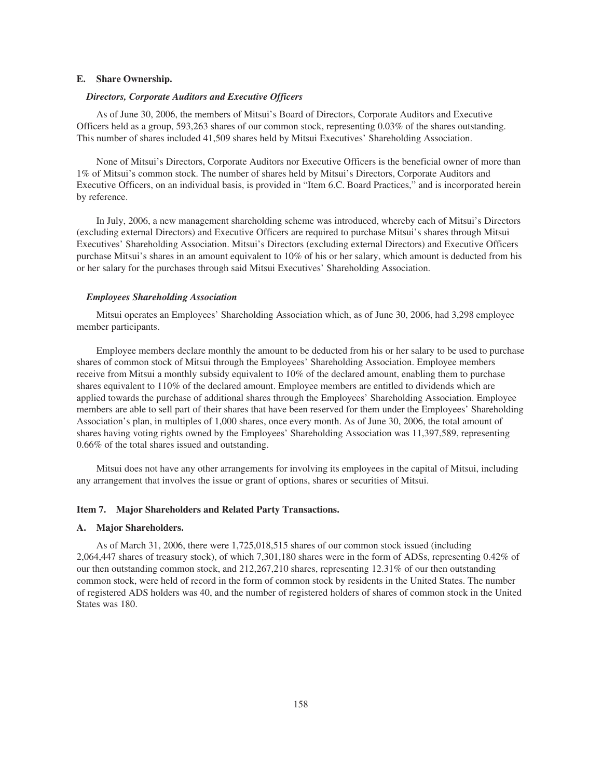## **E. Share Ownership.**

## *Directors, Corporate Auditors and Executive Officers*

As of June 30, 2006, the members of Mitsui's Board of Directors, Corporate Auditors and Executive Officers held as a group, 593,263 shares of our common stock, representing 0.03% of the shares outstanding. This number of shares included 41,509 shares held by Mitsui Executives' Shareholding Association.

None of Mitsui's Directors, Corporate Auditors nor Executive Officers is the beneficial owner of more than 1% of Mitsui's common stock. The number of shares held by Mitsui's Directors, Corporate Auditors and Executive Officers, on an individual basis, is provided in "Item 6.C. Board Practices," and is incorporated herein by reference.

In July, 2006, a new management shareholding scheme was introduced, whereby each of Mitsui's Directors (excluding external Directors) and Executive Officers are required to purchase Mitsui's shares through Mitsui Executives' Shareholding Association. Mitsui's Directors (excluding external Directors) and Executive Officers purchase Mitsui's shares in an amount equivalent to 10% of his or her salary, which amount is deducted from his or her salary for the purchases through said Mitsui Executives' Shareholding Association.

#### *Employees Shareholding Association*

Mitsui operates an Employees' Shareholding Association which, as of June 30, 2006, had 3,298 employee member participants.

Employee members declare monthly the amount to be deducted from his or her salary to be used to purchase shares of common stock of Mitsui through the Employees' Shareholding Association. Employee members receive from Mitsui a monthly subsidy equivalent to 10% of the declared amount, enabling them to purchase shares equivalent to 110% of the declared amount. Employee members are entitled to dividends which are applied towards the purchase of additional shares through the Employees' Shareholding Association. Employee members are able to sell part of their shares that have been reserved for them under the Employees' Shareholding Association's plan, in multiples of 1,000 shares, once every month. As of June 30, 2006, the total amount of shares having voting rights owned by the Employees' Shareholding Association was 11,397,589, representing 0.66% of the total shares issued and outstanding.

Mitsui does not have any other arrangements for involving its employees in the capital of Mitsui, including any arrangement that involves the issue or grant of options, shares or securities of Mitsui.

#### **Item 7. Major Shareholders and Related Party Transactions.**

### **A. Major Shareholders.**

As of March 31, 2006, there were 1,725,018,515 shares of our common stock issued (including 2,064,447 shares of treasury stock), of which 7,301,180 shares were in the form of ADSs, representing 0.42% of our then outstanding common stock, and 212,267,210 shares, representing 12.31% of our then outstanding common stock, were held of record in the form of common stock by residents in the United States. The number of registered ADS holders was 40, and the number of registered holders of shares of common stock in the United States was 180.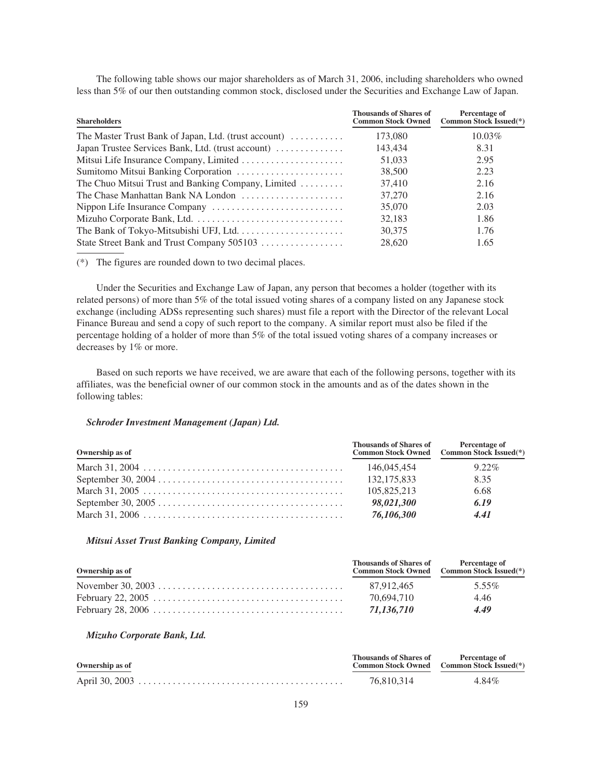The following table shows our major shareholders as of March 31, 2006, including shareholders who owned less than 5% of our then outstanding common stock, disclosed under the Securities and Exchange Law of Japan.

| <b>Shareholders</b>                                  | <b>Thousands of Shares of</b><br><b>Common Stock Owned</b> | Percentage of<br><b>Common Stock Issued</b> <sup>(*)</sup> |
|------------------------------------------------------|------------------------------------------------------------|------------------------------------------------------------|
| The Master Trust Bank of Japan, Ltd. (trust account) | 173,080                                                    | 10.03%                                                     |
| Japan Trustee Services Bank, Ltd. (trust account)    | 143.434                                                    | 8.31                                                       |
|                                                      | 51,033                                                     | 2.95                                                       |
|                                                      | 38,500                                                     | 2.23                                                       |
| The Chuo Mitsui Trust and Banking Company, Limited   | 37.410                                                     | 2.16                                                       |
| The Chase Manhattan Bank NA London                   | 37,270                                                     | 2.16                                                       |
|                                                      | 35,070                                                     | 2.03                                                       |
|                                                      | 32,183                                                     | 1.86                                                       |
|                                                      | 30,375                                                     | 1.76                                                       |
| State Street Bank and Trust Company 505103           | 28,620                                                     | 1.65                                                       |

(\*) The figures are rounded down to two decimal places.

Under the Securities and Exchange Law of Japan, any person that becomes a holder (together with its related persons) of more than 5% of the total issued voting shares of a company listed on any Japanese stock exchange (including ADSs representing such shares) must file a report with the Director of the relevant Local Finance Bureau and send a copy of such report to the company. A similar report must also be filed if the percentage holding of a holder of more than 5% of the total issued voting shares of a company increases or decreases by 1% or more.

Based on such reports we have received, we are aware that each of the following persons, together with its affiliates, was the beneficial owner of our common stock in the amounts and as of the dates shown in the following tables:

### *Schroder Investment Management (Japan) Ltd.*

| Ownership as of | Thousands of Shares of Percentage of | Common Stock Owned Common Stock Issued(*) |
|-----------------|--------------------------------------|-------------------------------------------|
|                 | 146,045,454                          | $9.22\%$                                  |
|                 | 132, 175, 833                        | 8.35                                      |
|                 | 105.825.213                          | 6.68                                      |
|                 | 98,021,300                           | 6.19                                      |
|                 | 76,106,300                           | 4.41                                      |

# *Mitsui Asset Trust Banking Company, Limited*

| Ownership as of | Thousands of Shares of Percentage of | Common Stock Owned Common Stock Issued(*) |
|-----------------|--------------------------------------|-------------------------------------------|
|                 | 87.912.465                           | 5.55%                                     |
|                 | 70.694.710                           | 4.46                                      |
|                 | 71.136.710                           | 4.49                                      |

### *Mizuho Corporate Bank, Ltd.*

| Ownership as of | Thousands of Shares of Percentage of | Common Stock Owned Common Stock Issued(*) |
|-----------------|--------------------------------------|-------------------------------------------|
|                 | 76.810.314                           | $4.84\%$                                  |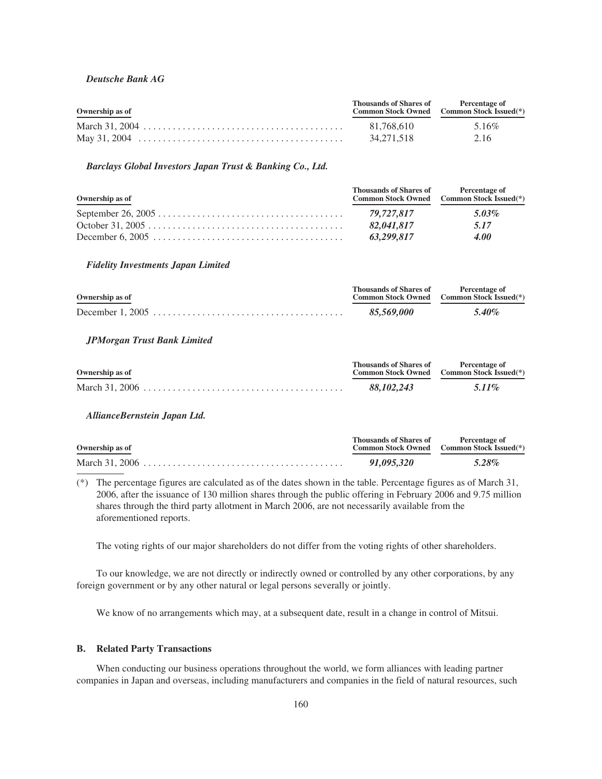## *Deutsche Bank AG*

| Ownership as of | Thousands of Shares of Percentage of | Common Stock Owned Common Stock Issued(*) |
|-----------------|--------------------------------------|-------------------------------------------|
|                 | 81.768.610                           | 5.16%                                     |
|                 | 34.271.518                           | 2.16                                      |

### *Barclays Global Investors Japan Trust & Banking Co., Ltd.*

| Ownership as of | Thousands of Shares of Percentage of | Common Stock Owned Common Stock Issued(*) |
|-----------------|--------------------------------------|-------------------------------------------|
|                 | 79.727.817                           | $5.03\%$                                  |
|                 | 82,041,817                           | 5.17                                      |
|                 | 63.299.817                           | 4.00                                      |

# *Fidelity Investments Japan Limited*

| Ownership as of | Thousands of Shares of | <b>Percentage of</b><br>Common Stock Owned Common Stock Issued <sup>(*)</sup> |
|-----------------|------------------------|-------------------------------------------------------------------------------|
|                 | 85.569.000             | 5.40%                                                                         |

# *JPMorgan Trust Bank Limited*

| Ownership as of | <b>Thousands of Shares of</b> | <b>Percentage of</b><br>Common Stock Owned Common Stock Issued <sup>(*)</sup> |
|-----------------|-------------------------------|-------------------------------------------------------------------------------|
|                 | 88.102.243                    | $5.11\%$                                                                      |

## *AllianceBernstein Japan Ltd.*

| Ownership as of | Thousands of Shares of | <b>Percentage of</b><br>Common Stock Owned Common Stock Issued <sup>(*)</sup> |  |  |
|-----------------|------------------------|-------------------------------------------------------------------------------|--|--|
|                 | 91.095.320             | 5.28%                                                                         |  |  |

(\*) The percentage figures are calculated as of the dates shown in the table. Percentage figures as of March 31, 2006, after the issuance of 130 million shares through the public offering in February 2006 and 9.75 million shares through the third party allotment in March 2006, are not necessarily available from the aforementioned reports.

The voting rights of our major shareholders do not differ from the voting rights of other shareholders.

To our knowledge, we are not directly or indirectly owned or controlled by any other corporations, by any foreign government or by any other natural or legal persons severally or jointly.

We know of no arrangements which may, at a subsequent date, result in a change in control of Mitsui.

# **B. Related Party Transactions**

When conducting our business operations throughout the world, we form alliances with leading partner companies in Japan and overseas, including manufacturers and companies in the field of natural resources, such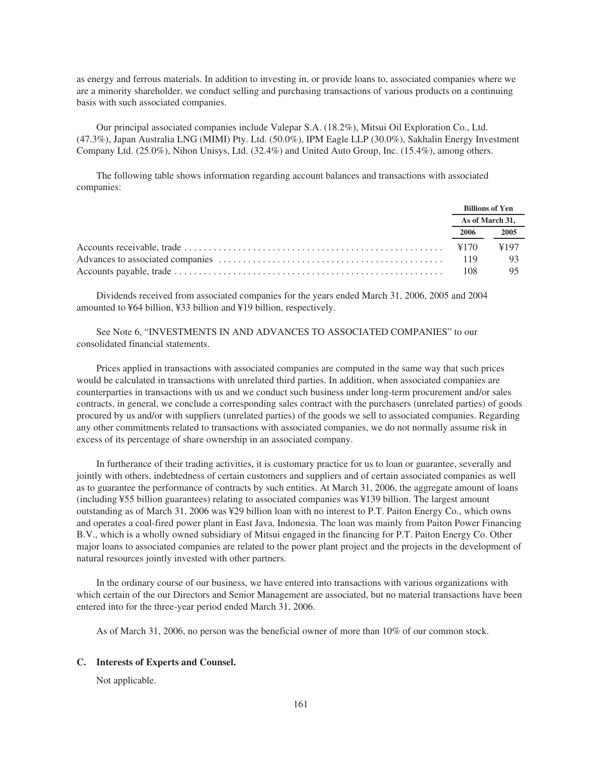as energy and ferrous materials. In addition to investing in, or provide loans to, associated companies where we are a minority shareholder, we conduct selling and purchasing transactions of various products on a continuing basis with such associated companies.

Our principal associated companies include Valepar S.A. (18.2%), Mitsui Oil Exploration Co., Ltd. (47.3%), Japan Australia LNG (MIMI) Pty. Ltd. (50.0%), IPM Eagle LLP (30.0%), Sakhalin Energy Investment Company Ltd. (25.0%), Nihon Unisys, Ltd. (32.4%) and United Auto Group, Inc. (15.4%), among others.

The following table shows information regarding account balances and transactions with associated companies:

|      | <b>Billions of Yen</b> |
|------|------------------------|
|      | As of March 31,        |
| 2006 | 2005                   |
|      | ¥197                   |
|      | -93                    |
| 108  |                        |

Dividends received from associated companies for the years ended March 31, 2006, 2005 and 2004 amounted to ¥64 billion, ¥33 billion and ¥19 billion, respectively.

See Note 6, "INVESTMENTS IN AND ADVANCES TO ASSOCIATED COMPANIES" to our consolidated financial statements.

Prices applied in transactions with associated companies are computed in the same way that such prices would be calculated in transactions with unrelated third parties. In addition, when associated companies are counterparties in transactions with us and we conduct such business under long-term procurement and/or sales contracts, in general, we conclude a corresponding sales contract with the purchasers (unrelated parties) of goods procured by us and/or with suppliers (unrelated parties) of the goods we sell to associated companies. Regarding any other commitments related to transactions with associated companies, we do not normally assume risk in excess of its percentage of share ownership in an associated company.

In furtherance of their trading activities, it is customary practice for us to loan or guarantee, severally and jointly with others, indebtedness of certain customers and suppliers and of certain associated companies as well as to guarantee the performance of contracts by such entities. At March 31, 2006, the aggregate amount of loans (including ¥55 billion guarantees) relating to associated companies was ¥139 billion. The largest amount outstanding as of March 31, 2006 was ¥29 billion loan with no interest to P.T. Paiton Energy Co., which owns and operates a coal-fired power plant in East Java, Indonesia. The loan was mainly from Paiton Power Financing B.V., which is a wholly owned subsidiary of Mitsui engaged in the financing for P.T. Paiton Energy Co. Other major loans to associated companies are related to the power plant project and the projects in the development of natural resources jointly invested with other partners.

In the ordinary course of our business, we have entered into transactions with various organizations with which certain of the our Directors and Senior Management are associated, but no material transactions have been entered into for the three-year period ended March 31, 2006.

As of March 31, 2006, no person was the beneficial owner of more than 10% of our common stock.

### **C. Interests of Experts and Counsel.**

Not applicable.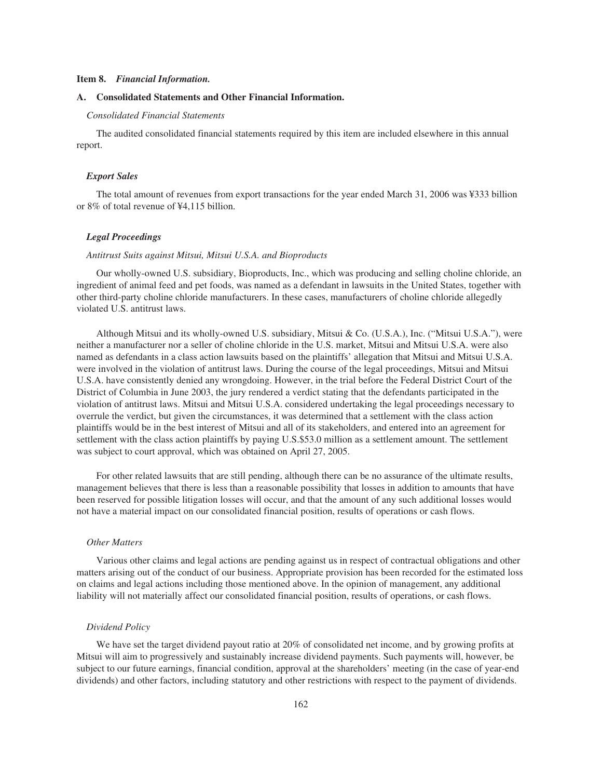### **Item 8.** *Financial Information.*

# **A. Consolidated Statements and Other Financial Information.**

## *Consolidated Financial Statements*

The audited consolidated financial statements required by this item are included elsewhere in this annual report.

#### *Export Sales*

The total amount of revenues from export transactions for the year ended March 31, 2006 was ¥333 billion or 8% of total revenue of ¥4,115 billion.

# *Legal Proceedings*

#### *Antitrust Suits against Mitsui, Mitsui U.S.A. and Bioproducts*

Our wholly-owned U.S. subsidiary, Bioproducts, Inc., which was producing and selling choline chloride, an ingredient of animal feed and pet foods, was named as a defendant in lawsuits in the United States, together with other third-party choline chloride manufacturers. In these cases, manufacturers of choline chloride allegedly violated U.S. antitrust laws.

Although Mitsui and its wholly-owned U.S. subsidiary, Mitsui & Co. (U.S.A.), Inc. ("Mitsui U.S.A."), were neither a manufacturer nor a seller of choline chloride in the U.S. market, Mitsui and Mitsui U.S.A. were also named as defendants in a class action lawsuits based on the plaintiffs' allegation that Mitsui and Mitsui U.S.A. were involved in the violation of antitrust laws. During the course of the legal proceedings, Mitsui and Mitsui U.S.A. have consistently denied any wrongdoing. However, in the trial before the Federal District Court of the District of Columbia in June 2003, the jury rendered a verdict stating that the defendants participated in the violation of antitrust laws. Mitsui and Mitsui U.S.A. considered undertaking the legal proceedings necessary to overrule the verdict, but given the circumstances, it was determined that a settlement with the class action plaintiffs would be in the best interest of Mitsui and all of its stakeholders, and entered into an agreement for settlement with the class action plaintiffs by paying U.S.\$53.0 million as a settlement amount. The settlement was subject to court approval, which was obtained on April 27, 2005.

For other related lawsuits that are still pending, although there can be no assurance of the ultimate results, management believes that there is less than a reasonable possibility that losses in addition to amounts that have been reserved for possible litigation losses will occur, and that the amount of any such additional losses would not have a material impact on our consolidated financial position, results of operations or cash flows.

### *Other Matters*

Various other claims and legal actions are pending against us in respect of contractual obligations and other matters arising out of the conduct of our business. Appropriate provision has been recorded for the estimated loss on claims and legal actions including those mentioned above. In the opinion of management, any additional liability will not materially affect our consolidated financial position, results of operations, or cash flows.

#### *Dividend Policy*

We have set the target dividend payout ratio at 20% of consolidated net income, and by growing profits at Mitsui will aim to progressively and sustainably increase dividend payments. Such payments will, however, be subject to our future earnings, financial condition, approval at the shareholders' meeting (in the case of year-end dividends) and other factors, including statutory and other restrictions with respect to the payment of dividends.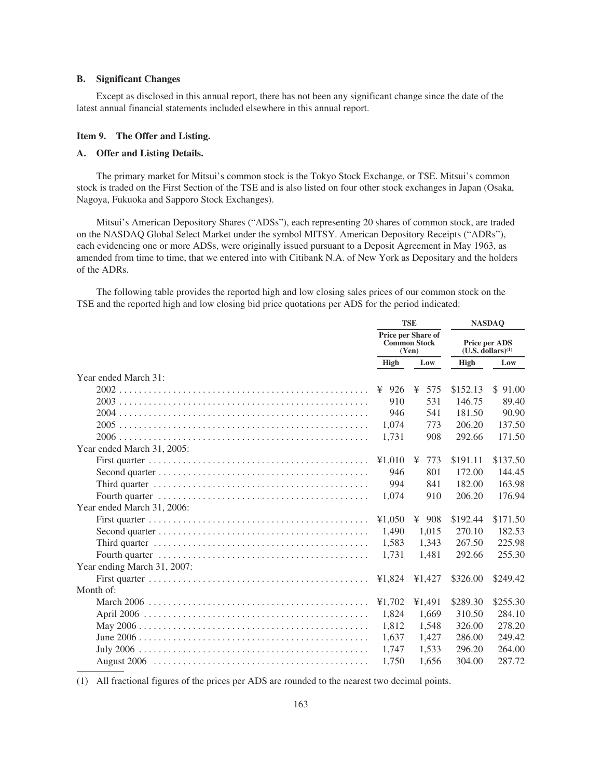# **B. Significant Changes**

Except as disclosed in this annual report, there has not been any significant change since the date of the latest annual financial statements included elsewhere in this annual report.

# **Item 9. The Offer and Listing.**

# **A. Offer and Listing Details.**

The primary market for Mitsui's common stock is the Tokyo Stock Exchange, or TSE. Mitsui's common stock is traded on the First Section of the TSE and is also listed on four other stock exchanges in Japan (Osaka, Nagoya, Fukuoka and Sapporo Stock Exchanges).

Mitsui's American Depository Shares ("ADSs"), each representing 20 shares of common stock, are traded on the NASDAQ Global Select Market under the symbol MITSY. American Depository Receipts ("ADRs"), each evidencing one or more ADSs, were originally issued pursuant to a Deposit Agreement in May 1963, as amended from time to time, that we entered into with Citibank N.A. of New York as Depositary and the holders of the ADRs.

The following table provides the reported high and low closing sales prices of our common stock on the TSE and the reported high and low closing bid price quotations per ADS for the period indicated:

|                                                                                                     |             | <b>TSE</b>                                                | <b>NASDAQ</b>                              |          |  |  |
|-----------------------------------------------------------------------------------------------------|-------------|-----------------------------------------------------------|--------------------------------------------|----------|--|--|
|                                                                                                     |             | <b>Price per Share of</b><br><b>Common Stock</b><br>(Yen) | Price per ADS<br>$(U.S.$ dollars $)^{(1)}$ |          |  |  |
|                                                                                                     | <b>High</b> | Low                                                       | High                                       | Low      |  |  |
| Year ended March 31:                                                                                |             |                                                           |                                            |          |  |  |
|                                                                                                     | 926<br>¥    | ¥<br>575                                                  | \$152.13                                   | \$91.00  |  |  |
|                                                                                                     | 910         | 531                                                       | 146.75                                     | 89.40    |  |  |
|                                                                                                     | 946         | 541                                                       | 181.50                                     | 90.90    |  |  |
|                                                                                                     | 1.074       | 773                                                       | 206.20                                     | 137.50   |  |  |
|                                                                                                     | 1,731       | 908                                                       | 292.66                                     | 171.50   |  |  |
| Year ended March 31, 2005:                                                                          |             |                                                           |                                            |          |  |  |
|                                                                                                     | ¥1,010      | 773<br>¥                                                  | \$191.11                                   | \$137.50 |  |  |
|                                                                                                     | 946         | 801                                                       | 172.00                                     | 144.45   |  |  |
| Third quarter $\dots \dots \dots \dots \dots \dots \dots \dots \dots \dots \dots \dots \dots \dots$ | 994         | 841                                                       | 182.00                                     | 163.98   |  |  |
|                                                                                                     | 1.074       | 910                                                       | 206.20                                     | 176.94   |  |  |
| Year ended March 31, 2006:                                                                          |             |                                                           |                                            |          |  |  |
|                                                                                                     | ¥1,050      | ¥<br>908                                                  | \$192.44                                   | \$171.50 |  |  |
|                                                                                                     | 1,490       | 1,015                                                     | 270.10                                     | 182.53   |  |  |
|                                                                                                     | 1,583       | 1,343                                                     | 267.50                                     | 225.98   |  |  |
|                                                                                                     | 1.731       | 1,481                                                     | 292.66                                     | 255.30   |  |  |
| Year ending March 31, 2007:                                                                         |             |                                                           |                                            |          |  |  |
|                                                                                                     | ¥1,824      | ¥1,427                                                    | \$326.00                                   | \$249.42 |  |  |
| Month of:                                                                                           |             |                                                           |                                            |          |  |  |
|                                                                                                     | ¥1.702      | ¥1,491                                                    | \$289.30                                   | \$255.30 |  |  |
|                                                                                                     | 1,824       | 1,669                                                     | 310.50                                     | 284.10   |  |  |
|                                                                                                     | 1,812       | 1,548                                                     | 326.00                                     | 278.20   |  |  |
|                                                                                                     | 1.637       | 1,427                                                     | 286.00                                     | 249.42   |  |  |
|                                                                                                     | 1,747       | 1,533                                                     | 296.20                                     | 264.00   |  |  |
|                                                                                                     | 1.750       | 1.656                                                     | 304.00                                     | 287.72   |  |  |

(1) All fractional figures of the prices per ADS are rounded to the nearest two decimal points.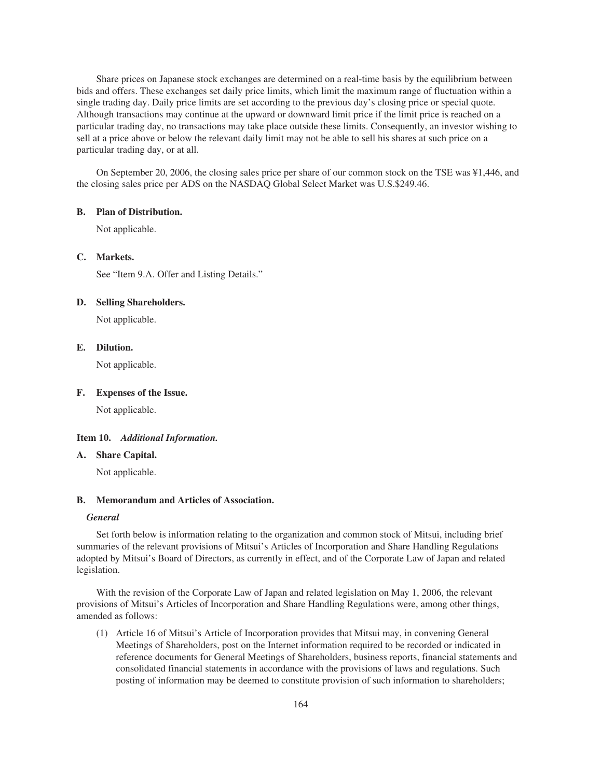Share prices on Japanese stock exchanges are determined on a real-time basis by the equilibrium between bids and offers. These exchanges set daily price limits, which limit the maximum range of fluctuation within a single trading day. Daily price limits are set according to the previous day's closing price or special quote. Although transactions may continue at the upward or downward limit price if the limit price is reached on a particular trading day, no transactions may take place outside these limits. Consequently, an investor wishing to sell at a price above or below the relevant daily limit may not be able to sell his shares at such price on a particular trading day, or at all.

On September 20, 2006, the closing sales price per share of our common stock on the TSE was ¥1,446, and the closing sales price per ADS on the NASDAQ Global Select Market was U.S.\$249.46.

## **B. Plan of Distribution.**

Not applicable.

## **C. Markets.**

See "Item 9.A. Offer and Listing Details."

# **D. Selling Shareholders.**

Not applicable.

# **E. Dilution.**

Not applicable.

## **F. Expenses of the Issue.**

Not applicable.

## **Item 10.** *Additional Information.*

## **A. Share Capital.**

Not applicable.

#### **B. Memorandum and Articles of Association.**

#### *General*

Set forth below is information relating to the organization and common stock of Mitsui, including brief summaries of the relevant provisions of Mitsui's Articles of Incorporation and Share Handling Regulations adopted by Mitsui's Board of Directors, as currently in effect, and of the Corporate Law of Japan and related legislation.

With the revision of the Corporate Law of Japan and related legislation on May 1, 2006, the relevant provisions of Mitsui's Articles of Incorporation and Share Handling Regulations were, among other things, amended as follows:

(1) Article 16 of Mitsui's Article of Incorporation provides that Mitsui may, in convening General Meetings of Shareholders, post on the Internet information required to be recorded or indicated in reference documents for General Meetings of Shareholders, business reports, financial statements and consolidated financial statements in accordance with the provisions of laws and regulations. Such posting of information may be deemed to constitute provision of such information to shareholders;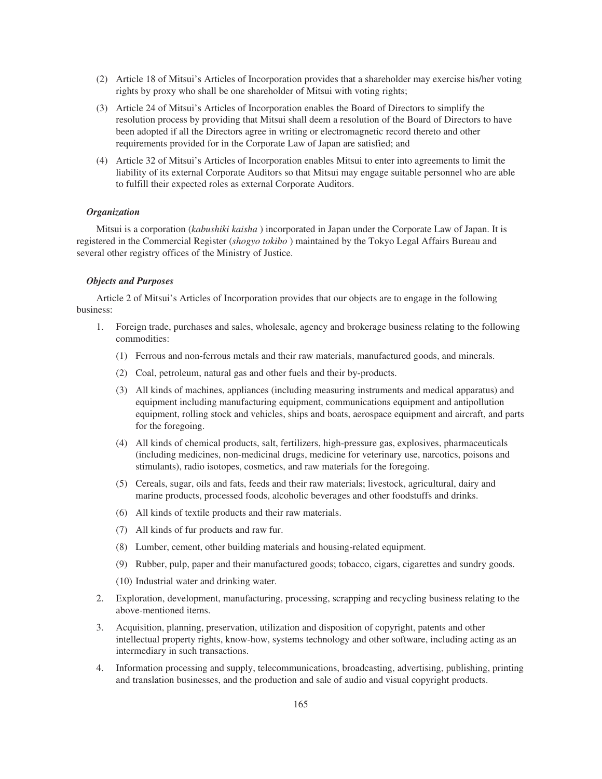- (2) Article 18 of Mitsui's Articles of Incorporation provides that a shareholder may exercise his/her voting rights by proxy who shall be one shareholder of Mitsui with voting rights;
- (3) Article 24 of Mitsui's Articles of Incorporation enables the Board of Directors to simplify the resolution process by providing that Mitsui shall deem a resolution of the Board of Directors to have been adopted if all the Directors agree in writing or electromagnetic record thereto and other requirements provided for in the Corporate Law of Japan are satisfied; and
- (4) Article 32 of Mitsui's Articles of Incorporation enables Mitsui to enter into agreements to limit the liability of its external Corporate Auditors so that Mitsui may engage suitable personnel who are able to fulfill their expected roles as external Corporate Auditors.

## *Organization*

Mitsui is a corporation (*kabushiki kaisha* ) incorporated in Japan under the Corporate Law of Japan. It is registered in the Commercial Register (*shogyo tokibo* ) maintained by the Tokyo Legal Affairs Bureau and several other registry offices of the Ministry of Justice.

# *Objects and Purposes*

Article 2 of Mitsui's Articles of Incorporation provides that our objects are to engage in the following business:

- 1. Foreign trade, purchases and sales, wholesale, agency and brokerage business relating to the following commodities:
	- (1) Ferrous and non-ferrous metals and their raw materials, manufactured goods, and minerals.
	- (2) Coal, petroleum, natural gas and other fuels and their by-products.
	- (3) All kinds of machines, appliances (including measuring instruments and medical apparatus) and equipment including manufacturing equipment, communications equipment and antipollution equipment, rolling stock and vehicles, ships and boats, aerospace equipment and aircraft, and parts for the foregoing.
	- (4) All kinds of chemical products, salt, fertilizers, high-pressure gas, explosives, pharmaceuticals (including medicines, non-medicinal drugs, medicine for veterinary use, narcotics, poisons and stimulants), radio isotopes, cosmetics, and raw materials for the foregoing.
	- (5) Cereals, sugar, oils and fats, feeds and their raw materials; livestock, agricultural, dairy and marine products, processed foods, alcoholic beverages and other foodstuffs and drinks.
	- (6) All kinds of textile products and their raw materials.
	- (7) All kinds of fur products and raw fur.
	- (8) Lumber, cement, other building materials and housing-related equipment.
	- (9) Rubber, pulp, paper and their manufactured goods; tobacco, cigars, cigarettes and sundry goods.
	- (10) Industrial water and drinking water.
- 2. Exploration, development, manufacturing, processing, scrapping and recycling business relating to the above-mentioned items.
- 3. Acquisition, planning, preservation, utilization and disposition of copyright, patents and other intellectual property rights, know-how, systems technology and other software, including acting as an intermediary in such transactions.
- 4. Information processing and supply, telecommunications, broadcasting, advertising, publishing, printing and translation businesses, and the production and sale of audio and visual copyright products.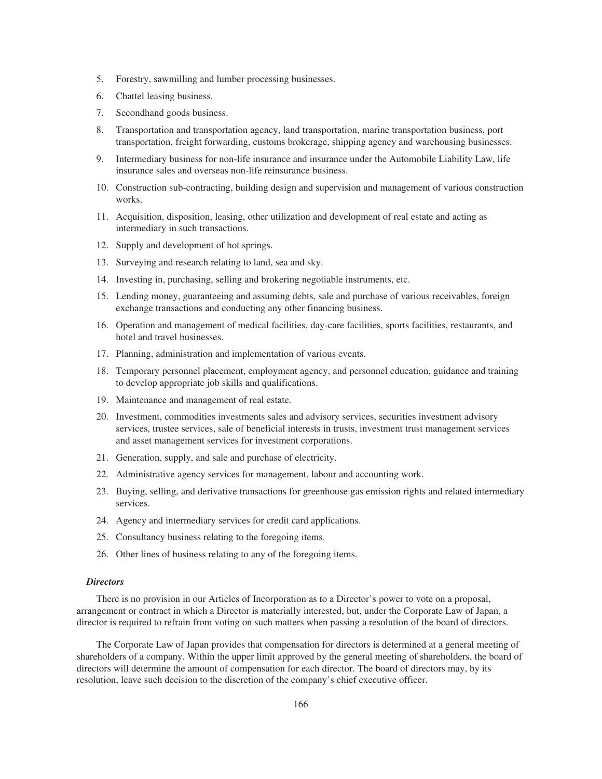- 5. Forestry, sawmilling and lumber processing businesses.
- 6. Chattel leasing business.
- 7. Secondhand goods business.
- 8. Transportation and transportation agency, land transportation, marine transportation business, port transportation, freight forwarding, customs brokerage, shipping agency and warehousing businesses.
- 9. Intermediary business for non-life insurance and insurance under the Automobile Liability Law, life insurance sales and overseas non-life reinsurance business.
- 10. Construction sub-contracting, building design and supervision and management of various construction works.
- 11. Acquisition, disposition, leasing, other utilization and development of real estate and acting as intermediary in such transactions.
- 12. Supply and development of hot springs.
- 13. Surveying and research relating to land, sea and sky.
- 14. Investing in, purchasing, selling and brokering negotiable instruments, etc.
- 15. Lending money, guaranteeing and assuming debts, sale and purchase of various receivables, foreign exchange transactions and conducting any other financing business.
- 16. Operation and management of medical facilities, day-care facilities, sports facilities, restaurants, and hotel and travel businesses.
- 17. Planning, administration and implementation of various events.
- 18. Temporary personnel placement, employment agency, and personnel education, guidance and training to develop appropriate job skills and qualifications.
- 19. Maintenance and management of real estate.
- 20. Investment, commodities investments sales and advisory services, securities investment advisory services, trustee services, sale of beneficial interests in trusts, investment trust management services and asset management services for investment corporations.
- 21. Generation, supply, and sale and purchase of electricity.
- 22. Administrative agency services for management, labour and accounting work.
- 23. Buying, selling, and derivative transactions for greenhouse gas emission rights and related intermediary services.
- 24. Agency and intermediary services for credit card applications.
- 25. Consultancy business relating to the foregoing items.
- 26. Other lines of business relating to any of the foregoing items.

## *Directors*

There is no provision in our Articles of Incorporation as to a Director's power to vote on a proposal, arrangement or contract in which a Director is materially interested, but, under the Corporate Law of Japan, a director is required to refrain from voting on such matters when passing a resolution of the board of directors.

The Corporate Law of Japan provides that compensation for directors is determined at a general meeting of shareholders of a company. Within the upper limit approved by the general meeting of shareholders, the board of directors will determine the amount of compensation for each director. The board of directors may, by its resolution, leave such decision to the discretion of the company's chief executive officer.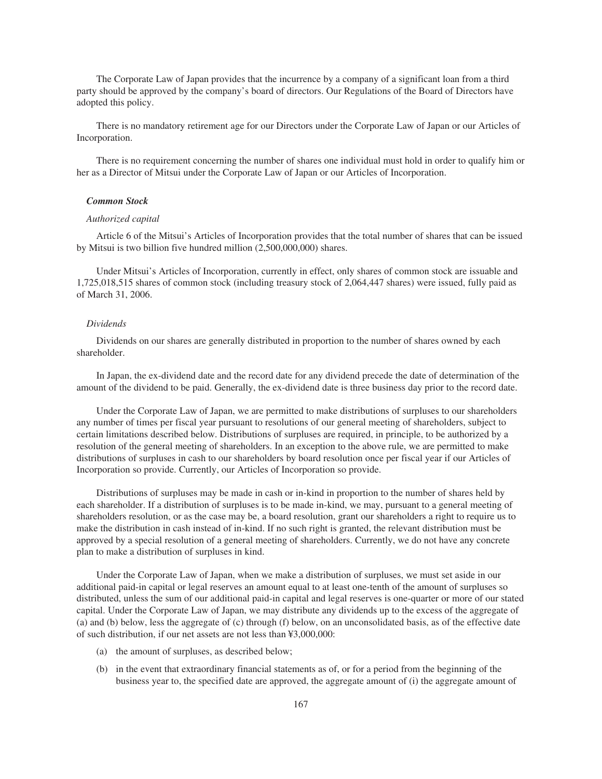The Corporate Law of Japan provides that the incurrence by a company of a significant loan from a third party should be approved by the company's board of directors. Our Regulations of the Board of Directors have adopted this policy.

There is no mandatory retirement age for our Directors under the Corporate Law of Japan or our Articles of Incorporation.

There is no requirement concerning the number of shares one individual must hold in order to qualify him or her as a Director of Mitsui under the Corporate Law of Japan or our Articles of Incorporation.

### *Common Stock*

#### *Authorized capital*

Article 6 of the Mitsui's Articles of Incorporation provides that the total number of shares that can be issued by Mitsui is two billion five hundred million (2,500,000,000) shares.

Under Mitsui's Articles of Incorporation, currently in effect, only shares of common stock are issuable and 1,725,018,515 shares of common stock (including treasury stock of 2,064,447 shares) were issued, fully paid as of March 31, 2006.

#### *Dividends*

Dividends on our shares are generally distributed in proportion to the number of shares owned by each shareholder.

In Japan, the ex-dividend date and the record date for any dividend precede the date of determination of the amount of the dividend to be paid. Generally, the ex-dividend date is three business day prior to the record date.

Under the Corporate Law of Japan, we are permitted to make distributions of surpluses to our shareholders any number of times per fiscal year pursuant to resolutions of our general meeting of shareholders, subject to certain limitations described below. Distributions of surpluses are required, in principle, to be authorized by a resolution of the general meeting of shareholders. In an exception to the above rule, we are permitted to make distributions of surpluses in cash to our shareholders by board resolution once per fiscal year if our Articles of Incorporation so provide. Currently, our Articles of Incorporation so provide.

Distributions of surpluses may be made in cash or in-kind in proportion to the number of shares held by each shareholder. If a distribution of surpluses is to be made in-kind, we may, pursuant to a general meeting of shareholders resolution, or as the case may be, a board resolution, grant our shareholders a right to require us to make the distribution in cash instead of in-kind. If no such right is granted, the relevant distribution must be approved by a special resolution of a general meeting of shareholders. Currently, we do not have any concrete plan to make a distribution of surpluses in kind.

Under the Corporate Law of Japan, when we make a distribution of surpluses, we must set aside in our additional paid-in capital or legal reserves an amount equal to at least one-tenth of the amount of surpluses so distributed, unless the sum of our additional paid-in capital and legal reserves is one-quarter or more of our stated capital. Under the Corporate Law of Japan, we may distribute any dividends up to the excess of the aggregate of (a) and (b) below, less the aggregate of (c) through (f) below, on an unconsolidated basis, as of the effective date of such distribution, if our net assets are not less than ¥3,000,000:

- (a) the amount of surpluses, as described below;
- (b) in the event that extraordinary financial statements as of, or for a period from the beginning of the business year to, the specified date are approved, the aggregate amount of (i) the aggregate amount of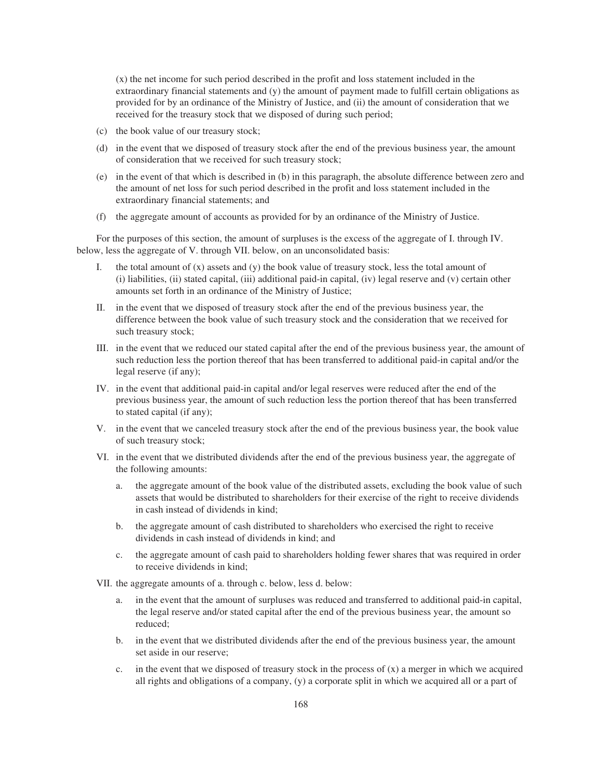(x) the net income for such period described in the profit and loss statement included in the extraordinary financial statements and (y) the amount of payment made to fulfill certain obligations as provided for by an ordinance of the Ministry of Justice, and (ii) the amount of consideration that we received for the treasury stock that we disposed of during such period;

- (c) the book value of our treasury stock;
- (d) in the event that we disposed of treasury stock after the end of the previous business year, the amount of consideration that we received for such treasury stock;
- (e) in the event of that which is described in (b) in this paragraph, the absolute difference between zero and the amount of net loss for such period described in the profit and loss statement included in the extraordinary financial statements; and
- (f) the aggregate amount of accounts as provided for by an ordinance of the Ministry of Justice.

For the purposes of this section, the amount of surpluses is the excess of the aggregate of I. through IV. below, less the aggregate of V. through VII. below, on an unconsolidated basis:

- I. the total amount of  $(x)$  assets and  $(y)$  the book value of treasury stock, less the total amount of (i) liabilities, (ii) stated capital, (iii) additional paid-in capital, (iv) legal reserve and (v) certain other amounts set forth in an ordinance of the Ministry of Justice;
- II. in the event that we disposed of treasury stock after the end of the previous business year, the difference between the book value of such treasury stock and the consideration that we received for such treasury stock;
- III. in the event that we reduced our stated capital after the end of the previous business year, the amount of such reduction less the portion thereof that has been transferred to additional paid-in capital and/or the legal reserve (if any);
- IV. in the event that additional paid-in capital and/or legal reserves were reduced after the end of the previous business year, the amount of such reduction less the portion thereof that has been transferred to stated capital (if any);
- V. in the event that we canceled treasury stock after the end of the previous business year, the book value of such treasury stock;
- VI. in the event that we distributed dividends after the end of the previous business year, the aggregate of the following amounts:
	- a. the aggregate amount of the book value of the distributed assets, excluding the book value of such assets that would be distributed to shareholders for their exercise of the right to receive dividends in cash instead of dividends in kind;
	- b. the aggregate amount of cash distributed to shareholders who exercised the right to receive dividends in cash instead of dividends in kind; and
	- c. the aggregate amount of cash paid to shareholders holding fewer shares that was required in order to receive dividends in kind;
- VII. the aggregate amounts of a. through c. below, less d. below:
	- a. in the event that the amount of surpluses was reduced and transferred to additional paid-in capital, the legal reserve and/or stated capital after the end of the previous business year, the amount so reduced;
	- b. in the event that we distributed dividends after the end of the previous business year, the amount set aside in our reserve;
	- c. in the event that we disposed of treasury stock in the process of  $(x)$  a merger in which we acquired all rights and obligations of a company, (y) a corporate split in which we acquired all or a part of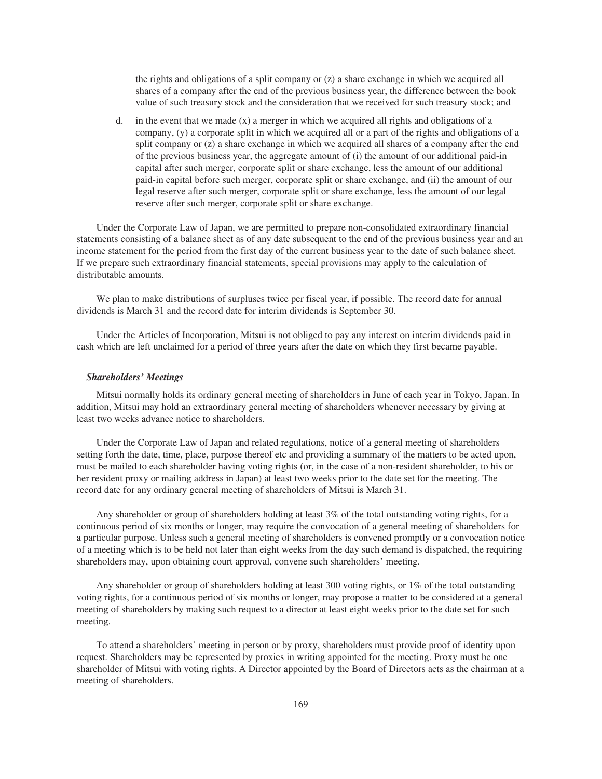the rights and obligations of a split company or (z) a share exchange in which we acquired all shares of a company after the end of the previous business year, the difference between the book value of such treasury stock and the consideration that we received for such treasury stock; and

d. in the event that we made  $(x)$  a merger in which we acquired all rights and obligations of a company, (y) a corporate split in which we acquired all or a part of the rights and obligations of a split company or (z) a share exchange in which we acquired all shares of a company after the end of the previous business year, the aggregate amount of (i) the amount of our additional paid-in capital after such merger, corporate split or share exchange, less the amount of our additional paid-in capital before such merger, corporate split or share exchange, and (ii) the amount of our legal reserve after such merger, corporate split or share exchange, less the amount of our legal reserve after such merger, corporate split or share exchange.

Under the Corporate Law of Japan, we are permitted to prepare non-consolidated extraordinary financial statements consisting of a balance sheet as of any date subsequent to the end of the previous business year and an income statement for the period from the first day of the current business year to the date of such balance sheet. If we prepare such extraordinary financial statements, special provisions may apply to the calculation of distributable amounts.

We plan to make distributions of surpluses twice per fiscal year, if possible. The record date for annual dividends is March 31 and the record date for interim dividends is September 30.

Under the Articles of Incorporation, Mitsui is not obliged to pay any interest on interim dividends paid in cash which are left unclaimed for a period of three years after the date on which they first became payable.

### *Shareholders' Meetings*

Mitsui normally holds its ordinary general meeting of shareholders in June of each year in Tokyo, Japan. In addition, Mitsui may hold an extraordinary general meeting of shareholders whenever necessary by giving at least two weeks advance notice to shareholders.

Under the Corporate Law of Japan and related regulations, notice of a general meeting of shareholders setting forth the date, time, place, purpose thereof etc and providing a summary of the matters to be acted upon, must be mailed to each shareholder having voting rights (or, in the case of a non-resident shareholder, to his or her resident proxy or mailing address in Japan) at least two weeks prior to the date set for the meeting. The record date for any ordinary general meeting of shareholders of Mitsui is March 31.

Any shareholder or group of shareholders holding at least 3% of the total outstanding voting rights, for a continuous period of six months or longer, may require the convocation of a general meeting of shareholders for a particular purpose. Unless such a general meeting of shareholders is convened promptly or a convocation notice of a meeting which is to be held not later than eight weeks from the day such demand is dispatched, the requiring shareholders may, upon obtaining court approval, convene such shareholders' meeting.

Any shareholder or group of shareholders holding at least 300 voting rights, or 1% of the total outstanding voting rights, for a continuous period of six months or longer, may propose a matter to be considered at a general meeting of shareholders by making such request to a director at least eight weeks prior to the date set for such meeting.

To attend a shareholders' meeting in person or by proxy, shareholders must provide proof of identity upon request. Shareholders may be represented by proxies in writing appointed for the meeting. Proxy must be one shareholder of Mitsui with voting rights. A Director appointed by the Board of Directors acts as the chairman at a meeting of shareholders.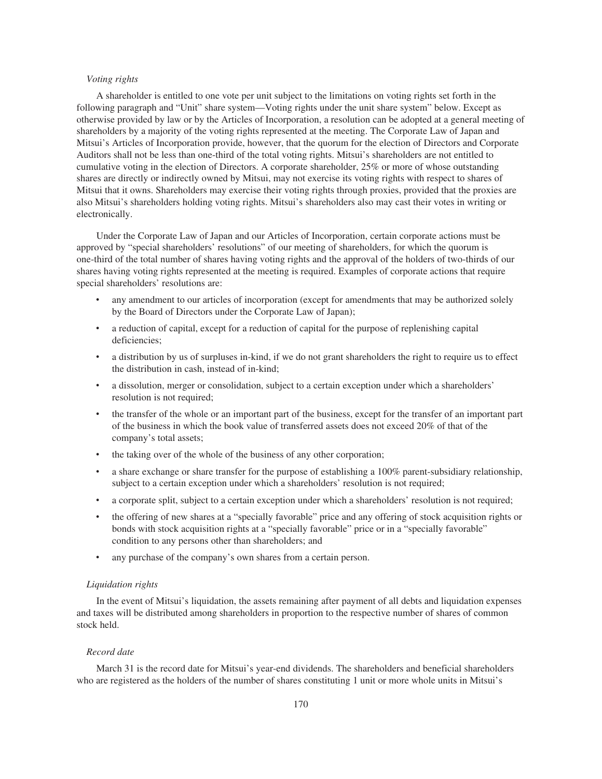### *Voting rights*

A shareholder is entitled to one vote per unit subject to the limitations on voting rights set forth in the following paragraph and "Unit" share system—Voting rights under the unit share system" below. Except as otherwise provided by law or by the Articles of Incorporation, a resolution can be adopted at a general meeting of shareholders by a majority of the voting rights represented at the meeting. The Corporate Law of Japan and Mitsui's Articles of Incorporation provide, however, that the quorum for the election of Directors and Corporate Auditors shall not be less than one-third of the total voting rights. Mitsui's shareholders are not entitled to cumulative voting in the election of Directors. A corporate shareholder, 25% or more of whose outstanding shares are directly or indirectly owned by Mitsui, may not exercise its voting rights with respect to shares of Mitsui that it owns. Shareholders may exercise their voting rights through proxies, provided that the proxies are also Mitsui's shareholders holding voting rights. Mitsui's shareholders also may cast their votes in writing or electronically.

Under the Corporate Law of Japan and our Articles of Incorporation, certain corporate actions must be approved by "special shareholders' resolutions" of our meeting of shareholders, for which the quorum is one-third of the total number of shares having voting rights and the approval of the holders of two-thirds of our shares having voting rights represented at the meeting is required. Examples of corporate actions that require special shareholders' resolutions are:

- any amendment to our articles of incorporation (except for amendments that may be authorized solely by the Board of Directors under the Corporate Law of Japan);
- ‰ a reduction of capital, except for a reduction of capital for the purpose of replenishing capital deficiencies;
- a distribution by us of surpluses in-kind, if we do not grant shareholders the right to require us to effect the distribution in cash, instead of in-kind;
- a dissolution, merger or consolidation, subject to a certain exception under which a shareholders' resolution is not required;
- the transfer of the whole or an important part of the business, except for the transfer of an important part of the business in which the book value of transferred assets does not exceed 20% of that of the company's total assets;
- the taking over of the whole of the business of any other corporation;
- a share exchange or share transfer for the purpose of establishing a 100% parent-subsidiary relationship, subject to a certain exception under which a shareholders' resolution is not required;
- a corporate split, subject to a certain exception under which a shareholders' resolution is not required;
- ‰ the offering of new shares at a "specially favorable" price and any offering of stock acquisition rights or bonds with stock acquisition rights at a "specially favorable" price or in a "specially favorable" condition to any persons other than shareholders; and
- any purchase of the company's own shares from a certain person.

## *Liquidation rights*

In the event of Mitsui's liquidation, the assets remaining after payment of all debts and liquidation expenses and taxes will be distributed among shareholders in proportion to the respective number of shares of common stock held.

#### *Record date*

March 31 is the record date for Mitsui's year-end dividends. The shareholders and beneficial shareholders who are registered as the holders of the number of shares constituting 1 unit or more whole units in Mitsui's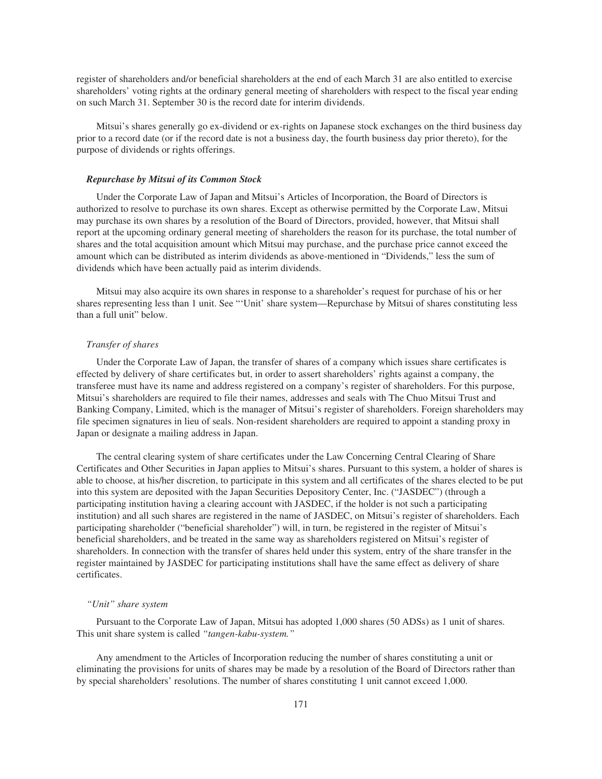register of shareholders and/or beneficial shareholders at the end of each March 31 are also entitled to exercise shareholders' voting rights at the ordinary general meeting of shareholders with respect to the fiscal year ending on such March 31. September 30 is the record date for interim dividends.

Mitsui's shares generally go ex-dividend or ex-rights on Japanese stock exchanges on the third business day prior to a record date (or if the record date is not a business day, the fourth business day prior thereto), for the purpose of dividends or rights offerings.

### *Repurchase by Mitsui of its Common Stock*

Under the Corporate Law of Japan and Mitsui's Articles of Incorporation, the Board of Directors is authorized to resolve to purchase its own shares. Except as otherwise permitted by the Corporate Law, Mitsui may purchase its own shares by a resolution of the Board of Directors, provided, however, that Mitsui shall report at the upcoming ordinary general meeting of shareholders the reason for its purchase, the total number of shares and the total acquisition amount which Mitsui may purchase, and the purchase price cannot exceed the amount which can be distributed as interim dividends as above-mentioned in "Dividends," less the sum of dividends which have been actually paid as interim dividends.

Mitsui may also acquire its own shares in response to a shareholder's request for purchase of his or her shares representing less than 1 unit. See "'Unit' share system—Repurchase by Mitsui of shares constituting less than a full unit" below.

### *Transfer of shares*

Under the Corporate Law of Japan, the transfer of shares of a company which issues share certificates is effected by delivery of share certificates but, in order to assert shareholders' rights against a company, the transferee must have its name and address registered on a company's register of shareholders. For this purpose, Mitsui's shareholders are required to file their names, addresses and seals with The Chuo Mitsui Trust and Banking Company, Limited, which is the manager of Mitsui's register of shareholders. Foreign shareholders may file specimen signatures in lieu of seals. Non-resident shareholders are required to appoint a standing proxy in Japan or designate a mailing address in Japan.

The central clearing system of share certificates under the Law Concerning Central Clearing of Share Certificates and Other Securities in Japan applies to Mitsui's shares. Pursuant to this system, a holder of shares is able to choose, at his/her discretion, to participate in this system and all certificates of the shares elected to be put into this system are deposited with the Japan Securities Depository Center, Inc. ("JASDEC") (through a participating institution having a clearing account with JASDEC, if the holder is not such a participating institution) and all such shares are registered in the name of JASDEC, on Mitsui's register of shareholders. Each participating shareholder ("beneficial shareholder") will, in turn, be registered in the register of Mitsui's beneficial shareholders, and be treated in the same way as shareholders registered on Mitsui's register of shareholders. In connection with the transfer of shares held under this system, entry of the share transfer in the register maintained by JASDEC for participating institutions shall have the same effect as delivery of share certificates.

### *"Unit" share system*

Pursuant to the Corporate Law of Japan, Mitsui has adopted 1,000 shares (50 ADSs) as 1 unit of shares. This unit share system is called *"tangen-kabu-system."*

Any amendment to the Articles of Incorporation reducing the number of shares constituting a unit or eliminating the provisions for units of shares may be made by a resolution of the Board of Directors rather than by special shareholders' resolutions. The number of shares constituting 1 unit cannot exceed 1,000.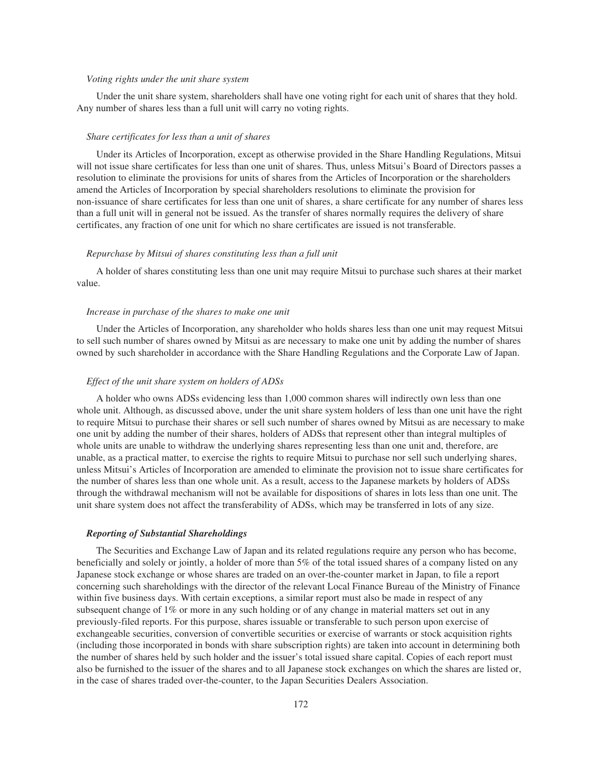### *Voting rights under the unit share system*

Under the unit share system, shareholders shall have one voting right for each unit of shares that they hold. Any number of shares less than a full unit will carry no voting rights.

#### *Share certificates for less than a unit of shares*

Under its Articles of Incorporation, except as otherwise provided in the Share Handling Regulations, Mitsui will not issue share certificates for less than one unit of shares. Thus, unless Mitsui's Board of Directors passes a resolution to eliminate the provisions for units of shares from the Articles of Incorporation or the shareholders amend the Articles of Incorporation by special shareholders resolutions to eliminate the provision for non-issuance of share certificates for less than one unit of shares, a share certificate for any number of shares less than a full unit will in general not be issued. As the transfer of shares normally requires the delivery of share certificates, any fraction of one unit for which no share certificates are issued is not transferable.

### *Repurchase by Mitsui of shares constituting less than a full unit*

A holder of shares constituting less than one unit may require Mitsui to purchase such shares at their market value.

#### *Increase in purchase of the shares to make one unit*

Under the Articles of Incorporation, any shareholder who holds shares less than one unit may request Mitsui to sell such number of shares owned by Mitsui as are necessary to make one unit by adding the number of shares owned by such shareholder in accordance with the Share Handling Regulations and the Corporate Law of Japan.

#### *Effect of the unit share system on holders of ADSs*

A holder who owns ADSs evidencing less than 1,000 common shares will indirectly own less than one whole unit. Although, as discussed above, under the unit share system holders of less than one unit have the right to require Mitsui to purchase their shares or sell such number of shares owned by Mitsui as are necessary to make one unit by adding the number of their shares, holders of ADSs that represent other than integral multiples of whole units are unable to withdraw the underlying shares representing less than one unit and, therefore, are unable, as a practical matter, to exercise the rights to require Mitsui to purchase nor sell such underlying shares, unless Mitsui's Articles of Incorporation are amended to eliminate the provision not to issue share certificates for the number of shares less than one whole unit. As a result, access to the Japanese markets by holders of ADSs through the withdrawal mechanism will not be available for dispositions of shares in lots less than one unit. The unit share system does not affect the transferability of ADSs, which may be transferred in lots of any size.

#### *Reporting of Substantial Shareholdings*

The Securities and Exchange Law of Japan and its related regulations require any person who has become, beneficially and solely or jointly, a holder of more than 5% of the total issued shares of a company listed on any Japanese stock exchange or whose shares are traded on an over-the-counter market in Japan, to file a report concerning such shareholdings with the director of the relevant Local Finance Bureau of the Ministry of Finance within five business days. With certain exceptions, a similar report must also be made in respect of any subsequent change of 1% or more in any such holding or of any change in material matters set out in any previously-filed reports. For this purpose, shares issuable or transferable to such person upon exercise of exchangeable securities, conversion of convertible securities or exercise of warrants or stock acquisition rights (including those incorporated in bonds with share subscription rights) are taken into account in determining both the number of shares held by such holder and the issuer's total issued share capital. Copies of each report must also be furnished to the issuer of the shares and to all Japanese stock exchanges on which the shares are listed or, in the case of shares traded over-the-counter, to the Japan Securities Dealers Association.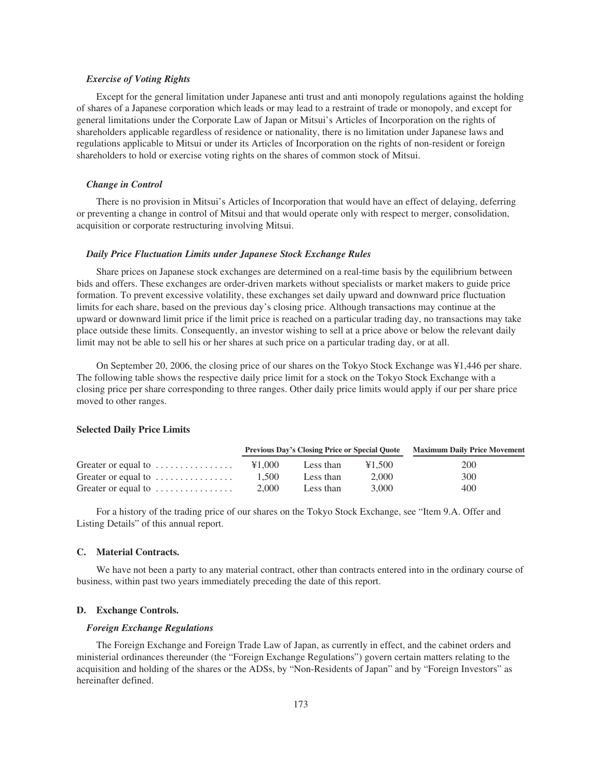## *Exercise of Voting Rights*

Except for the general limitation under Japanese anti trust and anti monopoly regulations against the holding of shares of a Japanese corporation which leads or may lead to a restraint of trade or monopoly, and except for general limitations under the Corporate Law of Japan or Mitsui's Articles of Incorporation on the rights of shareholders applicable regardless of residence or nationality, there is no limitation under Japanese laws and regulations applicable to Mitsui or under its Articles of Incorporation on the rights of non-resident or foreign shareholders to hold or exercise voting rights on the shares of common stock of Mitsui.

## *Change in Control*

There is no provision in Mitsui's Articles of Incorporation that would have an effect of delaying, deferring or preventing a change in control of Mitsui and that would operate only with respect to merger, consolidation, acquisition or corporate restructuring involving Mitsui.

#### *Daily Price Fluctuation Limits under Japanese Stock Exchange Rules*

Share prices on Japanese stock exchanges are determined on a real-time basis by the equilibrium between bids and offers. These exchanges are order-driven markets without specialists or market makers to guide price formation. To prevent excessive volatility, these exchanges set daily upward and downward price fluctuation limits for each share, based on the previous day's closing price. Although transactions may continue at the upward or downward limit price if the limit price is reached on a particular trading day, no transactions may take place outside these limits. Consequently, an investor wishing to sell at a price above or below the relevant daily limit may not be able to sell his or her shares at such price on a particular trading day, or at all.

On September 20, 2006, the closing price of our shares on the Tokyo Stock Exchange was ¥1,446 per share. The following table shows the respective daily price limit for a stock on the Tokyo Stock Exchange with a closing price per share corresponding to three ranges. Other daily price limits would apply if our per share price moved to other ranges.

#### **Selected Daily Price Limits**

|                                                 |        | <b>Previous Day's Closing Price or Special Quote</b> | <b>Maximum Daily Price Movement</b> |     |  |  |
|-------------------------------------------------|--------|------------------------------------------------------|-------------------------------------|-----|--|--|
| Greater or equal to $\dots\dots\dots\dots\dots$ | ¥1.000 | Less than                                            | ¥1,500                              | 200 |  |  |
| Greater or equal to $\dots\dots\dots\dots\dots$ | 1.500  | Less than                                            | 2.000                               | 300 |  |  |
| Greater or equal to $\dots\dots\dots\dots\dots$ | 2.000  | Less than                                            | 3.000                               | 400 |  |  |

For a history of the trading price of our shares on the Tokyo Stock Exchange, see "Item 9.A. Offer and Listing Details" of this annual report.

### **C. Material Contracts.**

We have not been a party to any material contract, other than contracts entered into in the ordinary course of business, within past two years immediately preceding the date of this report.

## **D. Exchange Controls.**

#### *Foreign Exchange Regulations*

The Foreign Exchange and Foreign Trade Law of Japan, as currently in effect, and the cabinet orders and ministerial ordinances thereunder (the "Foreign Exchange Regulations") govern certain matters relating to the acquisition and holding of the shares or the ADSs, by "Non-Residents of Japan" and by "Foreign Investors" as hereinafter defined.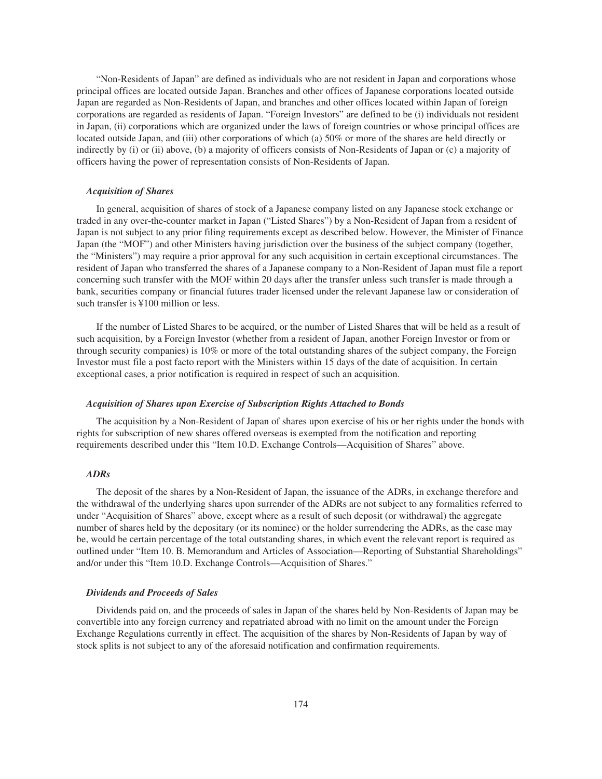"Non-Residents of Japan" are defined as individuals who are not resident in Japan and corporations whose principal offices are located outside Japan. Branches and other offices of Japanese corporations located outside Japan are regarded as Non-Residents of Japan, and branches and other offices located within Japan of foreign corporations are regarded as residents of Japan. "Foreign Investors" are defined to be (i) individuals not resident in Japan, (ii) corporations which are organized under the laws of foreign countries or whose principal offices are located outside Japan, and (iii) other corporations of which (a) 50% or more of the shares are held directly or indirectly by (i) or (ii) above, (b) a majority of officers consists of Non-Residents of Japan or (c) a majority of officers having the power of representation consists of Non-Residents of Japan.

#### *Acquisition of Shares*

In general, acquisition of shares of stock of a Japanese company listed on any Japanese stock exchange or traded in any over-the-counter market in Japan ("Listed Shares") by a Non-Resident of Japan from a resident of Japan is not subject to any prior filing requirements except as described below. However, the Minister of Finance Japan (the "MOF") and other Ministers having jurisdiction over the business of the subject company (together, the "Ministers") may require a prior approval for any such acquisition in certain exceptional circumstances. The resident of Japan who transferred the shares of a Japanese company to a Non-Resident of Japan must file a report concerning such transfer with the MOF within 20 days after the transfer unless such transfer is made through a bank, securities company or financial futures trader licensed under the relevant Japanese law or consideration of such transfer is ¥100 million or less.

If the number of Listed Shares to be acquired, or the number of Listed Shares that will be held as a result of such acquisition, by a Foreign Investor (whether from a resident of Japan, another Foreign Investor or from or through security companies) is 10% or more of the total outstanding shares of the subject company, the Foreign Investor must file a post facto report with the Ministers within 15 days of the date of acquisition. In certain exceptional cases, a prior notification is required in respect of such an acquisition.

#### *Acquisition of Shares upon Exercise of Subscription Rights Attached to Bonds*

The acquisition by a Non-Resident of Japan of shares upon exercise of his or her rights under the bonds with rights for subscription of new shares offered overseas is exempted from the notification and reporting requirements described under this "Item 10.D. Exchange Controls—Acquisition of Shares" above.

## *ADRs*

The deposit of the shares by a Non-Resident of Japan, the issuance of the ADRs, in exchange therefore and the withdrawal of the underlying shares upon surrender of the ADRs are not subject to any formalities referred to under "Acquisition of Shares" above, except where as a result of such deposit (or withdrawal) the aggregate number of shares held by the depositary (or its nominee) or the holder surrendering the ADRs, as the case may be, would be certain percentage of the total outstanding shares, in which event the relevant report is required as outlined under "Item 10. B. Memorandum and Articles of Association—Reporting of Substantial Shareholdings" and/or under this "Item 10.D. Exchange Controls—Acquisition of Shares."

#### *Dividends and Proceeds of Sales*

Dividends paid on, and the proceeds of sales in Japan of the shares held by Non-Residents of Japan may be convertible into any foreign currency and repatriated abroad with no limit on the amount under the Foreign Exchange Regulations currently in effect. The acquisition of the shares by Non-Residents of Japan by way of stock splits is not subject to any of the aforesaid notification and confirmation requirements.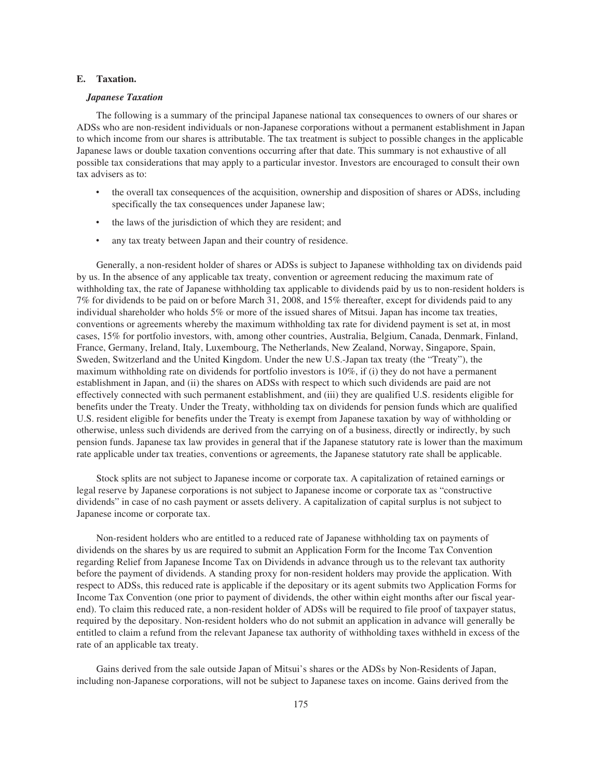### **E. Taxation.**

### *Japanese Taxation*

The following is a summary of the principal Japanese national tax consequences to owners of our shares or ADSs who are non-resident individuals or non-Japanese corporations without a permanent establishment in Japan to which income from our shares is attributable. The tax treatment is subject to possible changes in the applicable Japanese laws or double taxation conventions occurring after that date. This summary is not exhaustive of all possible tax considerations that may apply to a particular investor. Investors are encouraged to consult their own tax advisers as to:

- ‰ the overall tax consequences of the acquisition, ownership and disposition of shares or ADSs, including specifically the tax consequences under Japanese law;
- the laws of the jurisdiction of which they are resident; and
- any tax treaty between Japan and their country of residence.

Generally, a non-resident holder of shares or ADSs is subject to Japanese withholding tax on dividends paid by us. In the absence of any applicable tax treaty, convention or agreement reducing the maximum rate of withholding tax, the rate of Japanese withholding tax applicable to dividends paid by us to non-resident holders is 7% for dividends to be paid on or before March 31, 2008, and 15% thereafter, except for dividends paid to any individual shareholder who holds 5% or more of the issued shares of Mitsui. Japan has income tax treaties, conventions or agreements whereby the maximum withholding tax rate for dividend payment is set at, in most cases, 15% for portfolio investors, with, among other countries, Australia, Belgium, Canada, Denmark, Finland, France, Germany, Ireland, Italy, Luxembourg, The Netherlands, New Zealand, Norway, Singapore, Spain, Sweden, Switzerland and the United Kingdom. Under the new U.S.-Japan tax treaty (the "Treaty"), the maximum withholding rate on dividends for portfolio investors is 10%, if (i) they do not have a permanent establishment in Japan, and (ii) the shares on ADSs with respect to which such dividends are paid are not effectively connected with such permanent establishment, and (iii) they are qualified U.S. residents eligible for benefits under the Treaty. Under the Treaty, withholding tax on dividends for pension funds which are qualified U.S. resident eligible for benefits under the Treaty is exempt from Japanese taxation by way of withholding or otherwise, unless such dividends are derived from the carrying on of a business, directly or indirectly, by such pension funds. Japanese tax law provides in general that if the Japanese statutory rate is lower than the maximum rate applicable under tax treaties, conventions or agreements, the Japanese statutory rate shall be applicable.

Stock splits are not subject to Japanese income or corporate tax. A capitalization of retained earnings or legal reserve by Japanese corporations is not subject to Japanese income or corporate tax as "constructive dividends" in case of no cash payment or assets delivery. A capitalization of capital surplus is not subject to Japanese income or corporate tax.

Non-resident holders who are entitled to a reduced rate of Japanese withholding tax on payments of dividends on the shares by us are required to submit an Application Form for the Income Tax Convention regarding Relief from Japanese Income Tax on Dividends in advance through us to the relevant tax authority before the payment of dividends. A standing proxy for non-resident holders may provide the application. With respect to ADSs, this reduced rate is applicable if the depositary or its agent submits two Application Forms for Income Tax Convention (one prior to payment of dividends, the other within eight months after our fiscal yearend). To claim this reduced rate, a non-resident holder of ADSs will be required to file proof of taxpayer status, required by the depositary. Non-resident holders who do not submit an application in advance will generally be entitled to claim a refund from the relevant Japanese tax authority of withholding taxes withheld in excess of the rate of an applicable tax treaty.

Gains derived from the sale outside Japan of Mitsui's shares or the ADSs by Non-Residents of Japan, including non-Japanese corporations, will not be subject to Japanese taxes on income. Gains derived from the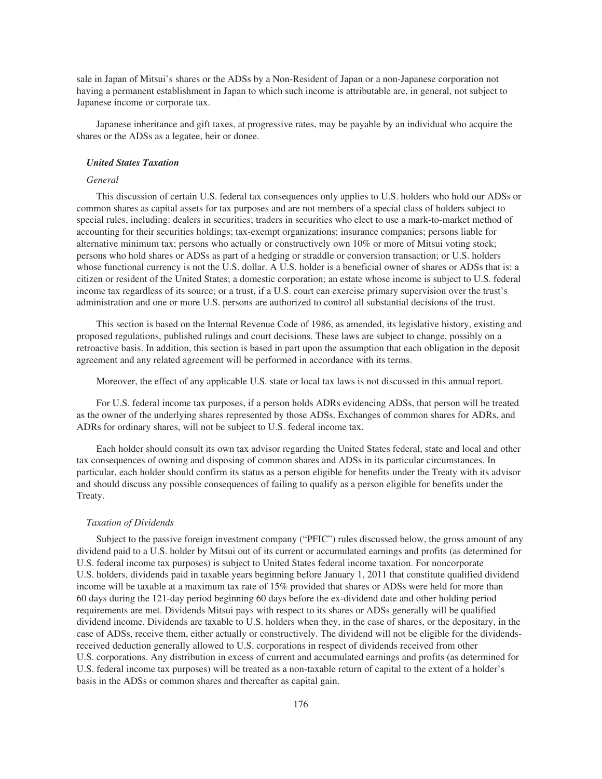sale in Japan of Mitsui's shares or the ADSs by a Non-Resident of Japan or a non-Japanese corporation not having a permanent establishment in Japan to which such income is attributable are, in general, not subject to Japanese income or corporate tax.

Japanese inheritance and gift taxes, at progressive rates, may be payable by an individual who acquire the shares or the ADSs as a legatee, heir or donee.

#### *United States Taxation*

## *General*

This discussion of certain U.S. federal tax consequences only applies to U.S. holders who hold our ADSs or common shares as capital assets for tax purposes and are not members of a special class of holders subject to special rules, including: dealers in securities; traders in securities who elect to use a mark-to-market method of accounting for their securities holdings; tax-exempt organizations; insurance companies; persons liable for alternative minimum tax; persons who actually or constructively own 10% or more of Mitsui voting stock; persons who hold shares or ADSs as part of a hedging or straddle or conversion transaction; or U.S. holders whose functional currency is not the U.S. dollar. A U.S. holder is a beneficial owner of shares or ADSs that is: a citizen or resident of the United States; a domestic corporation; an estate whose income is subject to U.S. federal income tax regardless of its source; or a trust, if a U.S. court can exercise primary supervision over the trust's administration and one or more U.S. persons are authorized to control all substantial decisions of the trust.

This section is based on the Internal Revenue Code of 1986, as amended, its legislative history, existing and proposed regulations, published rulings and court decisions. These laws are subject to change, possibly on a retroactive basis. In addition, this section is based in part upon the assumption that each obligation in the deposit agreement and any related agreement will be performed in accordance with its terms.

Moreover, the effect of any applicable U.S. state or local tax laws is not discussed in this annual report.

For U.S. federal income tax purposes, if a person holds ADRs evidencing ADSs, that person will be treated as the owner of the underlying shares represented by those ADSs. Exchanges of common shares for ADRs, and ADRs for ordinary shares, will not be subject to U.S. federal income tax.

Each holder should consult its own tax advisor regarding the United States federal, state and local and other tax consequences of owning and disposing of common shares and ADSs in its particular circumstances. In particular, each holder should confirm its status as a person eligible for benefits under the Treaty with its advisor and should discuss any possible consequences of failing to qualify as a person eligible for benefits under the Treaty.

#### *Taxation of Dividends*

Subject to the passive foreign investment company ("PFIC") rules discussed below, the gross amount of any dividend paid to a U.S. holder by Mitsui out of its current or accumulated earnings and profits (as determined for U.S. federal income tax purposes) is subject to United States federal income taxation. For noncorporate U.S. holders, dividends paid in taxable years beginning before January 1, 2011 that constitute qualified dividend income will be taxable at a maximum tax rate of 15% provided that shares or ADSs were held for more than 60 days during the 121-day period beginning 60 days before the ex-dividend date and other holding period requirements are met. Dividends Mitsui pays with respect to its shares or ADSs generally will be qualified dividend income. Dividends are taxable to U.S. holders when they, in the case of shares, or the depositary, in the case of ADSs, receive them, either actually or constructively. The dividend will not be eligible for the dividendsreceived deduction generally allowed to U.S. corporations in respect of dividends received from other U.S. corporations. Any distribution in excess of current and accumulated earnings and profits (as determined for U.S. federal income tax purposes) will be treated as a non-taxable return of capital to the extent of a holder's basis in the ADSs or common shares and thereafter as capital gain.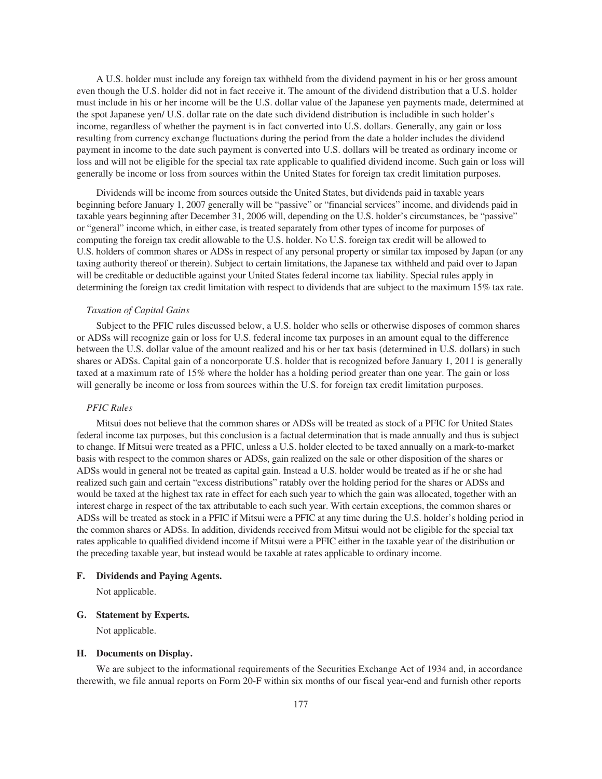A U.S. holder must include any foreign tax withheld from the dividend payment in his or her gross amount even though the U.S. holder did not in fact receive it. The amount of the dividend distribution that a U.S. holder must include in his or her income will be the U.S. dollar value of the Japanese yen payments made, determined at the spot Japanese yen/ U.S. dollar rate on the date such dividend distribution is includible in such holder's income, regardless of whether the payment is in fact converted into U.S. dollars. Generally, any gain or loss resulting from currency exchange fluctuations during the period from the date a holder includes the dividend payment in income to the date such payment is converted into U.S. dollars will be treated as ordinary income or loss and will not be eligible for the special tax rate applicable to qualified dividend income. Such gain or loss will generally be income or loss from sources within the United States for foreign tax credit limitation purposes.

Dividends will be income from sources outside the United States, but dividends paid in taxable years beginning before January 1, 2007 generally will be "passive" or "financial services" income, and dividends paid in taxable years beginning after December 31, 2006 will, depending on the U.S. holder's circumstances, be "passive" or "general" income which, in either case, is treated separately from other types of income for purposes of computing the foreign tax credit allowable to the U.S. holder. No U.S. foreign tax credit will be allowed to U.S. holders of common shares or ADSs in respect of any personal property or similar tax imposed by Japan (or any taxing authority thereof or therein). Subject to certain limitations, the Japanese tax withheld and paid over to Japan will be creditable or deductible against your United States federal income tax liability. Special rules apply in determining the foreign tax credit limitation with respect to dividends that are subject to the maximum 15% tax rate.

#### *Taxation of Capital Gains*

Subject to the PFIC rules discussed below, a U.S. holder who sells or otherwise disposes of common shares or ADSs will recognize gain or loss for U.S. federal income tax purposes in an amount equal to the difference between the U.S. dollar value of the amount realized and his or her tax basis (determined in U.S. dollars) in such shares or ADSs. Capital gain of a noncorporate U.S. holder that is recognized before January 1, 2011 is generally taxed at a maximum rate of 15% where the holder has a holding period greater than one year. The gain or loss will generally be income or loss from sources within the U.S. for foreign tax credit limitation purposes.

### *PFIC Rules*

Mitsui does not believe that the common shares or ADSs will be treated as stock of a PFIC for United States federal income tax purposes, but this conclusion is a factual determination that is made annually and thus is subject to change. If Mitsui were treated as a PFIC, unless a U.S. holder elected to be taxed annually on a mark-to-market basis with respect to the common shares or ADSs, gain realized on the sale or other disposition of the shares or ADSs would in general not be treated as capital gain. Instead a U.S. holder would be treated as if he or she had realized such gain and certain "excess distributions" ratably over the holding period for the shares or ADSs and would be taxed at the highest tax rate in effect for each such year to which the gain was allocated, together with an interest charge in respect of the tax attributable to each such year. With certain exceptions, the common shares or ADSs will be treated as stock in a PFIC if Mitsui were a PFIC at any time during the U.S. holder's holding period in the common shares or ADSs. In addition, dividends received from Mitsui would not be eligible for the special tax rates applicable to qualified dividend income if Mitsui were a PFIC either in the taxable year of the distribution or the preceding taxable year, but instead would be taxable at rates applicable to ordinary income.

### **F. Dividends and Paying Agents.**

Not applicable.

### **G. Statement by Experts.**

Not applicable.

#### **H. Documents on Display.**

We are subject to the informational requirements of the Securities Exchange Act of 1934 and, in accordance therewith, we file annual reports on Form 20-F within six months of our fiscal year-end and furnish other reports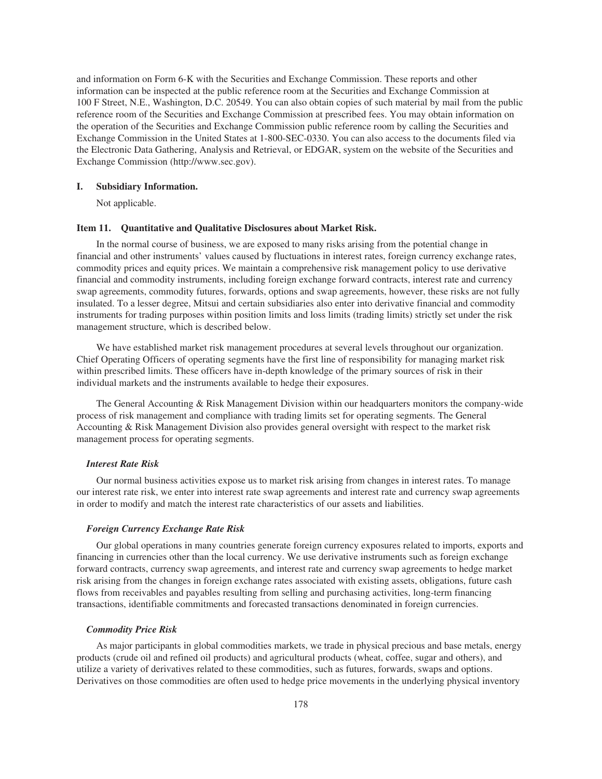and information on Form 6-K with the Securities and Exchange Commission. These reports and other information can be inspected at the public reference room at the Securities and Exchange Commission at 100 F Street, N.E., Washington, D.C. 20549. You can also obtain copies of such material by mail from the public reference room of the Securities and Exchange Commission at prescribed fees. You may obtain information on the operation of the Securities and Exchange Commission public reference room by calling the Securities and Exchange Commission in the United States at 1-800-SEC-0330. You can also access to the documents filed via the Electronic Data Gathering, Analysis and Retrieval, or EDGAR, system on the website of the Securities and Exchange Commission (http://www.sec.gov).

### **I. Subsidiary Information.**

Not applicable.

### **Item 11. Quantitative and Qualitative Disclosures about Market Risk.**

In the normal course of business, we are exposed to many risks arising from the potential change in financial and other instruments' values caused by fluctuations in interest rates, foreign currency exchange rates, commodity prices and equity prices. We maintain a comprehensive risk management policy to use derivative financial and commodity instruments, including foreign exchange forward contracts, interest rate and currency swap agreements, commodity futures, forwards, options and swap agreements, however, these risks are not fully insulated. To a lesser degree, Mitsui and certain subsidiaries also enter into derivative financial and commodity instruments for trading purposes within position limits and loss limits (trading limits) strictly set under the risk management structure, which is described below.

We have established market risk management procedures at several levels throughout our organization. Chief Operating Officers of operating segments have the first line of responsibility for managing market risk within prescribed limits. These officers have in-depth knowledge of the primary sources of risk in their individual markets and the instruments available to hedge their exposures.

The General Accounting & Risk Management Division within our headquarters monitors the company-wide process of risk management and compliance with trading limits set for operating segments. The General Accounting & Risk Management Division also provides general oversight with respect to the market risk management process for operating segments.

### *Interest Rate Risk*

Our normal business activities expose us to market risk arising from changes in interest rates. To manage our interest rate risk, we enter into interest rate swap agreements and interest rate and currency swap agreements in order to modify and match the interest rate characteristics of our assets and liabilities.

### *Foreign Currency Exchange Rate Risk*

Our global operations in many countries generate foreign currency exposures related to imports, exports and financing in currencies other than the local currency. We use derivative instruments such as foreign exchange forward contracts, currency swap agreements, and interest rate and currency swap agreements to hedge market risk arising from the changes in foreign exchange rates associated with existing assets, obligations, future cash flows from receivables and payables resulting from selling and purchasing activities, long-term financing transactions, identifiable commitments and forecasted transactions denominated in foreign currencies.

### *Commodity Price Risk*

As major participants in global commodities markets, we trade in physical precious and base metals, energy products (crude oil and refined oil products) and agricultural products (wheat, coffee, sugar and others), and utilize a variety of derivatives related to these commodities, such as futures, forwards, swaps and options. Derivatives on those commodities are often used to hedge price movements in the underlying physical inventory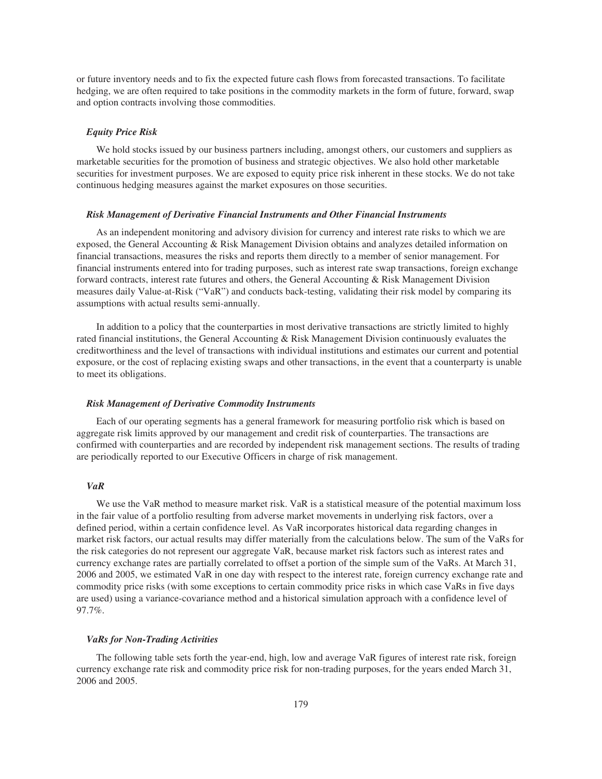or future inventory needs and to fix the expected future cash flows from forecasted transactions. To facilitate hedging, we are often required to take positions in the commodity markets in the form of future, forward, swap and option contracts involving those commodities.

#### *Equity Price Risk*

We hold stocks issued by our business partners including, amongst others, our customers and suppliers as marketable securities for the promotion of business and strategic objectives. We also hold other marketable securities for investment purposes. We are exposed to equity price risk inherent in these stocks. We do not take continuous hedging measures against the market exposures on those securities.

#### *Risk Management of Derivative Financial Instruments and Other Financial Instruments*

As an independent monitoring and advisory division for currency and interest rate risks to which we are exposed, the General Accounting & Risk Management Division obtains and analyzes detailed information on financial transactions, measures the risks and reports them directly to a member of senior management. For financial instruments entered into for trading purposes, such as interest rate swap transactions, foreign exchange forward contracts, interest rate futures and others, the General Accounting & Risk Management Division measures daily Value-at-Risk ("VaR") and conducts back-testing, validating their risk model by comparing its assumptions with actual results semi-annually.

In addition to a policy that the counterparties in most derivative transactions are strictly limited to highly rated financial institutions, the General Accounting & Risk Management Division continuously evaluates the creditworthiness and the level of transactions with individual institutions and estimates our current and potential exposure, or the cost of replacing existing swaps and other transactions, in the event that a counterparty is unable to meet its obligations.

### *Risk Management of Derivative Commodity Instruments*

Each of our operating segments has a general framework for measuring portfolio risk which is based on aggregate risk limits approved by our management and credit risk of counterparties. The transactions are confirmed with counterparties and are recorded by independent risk management sections. The results of trading are periodically reported to our Executive Officers in charge of risk management.

# *VaR*

We use the VaR method to measure market risk. VaR is a statistical measure of the potential maximum loss in the fair value of a portfolio resulting from adverse market movements in underlying risk factors, over a defined period, within a certain confidence level. As VaR incorporates historical data regarding changes in market risk factors, our actual results may differ materially from the calculations below. The sum of the VaRs for the risk categories do not represent our aggregate VaR, because market risk factors such as interest rates and currency exchange rates are partially correlated to offset a portion of the simple sum of the VaRs. At March 31, 2006 and 2005, we estimated VaR in one day with respect to the interest rate, foreign currency exchange rate and commodity price risks (with some exceptions to certain commodity price risks in which case VaRs in five days are used) using a variance-covariance method and a historical simulation approach with a confidence level of 97.7%.

### *VaRs for Non-Trading Activities*

The following table sets forth the year-end, high, low and average VaR figures of interest rate risk, foreign currency exchange rate risk and commodity price risk for non-trading purposes, for the years ended March 31, 2006 and 2005.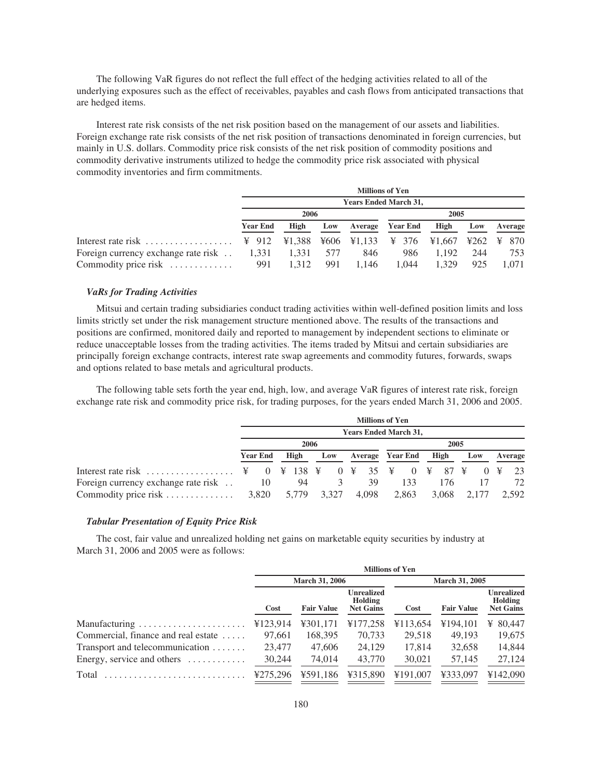The following VaR figures do not reflect the full effect of the hedging activities related to all of the underlying exposures such as the effect of receivables, payables and cash flows from anticipated transactions that are hedged items.

Interest rate risk consists of the net risk position based on the management of our assets and liabilities. Foreign exchange rate risk consists of the net risk position of transactions denominated in foreign currencies, but mainly in U.S. dollars. Commodity price risk consists of the net risk position of commodity positions and commodity derivative instruments utilized to hedge the commodity price risk associated with physical commodity inventories and firm commitments.

|                                             | <b>Millions of Yen</b>       |       |     |       |                  |       |     |         |  |  |  |  |  |  |
|---------------------------------------------|------------------------------|-------|-----|-------|------------------|-------|-----|---------|--|--|--|--|--|--|
|                                             | <b>Years Ended March 31,</b> |       |     |       |                  |       |     |         |  |  |  |  |  |  |
|                                             | 2006<br>2005                 |       |     |       |                  |       |     |         |  |  |  |  |  |  |
| <b>Year End</b>                             |                              | High  | Low |       | Average Year End | High  | Low | Average |  |  |  |  |  |  |
|                                             |                              |       |     |       |                  |       |     |         |  |  |  |  |  |  |
| Foreign currency exchange rate risk . 1,331 |                              | 1.331 | 577 | 846   | 986              | 1.192 | 244 | 753     |  |  |  |  |  |  |
| Commodity price risk                        | 991                          | 1.312 | 991 | 1.146 | 1.044            | 1.329 | 925 | 1.071   |  |  |  |  |  |  |

## *VaRs for Trading Activities*

Mitsui and certain trading subsidiaries conduct trading activities within well-defined position limits and loss limits strictly set under the risk management structure mentioned above. The results of the transactions and positions are confirmed, monitored daily and reported to management by independent sections to eliminate or reduce unacceptable losses from the trading activities. The items traded by Mitsui and certain subsidiaries are principally foreign exchange contracts, interest rate swap agreements and commodity futures, forwards, swaps and options related to base metals and agricultural products.

The following table sets forth the year end, high, low, and average VaR figures of interest rate risk, foreign exchange rate risk and commodity price risk, for trading purposes, for the years ended March 31, 2006 and 2005.

|                                     | <b>Millions of Yen</b><br><b>Years Ended March 31,</b> |                 |  |       |  |       |  |                  |  |       |  |             |  |         |            |       |
|-------------------------------------|--------------------------------------------------------|-----------------|--|-------|--|-------|--|------------------|--|-------|--|-------------|--|---------|------------|-------|
|                                     |                                                        |                 |  |       |  |       |  |                  |  |       |  |             |  |         |            |       |
|                                     | 2006<br>2005                                           |                 |  |       |  |       |  |                  |  |       |  |             |  |         |            |       |
|                                     |                                                        | <b>Year End</b> |  | High  |  | Low   |  | Average Year End |  | High  |  | Low         |  | Average |            |       |
|                                     |                                                        |                 |  |       |  |       |  |                  |  |       |  |             |  |         | $0 \times$ | - 23  |
| Foreign currency exchange rate risk |                                                        | 10              |  | 94    |  | 3.    |  | 39               |  | 133   |  | 176         |  |         |            | 72    |
|                                     |                                                        |                 |  | 5,779 |  | 3,327 |  | 4.098            |  | 2,863 |  | 3,068 2,177 |  |         |            | 2.592 |

#### *Tabular Presentation of Equity Price Risk*

The cost, fair value and unrealized holding net gains on marketable equity securities by industry at March 31, 2006 and 2005 were as follows:

|                                              | <b>Millions of Yen</b> |                   |                                                  |                       |                   |                                           |
|----------------------------------------------|------------------------|-------------------|--------------------------------------------------|-----------------------|-------------------|-------------------------------------------|
|                                              | <b>March 31, 2006</b>  |                   |                                                  | <b>March 31, 2005</b> |                   |                                           |
|                                              | Cost                   | <b>Fair Value</b> | <b>Unrealized</b><br>Holding<br><b>Net Gains</b> | Cost                  | <b>Fair Value</b> | Unrealized<br>Holding<br><b>Net Gains</b> |
| Manufacturing                                | ¥123,914               | ¥301,171          | ¥177,258                                         | ¥113,654              | ¥194.101          | ¥ 80,447                                  |
| Commercial, finance and real estate          | 97,661                 | 168,395           | 70,733                                           | 29.518                | 49,193            | 19,675                                    |
| Transport and telecommunication $\dots\dots$ | 23,477                 | 47,606            | 24,129                                           | 17.814                | 32,658            | 14,844                                    |
| Energy, service and others $\dots \dots$     | 30,244                 | 74,014            | 43,770                                           | 30,021                | 57,145            | 27,124                                    |
| Total                                        | ¥275.296               | ¥591,186          | ¥315,890                                         | ¥191,007              | ¥333,097          | ¥142,090                                  |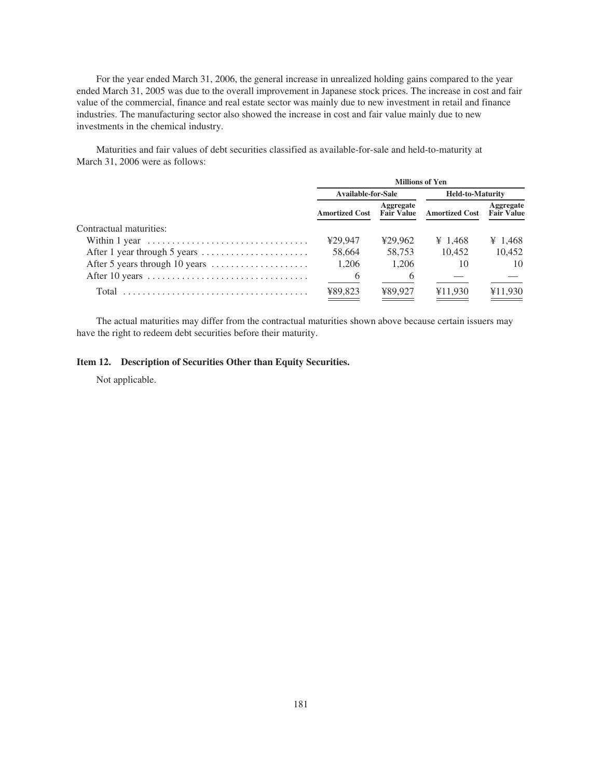For the year ended March 31, 2006, the general increase in unrealized holding gains compared to the year ended March 31, 2005 was due to the overall improvement in Japanese stock prices. The increase in cost and fair value of the commercial, finance and real estate sector was mainly due to new investment in retail and finance industries. The manufacturing sector also showed the increase in cost and fair value mainly due to new investments in the chemical industry.

Maturities and fair values of debt securities classified as available-for-sale and held-to-maturity at March 31, 2006 were as follows:

|                                                                                   | <b>Millions of Yen</b>           |           |                         |                                |  |
|-----------------------------------------------------------------------------------|----------------------------------|-----------|-------------------------|--------------------------------|--|
|                                                                                   | <b>Available-for-Sale</b>        |           | <b>Held-to-Maturity</b> |                                |  |
|                                                                                   | <b>Amortized Cost Fair Value</b> | Aggregate | <b>Amortized Cost</b>   | Aggregate<br><b>Fair Value</b> |  |
| Contractual maturities:                                                           |                                  |           |                         |                                |  |
| Within 1 year $\dots\dots\dots\dots\dots\dots\dots\dots\dots\dots\dots\dots\dots$ | ¥29.947                          | ¥29.962   | ¥ 1.468                 | ¥ 1,468                        |  |
|                                                                                   | 58.664                           | 58,753    | 10.452                  | 10.452                         |  |
|                                                                                   | 1.206                            | 1.206     | 10                      | 10                             |  |
|                                                                                   | 6                                | 6         |                         |                                |  |
| Total                                                                             | ¥89,823                          | ¥89.927   | ¥11.930                 | ¥11,930                        |  |

The actual maturities may differ from the contractual maturities shown above because certain issuers may have the right to redeem debt securities before their maturity.

# **Item 12. Description of Securities Other than Equity Securities.**

Not applicable.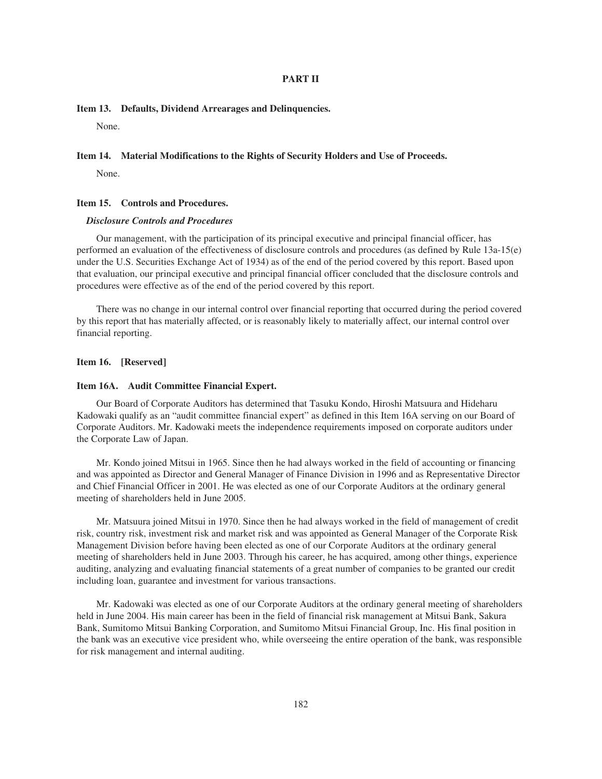#### **PART II**

## **Item 13. Defaults, Dividend Arrearages and Delinquencies.**

None.

## **Item 14. Material Modifications to the Rights of Security Holders and Use of Proceeds.**

None.

#### **Item 15. Controls and Procedures.**

## *Disclosure Controls and Procedures*

Our management, with the participation of its principal executive and principal financial officer, has performed an evaluation of the effectiveness of disclosure controls and procedures (as defined by Rule 13a-15(e) under the U.S. Securities Exchange Act of 1934) as of the end of the period covered by this report. Based upon that evaluation, our principal executive and principal financial officer concluded that the disclosure controls and procedures were effective as of the end of the period covered by this report.

There was no change in our internal control over financial reporting that occurred during the period covered by this report that has materially affected, or is reasonably likely to materially affect, our internal control over financial reporting.

## **Item 16. [Reserved]**

#### **Item 16A. Audit Committee Financial Expert.**

Our Board of Corporate Auditors has determined that Tasuku Kondo, Hiroshi Matsuura and Hideharu Kadowaki qualify as an "audit committee financial expert" as defined in this Item 16A serving on our Board of Corporate Auditors. Mr. Kadowaki meets the independence requirements imposed on corporate auditors under the Corporate Law of Japan.

Mr. Kondo joined Mitsui in 1965. Since then he had always worked in the field of accounting or financing and was appointed as Director and General Manager of Finance Division in 1996 and as Representative Director and Chief Financial Officer in 2001. He was elected as one of our Corporate Auditors at the ordinary general meeting of shareholders held in June 2005.

Mr. Matsuura joined Mitsui in 1970. Since then he had always worked in the field of management of credit risk, country risk, investment risk and market risk and was appointed as General Manager of the Corporate Risk Management Division before having been elected as one of our Corporate Auditors at the ordinary general meeting of shareholders held in June 2003. Through his career, he has acquired, among other things, experience auditing, analyzing and evaluating financial statements of a great number of companies to be granted our credit including loan, guarantee and investment for various transactions.

Mr. Kadowaki was elected as one of our Corporate Auditors at the ordinary general meeting of shareholders held in June 2004. His main career has been in the field of financial risk management at Mitsui Bank, Sakura Bank, Sumitomo Mitsui Banking Corporation, and Sumitomo Mitsui Financial Group, Inc. His final position in the bank was an executive vice president who, while overseeing the entire operation of the bank, was responsible for risk management and internal auditing.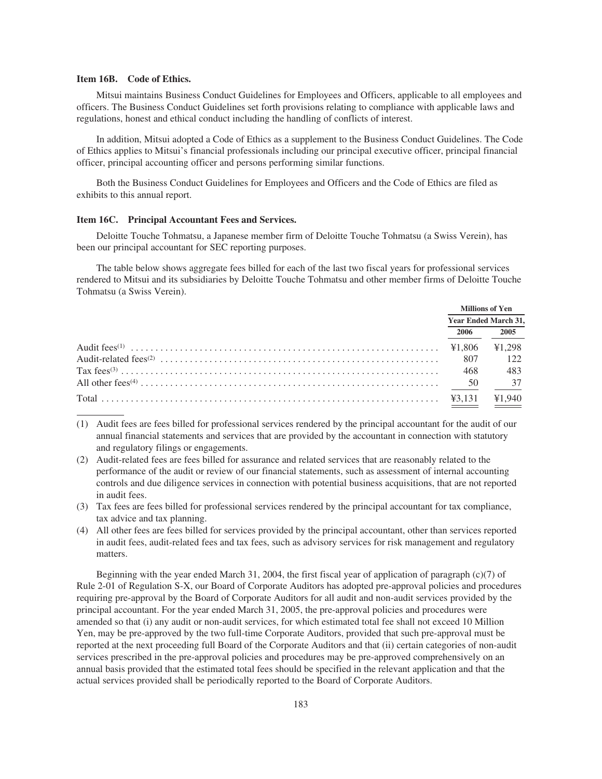#### **Item 16B. Code of Ethics.**

Mitsui maintains Business Conduct Guidelines for Employees and Officers, applicable to all employees and officers. The Business Conduct Guidelines set forth provisions relating to compliance with applicable laws and regulations, honest and ethical conduct including the handling of conflicts of interest.

In addition, Mitsui adopted a Code of Ethics as a supplement to the Business Conduct Guidelines. The Code of Ethics applies to Mitsui's financial professionals including our principal executive officer, principal financial officer, principal accounting officer and persons performing similar functions.

Both the Business Conduct Guidelines for Employees and Officers and the Code of Ethics are filed as exhibits to this annual report.

#### **Item 16C. Principal Accountant Fees and Services.**

Deloitte Touche Tohmatsu, a Japanese member firm of Deloitte Touche Tohmatsu (a Swiss Verein), has been our principal accountant for SEC reporting purposes.

The table below shows aggregate fees billed for each of the last two fiscal years for professional services rendered to Mitsui and its subsidiaries by Deloitte Touche Tohmatsu and other member firms of Deloitte Touche Tohmatsu (a Swiss Verein).

|      | Millions of Yen             |
|------|-----------------------------|
|      | <b>Year Ended March 31,</b> |
| 2006 | 2005                        |
|      | ¥1,298                      |
|      | 122                         |
|      | 483                         |
|      |                             |
|      | ¥1,940                      |

- (1) Audit fees are fees billed for professional services rendered by the principal accountant for the audit of our annual financial statements and services that are provided by the accountant in connection with statutory and regulatory filings or engagements.
- (2) Audit-related fees are fees billed for assurance and related services that are reasonably related to the performance of the audit or review of our financial statements, such as assessment of internal accounting controls and due diligence services in connection with potential business acquisitions, that are not reported in audit fees.
- (3) Tax fees are fees billed for professional services rendered by the principal accountant for tax compliance, tax advice and tax planning.
- (4) All other fees are fees billed for services provided by the principal accountant, other than services reported in audit fees, audit-related fees and tax fees, such as advisory services for risk management and regulatory matters.

Beginning with the year ended March 31, 2004, the first fiscal year of application of paragraph (c)(7) of Rule 2-01 of Regulation S-X, our Board of Corporate Auditors has adopted pre-approval policies and procedures requiring pre-approval by the Board of Corporate Auditors for all audit and non-audit services provided by the principal accountant. For the year ended March 31, 2005, the pre-approval policies and procedures were amended so that (i) any audit or non-audit services, for which estimated total fee shall not exceed 10 Million Yen, may be pre-approved by the two full-time Corporate Auditors, provided that such pre-approval must be reported at the next proceeding full Board of the Corporate Auditors and that (ii) certain categories of non-audit services prescribed in the pre-approval policies and procedures may be pre-approved comprehensively on an annual basis provided that the estimated total fees should be specified in the relevant application and that the actual services provided shall be periodically reported to the Board of Corporate Auditors.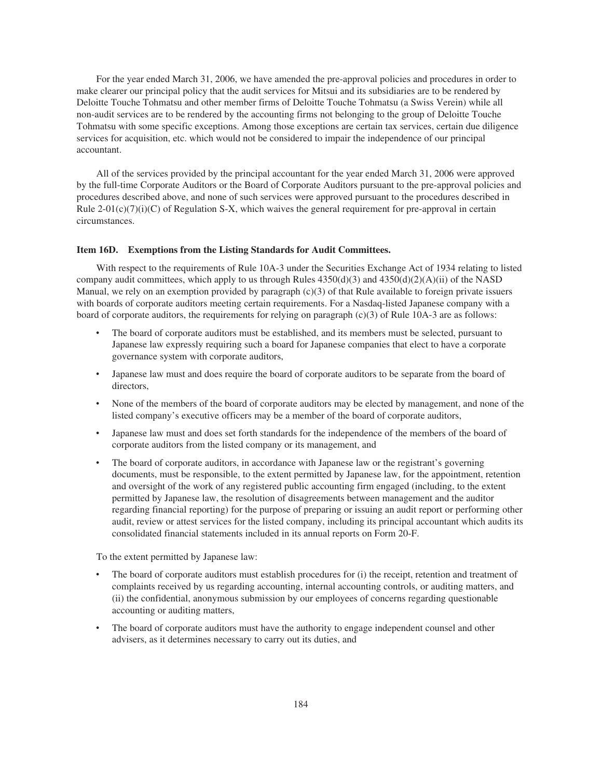For the year ended March 31, 2006, we have amended the pre-approval policies and procedures in order to make clearer our principal policy that the audit services for Mitsui and its subsidiaries are to be rendered by Deloitte Touche Tohmatsu and other member firms of Deloitte Touche Tohmatsu (a Swiss Verein) while all non-audit services are to be rendered by the accounting firms not belonging to the group of Deloitte Touche Tohmatsu with some specific exceptions. Among those exceptions are certain tax services, certain due diligence services for acquisition, etc. which would not be considered to impair the independence of our principal accountant.

All of the services provided by the principal accountant for the year ended March 31, 2006 were approved by the full-time Corporate Auditors or the Board of Corporate Auditors pursuant to the pre-approval policies and procedures described above, and none of such services were approved pursuant to the procedures described in Rule  $2-01(c)(7)(i)(C)$  of Regulation S-X, which waives the general requirement for pre-approval in certain circumstances.

#### **Item 16D. Exemptions from the Listing Standards for Audit Committees.**

With respect to the requirements of Rule 10A-3 under the Securities Exchange Act of 1934 relating to listed company audit committees, which apply to us through Rules  $4350(d)(3)$  and  $4350(d)(2)(A)(ii)$  of the NASD Manual, we rely on an exemption provided by paragraph (c)(3) of that Rule available to foreign private issuers with boards of corporate auditors meeting certain requirements. For a Nasdaq-listed Japanese company with a board of corporate auditors, the requirements for relying on paragraph (c)(3) of Rule 10A-3 are as follows:

- The board of corporate auditors must be established, and its members must be selected, pursuant to Japanese law expressly requiring such a board for Japanese companies that elect to have a corporate governance system with corporate auditors,
- Japanese law must and does require the board of corporate auditors to be separate from the board of directors,
- None of the members of the board of corporate auditors may be elected by management, and none of the listed company's executive officers may be a member of the board of corporate auditors,
- Japanese law must and does set forth standards for the independence of the members of the board of corporate auditors from the listed company or its management, and
- The board of corporate auditors, in accordance with Japanese law or the registrant's governing documents, must be responsible, to the extent permitted by Japanese law, for the appointment, retention and oversight of the work of any registered public accounting firm engaged (including, to the extent permitted by Japanese law, the resolution of disagreements between management and the auditor regarding financial reporting) for the purpose of preparing or issuing an audit report or performing other audit, review or attest services for the listed company, including its principal accountant which audits its consolidated financial statements included in its annual reports on Form 20-F.

To the extent permitted by Japanese law:

- The board of corporate auditors must establish procedures for (i) the receipt, retention and treatment of complaints received by us regarding accounting, internal accounting controls, or auditing matters, and (ii) the confidential, anonymous submission by our employees of concerns regarding questionable accounting or auditing matters,
- The board of corporate auditors must have the authority to engage independent counsel and other advisers, as it determines necessary to carry out its duties, and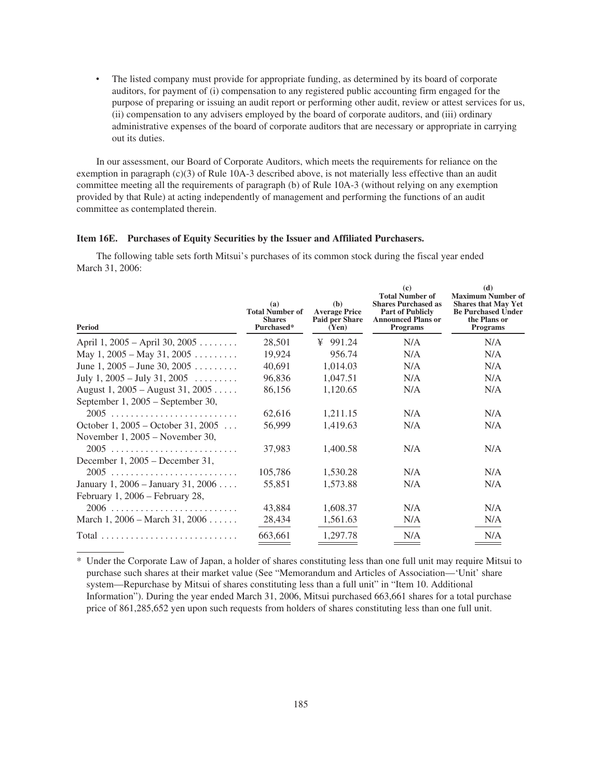• The listed company must provide for appropriate funding, as determined by its board of corporate auditors, for payment of (i) compensation to any registered public accounting firm engaged for the purpose of preparing or issuing an audit report or performing other audit, review or attest services for us, (ii) compensation to any advisers employed by the board of corporate auditors, and (iii) ordinary administrative expenses of the board of corporate auditors that are necessary or appropriate in carrying out its duties.

In our assessment, our Board of Corporate Auditors, which meets the requirements for reliance on the exemption in paragraph (c)(3) of Rule 10A-3 described above, is not materially less effective than an audit committee meeting all the requirements of paragraph (b) of Rule 10A-3 (without relying on any exemption provided by that Rule) at acting independently of management and performing the functions of an audit committee as contemplated therein.

## **Item 16E. Purchases of Equity Securities by the Issuer and Affiliated Purchasers.**

The following table sets forth Mitsui's purchases of its common stock during the fiscal year ended March 31, 2006:

| Period                                                                  | (a)<br><b>Total Number of</b><br><b>Shares</b><br>Purchased* | (b)<br><b>Average Price</b><br>Paid per Share<br>(Yen) | $\left( \mathbf{c} \right)$<br><b>Total Number of</b><br><b>Shares Purchased as</b><br><b>Part of Publicly</b><br><b>Announced Plans or</b><br><b>Programs</b> | (d)<br><b>Maximum Number of</b><br><b>Shares that May Yet</b><br><b>Be Purchased Under</b><br>the Plans or<br><b>Programs</b> |
|-------------------------------------------------------------------------|--------------------------------------------------------------|--------------------------------------------------------|----------------------------------------------------------------------------------------------------------------------------------------------------------------|-------------------------------------------------------------------------------------------------------------------------------|
| April 1, 2005 – April 30, 2005                                          | 28,501                                                       | ¥ 991.24                                               | N/A                                                                                                                                                            | N/A                                                                                                                           |
| May 1, $2005 -$ May 31, $2005$                                          | 19,924                                                       | 956.74                                                 | N/A                                                                                                                                                            | N/A                                                                                                                           |
| June 1, $2005 -$ June 30, $2005$                                        | 40,691                                                       | 1,014.03                                               | N/A                                                                                                                                                            | N/A                                                                                                                           |
| July 1, $2005 -$ July 31, $2005$                                        | 96,836                                                       | 1,047.51                                               | N/A                                                                                                                                                            | N/A                                                                                                                           |
| August 1, $2005 -$ August 31, $2005$                                    | 86,156                                                       | 1,120.65                                               | N/A                                                                                                                                                            | N/A                                                                                                                           |
| September 1, 2005 – September 30,<br>2005                               | 62,616                                                       | 1,211.15                                               | N/A                                                                                                                                                            | N/A                                                                                                                           |
| October 1, 2005 – October 31, 2005<br>November $1, 2005$ – November 30, | 56.999                                                       | 1,419.63                                               | N/A                                                                                                                                                            | N/A                                                                                                                           |
| December 1, $2005 -$ December 31,                                       | 37,983                                                       | 1,400.58                                               | N/A                                                                                                                                                            | N/A                                                                                                                           |
|                                                                         | 105,786                                                      | 1,530.28                                               | N/A                                                                                                                                                            | N/A                                                                                                                           |
| January 1, 2006 – January 31, 2006                                      | 55,851                                                       | 1,573.88                                               | N/A                                                                                                                                                            | N/A                                                                                                                           |
| February 1, 2006 – February 28,                                         |                                                              |                                                        |                                                                                                                                                                |                                                                                                                               |
|                                                                         | 43,884                                                       | 1,608.37                                               | N/A                                                                                                                                                            | N/A                                                                                                                           |
| March 1, $2006 - \text{March } 31, 2006 \ldots$ .                       | 28,434                                                       | 1,561.63                                               | N/A                                                                                                                                                            | N/A                                                                                                                           |
|                                                                         | 663,661                                                      | 1,297.78                                               | N/A                                                                                                                                                            | N/A                                                                                                                           |

\* Under the Corporate Law of Japan, a holder of shares constituting less than one full unit may require Mitsui to purchase such shares at their market value (See "Memorandum and Articles of Association—'Unit' share system—Repurchase by Mitsui of shares constituting less than a full unit" in "Item 10. Additional Information"). During the year ended March 31, 2006, Mitsui purchased 663,661 shares for a total purchase price of 861,285,652 yen upon such requests from holders of shares constituting less than one full unit.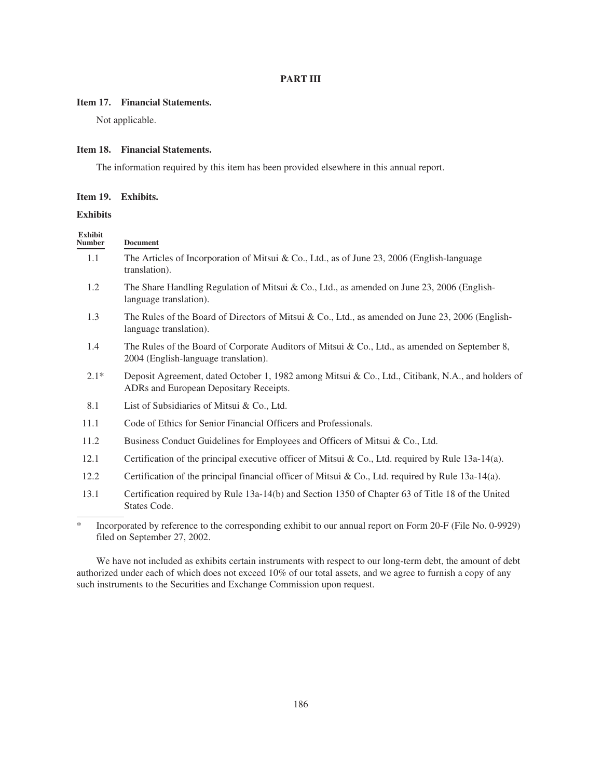# **PART III**

# **Item 17. Financial Statements.**

Not applicable.

## **Item 18. Financial Statements.**

The information required by this item has been provided elsewhere in this annual report.

# **Item 19. Exhibits.**

# **Exhibits**

| <b>Exhibit</b><br><b>Number</b> | <b>Document</b>                                                                                                                             |
|---------------------------------|---------------------------------------------------------------------------------------------------------------------------------------------|
| 1.1                             | The Articles of Incorporation of Mitsui & Co., Ltd., as of June 23, 2006 (English-language<br>translation).                                 |
| 1.2                             | The Share Handling Regulation of Mitsui & Co., Ltd., as amended on June 23, 2006 (English-<br>language translation).                        |
| 1.3                             | The Rules of the Board of Directors of Mitsui & Co., Ltd., as amended on June 23, 2006 (English-<br>language translation).                  |
| 1.4                             | The Rules of the Board of Corporate Auditors of Mitsui & Co., Ltd., as amended on September 8,<br>2004 (English-language translation).      |
| $2.1*$                          | Deposit Agreement, dated October 1, 1982 among Mitsui & Co., Ltd., Citibank, N.A., and holders of<br>ADRs and European Depositary Receipts. |
| 8.1                             | List of Subsidiaries of Mitsui & Co., Ltd.                                                                                                  |
| 11.1                            | Code of Ethics for Senior Financial Officers and Professionals.                                                                             |
| 11.2                            | Business Conduct Guidelines for Employees and Officers of Mitsui & Co., Ltd.                                                                |
| 12.1                            | Certification of the principal executive officer of Mitsui & Co., Ltd. required by Rule $13a-14(a)$ .                                       |
| 12.2                            | Certification of the principal financial officer of Mitsui & Co., Ltd. required by Rule 13a-14(a).                                          |
| 13.1                            | Certification required by Rule 13a-14(b) and Section 1350 of Chapter 63 of Title 18 of the United<br>States Code.                           |

\* Incorporated by reference to the corresponding exhibit to our annual report on Form 20-F (File No. 0-9929) filed on September 27, 2002.

We have not included as exhibits certain instruments with respect to our long-term debt, the amount of debt authorized under each of which does not exceed 10% of our total assets, and we agree to furnish a copy of any such instruments to the Securities and Exchange Commission upon request.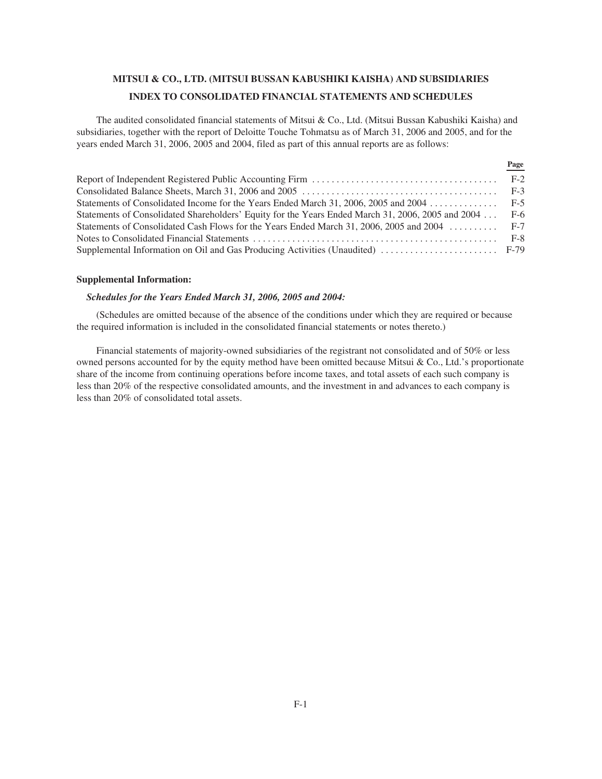# **MITSUI & CO., LTD. (MITSUI BUSSAN KABUSHIKI KAISHA) AND SUBSIDIARIES INDEX TO CONSOLIDATED FINANCIAL STATEMENTS AND SCHEDULES**

The audited consolidated financial statements of Mitsui & Co., Ltd. (Mitsui Bussan Kabushiki Kaisha) and subsidiaries, together with the report of Deloitte Touche Tohmatsu as of March 31, 2006 and 2005, and for the years ended March 31, 2006, 2005 and 2004, filed as part of this annual reports are as follows:

|                                                                                                   | rage |
|---------------------------------------------------------------------------------------------------|------|
|                                                                                                   |      |
|                                                                                                   |      |
|                                                                                                   |      |
| Statements of Consolidated Shareholders' Equity for the Years Ended March 31, 2006, 2005 and 2004 | F-6  |
| Statements of Consolidated Cash Flows for the Years Ended March 31, 2006, 2005 and 2004  F-7      |      |
|                                                                                                   |      |
| Supplemental Information on Oil and Gas Producing Activities (Unaudited)  F-79                    |      |

**Page**

#### **Supplemental Information:**

## *Schedules for the Years Ended March 31, 2006, 2005 and 2004:*

(Schedules are omitted because of the absence of the conditions under which they are required or because the required information is included in the consolidated financial statements or notes thereto.)

Financial statements of majority-owned subsidiaries of the registrant not consolidated and of 50% or less owned persons accounted for by the equity method have been omitted because Mitsui & Co., Ltd.'s proportionate share of the income from continuing operations before income taxes, and total assets of each such company is less than 20% of the respective consolidated amounts, and the investment in and advances to each company is less than 20% of consolidated total assets.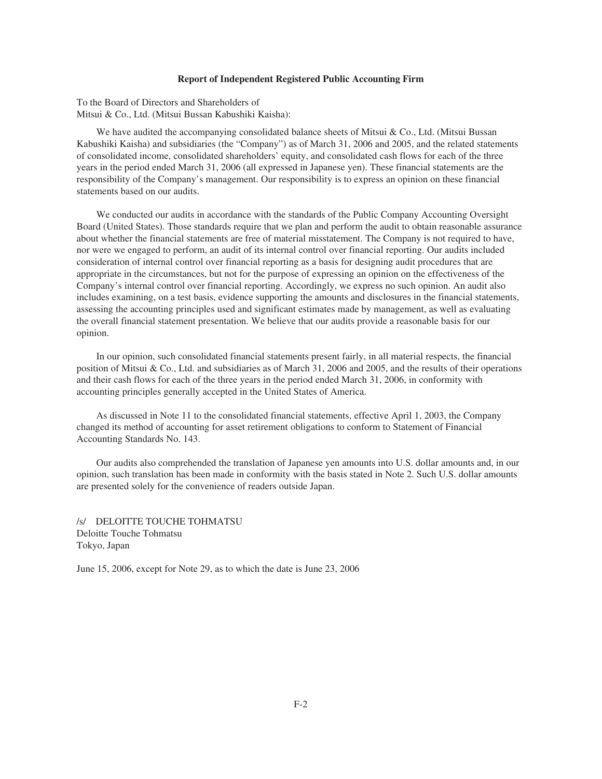## **Report of Independent Registered Public Accounting Firm**

To the Board of Directors and Shareholders of Mitsui & Co., Ltd. (Mitsui Bussan Kabushiki Kaisha):

We have audited the accompanying consolidated balance sheets of Mitsui  $\&$  Co., Ltd. (Mitsui Bussan Kabushiki Kaisha) and subsidiaries (the "Company") as of March 31, 2006 and 2005, and the related statements of consolidated income, consolidated shareholders' equity, and consolidated cash flows for each of the three years in the period ended March 31, 2006 (all expressed in Japanese yen). These financial statements are the responsibility of the Company's management. Our responsibility is to express an opinion on these financial statements based on our audits.

We conducted our audits in accordance with the standards of the Public Company Accounting Oversight Board (United States). Those standards require that we plan and perform the audit to obtain reasonable assurance about whether the financial statements are free of material misstatement. The Company is not required to have, nor were we engaged to perform, an audit of its internal control over financial reporting. Our audits included consideration of internal control over financial reporting as a basis for designing audit procedures that are appropriate in the circumstances, but not for the purpose of expressing an opinion on the effectiveness of the Company's internal control over financial reporting. Accordingly, we express no such opinion. An audit also includes examining, on a test basis, evidence supporting the amounts and disclosures in the financial statements, assessing the accounting principles used and significant estimates made by management, as well as evaluating the overall financial statement presentation. We believe that our audits provide a reasonable basis for our opinion.

In our opinion, such consolidated financial statements present fairly, in all material respects, the financial position of Mitsui & Co., Ltd. and subsidiaries as of March 31, 2006 and 2005, and the results of their operations and their cash flows for each of the three years in the period ended March 31, 2006, in conformity with accounting principles generally accepted in the United States of America.

As discussed in Note 11 to the consolidated financial statements, effective April 1, 2003, the Company changed its method of accounting for asset retirement obligations to conform to Statement of Financial Accounting Standards No. 143.

Our audits also comprehended the translation of Japanese yen amounts into U.S. dollar amounts and, in our opinion, such translation has been made in conformity with the basis stated in Note 2. Such U.S. dollar amounts are presented solely for the convenience of readers outside Japan.

/s/ DELOITTE TOUCHE TOHMATSU Deloitte Touche Tohmatsu Tokyo, Japan

June 15, 2006, except for Note 29, as to which the date is June 23, 2006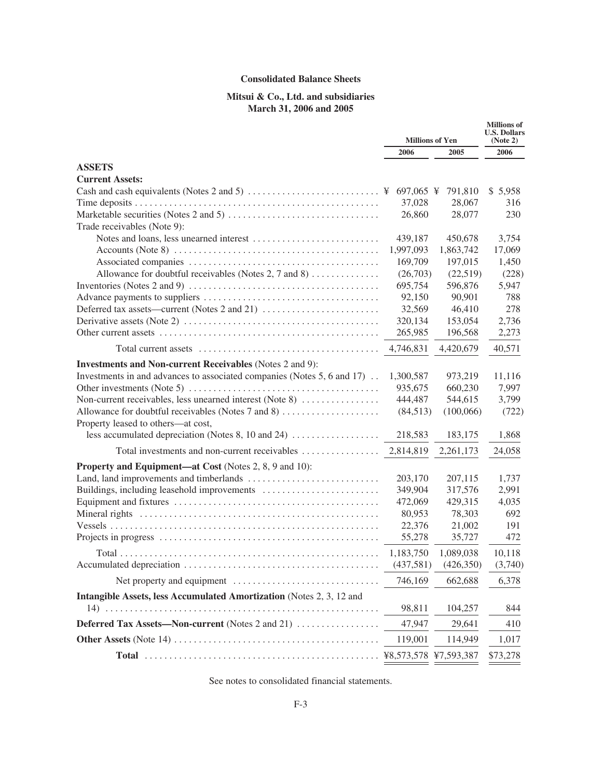# **Consolidated Balance Sheets**

# **Mitsui & Co., Ltd. and subsidiaries March 31, 2006 and 2005**

|                                                                                                             | <b>Millions of Yen</b> |           | <b>Millions</b> of<br><b>U.S. Dollars</b><br>(Note 2) |
|-------------------------------------------------------------------------------------------------------------|------------------------|-----------|-------------------------------------------------------|
|                                                                                                             | 2006                   | 2005      | 2006                                                  |
| <b>ASSETS</b>                                                                                               |                        |           |                                                       |
| <b>Current Assets:</b>                                                                                      |                        |           |                                                       |
|                                                                                                             |                        | 791,810   | \$5,958                                               |
|                                                                                                             | 37,028                 | 28,067    | 316                                                   |
|                                                                                                             | 26,860                 | 28,077    | 230                                                   |
| Trade receivables (Note 9):                                                                                 |                        |           |                                                       |
|                                                                                                             | 439,187                | 450,678   | 3,754                                                 |
|                                                                                                             | 1,997,093              | 1,863,742 | 17,069                                                |
|                                                                                                             | 169,709                | 197,015   | 1,450                                                 |
| Allowance for doubtful receivables (Notes 2, 7 and 8)                                                       | (26,703)               | (22,519)  | (228)                                                 |
| Inventories (Notes 2 and 9) $\dots \dots \dots \dots \dots \dots \dots \dots \dots \dots \dots \dots \dots$ | 695,754                | 596,876   | 5,947                                                 |
|                                                                                                             | 92,150                 | 90,901    | 788                                                   |
|                                                                                                             | 32,569                 | 46,410    | 278                                                   |
|                                                                                                             | 320,134                | 153,054   | 2,736                                                 |
|                                                                                                             | 265,985                | 196,568   | 2,273                                                 |
|                                                                                                             | 4,746,831              | 4,420,679 | 40,571                                                |
| <b>Investments and Non-current Receivables (Notes 2 and 9):</b>                                             |                        |           |                                                       |
| Investments in and advances to associated companies (Notes 5, 6 and 17)                                     | 1,300,587              | 973,219   | 11,116                                                |
|                                                                                                             | 935,675                | 660,230   | 7,997                                                 |
| Non-current receivables, less unearned interest (Note 8)                                                    | 444,487                | 544,615   | 3,799                                                 |
| Allowance for doubtful receivables (Notes 7 and 8)                                                          | (84,513)               | (100,066) | (722)                                                 |
| Property leased to others-at cost,                                                                          |                        |           |                                                       |
| less accumulated depreciation (Notes 8, 10 and 24) $\dots$                                                  | 218,583                | 183,175   | 1,868                                                 |
| Total investments and non-current receivables                                                               | 2,814,819              | 2,261,173 | 24,058                                                |
| <b>Property and Equipment—at Cost</b> (Notes 2, 8, 9 and 10):                                               |                        |           |                                                       |
|                                                                                                             | 203,170                | 207,115   | 1,737                                                 |
|                                                                                                             | 349,904                | 317,576   | 2,991                                                 |
|                                                                                                             | 472,069                | 429,315   | 4,035                                                 |
|                                                                                                             | 80,953                 | 78,303    | 692                                                   |
|                                                                                                             | 22,376                 | 21,002    | 191                                                   |
|                                                                                                             | 55,278                 | 35,727    | 472                                                   |
|                                                                                                             | 1,183,750              | 1,089,038 | 10,118                                                |
|                                                                                                             | (437,581)              | (426,350) | (3,740)                                               |
|                                                                                                             |                        |           |                                                       |
|                                                                                                             | 746,169                | 662,688   | 6,378                                                 |
| Intangible Assets, less Accumulated Amortization (Notes 2, 3, 12 and                                        |                        |           |                                                       |
|                                                                                                             | 98,811                 | 104,257   | 844                                                   |
| Deferred Tax Assets—Non-current (Notes 2 and 21)                                                            | 47,947                 | 29,641    | 410                                                   |
|                                                                                                             | 119,001                | 114,949   | 1,017                                                 |
|                                                                                                             |                        |           | \$73,278                                              |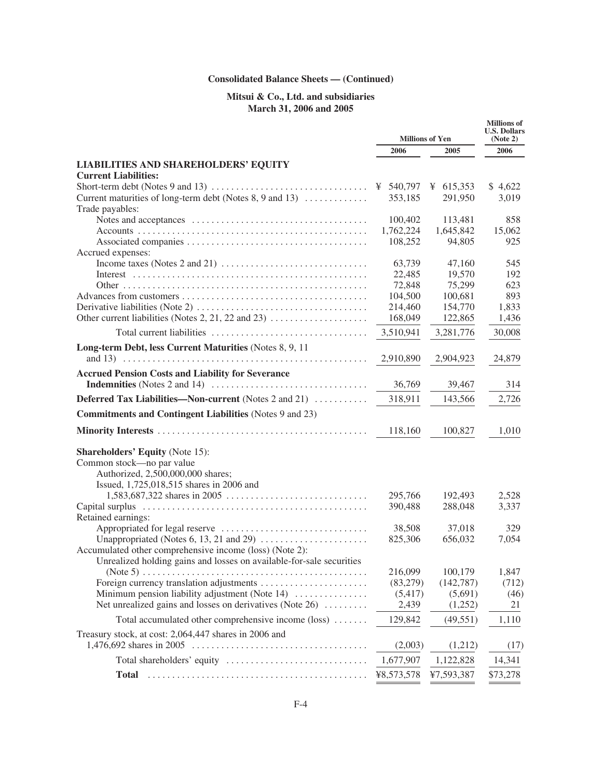# **Consolidated Balance Sheets — (Continued)**

# **Mitsui & Co., Ltd. and subsidiaries March 31, 2006 and 2005**

|                                                                                                         | <b>Millions of Yen</b> |             | <b>Millions</b> of<br><b>U.S. Dollars</b><br>(Note 2) |
|---------------------------------------------------------------------------------------------------------|------------------------|-------------|-------------------------------------------------------|
|                                                                                                         | 2006                   | 2005        | 2006                                                  |
| <b>LIABILITIES AND SHAREHOLDERS' EQUITY</b>                                                             |                        |             |                                                       |
| <b>Current Liabilities:</b>                                                                             |                        |             |                                                       |
| Short-term debt (Notes 9 and 13) $\dots \dots \dots \dots \dots \dots \dots \dots \dots \dots \dots$    | ¥ $540,797$            | ¥ $615,353$ | \$4,622                                               |
| Current maturities of long-term debt (Notes 8, 9 and 13)<br>Trade payables:                             | 353,185                | 291,950     | 3,019                                                 |
|                                                                                                         | 100,402                | 113,481     | 858                                                   |
|                                                                                                         | 1,762,224              | 1,645,842   | 15,062                                                |
|                                                                                                         | 108,252                | 94,805      | 925                                                   |
| Accrued expenses:                                                                                       |                        |             |                                                       |
| Income taxes (Notes 2 and 21) $\dots \dots \dots \dots \dots \dots \dots \dots \dots \dots$             | 63,739                 | 47,160      | 545                                                   |
|                                                                                                         | 22,485                 | 19,570      | 192                                                   |
|                                                                                                         | 72,848                 | 75,299      | 623                                                   |
|                                                                                                         | 104,500                | 100,681     | 893                                                   |
|                                                                                                         | 214,460                | 154,770     | 1,833                                                 |
| Other current liabilities (Notes 2, 21, 22 and 23)                                                      | 168,049                | 122,865     | 1,436                                                 |
|                                                                                                         | 3,510,941              | 3,281,776   | 30,008                                                |
| Long-term Debt, less Current Maturities (Notes 8, 9, 11                                                 |                        |             |                                                       |
|                                                                                                         | 2,910,890              | 2,904,923   | 24,879                                                |
| <b>Accrued Pension Costs and Liability for Severance</b>                                                |                        |             |                                                       |
| <b>Indemnities</b> (Notes 2 and 14) $\dots \dots \dots \dots \dots \dots \dots \dots \dots \dots \dots$ | 36,769                 | 39,467      | 314                                                   |
| <b>Deferred Tax Liabilities—Non-current</b> (Notes 2 and 21)                                            | 318,911                | 143,566     | 2,726                                                 |
| <b>Commitments and Contingent Liabilities</b> (Notes 9 and 23)                                          |                        |             |                                                       |
|                                                                                                         | 118,160                | 100,827     | 1,010                                                 |
| <b>Shareholders' Equity (Note 15):</b>                                                                  |                        |             |                                                       |
| Common stock-no par value                                                                               |                        |             |                                                       |
| Authorized, 2,500,000,000 shares;                                                                       |                        |             |                                                       |
| Issued, 1,725,018,515 shares in 2006 and                                                                |                        |             |                                                       |
|                                                                                                         | 295,766                | 192,493     | 2,528                                                 |
| Capital surplus<br>Retained earnings:                                                                   | 390,488                | 288,048     | 3,337                                                 |
|                                                                                                         | 38,508                 | 37,018      | 329                                                   |
|                                                                                                         | 825,306                | 656,032     | 7,054                                                 |
| Accumulated other comprehensive income (loss) (Note 2):                                                 |                        |             |                                                       |
| Unrealized holding gains and losses on available-for-sale securities                                    |                        |             |                                                       |
|                                                                                                         | 216,099                | 100,179     | 1,847                                                 |
|                                                                                                         | (83,279)               | (142, 787)  | (712)                                                 |
| Minimum pension liability adjustment (Note 14)                                                          | (5, 417)               | (5,691)     | (46)                                                  |
| Net unrealized gains and losses on derivatives (Note 26)                                                | 2,439                  | (1,252)     | 21                                                    |
| Total accumulated other comprehensive income (loss)                                                     | 129,842                | (49, 551)   | 1,110                                                 |
| Treasury stock, at cost: 2,064,447 shares in 2006 and                                                   |                        |             |                                                       |
| 1,476,692 shares in 2005                                                                                | (2,003)                | (1,212)     | (17)                                                  |
|                                                                                                         | 1,677,907              | 1,122,828   | 14,341                                                |
| <b>Total</b>                                                                                            | ¥8,573,578             | ¥7,593,387  | \$73,278                                              |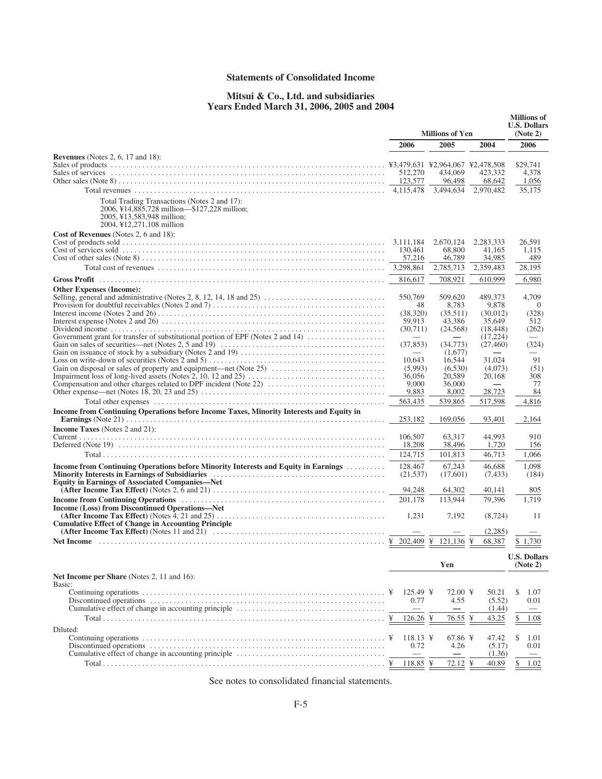# **Statements of Consolidated Income**

# **Mitsui & Co., Ltd. and subsidiaries Years Ended March 31, 2006, 2005 and 2004**

|                                                                                                                                                                                                                                                                                         | <b>Millions of Yen</b>          |                                  |                       | <b>Millions</b> of<br><b>U.S. Dollars</b><br>(Note 2) |
|-----------------------------------------------------------------------------------------------------------------------------------------------------------------------------------------------------------------------------------------------------------------------------------------|---------------------------------|----------------------------------|-----------------------|-------------------------------------------------------|
|                                                                                                                                                                                                                                                                                         | 2006                            | 2005                             | 2004                  | 2006                                                  |
| <b>Revenues</b> (Notes 2, 6, 17 and 18):                                                                                                                                                                                                                                                |                                 | ¥3,479,631 ¥2,964,067 ¥2,478,508 |                       | \$29,741                                              |
|                                                                                                                                                                                                                                                                                         | 512,270<br>123,577              | 434,069<br>96,498                | 423,332<br>68,642     | 4.378<br>1,056                                        |
|                                                                                                                                                                                                                                                                                         | 4,115,478                       | 3,494,634                        | 2,970,482             | 35,175                                                |
| Total Trading Transactions (Notes 2 and 17):<br>2006, ¥14,885,728 million—\$127,228 million;<br>2005, ¥13,583,948 million;<br>2004, ¥12,271,108 million                                                                                                                                 |                                 |                                  |                       |                                                       |
| Cost of Revenues (Notes 2, 6 and 18):                                                                                                                                                                                                                                                   |                                 |                                  |                       |                                                       |
|                                                                                                                                                                                                                                                                                         | 3,111,184<br>130,461            | 2,670,124<br>68,800              | 2,283,333<br>41,165   | 26,591<br>1,115                                       |
|                                                                                                                                                                                                                                                                                         | 57,216                          | 46,789                           | 34,985                | 489                                                   |
|                                                                                                                                                                                                                                                                                         | 3,298,861                       | 2,785,713                        | 2,359,483             | 28,195                                                |
| <b>Gross Profit</b>                                                                                                                                                                                                                                                                     | 816,617                         | 708,921                          | 610,999               | 6,980                                                 |
| <b>Other Expenses (Income):</b>                                                                                                                                                                                                                                                         |                                 |                                  |                       |                                                       |
|                                                                                                                                                                                                                                                                                         | 550,769                         | 509,620                          | 489,373               | 4,709                                                 |
|                                                                                                                                                                                                                                                                                         | 48<br>(38,320)                  | 8,783<br>(35,511)                | 9,878<br>(30,012)     | $\Omega$<br>(328)                                     |
|                                                                                                                                                                                                                                                                                         | 59,913                          | 43,386                           | 35,649                | 512                                                   |
| Government grant for transfer of substitutional portion of EPF (Notes 2 and 14)                                                                                                                                                                                                         | (30,711)                        | (24, 568)                        | (18, 448)<br>(17,224) | (262)                                                 |
|                                                                                                                                                                                                                                                                                         | (37, 853)                       | (34,773)                         | (27, 460)             | (324)                                                 |
|                                                                                                                                                                                                                                                                                         |                                 | (1,677)                          |                       |                                                       |
| Gain on disposal or sales of property and equipment—net (Note 25)                                                                                                                                                                                                                       | 10.643                          | 16,544<br>(6,530)                | 31.024<br>(4,073)     | 91<br>(51)                                            |
| Impairment loss of long-lived assets (Notes 2, 10, 12 and 25) $\dots \dots \dots \dots \dots \dots \dots \dots \dots \dots \dots$                                                                                                                                                       | (5,993)<br>36,056               | 20,589                           | 20,168                | 308                                                   |
|                                                                                                                                                                                                                                                                                         | 9,000                           | 36,000                           |                       | 77                                                    |
|                                                                                                                                                                                                                                                                                         | 9,883                           | 8,002                            | 28,723                | 84                                                    |
|                                                                                                                                                                                                                                                                                         | 563,435                         | 539,865                          | 517,598               | 4,816                                                 |
| Income from Continuing Operations before Income Taxes, Minority Interests and Equity in                                                                                                                                                                                                 | 253,182                         | 169,056                          | 93,401                | 2,164                                                 |
| <b>Income Taxes</b> (Notes 2 and 21):                                                                                                                                                                                                                                                   |                                 |                                  |                       |                                                       |
|                                                                                                                                                                                                                                                                                         | 106,507                         | 63,317                           | 44.993                | 910                                                   |
|                                                                                                                                                                                                                                                                                         | 18,208                          | 38,496                           | 1,720                 | 156                                                   |
|                                                                                                                                                                                                                                                                                         | 124,715                         | 101,813                          | 46,713                | 1,066                                                 |
| Income from Continuing Operations before Minority Interests and Equity in Earnings                                                                                                                                                                                                      | 128,467                         | 67,243                           | 46.688                | 1,098                                                 |
| Minority Interests in Earnings of Subsidiaries (and the content of the material state of the Minority Interests in Earnings of Subsidiaries (b) and the content of the state of the state of the state of the state of the sta<br><b>Equity in Earnings of Associated Companies—Net</b> | (21, 537)                       | (17,601)                         | (7, 433)              | (184)                                                 |
| (After Income Tax Effect) (Notes 2, 6 and 21) $\dots \dots \dots \dots \dots \dots \dots \dots \dots \dots \dots \dots \dots \dots \dots$                                                                                                                                               | 94,248                          | 64,302                           | 40,141                | 805                                                   |
|                                                                                                                                                                                                                                                                                         | 201,178                         | 113,944                          | 79,396                | 1,719                                                 |
| Income (Loss) from Discontinued Operations—Net                                                                                                                                                                                                                                          | 1,231                           | 7,192                            | (8, 724)              | 11                                                    |
| <b>Cumulative Effect of Change in Accounting Principle</b>                                                                                                                                                                                                                              |                                 |                                  |                       |                                                       |
| (After Income Tax Effect) (Notes 11 and 21) $\ldots$ , $\ldots$ , $\ldots$ , $\ldots$ , $\ldots$ , $\ldots$ , $\ldots$ , $\ldots$ , $\ldots$ , $\ldots$                                                                                                                                 |                                 |                                  | (2,285)               |                                                       |
| Net Income $\dots\dots\dots\dots\dots\dots\dots\dots\dots\dots\dots\dots\dots\dots\dots\dots\dots\dots$                                                                                                                                                                                 |                                 | 202,409 ¥ 121,136 ¥              | 68,387                | 1,730                                                 |
|                                                                                                                                                                                                                                                                                         |                                 | Yen                              |                       | <b>U.S. Dollars</b><br>(Note 2)                       |
| <b>Net Income per Share</b> (Notes 2, 11 and 16):<br>Basic:                                                                                                                                                                                                                             |                                 |                                  |                       |                                                       |
|                                                                                                                                                                                                                                                                                         | $125.49 \text{ }$<br>¥          | 72.00 ¥                          | 50.21                 | \$<br>1.07                                            |
|                                                                                                                                                                                                                                                                                         | 0.77                            | 4.55                             | (5.52)                | 0.01                                                  |
|                                                                                                                                                                                                                                                                                         | $\hspace{0.1mm}-\hspace{0.1mm}$ | $\hspace{0.1mm}-\hspace{0.1mm}$  | (1.44)                |                                                       |
|                                                                                                                                                                                                                                                                                         | $126.26 \text{ }$               | 76.55                            | ¥<br>43.25            | 1.08<br>\$                                            |
| Diluted:                                                                                                                                                                                                                                                                                |                                 |                                  |                       |                                                       |
|                                                                                                                                                                                                                                                                                         | $118.13 \text{ }$<br>0.72       | $67.86 \text{ }$<br>4.26         | 47.42<br>(5.17)       | \$<br>1.01<br>0.01                                    |
|                                                                                                                                                                                                                                                                                         |                                 |                                  | (1.36)                |                                                       |
|                                                                                                                                                                                                                                                                                         | 118.85 ¥<br>¥                   | 72.12 ¥                          | 40.89                 | \$<br>1.02                                            |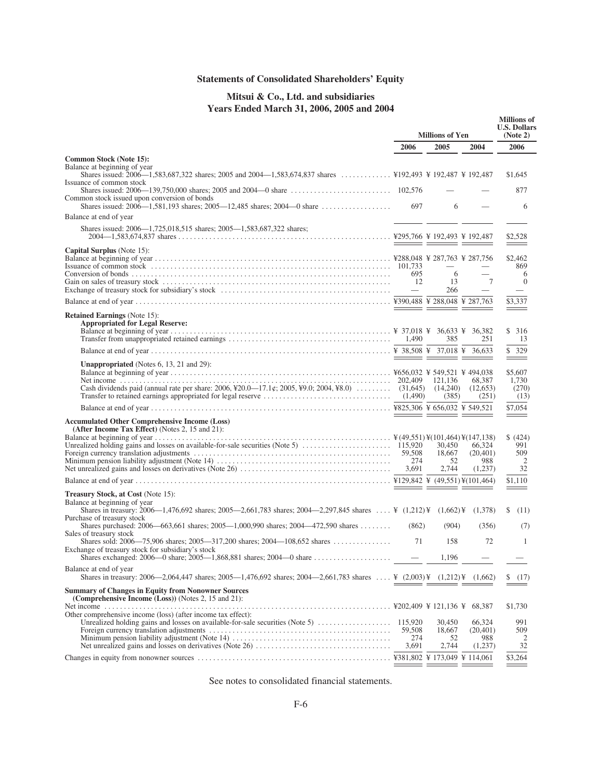# **Statements of Consolidated Shareholders' Equity**

# **Mitsui & Co., Ltd. and subsidiaries Years Ended March 31, 2006, 2005 and 2004**

|                                                                                                                                                                       | <b>Millions of Yen</b> |                  |                     | <b>Millions</b> of<br><b>U.S. Dollars</b><br>(Note 2) |
|-----------------------------------------------------------------------------------------------------------------------------------------------------------------------|------------------------|------------------|---------------------|-------------------------------------------------------|
|                                                                                                                                                                       | 2006                   | 2005             | 2004                | 2006                                                  |
| Common Stock (Note 15):<br>Balance at beginning of year<br>Shares issued: 2006—1,583,687,322 shares; 2005 and 2004—1,583,674,837 shares  ¥192,493 ¥ 192,487 ¥ 192,487 |                        |                  |                     | \$1,645                                               |
| Issuance of common stock                                                                                                                                              |                        |                  |                     | 877                                                   |
| Common stock issued upon conversion of bonds                                                                                                                          | 697                    | 6                |                     | 6                                                     |
| Balance at end of year                                                                                                                                                |                        |                  |                     |                                                       |
| Shares issued: 2006—1,725,018,515 shares; 2005—1,583,687,322 shares;                                                                                                  |                        |                  |                     | \$2,528                                               |
| <b>Capital Surplus</b> (Note 15):                                                                                                                                     |                        | _______          |                     | ___                                                   |
|                                                                                                                                                                       |                        |                  |                     | \$2,462<br>869                                        |
|                                                                                                                                                                       | 695<br>- 12            | 6<br>13          | 7                   | 6<br>$\Omega$                                         |
|                                                                                                                                                                       | $-$                    | 266              |                     | $\overline{\phantom{m}}$                              |
|                                                                                                                                                                       |                        |                  |                     | \$3,337<br>$\hspace{0.05cm} =$                        |
| <b>Retained Earnings</b> (Note 15):<br><b>Appropriated for Legal Reserve:</b>                                                                                         |                        |                  |                     | \$316                                                 |
|                                                                                                                                                                       |                        | 385              | 251                 | 13                                                    |
|                                                                                                                                                                       |                        |                  |                     | \$329<br>$=$                                          |
| <b>Unappropriated</b> (Notes $6$ , 13, 21 and 29):                                                                                                                    |                        | 121,136          | 68.387              | \$5,607<br>1,730                                      |
| Cash dividends paid (annual rate per share: 2006, ¥20.0—17.1¢; 2005, ¥9.0; 2004, ¥8.0) $\dots$ (31,645) (14,240)                                                      |                        | (385)            | (12.653)<br>(251)   | (270)<br>(13)                                         |
|                                                                                                                                                                       |                        |                  |                     | \$7,054                                               |
| <b>Accumulated Other Comprehensive Income (Loss)</b><br>(After Income Tax Effect) (Notes 2, 15 and 21):                                                               |                        |                  |                     | $=$                                                   |
|                                                                                                                                                                       |                        |                  |                     | \$ (424)                                              |
|                                                                                                                                                                       |                        | 30,450<br>18,667 | 66,324<br>(20, 401) | 991<br>509                                            |
|                                                                                                                                                                       | 274                    | 52               | 988                 | 2                                                     |
|                                                                                                                                                                       | 3,691                  | 2,744            | (1,237)             | 32                                                    |
|                                                                                                                                                                       |                        |                  |                     | \$1,110                                               |
| <b>Treasury Stock, at Cost (Note 15):</b><br>Balance at beginning of year                                                                                             |                        |                  |                     |                                                       |
| Shares in treasury: 2006—1.476.692 shares; 2005—2.661.783 shares; 2004—2.297.845 shares  ¥ (1.212)¥ (1.662)¥ (1.378)<br>Purchase of treasury stock                    |                        |                  |                     | (11)<br>S.                                            |
| Shares purchased: $2006 - 663,661$ shares; $2005 - 1,000,990$ shares; $2004 - 472,590$ shares<br>Sales of treasury stock                                              | (862)                  | (904)            | (356)               | (7)                                                   |
| Shares sold: $2006 - 75.906$ shares; $2005 - 317.200$ shares; $2004 - 108.652$ shares<br>Exchange of treasury stock for subsidiary's stock                            | 71                     | 158<br>1,196     | 72                  | 1                                                     |
| Balance at end of year                                                                                                                                                |                        |                  |                     |                                                       |
| Shares in treasury: 2006—2,064,447 shares; 2005—1,476,692 shares; 2004—2,661,783 shares  ¥ (2,003)¥ (1,212)¥ (1,662)                                                  |                        | $=$ $=$          |                     | S.<br>(17)                                            |
| <b>Summary of Changes in Equity from Nonowner Sources</b><br>(Comprehensive Income (Loss)) (Notes 2, 15 and 21):                                                      |                        |                  |                     |                                                       |
| Other comprehensive income (loss) (after income tax effect):                                                                                                          |                        |                  |                     | \$1,730                                               |
|                                                                                                                                                                       | 59,508                 | 30,450<br>18,667 | 66,324<br>(20, 401) | 991<br>509                                            |
|                                                                                                                                                                       | 274                    | 52               | 988                 | 2                                                     |
| Net unrealized gains and losses on derivatives (Note 26) $\dots \dots \dots \dots \dots \dots \dots \dots \dots \dots \dots$                                          | 3,691                  | 2,744            | (1,237)             | 32                                                    |
|                                                                                                                                                                       |                        | = =====          |                     | \$3,264                                               |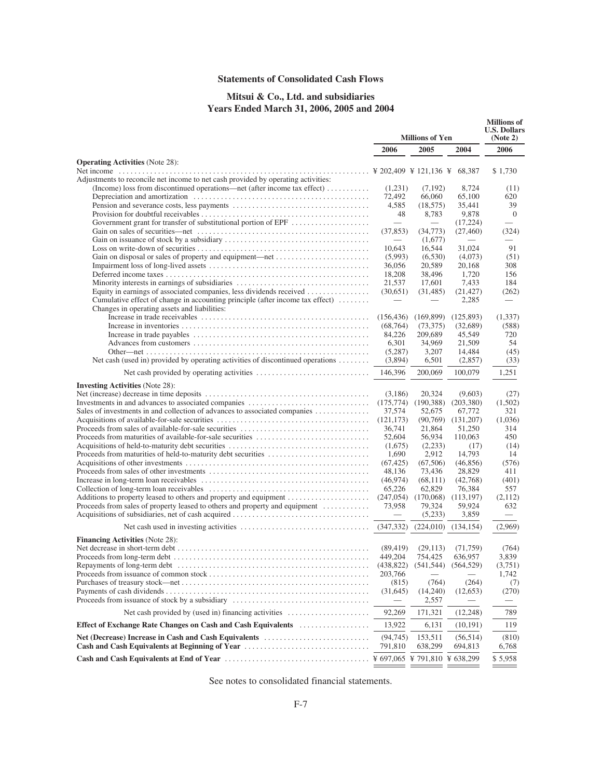# **Statements of Consolidated Cash Flows**

# **Mitsui & Co., Ltd. and subsidiaries Years Ended March 31, 2006, 2005 and 2004**

|                                                                                                                               |                    | <b>Millions of Yen</b>              |                   |                                 | <b>Millions of</b><br><b>U.S. Dollars</b><br>(Note 2) |  |  |
|-------------------------------------------------------------------------------------------------------------------------------|--------------------|-------------------------------------|-------------------|---------------------------------|-------------------------------------------------------|--|--|
|                                                                                                                               | 2006               | 2005                                | 2004              | 2006                            |                                                       |  |  |
| <b>Operating Activities</b> (Note 28):                                                                                        |                    |                                     |                   |                                 |                                                       |  |  |
| Adjustments to reconcile net income to net cash provided by operating activities:                                             |                    |                                     |                   | \$1,730                         |                                                       |  |  |
| (Income) loss from discontinued operations—net (after income tax effect)                                                      | (1,231)            | (7,192)                             | 8,724             | (11)                            |                                                       |  |  |
|                                                                                                                               | 72,492             | 66,060                              | 65,100            | 620                             |                                                       |  |  |
|                                                                                                                               | 4,585              | (18, 575)                           | 35,441            | 39                              |                                                       |  |  |
|                                                                                                                               | 48                 | 8,783                               | 9,878             | $\overline{0}$                  |                                                       |  |  |
| Government grant for transfer of substitutional portion of EPF                                                                |                    |                                     | (17,224)          |                                 |                                                       |  |  |
|                                                                                                                               | (37, 853)          | (34,773)<br>(1,677)                 | (27, 460)         | (324)                           |                                                       |  |  |
|                                                                                                                               | 10,643             | 16,544                              | 31,024            | 91                              |                                                       |  |  |
| Gain on disposal or sales of property and equipment-net                                                                       | (5,993)            | (6,530)                             | (4,073)           | (51)                            |                                                       |  |  |
|                                                                                                                               | 36,056             | 20,589                              | 20,168            | 308                             |                                                       |  |  |
|                                                                                                                               | 18,208             | 38,496                              | 1,720             | 156                             |                                                       |  |  |
| Minority interests in earnings of subsidiaries                                                                                | 21,537             | 17,601                              | 7,433             | 184                             |                                                       |  |  |
| Equity in earnings of associated companies, less dividends received                                                           | (30,651)           | (31, 485)                           | (21, 427)         | (262)                           |                                                       |  |  |
| Cumulative effect of change in accounting principle (after income tax effect)<br>Changes in operating assets and liabilities: |                    |                                     | 2,285             |                                 |                                                       |  |  |
|                                                                                                                               | (156, 436)         | (169, 899)                          | (125, 893)        | (1,337)                         |                                                       |  |  |
|                                                                                                                               | (68, 764)          | (73, 375)                           | (32,689)          | (588)                           |                                                       |  |  |
|                                                                                                                               | 84,226             | 209,689                             | 45,549            | 720                             |                                                       |  |  |
|                                                                                                                               | 6,301              | 34,969                              | 21,509            | 54                              |                                                       |  |  |
|                                                                                                                               | (5,287)            | 3,207                               | 14,484            | (45)                            |                                                       |  |  |
| Net cash (used in) provided by operating activities of discontinued operations                                                | (3,894)            | 6,501                               | (2,857)           | (33)                            |                                                       |  |  |
|                                                                                                                               | 146,396            | 200,069                             | 100,079           | 1,251                           |                                                       |  |  |
| <b>Investing Activities</b> (Note 28):                                                                                        |                    |                                     |                   |                                 |                                                       |  |  |
|                                                                                                                               | (3,186)            | 20,324                              | (9,603)           | (27)                            |                                                       |  |  |
|                                                                                                                               | (175, 774)         | (190, 388)                          | (203, 380)        | (1,502)                         |                                                       |  |  |
| Sales of investments in and collection of advances to associated companies                                                    | 37,574             | 52,675                              | 67,772            | 321                             |                                                       |  |  |
|                                                                                                                               | (121, 173)         | (90,769)                            | (131,207)         | (1,036)                         |                                                       |  |  |
| Proceeds from sales of available-for-sale securities<br>Proceeds from maturities of available-for-sale securities             | 36,741             | 21,864                              | 51,250<br>110,063 | 314<br>450                      |                                                       |  |  |
|                                                                                                                               | 52,604<br>(1,675)  | 56,934<br>(2,233)                   | (17)              | (14)                            |                                                       |  |  |
|                                                                                                                               | 1,690              | 2,912                               | 14,793            | 14                              |                                                       |  |  |
|                                                                                                                               | (67, 425)          | (67,506)                            | (46, 856)         | (576)                           |                                                       |  |  |
|                                                                                                                               | 48,136             | 73,436                              | 28,829            | 411                             |                                                       |  |  |
|                                                                                                                               | (46, 974)          | (68,111)                            | (42,768)          | (401)                           |                                                       |  |  |
|                                                                                                                               | 65,226             | 62,829                              | 76,384            | 557                             |                                                       |  |  |
|                                                                                                                               | (247, 054)         | (170,068)                           | (113, 197)        | (2,112)                         |                                                       |  |  |
| Proceeds from sales of property leased to others and property and equipment                                                   | 73,958             | 79,324                              | 59,924            | 632                             |                                                       |  |  |
|                                                                                                                               |                    | (5,233)                             | 3,859             | $\hspace{0.1mm}-\hspace{0.1mm}$ |                                                       |  |  |
|                                                                                                                               | (347, 332)         | (224,010)                           | (134, 154)        | (2,969)                         |                                                       |  |  |
| <b>Financing Activities (Note 28):</b>                                                                                        |                    |                                     |                   |                                 |                                                       |  |  |
|                                                                                                                               | (89, 419)          | (29, 113)                           | (71, 759)         | (764)                           |                                                       |  |  |
|                                                                                                                               | 449,204            | 754,425                             | 636,957           | 3,839                           |                                                       |  |  |
|                                                                                                                               |                    | $(438,822)$ $(541,544)$ $(564,529)$ |                   | (3,751)                         |                                                       |  |  |
|                                                                                                                               | 203,766            |                                     |                   | 1.742                           |                                                       |  |  |
|                                                                                                                               | (815)<br>(31, 645) | (764)<br>(14,240)                   | (264)<br>(12,653) | (7)<br>(270)                    |                                                       |  |  |
|                                                                                                                               |                    | 2,557                               |                   |                                 |                                                       |  |  |
| Net cash provided by (used in) financing activities $\dots\dots\dots\dots\dots\dots\dots$                                     | 92,269             | 171,321                             | (12, 248)         | 789                             |                                                       |  |  |
| Effect of Exchange Rate Changes on Cash and Cash Equivalents                                                                  | 13,922             | 6,131                               | (10, 191)         | 119                             |                                                       |  |  |
| Net (Decrease) Increase in Cash and Cash Equivalents                                                                          | (94, 745)          | 153,511                             | (56, 514)         | (810)                           |                                                       |  |  |
| Cash and Cash Equivalents at Beginning of Year                                                                                | 791,810            | 638,299                             | 694,813           | 6,768                           |                                                       |  |  |
|                                                                                                                               |                    |                                     |                   | \$5,958                         |                                                       |  |  |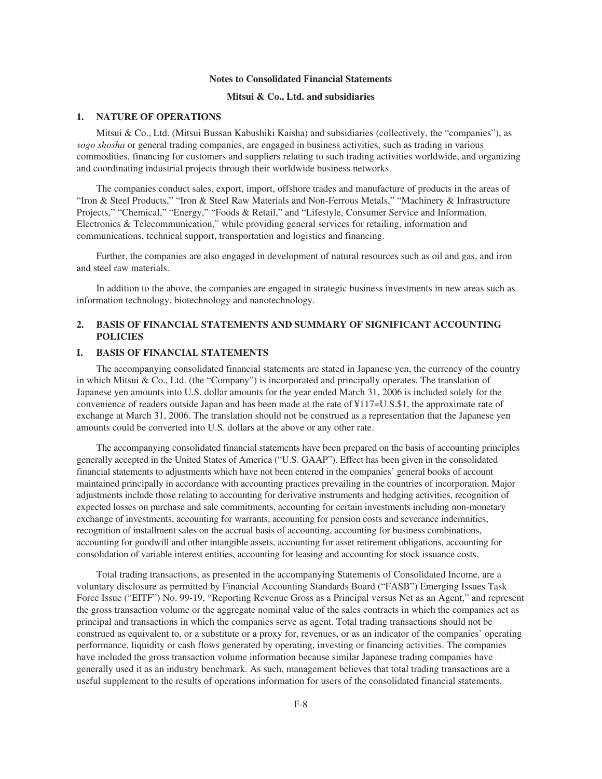#### **Notes to Consolidated Financial Statements**

## **Mitsui & Co., Ltd. and subsidiaries**

### **1. NATURE OF OPERATIONS**

Mitsui & Co., Ltd. (Mitsui Bussan Kabushiki Kaisha) and subsidiaries (collectively, the "companies"), as *sogo shosha* or general trading companies, are engaged in business activities, such as trading in various commodities, financing for customers and suppliers relating to such trading activities worldwide, and organizing and coordinating industrial projects through their worldwide business networks.

The companies conduct sales, export, import, offshore trades and manufacture of products in the areas of "Iron & Steel Products," "Iron & Steel Raw Materials and Non-Ferrous Metals," "Machinery & Infrastructure Projects," "Chemical," "Energy," "Foods & Retail," and "Lifestyle, Consumer Service and Information, Electronics & Telecommunication," while providing general services for retailing, information and communications, technical support, transportation and logistics and financing.

Further, the companies are also engaged in development of natural resources such as oil and gas, and iron and steel raw materials.

In addition to the above, the companies are engaged in strategic business investments in new areas such as information technology, biotechnology and nanotechnology.

# **2. BASIS OF FINANCIAL STATEMENTS AND SUMMARY OF SIGNIFICANT ACCOUNTING POLICIES**

# **I. BASIS OF FINANCIAL STATEMENTS**

The accompanying consolidated financial statements are stated in Japanese yen, the currency of the country in which Mitsui & Co., Ltd. (the "Company") is incorporated and principally operates. The translation of Japanese yen amounts into U.S. dollar amounts for the year ended March 31, 2006 is included solely for the convenience of readers outside Japan and has been made at the rate of ¥117=U.S.\$1, the approximate rate of exchange at March 31, 2006. The translation should not be construed as a representation that the Japanese yen amounts could be converted into U.S. dollars at the above or any other rate.

The accompanying consolidated financial statements have been prepared on the basis of accounting principles generally accepted in the United States of America ("U.S. GAAP"). Effect has been given in the consolidated financial statements to adjustments which have not been entered in the companies' general books of account maintained principally in accordance with accounting practices prevailing in the countries of incorporation. Major adjustments include those relating to accounting for derivative instruments and hedging activities, recognition of expected losses on purchase and sale commitments, accounting for certain investments including non-monetary exchange of investments, accounting for warrants, accounting for pension costs and severance indemnities, recognition of installment sales on the accrual basis of accounting, accounting for business combinations, accounting for goodwill and other intangible assets, accounting for asset retirement obligations, accounting for consolidation of variable interest entities, accounting for leasing and accounting for stock issuance costs.

Total trading transactions, as presented in the accompanying Statements of Consolidated Income, are a voluntary disclosure as permitted by Financial Accounting Standards Board ("FASB") Emerging Issues Task Force Issue ("EITF") No. 99-19, "Reporting Revenue Gross as a Principal versus Net as an Agent," and represent the gross transaction volume or the aggregate nominal value of the sales contracts in which the companies act as principal and transactions in which the companies serve as agent. Total trading transactions should not be construed as equivalent to, or a substitute or a proxy for, revenues, or as an indicator of the companies' operating performance, liquidity or cash flows generated by operating, investing or financing activities. The companies have included the gross transaction volume information because similar Japanese trading companies have generally used it as an industry benchmark. As such, management believes that total trading transactions are a useful supplement to the results of operations information for users of the consolidated financial statements.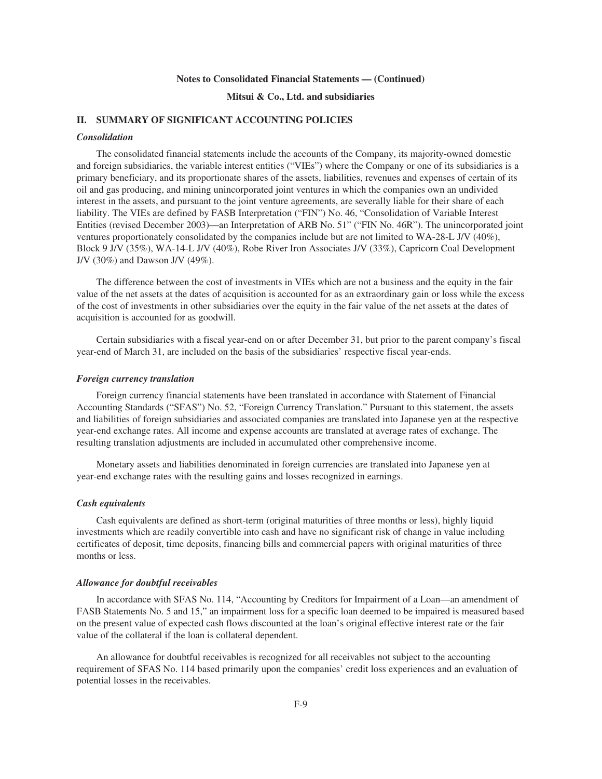### **Mitsui & Co., Ltd. and subsidiaries**

# **II. SUMMARY OF SIGNIFICANT ACCOUNTING POLICIES**

### *Consolidation*

The consolidated financial statements include the accounts of the Company, its majority-owned domestic and foreign subsidiaries, the variable interest entities ("VIEs") where the Company or one of its subsidiaries is a primary beneficiary, and its proportionate shares of the assets, liabilities, revenues and expenses of certain of its oil and gas producing, and mining unincorporated joint ventures in which the companies own an undivided interest in the assets, and pursuant to the joint venture agreements, are severally liable for their share of each liability. The VIEs are defined by FASB Interpretation ("FIN") No. 46, "Consolidation of Variable Interest Entities (revised December 2003)—an Interpretation of ARB No. 51" ("FIN No. 46R"). The unincorporated joint ventures proportionately consolidated by the companies include but are not limited to WA-28-L J/V (40%), Block 9 J/V (35%), WA-14-L J/V (40%), Robe River Iron Associates J/V (33%), Capricorn Coal Development J/V (30%) and Dawson J/V (49%).

The difference between the cost of investments in VIEs which are not a business and the equity in the fair value of the net assets at the dates of acquisition is accounted for as an extraordinary gain or loss while the excess of the cost of investments in other subsidiaries over the equity in the fair value of the net assets at the dates of acquisition is accounted for as goodwill.

Certain subsidiaries with a fiscal year-end on or after December 31, but prior to the parent company's fiscal year-end of March 31, are included on the basis of the subsidiaries' respective fiscal year-ends.

#### *Foreign currency translation*

Foreign currency financial statements have been translated in accordance with Statement of Financial Accounting Standards ("SFAS") No. 52, "Foreign Currency Translation." Pursuant to this statement, the assets and liabilities of foreign subsidiaries and associated companies are translated into Japanese yen at the respective year-end exchange rates. All income and expense accounts are translated at average rates of exchange. The resulting translation adjustments are included in accumulated other comprehensive income.

Monetary assets and liabilities denominated in foreign currencies are translated into Japanese yen at year-end exchange rates with the resulting gains and losses recognized in earnings.

## *Cash equivalents*

Cash equivalents are defined as short-term (original maturities of three months or less), highly liquid investments which are readily convertible into cash and have no significant risk of change in value including certificates of deposit, time deposits, financing bills and commercial papers with original maturities of three months or less.

#### *Allowance for doubtful receivables*

In accordance with SFAS No. 114, "Accounting by Creditors for Impairment of a Loan—an amendment of FASB Statements No. 5 and 15," an impairment loss for a specific loan deemed to be impaired is measured based on the present value of expected cash flows discounted at the loan's original effective interest rate or the fair value of the collateral if the loan is collateral dependent.

An allowance for doubtful receivables is recognized for all receivables not subject to the accounting requirement of SFAS No. 114 based primarily upon the companies' credit loss experiences and an evaluation of potential losses in the receivables.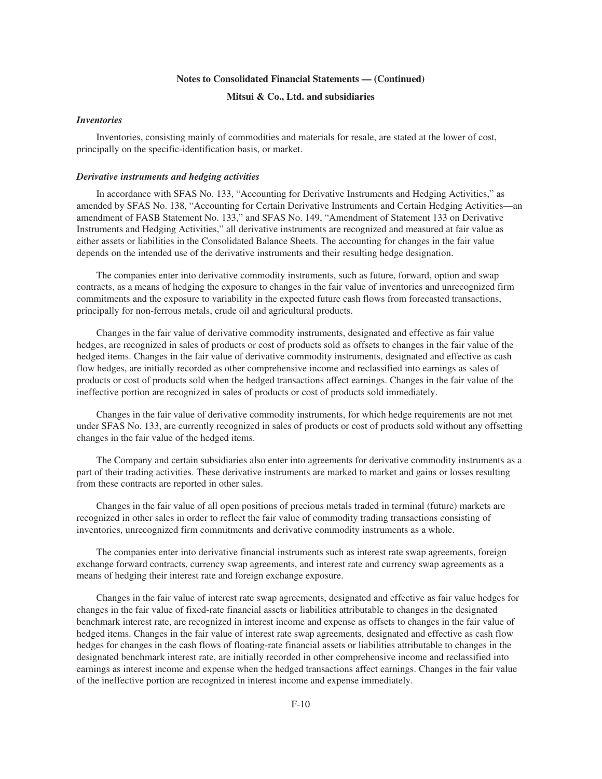# **Mitsui & Co., Ltd. and subsidiaries**

## *Inventories*

Inventories, consisting mainly of commodities and materials for resale, are stated at the lower of cost, principally on the specific-identification basis, or market.

#### *Derivative instruments and hedging activities*

In accordance with SFAS No. 133, "Accounting for Derivative Instruments and Hedging Activities," as amended by SFAS No. 138, "Accounting for Certain Derivative Instruments and Certain Hedging Activities—an amendment of FASB Statement No. 133," and SFAS No. 149, "Amendment of Statement 133 on Derivative Instruments and Hedging Activities," all derivative instruments are recognized and measured at fair value as either assets or liabilities in the Consolidated Balance Sheets. The accounting for changes in the fair value depends on the intended use of the derivative instruments and their resulting hedge designation.

The companies enter into derivative commodity instruments, such as future, forward, option and swap contracts, as a means of hedging the exposure to changes in the fair value of inventories and unrecognized firm commitments and the exposure to variability in the expected future cash flows from forecasted transactions, principally for non-ferrous metals, crude oil and agricultural products.

Changes in the fair value of derivative commodity instruments, designated and effective as fair value hedges, are recognized in sales of products or cost of products sold as offsets to changes in the fair value of the hedged items. Changes in the fair value of derivative commodity instruments, designated and effective as cash flow hedges, are initially recorded as other comprehensive income and reclassified into earnings as sales of products or cost of products sold when the hedged transactions affect earnings. Changes in the fair value of the ineffective portion are recognized in sales of products or cost of products sold immediately.

Changes in the fair value of derivative commodity instruments, for which hedge requirements are not met under SFAS No. 133, are currently recognized in sales of products or cost of products sold without any offsetting changes in the fair value of the hedged items.

The Company and certain subsidiaries also enter into agreements for derivative commodity instruments as a part of their trading activities. These derivative instruments are marked to market and gains or losses resulting from these contracts are reported in other sales.

Changes in the fair value of all open positions of precious metals traded in terminal (future) markets are recognized in other sales in order to reflect the fair value of commodity trading transactions consisting of inventories, unrecognized firm commitments and derivative commodity instruments as a whole.

The companies enter into derivative financial instruments such as interest rate swap agreements, foreign exchange forward contracts, currency swap agreements, and interest rate and currency swap agreements as a means of hedging their interest rate and foreign exchange exposure.

Changes in the fair value of interest rate swap agreements, designated and effective as fair value hedges for changes in the fair value of fixed-rate financial assets or liabilities attributable to changes in the designated benchmark interest rate, are recognized in interest income and expense as offsets to changes in the fair value of hedged items. Changes in the fair value of interest rate swap agreements, designated and effective as cash flow hedges for changes in the cash flows of floating-rate financial assets or liabilities attributable to changes in the designated benchmark interest rate, are initially recorded in other comprehensive income and reclassified into earnings as interest income and expense when the hedged transactions affect earnings. Changes in the fair value of the ineffective portion are recognized in interest income and expense immediately.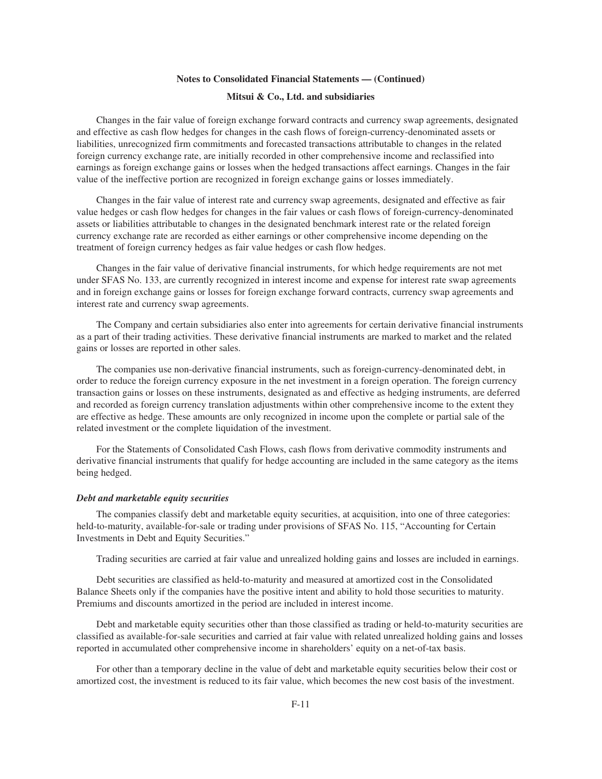#### **Mitsui & Co., Ltd. and subsidiaries**

Changes in the fair value of foreign exchange forward contracts and currency swap agreements, designated and effective as cash flow hedges for changes in the cash flows of foreign-currency-denominated assets or liabilities, unrecognized firm commitments and forecasted transactions attributable to changes in the related foreign currency exchange rate, are initially recorded in other comprehensive income and reclassified into earnings as foreign exchange gains or losses when the hedged transactions affect earnings. Changes in the fair value of the ineffective portion are recognized in foreign exchange gains or losses immediately.

Changes in the fair value of interest rate and currency swap agreements, designated and effective as fair value hedges or cash flow hedges for changes in the fair values or cash flows of foreign-currency-denominated assets or liabilities attributable to changes in the designated benchmark interest rate or the related foreign currency exchange rate are recorded as either earnings or other comprehensive income depending on the treatment of foreign currency hedges as fair value hedges or cash flow hedges.

Changes in the fair value of derivative financial instruments, for which hedge requirements are not met under SFAS No. 133, are currently recognized in interest income and expense for interest rate swap agreements and in foreign exchange gains or losses for foreign exchange forward contracts, currency swap agreements and interest rate and currency swap agreements.

The Company and certain subsidiaries also enter into agreements for certain derivative financial instruments as a part of their trading activities. These derivative financial instruments are marked to market and the related gains or losses are reported in other sales.

The companies use non-derivative financial instruments, such as foreign-currency-denominated debt, in order to reduce the foreign currency exposure in the net investment in a foreign operation. The foreign currency transaction gains or losses on these instruments, designated as and effective as hedging instruments, are deferred and recorded as foreign currency translation adjustments within other comprehensive income to the extent they are effective as hedge. These amounts are only recognized in income upon the complete or partial sale of the related investment or the complete liquidation of the investment.

For the Statements of Consolidated Cash Flows, cash flows from derivative commodity instruments and derivative financial instruments that qualify for hedge accounting are included in the same category as the items being hedged.

### *Debt and marketable equity securities*

The companies classify debt and marketable equity securities, at acquisition, into one of three categories: held-to-maturity, available-for-sale or trading under provisions of SFAS No. 115, "Accounting for Certain Investments in Debt and Equity Securities."

Trading securities are carried at fair value and unrealized holding gains and losses are included in earnings.

Debt securities are classified as held-to-maturity and measured at amortized cost in the Consolidated Balance Sheets only if the companies have the positive intent and ability to hold those securities to maturity. Premiums and discounts amortized in the period are included in interest income.

Debt and marketable equity securities other than those classified as trading or held-to-maturity securities are classified as available-for-sale securities and carried at fair value with related unrealized holding gains and losses reported in accumulated other comprehensive income in shareholders' equity on a net-of-tax basis.

For other than a temporary decline in the value of debt and marketable equity securities below their cost or amortized cost, the investment is reduced to its fair value, which becomes the new cost basis of the investment.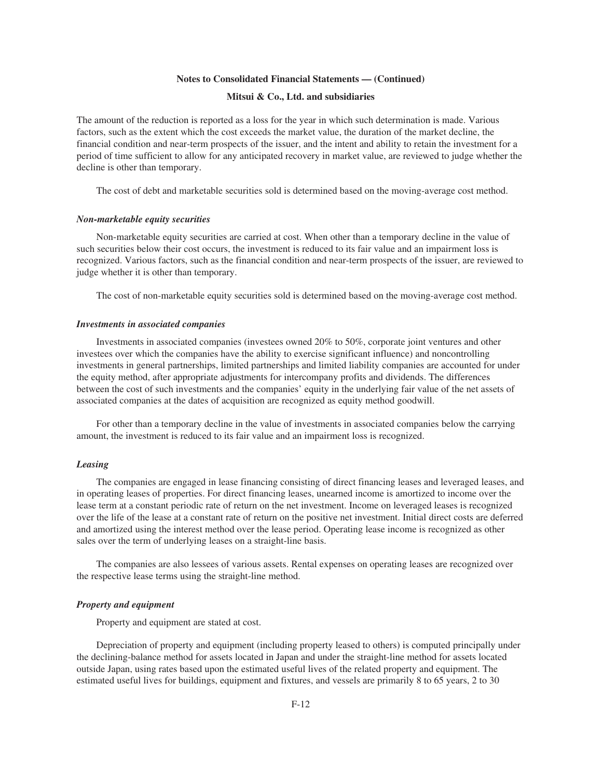# **Mitsui & Co., Ltd. and subsidiaries**

The amount of the reduction is reported as a loss for the year in which such determination is made. Various factors, such as the extent which the cost exceeds the market value, the duration of the market decline, the financial condition and near-term prospects of the issuer, and the intent and ability to retain the investment for a period of time sufficient to allow for any anticipated recovery in market value, are reviewed to judge whether the decline is other than temporary.

The cost of debt and marketable securities sold is determined based on the moving-average cost method.

#### *Non-marketable equity securities*

Non-marketable equity securities are carried at cost. When other than a temporary decline in the value of such securities below their cost occurs, the investment is reduced to its fair value and an impairment loss is recognized. Various factors, such as the financial condition and near-term prospects of the issuer, are reviewed to judge whether it is other than temporary.

The cost of non-marketable equity securities sold is determined based on the moving-average cost method.

#### *Investments in associated companies*

Investments in associated companies (investees owned 20% to 50%, corporate joint ventures and other investees over which the companies have the ability to exercise significant influence) and noncontrolling investments in general partnerships, limited partnerships and limited liability companies are accounted for under the equity method, after appropriate adjustments for intercompany profits and dividends. The differences between the cost of such investments and the companies' equity in the underlying fair value of the net assets of associated companies at the dates of acquisition are recognized as equity method goodwill.

For other than a temporary decline in the value of investments in associated companies below the carrying amount, the investment is reduced to its fair value and an impairment loss is recognized.

## *Leasing*

The companies are engaged in lease financing consisting of direct financing leases and leveraged leases, and in operating leases of properties. For direct financing leases, unearned income is amortized to income over the lease term at a constant periodic rate of return on the net investment. Income on leveraged leases is recognized over the life of the lease at a constant rate of return on the positive net investment. Initial direct costs are deferred and amortized using the interest method over the lease period. Operating lease income is recognized as other sales over the term of underlying leases on a straight-line basis.

The companies are also lessees of various assets. Rental expenses on operating leases are recognized over the respective lease terms using the straight-line method.

#### *Property and equipment*

Property and equipment are stated at cost.

Depreciation of property and equipment (including property leased to others) is computed principally under the declining-balance method for assets located in Japan and under the straight-line method for assets located outside Japan, using rates based upon the estimated useful lives of the related property and equipment. The estimated useful lives for buildings, equipment and fixtures, and vessels are primarily 8 to 65 years, 2 to 30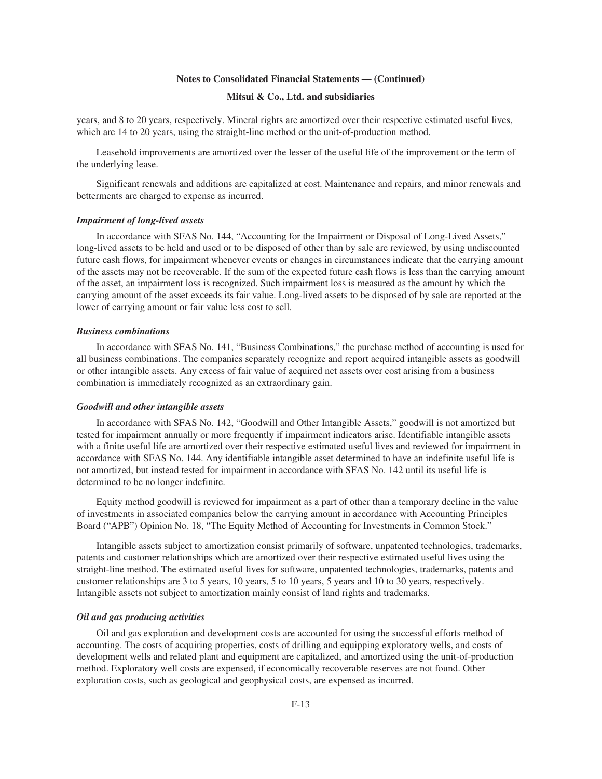## **Mitsui & Co., Ltd. and subsidiaries**

years, and 8 to 20 years, respectively. Mineral rights are amortized over their respective estimated useful lives, which are 14 to 20 years, using the straight-line method or the unit-of-production method.

Leasehold improvements are amortized over the lesser of the useful life of the improvement or the term of the underlying lease.

Significant renewals and additions are capitalized at cost. Maintenance and repairs, and minor renewals and betterments are charged to expense as incurred.

#### *Impairment of long-lived assets*

In accordance with SFAS No. 144, "Accounting for the Impairment or Disposal of Long-Lived Assets," long-lived assets to be held and used or to be disposed of other than by sale are reviewed, by using undiscounted future cash flows, for impairment whenever events or changes in circumstances indicate that the carrying amount of the assets may not be recoverable. If the sum of the expected future cash flows is less than the carrying amount of the asset, an impairment loss is recognized. Such impairment loss is measured as the amount by which the carrying amount of the asset exceeds its fair value. Long-lived assets to be disposed of by sale are reported at the lower of carrying amount or fair value less cost to sell.

#### *Business combinations*

In accordance with SFAS No. 141, "Business Combinations," the purchase method of accounting is used for all business combinations. The companies separately recognize and report acquired intangible assets as goodwill or other intangible assets. Any excess of fair value of acquired net assets over cost arising from a business combination is immediately recognized as an extraordinary gain.

#### *Goodwill and other intangible assets*

In accordance with SFAS No. 142, "Goodwill and Other Intangible Assets," goodwill is not amortized but tested for impairment annually or more frequently if impairment indicators arise. Identifiable intangible assets with a finite useful life are amortized over their respective estimated useful lives and reviewed for impairment in accordance with SFAS No. 144. Any identifiable intangible asset determined to have an indefinite useful life is not amortized, but instead tested for impairment in accordance with SFAS No. 142 until its useful life is determined to be no longer indefinite.

Equity method goodwill is reviewed for impairment as a part of other than a temporary decline in the value of investments in associated companies below the carrying amount in accordance with Accounting Principles Board ("APB") Opinion No. 18, "The Equity Method of Accounting for Investments in Common Stock."

Intangible assets subject to amortization consist primarily of software, unpatented technologies, trademarks, patents and customer relationships which are amortized over their respective estimated useful lives using the straight-line method. The estimated useful lives for software, unpatented technologies, trademarks, patents and customer relationships are 3 to 5 years, 10 years, 5 to 10 years, 5 years and 10 to 30 years, respectively. Intangible assets not subject to amortization mainly consist of land rights and trademarks.

#### *Oil and gas producing activities*

Oil and gas exploration and development costs are accounted for using the successful efforts method of accounting. The costs of acquiring properties, costs of drilling and equipping exploratory wells, and costs of development wells and related plant and equipment are capitalized, and amortized using the unit-of-production method. Exploratory well costs are expensed, if economically recoverable reserves are not found. Other exploration costs, such as geological and geophysical costs, are expensed as incurred.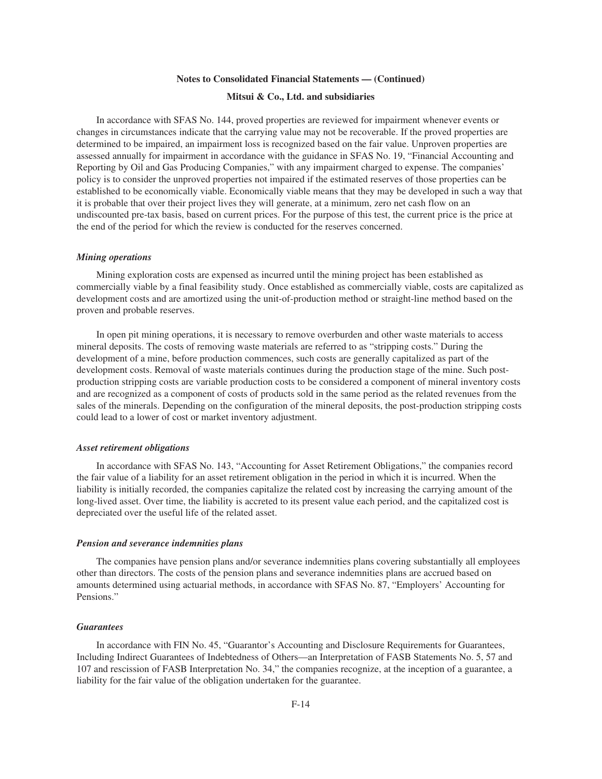#### **Mitsui & Co., Ltd. and subsidiaries**

In accordance with SFAS No. 144, proved properties are reviewed for impairment whenever events or changes in circumstances indicate that the carrying value may not be recoverable. If the proved properties are determined to be impaired, an impairment loss is recognized based on the fair value. Unproven properties are assessed annually for impairment in accordance with the guidance in SFAS No. 19, "Financial Accounting and Reporting by Oil and Gas Producing Companies," with any impairment charged to expense. The companies' policy is to consider the unproved properties not impaired if the estimated reserves of those properties can be established to be economically viable. Economically viable means that they may be developed in such a way that it is probable that over their project lives they will generate, at a minimum, zero net cash flow on an undiscounted pre-tax basis, based on current prices. For the purpose of this test, the current price is the price at the end of the period for which the review is conducted for the reserves concerned.

#### *Mining operations*

Mining exploration costs are expensed as incurred until the mining project has been established as commercially viable by a final feasibility study. Once established as commercially viable, costs are capitalized as development costs and are amortized using the unit-of-production method or straight-line method based on the proven and probable reserves.

In open pit mining operations, it is necessary to remove overburden and other waste materials to access mineral deposits. The costs of removing waste materials are referred to as "stripping costs." During the development of a mine, before production commences, such costs are generally capitalized as part of the development costs. Removal of waste materials continues during the production stage of the mine. Such postproduction stripping costs are variable production costs to be considered a component of mineral inventory costs and are recognized as a component of costs of products sold in the same period as the related revenues from the sales of the minerals. Depending on the configuration of the mineral deposits, the post-production stripping costs could lead to a lower of cost or market inventory adjustment.

#### *Asset retirement obligations*

In accordance with SFAS No. 143, "Accounting for Asset Retirement Obligations," the companies record the fair value of a liability for an asset retirement obligation in the period in which it is incurred. When the liability is initially recorded, the companies capitalize the related cost by increasing the carrying amount of the long-lived asset. Over time, the liability is accreted to its present value each period, and the capitalized cost is depreciated over the useful life of the related asset.

#### *Pension and severance indemnities plans*

The companies have pension plans and/or severance indemnities plans covering substantially all employees other than directors. The costs of the pension plans and severance indemnities plans are accrued based on amounts determined using actuarial methods, in accordance with SFAS No. 87, "Employers' Accounting for Pensions."

#### *Guarantees*

In accordance with FIN No. 45, "Guarantor's Accounting and Disclosure Requirements for Guarantees, Including Indirect Guarantees of Indebtedness of Others—an Interpretation of FASB Statements No. 5, 57 and 107 and rescission of FASB Interpretation No. 34," the companies recognize, at the inception of a guarantee, a liability for the fair value of the obligation undertaken for the guarantee.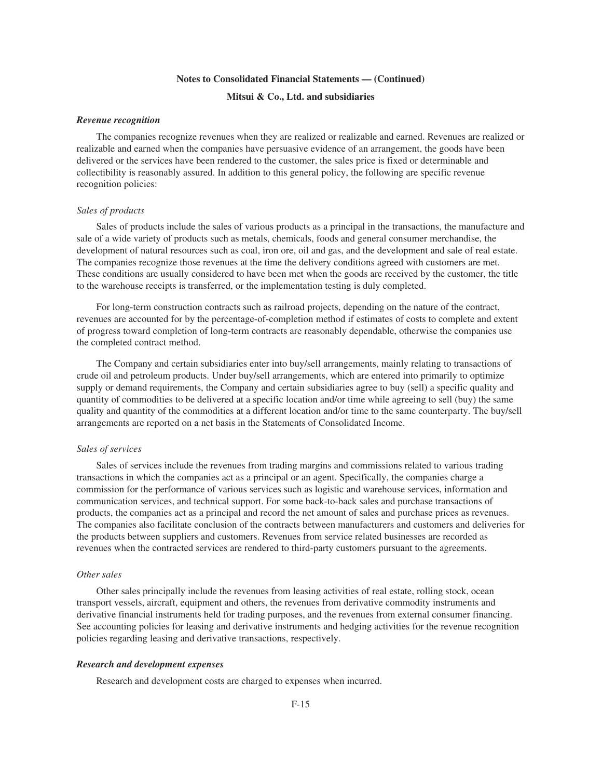# **Mitsui & Co., Ltd. and subsidiaries**

#### *Revenue recognition*

The companies recognize revenues when they are realized or realizable and earned. Revenues are realized or realizable and earned when the companies have persuasive evidence of an arrangement, the goods have been delivered or the services have been rendered to the customer, the sales price is fixed or determinable and collectibility is reasonably assured. In addition to this general policy, the following are specific revenue recognition policies:

## *Sales of products*

Sales of products include the sales of various products as a principal in the transactions, the manufacture and sale of a wide variety of products such as metals, chemicals, foods and general consumer merchandise, the development of natural resources such as coal, iron ore, oil and gas, and the development and sale of real estate. The companies recognize those revenues at the time the delivery conditions agreed with customers are met. These conditions are usually considered to have been met when the goods are received by the customer, the title to the warehouse receipts is transferred, or the implementation testing is duly completed.

For long-term construction contracts such as railroad projects, depending on the nature of the contract, revenues are accounted for by the percentage-of-completion method if estimates of costs to complete and extent of progress toward completion of long-term contracts are reasonably dependable, otherwise the companies use the completed contract method.

The Company and certain subsidiaries enter into buy/sell arrangements, mainly relating to transactions of crude oil and petroleum products. Under buy/sell arrangements, which are entered into primarily to optimize supply or demand requirements, the Company and certain subsidiaries agree to buy (sell) a specific quality and quantity of commodities to be delivered at a specific location and/or time while agreeing to sell (buy) the same quality and quantity of the commodities at a different location and/or time to the same counterparty. The buy/sell arrangements are reported on a net basis in the Statements of Consolidated Income.

### *Sales of services*

Sales of services include the revenues from trading margins and commissions related to various trading transactions in which the companies act as a principal or an agent. Specifically, the companies charge a commission for the performance of various services such as logistic and warehouse services, information and communication services, and technical support. For some back-to-back sales and purchase transactions of products, the companies act as a principal and record the net amount of sales and purchase prices as revenues. The companies also facilitate conclusion of the contracts between manufacturers and customers and deliveries for the products between suppliers and customers. Revenues from service related businesses are recorded as revenues when the contracted services are rendered to third-party customers pursuant to the agreements.

#### *Other sales*

Other sales principally include the revenues from leasing activities of real estate, rolling stock, ocean transport vessels, aircraft, equipment and others, the revenues from derivative commodity instruments and derivative financial instruments held for trading purposes, and the revenues from external consumer financing. See accounting policies for leasing and derivative instruments and hedging activities for the revenue recognition policies regarding leasing and derivative transactions, respectively.

#### *Research and development expenses*

Research and development costs are charged to expenses when incurred.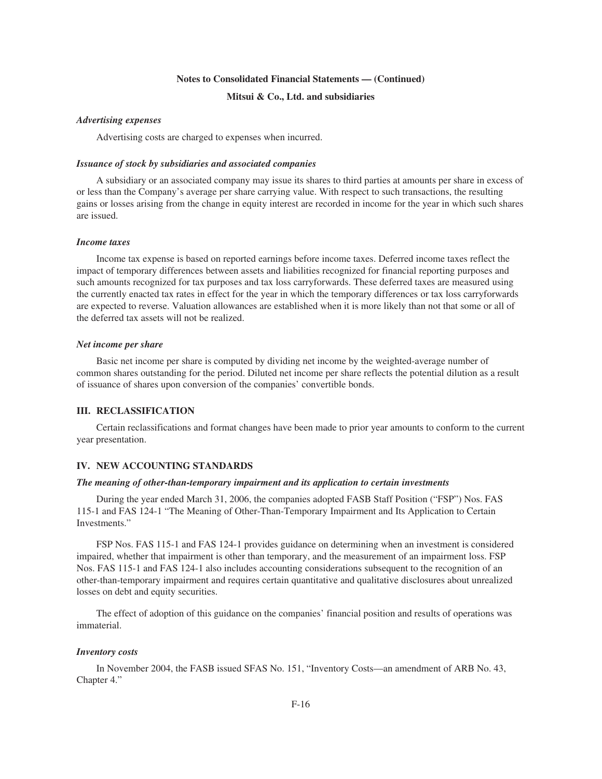## **Mitsui & Co., Ltd. and subsidiaries**

## *Advertising expenses*

Advertising costs are charged to expenses when incurred.

### *Issuance of stock by subsidiaries and associated companies*

A subsidiary or an associated company may issue its shares to third parties at amounts per share in excess of or less than the Company's average per share carrying value. With respect to such transactions, the resulting gains or losses arising from the change in equity interest are recorded in income for the year in which such shares are issued.

## *Income taxes*

Income tax expense is based on reported earnings before income taxes. Deferred income taxes reflect the impact of temporary differences between assets and liabilities recognized for financial reporting purposes and such amounts recognized for tax purposes and tax loss carryforwards. These deferred taxes are measured using the currently enacted tax rates in effect for the year in which the temporary differences or tax loss carryforwards are expected to reverse. Valuation allowances are established when it is more likely than not that some or all of the deferred tax assets will not be realized.

#### *Net income per share*

Basic net income per share is computed by dividing net income by the weighted-average number of common shares outstanding for the period. Diluted net income per share reflects the potential dilution as a result of issuance of shares upon conversion of the companies' convertible bonds.

## **III. RECLASSIFICATION**

Certain reclassifications and format changes have been made to prior year amounts to conform to the current year presentation.

## **IV. NEW ACCOUNTING STANDARDS**

#### *The meaning of other-than-temporary impairment and its application to certain investments*

During the year ended March 31, 2006, the companies adopted FASB Staff Position ("FSP") Nos. FAS 115-1 and FAS 124-1 "The Meaning of Other-Than-Temporary Impairment and Its Application to Certain Investments."

FSP Nos. FAS 115-1 and FAS 124-1 provides guidance on determining when an investment is considered impaired, whether that impairment is other than temporary, and the measurement of an impairment loss. FSP Nos. FAS 115-1 and FAS 124-1 also includes accounting considerations subsequent to the recognition of an other-than-temporary impairment and requires certain quantitative and qualitative disclosures about unrealized losses on debt and equity securities.

The effect of adoption of this guidance on the companies' financial position and results of operations was immaterial.

#### *Inventory costs*

In November 2004, the FASB issued SFAS No. 151, "Inventory Costs—an amendment of ARB No. 43, Chapter 4."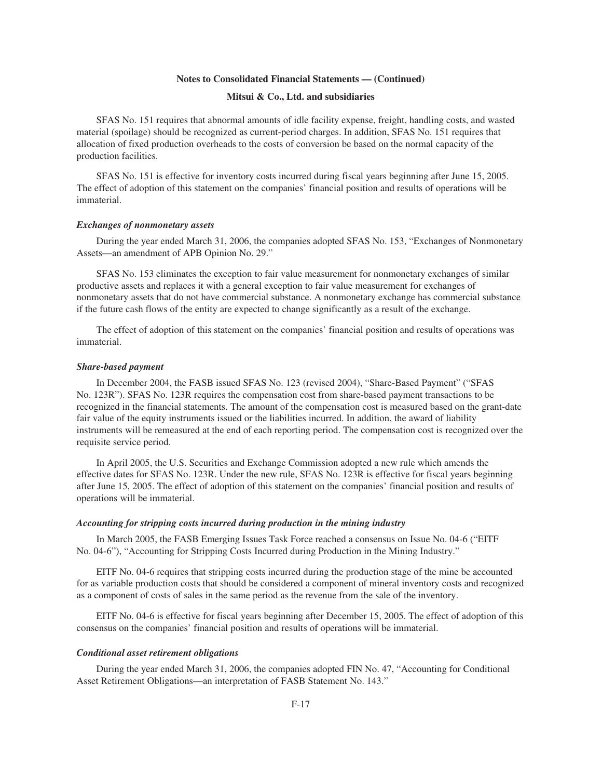### **Mitsui & Co., Ltd. and subsidiaries**

SFAS No. 151 requires that abnormal amounts of idle facility expense, freight, handling costs, and wasted material (spoilage) should be recognized as current-period charges. In addition, SFAS No. 151 requires that allocation of fixed production overheads to the costs of conversion be based on the normal capacity of the production facilities.

SFAS No. 151 is effective for inventory costs incurred during fiscal years beginning after June 15, 2005. The effect of adoption of this statement on the companies' financial position and results of operations will be immaterial.

#### *Exchanges of nonmonetary assets*

During the year ended March 31, 2006, the companies adopted SFAS No. 153, "Exchanges of Nonmonetary Assets—an amendment of APB Opinion No. 29."

SFAS No. 153 eliminates the exception to fair value measurement for nonmonetary exchanges of similar productive assets and replaces it with a general exception to fair value measurement for exchanges of nonmonetary assets that do not have commercial substance. A nonmonetary exchange has commercial substance if the future cash flows of the entity are expected to change significantly as a result of the exchange.

The effect of adoption of this statement on the companies' financial position and results of operations was immaterial.

#### *Share-based payment*

In December 2004, the FASB issued SFAS No. 123 (revised 2004), "Share-Based Payment" ("SFAS No. 123R"). SFAS No. 123R requires the compensation cost from share-based payment transactions to be recognized in the financial statements. The amount of the compensation cost is measured based on the grant-date fair value of the equity instruments issued or the liabilities incurred. In addition, the award of liability instruments will be remeasured at the end of each reporting period. The compensation cost is recognized over the requisite service period.

In April 2005, the U.S. Securities and Exchange Commission adopted a new rule which amends the effective dates for SFAS No. 123R. Under the new rule, SFAS No. 123R is effective for fiscal years beginning after June 15, 2005. The effect of adoption of this statement on the companies' financial position and results of operations will be immaterial.

#### *Accounting for stripping costs incurred during production in the mining industry*

In March 2005, the FASB Emerging Issues Task Force reached a consensus on Issue No. 04-6 ("EITF No. 04-6"), "Accounting for Stripping Costs Incurred during Production in the Mining Industry."

EITF No. 04-6 requires that stripping costs incurred during the production stage of the mine be accounted for as variable production costs that should be considered a component of mineral inventory costs and recognized as a component of costs of sales in the same period as the revenue from the sale of the inventory.

EITF No. 04-6 is effective for fiscal years beginning after December 15, 2005. The effect of adoption of this consensus on the companies' financial position and results of operations will be immaterial.

#### *Conditional asset retirement obligations*

During the year ended March 31, 2006, the companies adopted FIN No. 47, "Accounting for Conditional Asset Retirement Obligations—an interpretation of FASB Statement No. 143."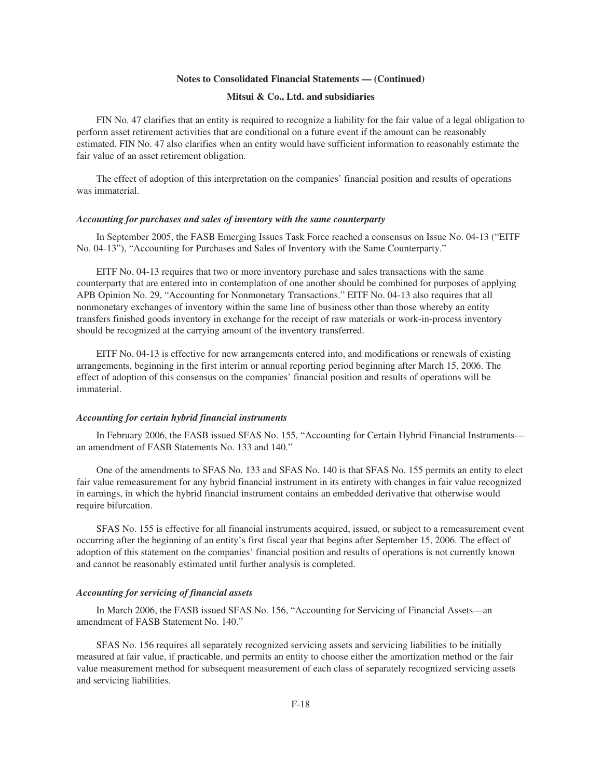## **Mitsui & Co., Ltd. and subsidiaries**

FIN No. 47 clarifies that an entity is required to recognize a liability for the fair value of a legal obligation to perform asset retirement activities that are conditional on a future event if the amount can be reasonably estimated. FIN No. 47 also clarifies when an entity would have sufficient information to reasonably estimate the fair value of an asset retirement obligation.

The effect of adoption of this interpretation on the companies' financial position and results of operations was immaterial.

#### *Accounting for purchases and sales of inventory with the same counterparty*

In September 2005, the FASB Emerging Issues Task Force reached a consensus on Issue No. 04-13 ("EITF No. 04-13"), "Accounting for Purchases and Sales of Inventory with the Same Counterparty."

EITF No. 04-13 requires that two or more inventory purchase and sales transactions with the same counterparty that are entered into in contemplation of one another should be combined for purposes of applying APB Opinion No. 29, "Accounting for Nonmonetary Transactions." EITF No. 04-13 also requires that all nonmonetary exchanges of inventory within the same line of business other than those whereby an entity transfers finished goods inventory in exchange for the receipt of raw materials or work-in-process inventory should be recognized at the carrying amount of the inventory transferred.

EITF No. 04-13 is effective for new arrangements entered into, and modifications or renewals of existing arrangements, beginning in the first interim or annual reporting period beginning after March 15, 2006. The effect of adoption of this consensus on the companies' financial position and results of operations will be immaterial.

#### *Accounting for certain hybrid financial instruments*

In February 2006, the FASB issued SFAS No. 155, "Accounting for Certain Hybrid Financial Instruments an amendment of FASB Statements No. 133 and 140."

One of the amendments to SFAS No. 133 and SFAS No. 140 is that SFAS No. 155 permits an entity to elect fair value remeasurement for any hybrid financial instrument in its entirety with changes in fair value recognized in earnings, in which the hybrid financial instrument contains an embedded derivative that otherwise would require bifurcation.

SFAS No. 155 is effective for all financial instruments acquired, issued, or subject to a remeasurement event occurring after the beginning of an entity's first fiscal year that begins after September 15, 2006. The effect of adoption of this statement on the companies' financial position and results of operations is not currently known and cannot be reasonably estimated until further analysis is completed.

#### *Accounting for servicing of financial assets*

In March 2006, the FASB issued SFAS No. 156, "Accounting for Servicing of Financial Assets—an amendment of FASB Statement No. 140."

SFAS No. 156 requires all separately recognized servicing assets and servicing liabilities to be initially measured at fair value, if practicable, and permits an entity to choose either the amortization method or the fair value measurement method for subsequent measurement of each class of separately recognized servicing assets and servicing liabilities.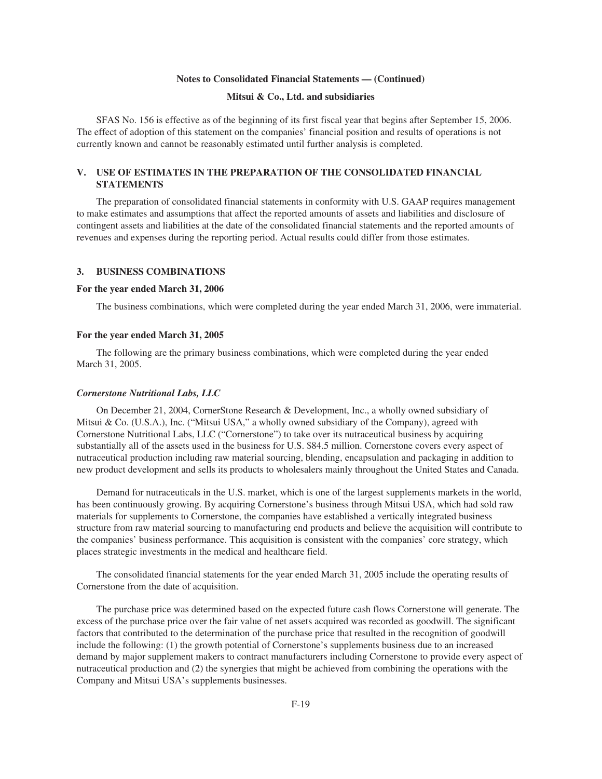## **Mitsui & Co., Ltd. and subsidiaries**

SFAS No. 156 is effective as of the beginning of its first fiscal year that begins after September 15, 2006. The effect of adoption of this statement on the companies' financial position and results of operations is not currently known and cannot be reasonably estimated until further analysis is completed.

# **V. USE OF ESTIMATES IN THE PREPARATION OF THE CONSOLIDATED FINANCIAL STATEMENTS**

The preparation of consolidated financial statements in conformity with U.S. GAAP requires management to make estimates and assumptions that affect the reported amounts of assets and liabilities and disclosure of contingent assets and liabilities at the date of the consolidated financial statements and the reported amounts of revenues and expenses during the reporting period. Actual results could differ from those estimates.

## **3. BUSINESS COMBINATIONS**

#### **For the year ended March 31, 2006**

The business combinations, which were completed during the year ended March 31, 2006, were immaterial.

#### **For the year ended March 31, 2005**

The following are the primary business combinations, which were completed during the year ended March 31, 2005.

#### *Cornerstone Nutritional Labs, LLC*

On December 21, 2004, CornerStone Research & Development, Inc., a wholly owned subsidiary of Mitsui & Co. (U.S.A.), Inc. ("Mitsui USA," a wholly owned subsidiary of the Company), agreed with Cornerstone Nutritional Labs, LLC ("Cornerstone") to take over its nutraceutical business by acquiring substantially all of the assets used in the business for U.S. \$84.5 million. Cornerstone covers every aspect of nutraceutical production including raw material sourcing, blending, encapsulation and packaging in addition to new product development and sells its products to wholesalers mainly throughout the United States and Canada.

Demand for nutraceuticals in the U.S. market, which is one of the largest supplements markets in the world, has been continuously growing. By acquiring Cornerstone's business through Mitsui USA, which had sold raw materials for supplements to Cornerstone, the companies have established a vertically integrated business structure from raw material sourcing to manufacturing end products and believe the acquisition will contribute to the companies' business performance. This acquisition is consistent with the companies' core strategy, which places strategic investments in the medical and healthcare field.

The consolidated financial statements for the year ended March 31, 2005 include the operating results of Cornerstone from the date of acquisition.

The purchase price was determined based on the expected future cash flows Cornerstone will generate. The excess of the purchase price over the fair value of net assets acquired was recorded as goodwill. The significant factors that contributed to the determination of the purchase price that resulted in the recognition of goodwill include the following: (1) the growth potential of Cornerstone's supplements business due to an increased demand by major supplement makers to contract manufacturers including Cornerstone to provide every aspect of nutraceutical production and (2) the synergies that might be achieved from combining the operations with the Company and Mitsui USA's supplements businesses.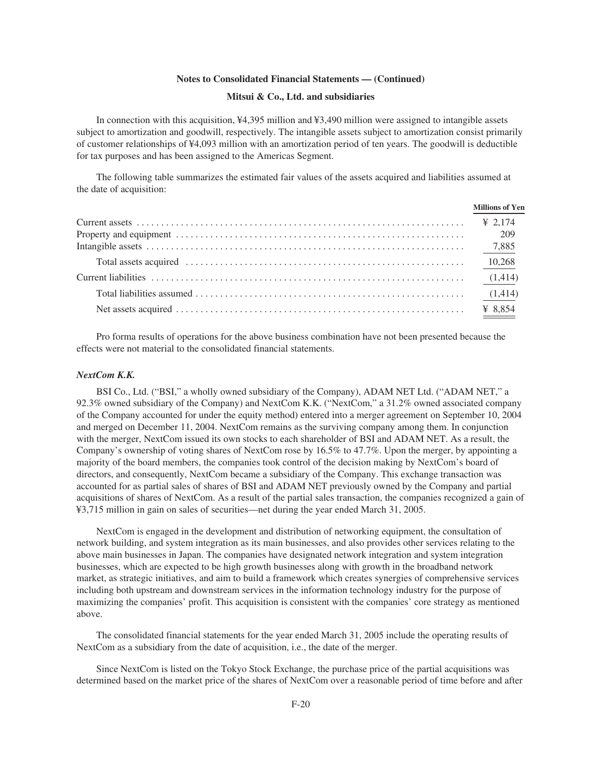#### **Mitsui & Co., Ltd. and subsidiaries**

In connection with this acquisition, ¥4,395 million and ¥3,490 million were assigned to intangible assets subject to amortization and goodwill, respectively. The intangible assets subject to amortization consist primarily of customer relationships of ¥4,093 million with an amortization period of ten years. The goodwill is deductible for tax purposes and has been assigned to the Americas Segment.

The following table summarizes the estimated fair values of the assets acquired and liabilities assumed at the date of acquisition:

| <b>Millions of Yen</b> |
|------------------------|
|                        |
|                        |
|                        |
|                        |
|                        |
|                        |
|                        |

Pro forma results of operations for the above business combination have not been presented because the effects were not material to the consolidated financial statements.

#### *NextCom K.K.*

BSI Co., Ltd. ("BSI," a wholly owned subsidiary of the Company), ADAM NET Ltd. ("ADAM NET," a 92.3% owned subsidiary of the Company) and NextCom K.K. ("NextCom," a 31.2% owned associated company of the Company accounted for under the equity method) entered into a merger agreement on September 10, 2004 and merged on December 11, 2004. NextCom remains as the surviving company among them. In conjunction with the merger, NextCom issued its own stocks to each shareholder of BSI and ADAM NET. As a result, the Company's ownership of voting shares of NextCom rose by 16.5% to 47.7%. Upon the merger, by appointing a majority of the board members, the companies took control of the decision making by NextCom's board of directors, and consequently, NextCom became a subsidiary of the Company. This exchange transaction was accounted for as partial sales of shares of BSI and ADAM NET previously owned by the Company and partial acquisitions of shares of NextCom. As a result of the partial sales transaction, the companies recognized a gain of ¥3,715 million in gain on sales of securities—net during the year ended March 31, 2005.

NextCom is engaged in the development and distribution of networking equipment, the consultation of network building, and system integration as its main businesses, and also provides other services relating to the above main businesses in Japan. The companies have designated network integration and system integration businesses, which are expected to be high growth businesses along with growth in the broadband network market, as strategic initiatives, and aim to build a framework which creates synergies of comprehensive services including both upstream and downstream services in the information technology industry for the purpose of maximizing the companies' profit. This acquisition is consistent with the companies' core strategy as mentioned above.

The consolidated financial statements for the year ended March 31, 2005 include the operating results of NextCom as a subsidiary from the date of acquisition, i.e., the date of the merger.

Since NextCom is listed on the Tokyo Stock Exchange, the purchase price of the partial acquisitions was determined based on the market price of the shares of NextCom over a reasonable period of time before and after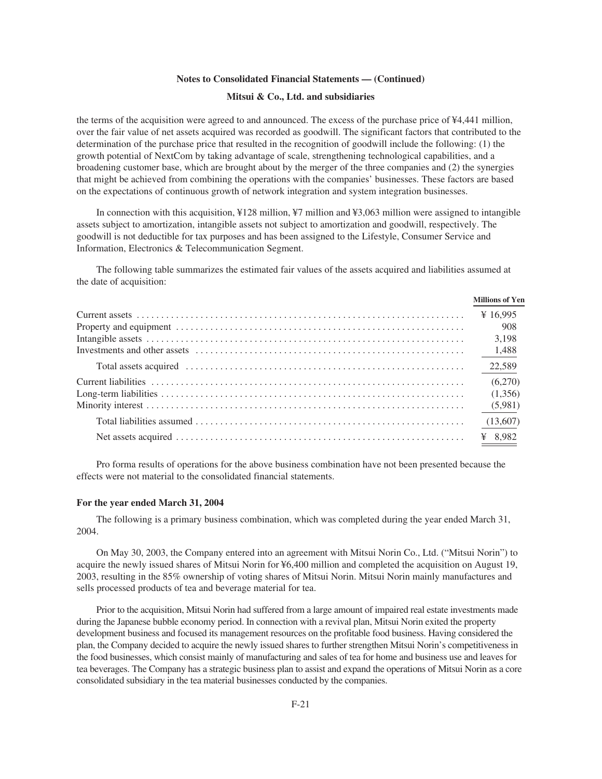### **Mitsui & Co., Ltd. and subsidiaries**

the terms of the acquisition were agreed to and announced. The excess of the purchase price of ¥4,441 million, over the fair value of net assets acquired was recorded as goodwill. The significant factors that contributed to the determination of the purchase price that resulted in the recognition of goodwill include the following: (1) the growth potential of NextCom by taking advantage of scale, strengthening technological capabilities, and a broadening customer base, which are brought about by the merger of the three companies and (2) the synergies that might be achieved from combining the operations with the companies' businesses. These factors are based on the expectations of continuous growth of network integration and system integration businesses.

In connection with this acquisition, ¥128 million, ¥7 million and ¥3,063 million were assigned to intangible assets subject to amortization, intangible assets not subject to amortization and goodwill, respectively. The goodwill is not deductible for tax purposes and has been assigned to the Lifestyle, Consumer Service and Information, Electronics & Telecommunication Segment.

The following table summarizes the estimated fair values of the assets acquired and liabilities assumed at the date of acquisition:

| <b>Millions of Yen</b> |
|------------------------|
|                        |
| 908                    |
| 3.198                  |
|                        |
| 22,589                 |
| (6,270)                |
| (1,356)                |
|                        |
|                        |
|                        |

Pro forma results of operations for the above business combination have not been presented because the effects were not material to the consolidated financial statements.

#### **For the year ended March 31, 2004**

The following is a primary business combination, which was completed during the year ended March 31, 2004.

On May 30, 2003, the Company entered into an agreement with Mitsui Norin Co., Ltd. ("Mitsui Norin") to acquire the newly issued shares of Mitsui Norin for ¥6,400 million and completed the acquisition on August 19, 2003, resulting in the 85% ownership of voting shares of Mitsui Norin. Mitsui Norin mainly manufactures and sells processed products of tea and beverage material for tea.

Prior to the acquisition, Mitsui Norin had suffered from a large amount of impaired real estate investments made during the Japanese bubble economy period. In connection with a revival plan, Mitsui Norin exited the property development business and focused its management resources on the profitable food business. Having considered the plan, the Company decided to acquire the newly issued shares to further strengthen Mitsui Norin's competitiveness in the food businesses, which consist mainly of manufacturing and sales of tea for home and business use and leaves for tea beverages. The Company has a strategic business plan to assist and expand the operations of Mitsui Norin as a core consolidated subsidiary in the tea material businesses conducted by the companies.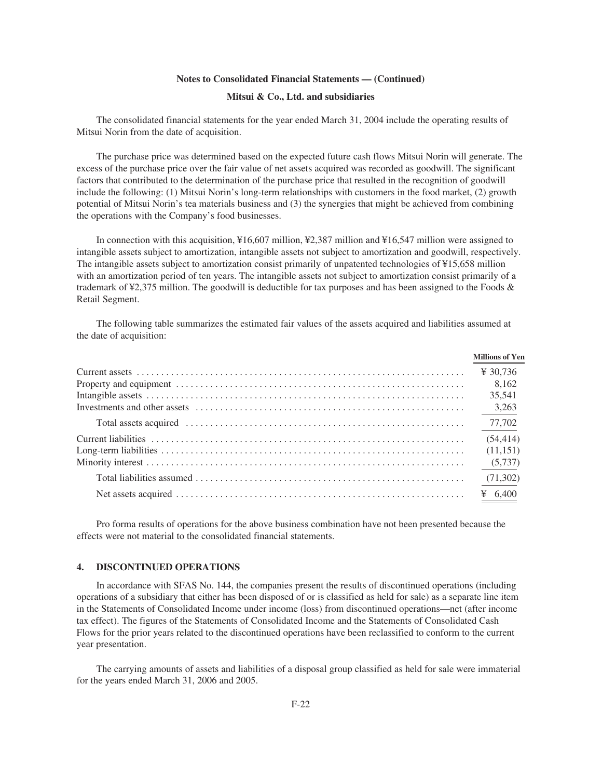#### **Mitsui & Co., Ltd. and subsidiaries**

The consolidated financial statements for the year ended March 31, 2004 include the operating results of Mitsui Norin from the date of acquisition.

The purchase price was determined based on the expected future cash flows Mitsui Norin will generate. The excess of the purchase price over the fair value of net assets acquired was recorded as goodwill. The significant factors that contributed to the determination of the purchase price that resulted in the recognition of goodwill include the following: (1) Mitsui Norin's long-term relationships with customers in the food market, (2) growth potential of Mitsui Norin's tea materials business and (3) the synergies that might be achieved from combining the operations with the Company's food businesses.

In connection with this acquisition, ¥16,607 million, ¥2,387 million and ¥16,547 million were assigned to intangible assets subject to amortization, intangible assets not subject to amortization and goodwill, respectively. The intangible assets subject to amortization consist primarily of unpatented technologies of ¥15,658 million with an amortization period of ten years. The intangible assets not subject to amortization consist primarily of a trademark of ¥2,375 million. The goodwill is deductible for tax purposes and has been assigned to the Foods & Retail Segment.

The following table summarizes the estimated fair values of the assets acquired and liabilities assumed at the date of acquisition:

| <b>Millions of Yen</b> |
|------------------------|
| ¥ 30.736               |
| 8.162                  |
| 35,541                 |
|                        |
|                        |
| (54, 414)              |
| (11,151)               |
|                        |
|                        |
|                        |

Pro forma results of operations for the above business combination have not been presented because the effects were not material to the consolidated financial statements.

## **4. DISCONTINUED OPERATIONS**

In accordance with SFAS No. 144, the companies present the results of discontinued operations (including operations of a subsidiary that either has been disposed of or is classified as held for sale) as a separate line item in the Statements of Consolidated Income under income (loss) from discontinued operations—net (after income tax effect). The figures of the Statements of Consolidated Income and the Statements of Consolidated Cash Flows for the prior years related to the discontinued operations have been reclassified to conform to the current year presentation.

The carrying amounts of assets and liabilities of a disposal group classified as held for sale were immaterial for the years ended March 31, 2006 and 2005.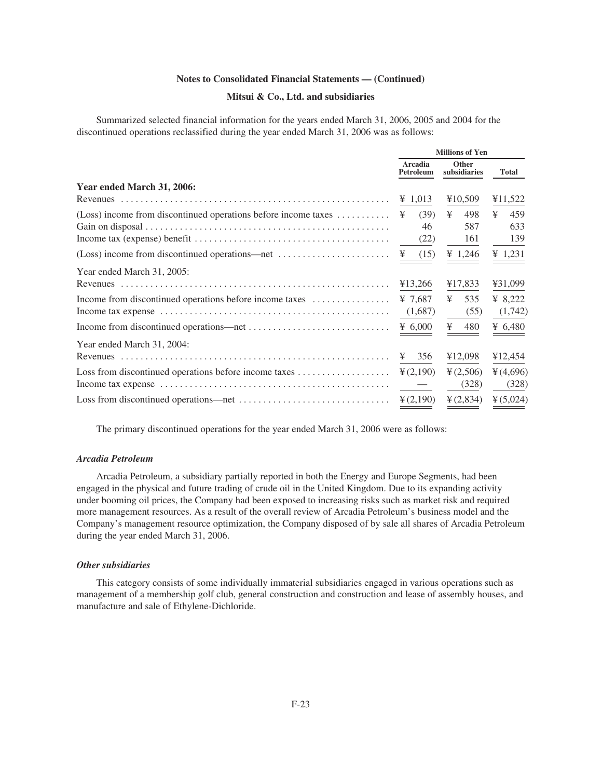# **Mitsui & Co., Ltd. and subsidiaries**

Summarized selected financial information for the years ended March 31, 2006, 2005 and 2004 for the discontinued operations reclassified during the year ended March 31, 2006 was as follows:

|                                                                                        | <b>Millions of Yen</b> |                       |              |
|----------------------------------------------------------------------------------------|------------------------|-----------------------|--------------|
|                                                                                        | Arcadia<br>Petroleum   | Other<br>subsidiaries | <b>Total</b> |
| Year ended March 31, 2006:                                                             |                        |                       |              |
|                                                                                        | ¥ 1,013                | ¥10,509               | ¥11,522      |
| (Loss) income from discontinued operations before income taxes $\dots\dots\dots\dots$  | (39)<br>¥              | ¥<br>498              | ¥<br>459     |
|                                                                                        | 46                     | 587                   | 633          |
|                                                                                        | (22)                   | 161                   | 139          |
| $(Loss)$ income from discontinued operations—net $\dots\dots\dots\dots\dots\dots\dots$ | (15)<br>¥              | ¥ 1,246               | ¥ 1,231      |
| Year ended March 31, 2005:                                                             |                        |                       |              |
|                                                                                        | ¥13,266                | ¥17,833               | ¥31,099      |
| Income from discontinued operations before income taxes                                | ¥ 7,687                | ¥<br>535              | ¥ $8,222$    |
|                                                                                        | (1,687)                | (55)                  | (1,742)      |
|                                                                                        | ¥ $6,000$              | ¥<br>480              | ¥ $6,480$    |
| Year ended March 31, 2004:                                                             |                        |                       |              |
|                                                                                        | 356<br>¥               | ¥12,098               | ¥12,454      |
|                                                                                        | $\frac{1}{2}(2,190)$   | $\frac{1}{2}(2,506)$  | 4(4,696)     |
|                                                                                        |                        | (328)                 | (328)        |
|                                                                                        | $\frac{1}{2}(2,190)$   | $\frac{1}{2}(2,834)$  | $*(5,024)$   |

The primary discontinued operations for the year ended March 31, 2006 were as follows:

## *Arcadia Petroleum*

Arcadia Petroleum, a subsidiary partially reported in both the Energy and Europe Segments, had been engaged in the physical and future trading of crude oil in the United Kingdom. Due to its expanding activity under booming oil prices, the Company had been exposed to increasing risks such as market risk and required more management resources. As a result of the overall review of Arcadia Petroleum's business model and the Company's management resource optimization, the Company disposed of by sale all shares of Arcadia Petroleum during the year ended March 31, 2006.

## *Other subsidiaries*

This category consists of some individually immaterial subsidiaries engaged in various operations such as management of a membership golf club, general construction and construction and lease of assembly houses, and manufacture and sale of Ethylene-Dichloride.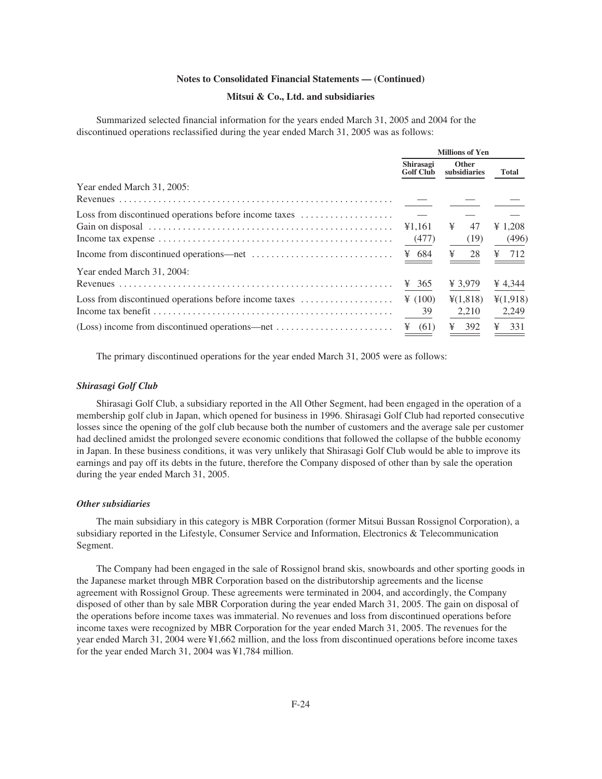### **Mitsui & Co., Ltd. and subsidiaries**

Summarized selected financial information for the years ended March 31, 2005 and 2004 for the discontinued operations reclassified during the year ended March 31, 2005 was as follows:

|                                                                                                                            |                               | <b>Millions of Yen</b> |                                           |  |
|----------------------------------------------------------------------------------------------------------------------------|-------------------------------|------------------------|-------------------------------------------|--|
|                                                                                                                            | Shirasagi<br><b>Golf Club</b> | Other<br>subsidiaries  | <b>Total</b>                              |  |
| Year ended March 31, 2005:                                                                                                 |                               |                        |                                           |  |
|                                                                                                                            |                               |                        |                                           |  |
|                                                                                                                            |                               |                        |                                           |  |
|                                                                                                                            | ¥1.161                        | ¥<br>47                | ¥ 1,208                                   |  |
| Income tax expense $\dots \dots \dots \dots \dots \dots \dots \dots \dots \dots \dots \dots \dots \dots \dots \dots \dots$ | (477)                         | (19)                   | (496)                                     |  |
|                                                                                                                            | ¥ 684                         | $\frac{1}{28}$         | $\frac{1}{2}$ 712                         |  |
| Year ended March 31, 2004:                                                                                                 |                               |                        |                                           |  |
|                                                                                                                            | ¥ 365                         | ¥ 3,979                | ¥ 4,344                                   |  |
| Loss from discontinued operations before income taxes                                                                      | $\frac{1}{2}$ (100)           | $\frac{1}{2}(1,818)$   | ¥(1,918)                                  |  |
| Income tax benefit $\dots \dots \dots \dots \dots \dots \dots \dots \dots \dots \dots \dots \dots \dots \dots \dots \dots$ | 39                            | 2,210                  | 2,249                                     |  |
|                                                                                                                            | $\frac{1}{2}$ (61)            | 392<br>¥               | $\frac{1}{2}$ 331<br><b>Service State</b> |  |

The primary discontinued operations for the year ended March 31, 2005 were as follows:

#### *Shirasagi Golf Club*

Shirasagi Golf Club, a subsidiary reported in the All Other Segment, had been engaged in the operation of a membership golf club in Japan, which opened for business in 1996. Shirasagi Golf Club had reported consecutive losses since the opening of the golf club because both the number of customers and the average sale per customer had declined amidst the prolonged severe economic conditions that followed the collapse of the bubble economy in Japan. In these business conditions, it was very unlikely that Shirasagi Golf Club would be able to improve its earnings and pay off its debts in the future, therefore the Company disposed of other than by sale the operation during the year ended March 31, 2005.

# *Other subsidiaries*

The main subsidiary in this category is MBR Corporation (former Mitsui Bussan Rossignol Corporation), a subsidiary reported in the Lifestyle, Consumer Service and Information, Electronics & Telecommunication Segment.

The Company had been engaged in the sale of Rossignol brand skis, snowboards and other sporting goods in the Japanese market through MBR Corporation based on the distributorship agreements and the license agreement with Rossignol Group. These agreements were terminated in 2004, and accordingly, the Company disposed of other than by sale MBR Corporation during the year ended March 31, 2005. The gain on disposal of the operations before income taxes was immaterial. No revenues and loss from discontinued operations before income taxes were recognized by MBR Corporation for the year ended March 31, 2005. The revenues for the year ended March 31, 2004 were ¥1,662 million, and the loss from discontinued operations before income taxes for the year ended March 31, 2004 was ¥1,784 million.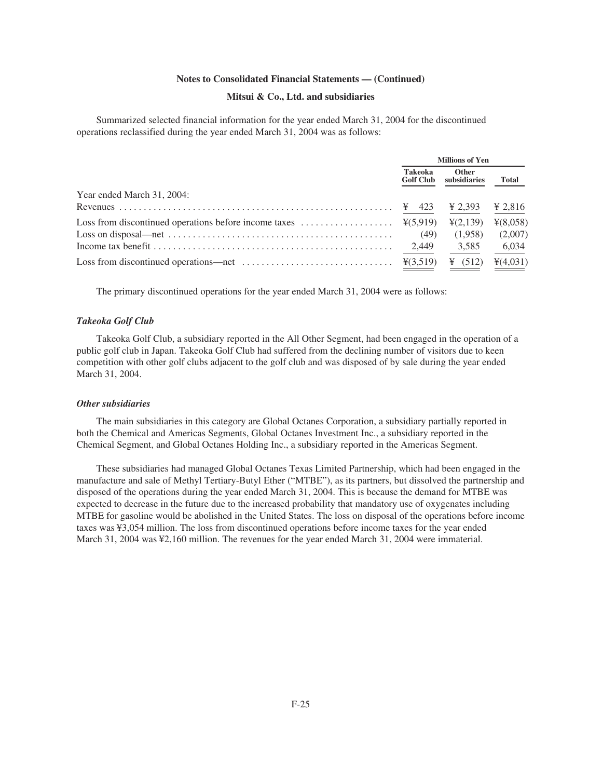### **Mitsui & Co., Ltd. and subsidiaries**

Summarized selected financial information for the year ended March 31, 2004 for the discontinued operations reclassified during the year ended March 31, 2004 was as follows:

|                                                                                                                                                      | <b>Millions of Yen</b>             |                              |              |
|------------------------------------------------------------------------------------------------------------------------------------------------------|------------------------------------|------------------------------|--------------|
|                                                                                                                                                      | <b>Takeoka</b><br><b>Golf Club</b> | <b>Other</b><br>subsidiaries | <b>Total</b> |
| Year ended March 31, 2004:                                                                                                                           |                                    |                              |              |
|                                                                                                                                                      |                                    | $\frac{1}{2}$ 2.393          | ¥ 2,816      |
|                                                                                                                                                      |                                    | $\frac{1}{2}(2,139)$         | ¥(8,058)     |
|                                                                                                                                                      | (49)                               | (1,958)                      | (2,007)      |
| Income tax benefit $\ldots$ , $\ldots$ , $\ldots$ , $\ldots$ , $\ldots$ , $\ldots$ , $\ldots$ , $\ldots$ , $\ldots$ , $\ldots$ , $\ldots$ , $\ldots$ | 2.449                              | 3.585                        | 6,034        |
| Loss from discontinued operations—net $\dots \dots \dots \dots \dots \dots \dots \dots \dots$ $\frac{\mathcal{Y}(3,519)}{}$                          |                                    | ¥ $(512)$                    | 4(4,031)     |

The primary discontinued operations for the year ended March 31, 2004 were as follows:

#### *Takeoka Golf Club*

Takeoka Golf Club, a subsidiary reported in the All Other Segment, had been engaged in the operation of a public golf club in Japan. Takeoka Golf Club had suffered from the declining number of visitors due to keen competition with other golf clubs adjacent to the golf club and was disposed of by sale during the year ended March 31, 2004.

#### *Other subsidiaries*

The main subsidiaries in this category are Global Octanes Corporation, a subsidiary partially reported in both the Chemical and Americas Segments, Global Octanes Investment Inc., a subsidiary reported in the Chemical Segment, and Global Octanes Holding Inc., a subsidiary reported in the Americas Segment.

These subsidiaries had managed Global Octanes Texas Limited Partnership, which had been engaged in the manufacture and sale of Methyl Tertiary-Butyl Ether ("MTBE"), as its partners, but dissolved the partnership and disposed of the operations during the year ended March 31, 2004. This is because the demand for MTBE was expected to decrease in the future due to the increased probability that mandatory use of oxygenates including MTBE for gasoline would be abolished in the United States. The loss on disposal of the operations before income taxes was ¥3,054 million. The loss from discontinued operations before income taxes for the year ended March 31, 2004 was ¥2,160 million. The revenues for the year ended March 31, 2004 were immaterial.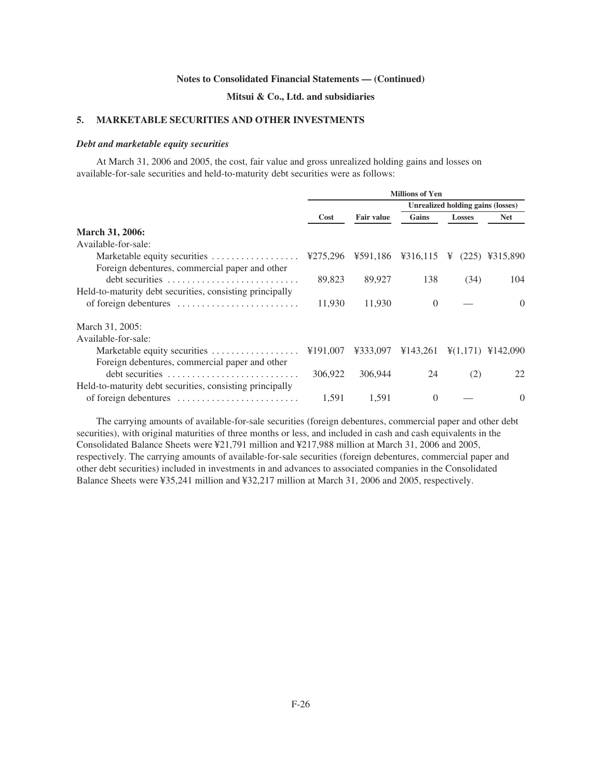# **Mitsui & Co., Ltd. and subsidiaries**

## **5. MARKETABLE SECURITIES AND OTHER INVESTMENTS**

### *Debt and marketable equity securities*

At March 31, 2006 and 2005, the cost, fair value and gross unrealized holding gains and losses on available-for-sale securities and held-to-maturity debt securities were as follows:

|                                                          | <b>Millions of Yen</b> |                   |                                                                                |                                          |                                             |
|----------------------------------------------------------|------------------------|-------------------|--------------------------------------------------------------------------------|------------------------------------------|---------------------------------------------|
|                                                          |                        |                   |                                                                                | <b>Unrealized holding gains (losses)</b> |                                             |
|                                                          | Cost                   | <b>Fair value</b> | Gains                                                                          | <b>Losses</b>                            | <b>Net</b>                                  |
| March 31, 2006:                                          |                        |                   |                                                                                |                                          |                                             |
| Available-for-sale:                                      |                        |                   |                                                                                |                                          |                                             |
| Marketable equity securities                             | ¥275,296               |                   | $\text{\#591,186}$ $\text{\#316,115}$ \ $\text{\#}$ (225) \ $\text{\#315,890}$ |                                          |                                             |
| Foreign debentures, commercial paper and other           |                        |                   |                                                                                |                                          |                                             |
|                                                          | 89,823                 | 89,927            | 138                                                                            | (34)                                     | 104                                         |
| Held-to-maturity debt securities, consisting principally |                        |                   |                                                                                |                                          |                                             |
|                                                          | 11,930                 | 11,930            | $\Omega$                                                                       |                                          | $\Omega$                                    |
| March 31, 2005:                                          |                        |                   |                                                                                |                                          |                                             |
| Available-for-sale:                                      |                        |                   |                                                                                |                                          |                                             |
| Marketable equity securities                             | ¥191,007               | ¥333,097          | ¥143,261                                                                       |                                          | $\frac{1}{2}(1,171)$ \ $\frac{1}{2}(1,171)$ |
| Foreign debentures, commercial paper and other           |                        |                   |                                                                                |                                          |                                             |
|                                                          | 306,922                | 306,944           | 24                                                                             | (2)                                      | 22                                          |
| Held-to-maturity debt securities, consisting principally |                        |                   |                                                                                |                                          |                                             |
|                                                          | 1,591                  | 1.591             | $\Omega$                                                                       |                                          | $\Omega$                                    |

The carrying amounts of available-for-sale securities (foreign debentures, commercial paper and other debt securities), with original maturities of three months or less, and included in cash and cash equivalents in the Consolidated Balance Sheets were ¥21,791 million and ¥217,988 million at March 31, 2006 and 2005, respectively. The carrying amounts of available-for-sale securities (foreign debentures, commercial paper and other debt securities) included in investments in and advances to associated companies in the Consolidated Balance Sheets were ¥35,241 million and ¥32,217 million at March 31, 2006 and 2005, respectively.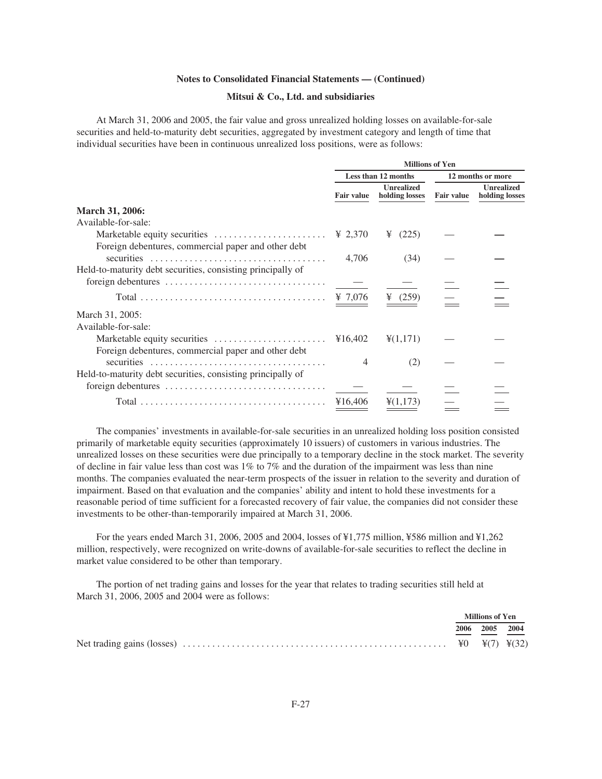# **Mitsui & Co., Ltd. and subsidiaries**

At March 31, 2006 and 2005, the fair value and gross unrealized holding losses on available-for-sale securities and held-to-maturity debt securities, aggregated by investment category and length of time that individual securities have been in continuous unrealized loss positions, were as follows:

|                                                             | <b>Millions of Yen</b> |                                     |                   |                                     |
|-------------------------------------------------------------|------------------------|-------------------------------------|-------------------|-------------------------------------|
|                                                             |                        | Less than 12 months                 |                   | 12 months or more                   |
|                                                             | Fair value             | <b>Unrealized</b><br>holding losses | <b>Fair value</b> | <b>Unrealized</b><br>holding losses |
| March 31, 2006:                                             |                        |                                     |                   |                                     |
| Available-for-sale:                                         |                        |                                     |                   |                                     |
|                                                             | ¥ 2,370                | (225)<br>¥                          |                   |                                     |
| Foreign debentures, commercial paper and other debt         |                        |                                     |                   |                                     |
|                                                             | 4,706                  | (34)                                |                   |                                     |
| Held-to-maturity debt securities, consisting principally of |                        |                                     |                   |                                     |
|                                                             |                        |                                     |                   |                                     |
|                                                             |                        | ¥ $(259)$                           |                   |                                     |
| March 31, 2005:                                             |                        |                                     |                   |                                     |
| Available-for-sale:                                         |                        |                                     |                   |                                     |
|                                                             |                        | $\frac{1}{2}(1,171)$                |                   |                                     |
| Foreign debentures, commercial paper and other debt         |                        |                                     |                   |                                     |
|                                                             | $\overline{4}$         | (2)                                 |                   |                                     |
| Held-to-maturity debt securities, consisting principally of |                        |                                     |                   |                                     |
|                                                             |                        |                                     |                   |                                     |
|                                                             | ¥16,406                | $\frac{1}{2}(1,173)$                |                   |                                     |
|                                                             |                        |                                     |                   |                                     |

The companies' investments in available-for-sale securities in an unrealized holding loss position consisted primarily of marketable equity securities (approximately 10 issuers) of customers in various industries. The unrealized losses on these securities were due principally to a temporary decline in the stock market. The severity of decline in fair value less than cost was  $1\%$  to 7% and the duration of the impairment was less than nine months. The companies evaluated the near-term prospects of the issuer in relation to the severity and duration of impairment. Based on that evaluation and the companies' ability and intent to hold these investments for a reasonable period of time sufficient for a forecasted recovery of fair value, the companies did not consider these investments to be other-than-temporarily impaired at March 31, 2006.

For the years ended March 31, 2006, 2005 and 2004, losses of ¥1,775 million, ¥586 million and ¥1,262 million, respectively, were recognized on write-downs of available-for-sale securities to reflect the decline in market value considered to be other than temporary.

The portion of net trading gains and losses for the year that relates to trading securities still held at March 31, 2006, 2005 and 2004 were as follows:

|  | Millions of Yen |  |  |
|--|-----------------|--|--|
|  | 2006 2005 2004  |  |  |
|  |                 |  |  |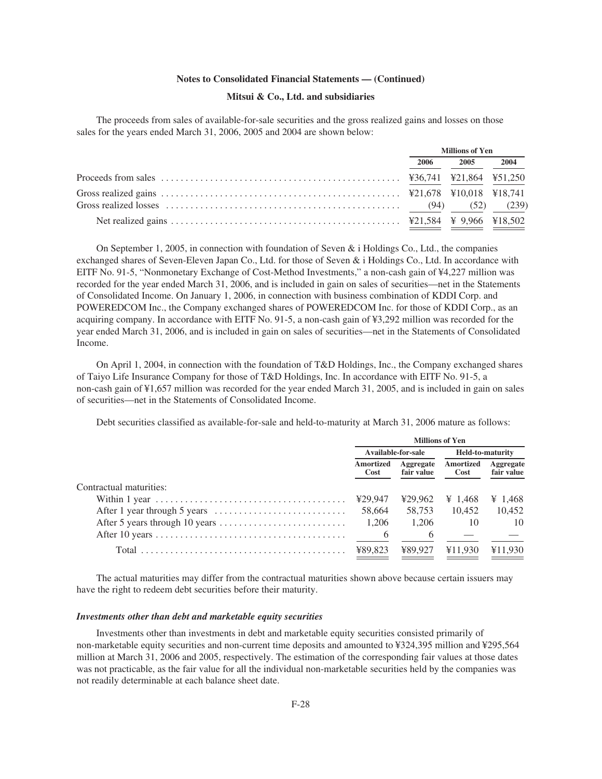## **Mitsui & Co., Ltd. and subsidiaries**

The proceeds from sales of available-for-sale securities and the gross realized gains and losses on those sales for the years ended March 31, 2006, 2005 and 2004 are shown below:

|                                             | <b>Millions of Yen</b> |      |      |
|---------------------------------------------|------------------------|------|------|
|                                             | 2006                   | 2005 | 2004 |
|                                             |                        |      |      |
|                                             |                        |      |      |
| Gross realized losses $(94)$ $(52)$ $(239)$ |                        |      |      |
|                                             |                        |      |      |

On September 1, 2005, in connection with foundation of Seven  $\&$  i Holdings Co., Ltd., the companies exchanged shares of Seven-Eleven Japan Co., Ltd. for those of Seven & i Holdings Co., Ltd. In accordance with EITF No. 91-5, "Nonmonetary Exchange of Cost-Method Investments," a non-cash gain of ¥4,227 million was recorded for the year ended March 31, 2006, and is included in gain on sales of securities—net in the Statements of Consolidated Income. On January 1, 2006, in connection with business combination of KDDI Corp. and POWEREDCOM Inc., the Company exchanged shares of POWEREDCOM Inc. for those of KDDI Corp., as an acquiring company. In accordance with EITF No. 91-5, a non-cash gain of ¥3,292 million was recorded for the year ended March 31, 2006, and is included in gain on sales of securities—net in the Statements of Consolidated Income.

On April 1, 2004, in connection with the foundation of T&D Holdings, Inc., the Company exchanged shares of Taiyo Life Insurance Company for those of T&D Holdings, Inc. In accordance with EITF No. 91-5, a non-cash gain of ¥1,657 million was recorded for the year ended March 31, 2005, and is included in gain on sales of securities—net in the Statements of Consolidated Income.

Debt securities classified as available-for-sale and held-to-maturity at March 31, 2006 mature as follows:

|                                                                                               | <b>Millions of Yen</b>   |                                |                   |                         |
|-----------------------------------------------------------------------------------------------|--------------------------|--------------------------------|-------------------|-------------------------|
|                                                                                               | Available-for-sale       |                                |                   | <b>Held-to-maturity</b> |
|                                                                                               | <b>Amortized</b><br>Cost | <b>Aggregate</b><br>fair value | Amortized<br>Cost | Aggregate<br>fair value |
| Contractual maturities:                                                                       |                          |                                |                   |                         |
| Within 1 year $\dots \dots \dots \dots \dots \dots \dots \dots \dots \dots \dots \dots \dots$ | ¥29,947                  | ¥29.962                        | $\frac{1468}{ }$  | ¥ 1,468                 |
|                                                                                               | 58,664                   | 58.753                         | 10.452            | 10.452                  |
|                                                                                               | 1.206                    | 1.206                          | - 10              | 10                      |
|                                                                                               | 6                        | 6                              |                   |                         |
|                                                                                               | ¥89.823                  | ¥89.927                        | ¥11.930           | ¥11,930                 |

The actual maturities may differ from the contractual maturities shown above because certain issuers may have the right to redeem debt securities before their maturity.

#### *Investments other than debt and marketable equity securities*

Investments other than investments in debt and marketable equity securities consisted primarily of non-marketable equity securities and non-current time deposits and amounted to ¥324,395 million and ¥295,564 million at March 31, 2006 and 2005, respectively. The estimation of the corresponding fair values at those dates was not practicable, as the fair value for all the individual non-marketable securities held by the companies was not readily determinable at each balance sheet date.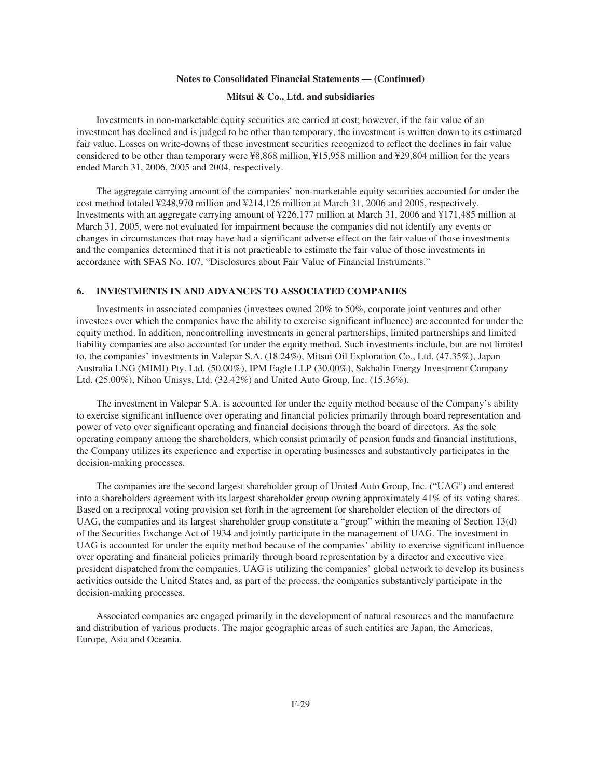### **Mitsui & Co., Ltd. and subsidiaries**

Investments in non-marketable equity securities are carried at cost; however, if the fair value of an investment has declined and is judged to be other than temporary, the investment is written down to its estimated fair value. Losses on write-downs of these investment securities recognized to reflect the declines in fair value considered to be other than temporary were ¥8,868 million, ¥15,958 million and ¥29,804 million for the years ended March 31, 2006, 2005 and 2004, respectively.

The aggregate carrying amount of the companies' non-marketable equity securities accounted for under the cost method totaled ¥248,970 million and ¥214,126 million at March 31, 2006 and 2005, respectively. Investments with an aggregate carrying amount of ¥226,177 million at March 31, 2006 and ¥171,485 million at March 31, 2005, were not evaluated for impairment because the companies did not identify any events or changes in circumstances that may have had a significant adverse effect on the fair value of those investments and the companies determined that it is not practicable to estimate the fair value of those investments in accordance with SFAS No. 107, "Disclosures about Fair Value of Financial Instruments."

# **6. INVESTMENTS IN AND ADVANCES TO ASSOCIATED COMPANIES**

Investments in associated companies (investees owned 20% to 50%, corporate joint ventures and other investees over which the companies have the ability to exercise significant influence) are accounted for under the equity method. In addition, noncontrolling investments in general partnerships, limited partnerships and limited liability companies are also accounted for under the equity method. Such investments include, but are not limited to, the companies' investments in Valepar S.A. (18.24%), Mitsui Oil Exploration Co., Ltd. (47.35%), Japan Australia LNG (MIMI) Pty. Ltd. (50.00%), IPM Eagle LLP (30.00%), Sakhalin Energy Investment Company Ltd. (25.00%), Nihon Unisys, Ltd. (32.42%) and United Auto Group, Inc. (15.36%).

The investment in Valepar S.A. is accounted for under the equity method because of the Company's ability to exercise significant influence over operating and financial policies primarily through board representation and power of veto over significant operating and financial decisions through the board of directors. As the sole operating company among the shareholders, which consist primarily of pension funds and financial institutions, the Company utilizes its experience and expertise in operating businesses and substantively participates in the decision-making processes.

The companies are the second largest shareholder group of United Auto Group, Inc. ("UAG") and entered into a shareholders agreement with its largest shareholder group owning approximately 41% of its voting shares. Based on a reciprocal voting provision set forth in the agreement for shareholder election of the directors of UAG, the companies and its largest shareholder group constitute a "group" within the meaning of Section 13(d) of the Securities Exchange Act of 1934 and jointly participate in the management of UAG. The investment in UAG is accounted for under the equity method because of the companies' ability to exercise significant influence over operating and financial policies primarily through board representation by a director and executive vice president dispatched from the companies. UAG is utilizing the companies' global network to develop its business activities outside the United States and, as part of the process, the companies substantively participate in the decision-making processes.

Associated companies are engaged primarily in the development of natural resources and the manufacture and distribution of various products. The major geographic areas of such entities are Japan, the Americas, Europe, Asia and Oceania.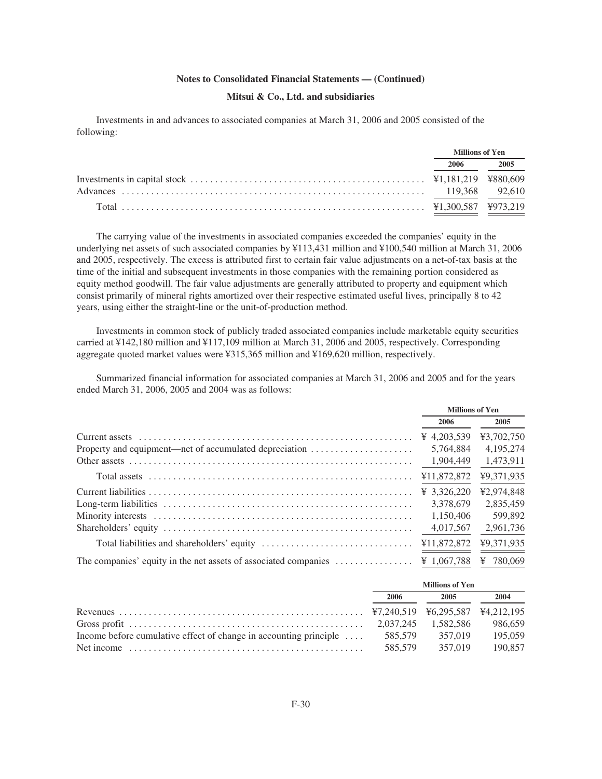# **Mitsui & Co., Ltd. and subsidiaries**

Investments in and advances to associated companies at March 31, 2006 and 2005 consisted of the following:

| <b>Millions of Yen</b> |  |
|------------------------|--|
| 2006 2005              |  |
|                        |  |
|                        |  |
|                        |  |

The carrying value of the investments in associated companies exceeded the companies' equity in the underlying net assets of such associated companies by ¥113,431 million and ¥100,540 million at March 31, 2006 and 2005, respectively. The excess is attributed first to certain fair value adjustments on a net-of-tax basis at the time of the initial and subsequent investments in those companies with the remaining portion considered as equity method goodwill. The fair value adjustments are generally attributed to property and equipment which consist primarily of mineral rights amortized over their respective estimated useful lives, principally 8 to 42 years, using either the straight-line or the unit-of-production method.

Investments in common stock of publicly traded associated companies include marketable equity securities carried at ¥142,180 million and ¥117,109 million at March 31, 2006 and 2005, respectively. Corresponding aggregate quoted market values were ¥315,365 million and ¥169,620 million, respectively.

Summarized financial information for associated companies at March 31, 2006 and 2005 and for the years ended March 31, 2006, 2005 and 2004 was as follows:

|                                                        | <b>Millions of Yen</b> |            |
|--------------------------------------------------------|------------------------|------------|
|                                                        | 2006                   | 2005       |
|                                                        | ¥ 4.203.539            | ¥3,702,750 |
| Property and equipment—net of accumulated depreciation | 5.764.884              | 4,195,274  |
|                                                        | 1,904,449              | 1,473,911  |
|                                                        |                        | ¥9.371.935 |
|                                                        |                        | ¥2,974,848 |
|                                                        | 3.378.679              | 2.835.459  |
|                                                        | 1.150.406              | 599,892    |
|                                                        | 4,017,567              | 2,961,736  |
|                                                        |                        | ¥9.371.935 |
|                                                        |                        | ¥ 780.069  |

|                                                                                    | <b>Millions of Yen</b> |         |         |
|------------------------------------------------------------------------------------|------------------------|---------|---------|
|                                                                                    | 2006                   | 2005    | 2004    |
|                                                                                    |                        |         |         |
|                                                                                    |                        |         | 986.659 |
| Income before cumulative effect of change in accounting principle  585,579 357,019 |                        |         | 195,059 |
|                                                                                    | 585.579                | 357.019 | 190,857 |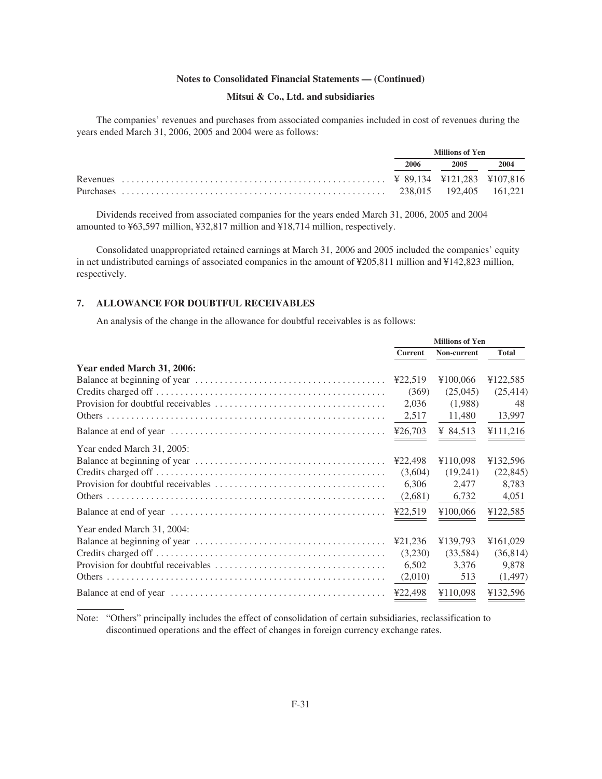# **Mitsui & Co., Ltd. and subsidiaries**

The companies' revenues and purchases from associated companies included in cost of revenues during the years ended March 31, 2006, 2005 and 2004 were as follows:

| Millions of Yen |      |      |
|-----------------|------|------|
| 2006 —          | 2005 | 2004 |
|                 |      |      |
|                 |      |      |

Dividends received from associated companies for the years ended March 31, 2006, 2005 and 2004 amounted to ¥63,597 million, ¥32,817 million and ¥18,714 million, respectively.

Consolidated unappropriated retained earnings at March 31, 2006 and 2005 included the companies' equity in net undistributed earnings of associated companies in the amount of ¥205,811 million and ¥142,823 million, respectively.

# **7. ALLOWANCE FOR DOUBTFUL RECEIVABLES**

An analysis of the change in the allowance for doubtful receivables is as follows:

|                            | <b>Millions of Yen</b> |             |              |
|----------------------------|------------------------|-------------|--------------|
|                            | <b>Current</b>         | Non-current | <b>Total</b> |
| Year ended March 31, 2006: |                        |             |              |
|                            |                        | ¥100,066    | ¥122,585     |
|                            | (369)                  | (25,045)    | (25, 414)    |
|                            | 2,036                  | (1,988)     | 48           |
|                            | 2,517                  | 11,480      | 13,997       |
|                            |                        | ¥ 84,513    | ¥111,216     |
| Year ended March 31, 2005: |                        |             |              |
|                            | ¥22,498                | ¥110.098    | ¥132,596     |
|                            | (3,604)                | (19,241)    | (22, 845)    |
|                            | 6,306                  | 2,477       | 8,783        |
|                            | (2,681)                | 6,732       | 4,051        |
|                            | 422,519                | ¥100,066    | ¥122,585     |
| Year ended March 31, 2004: |                        |             |              |
|                            | ¥21,236                | ¥139,793    | ¥161,029     |
|                            | (3,230)                | (33,584)    | (36, 814)    |
|                            | 6.502                  | 3.376       | 9,878        |
|                            | (2,010)                | 513         | (1,497)      |
|                            |                        | ¥110,098    | ¥132,596     |

Note: "Others" principally includes the effect of consolidation of certain subsidiaries, reclassification to discontinued operations and the effect of changes in foreign currency exchange rates.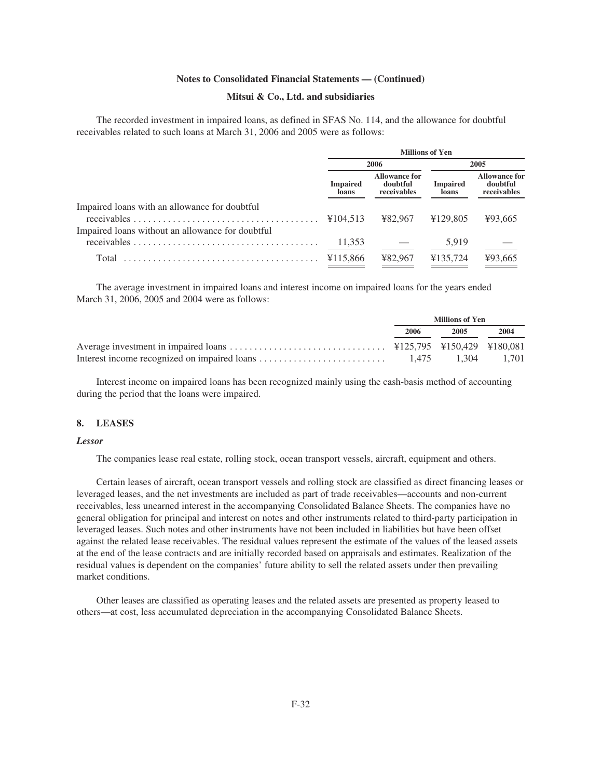#### **Mitsui & Co., Ltd. and subsidiaries**

The recorded investment in impaired loans, as defined in SFAS No. 114, and the allowance for doubtful receivables related to such loans at March 31, 2006 and 2005 were as follows:

|                                                  | <b>Millions of Yen</b>   |                                                 |                          |                                                 |  |
|--------------------------------------------------|--------------------------|-------------------------------------------------|--------------------------|-------------------------------------------------|--|
|                                                  |                          | 2006                                            | 2005                     |                                                 |  |
|                                                  | <b>Impaired</b><br>loans | <b>Allowance for</b><br>doubtful<br>receivables | <b>Impaired</b><br>loans | <b>Allowance for</b><br>doubtful<br>receivables |  |
| Impaired loans with an allowance for doubtful    | ¥104.513                 | ¥82.967                                         | ¥129.805                 | ¥93.665                                         |  |
| Impaired loans without an allowance for doubtful | 11,353                   |                                                 | 5,919                    |                                                 |  |
| Total                                            | ¥115.866                 | ¥82.967                                         | ¥135,724                 | ¥93,665                                         |  |

The average investment in impaired loans and interest income on impaired loans for the years ended March 31, 2006, 2005 and 2004 were as follows:

| <b>Millions of Yen</b> |      |      |
|------------------------|------|------|
| 2006                   | 2005 | 2004 |
|                        |      |      |
|                        |      |      |

Interest income on impaired loans has been recognized mainly using the cash-basis method of accounting during the period that the loans were impaired.

#### **8. LEASES**

#### *Lessor*

The companies lease real estate, rolling stock, ocean transport vessels, aircraft, equipment and others.

Certain leases of aircraft, ocean transport vessels and rolling stock are classified as direct financing leases or leveraged leases, and the net investments are included as part of trade receivables—accounts and non-current receivables, less unearned interest in the accompanying Consolidated Balance Sheets. The companies have no general obligation for principal and interest on notes and other instruments related to third-party participation in leveraged leases. Such notes and other instruments have not been included in liabilities but have been offset against the related lease receivables. The residual values represent the estimate of the values of the leased assets at the end of the lease contracts and are initially recorded based on appraisals and estimates. Realization of the residual values is dependent on the companies' future ability to sell the related assets under then prevailing market conditions.

Other leases are classified as operating leases and the related assets are presented as property leased to others—at cost, less accumulated depreciation in the accompanying Consolidated Balance Sheets.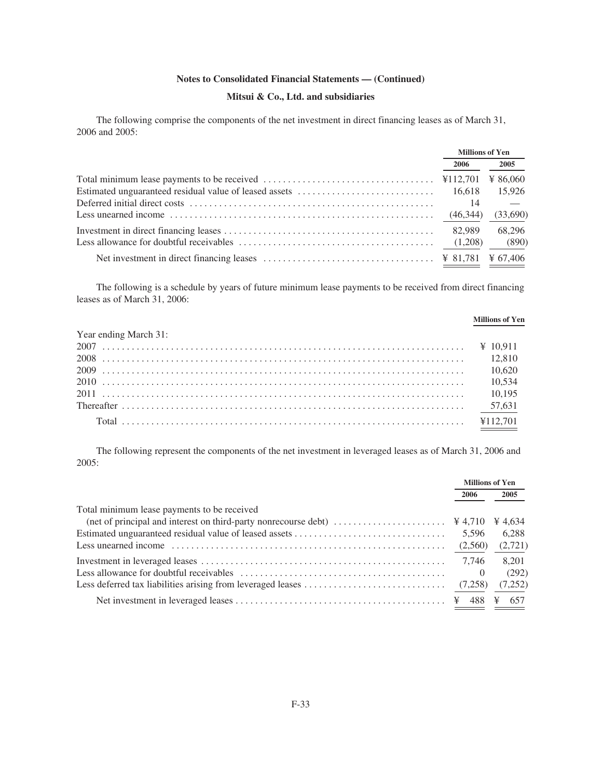# **Mitsui & Co., Ltd. and subsidiaries**

The following comprise the components of the net investment in direct financing leases as of March 31, 2006 and 2005:

|                                                                                                               | <b>Millions of Yen</b> |          |
|---------------------------------------------------------------------------------------------------------------|------------------------|----------|
|                                                                                                               | 2006                   | 2005     |
|                                                                                                               |                        | ¥ 86,060 |
|                                                                                                               | 16.618                 | 15,926   |
|                                                                                                               | 14                     |          |
| Less unearned income $\dots \dots \dots \dots \dots \dots \dots \dots \dots \dots \dots \dots \dots$ (46,344) |                        | (33,690) |
|                                                                                                               | 82,989                 | 68.296   |
|                                                                                                               |                        | (890)    |
|                                                                                                               |                        |          |

The following is a schedule by years of future minimum lease payments to be received from direct financing leases as of March 31, 2006:

|                       | <b>Millions of Yen</b> |
|-----------------------|------------------------|
| Year ending March 31: |                        |
|                       |                        |
|                       |                        |
|                       |                        |
|                       |                        |
|                       |                        |
|                       |                        |
|                       |                        |

The following represent the components of the net investment in leveraged leases as of March 31, 2006 and 2005:

|                                                                                                                    | <b>Millions of Yen</b> |         |
|--------------------------------------------------------------------------------------------------------------------|------------------------|---------|
|                                                                                                                    | 2006                   | 2005    |
| Total minimum lease payments to be received                                                                        |                        |         |
| (net of principal and interest on third-party nonrecourse debt) $\dots\dots\dots\dots\dots\dots\dots$ $\neq 4,710$ |                        | ¥ 4.634 |
|                                                                                                                    | 5.596                  | 6.288   |
|                                                                                                                    | (2,560)                | (2,721) |
|                                                                                                                    | 7.746                  | 8.201   |
|                                                                                                                    | $\left( \right)$       | (292)   |
|                                                                                                                    | (7,258)                | (7,252) |
|                                                                                                                    | 488                    | 657     |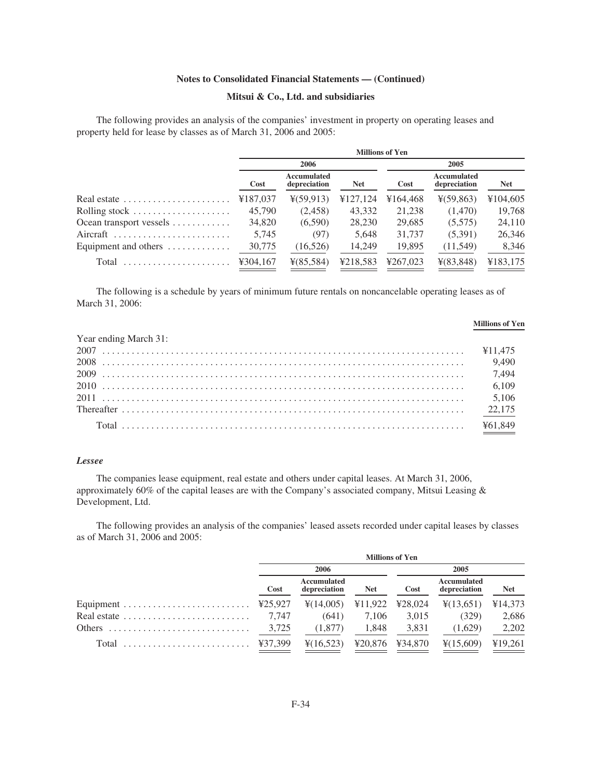# **Mitsui & Co., Ltd. and subsidiaries**

The following provides an analysis of the companies' investment in property on operating leases and property held for lease by classes as of March 31, 2006 and 2005:

|                                          | <b>Millions of Yen</b> |                             |            |          |                             |            |  |
|------------------------------------------|------------------------|-----------------------------|------------|----------|-----------------------------|------------|--|
|                                          |                        | 2006                        |            |          | 2005                        |            |  |
|                                          | Cost                   | Accumulated<br>depreciation | <b>Net</b> | Cost     | Accumulated<br>depreciation | <b>Net</b> |  |
| Real estate                              | ¥187,037               | $\frac{1}{2}(59.913)$       | ¥127,124   | ¥164,468 | $\frac{1}{2}(59,863)$       | ¥104,605   |  |
| Rolling stock                            | 45,790                 | (2,458)                     | 43,332     | 21,238   | (1,470)                     | 19,768     |  |
| Ocean transport vessels                  | 34,820                 | (6,590)                     | 28,230     | 29,685   | (5,575)                     | 24,110     |  |
| Aircraft                                 | 5,745                  | (97)                        | 5,648      | 31,737   | (5,391)                     | 26,346     |  |
| Equipment and others $\dots \dots \dots$ | 30,775                 | (16, 526)                   | 14,249     | 19,895   | (11,549)                    | 8,346      |  |
| Total                                    | ¥304,167               | $\frac{1}{2}(85,584)$       | ¥218,583   | ¥267,023 | $\frac{1}{2}(83,848)$       | ¥183,175   |  |

The following is a schedule by years of minimum future rentals on noncancelable operating leases as of March 31, 2006:

| Year ending March 31: |  |
|-----------------------|--|
|                       |  |
|                       |  |
|                       |  |
|                       |  |
|                       |  |
|                       |  |
|                       |  |

# *Lessee*

The companies lease equipment, real estate and others under capital leases. At March 31, 2006, approximately 60% of the capital leases are with the Company's associated company, Mitsui Leasing & Development, Ltd.

The following provides an analysis of the companies' leased assets recorded under capital leases by classes as of March 31, 2006 and 2005:

|                                                                     | <b>Millions of Yen</b> |                             |            |                   |                             |            |
|---------------------------------------------------------------------|------------------------|-----------------------------|------------|-------------------|-----------------------------|------------|
|                                                                     | 2006                   |                             |            |                   | 2005                        |            |
|                                                                     | Cost                   | Accumulated<br>depreciation | <b>Net</b> | Cost              | Accumulated<br>depreciation | <b>Net</b> |
|                                                                     |                        | $\frac{1}{2}(14,005)$       |            | $¥11,922$ ¥28,024 | $\frac{1}{2}(13,651)$       | ¥14,373    |
| Real estate $\dots \dots \dots \dots \dots \dots \dots \dots$ 7.747 |                        | (641)                       | 7.106      | 3,015             | (329)                       | 2,686      |
| Others $\ldots \ldots \ldots \ldots \ldots \ldots \ldots \ldots$    | 3,725                  | (1,877)                     | 1.848      | 3,831             | (1,629)                     | 2,202      |
| Total  ¥37,399                                                      |                        | $\frac{4(16,523)}{2}$       |            | ¥20,876 ¥34,870   | $\frac{1}{2}(15,609)$       | ¥19,261    |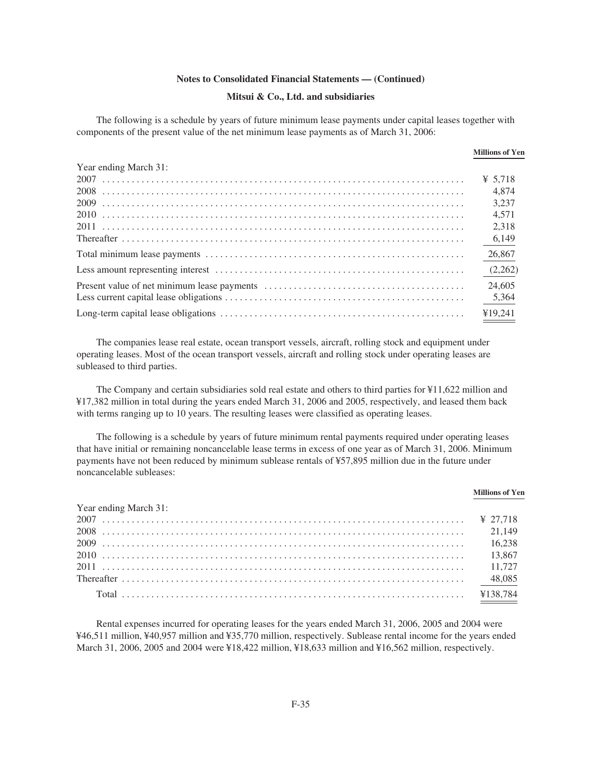#### **Mitsui & Co., Ltd. and subsidiaries**

The following is a schedule by years of future minimum lease payments under capital leases together with components of the present value of the net minimum lease payments as of March 31, 2006:

|                       | <b>Millions of Yen</b> |
|-----------------------|------------------------|
| Year ending March 31: |                        |
|                       | ¥ 5.718                |
|                       | 4.874                  |
|                       | 3.237                  |
|                       | 4.571                  |
|                       | 2.318                  |
|                       | 6,149                  |
|                       | 26,867                 |
|                       | (2,262)                |
|                       | 24,605                 |
|                       | 5,364                  |
|                       | ¥19.241                |

The companies lease real estate, ocean transport vessels, aircraft, rolling stock and equipment under operating leases. Most of the ocean transport vessels, aircraft and rolling stock under operating leases are subleased to third parties.

The Company and certain subsidiaries sold real estate and others to third parties for ¥11,622 million and ¥17,382 million in total during the years ended March 31, 2006 and 2005, respectively, and leased them back with terms ranging up to 10 years. The resulting leases were classified as operating leases.

The following is a schedule by years of future minimum rental payments required under operating leases that have initial or remaining noncancelable lease terms in excess of one year as of March 31, 2006. Minimum payments have not been reduced by minimum sublease rentals of ¥57,895 million due in the future under noncancelable subleases:

|                       | <b>Millions of Yen</b> |
|-----------------------|------------------------|
| Year ending March 31: |                        |
|                       |                        |
|                       |                        |
|                       |                        |
|                       |                        |
|                       |                        |
|                       |                        |
|                       |                        |

Rental expenses incurred for operating leases for the years ended March 31, 2006, 2005 and 2004 were ¥46,511 million, ¥40,957 million and ¥35,770 million, respectively. Sublease rental income for the years ended March 31, 2006, 2005 and 2004 were ¥18,422 million, ¥18,633 million and ¥16,562 million, respectively.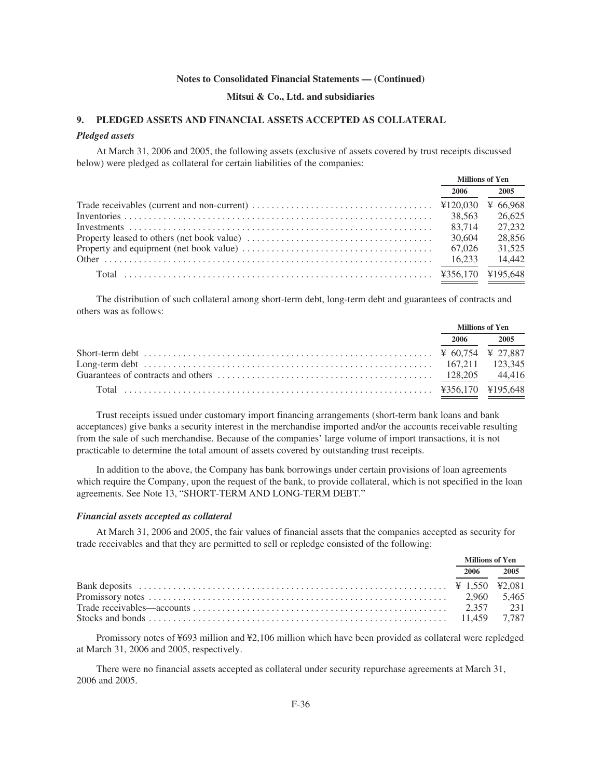#### **Mitsui & Co., Ltd. and subsidiaries**

# **9. PLEDGED ASSETS AND FINANCIAL ASSETS ACCEPTED AS COLLATERAL**

#### *Pledged assets*

At March 31, 2006 and 2005, the following assets (exclusive of assets covered by trust receipts discussed below) were pledged as collateral for certain liabilities of the companies:

| <b>Millions of Yen</b> |          |  |
|------------------------|----------|--|
| 2006                   | 2005     |  |
|                        | ¥ 66.968 |  |
| 38.563                 | 26.625   |  |
| 83.714                 | 27.232   |  |
| 30,604                 | 28,856   |  |
| 67,026                 | 31,525   |  |
| 16.233                 | 14.442   |  |
|                        | ¥195,648 |  |

The distribution of such collateral among short-term debt, long-term debt and guarantees of contracts and others was as follows:

| <b>Millions of Yen</b> |           |
|------------------------|-----------|
|                        | 2006 2005 |
|                        |           |
|                        |           |
|                        |           |
|                        |           |

Trust receipts issued under customary import financing arrangements (short-term bank loans and bank acceptances) give banks a security interest in the merchandise imported and/or the accounts receivable resulting from the sale of such merchandise. Because of the companies' large volume of import transactions, it is not practicable to determine the total amount of assets covered by outstanding trust receipts.

In addition to the above, the Company has bank borrowings under certain provisions of loan agreements which require the Company, upon the request of the bank, to provide collateral, which is not specified in the loan agreements. See Note 13, "SHORT-TERM AND LONG-TERM DEBT."

#### *Financial assets accepted as collateral*

At March 31, 2006 and 2005, the fair values of financial assets that the companies accepted as security for trade receivables and that they are permitted to sell or repledge consisted of the following:

| <b>Millions of Yen</b> |      |
|------------------------|------|
| 2006                   | 2005 |
|                        |      |
|                        |      |
|                        |      |
|                        |      |

Promissory notes of ¥693 million and ¥2,106 million which have been provided as collateral were repledged at March 31, 2006 and 2005, respectively.

There were no financial assets accepted as collateral under security repurchase agreements at March 31, 2006 and 2005.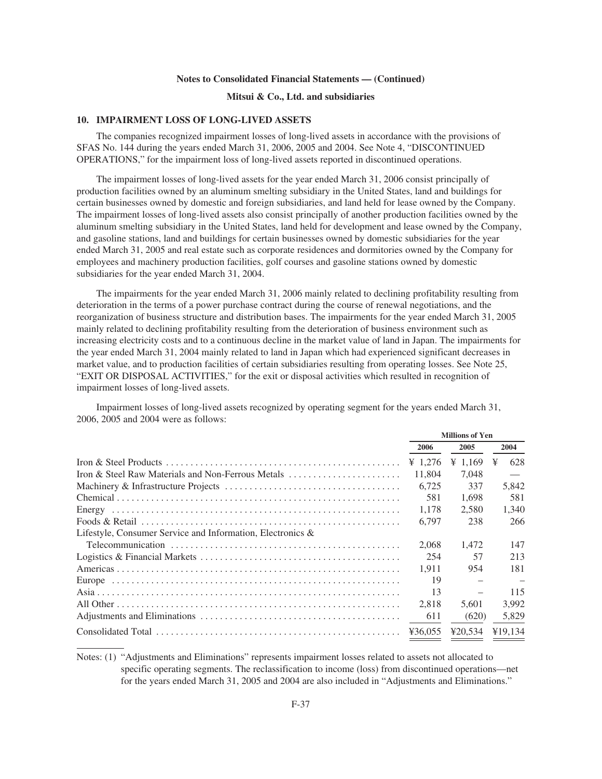## **Mitsui & Co., Ltd. and subsidiaries**

#### **10. IMPAIRMENT LOSS OF LONG-LIVED ASSETS**

The companies recognized impairment losses of long-lived assets in accordance with the provisions of SFAS No. 144 during the years ended March 31, 2006, 2005 and 2004. See Note 4, "DISCONTINUED OPERATIONS," for the impairment loss of long-lived assets reported in discontinued operations.

The impairment losses of long-lived assets for the year ended March 31, 2006 consist principally of production facilities owned by an aluminum smelting subsidiary in the United States, land and buildings for certain businesses owned by domestic and foreign subsidiaries, and land held for lease owned by the Company. The impairment losses of long-lived assets also consist principally of another production facilities owned by the aluminum smelting subsidiary in the United States, land held for development and lease owned by the Company, and gasoline stations, land and buildings for certain businesses owned by domestic subsidiaries for the year ended March 31, 2005 and real estate such as corporate residences and dormitories owned by the Company for employees and machinery production facilities, golf courses and gasoline stations owned by domestic subsidiaries for the year ended March 31, 2004.

The impairments for the year ended March 31, 2006 mainly related to declining profitability resulting from deterioration in the terms of a power purchase contract during the course of renewal negotiations, and the reorganization of business structure and distribution bases. The impairments for the year ended March 31, 2005 mainly related to declining profitability resulting from the deterioration of business environment such as increasing electricity costs and to a continuous decline in the market value of land in Japan. The impairments for the year ended March 31, 2004 mainly related to land in Japan which had experienced significant decreases in market value, and to production facilities of certain subsidiaries resulting from operating losses. See Note 25, "EXIT OR DISPOSAL ACTIVITIES," for the exit or disposal activities which resulted in recognition of impairment losses of long-lived assets.

Impairment losses of long-lived assets recognized by operating segment for the years ended March 31, 2006, 2005 and 2004 were as follows:

|                                                               | <b>Millions of Yen</b> |                     |          |
|---------------------------------------------------------------|------------------------|---------------------|----------|
|                                                               | 2006                   | 2005                | 2004     |
|                                                               | ¥ 1.276                | $\frac{1}{2}$ 1.169 | ¥<br>628 |
| Iron & Steel Raw Materials and Non-Ferrous Metals             | 11.804                 | 7.048               |          |
|                                                               | 6.725                  | 337                 | 5,842    |
|                                                               | 581                    | 1,698               | 581      |
|                                                               | 1.178                  | 2.580               | 1.340    |
|                                                               | 6.797                  | 238                 | 266      |
| Lifestyle, Consumer Service and Information, Electronics $\&$ |                        |                     |          |
|                                                               | 2.068                  | 1.472               | 147      |
|                                                               | 254                    | 57                  | 213      |
|                                                               | 1.911                  | 954                 | 181      |
|                                                               | 19                     |                     |          |
|                                                               | 13                     |                     | 115      |
|                                                               | 2,818                  | 5,601               | 3,992    |
|                                                               | 611                    | (620)               | 5,829    |
|                                                               | ¥36.055                | 420.534             | ¥19.134  |

Notes: (1) "Adjustments and Eliminations" represents impairment losses related to assets not allocated to specific operating segments. The reclassification to income (loss) from discontinued operations—net for the years ended March 31, 2005 and 2004 are also included in "Adjustments and Eliminations."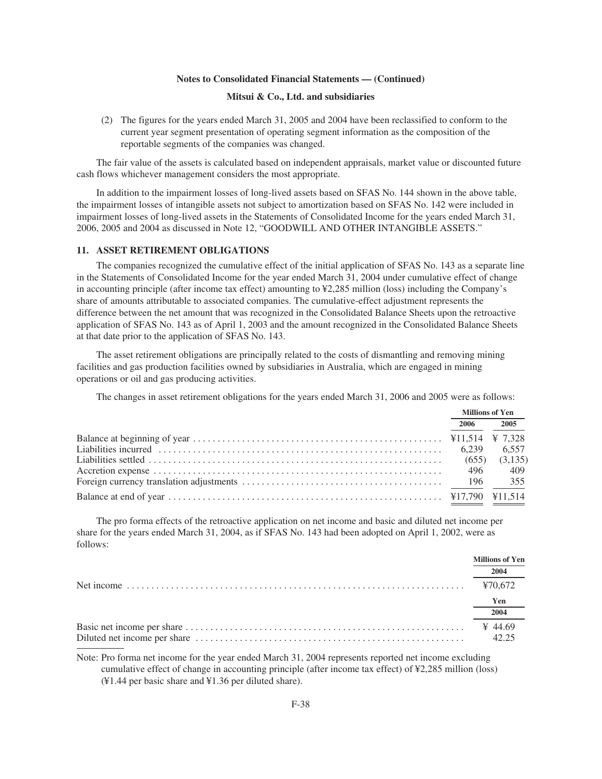#### **Mitsui & Co., Ltd. and subsidiaries**

(2) The figures for the years ended March 31, 2005 and 2004 have been reclassified to conform to the current year segment presentation of operating segment information as the composition of the reportable segments of the companies was changed.

The fair value of the assets is calculated based on independent appraisals, market value or discounted future cash flows whichever management considers the most appropriate.

In addition to the impairment losses of long-lived assets based on SFAS No. 144 shown in the above table, the impairment losses of intangible assets not subject to amortization based on SFAS No. 142 were included in impairment losses of long-lived assets in the Statements of Consolidated Income for the years ended March 31, 2006, 2005 and 2004 as discussed in Note 12, "GOODWILL AND OTHER INTANGIBLE ASSETS."

#### **11. ASSET RETIREMENT OBLIGATIONS**

The companies recognized the cumulative effect of the initial application of SFAS No. 143 as a separate line in the Statements of Consolidated Income for the year ended March 31, 2004 under cumulative effect of change in accounting principle (after income tax effect) amounting to ¥2,285 million (loss) including the Company's share of amounts attributable to associated companies. The cumulative-effect adjustment represents the difference between the net amount that was recognized in the Consolidated Balance Sheets upon the retroactive application of SFAS No. 143 as of April 1, 2003 and the amount recognized in the Consolidated Balance Sheets at that date prior to the application of SFAS No. 143.

The asset retirement obligations are principally related to the costs of dismantling and removing mining facilities and gas production facilities owned by subsidiaries in Australia, which are engaged in mining operations or oil and gas producing activities.

The changes in asset retirement obligations for the years ended March 31, 2006 and 2005 were as follows:

| <b>Millions of Yen</b> |         |
|------------------------|---------|
| 2006                   | 2005    |
|                        |         |
|                        | 6.557   |
|                        | (3,135) |
|                        | 409     |
|                        | 355     |
|                        |         |

The pro forma effects of the retroactive application on net income and basic and diluted net income per share for the years ended March 31, 2004, as if SFAS No. 143 had been adopted on April 1, 2002, were as follows:

| <b>Millions of Yen</b> |
|------------------------|
| 2004                   |
| ¥70.672                |
| Yen                    |
| 2004                   |
| ¥ 44.69<br>42.25       |

Note: Pro forma net income for the year ended March 31, 2004 represents reported net income excluding cumulative effect of change in accounting principle (after income tax effect) of ¥2,285 million (loss) (¥1.44 per basic share and ¥1.36 per diluted share).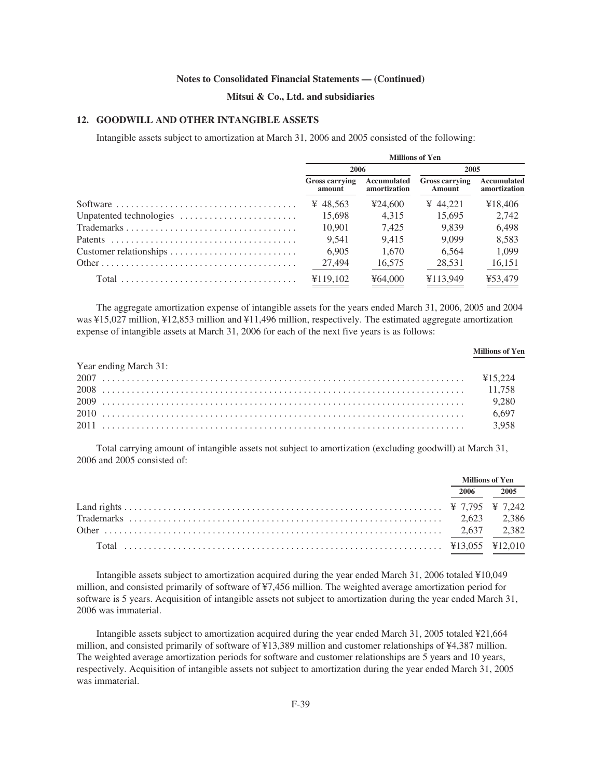# **Mitsui & Co., Ltd. and subsidiaries**

# **12. GOODWILL AND OTHER INTANGIBLE ASSETS**

Intangible assets subject to amortization at March 31, 2006 and 2005 consisted of the following:

|                        | <b>Millions of Yen</b>          |                             |                                 |                             |  |  |
|------------------------|---------------------------------|-----------------------------|---------------------------------|-----------------------------|--|--|
|                        | 2006                            |                             | 2005                            |                             |  |  |
|                        | <b>Gross carrying</b><br>amount | Accumulated<br>amortization | <b>Gross carrying</b><br>Amount | Accumulated<br>amortization |  |  |
|                        | ¥ 48.563                        | 424,600                     | ¥ 44.221                        | ¥18.406                     |  |  |
|                        | 15.698                          | 4.315                       | 15.695                          | 2,742                       |  |  |
|                        | 10.901                          | 7.425                       | 9.839                           | 6.498                       |  |  |
|                        | 9.541                           | 9.415                       | 9.099                           | 8,583                       |  |  |
| Customer relationships | 6.905                           | 1.670                       | 6.564                           | 1.099                       |  |  |
|                        | 27,494                          | 16,575                      | 28,531                          | 16,151                      |  |  |
|                        | ¥119,102                        | ¥64,000                     | ¥113.949                        | ¥53.479                     |  |  |

The aggregate amortization expense of intangible assets for the years ended March 31, 2006, 2005 and 2004 was ¥15,027 million, ¥12,853 million and ¥11,496 million, respectively. The estimated aggregate amortization expense of intangible assets at March 31, 2006 for each of the next five years is as follows:

|                       | <b>Millions of Yen</b> |
|-----------------------|------------------------|
| Year ending March 31: |                        |
|                       |                        |
|                       |                        |
|                       |                        |
|                       |                        |
|                       |                        |

Total carrying amount of intangible assets not subject to amortization (excluding goodwill) at March 31, 2006 and 2005 consisted of:

| <b>Millions of Yen</b> |           |
|------------------------|-----------|
|                        | 2006 2005 |
|                        |           |
|                        |           |
|                        |           |
|                        |           |

Intangible assets subject to amortization acquired during the year ended March 31, 2006 totaled ¥10,049 million, and consisted primarily of software of ¥7,456 million. The weighted average amortization period for software is 5 years. Acquisition of intangible assets not subject to amortization during the year ended March 31, 2006 was immaterial.

Intangible assets subject to amortization acquired during the year ended March 31, 2005 totaled ¥21,664 million, and consisted primarily of software of ¥13,389 million and customer relationships of ¥4,387 million. The weighted average amortization periods for software and customer relationships are 5 years and 10 years, respectively. Acquisition of intangible assets not subject to amortization during the year ended March 31, 2005 was immaterial.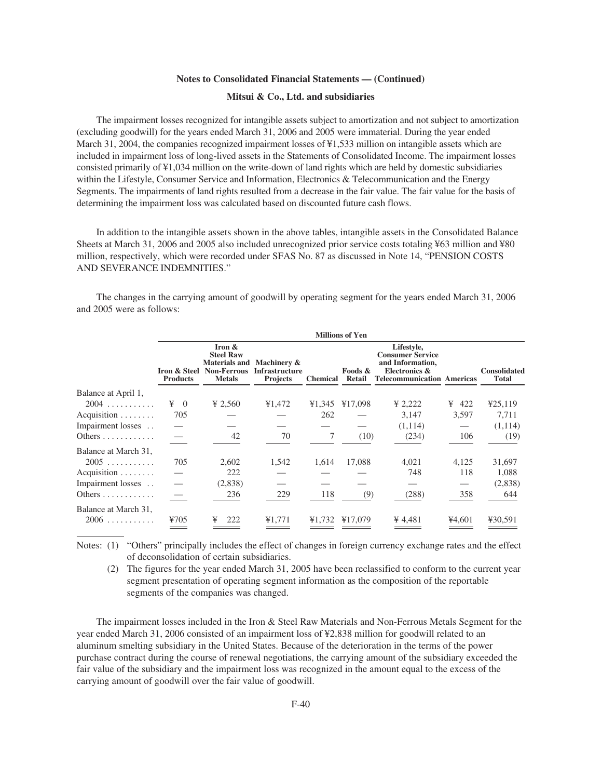#### **Mitsui & Co., Ltd. and subsidiaries**

The impairment losses recognized for intangible assets subject to amortization and not subject to amortization (excluding goodwill) for the years ended March 31, 2006 and 2005 were immaterial. During the year ended March 31, 2004, the companies recognized impairment losses of ¥1,533 million on intangible assets which are included in impairment loss of long-lived assets in the Statements of Consolidated Income. The impairment losses consisted primarily of ¥1,034 million on the write-down of land rights which are held by domestic subsidiaries within the Lifestyle, Consumer Service and Information, Electronics & Telecommunication and the Energy Segments. The impairments of land rights resulted from a decrease in the fair value. The fair value for the basis of determining the impairment loss was calculated based on discounted future cash flows.

In addition to the intangible assets shown in the above tables, intangible assets in the Consolidated Balance Sheets at March 31, 2006 and 2005 also included unrecognized prior service costs totaling ¥63 million and ¥80 million, respectively, which were recorded under SFAS No. 87 as discussed in Note 14, "PENSION COSTS AND SEVERANCE INDEMNITIES."

The changes in the carrying amount of goodwill by operating segment for the years ended March 31, 2006 and 2005 were as follows:

|                               | <b>Millions of Yen</b>          |                                                                     |                                                                       |                 |                   |                                                                                                                 |          |                                     |
|-------------------------------|---------------------------------|---------------------------------------------------------------------|-----------------------------------------------------------------------|-----------------|-------------------|-----------------------------------------------------------------------------------------------------------------|----------|-------------------------------------|
|                               | Iron & Steel<br><b>Products</b> | Iron $&$<br><b>Steel Raw</b><br><b>Non-Ferrous</b><br><b>Metals</b> | Materials and Machinery &<br><b>Infrastructure</b><br><b>Projects</b> | <b>Chemical</b> | Foods &<br>Retail | Lifestyle,<br><b>Consumer Service</b><br>and Information,<br>Electronics &<br><b>Telecommunication Americas</b> |          | <b>Consolidated</b><br><b>Total</b> |
| Balance at April 1,           |                                 |                                                                     |                                                                       |                 |                   |                                                                                                                 |          |                                     |
| $2004$                        | $\angle 4 = 0$                  | ¥ 2,560                                                             | ¥1,472                                                                | ¥1,345          | ¥17,098           | ¥ 2,222                                                                                                         | 422<br>¥ | 425,119                             |
| Acquisition $\ldots \ldots$   | 705                             |                                                                     |                                                                       | 262             |                   | 3,147                                                                                                           | 3,597    | 7,711                               |
| Impairment losses             |                                 |                                                                     |                                                                       |                 |                   | (1,114)                                                                                                         |          | (1,114)                             |
| Others $\ldots \ldots \ldots$ |                                 | 42                                                                  | 70                                                                    | 7               | (10)              | (234)                                                                                                           | 106      | (19)                                |
| Balance at March 31,          |                                 |                                                                     |                                                                       |                 |                   |                                                                                                                 |          |                                     |
| 2005                          | 705                             | 2,602                                                               | 1,542                                                                 | 1,614           | 17,088            | 4,021                                                                                                           | 4,125    | 31,697                              |
| Acquisition                   |                                 | 222                                                                 |                                                                       |                 |                   | 748                                                                                                             | 118      | 1,088                               |
| Impairment losses             |                                 | (2,838)                                                             |                                                                       |                 |                   |                                                                                                                 |          | (2,838)                             |
|                               |                                 | 236                                                                 | 229                                                                   | 118             | (9)               | (288)                                                                                                           | 358      | 644                                 |
| Balance at March 31,          |                                 |                                                                     |                                                                       |                 |                   |                                                                                                                 |          |                                     |
| 2006                          | ¥705                            | 222<br>¥                                                            | ¥1,771                                                                | ¥1.732          | ¥17,079           | ¥ 4,481                                                                                                         | ¥4,601   | ¥30,591                             |

Notes: (1) "Others" principally includes the effect of changes in foreign currency exchange rates and the effect of deconsolidation of certain subsidiaries.

(2) The figures for the year ended March 31, 2005 have been reclassified to conform to the current year segment presentation of operating segment information as the composition of the reportable segments of the companies was changed.

The impairment losses included in the Iron & Steel Raw Materials and Non-Ferrous Metals Segment for the year ended March 31, 2006 consisted of an impairment loss of ¥2,838 million for goodwill related to an aluminum smelting subsidiary in the United States. Because of the deterioration in the terms of the power purchase contract during the course of renewal negotiations, the carrying amount of the subsidiary exceeded the fair value of the subsidiary and the impairment loss was recognized in the amount equal to the excess of the carrying amount of goodwill over the fair value of goodwill.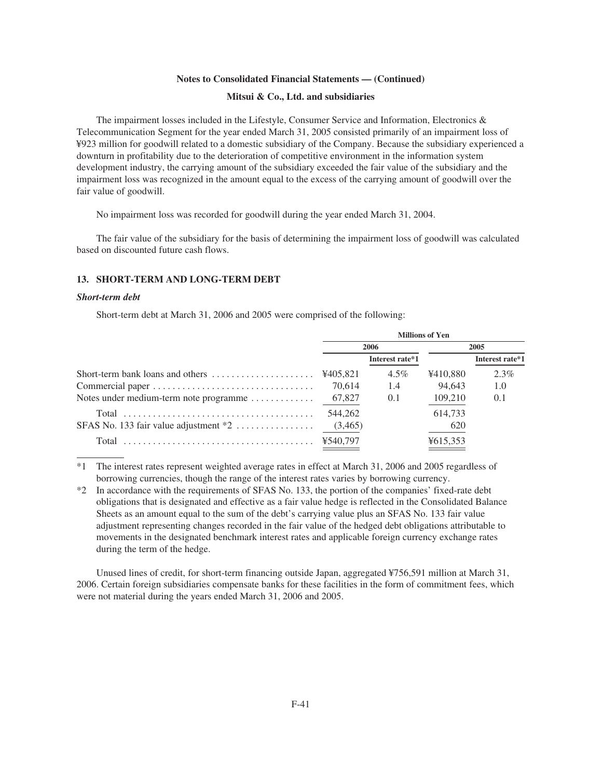#### **Mitsui & Co., Ltd. and subsidiaries**

The impairment losses included in the Lifestyle, Consumer Service and Information, Electronics & Telecommunication Segment for the year ended March 31, 2005 consisted primarily of an impairment loss of ¥923 million for goodwill related to a domestic subsidiary of the Company. Because the subsidiary experienced a downturn in profitability due to the deterioration of competitive environment in the information system development industry, the carrying amount of the subsidiary exceeded the fair value of the subsidiary and the impairment loss was recognized in the amount equal to the excess of the carrying amount of goodwill over the fair value of goodwill.

No impairment loss was recorded for goodwill during the year ended March 31, 2004.

The fair value of the subsidiary for the basis of determining the impairment loss of goodwill was calculated based on discounted future cash flows.

#### **13. SHORT-TERM AND LONG-TERM DEBT**

#### *Short-term debt*

Short-term debt at March 31, 2006 and 2005 were comprised of the following:

| <b>Millions of Yen</b> |                 |          |                 |  |
|------------------------|-----------------|----------|-----------------|--|
| 2006                   |                 |          | 2005            |  |
|                        | Interest rate*1 |          | Interest rate*1 |  |
|                        | $4.5\%$         | ¥410,880 | $2.3\%$         |  |
| 70.614                 | 1.4             | 94.643   | 1.0             |  |
| 67,827                 | 0.1             | 109,210  | 0.1             |  |
| 544,262                |                 | 614,733  |                 |  |
| (3,465)                |                 | 620      |                 |  |
|                        |                 | ¥615,353 |                 |  |
|                        |                 |          |                 |  |

\*1 The interest rates represent weighted average rates in effect at March 31, 2006 and 2005 regardless of borrowing currencies, though the range of the interest rates varies by borrowing currency.

\*2 In accordance with the requirements of SFAS No. 133, the portion of the companies' fixed-rate debt obligations that is designated and effective as a fair value hedge is reflected in the Consolidated Balance Sheets as an amount equal to the sum of the debt's carrying value plus an SFAS No. 133 fair value adjustment representing changes recorded in the fair value of the hedged debt obligations attributable to movements in the designated benchmark interest rates and applicable foreign currency exchange rates during the term of the hedge.

Unused lines of credit, for short-term financing outside Japan, aggregated ¥756,591 million at March 31, 2006. Certain foreign subsidiaries compensate banks for these facilities in the form of commitment fees, which were not material during the years ended March 31, 2006 and 2005.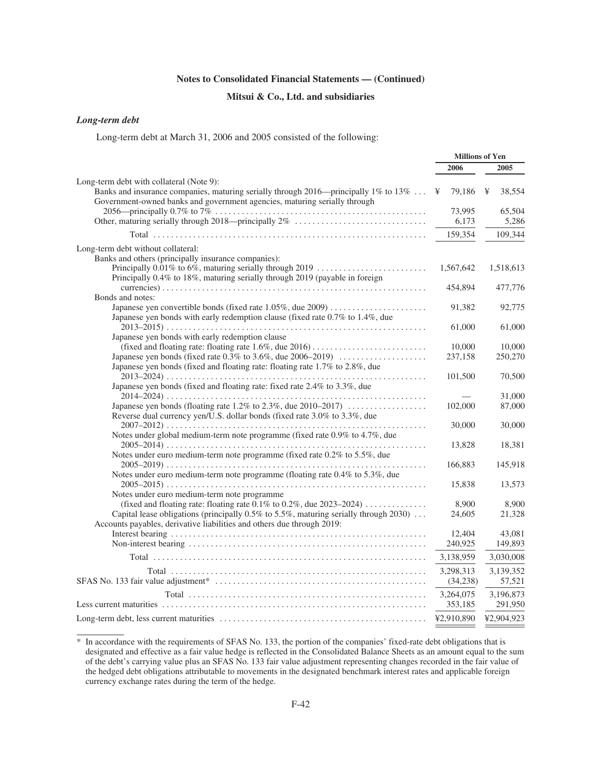# **Mitsui & Co., Ltd. and subsidiaries**

**Millions of Yen**

# *Long-term debt*

Long-term debt at March 31, 2006 and 2005 consisted of the following:

|                                                                                                                                                                  | типов от теп |             |
|------------------------------------------------------------------------------------------------------------------------------------------------------------------|--------------|-------------|
|                                                                                                                                                                  | 2006         | 2005        |
| Long-term debt with collateral (Note 9):                                                                                                                         |              |             |
| Banks and insurance companies, maturing serially through 2016—principally 1% to 13%<br>Government-owned banks and government agencies, maturing serially through | 79,186<br>¥  | 38,554<br>¥ |
|                                                                                                                                                                  | 73,995       | 65,504      |
|                                                                                                                                                                  | 6,173        | 5,286       |
|                                                                                                                                                                  | 159,354      | 109,344     |
| Long-term debt without collateral:                                                                                                                               |              |             |
| Banks and others (principally insurance companies):                                                                                                              |              |             |
| Principally 0.01% to 6%, maturing serially through 2019<br>Principally 0.4% to 18%, maturing serially through 2019 (payable in foreign                           | 1,567,642    | 1,518,613   |
|                                                                                                                                                                  | 454,894      | 477,776     |
| Bonds and notes:                                                                                                                                                 |              |             |
|                                                                                                                                                                  | 91,382       | 92,775      |
| Japanese yen bonds with early redemption clause (fixed rate 0.7% to 1.4%, due                                                                                    |              |             |
|                                                                                                                                                                  | 61,000       | 61,000      |
| Japanese yen bonds with early redemption clause                                                                                                                  | 10,000       | 10,000      |
| Japanese yen bonds (fixed rate 0.3% to 3.6%, due 2006–2019)                                                                                                      | 237,158      | 250,270     |
| Japanese yen bonds (fixed and floating rate: floating rate 1.7% to 2.8%, due                                                                                     |              |             |
|                                                                                                                                                                  | 101,500      | 70,500      |
| Japanese yen bonds (fixed and floating rate: fixed rate 2.4% to 3.3%, due                                                                                        |              |             |
|                                                                                                                                                                  |              | 31,000      |
| Reverse dual currency yen/U.S. dollar bonds (fixed rate 3.0% to 3.3%, due                                                                                        | 102,000      | 87,000      |
|                                                                                                                                                                  | 30,000       | 30,000      |
| Notes under global medium-term note programme (fixed rate 0.9% to 4.7%, due                                                                                      |              |             |
|                                                                                                                                                                  | 13,828       | 18,381      |
| Notes under euro medium-term note programme (fixed rate 0.2% to 5.5%, due                                                                                        |              |             |
|                                                                                                                                                                  | 166,883      | 145,918     |
| Notes under euro medium-term note programme (floating rate 0.4% to 5.3%, due                                                                                     |              |             |
|                                                                                                                                                                  | 15,838       | 13,573      |
| Notes under euro medium-term note programme                                                                                                                      | 8,900        | 8,900       |
| Capital lease obligations (principally $0.5\%$ to 5.5%, maturing serially through 2030)                                                                          | 24,605       | 21,328      |
| Accounts payables, derivative liabilities and others due through 2019:                                                                                           |              |             |
|                                                                                                                                                                  | 12,404       | 43,081      |
|                                                                                                                                                                  | 240,925      | 149,893     |
|                                                                                                                                                                  | 3,138,959    | 3,030,008   |
|                                                                                                                                                                  | 3,298,313    | 3,139,352   |
|                                                                                                                                                                  | (34,238)     | 57,521      |
|                                                                                                                                                                  | 3,264,075    | 3,196,873   |
|                                                                                                                                                                  | 353,185      | 291,950     |
|                                                                                                                                                                  | ¥2,910,890   | ¥2,904,923  |

<sup>\*</sup> In accordance with the requirements of SFAS No. 133, the portion of the companies' fixed-rate debt obligations that is designated and effective as a fair value hedge is reflected in the Consolidated Balance Sheets as an amount equal to the sum of the debt's carrying value plus an SFAS No. 133 fair value adjustment representing changes recorded in the fair value of the hedged debt obligations attributable to movements in the designated benchmark interest rates and applicable foreign currency exchange rates during the term of the hedge.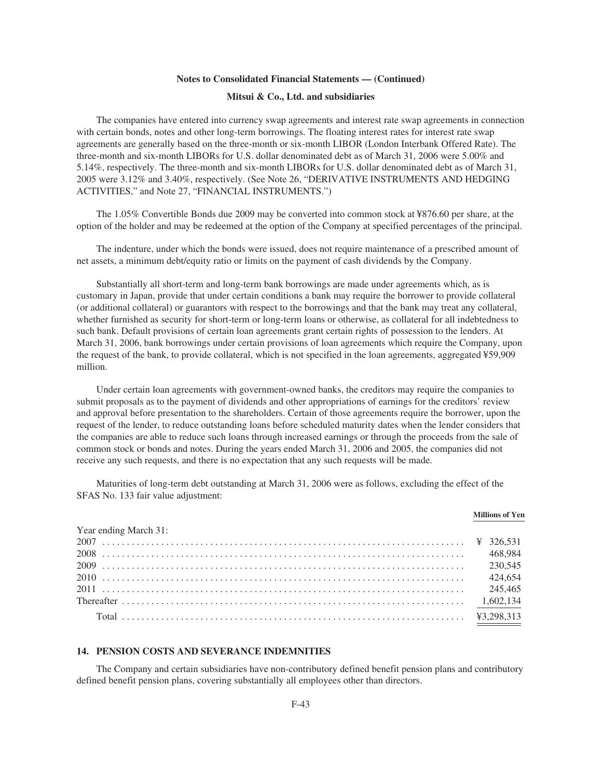#### **Mitsui & Co., Ltd. and subsidiaries**

The companies have entered into currency swap agreements and interest rate swap agreements in connection with certain bonds, notes and other long-term borrowings. The floating interest rates for interest rate swap agreements are generally based on the three-month or six-month LIBOR (London Interbank Offered Rate). The three-month and six-month LIBORs for U.S. dollar denominated debt as of March 31, 2006 were 5.00% and 5.14%, respectively. The three-month and six-month LIBORs for U.S. dollar denominated debt as of March 31, 2005 were 3.12% and 3.40%, respectively. (See Note 26, "DERIVATIVE INSTRUMENTS AND HEDGING ACTIVITIES," and Note 27, "FINANCIAL INSTRUMENTS.")

The 1.05% Convertible Bonds due 2009 may be converted into common stock at ¥876.60 per share, at the option of the holder and may be redeemed at the option of the Company at specified percentages of the principal.

The indenture, under which the bonds were issued, does not require maintenance of a prescribed amount of net assets, a minimum debt/equity ratio or limits on the payment of cash dividends by the Company.

Substantially all short-term and long-term bank borrowings are made under agreements which, as is customary in Japan, provide that under certain conditions a bank may require the borrower to provide collateral (or additional collateral) or guarantors with respect to the borrowings and that the bank may treat any collateral, whether furnished as security for short-term or long-term loans or otherwise, as collateral for all indebtedness to such bank. Default provisions of certain loan agreements grant certain rights of possession to the lenders. At March 31, 2006, bank borrowings under certain provisions of loan agreements which require the Company, upon the request of the bank, to provide collateral, which is not specified in the loan agreements, aggregated ¥59,909 million.

Under certain loan agreements with government-owned banks, the creditors may require the companies to submit proposals as to the payment of dividends and other appropriations of earnings for the creditors' review and approval before presentation to the shareholders. Certain of those agreements require the borrower, upon the request of the lender, to reduce outstanding loans before scheduled maturity dates when the lender considers that the companies are able to reduce such loans through increased earnings or through the proceeds from the sale of common stock or bonds and notes. During the years ended March 31, 2006 and 2005, the companies did not receive any such requests, and there is no expectation that any such requests will be made.

Maturities of long-term debt outstanding at March 31, 2006 were as follows, excluding the effect of the SFAS No. 133 fair value adjustment:

|                       | <b>Millions of Yen</b> |
|-----------------------|------------------------|
| Year ending March 31: |                        |
|                       |                        |
|                       |                        |
|                       |                        |
|                       |                        |
|                       |                        |
|                       |                        |
|                       |                        |

#### **14. PENSION COSTS AND SEVERANCE INDEMNITIES**

The Company and certain subsidiaries have non-contributory defined benefit pension plans and contributory defined benefit pension plans, covering substantially all employees other than directors.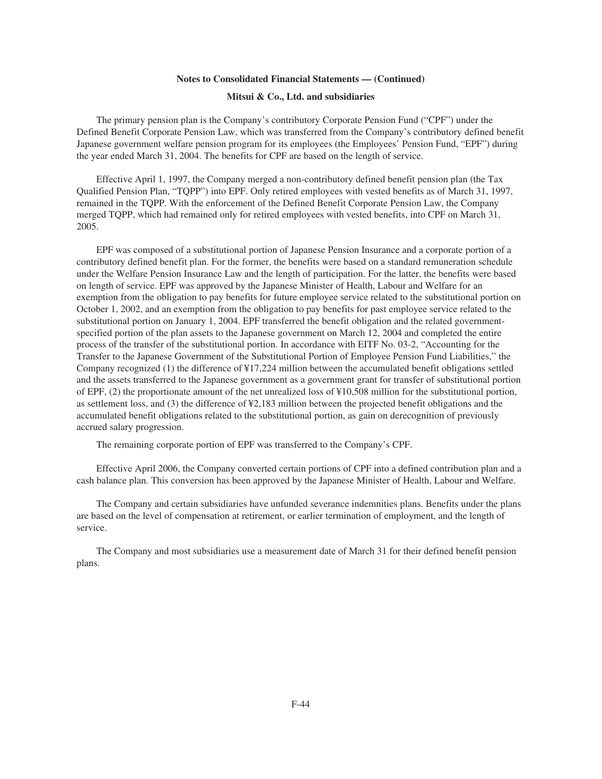#### **Mitsui & Co., Ltd. and subsidiaries**

The primary pension plan is the Company's contributory Corporate Pension Fund ("CPF") under the Defined Benefit Corporate Pension Law, which was transferred from the Company's contributory defined benefit Japanese government welfare pension program for its employees (the Employees' Pension Fund, "EPF") during the year ended March 31, 2004. The benefits for CPF are based on the length of service.

Effective April 1, 1997, the Company merged a non-contributory defined benefit pension plan (the Tax Qualified Pension Plan, "TQPP") into EPF. Only retired employees with vested benefits as of March 31, 1997, remained in the TQPP. With the enforcement of the Defined Benefit Corporate Pension Law, the Company merged TQPP, which had remained only for retired employees with vested benefits, into CPF on March 31, 2005.

EPF was composed of a substitutional portion of Japanese Pension Insurance and a corporate portion of a contributory defined benefit plan. For the former, the benefits were based on a standard remuneration schedule under the Welfare Pension Insurance Law and the length of participation. For the latter, the benefits were based on length of service. EPF was approved by the Japanese Minister of Health, Labour and Welfare for an exemption from the obligation to pay benefits for future employee service related to the substitutional portion on October 1, 2002, and an exemption from the obligation to pay benefits for past employee service related to the substitutional portion on January 1, 2004. EPF transferred the benefit obligation and the related governmentspecified portion of the plan assets to the Japanese government on March 12, 2004 and completed the entire process of the transfer of the substitutional portion. In accordance with EITF No. 03-2, "Accounting for the Transfer to the Japanese Government of the Substitutional Portion of Employee Pension Fund Liabilities," the Company recognized (1) the difference of ¥17,224 million between the accumulated benefit obligations settled and the assets transferred to the Japanese government as a government grant for transfer of substitutional portion of EPF, (2) the proportionate amount of the net unrealized loss of ¥10,508 million for the substitutional portion, as settlement loss, and (3) the difference of ¥2,183 million between the projected benefit obligations and the accumulated benefit obligations related to the substitutional portion, as gain on derecognition of previously accrued salary progression.

The remaining corporate portion of EPF was transferred to the Company's CPF.

Effective April 2006, the Company converted certain portions of CPF into a defined contribution plan and a cash balance plan. This conversion has been approved by the Japanese Minister of Health, Labour and Welfare.

The Company and certain subsidiaries have unfunded severance indemnities plans. Benefits under the plans are based on the level of compensation at retirement, or earlier termination of employment, and the length of service.

The Company and most subsidiaries use a measurement date of March 31 for their defined benefit pension plans.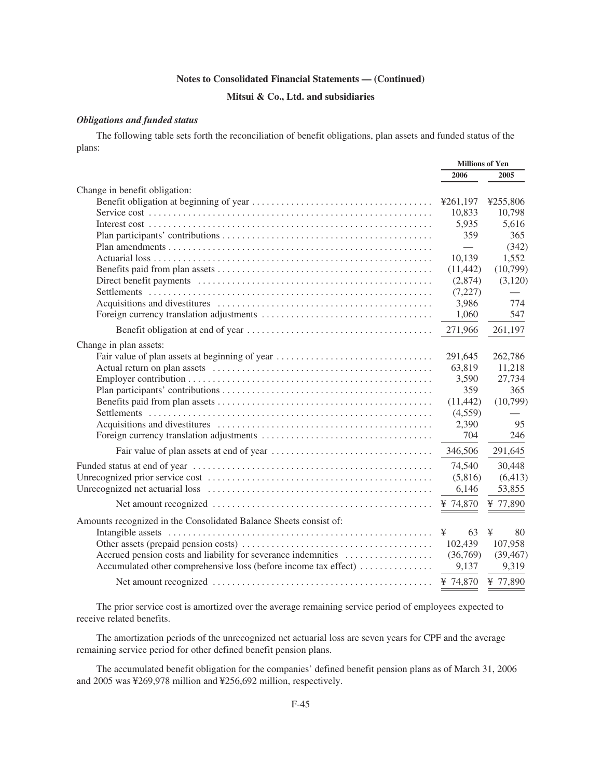# **Mitsui & Co., Ltd. and subsidiaries**

# *Obligations and funded status*

The following table sets forth the reconciliation of benefit obligations, plan assets and funded status of the plans:

|                                                                   | <b>Millions of Yen</b>   |           |
|-------------------------------------------------------------------|--------------------------|-----------|
|                                                                   | 2006                     | 2005      |
| Change in benefit obligation:                                     |                          |           |
|                                                                   | ¥261,197                 | ¥255,806  |
|                                                                   | 10,833                   | 10,798    |
|                                                                   | 5,935                    | 5,616     |
|                                                                   | 359                      | 365       |
|                                                                   | $\overline{\phantom{0}}$ | (342)     |
|                                                                   | 10.139                   | 1,552     |
|                                                                   | (11, 442)                | (10,799)  |
|                                                                   | (2,874)                  | (3,120)   |
|                                                                   | (7,227)                  |           |
|                                                                   | 3,986                    | 774       |
|                                                                   | 1,060                    | 547       |
|                                                                   | 271,966                  | 261,197   |
| Change in plan assets:                                            |                          |           |
| Fair value of plan assets at beginning of year                    | 291,645                  | 262,786   |
|                                                                   | 63,819                   | 11,218    |
|                                                                   | 3,590                    | 27,734    |
|                                                                   | 359                      | 365       |
|                                                                   | (11, 442)                | (10,799)  |
|                                                                   | (4,559)                  |           |
|                                                                   | 2,390                    | 95        |
|                                                                   | 704                      | 246       |
|                                                                   | 346,506                  | 291,645   |
|                                                                   | 74,540                   | 30,448    |
|                                                                   | (5,816)                  | (6, 413)  |
|                                                                   | 6,146                    | 53,855    |
|                                                                   | ¥ 74,870                 | ¥ 77,890  |
| Amounts recognized in the Consolidated Balance Sheets consist of: |                          |           |
|                                                                   | 63<br>¥                  | ¥<br>80   |
|                                                                   | 102,439                  | 107,958   |
| Accrued pension costs and liability for severance indemnities     | (36,769)                 | (39, 467) |
| Accumulated other comprehensive loss (before income tax effect)   | 9,137                    | 9,319     |
|                                                                   | ¥ 74,870                 | ¥ 77,890  |
|                                                                   |                          |           |

The prior service cost is amortized over the average remaining service period of employees expected to receive related benefits.

The amortization periods of the unrecognized net actuarial loss are seven years for CPF and the average remaining service period for other defined benefit pension plans.

The accumulated benefit obligation for the companies' defined benefit pension plans as of March 31, 2006 and 2005 was ¥269,978 million and ¥256,692 million, respectively.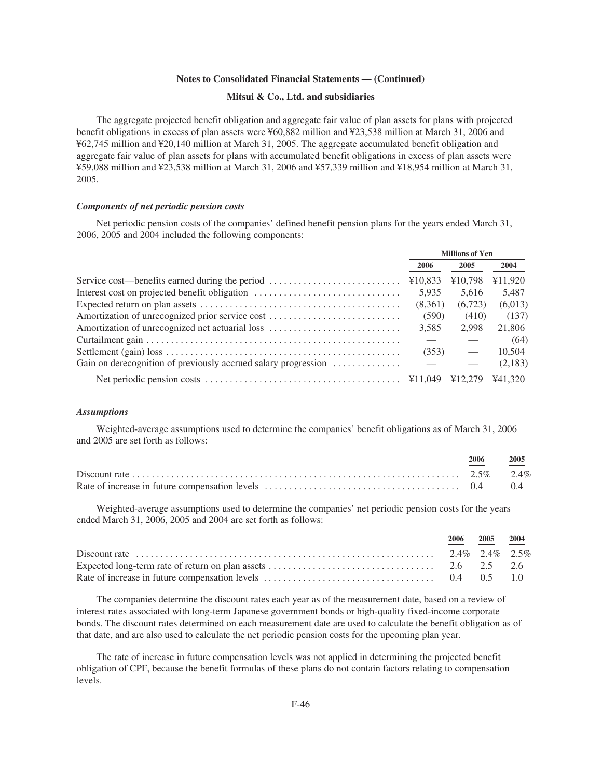#### **Mitsui & Co., Ltd. and subsidiaries**

The aggregate projected benefit obligation and aggregate fair value of plan assets for plans with projected benefit obligations in excess of plan assets were ¥60,882 million and ¥23,538 million at March 31, 2006 and ¥62,745 million and ¥20,140 million at March 31, 2005. The aggregate accumulated benefit obligation and aggregate fair value of plan assets for plans with accumulated benefit obligations in excess of plan assets were ¥59,088 million and ¥23,538 million at March 31, 2006 and ¥57,339 million and ¥18,954 million at March 31, 2005.

#### *Components of net periodic pension costs*

Net periodic pension costs of the companies' defined benefit pension plans for the years ended March 31, 2006, 2005 and 2004 included the following components:

|                                                                | <b>Millions of Yen</b> |                                 |         |  |
|----------------------------------------------------------------|------------------------|---------------------------------|---------|--|
|                                                                | 2006                   | 2005                            | 2004    |  |
| Service cost—benefits earned during the period                 | ¥10,833                | ¥10,798                         | ¥11,920 |  |
| Interest cost on projected benefit obligation                  | 5.935                  | 5.616                           | 5,487   |  |
|                                                                | (8,361)                | (6,723)                         | (6,013) |  |
| Amortization of unrecognized prior service cost                | (590)                  | (410)                           | (137)   |  |
|                                                                | 3.585                  | 2.998                           | 21,806  |  |
|                                                                |                        |                                 | (64)    |  |
|                                                                | (353)                  | $\hspace{0.1mm}-\hspace{0.1mm}$ | 10.504  |  |
| Gain on derecognition of previously accrued salary progression |                        |                                 | (2,183) |  |
|                                                                |                        | ¥12.279                         | ¥41,320 |  |

#### *Assumptions*

Weighted-average assumptions used to determine the companies' benefit obligations as of March 31, 2006 and 2005 are set forth as follows:

| 2006 | 2005 |
|------|------|
|      |      |
|      |      |

Weighted-average assumptions used to determine the companies' net periodic pension costs for the years ended March 31, 2006, 2005 and 2004 are set forth as follows:

|  | $\frac{2006}{ }$ $\frac{2005}{ }$ $\frac{2004}{ }$ |  |
|--|----------------------------------------------------|--|
|  |                                                    |  |
|  |                                                    |  |
|  |                                                    |  |

The companies determine the discount rates each year as of the measurement date, based on a review of interest rates associated with long-term Japanese government bonds or high-quality fixed-income corporate bonds. The discount rates determined on each measurement date are used to calculate the benefit obligation as of that date, and are also used to calculate the net periodic pension costs for the upcoming plan year.

The rate of increase in future compensation levels was not applied in determining the projected benefit obligation of CPF, because the benefit formulas of these plans do not contain factors relating to compensation levels.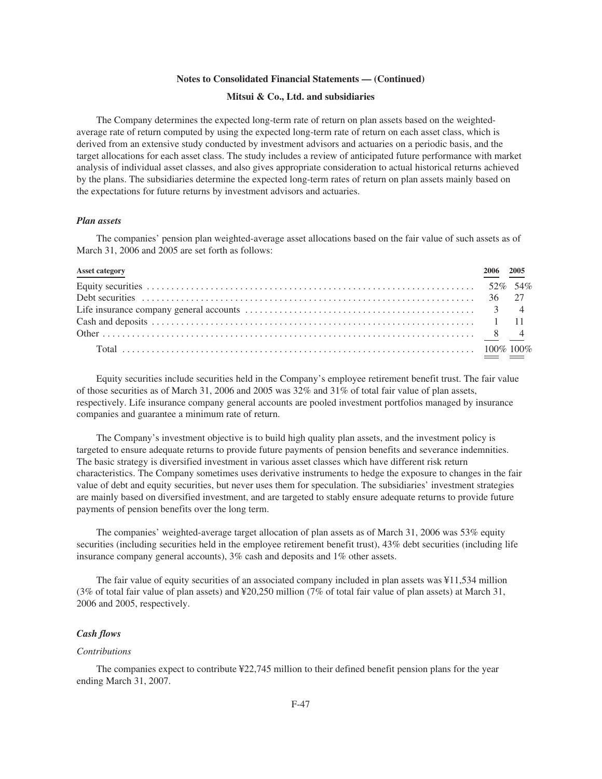#### **Mitsui & Co., Ltd. and subsidiaries**

The Company determines the expected long-term rate of return on plan assets based on the weightedaverage rate of return computed by using the expected long-term rate of return on each asset class, which is derived from an extensive study conducted by investment advisors and actuaries on a periodic basis, and the target allocations for each asset class. The study includes a review of anticipated future performance with market analysis of individual asset classes, and also gives appropriate consideration to actual historical returns achieved by the plans. The subsidiaries determine the expected long-term rates of return on plan assets mainly based on the expectations for future returns by investment advisors and actuaries.

## *Plan assets*

The companies' pension plan weighted-average asset allocations based on the fair value of such assets as of March 31, 2006 and 2005 are set forth as follows:

| Asset category | 2006 2005 |  |
|----------------|-----------|--|
|                |           |  |
|                |           |  |
|                |           |  |
|                |           |  |
|                |           |  |
|                |           |  |

Equity securities include securities held in the Company's employee retirement benefit trust. The fair value of those securities as of March 31, 2006 and 2005 was 32% and 31% of total fair value of plan assets, respectively. Life insurance company general accounts are pooled investment portfolios managed by insurance companies and guarantee a minimum rate of return.

The Company's investment objective is to build high quality plan assets, and the investment policy is targeted to ensure adequate returns to provide future payments of pension benefits and severance indemnities. The basic strategy is diversified investment in various asset classes which have different risk return characteristics. The Company sometimes uses derivative instruments to hedge the exposure to changes in the fair value of debt and equity securities, but never uses them for speculation. The subsidiaries' investment strategies are mainly based on diversified investment, and are targeted to stably ensure adequate returns to provide future payments of pension benefits over the long term.

The companies' weighted-average target allocation of plan assets as of March 31, 2006 was 53% equity securities (including securities held in the employee retirement benefit trust), 43% debt securities (including life insurance company general accounts), 3% cash and deposits and 1% other assets.

The fair value of equity securities of an associated company included in plan assets was ¥11,534 million (3% of total fair value of plan assets) and ¥20,250 million (7% of total fair value of plan assets) at March 31, 2006 and 2005, respectively.

#### *Cash flows*

#### *Contributions*

The companies expect to contribute ¥22,745 million to their defined benefit pension plans for the year ending March 31, 2007.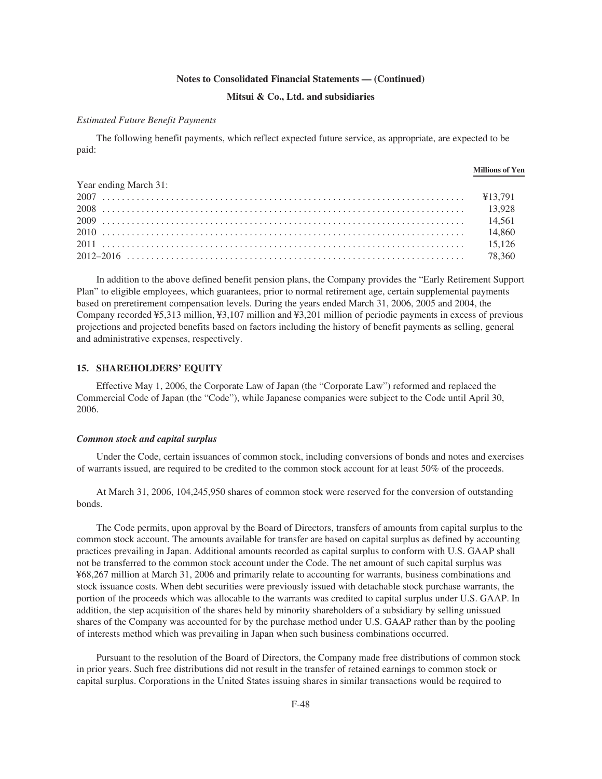#### **Mitsui & Co., Ltd. and subsidiaries**

#### *Estimated Future Benefit Payments*

The following benefit payments, which reflect expected future service, as appropriate, are expected to be paid:

|                       | <b>Millions of Yen</b> |
|-----------------------|------------------------|
| Year ending March 31: |                        |
|                       |                        |
|                       |                        |
|                       |                        |
|                       |                        |
|                       |                        |
|                       |                        |

In addition to the above defined benefit pension plans, the Company provides the "Early Retirement Support Plan" to eligible employees, which guarantees, prior to normal retirement age, certain supplemental payments based on preretirement compensation levels. During the years ended March 31, 2006, 2005 and 2004, the Company recorded ¥5,313 million, ¥3,107 million and ¥3,201 million of periodic payments in excess of previous projections and projected benefits based on factors including the history of benefit payments as selling, general and administrative expenses, respectively.

#### **15. SHAREHOLDERS' EQUITY**

Effective May 1, 2006, the Corporate Law of Japan (the "Corporate Law") reformed and replaced the Commercial Code of Japan (the "Code"), while Japanese companies were subject to the Code until April 30, 2006.

#### *Common stock and capital surplus*

Under the Code, certain issuances of common stock, including conversions of bonds and notes and exercises of warrants issued, are required to be credited to the common stock account for at least 50% of the proceeds.

At March 31, 2006, 104,245,950 shares of common stock were reserved for the conversion of outstanding bonds.

The Code permits, upon approval by the Board of Directors, transfers of amounts from capital surplus to the common stock account. The amounts available for transfer are based on capital surplus as defined by accounting practices prevailing in Japan. Additional amounts recorded as capital surplus to conform with U.S. GAAP shall not be transferred to the common stock account under the Code. The net amount of such capital surplus was ¥68,267 million at March 31, 2006 and primarily relate to accounting for warrants, business combinations and stock issuance costs. When debt securities were previously issued with detachable stock purchase warrants, the portion of the proceeds which was allocable to the warrants was credited to capital surplus under U.S. GAAP. In addition, the step acquisition of the shares held by minority shareholders of a subsidiary by selling unissued shares of the Company was accounted for by the purchase method under U.S. GAAP rather than by the pooling of interests method which was prevailing in Japan when such business combinations occurred.

Pursuant to the resolution of the Board of Directors, the Company made free distributions of common stock in prior years. Such free distributions did not result in the transfer of retained earnings to common stock or capital surplus. Corporations in the United States issuing shares in similar transactions would be required to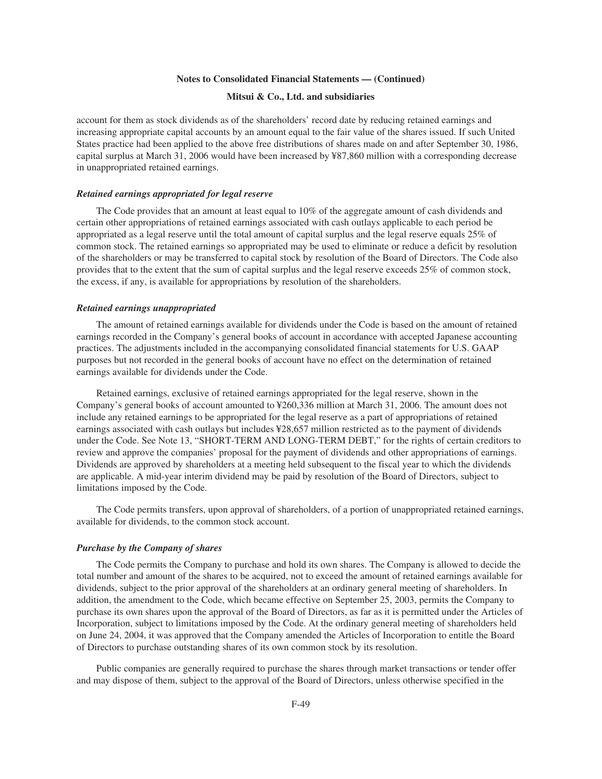#### **Mitsui & Co., Ltd. and subsidiaries**

account for them as stock dividends as of the shareholders' record date by reducing retained earnings and increasing appropriate capital accounts by an amount equal to the fair value of the shares issued. If such United States practice had been applied to the above free distributions of shares made on and after September 30, 1986, capital surplus at March 31, 2006 would have been increased by ¥87,860 million with a corresponding decrease in unappropriated retained earnings.

#### *Retained earnings appropriated for legal reserve*

The Code provides that an amount at least equal to 10% of the aggregate amount of cash dividends and certain other appropriations of retained earnings associated with cash outlays applicable to each period be appropriated as a legal reserve until the total amount of capital surplus and the legal reserve equals 25% of common stock. The retained earnings so appropriated may be used to eliminate or reduce a deficit by resolution of the shareholders or may be transferred to capital stock by resolution of the Board of Directors. The Code also provides that to the extent that the sum of capital surplus and the legal reserve exceeds 25% of common stock, the excess, if any, is available for appropriations by resolution of the shareholders.

#### *Retained earnings unappropriated*

The amount of retained earnings available for dividends under the Code is based on the amount of retained earnings recorded in the Company's general books of account in accordance with accepted Japanese accounting practices. The adjustments included in the accompanying consolidated financial statements for U.S. GAAP purposes but not recorded in the general books of account have no effect on the determination of retained earnings available for dividends under the Code.

Retained earnings, exclusive of retained earnings appropriated for the legal reserve, shown in the Company's general books of account amounted to ¥260,336 million at March 31, 2006. The amount does not include any retained earnings to be appropriated for the legal reserve as a part of appropriations of retained earnings associated with cash outlays but includes ¥28,657 million restricted as to the payment of dividends under the Code. See Note 13, "SHORT-TERM AND LONG-TERM DEBT," for the rights of certain creditors to review and approve the companies' proposal for the payment of dividends and other appropriations of earnings. Dividends are approved by shareholders at a meeting held subsequent to the fiscal year to which the dividends are applicable. A mid-year interim dividend may be paid by resolution of the Board of Directors, subject to limitations imposed by the Code.

The Code permits transfers, upon approval of shareholders, of a portion of unappropriated retained earnings, available for dividends, to the common stock account.

#### *Purchase by the Company of shares*

The Code permits the Company to purchase and hold its own shares. The Company is allowed to decide the total number and amount of the shares to be acquired, not to exceed the amount of retained earnings available for dividends, subject to the prior approval of the shareholders at an ordinary general meeting of shareholders. In addition, the amendment to the Code, which became effective on September 25, 2003, permits the Company to purchase its own shares upon the approval of the Board of Directors, as far as it is permitted under the Articles of Incorporation, subject to limitations imposed by the Code. At the ordinary general meeting of shareholders held on June 24, 2004, it was approved that the Company amended the Articles of Incorporation to entitle the Board of Directors to purchase outstanding shares of its own common stock by its resolution.

Public companies are generally required to purchase the shares through market transactions or tender offer and may dispose of them, subject to the approval of the Board of Directors, unless otherwise specified in the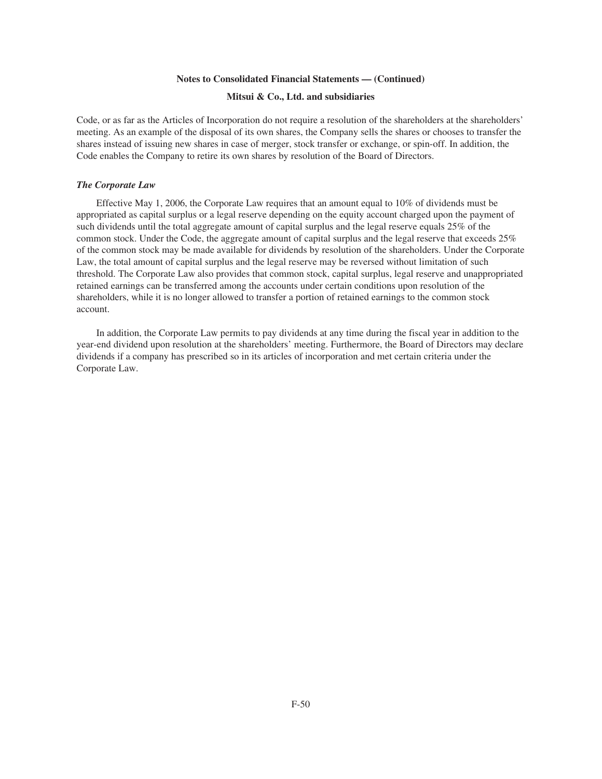#### **Mitsui & Co., Ltd. and subsidiaries**

Code, or as far as the Articles of Incorporation do not require a resolution of the shareholders at the shareholders' meeting. As an example of the disposal of its own shares, the Company sells the shares or chooses to transfer the shares instead of issuing new shares in case of merger, stock transfer or exchange, or spin-off. In addition, the Code enables the Company to retire its own shares by resolution of the Board of Directors.

#### *The Corporate Law*

Effective May 1, 2006, the Corporate Law requires that an amount equal to 10% of dividends must be appropriated as capital surplus or a legal reserve depending on the equity account charged upon the payment of such dividends until the total aggregate amount of capital surplus and the legal reserve equals 25% of the common stock. Under the Code, the aggregate amount of capital surplus and the legal reserve that exceeds 25% of the common stock may be made available for dividends by resolution of the shareholders. Under the Corporate Law, the total amount of capital surplus and the legal reserve may be reversed without limitation of such threshold. The Corporate Law also provides that common stock, capital surplus, legal reserve and unappropriated retained earnings can be transferred among the accounts under certain conditions upon resolution of the shareholders, while it is no longer allowed to transfer a portion of retained earnings to the common stock account.

In addition, the Corporate Law permits to pay dividends at any time during the fiscal year in addition to the year-end dividend upon resolution at the shareholders' meeting. Furthermore, the Board of Directors may declare dividends if a company has prescribed so in its articles of incorporation and met certain criteria under the Corporate Law.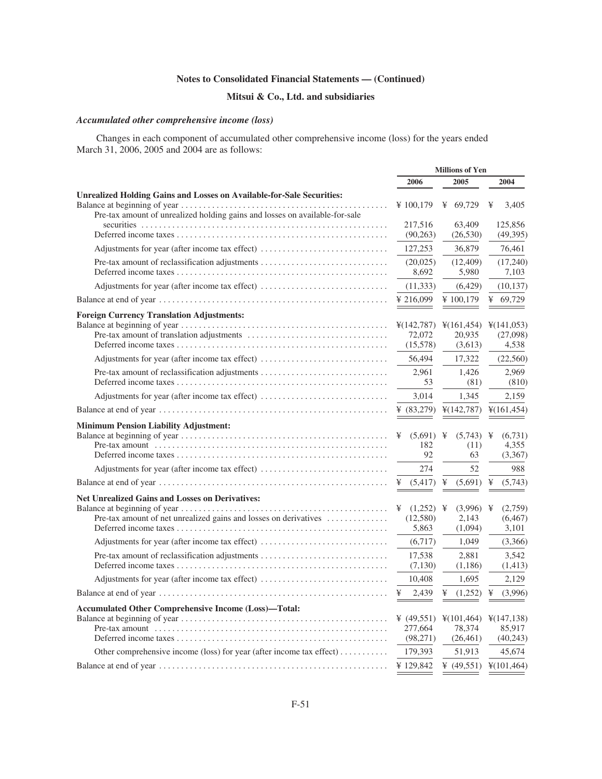# **Mitsui & Co., Ltd. and subsidiaries**

# *Accumulated other comprehensive income (loss)*

Changes in each component of accumulated other comprehensive income (loss) for the years ended March 31, 2006, 2005 and 2004 are as follows:

|                                                                                                                            | <b>Millions of Yen</b>                        |                                               |                                                                    |
|----------------------------------------------------------------------------------------------------------------------------|-----------------------------------------------|-----------------------------------------------|--------------------------------------------------------------------|
|                                                                                                                            | 2006                                          | 2005                                          | 2004                                                               |
| <b>Unrealized Holding Gains and Losses on Available-for-Sale Securities:</b>                                               |                                               |                                               |                                                                    |
| Pre-tax amount of unrealized holding gains and losses on available-for-sale                                                | ¥ $100,179$                                   | ¥ $69,729$                                    | ¥<br>3.405                                                         |
|                                                                                                                            | 217,516<br>(90, 263)                          | 63,409<br>(26, 530)                           | 125,856<br>(49,395)                                                |
| Adjustments for year (after income tax effect)                                                                             | 127,253                                       | 36,879                                        | 76,461                                                             |
|                                                                                                                            | (20,025)<br>8,692                             | (12, 409)<br>5,980                            | (17,240)<br>7,103                                                  |
| Adjustments for year (after income tax effect)                                                                             | (11, 333)                                     | (6,429)                                       | (10, 137)                                                          |
|                                                                                                                            | ¥ 216,099                                     | ¥100,179                                      | ¥ 69,729                                                           |
| <b>Foreign Currency Translation Adjustments:</b>                                                                           |                                               |                                               |                                                                    |
|                                                                                                                            | $\frac{1}{2}(142, 787)$<br>72,072<br>(15,578) | 20,935<br>(3,613)                             | $\frac{1}{2}(161,454)$ $\frac{1}{2}(141,053)$<br>(27,098)<br>4,538 |
| Adjustments for year (after income tax effect)                                                                             | 56,494                                        | 17,322                                        | (22,560)                                                           |
|                                                                                                                            | 2,961<br>53                                   | 1,426<br>(81)                                 | 2,969<br>(810)                                                     |
| Adjustments for year (after income tax effect)                                                                             | 3,014                                         | 1,345                                         | 2,159                                                              |
|                                                                                                                            | ¥ $(83,279)$                                  | $\frac{1}{2}(142, 787)$                       | ¥(161,454)                                                         |
| <b>Minimum Pension Liability Adjustment:</b><br>Adjustments for year (after income tax effect)                             | $(5,691)$ ¥<br>¥<br>182<br>92<br>274          | $(5,743)$ ¥<br>(11)<br>63<br>52               | (6,731)<br>4,355<br>(3,367)<br>988                                 |
|                                                                                                                            | ¥<br>(5, 417)                                 | ¥<br>(5,691)                                  | ¥<br>(5,743)                                                       |
| <b>Net Unrealized Gains and Losses on Derivatives:</b><br>Pre-tax amount of net unrealized gains and losses on derivatives | ¥ $(1,252)$ ¥<br>(12,580)<br>5,863            | $(3,996)$ ¥<br>2,143<br>(1,094)               | (2,759)<br>(6, 467)<br>3,101                                       |
| Adjustments for year (after income tax effect)                                                                             | (6,717)                                       | 1,049                                         | (3,366)                                                            |
|                                                                                                                            | 17,538<br>(7, 130)                            | 2,881<br>(1,186)                              | 3,542<br>(1, 413)                                                  |
| Adjustments for year (after income tax effect)                                                                             | 10,408                                        | 1,695                                         | 2,129                                                              |
|                                                                                                                            | ¥<br>2,439                                    | ¥<br>(1,252)                                  | (3,996)<br>¥                                                       |
| <b>Accumulated Other Comprehensive Income (Loss)-Total:</b>                                                                | ¥ $(49,551)$<br>277,664<br>(98,271)           | $\frac{1}{2}(101,464)$<br>78.374<br>(26, 461) | ¥(147,138)<br>85.917<br>(40,243)                                   |
| Other comprehensive income (loss) for year (after income tax effect)                                                       | 179,393                                       | 51,913                                        | 45,674                                                             |
|                                                                                                                            | ¥ 129,842                                     | ¥ $(49,551)$                                  | ¥(101,464)                                                         |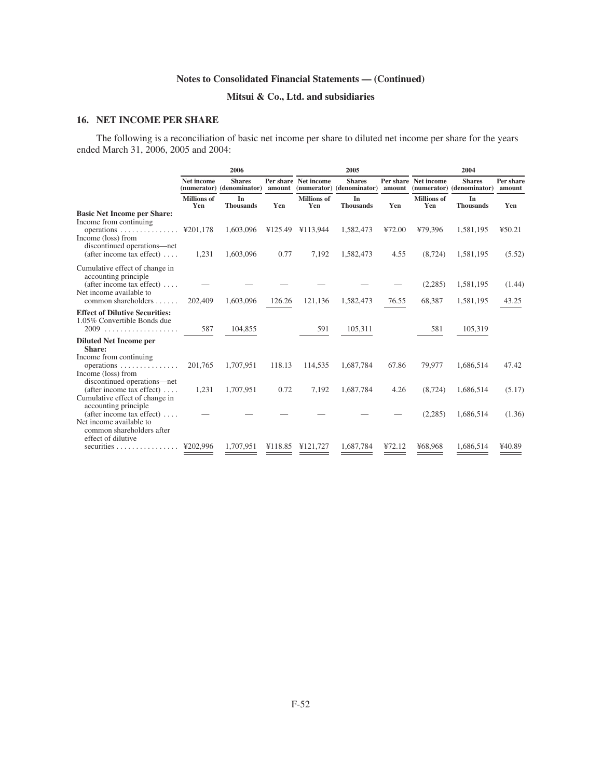# **Mitsui & Co., Ltd. and subsidiaries**

# **16. NET INCOME PER SHARE**

The following is a reconciliation of basic net income per share to diluted net income per share for the years ended March 31, 2006, 2005 and 2004:

|                                                                                                                                |                           | 2006                                       |         |                           | 2005                                       |        | 2004                      |                                            |                     |  |
|--------------------------------------------------------------------------------------------------------------------------------|---------------------------|--------------------------------------------|---------|---------------------------|--------------------------------------------|--------|---------------------------|--------------------------------------------|---------------------|--|
|                                                                                                                                | <b>Net income</b>         | <b>Shares</b><br>(numerator) (denominator) | amount  | Per share Net income      | <b>Shares</b><br>(numerator) (denominator) | amount | Per share Net income      | <b>Shares</b><br>(numerator) (denominator) | Per share<br>amount |  |
|                                                                                                                                | <b>Millions</b> of<br>Yen | In<br><b>Thousands</b>                     | Yen     | <b>Millions</b> of<br>Yen | In<br><b>Thousands</b>                     | Yen    | <b>Millions</b> of<br>Yen | In<br><b>Thousands</b>                     | Yen                 |  |
| <b>Basic Net Income per Share:</b><br>Income from continuing<br>operations $\text{\textsterling}201,178$<br>Income (loss) from |                           | 1,603,096                                  |         | ¥125.49 ¥113,944          | 1,582,473                                  | ¥72.00 | ¥79,396                   | 1,581,195                                  | 450.21              |  |
| discontinued operations-net<br>(after income tax effect) $\dots$ .                                                             | 1,231                     | 1,603,096                                  | 0.77    | 7,192                     | 1,582,473                                  | 4.55   | (8, 724)                  | 1,581,195                                  | (5.52)              |  |
| Cumulative effect of change in<br>accounting principle<br>(after income tax effect) $\dots$<br>Net income available to         |                           |                                            |         |                           |                                            |        | (2,285)                   | 1,581,195                                  | (1.44)              |  |
| common shareholders                                                                                                            | 202,409                   | 1,603,096                                  | 126.26  | 121,136                   | 1,582,473                                  | 76.55  | 68,387                    | 1,581,195                                  | 43.25               |  |
| <b>Effect of Dilutive Securities:</b><br>1.05% Convertible Bonds due                                                           | 587                       | 104,855                                    |         | 591                       | 105,311                                    |        | 581                       | 105,319                                    |                     |  |
| <b>Diluted Net Income per</b><br>Share:                                                                                        |                           |                                            |         |                           |                                            |        |                           |                                            |                     |  |
| Income from continuing<br>operations $\ldots \ldots \ldots \ldots$<br>Income (loss) from<br>discontinued operations-net        | 201,765                   | 1,707,951                                  | 118.13  | 114,535                   | 1,687,784                                  | 67.86  | 79,977                    | 1,686,514                                  | 47.42               |  |
| (after income tax effect) $\dots$ .<br>Cumulative effect of change in<br>accounting principle                                  | 1,231                     | 1,707,951                                  | 0.72    | 7,192                     | 1,687,784                                  | 4.26   | (8, 724)                  | 1,686,514                                  | (5.17)              |  |
| (after income tax effect) $\dots$ .<br>Net income available to<br>common shareholders after<br>effect of dilutive              |                           |                                            |         |                           |                                            |        | (2,285)                   | 1,686,514                                  | (1.36)              |  |
| securities $\ldots \ldots \ldots \ldots$                                                                                       | ¥202.996                  | 1,707,951                                  | ¥118.85 | ¥121,727                  | 1,687,784                                  | 472.12 | ¥68,968                   | 1,686,514                                  | ¥40.89              |  |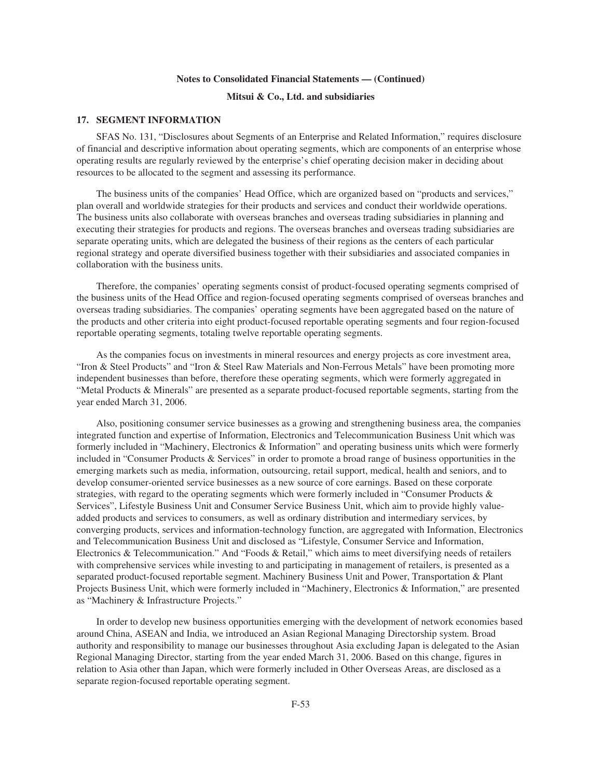## **Mitsui & Co., Ltd. and subsidiaries**

## **17. SEGMENT INFORMATION**

SFAS No. 131, "Disclosures about Segments of an Enterprise and Related Information," requires disclosure of financial and descriptive information about operating segments, which are components of an enterprise whose operating results are regularly reviewed by the enterprise's chief operating decision maker in deciding about resources to be allocated to the segment and assessing its performance.

The business units of the companies' Head Office, which are organized based on "products and services," plan overall and worldwide strategies for their products and services and conduct their worldwide operations. The business units also collaborate with overseas branches and overseas trading subsidiaries in planning and executing their strategies for products and regions. The overseas branches and overseas trading subsidiaries are separate operating units, which are delegated the business of their regions as the centers of each particular regional strategy and operate diversified business together with their subsidiaries and associated companies in collaboration with the business units.

Therefore, the companies' operating segments consist of product-focused operating segments comprised of the business units of the Head Office and region-focused operating segments comprised of overseas branches and overseas trading subsidiaries. The companies' operating segments have been aggregated based on the nature of the products and other criteria into eight product-focused reportable operating segments and four region-focused reportable operating segments, totaling twelve reportable operating segments.

As the companies focus on investments in mineral resources and energy projects as core investment area, "Iron & Steel Products" and "Iron & Steel Raw Materials and Non-Ferrous Metals" have been promoting more independent businesses than before, therefore these operating segments, which were formerly aggregated in "Metal Products & Minerals" are presented as a separate product-focused reportable segments, starting from the year ended March 31, 2006.

Also, positioning consumer service businesses as a growing and strengthening business area, the companies integrated function and expertise of Information, Electronics and Telecommunication Business Unit which was formerly included in "Machinery, Electronics & Information" and operating business units which were formerly included in "Consumer Products & Services" in order to promote a broad range of business opportunities in the emerging markets such as media, information, outsourcing, retail support, medical, health and seniors, and to develop consumer-oriented service businesses as a new source of core earnings. Based on these corporate strategies, with regard to the operating segments which were formerly included in "Consumer Products & Services", Lifestyle Business Unit and Consumer Service Business Unit, which aim to provide highly valueadded products and services to consumers, as well as ordinary distribution and intermediary services, by converging products, services and information-technology function, are aggregated with Information, Electronics and Telecommunication Business Unit and disclosed as "Lifestyle, Consumer Service and Information, Electronics & Telecommunication." And "Foods & Retail," which aims to meet diversifying needs of retailers with comprehensive services while investing to and participating in management of retailers, is presented as a separated product-focused reportable segment. Machinery Business Unit and Power, Transportation & Plant Projects Business Unit, which were formerly included in "Machinery, Electronics & Information," are presented as "Machinery & Infrastructure Projects."

In order to develop new business opportunities emerging with the development of network economies based around China, ASEAN and India, we introduced an Asian Regional Managing Directorship system. Broad authority and responsibility to manage our businesses throughout Asia excluding Japan is delegated to the Asian Regional Managing Director, starting from the year ended March 31, 2006. Based on this change, figures in relation to Asia other than Japan, which were formerly included in Other Overseas Areas, are disclosed as a separate region-focused reportable operating segment.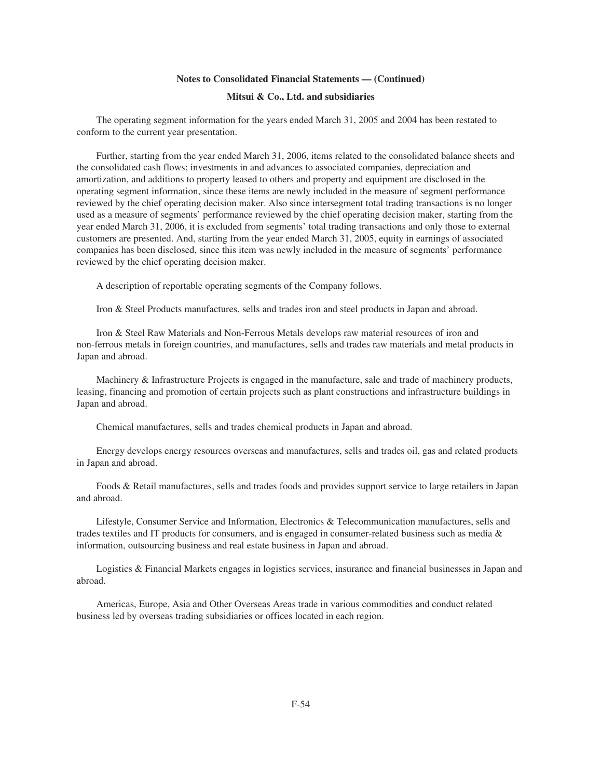# **Mitsui & Co., Ltd. and subsidiaries**

The operating segment information for the years ended March 31, 2005 and 2004 has been restated to conform to the current year presentation.

Further, starting from the year ended March 31, 2006, items related to the consolidated balance sheets and the consolidated cash flows; investments in and advances to associated companies, depreciation and amortization, and additions to property leased to others and property and equipment are disclosed in the operating segment information, since these items are newly included in the measure of segment performance reviewed by the chief operating decision maker. Also since intersegment total trading transactions is no longer used as a measure of segments' performance reviewed by the chief operating decision maker, starting from the year ended March 31, 2006, it is excluded from segments' total trading transactions and only those to external customers are presented. And, starting from the year ended March 31, 2005, equity in earnings of associated companies has been disclosed, since this item was newly included in the measure of segments' performance reviewed by the chief operating decision maker.

A description of reportable operating segments of the Company follows.

Iron & Steel Products manufactures, sells and trades iron and steel products in Japan and abroad.

Iron & Steel Raw Materials and Non-Ferrous Metals develops raw material resources of iron and non-ferrous metals in foreign countries, and manufactures, sells and trades raw materials and metal products in Japan and abroad.

Machinery & Infrastructure Projects is engaged in the manufacture, sale and trade of machinery products, leasing, financing and promotion of certain projects such as plant constructions and infrastructure buildings in Japan and abroad.

Chemical manufactures, sells and trades chemical products in Japan and abroad.

Energy develops energy resources overseas and manufactures, sells and trades oil, gas and related products in Japan and abroad.

Foods & Retail manufactures, sells and trades foods and provides support service to large retailers in Japan and abroad.

Lifestyle, Consumer Service and Information, Electronics & Telecommunication manufactures, sells and trades textiles and IT products for consumers, and is engaged in consumer-related business such as media & information, outsourcing business and real estate business in Japan and abroad.

Logistics & Financial Markets engages in logistics services, insurance and financial businesses in Japan and abroad.

Americas, Europe, Asia and Other Overseas Areas trade in various commodities and conduct related business led by overseas trading subsidiaries or offices located in each region.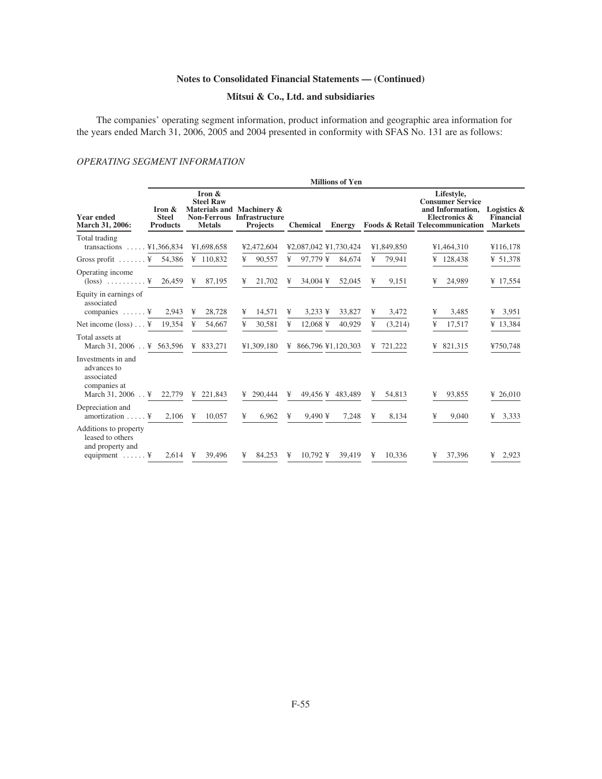# **Mitsui & Co., Ltd. and subsidiaries**

The companies' operating segment information, product information and geographic area information for the years ended March 31, 2006, 2005 and 2004 presented in conformity with SFAS No. 131 are as follows:

# *OPERATING SEGMENT INFORMATION*

|                                                                                             |                                           |                                             |                                                                                   |                        | <b>Millions of Yen</b> |              |                                                                                                                           |                                                   |
|---------------------------------------------------------------------------------------------|-------------------------------------------|---------------------------------------------|-----------------------------------------------------------------------------------|------------------------|------------------------|--------------|---------------------------------------------------------------------------------------------------------------------------|---------------------------------------------------|
| <b>Year ended</b><br>March 31, 2006:                                                        | Iron &<br><b>Steel</b><br><b>Products</b> | Iron &<br><b>Steel Raw</b><br><b>Metals</b> | Materials and Machinery &<br><b>Non-Ferrous Infrastructure</b><br><b>Projects</b> | <b>Chemical</b>        | <b>Energy</b>          |              | Lifestyle,<br><b>Consumer Service</b><br>and Information,<br>Electronics &<br><b>Foods &amp; Retail Telecommunication</b> | Logistics &<br><b>Financial</b><br><b>Markets</b> |
| Total trading<br>transactions $\ldots$ ¥1,366,834                                           |                                           | ¥1,698,658                                  | ¥2,472,604                                                                        | ¥2,087,042 ¥1,730,424  |                        | ¥1,849,850   | ¥1,464,310                                                                                                                | ¥116,178                                          |
| Gross profit $\dots \dots$ ¥ 54,386                                                         |                                           | ¥ $110,832$                                 | ¥<br>90,557                                                                       | ¥                      | 97,779 ¥ 84,674        | 79,941<br>¥  | ¥ $128,438$                                                                                                               | ¥ $51,378$                                        |
| Operating income<br>$(\text{loss})$ ¥ 26,459                                                |                                           | 87,195<br>¥                                 | 21,702<br>¥                                                                       | 34,004 ¥<br>¥          | 52,045                 | ¥<br>9,151   | 24,989<br>¥                                                                                                               | ¥ 17,554                                          |
| Equity in earnings of<br>associated<br>companies $\dots$ . $\ddot{f}$                       | 2,943                                     | 28,728<br>¥                                 | 14,571<br>¥                                                                       | $3,233 \text{ }$<br>¥  | 33,827                 | 3,472<br>¥   | 3,485<br>¥                                                                                                                | 3,951<br>¥                                        |
| Net income $(\text{loss}) \dots$ ¥ 19,354                                                   |                                           | ¥<br>54,667                                 | ¥<br>30,581                                                                       | ¥<br>$12,068 \text{ }$ | 40,929                 | ¥<br>(3,214) | 17,517<br>¥                                                                                                               | ¥ 13,384                                          |
| Total assets at<br>March 31, 2006 ¥ 563,596                                                 |                                           | ¥ 833,271                                   | ¥1,309,180                                                                        | ¥ 866,796 ¥1,120,303   |                        | ¥ $721,222$  | ¥ 821,315                                                                                                                 | ¥750,748                                          |
| Investments in and<br>advances to<br>associated<br>companies at<br>March 31, 2006 \; 22,779 |                                           | ¥ 221.843                                   | ¥ 290,444                                                                         | ¥                      | 49,456 ¥ 483,489       | 54,813<br>¥  | 93,855<br>¥                                                                                                               | ¥ 26,010                                          |
| Depreciation and<br>amortization $\dots$ .                                                  | 2.106                                     | $\mathbb{1}$<br>10,057                      | 6,962<br>¥                                                                        | ¥<br>$9,490 \;$ ¥      | 7,248                  | 8,134<br>¥   | 9,040<br>¥                                                                                                                | 3,333<br>¥                                        |
| Additions to property<br>leased to others<br>and property and<br>equipment $\dots \dots$    | $2.614 \quad \text{Y}$                    | 39,496                                      | 84.253<br>¥                                                                       | 10,792 ¥<br>¥          | 39,419                 | 10.336<br>¥  | 37,396<br>¥                                                                                                               | 2,923<br>¥                                        |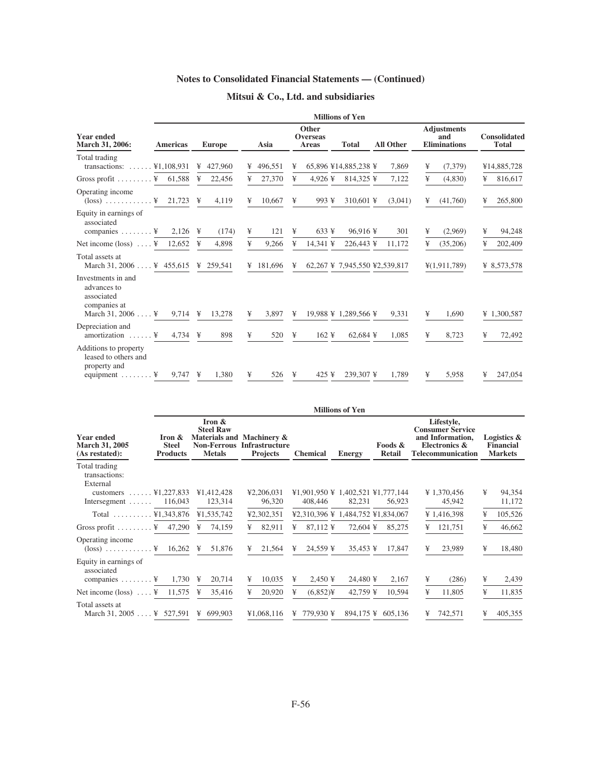# **Mitsui & Co., Ltd. and subsidiaries**

| <b>Year ended</b><br>March 31, 2006:                                                                  | <b>Millions of Yen</b> |   |               |   |           |   |                                   |  |                               |  |                  |   |                                                  |   |                                     |
|-------------------------------------------------------------------------------------------------------|------------------------|---|---------------|---|-----------|---|-----------------------------------|--|-------------------------------|--|------------------|---|--------------------------------------------------|---|-------------------------------------|
|                                                                                                       | <b>Americas</b>        |   | <b>Europe</b> |   | Asia      |   | Other<br><b>Overseas</b><br>Areas |  | <b>Total</b>                  |  | <b>All Other</b> |   | <b>Adjustments</b><br>and<br><b>Eliminations</b> |   | <b>Consolidated</b><br><b>Total</b> |
| Total trading<br>transactions: $\dots \dots$ ¥1,108,931                                               |                        | ¥ | 427,960       | ¥ | 496,551   | ¥ |                                   |  | 65,896 ¥14,885,238 ¥          |  | 7,869            | ¥ | (7,379)                                          |   | ¥14,885,728                         |
| Gross profit $\ldots \ldots$ $\ddots$ $\ddot{x}$ 61,588                                               |                        | ¥ | 22,456        | ¥ | 27,370    | ¥ | $4.926 \;$ ¥                      |  | 814,325 ¥                     |  | 7,122            | ¥ | (4,830)                                          | ¥ | 816,617                             |
| Operating income<br>$(\text{loss})$ ¥ 21,723 ¥                                                        |                        |   | 4,119         | ¥ | 10,667    | ¥ | 993 ¥                             |  | 310,601 ¥                     |  | (3,041)          | ¥ | (41,760)                                         | ¥ | 265,800                             |
| Equity in earnings of<br>associated<br>companies $\dots \dots$ . $\ddagger$                           | $2,126 \text{ }$       |   | (174)         | ¥ | 121       | ¥ | $633 \text{ }$                    |  | 96,916¥                       |  | 301              | ¥ | (2,969)                                          | ¥ | 94,248                              |
|                                                                                                       |                        | ¥ | 4,898         | ¥ | 9,266     | ¥ | 14.341 ¥                          |  | 226,443 ¥                     |  | 11.172           | ¥ | (35,206)                                         | ¥ | 202,409                             |
| Total assets at<br>March 31, 2006 $\frac{1}{2}$ 455, 615 \\ $\frac{1}{2}$ 259, 541                    |                        |   |               |   | ¥ 181,696 | ¥ |                                   |  | 62,267 ¥ 7,945,550 ¥2,539,817 |  |                  |   | $\frac{1}{2}(1,911,789)$                         |   | ¥ 8,573,578                         |
| Investments in and<br>advances to<br>associated<br>companies at<br>March 31, 2006 $\dots$ . ¥         | 9.714 $\frac{1}{2}$    |   | 13,278        | ¥ | 3.897     | ¥ |                                   |  | 19,988 ¥ 1,289,566 ¥          |  | 9,331            | ¥ | 1,690                                            |   | ¥ 1,300,587                         |
| Depreciation and<br>amortization $\dots$ .                                                            | 4,734 $\frac{1}{2}$    |   | 898           | ¥ | 520       | ¥ | $162 \text{ }$                    |  | $62,684 \text{ }$             |  | 1,085            | ¥ | 8,723                                            | ¥ | 72,492                              |
| Additions to property<br>leased to others and<br>property and<br>equipment $\dots \dots$ . $\ddot{f}$ | $9,747 \text{ }$       |   | 1,380         | ¥ | 526 ¥     |   | $425 \text{ }$                    |  | 239,307 ¥                     |  | 1,789            | ¥ | 5,958                                            | ¥ | 247,054                             |

|                                                                                                                                |                                           |                                                                      |                                                                       |                                              | <b>Millions of Yen</b> |                          |                                                                                                 |                                                   |  |
|--------------------------------------------------------------------------------------------------------------------------------|-------------------------------------------|----------------------------------------------------------------------|-----------------------------------------------------------------------|----------------------------------------------|------------------------|--------------------------|-------------------------------------------------------------------------------------------------|---------------------------------------------------|--|
| <b>Year ended</b><br><b>March 31, 2005</b><br>(As restated):                                                                   | Iron &<br><b>Steel</b><br><b>Products</b> | Iron $\&$<br><b>Steel Raw</b><br><b>Non-Ferrous</b><br><b>Metals</b> | Materials and Machinery &<br><b>Infrastructure</b><br><b>Projects</b> | <b>Chemical</b>                              | <b>Energy</b>          | Foods &<br><b>Retail</b> | Lifestyle,<br><b>Consumer Service</b><br>and Information.<br>Electronics &<br>Telecommunication | Logistics &<br><b>Financial</b><br><b>Markets</b> |  |
| Total trading<br>transactions:<br>External<br>customers $\ldots$ $\ldots$ $\frac{1}{227,833}$<br>Intersegment $\ldots$ 116,043 |                                           | ¥1,412,428<br>123,314                                                | ¥2,206,031<br>96,320                                                  | ¥1,901,950 ¥ 1,402,521 ¥1,777,144<br>408,446 | 82,231                 | 56,923                   | ¥ 1,370,456<br>45,942                                                                           | ¥<br>94,354<br>11,172                             |  |
| Total $\ldots \ldots \ldots$ ¥1,343,876                                                                                        |                                           | ¥1,535,742                                                           | ¥2,302,351                                                            | ¥2,310,396 ¥ 1,484,752 ¥1,834,067            |                        |                          | ¥ 1,416,398                                                                                     | 105,526<br>¥                                      |  |
| Gross profit $\ldots \ldots$ $\ddot{x}$ 47,290                                                                                 |                                           | ¥<br>74,159                                                          | 82,911<br>¥                                                           | 87,112 ¥<br>¥                                | 72,604 ¥               | 85,275                   | 121,751<br>¥                                                                                    | ¥<br>46,662                                       |  |
| Operating income<br>$(\text{loss})$ ¥ 16,262 ¥                                                                                 |                                           | 51,876                                                               | 21,564<br>¥                                                           | 24,559 ¥<br>¥                                |                        | 35,453 ¥ 17,847          | 23,989<br>¥                                                                                     | 18,480<br>¥                                       |  |
| Equity in earnings of<br>associated<br>companies $\dots \dots$ ¥ 1,730                                                         |                                           | 20,714<br>¥                                                          | 10,035<br>¥                                                           | ¥<br>$2,450 \text{ }$                        | 24,480 ¥               | 2,167                    | ¥<br>(286)                                                                                      | ¥<br>2,439                                        |  |
|                                                                                                                                |                                           | 35,416<br>¥                                                          | 20,920<br>¥                                                           | $(6,852)$ ¥<br>¥                             | 42,759 ¥               | 10,594                   | ¥<br>11,805                                                                                     | ¥<br>11,835                                       |  |
| Total assets at<br>March 31, 2005 $\frac{1}{2}$ 527, 591                                                                       |                                           | ¥ 699,903                                                            | ¥1,068,116                                                            | ¥ 779.930 ¥                                  |                        | 894.175 ¥ 605.136        | 742,571<br>¥                                                                                    | 405,355<br>¥                                      |  |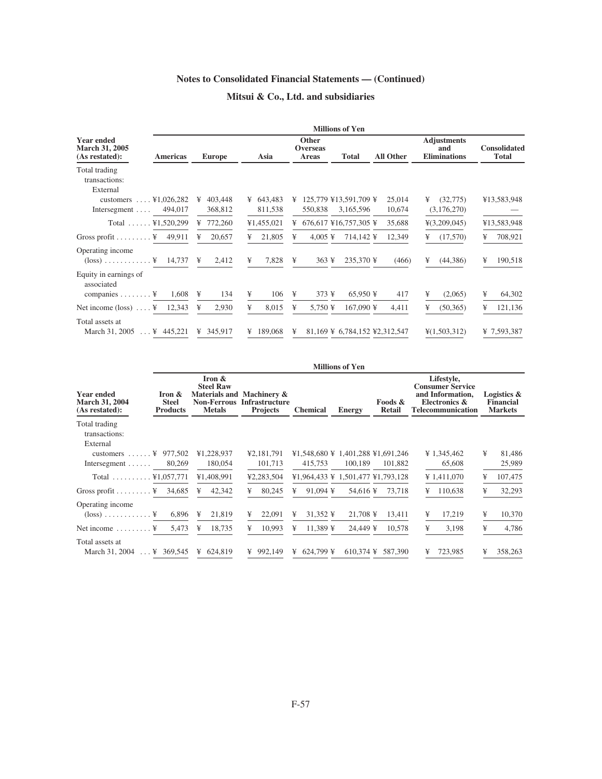# **Mitsui & Co., Ltd. and subsidiaries**

|                                                                                  |                         |                        | <b>Millions of Yen</b>                                   |                             |                                                  |                                     |
|----------------------------------------------------------------------------------|-------------------------|------------------------|----------------------------------------------------------|-----------------------------|--------------------------------------------------|-------------------------------------|
| <b>Year ended</b><br><b>March 31, 2005</b><br><b>Americas</b><br>(As restated):  | <b>Europe</b>           | Asia                   | <b>Other</b><br><b>Overseas</b><br><b>Total</b><br>Areas | <b>All Other</b>            | <b>Adjustments</b><br>and<br><b>Eliminations</b> | <b>Consolidated</b><br><b>Total</b> |
| Total trading<br>transactions:<br>External                                       |                         |                        |                                                          |                             |                                                  |                                     |
| customers $\ldots$ ¥1,026,282<br>Intersegment $\ldots$ 494,017                   | 403,448<br>¥<br>368,812 | ¥ $643,483$<br>811,538 | ¥ 125,779 ¥13,591,709 ¥<br>550,838<br>3,165,596          | 25,014<br>10,674            | (32,775)<br>¥<br>(3,176,270)                     | ¥13,583,948                         |
| Total $\ldots$ . ¥1,520,299                                                      | ¥ $772,260$             | ¥1,455,021             | ¥ 676,617 ¥16,757,305 ¥                                  | 35,688                      | $\frac{1}{2}(3,209,045)$                         | ¥13,583,948                         |
| Gross profit $\ldots \ldots$ $\ddots$ 49,911                                     | 20,657<br>¥             | 21,805<br>¥            | ¥<br>$4,005 \;$ ¥                                        | 12,349<br>714,142 ¥         | (17,570)<br>¥                                    | 708,921<br>¥                        |
| Operating income<br>$(\text{loss}) \dots \dots \dots \dots \times 14,737 \times$ | 2,412                   | 7,828<br>¥             | $363 \text{ }$<br>¥                                      | 235,370 ¥<br>(466)          | (44,386)<br>¥                                    | 190,518<br>¥                        |
| Equity in earnings of<br>associated                                              |                         |                        |                                                          |                             |                                                  |                                     |
| 1,608<br>companies $\dots \dots$ . $\ddagger$                                    | ¥<br>134                | ¥<br>106               | ¥<br>$373 \text{ }$                                      | $65,950 \text{ }$<br>417    | ¥<br>(2,065)                                     | ¥<br>64,302                         |
|                                                                                  | 2,930<br>¥              | ¥<br>8,015             | ¥<br>$5,750 \text{ }$                                    | $167,090 \text{ }$<br>4,411 | ¥<br>(50, 365)                                   | ¥<br>121,136                        |
| Total assets at                                                                  |                         |                        |                                                          |                             |                                                  |                                     |
| March 31, 2005 $\ldots$ ¥ 445, 221                                               | ¥ 345,917               | ¥ 189,068              | ¥<br>81,169 ¥ 6,784,152 ¥2,312,547                       |                             | $\frac{1}{2}(1,503,312)$                         | ¥ 7,593,387                         |

|                                                              |                                           |                                                                   |                                                                       |                                   | <b>Millions of Yen</b> |                          |                                                                                                 |                                                   |
|--------------------------------------------------------------|-------------------------------------------|-------------------------------------------------------------------|-----------------------------------------------------------------------|-----------------------------------|------------------------|--------------------------|-------------------------------------------------------------------------------------------------|---------------------------------------------------|
| <b>Year ended</b><br><b>March 31, 2004</b><br>(As restated): | Iron &<br><b>Steel</b><br><b>Products</b> | Iron &<br><b>Steel Raw</b><br><b>Non-Ferrous</b><br><b>Metals</b> | Materials and Machinery &<br><b>Infrastructure</b><br><b>Projects</b> | <b>Chemical</b>                   | <b>Energy</b>          | Foods &<br><b>Retail</b> | Lifestyle,<br><b>Consumer Service</b><br>and Information,<br>Electronics &<br>Telecommunication | Logistics &<br><b>Financial</b><br><b>Markets</b> |
| Total trading<br>transactions:                               |                                           |                                                                   |                                                                       |                                   |                        |                          |                                                                                                 |                                                   |
| External<br>customers $\ldots$ $\ddots$ $\ddagger$ 977,502   |                                           | ¥1,228,937                                                        | ¥2,181,791                                                            | ¥1,548,680 ¥ 1,401,288 ¥1,691,246 |                        |                          | ¥ 1,345,462                                                                                     | ¥<br>81,486                                       |
| Intersegment $\ldots \ldots$ 80,269                          |                                           | 180,054                                                           | 101,713                                                               | 415,753                           | 100,189                | 101,882                  | 65,608                                                                                          | 25,989                                            |
| Total $\ldots \ldots \ldots$ ¥1,057,771                      |                                           | ¥1,408,991                                                        | ¥2,283,504                                                            | ¥1,964,433 ¥ 1,501,477 ¥1,793,128 |                        |                          | ¥ 1,411,070                                                                                     | 107,475<br>¥                                      |
| Gross profit $\ldots \ldots$ $\ddots \ddot{x}$ 34,685        |                                           | 42,342<br>¥                                                       | 80,245<br>¥                                                           | $91.094 \text{ }$<br>¥            | 54,616 ¥               | 73,718                   | 110,638<br>¥                                                                                    | ¥<br>32,293                                       |
| Operating income<br>$(\text{loss}) \dots \dots \dots \dots$  | 6,896                                     | 21,819<br>¥                                                       | 22,091<br>¥                                                           | 31,352 ¥<br>¥                     | $21,708 \text{ }$      | 13,411                   | 17,219<br>¥                                                                                     | 10,370<br>¥                                       |
| Net income $\dots \dots$ .                                   | 5,473                                     | 18,735<br>¥                                                       | 10,993<br>¥                                                           | $11,389 \text{ }$<br>¥            | 24,449 ¥               | 10,578                   | ¥<br>3,198                                                                                      | ¥<br>4,786                                        |
| Total assets at<br>March 31, 2004  ¥ 369,545                 |                                           | ¥ $624.819$                                                       | 992,149<br>¥                                                          | $624.799 \text{ }$<br>¥           |                        | 610.374 ¥ 587.390        | 723,985<br>¥                                                                                    | 358,263<br>¥                                      |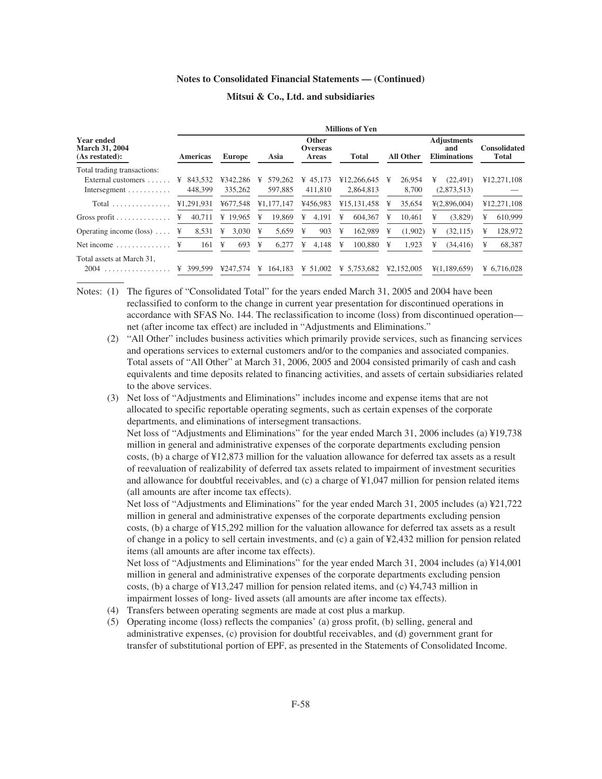|                                                       | <b>Millions of Yen</b> |               |              |                                          |              |                  |                                                  |                                     |  |
|-------------------------------------------------------|------------------------|---------------|--------------|------------------------------------------|--------------|------------------|--------------------------------------------------|-------------------------------------|--|
| Year ended<br><b>March 31, 2004</b><br>(As restated): | <b>Americas</b>        | <b>Europe</b> | Asia         | <b>Other</b><br><b>Overseas</b><br>Areas | <b>Total</b> | <b>All Other</b> | <b>Adjustments</b><br>and<br><b>Eliminations</b> | <b>Consolidated</b><br><b>Total</b> |  |
| Total trading transactions:                           |                        |               |              |                                          |              |                  |                                                  |                                     |  |
| External customers                                    | 843.532<br>¥           | ¥342.286      | 579,262<br>¥ | $\frac{1}{2}$ 45.173                     | ¥12,266,645  | 26.954<br>¥      | (22.491)<br>¥                                    | ¥12,271,108                         |  |
| Intersegment $\dots\dots\dots\dots$                   | 448,399                | 335,262       | 597,885      | 411,810                                  | 2,864,813    | 8,700            | (2,873,513)                                      |                                     |  |
| Total                                                 | ¥1,291,931             | ¥677.548      | ¥1.177.147   | ¥456.983                                 | ¥15,131,458  | 35.654<br>¥      | ¥(2,896,004)                                     | ¥12,271,108                         |  |
| Gross profit $\ldots \ldots \ldots \ldots$            | ¥<br>40,711            | ¥ 19.965      | 19,869<br>¥  | 4.191<br>¥                               | 604,367<br>¥ | 10.461<br>¥      | (3,829)<br>¥                                     | 610,999<br>¥                        |  |
| Operating income $(\text{loss})$                      | 8,531<br>¥             | 3.030<br>¥    | 5.659<br>¥   | 903<br>¥                                 | 162.989<br>¥ | (1.902)<br>¥     | (32.115)<br>¥                                    | 128,972<br>¥                        |  |
| Net income $\ldots$ , $\ldots$                        | ¥<br>161               | 693<br>¥      | ¥<br>6,277   | 4,148<br>¥                               | 100,880<br>¥ | 1,923<br>¥       | (34, 416)<br>¥                                   | 68,387<br>¥                         |  |
| Total assets at March 31,                             |                        |               |              |                                          |              |                  |                                                  |                                     |  |
| 2004<br>.                                             | 399,599                | ¥247.574      | 164.183<br>¥ | ¥ $51,002$                               | ¥ 5.753.682  | ¥2.152,005       | ¥(1,189,659)                                     | ¥ 6,716,028                         |  |

#### **Mitsui & Co., Ltd. and subsidiaries**

Notes: (1) The figures of "Consolidated Total" for the years ended March 31, 2005 and 2004 have been reclassified to conform to the change in current year presentation for discontinued operations in accordance with SFAS No. 144. The reclassification to income (loss) from discontinued operation net (after income tax effect) are included in "Adjustments and Eliminations."

- (2) "All Other" includes business activities which primarily provide services, such as financing services and operations services to external customers and/or to the companies and associated companies. Total assets of "All Other" at March 31, 2006, 2005 and 2004 consisted primarily of cash and cash equivalents and time deposits related to financing activities, and assets of certain subsidiaries related to the above services.
- (3) Net loss of "Adjustments and Eliminations" includes income and expense items that are not allocated to specific reportable operating segments, such as certain expenses of the corporate departments, and eliminations of intersegment transactions.

Net loss of "Adjustments and Eliminations" for the year ended March 31, 2006 includes (a) ¥19,738 million in general and administrative expenses of the corporate departments excluding pension costs, (b) a charge of ¥12,873 million for the valuation allowance for deferred tax assets as a result of reevaluation of realizability of deferred tax assets related to impairment of investment securities and allowance for doubtful receivables, and (c) a charge of ¥1,047 million for pension related items (all amounts are after income tax effects).

Net loss of "Adjustments and Eliminations" for the year ended March 31, 2005 includes (a) ¥21,722 million in general and administrative expenses of the corporate departments excluding pension costs, (b) a charge of ¥15,292 million for the valuation allowance for deferred tax assets as a result of change in a policy to sell certain investments, and (c) a gain of ¥2,432 million for pension related items (all amounts are after income tax effects).

Net loss of "Adjustments and Eliminations" for the year ended March 31, 2004 includes (a) ¥14,001 million in general and administrative expenses of the corporate departments excluding pension costs, (b) a charge of ¥13,247 million for pension related items, and (c) ¥4,743 million in impairment losses of long- lived assets (all amounts are after income tax effects).

- (4) Transfers between operating segments are made at cost plus a markup.
- (5) Operating income (loss) reflects the companies' (a) gross profit, (b) selling, general and administrative expenses, (c) provision for doubtful receivables, and (d) government grant for transfer of substitutional portion of EPF, as presented in the Statements of Consolidated Income.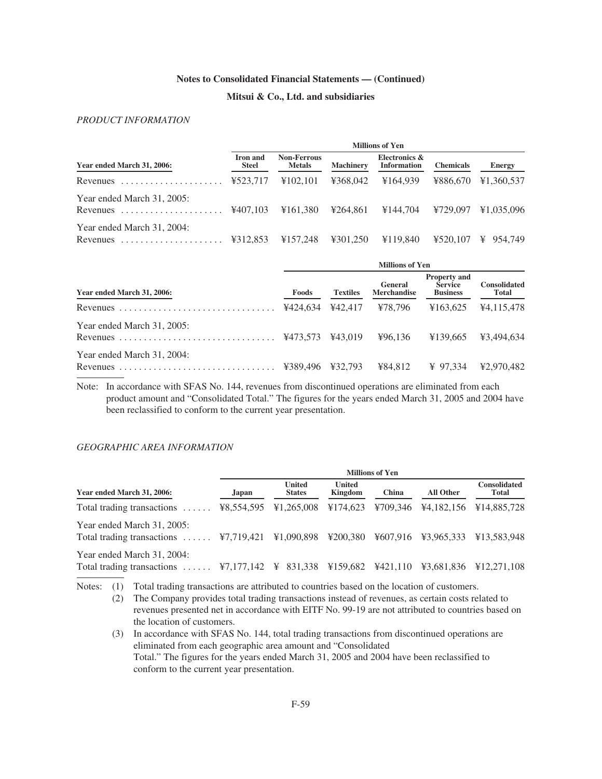# **Mitsui & Co., Ltd. and subsidiaries**

# *PRODUCT INFORMATION*

|                                                                                   | <b>Millions of Yen</b>          |                                     |                  |                                     |                  |                       |  |  |
|-----------------------------------------------------------------------------------|---------------------------------|-------------------------------------|------------------|-------------------------------------|------------------|-----------------------|--|--|
| Year ended March 31, 2006:                                                        | <b>Iron</b> and<br><b>Steel</b> | <b>Non-Ferrous</b><br><b>Metals</b> | <b>Machinery</b> | Electronics &<br><b>Information</b> | <b>Chemicals</b> | Energy                |  |  |
| Revenues                                                                          | ¥523,717                        | ¥102.101                            | ¥368,042         | ¥164,939                            | ¥886.670         | ¥1,360,537            |  |  |
| Year ended March 31, 2005:<br>Revenues                                            | ¥407.103                        | ¥161.380                            | ¥264.861         | ¥144.704                            | ¥729.097         | ¥1,035,096            |  |  |
| Year ended March 31, 2004:<br>Revenues $\dots\dots\dots\dots\dots\dots\dots\dots$ | ¥312.853                        | ¥157.248                            | ¥301.250         | ¥119.840                            | ¥520,107         | $\frac{1}{2}$ 954.749 |  |  |

|                            | <b>Millions of Yen</b> |                 |                               |                                                          |                              |  |  |  |
|----------------------------|------------------------|-----------------|-------------------------------|----------------------------------------------------------|------------------------------|--|--|--|
| Year ended March 31, 2006: | Foods                  | <b>Textiles</b> | General<br><b>Merchandise</b> | <b>Property and</b><br><b>Service</b><br><b>Business</b> | <b>Consolidated</b><br>Total |  |  |  |
| Revenues                   | ¥424,634               | ¥42,417         | ¥78.796                       | ¥163.625                                                 | ¥4.115.478                   |  |  |  |
| Year ended March 31, 2005: |                        | ¥43.019         | 496.136                       | ¥139,665                                                 | ¥3.494,634                   |  |  |  |
| Year ended March 31, 2004: | ¥389.496               | ¥32.793         | ¥84.812                       | ¥ 97.334                                                 | ¥2.970.482                   |  |  |  |

Note: In accordance with SFAS No. 144, revenues from discontinued operations are eliminated from each product amount and "Consolidated Total." The figures for the years ended March 31, 2005 and 2004 have been reclassified to conform to the current year presentation.

## *GEOGRAPHIC AREA INFORMATION*

|                                                                                                                              |            | <b>Millions of Yen</b>         |                          |          |                     |                              |  |  |  |  |
|------------------------------------------------------------------------------------------------------------------------------|------------|--------------------------------|--------------------------|----------|---------------------|------------------------------|--|--|--|--|
| Year ended March 31, 2006:                                                                                                   | Japan.     | <b>United</b><br><b>States</b> | <b>United</b><br>Kingdom | China    | All Other           | <b>Consolidated</b><br>Total |  |  |  |  |
| Total trading transactions $\dots$                                                                                           | ¥8,554,595 | ¥1,265,008                     | ¥174,623                 | ¥709.346 |                     | ¥4,182,156 ¥14,885,728       |  |  |  |  |
| Year ended March 31, 2005:<br>Total trading transactions $\dots$ $\overline{47,719,421}$ $\overline{41,090,898}$             |            |                                | ¥200,380                 |          | ¥607.916 ¥3.965.333 | ¥13.583.948                  |  |  |  |  |
| Year ended March 31, 2004:<br>Total trading transactions  ¥7,177,142 \¥ 831,338 \¥159,682 \¥421,110 \¥3,681,836 \¥12,271,108 |            |                                |                          |          |                     |                              |  |  |  |  |

Notes: (1) Total trading transactions are attributed to countries based on the location of customers.

(2) The Company provides total trading transactions instead of revenues, as certain costs related to revenues presented net in accordance with EITF No. 99-19 are not attributed to countries based on the location of customers.

(3) In accordance with SFAS No. 144, total trading transactions from discontinued operations are eliminated from each geographic area amount and "Consolidated Total." The figures for the years ended March 31, 2005 and 2004 have been reclassified to conform to the current year presentation.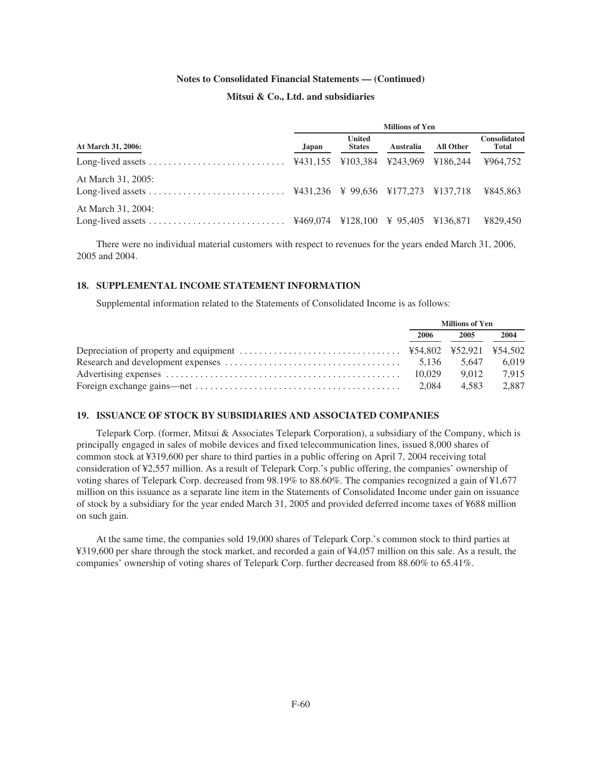# **Mitsui & Co., Ltd. and subsidiaries**

|                    | <b>Millions of Yen</b> |                                |                  |           |                              |  |  |  |
|--------------------|------------------------|--------------------------------|------------------|-----------|------------------------------|--|--|--|
| At March 31, 2006: | Japan                  | <b>United</b><br><b>States</b> | <b>Australia</b> | All Other | <b>Consolidated</b><br>Total |  |  |  |
|                    |                        |                                |                  |           | ¥964.752                     |  |  |  |
| At March 31, 2005: |                        |                                |                  |           | ¥845.863                     |  |  |  |
| At March 31, 2004: |                        |                                |                  |           | ¥829.450                     |  |  |  |

There were no individual material customers with respect to revenues for the years ended March 31, 2006, 2005 and 2004.

## **18. SUPPLEMENTAL INCOME STATEMENT INFORMATION**

Supplemental information related to the Statements of Consolidated Income is as follows:

|        | <b>Millions of Yen</b> |       |
|--------|------------------------|-------|
| 2006   | 2005                   | 2004  |
|        |                        |       |
|        | 5.647                  | 6.019 |
| 10.029 | 9.012                  | 7.915 |
| 2.084  | 4.583                  | 2.887 |

# **19. ISSUANCE OF STOCK BY SUBSIDIARIES AND ASSOCIATED COMPANIES**

Telepark Corp. (former, Mitsui & Associates Telepark Corporation), a subsidiary of the Company, which is principally engaged in sales of mobile devices and fixed telecommunication lines, issued 8,000 shares of common stock at ¥319,600 per share to third parties in a public offering on April 7, 2004 receiving total consideration of ¥2,557 million. As a result of Telepark Corp.'s public offering, the companies' ownership of voting shares of Telepark Corp. decreased from 98.19% to 88.60%. The companies recognized a gain of ¥1,677 million on this issuance as a separate line item in the Statements of Consolidated Income under gain on issuance of stock by a subsidiary for the year ended March 31, 2005 and provided deferred income taxes of ¥688 million on such gain.

At the same time, the companies sold 19,000 shares of Telepark Corp.'s common stock to third parties at ¥319,600 per share through the stock market, and recorded a gain of ¥4,057 million on this sale. As a result, the companies' ownership of voting shares of Telepark Corp. further decreased from 88.60% to 65.41%.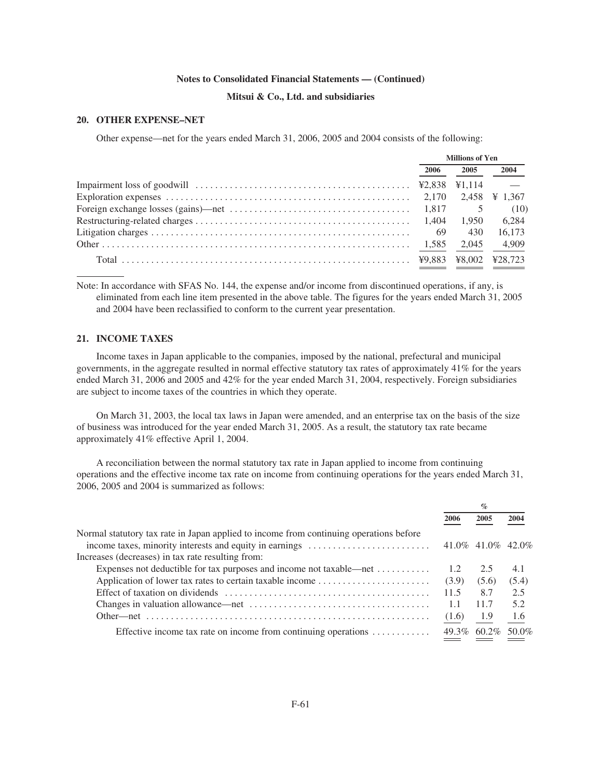# **Mitsui & Co., Ltd. and subsidiaries**

## **20. OTHER EXPENSE–NET**

Other expense—net for the years ended March 31, 2006, 2005 and 2004 consists of the following:

|                                                                                                                          | <b>Millions of Yen</b> |        |               |
|--------------------------------------------------------------------------------------------------------------------------|------------------------|--------|---------------|
|                                                                                                                          | 2006                   | 2005   | 2004          |
| Impairment loss of goodwill $\ldots \ldots \ldots \ldots \ldots \ldots \ldots \ldots \ldots \ldots \ldots$ ¥2,838 ¥1,114 |                        |        | $\sim$ $-$    |
|                                                                                                                          |                        |        | 2,458 ¥ 1,367 |
|                                                                                                                          |                        |        | (10)          |
|                                                                                                                          |                        | 1.950  | 6.284         |
|                                                                                                                          | 69                     | 430    | 16.173        |
|                                                                                                                          |                        | 2.045  | 4,909         |
|                                                                                                                          |                        | ¥8.002 | ¥28,723       |

Note: In accordance with SFAS No. 144, the expense and/or income from discontinued operations, if any, is eliminated from each line item presented in the above table. The figures for the years ended March 31, 2005 and 2004 have been reclassified to conform to the current year presentation.

# **21. INCOME TAXES**

Income taxes in Japan applicable to the companies, imposed by the national, prefectural and municipal governments, in the aggregate resulted in normal effective statutory tax rates of approximately 41% for the years ended March 31, 2006 and 2005 and 42% for the year ended March 31, 2004, respectively. Foreign subsidiaries are subject to income taxes of the countries in which they operate.

On March 31, 2003, the local tax laws in Japan were amended, and an enterprise tax on the basis of the size of business was introduced for the year ended March 31, 2005. As a result, the statutory tax rate became approximately 41% effective April 1, 2004.

A reconciliation between the normal statutory tax rate in Japan applied to income from continuing operations and the effective income tax rate on income from continuing operations for the years ended March 31, 2006, 2005 and 2004 is summarized as follows:

|                                                                                        |       | $\%$                 |       |
|----------------------------------------------------------------------------------------|-------|----------------------|-------|
|                                                                                        | 2006  | 2005                 | 2004  |
| Normal statutory tax rate in Japan applied to income from continuing operations before |       |                      |       |
| income taxes, minority interests and equity in earnings                                |       | 41.0\% 41.0\% 42.0\% |       |
| Increases (decreases) in tax rate resulting from:                                      |       |                      |       |
| Expenses not deductible for tax purposes and income not taxable—net                    | 1.2   | 2.5                  | 4.1   |
| Application of lower tax rates to certain taxable income                               | (3.9) | (5.6)                | (5.4) |
|                                                                                        | 11.5  | 8.7                  | 2.5   |
|                                                                                        | 1.1   | 11.7                 | 5.2   |
|                                                                                        | (1.6) | - 1.9                | -1.6  |
| Effective income tax rate on income from continuing operations                         |       | 49.3% 60.2% 50.0%    |       |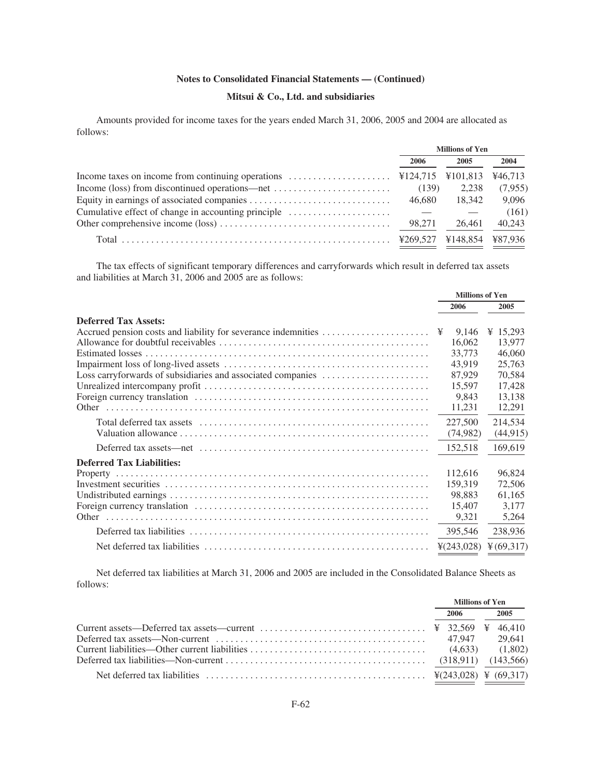# **Mitsui & Co., Ltd. and subsidiaries**

Amounts provided for income taxes for the years ended March 31, 2006, 2005 and 2004 are allocated as follows:

|                                                                                                     | <b>Millions of Yen</b> |          |         |  |
|-----------------------------------------------------------------------------------------------------|------------------------|----------|---------|--|
|                                                                                                     | 2006                   | 2005     | 2004    |  |
| Income taxes on income from continuing operations $\dots \dots \dots \dots \dots$ ¥124,715 ¥101,813 |                        |          | ¥46,713 |  |
| Income (loss) from discontinued operations—net $\dots\dots\dots\dots\dots\dots\dots\dots$           | (139)                  | 2.238    | (7,955) |  |
|                                                                                                     | 46.680                 | 18.342   | 9.096   |  |
| Cumulative effect of change in accounting principle                                                 |                        |          | (161)   |  |
|                                                                                                     | 98.271                 | 26.461   | 40,243  |  |
|                                                                                                     |                        | ¥148.854 | ¥87.936 |  |

The tax effects of significant temporary differences and carryforwards which result in deferred tax assets and liabilities at March 31, 2006 and 2005 are as follows:

|                                                               | <b>Millions of Yen</b> |                       |
|---------------------------------------------------------------|------------------------|-----------------------|
|                                                               | 2006                   | 2005                  |
| <b>Deferred Tax Assets:</b>                                   |                        |                       |
| Accrued pension costs and liability for severance indemnities | 9,146<br>¥             | ¥ 15,293              |
|                                                               | 16,062                 | 13,977                |
|                                                               | 33,773                 | 46,060                |
|                                                               | 43.919                 | 25,763                |
| Loss carryforwards of subsidiaries and associated companies   | 87,929                 | 70,584                |
|                                                               | 15,597                 | 17,428                |
|                                                               | 9.843                  | 13,138                |
|                                                               | 11,231                 | 12,291                |
|                                                               | 227,500                | 214,534               |
|                                                               | (74,982)               | (44, 915)             |
|                                                               | 152,518                | 169,619               |
| <b>Deferred Tax Liabilities:</b>                              |                        |                       |
|                                                               | 112,616                | 96,824                |
|                                                               | 159.319                | 72,506                |
|                                                               | 98,883                 | 61,165                |
|                                                               | 15,407                 | 3.177                 |
|                                                               | 9,321                  | 5,264                 |
|                                                               | 395,546                | 238,936               |
|                                                               | $\frac{1}{2}(243,028)$ | $\frac{1}{2}(69,317)$ |

Net deferred tax liabilities at March 31, 2006 and 2005 are included in the Consolidated Balance Sheets as follows:

|                                                                                                                              | <b>Millions of Yen</b> |  |      |
|------------------------------------------------------------------------------------------------------------------------------|------------------------|--|------|
|                                                                                                                              | 2006                   |  | 2005 |
|                                                                                                                              |                        |  |      |
| Deferred tax assets—Non-current $\ldots \ldots \ldots \ldots \ldots \ldots \ldots \ldots \ldots \ldots \ldots$ 47.947 29.641 |                        |  |      |
|                                                                                                                              |                        |  |      |
|                                                                                                                              |                        |  |      |
|                                                                                                                              |                        |  |      |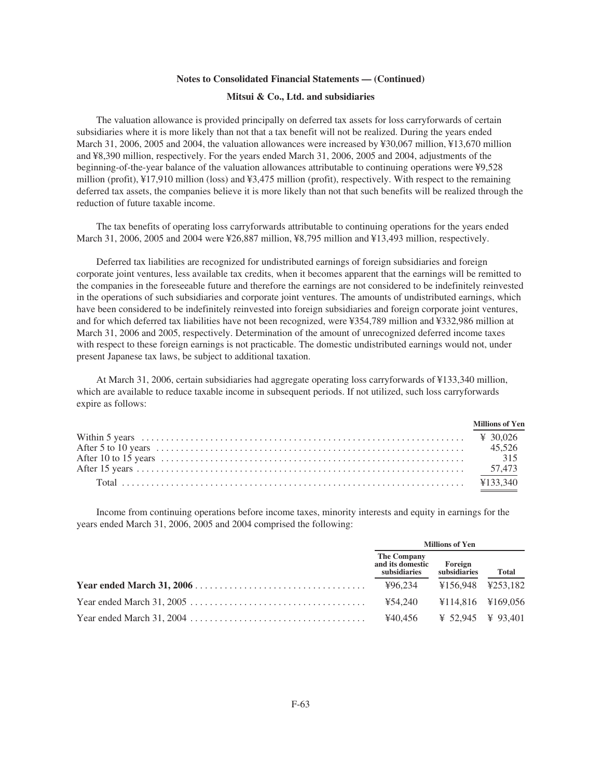#### **Mitsui & Co., Ltd. and subsidiaries**

The valuation allowance is provided principally on deferred tax assets for loss carryforwards of certain subsidiaries where it is more likely than not that a tax benefit will not be realized. During the years ended March 31, 2006, 2005 and 2004, the valuation allowances were increased by ¥30,067 million, ¥13,670 million and ¥8,390 million, respectively. For the years ended March 31, 2006, 2005 and 2004, adjustments of the beginning-of-the-year balance of the valuation allowances attributable to continuing operations were ¥9,528 million (profit), ¥17,910 million (loss) and ¥3,475 million (profit), respectively. With respect to the remaining deferred tax assets, the companies believe it is more likely than not that such benefits will be realized through the reduction of future taxable income.

The tax benefits of operating loss carryforwards attributable to continuing operations for the years ended March 31, 2006, 2005 and 2004 were ¥26,887 million, ¥8,795 million and ¥13,493 million, respectively.

Deferred tax liabilities are recognized for undistributed earnings of foreign subsidiaries and foreign corporate joint ventures, less available tax credits, when it becomes apparent that the earnings will be remitted to the companies in the foreseeable future and therefore the earnings are not considered to be indefinitely reinvested in the operations of such subsidiaries and corporate joint ventures. The amounts of undistributed earnings, which have been considered to be indefinitely reinvested into foreign subsidiaries and foreign corporate joint ventures, and for which deferred tax liabilities have not been recognized, were ¥354,789 million and ¥332,986 million at March 31, 2006 and 2005, respectively. Determination of the amount of unrecognized deferred income taxes with respect to these foreign earnings is not practicable. The domestic undistributed earnings would not, under present Japanese tax laws, be subject to additional taxation.

At March 31, 2006, certain subsidiaries had aggregate operating loss carryforwards of ¥133,340 million, which are available to reduce taxable income in subsequent periods. If not utilized, such loss carryforwards expire as follows:

|                                          | Millions of Yen |
|------------------------------------------|-----------------|
|                                          |                 |
| After 5 to 10 years (a) years (b) 45,526 |                 |
|                                          |                 |
|                                          |                 |
|                                          |                 |

Income from continuing operations before income taxes, minority interests and equity in earnings for the years ended March 31, 2006, 2005 and 2004 comprised the following:

| <b>Millions of Yen</b>                                  |                   |              |  |  |
|---------------------------------------------------------|-------------------|--------------|--|--|
| The Company<br>and its domestic Foreign<br>subsidiaries | subsidiaries      | <b>Total</b> |  |  |
| ¥96,234 ¥156,948 ¥253,182                               |                   |              |  |  |
| ¥54.240                                                 | ¥114.816 ¥169.056 |              |  |  |
| ¥40.456                                                 | ¥ 52.945 ¥ 93.401 |              |  |  |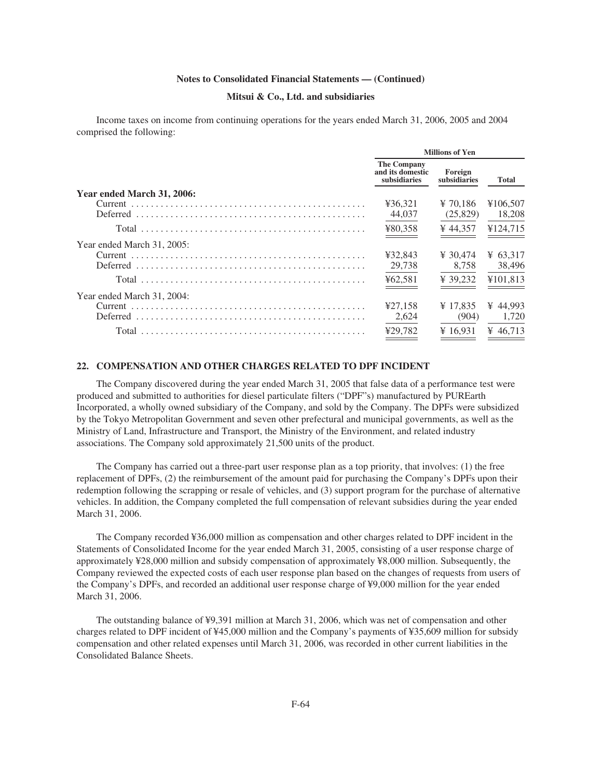#### **Mitsui & Co., Ltd. and subsidiaries**

Income taxes on income from continuing operations for the years ended March 31, 2006, 2005 and 2004 comprised the following:

|                            | <b>Millions of Yen</b>                                 |                         |          |  |  |  |
|----------------------------|--------------------------------------------------------|-------------------------|----------|--|--|--|
|                            | <b>The Company</b><br>and its domestic<br>subsidiaries | Foreign<br>subsidiaries | Total    |  |  |  |
| Year ended March 31, 2006: |                                                        |                         |          |  |  |  |
|                            | ¥36,321                                                | $\frac{1}{2}$ 70.186    | ¥106,507 |  |  |  |
| <b>Deferred</b>            | 44,037                                                 | (25,829)                | 18,208   |  |  |  |
|                            | ¥80,358                                                | ¥ 44.357                | ¥124,715 |  |  |  |
| Year ended March 31, 2005: |                                                        |                         |          |  |  |  |
|                            | ¥32.843                                                | ¥ 30.474                | ¥ 63.317 |  |  |  |
| <b>Deferred</b>            | 29,738                                                 | 8,758                   | 38,496   |  |  |  |
|                            | ¥62,581                                                | ¥ 39.232                | ¥101.813 |  |  |  |
| Year ended March 31, 2004: |                                                        |                         |          |  |  |  |
|                            | ¥27,158                                                | ¥ 17.835                | ¥ 44.993 |  |  |  |
| Deferred                   | 2,624                                                  | (904)                   | 1.720    |  |  |  |
|                            | ¥29.782                                                | ¥ 16.931                | ¥ 46.713 |  |  |  |

#### **22. COMPENSATION AND OTHER CHARGES RELATED TO DPF INCIDENT**

The Company discovered during the year ended March 31, 2005 that false data of a performance test were produced and submitted to authorities for diesel particulate filters ("DPF"s) manufactured by PUREarth Incorporated, a wholly owned subsidiary of the Company, and sold by the Company. The DPFs were subsidized by the Tokyo Metropolitan Government and seven other prefectural and municipal governments, as well as the Ministry of Land, Infrastructure and Transport, the Ministry of the Environment, and related industry associations. The Company sold approximately 21,500 units of the product.

The Company has carried out a three-part user response plan as a top priority, that involves: (1) the free replacement of DPFs, (2) the reimbursement of the amount paid for purchasing the Company's DPFs upon their redemption following the scrapping or resale of vehicles, and (3) support program for the purchase of alternative vehicles. In addition, the Company completed the full compensation of relevant subsidies during the year ended March 31, 2006.

The Company recorded ¥36,000 million as compensation and other charges related to DPF incident in the Statements of Consolidated Income for the year ended March 31, 2005, consisting of a user response charge of approximately ¥28,000 million and subsidy compensation of approximately ¥8,000 million. Subsequently, the Company reviewed the expected costs of each user response plan based on the changes of requests from users of the Company's DPFs, and recorded an additional user response charge of ¥9,000 million for the year ended March 31, 2006.

The outstanding balance of ¥9,391 million at March 31, 2006, which was net of compensation and other charges related to DPF incident of ¥45,000 million and the Company's payments of ¥35,609 million for subsidy compensation and other related expenses until March 31, 2006, was recorded in other current liabilities in the Consolidated Balance Sheets.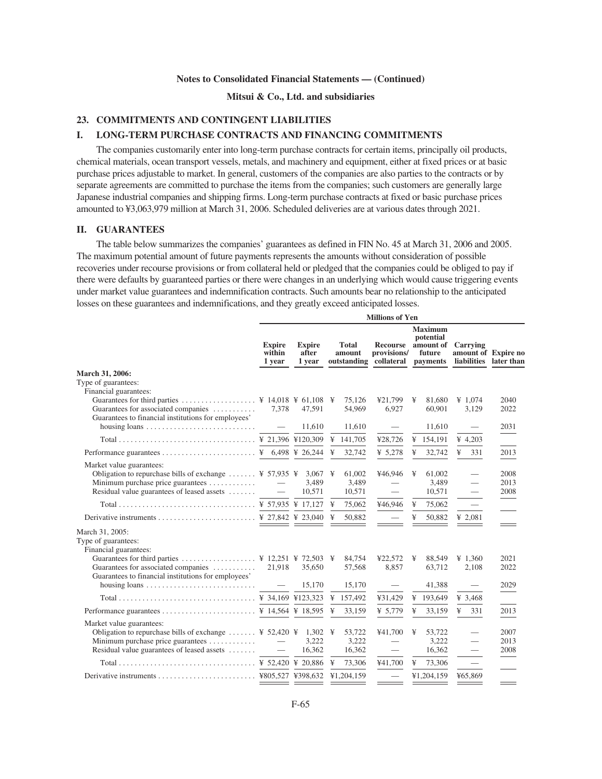#### **Mitsui & Co., Ltd. and subsidiaries**

## **23. COMMITMENTS AND CONTINGENT LIABILITIES**

# **I. LONG-TERM PURCHASE CONTRACTS AND FINANCING COMMITMENTS**

The companies customarily enter into long-term purchase contracts for certain items, principally oil products, chemical materials, ocean transport vessels, metals, and machinery and equipment, either at fixed prices or at basic purchase prices adjustable to market. In general, customers of the companies are also parties to the contracts or by separate agreements are committed to purchase the items from the companies; such customers are generally large Japanese industrial companies and shipping firms. Long-term purchase contracts at fixed or basic purchase prices amounted to ¥3,063,979 million at March 31, 2006. Scheduled deliveries are at various dates through 2021.

#### **II. GUARANTEES**

The table below summarizes the companies' guarantees as defined in FIN No. 45 at March 31, 2006 and 2005. The maximum potential amount of future payments represents the amounts without consideration of possible recoveries under recourse provisions or from collateral held or pledged that the companies could be obliged to pay if there were defaults by guaranteed parties or there were changes in an underlying which would cause triggering events under market value guarantees and indemnification contracts. Such amounts bear no relationship to the anticipated losses on these guarantees and indemnifications, and they greatly exceed anticipated losses.

|                                                                                                                                                                                                                        | <b>Millions of Yen</b>            |                                  |   |                        |                                                            |   |                                                    |                                                           |      |
|------------------------------------------------------------------------------------------------------------------------------------------------------------------------------------------------------------------------|-----------------------------------|----------------------------------|---|------------------------|------------------------------------------------------------|---|----------------------------------------------------|-----------------------------------------------------------|------|
|                                                                                                                                                                                                                        | <b>Expire</b><br>within<br>1 year | <b>Expire</b><br>after<br>1 vear |   | <b>Total</b><br>amount | Recourse<br>provisions/<br>outstanding collateral payments |   | <b>Maximum</b><br>potential<br>amount of<br>future | Carrying<br>amount of Expire no<br>liabilities later than |      |
| March 31, 2006:                                                                                                                                                                                                        |                                   |                                  |   |                        |                                                            |   |                                                    |                                                           |      |
| Type of guarantees:                                                                                                                                                                                                    |                                   |                                  |   |                        |                                                            |   |                                                    |                                                           |      |
| Financial guarantees:<br>Guarantees for third parties  ¥ 14,018 ¥ 61,108 ¥                                                                                                                                             |                                   |                                  |   | 75,126                 | ¥21,799                                                    | ¥ | 81,680                                             | ¥ 1,074                                                   | 2040 |
| Guarantees for associated companies                                                                                                                                                                                    | 7.378                             | 47.591                           |   | 54,969                 | 6,927                                                      |   | 60,901                                             | 3,129                                                     | 2022 |
| Guarantees to financial institutions for employees'                                                                                                                                                                    |                                   |                                  |   |                        |                                                            |   |                                                    |                                                           |      |
|                                                                                                                                                                                                                        |                                   | 11,610                           |   | 11,610                 |                                                            |   | 11,610                                             |                                                           | 2031 |
|                                                                                                                                                                                                                        |                                   |                                  |   | ¥ $141,705$            | ¥28,726                                                    |   | ¥ $154,191$                                        | ¥ 4,203                                                   |      |
|                                                                                                                                                                                                                        |                                   |                                  | ¥ | 32,742                 | ¥ $5,278$                                                  | ¥ | 32,742                                             | ¥<br>331                                                  | 2013 |
| Market value guarantees:                                                                                                                                                                                               |                                   |                                  |   |                        |                                                            |   |                                                    |                                                           |      |
| Obligation to repurchase bills of exchange  \ff 57,935 \ldots 3,067 \ldots \muddle 5.55 \muddle 5.55 \muddle 5.55 \muddle 5.55 \muddle 5.55 \muddle 5.55 \muddle 5.55 \muddle 5.55 \muddle 5.55 \muddle 5.55 \muddle 5 |                                   |                                  |   | 61,002                 | ¥46,946                                                    | ¥ | 61,002                                             | $\overline{\phantom{0}}$                                  | 2008 |
|                                                                                                                                                                                                                        |                                   | 3,489                            |   | 3,489                  |                                                            |   | 3,489                                              | $\overline{\phantom{0}}$                                  | 2013 |
| Residual value guarantees of leased assets                                                                                                                                                                             | $\overline{\phantom{m}}$          | 10,571                           |   | 10,571                 |                                                            |   | 10,571                                             |                                                           | 2008 |
|                                                                                                                                                                                                                        |                                   |                                  |   | 75,062                 | ¥46.946                                                    | ¥ | 75,062                                             |                                                           |      |
|                                                                                                                                                                                                                        |                                   |                                  | ¥ | 50,882                 |                                                            | ¥ | 50,882                                             | ¥ 2,081                                                   |      |
| March 31, 2005:                                                                                                                                                                                                        |                                   |                                  |   |                        |                                                            |   |                                                    |                                                           |      |
| Type of guarantees:                                                                                                                                                                                                    |                                   |                                  |   |                        |                                                            |   |                                                    |                                                           |      |
| Financial guarantees:<br>Guarantees for third parties  ¥ 12,251 ¥ 72,503 ¥                                                                                                                                             |                                   |                                  |   | 84,754                 | ¥22,572                                                    | ¥ | 88,549                                             | ¥ 1,360                                                   | 2021 |
| Guarantees for associated companies                                                                                                                                                                                    | 21,918                            | 35,650                           |   | 57,568                 | 8.857                                                      |   | 63.712                                             | 2,108                                                     | 2022 |
| Guarantees to financial institutions for employees'                                                                                                                                                                    |                                   |                                  |   |                        |                                                            |   |                                                    |                                                           |      |
| housing loans $\dots \dots \dots \dots \dots \dots \dots \dots \dots$                                                                                                                                                  | $\overline{\phantom{m}}$          | 15,170                           |   | 15,170                 |                                                            |   | 41,388                                             |                                                           | 2029 |
|                                                                                                                                                                                                                        |                                   |                                  |   |                        | ¥31,429                                                    |   | ¥ 193,649                                          | ¥ 3,468                                                   |      |
|                                                                                                                                                                                                                        |                                   |                                  |   | 33,159                 | ¥ $5,779$                                                  | ¥ | 33,159                                             | ¥<br>331                                                  | 2013 |
| Market value guarantees:                                                                                                                                                                                               |                                   |                                  |   |                        |                                                            |   |                                                    |                                                           |      |
| Obligation to repurchase bills of exchange  \? 52,420 \; 1,302 \;                                                                                                                                                      |                                   |                                  |   | 53,722                 | ¥41,700                                                    | ¥ | 53,722                                             |                                                           | 2007 |
|                                                                                                                                                                                                                        |                                   | 3,222                            |   | 3,222                  |                                                            |   | 3,222                                              | $\overline{\phantom{0}}$                                  | 2013 |
| Residual value guarantees of leased assets                                                                                                                                                                             | $\overline{\phantom{m}}$          | 16,362                           |   | 16,362                 | $\qquad \qquad -$                                          |   | 16,362                                             | $\qquad \qquad -$                                         | 2008 |
|                                                                                                                                                                                                                        |                                   |                                  |   | 73,306                 | ¥41,700                                                    | ¥ | 73,306                                             |                                                           |      |
|                                                                                                                                                                                                                        |                                   |                                  |   |                        |                                                            |   | ¥1,204,159                                         | ¥65,869                                                   |      |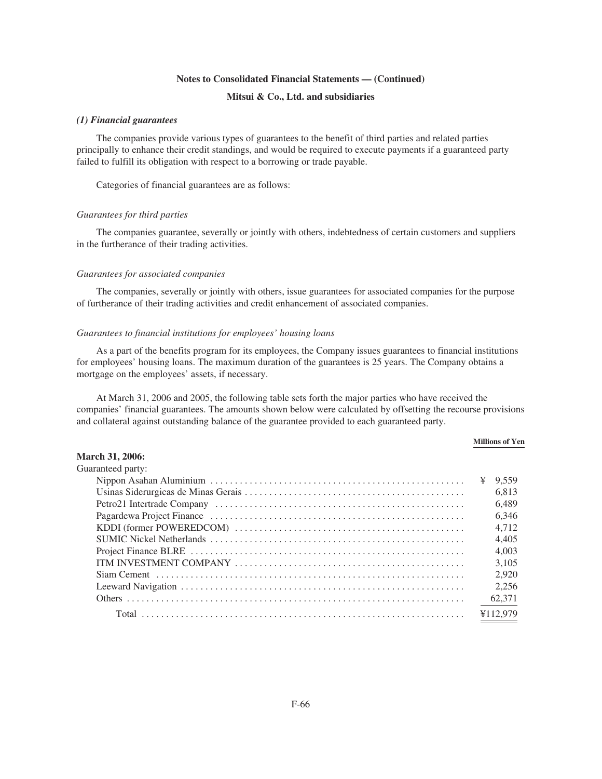# **Mitsui & Co., Ltd. and subsidiaries**

#### *(1) Financial guarantees*

The companies provide various types of guarantees to the benefit of third parties and related parties principally to enhance their credit standings, and would be required to execute payments if a guaranteed party failed to fulfill its obligation with respect to a borrowing or trade payable.

Categories of financial guarantees are as follows:

#### *Guarantees for third parties*

The companies guarantee, severally or jointly with others, indebtedness of certain customers and suppliers in the furtherance of their trading activities.

#### *Guarantees for associated companies*

The companies, severally or jointly with others, issue guarantees for associated companies for the purpose of furtherance of their trading activities and credit enhancement of associated companies.

#### *Guarantees to financial institutions for employees' housing loans*

As a part of the benefits program for its employees, the Company issues guarantees to financial institutions for employees' housing loans. The maximum duration of the guarantees is 25 years. The Company obtains a mortgage on the employees' assets, if necessary.

At March 31, 2006 and 2005, the following table sets forth the major parties who have received the companies' financial guarantees. The amounts shown below were calculated by offsetting the recourse provisions and collateral against outstanding balance of the guarantee provided to each guaranteed party.

#### **Millions of Yen**

# **March 31, 2006:**

| Guaranteed party: |           |
|-------------------|-----------|
|                   | ¥ $9.559$ |
|                   | 6.813     |
|                   | 6.489     |
|                   | 6,346     |
|                   | 4.712     |
|                   | 4.405     |
|                   | 4.003     |
|                   | 3.105     |
|                   | 2.920     |
|                   | 2.256     |
|                   | 62,371    |
| Total             | ¥112,979  |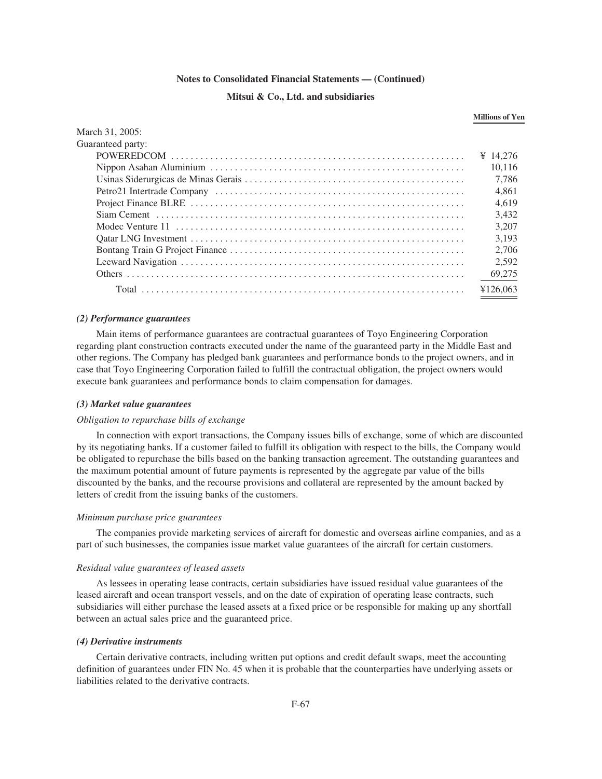## **Mitsui & Co., Ltd. and subsidiaries**

#### **Millions of Yen**

| March 31, 2005:   |          |
|-------------------|----------|
| Guaranteed party: |          |
|                   | ¥ 14.276 |
|                   | 10.116   |
|                   | 7.786    |
|                   | 4.861    |
|                   | 4.619    |
|                   | 3.432    |
|                   | 3.207    |
|                   | 3.193    |
|                   | 2.706    |
|                   | 2.592    |
|                   | 69,275   |
|                   | ¥126,063 |

#### *(2) Performance guarantees*

Main items of performance guarantees are contractual guarantees of Toyo Engineering Corporation regarding plant construction contracts executed under the name of the guaranteed party in the Middle East and other regions. The Company has pledged bank guarantees and performance bonds to the project owners, and in case that Toyo Engineering Corporation failed to fulfill the contractual obligation, the project owners would execute bank guarantees and performance bonds to claim compensation for damages.

### *(3) Market value guarantees*

#### *Obligation to repurchase bills of exchange*

In connection with export transactions, the Company issues bills of exchange, some of which are discounted by its negotiating banks. If a customer failed to fulfill its obligation with respect to the bills, the Company would be obligated to repurchase the bills based on the banking transaction agreement. The outstanding guarantees and the maximum potential amount of future payments is represented by the aggregate par value of the bills discounted by the banks, and the recourse provisions and collateral are represented by the amount backed by letters of credit from the issuing banks of the customers.

#### *Minimum purchase price guarantees*

The companies provide marketing services of aircraft for domestic and overseas airline companies, and as a part of such businesses, the companies issue market value guarantees of the aircraft for certain customers.

#### *Residual value guarantees of leased assets*

As lessees in operating lease contracts, certain subsidiaries have issued residual value guarantees of the leased aircraft and ocean transport vessels, and on the date of expiration of operating lease contracts, such subsidiaries will either purchase the leased assets at a fixed price or be responsible for making up any shortfall between an actual sales price and the guaranteed price.

#### *(4) Derivative instruments*

Certain derivative contracts, including written put options and credit default swaps, meet the accounting definition of guarantees under FIN No. 45 when it is probable that the counterparties have underlying assets or liabilities related to the derivative contracts.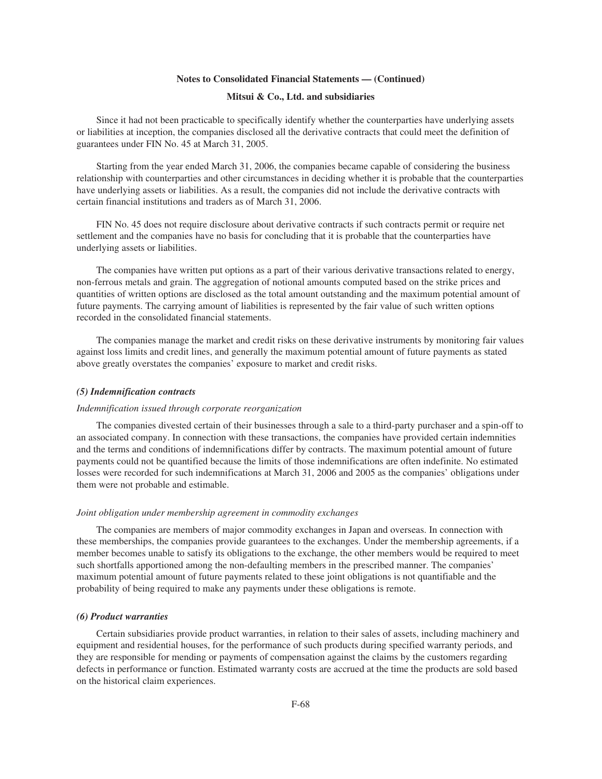## **Mitsui & Co., Ltd. and subsidiaries**

Since it had not been practicable to specifically identify whether the counterparties have underlying assets or liabilities at inception, the companies disclosed all the derivative contracts that could meet the definition of guarantees under FIN No. 45 at March 31, 2005.

Starting from the year ended March 31, 2006, the companies became capable of considering the business relationship with counterparties and other circumstances in deciding whether it is probable that the counterparties have underlying assets or liabilities. As a result, the companies did not include the derivative contracts with certain financial institutions and traders as of March 31, 2006.

FIN No. 45 does not require disclosure about derivative contracts if such contracts permit or require net settlement and the companies have no basis for concluding that it is probable that the counterparties have underlying assets or liabilities.

The companies have written put options as a part of their various derivative transactions related to energy, non-ferrous metals and grain. The aggregation of notional amounts computed based on the strike prices and quantities of written options are disclosed as the total amount outstanding and the maximum potential amount of future payments. The carrying amount of liabilities is represented by the fair value of such written options recorded in the consolidated financial statements.

The companies manage the market and credit risks on these derivative instruments by monitoring fair values against loss limits and credit lines, and generally the maximum potential amount of future payments as stated above greatly overstates the companies' exposure to market and credit risks.

#### *(5) Indemnification contracts*

#### *Indemnification issued through corporate reorganization*

The companies divested certain of their businesses through a sale to a third-party purchaser and a spin-off to an associated company. In connection with these transactions, the companies have provided certain indemnities and the terms and conditions of indemnifications differ by contracts. The maximum potential amount of future payments could not be quantified because the limits of those indemnifications are often indefinite. No estimated losses were recorded for such indemnifications at March 31, 2006 and 2005 as the companies' obligations under them were not probable and estimable.

#### *Joint obligation under membership agreement in commodity exchanges*

The companies are members of major commodity exchanges in Japan and overseas. In connection with these memberships, the companies provide guarantees to the exchanges. Under the membership agreements, if a member becomes unable to satisfy its obligations to the exchange, the other members would be required to meet such shortfalls apportioned among the non-defaulting members in the prescribed manner. The companies' maximum potential amount of future payments related to these joint obligations is not quantifiable and the probability of being required to make any payments under these obligations is remote.

#### *(6) Product warranties*

Certain subsidiaries provide product warranties, in relation to their sales of assets, including machinery and equipment and residential houses, for the performance of such products during specified warranty periods, and they are responsible for mending or payments of compensation against the claims by the customers regarding defects in performance or function. Estimated warranty costs are accrued at the time the products are sold based on the historical claim experiences.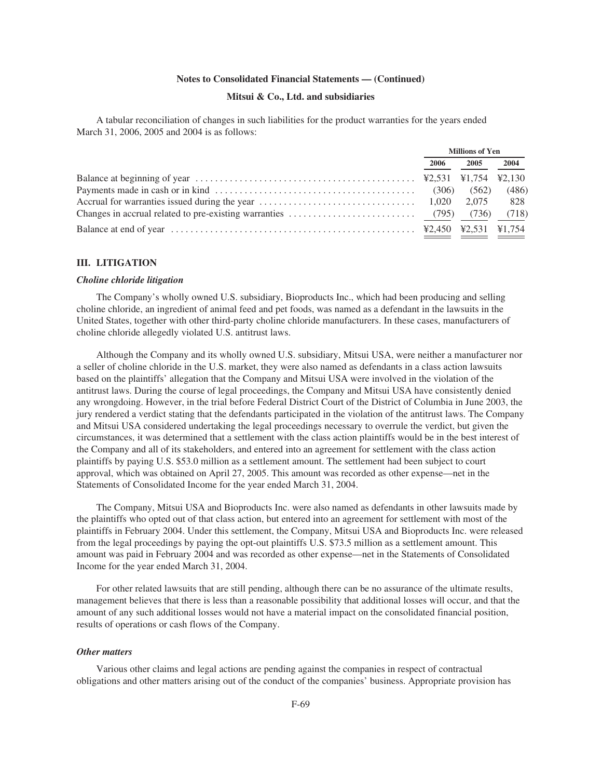## **Mitsui & Co., Ltd. and subsidiaries**

A tabular reconciliation of changes in such liabilities for the product warranties for the years ended March 31, 2006, 2005 and 2004 is as follows:

|                                                                                                                                                      |       | <b>Millions of Yen</b> |       |
|------------------------------------------------------------------------------------------------------------------------------------------------------|-------|------------------------|-------|
|                                                                                                                                                      | 2006  | 2005                   | 2004  |
| Balance at beginning of year $\dots \dots \dots \dots \dots \dots \dots \dots \dots \dots \dots \dots$ $\text{Y2,531 } \text{Y1,754 } \text{Y2,130}$ |       |                        |       |
|                                                                                                                                                      | (306) | (562)                  | (486) |
|                                                                                                                                                      |       |                        | 828   |
|                                                                                                                                                      |       |                        | (718) |
|                                                                                                                                                      |       |                        |       |

## **III. LITIGATION**

### *Choline chloride litigation*

The Company's wholly owned U.S. subsidiary, Bioproducts Inc., which had been producing and selling choline chloride, an ingredient of animal feed and pet foods, was named as a defendant in the lawsuits in the United States, together with other third-party choline chloride manufacturers. In these cases, manufacturers of choline chloride allegedly violated U.S. antitrust laws.

Although the Company and its wholly owned U.S. subsidiary, Mitsui USA, were neither a manufacturer nor a seller of choline chloride in the U.S. market, they were also named as defendants in a class action lawsuits based on the plaintiffs' allegation that the Company and Mitsui USA were involved in the violation of the antitrust laws. During the course of legal proceedings, the Company and Mitsui USA have consistently denied any wrongdoing. However, in the trial before Federal District Court of the District of Columbia in June 2003, the jury rendered a verdict stating that the defendants participated in the violation of the antitrust laws. The Company and Mitsui USA considered undertaking the legal proceedings necessary to overrule the verdict, but given the circumstances, it was determined that a settlement with the class action plaintiffs would be in the best interest of the Company and all of its stakeholders, and entered into an agreement for settlement with the class action plaintiffs by paying U.S. \$53.0 million as a settlement amount. The settlement had been subject to court approval, which was obtained on April 27, 2005. This amount was recorded as other expense—net in the Statements of Consolidated Income for the year ended March 31, 2004.

The Company, Mitsui USA and Bioproducts Inc. were also named as defendants in other lawsuits made by the plaintiffs who opted out of that class action, but entered into an agreement for settlement with most of the plaintiffs in February 2004. Under this settlement, the Company, Mitsui USA and Bioproducts Inc. were released from the legal proceedings by paying the opt-out plaintiffs U.S. \$73.5 million as a settlement amount. This amount was paid in February 2004 and was recorded as other expense—net in the Statements of Consolidated Income for the year ended March 31, 2004.

For other related lawsuits that are still pending, although there can be no assurance of the ultimate results, management believes that there is less than a reasonable possibility that additional losses will occur, and that the amount of any such additional losses would not have a material impact on the consolidated financial position, results of operations or cash flows of the Company.

#### *Other matters*

Various other claims and legal actions are pending against the companies in respect of contractual obligations and other matters arising out of the conduct of the companies' business. Appropriate provision has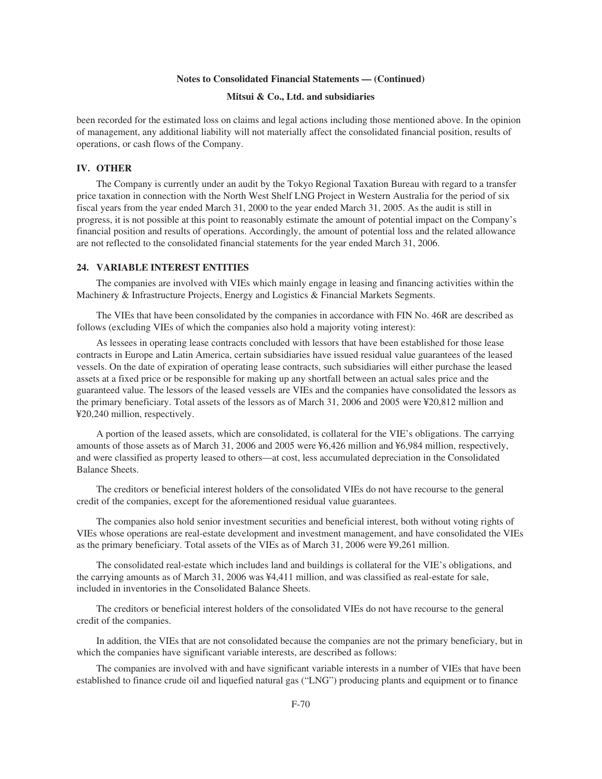## **Mitsui & Co., Ltd. and subsidiaries**

been recorded for the estimated loss on claims and legal actions including those mentioned above. In the opinion of management, any additional liability will not materially affect the consolidated financial position, results of operations, or cash flows of the Company.

## **IV. OTHER**

The Company is currently under an audit by the Tokyo Regional Taxation Bureau with regard to a transfer price taxation in connection with the North West Shelf LNG Project in Western Australia for the period of six fiscal years from the year ended March 31, 2000 to the year ended March 31, 2005. As the audit is still in progress, it is not possible at this point to reasonably estimate the amount of potential impact on the Company's financial position and results of operations. Accordingly, the amount of potential loss and the related allowance are not reflected to the consolidated financial statements for the year ended March 31, 2006.

### **24. VARIABLE INTEREST ENTITIES**

The companies are involved with VIEs which mainly engage in leasing and financing activities within the Machinery & Infrastructure Projects, Energy and Logistics & Financial Markets Segments.

The VIEs that have been consolidated by the companies in accordance with FIN No. 46R are described as follows (excluding VIEs of which the companies also hold a majority voting interest):

As lessees in operating lease contracts concluded with lessors that have been established for those lease contracts in Europe and Latin America, certain subsidiaries have issued residual value guarantees of the leased vessels. On the date of expiration of operating lease contracts, such subsidiaries will either purchase the leased assets at a fixed price or be responsible for making up any shortfall between an actual sales price and the guaranteed value. The lessors of the leased vessels are VIEs and the companies have consolidated the lessors as the primary beneficiary. Total assets of the lessors as of March 31, 2006 and 2005 were ¥20,812 million and ¥20,240 million, respectively.

A portion of the leased assets, which are consolidated, is collateral for the VIE's obligations. The carrying amounts of those assets as of March 31, 2006 and 2005 were ¥6,426 million and ¥6,984 million, respectively, and were classified as property leased to others—at cost, less accumulated depreciation in the Consolidated Balance Sheets.

The creditors or beneficial interest holders of the consolidated VIEs do not have recourse to the general credit of the companies, except for the aforementioned residual value guarantees.

The companies also hold senior investment securities and beneficial interest, both without voting rights of VIEs whose operations are real-estate development and investment management, and have consolidated the VIEs as the primary beneficiary. Total assets of the VIEs as of March 31, 2006 were ¥9,261 million.

The consolidated real-estate which includes land and buildings is collateral for the VIE's obligations, and the carrying amounts as of March 31, 2006 was ¥4,411 million, and was classified as real-estate for sale, included in inventories in the Consolidated Balance Sheets.

The creditors or beneficial interest holders of the consolidated VIEs do not have recourse to the general credit of the companies.

In addition, the VIEs that are not consolidated because the companies are not the primary beneficiary, but in which the companies have significant variable interests, are described as follows:

The companies are involved with and have significant variable interests in a number of VIEs that have been established to finance crude oil and liquefied natural gas ("LNG") producing plants and equipment or to finance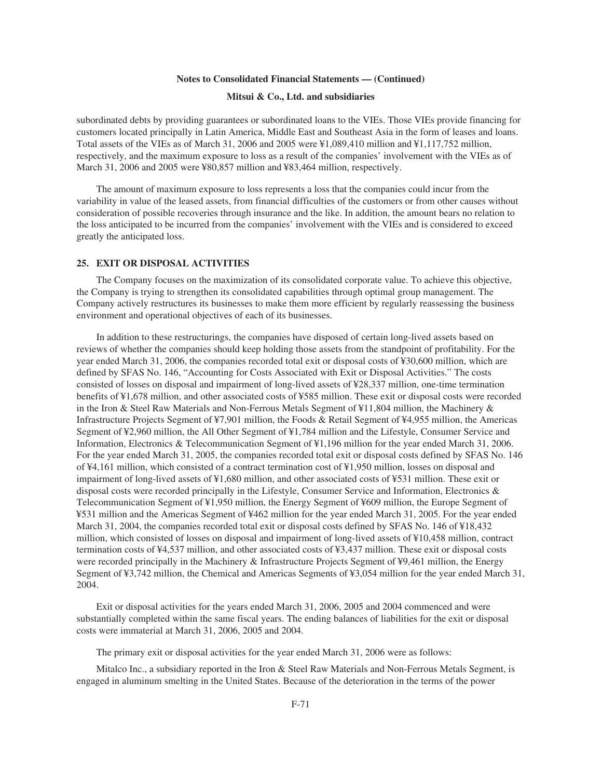### **Mitsui & Co., Ltd. and subsidiaries**

subordinated debts by providing guarantees or subordinated loans to the VIEs. Those VIEs provide financing for customers located principally in Latin America, Middle East and Southeast Asia in the form of leases and loans. Total assets of the VIEs as of March 31, 2006 and 2005 were ¥1,089,410 million and ¥1,117,752 million, respectively, and the maximum exposure to loss as a result of the companies' involvement with the VIEs as of March 31, 2006 and 2005 were ¥80,857 million and ¥83,464 million, respectively.

The amount of maximum exposure to loss represents a loss that the companies could incur from the variability in value of the leased assets, from financial difficulties of the customers or from other causes without consideration of possible recoveries through insurance and the like. In addition, the amount bears no relation to the loss anticipated to be incurred from the companies' involvement with the VIEs and is considered to exceed greatly the anticipated loss.

### **25. EXIT OR DISPOSAL ACTIVITIES**

The Company focuses on the maximization of its consolidated corporate value. To achieve this objective, the Company is trying to strengthen its consolidated capabilities through optimal group management. The Company actively restructures its businesses to make them more efficient by regularly reassessing the business environment and operational objectives of each of its businesses.

In addition to these restructurings, the companies have disposed of certain long-lived assets based on reviews of whether the companies should keep holding those assets from the standpoint of profitability. For the year ended March 31, 2006, the companies recorded total exit or disposal costs of ¥30,600 million, which are defined by SFAS No. 146, "Accounting for Costs Associated with Exit or Disposal Activities." The costs consisted of losses on disposal and impairment of long-lived assets of ¥28,337 million, one-time termination benefits of ¥1,678 million, and other associated costs of ¥585 million. These exit or disposal costs were recorded in the Iron & Steel Raw Materials and Non-Ferrous Metals Segment of ¥11,804 million, the Machinery & Infrastructure Projects Segment of ¥7,901 million, the Foods & Retail Segment of ¥4,955 million, the Americas Segment of ¥2,960 million, the All Other Segment of ¥1,784 million and the Lifestyle, Consumer Service and Information, Electronics & Telecommunication Segment of ¥1,196 million for the year ended March 31, 2006. For the year ended March 31, 2005, the companies recorded total exit or disposal costs defined by SFAS No. 146 of ¥4,161 million, which consisted of a contract termination cost of ¥1,950 million, losses on disposal and impairment of long-lived assets of ¥1,680 million, and other associated costs of ¥531 million. These exit or disposal costs were recorded principally in the Lifestyle, Consumer Service and Information, Electronics & Telecommunication Segment of ¥1,950 million, the Energy Segment of ¥609 million, the Europe Segment of ¥531 million and the Americas Segment of ¥462 million for the year ended March 31, 2005. For the year ended March 31, 2004, the companies recorded total exit or disposal costs defined by SFAS No. 146 of ¥18,432 million, which consisted of losses on disposal and impairment of long-lived assets of ¥10,458 million, contract termination costs of ¥4,537 million, and other associated costs of ¥3,437 million. These exit or disposal costs were recorded principally in the Machinery & Infrastructure Projects Segment of ¥9,461 million, the Energy Segment of ¥3,742 million, the Chemical and Americas Segments of ¥3,054 million for the year ended March 31, 2004.

Exit or disposal activities for the years ended March 31, 2006, 2005 and 2004 commenced and were substantially completed within the same fiscal years. The ending balances of liabilities for the exit or disposal costs were immaterial at March 31, 2006, 2005 and 2004.

The primary exit or disposal activities for the year ended March 31, 2006 were as follows:

Mitalco Inc., a subsidiary reported in the Iron & Steel Raw Materials and Non-Ferrous Metals Segment, is engaged in aluminum smelting in the United States. Because of the deterioration in the terms of the power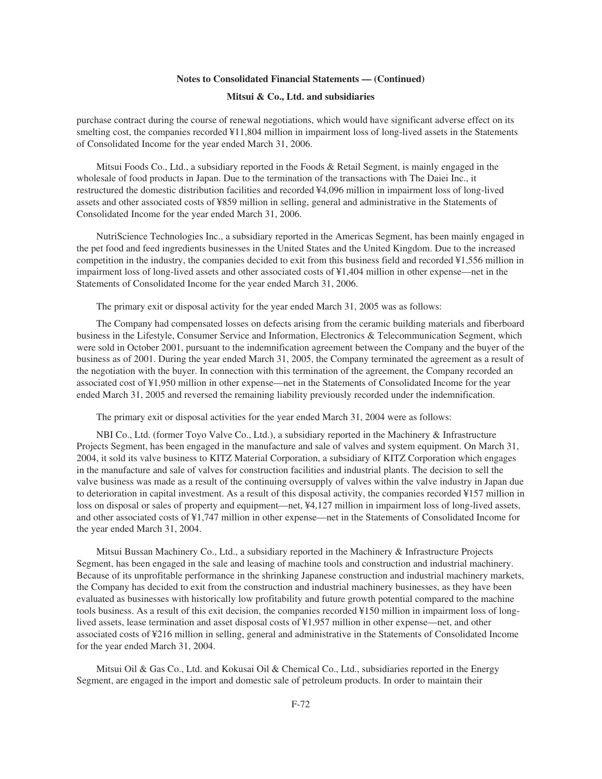### **Mitsui & Co., Ltd. and subsidiaries**

purchase contract during the course of renewal negotiations, which would have significant adverse effect on its smelting cost, the companies recorded ¥11,804 million in impairment loss of long-lived assets in the Statements of Consolidated Income for the year ended March 31, 2006.

Mitsui Foods Co., Ltd., a subsidiary reported in the Foods & Retail Segment, is mainly engaged in the wholesale of food products in Japan. Due to the termination of the transactions with The Daiei Inc., it restructured the domestic distribution facilities and recorded ¥4,096 million in impairment loss of long-lived assets and other associated costs of ¥859 million in selling, general and administrative in the Statements of Consolidated Income for the year ended March 31, 2006.

NutriScience Technologies Inc., a subsidiary reported in the Americas Segment, has been mainly engaged in the pet food and feed ingredients businesses in the United States and the United Kingdom. Due to the increased competition in the industry, the companies decided to exit from this business field and recorded ¥1,556 million in impairment loss of long-lived assets and other associated costs of ¥1,404 million in other expense—net in the Statements of Consolidated Income for the year ended March 31, 2006.

The primary exit or disposal activity for the year ended March 31, 2005 was as follows:

The Company had compensated losses on defects arising from the ceramic building materials and fiberboard business in the Lifestyle, Consumer Service and Information, Electronics & Telecommunication Segment, which were sold in October 2001, pursuant to the indemnification agreement between the Company and the buyer of the business as of 2001. During the year ended March 31, 2005, the Company terminated the agreement as a result of the negotiation with the buyer. In connection with this termination of the agreement, the Company recorded an associated cost of ¥1,950 million in other expense—net in the Statements of Consolidated Income for the year ended March 31, 2005 and reversed the remaining liability previously recorded under the indemnification.

The primary exit or disposal activities for the year ended March 31, 2004 were as follows:

NBI Co., Ltd. (former Toyo Valve Co., Ltd.), a subsidiary reported in the Machinery & Infrastructure Projects Segment, has been engaged in the manufacture and sale of valves and system equipment. On March 31, 2004, it sold its valve business to KITZ Material Corporation, a subsidiary of KITZ Corporation which engages in the manufacture and sale of valves for construction facilities and industrial plants. The decision to sell the valve business was made as a result of the continuing oversupply of valves within the valve industry in Japan due to deterioration in capital investment. As a result of this disposal activity, the companies recorded ¥157 million in loss on disposal or sales of property and equipment—net, ¥4,127 million in impairment loss of long-lived assets, and other associated costs of ¥1,747 million in other expense—net in the Statements of Consolidated Income for the year ended March 31, 2004.

Mitsui Bussan Machinery Co., Ltd., a subsidiary reported in the Machinery & Infrastructure Projects Segment, has been engaged in the sale and leasing of machine tools and construction and industrial machinery. Because of its unprofitable performance in the shrinking Japanese construction and industrial machinery markets, the Company has decided to exit from the construction and industrial machinery businesses, as they have been evaluated as businesses with historically low profitability and future growth potential compared to the machine tools business. As a result of this exit decision, the companies recorded ¥150 million in impairment loss of longlived assets, lease termination and asset disposal costs of ¥1,957 million in other expense—net, and other associated costs of ¥216 million in selling, general and administrative in the Statements of Consolidated Income for the year ended March 31, 2004.

Mitsui Oil & Gas Co., Ltd. and Kokusai Oil & Chemical Co., Ltd., subsidiaries reported in the Energy Segment, are engaged in the import and domestic sale of petroleum products. In order to maintain their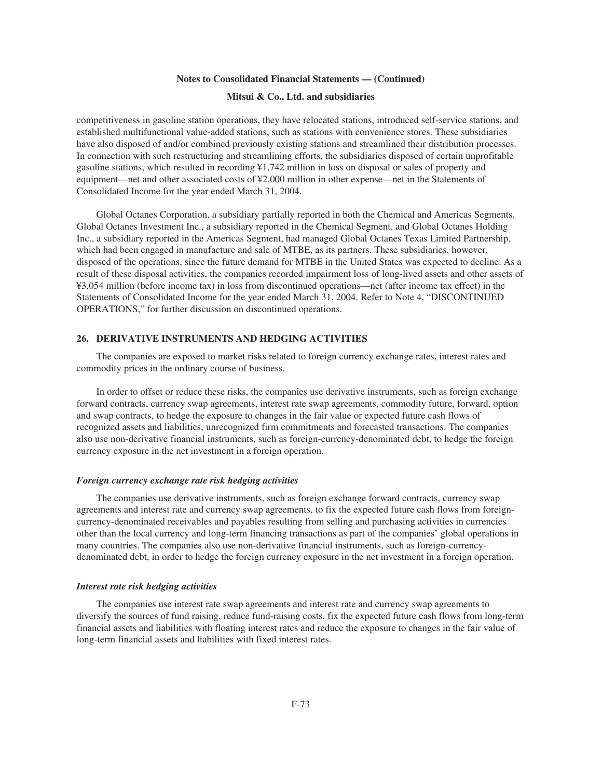### **Mitsui & Co., Ltd. and subsidiaries**

competitiveness in gasoline station operations, they have relocated stations, introduced self-service stations, and established multifunctional value-added stations, such as stations with convenience stores. These subsidiaries have also disposed of and/or combined previously existing stations and streamlined their distribution processes. In connection with such restructuring and streamlining efforts, the subsidiaries disposed of certain unprofitable gasoline stations, which resulted in recording ¥1,742 million in loss on disposal or sales of property and equipment—net and other associated costs of ¥2,000 million in other expense—net in the Statements of Consolidated Income for the year ended March 31, 2004.

Global Octanes Corporation, a subsidiary partially reported in both the Chemical and Americas Segments, Global Octanes Investment Inc., a subsidiary reported in the Chemical Segment, and Global Octanes Holding Inc., a subsidiary reported in the Americas Segment, had managed Global Octanes Texas Limited Partnership, which had been engaged in manufacture and sale of MTBE, as its partners. These subsidiaries, however, disposed of the operations, since the future demand for MTBE in the United States was expected to decline. As a result of these disposal activities, the companies recorded impairment loss of long-lived assets and other assets of ¥3,054 million (before income tax) in loss from discontinued operations—net (after income tax effect) in the Statements of Consolidated Income for the year ended March 31, 2004. Refer to Note 4, "DISCONTINUED OPERATIONS," for further discussion on discontinued operations.

### **26. DERIVATIVE INSTRUMENTS AND HEDGING ACTIVITIES**

The companies are exposed to market risks related to foreign currency exchange rates, interest rates and commodity prices in the ordinary course of business.

In order to offset or reduce these risks, the companies use derivative instruments, such as foreign exchange forward contracts, currency swap agreements, interest rate swap agreements, commodity future, forward, option and swap contracts, to hedge the exposure to changes in the fair value or expected future cash flows of recognized assets and liabilities, unrecognized firm commitments and forecasted transactions. The companies also use non-derivative financial instruments, such as foreign-currency-denominated debt, to hedge the foreign currency exposure in the net investment in a foreign operation.

#### *Foreign currency exchange rate risk hedging activities*

The companies use derivative instruments, such as foreign exchange forward contracts, currency swap agreements and interest rate and currency swap agreements, to fix the expected future cash flows from foreigncurrency-denominated receivables and payables resulting from selling and purchasing activities in currencies other than the local currency and long-term financing transactions as part of the companies' global operations in many countries. The companies also use non-derivative financial instruments, such as foreign-currencydenominated debt, in order to hedge the foreign currency exposure in the net investment in a foreign operation.

#### *Interest rate risk hedging activities*

The companies use interest rate swap agreements and interest rate and currency swap agreements to diversify the sources of fund raising, reduce fund-raising costs, fix the expected future cash flows from long-term financial assets and liabilities with floating interest rates and reduce the exposure to changes in the fair value of long-term financial assets and liabilities with fixed interest rates.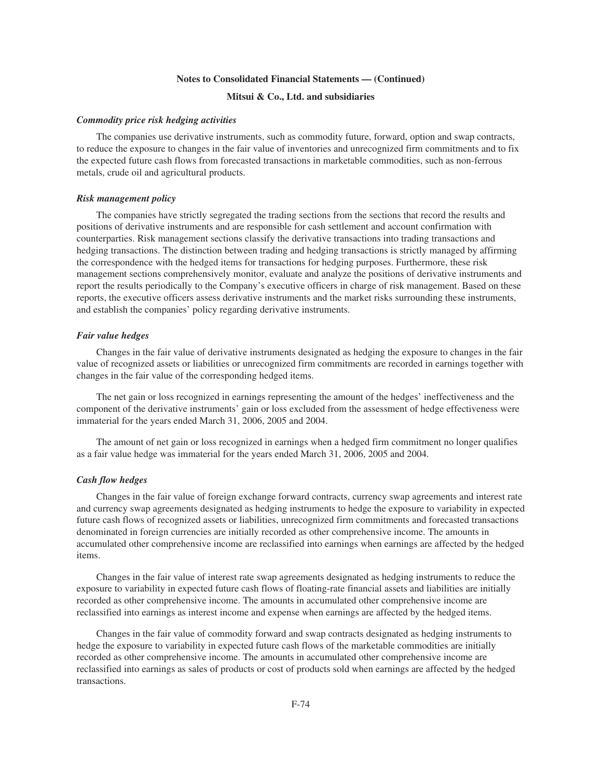## **Mitsui & Co., Ltd. and subsidiaries**

#### *Commodity price risk hedging activities*

The companies use derivative instruments, such as commodity future, forward, option and swap contracts, to reduce the exposure to changes in the fair value of inventories and unrecognized firm commitments and to fix the expected future cash flows from forecasted transactions in marketable commodities, such as non-ferrous metals, crude oil and agricultural products.

#### *Risk management policy*

The companies have strictly segregated the trading sections from the sections that record the results and positions of derivative instruments and are responsible for cash settlement and account confirmation with counterparties. Risk management sections classify the derivative transactions into trading transactions and hedging transactions. The distinction between trading and hedging transactions is strictly managed by affirming the correspondence with the hedged items for transactions for hedging purposes. Furthermore, these risk management sections comprehensively monitor, evaluate and analyze the positions of derivative instruments and report the results periodically to the Company's executive officers in charge of risk management. Based on these reports, the executive officers assess derivative instruments and the market risks surrounding these instruments, and establish the companies' policy regarding derivative instruments.

## *Fair value hedges*

Changes in the fair value of derivative instruments designated as hedging the exposure to changes in the fair value of recognized assets or liabilities or unrecognized firm commitments are recorded in earnings together with changes in the fair value of the corresponding hedged items.

The net gain or loss recognized in earnings representing the amount of the hedges' ineffectiveness and the component of the derivative instruments' gain or loss excluded from the assessment of hedge effectiveness were immaterial for the years ended March 31, 2006, 2005 and 2004.

The amount of net gain or loss recognized in earnings when a hedged firm commitment no longer qualifies as a fair value hedge was immaterial for the years ended March 31, 2006, 2005 and 2004.

## *Cash flow hedges*

Changes in the fair value of foreign exchange forward contracts, currency swap agreements and interest rate and currency swap agreements designated as hedging instruments to hedge the exposure to variability in expected future cash flows of recognized assets or liabilities, unrecognized firm commitments and forecasted transactions denominated in foreign currencies are initially recorded as other comprehensive income. The amounts in accumulated other comprehensive income are reclassified into earnings when earnings are affected by the hedged items.

Changes in the fair value of interest rate swap agreements designated as hedging instruments to reduce the exposure to variability in expected future cash flows of floating-rate financial assets and liabilities are initially recorded as other comprehensive income. The amounts in accumulated other comprehensive income are reclassified into earnings as interest income and expense when earnings are affected by the hedged items.

Changes in the fair value of commodity forward and swap contracts designated as hedging instruments to hedge the exposure to variability in expected future cash flows of the marketable commodities are initially recorded as other comprehensive income. The amounts in accumulated other comprehensive income are reclassified into earnings as sales of products or cost of products sold when earnings are affected by the hedged transactions.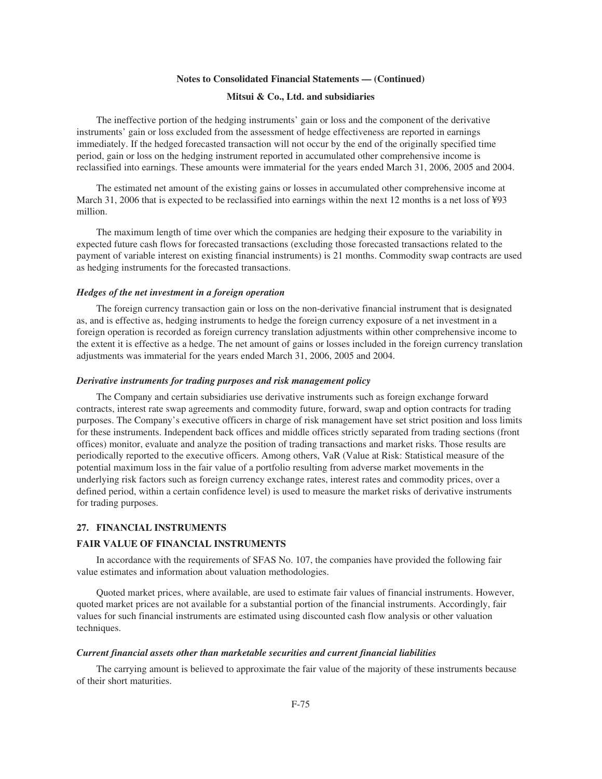### **Mitsui & Co., Ltd. and subsidiaries**

The ineffective portion of the hedging instruments' gain or loss and the component of the derivative instruments' gain or loss excluded from the assessment of hedge effectiveness are reported in earnings immediately. If the hedged forecasted transaction will not occur by the end of the originally specified time period, gain or loss on the hedging instrument reported in accumulated other comprehensive income is reclassified into earnings. These amounts were immaterial for the years ended March 31, 2006, 2005 and 2004.

The estimated net amount of the existing gains or losses in accumulated other comprehensive income at March 31, 2006 that is expected to be reclassified into earnings within the next 12 months is a net loss of ¥93 million.

The maximum length of time over which the companies are hedging their exposure to the variability in expected future cash flows for forecasted transactions (excluding those forecasted transactions related to the payment of variable interest on existing financial instruments) is 21 months. Commodity swap contracts are used as hedging instruments for the forecasted transactions.

### *Hedges of the net investment in a foreign operation*

The foreign currency transaction gain or loss on the non-derivative financial instrument that is designated as, and is effective as, hedging instruments to hedge the foreign currency exposure of a net investment in a foreign operation is recorded as foreign currency translation adjustments within other comprehensive income to the extent it is effective as a hedge. The net amount of gains or losses included in the foreign currency translation adjustments was immaterial for the years ended March 31, 2006, 2005 and 2004.

#### *Derivative instruments for trading purposes and risk management policy*

The Company and certain subsidiaries use derivative instruments such as foreign exchange forward contracts, interest rate swap agreements and commodity future, forward, swap and option contracts for trading purposes. The Company's executive officers in charge of risk management have set strict position and loss limits for these instruments. Independent back offices and middle offices strictly separated from trading sections (front offices) monitor, evaluate and analyze the position of trading transactions and market risks. Those results are periodically reported to the executive officers. Among others, VaR (Value at Risk: Statistical measure of the potential maximum loss in the fair value of a portfolio resulting from adverse market movements in the underlying risk factors such as foreign currency exchange rates, interest rates and commodity prices, over a defined period, within a certain confidence level) is used to measure the market risks of derivative instruments for trading purposes.

#### **27. FINANCIAL INSTRUMENTS**

#### **FAIR VALUE OF FINANCIAL INSTRUMENTS**

In accordance with the requirements of SFAS No. 107, the companies have provided the following fair value estimates and information about valuation methodologies.

Quoted market prices, where available, are used to estimate fair values of financial instruments. However, quoted market prices are not available for a substantial portion of the financial instruments. Accordingly, fair values for such financial instruments are estimated using discounted cash flow analysis or other valuation techniques.

#### *Current financial assets other than marketable securities and current financial liabilities*

The carrying amount is believed to approximate the fair value of the majority of these instruments because of their short maturities.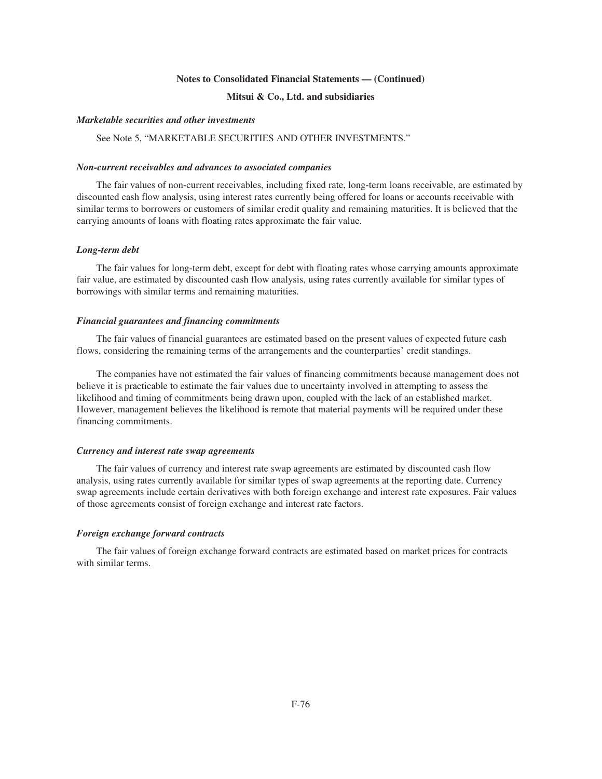## **Mitsui & Co., Ltd. and subsidiaries**

#### *Marketable securities and other investments*

## See Note 5, "MARKETABLE SECURITIES AND OTHER INVESTMENTS."

### *Non-current receivables and advances to associated companies*

The fair values of non-current receivables, including fixed rate, long-term loans receivable, are estimated by discounted cash flow analysis, using interest rates currently being offered for loans or accounts receivable with similar terms to borrowers or customers of similar credit quality and remaining maturities. It is believed that the carrying amounts of loans with floating rates approximate the fair value.

#### *Long-term debt*

The fair values for long-term debt, except for debt with floating rates whose carrying amounts approximate fair value, are estimated by discounted cash flow analysis, using rates currently available for similar types of borrowings with similar terms and remaining maturities.

#### *Financial guarantees and financing commitments*

The fair values of financial guarantees are estimated based on the present values of expected future cash flows, considering the remaining terms of the arrangements and the counterparties' credit standings.

The companies have not estimated the fair values of financing commitments because management does not believe it is practicable to estimate the fair values due to uncertainty involved in attempting to assess the likelihood and timing of commitments being drawn upon, coupled with the lack of an established market. However, management believes the likelihood is remote that material payments will be required under these financing commitments.

#### *Currency and interest rate swap agreements*

The fair values of currency and interest rate swap agreements are estimated by discounted cash flow analysis, using rates currently available for similar types of swap agreements at the reporting date. Currency swap agreements include certain derivatives with both foreign exchange and interest rate exposures. Fair values of those agreements consist of foreign exchange and interest rate factors.

#### *Foreign exchange forward contracts*

The fair values of foreign exchange forward contracts are estimated based on market prices for contracts with similar terms.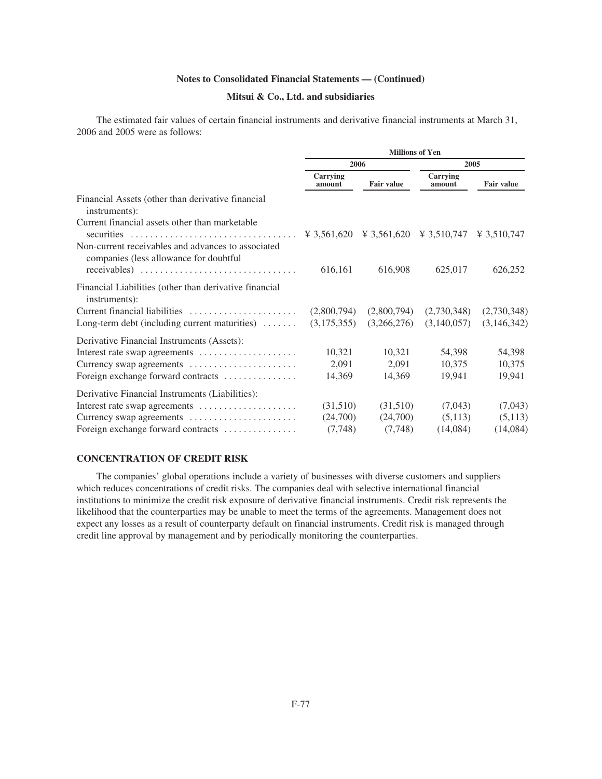## **Mitsui & Co., Ltd. and subsidiaries**

The estimated fair values of certain financial instruments and derivative financial instruments at March 31, 2006 and 2005 were as follows:

|                                                                                              | <b>Millions of Yen</b> |                   |                    |                   |  |  |  |
|----------------------------------------------------------------------------------------------|------------------------|-------------------|--------------------|-------------------|--|--|--|
|                                                                                              | 2006                   |                   | 2005               |                   |  |  |  |
|                                                                                              | Carrying<br>amount     | <b>Fair value</b> | Carrying<br>amount | <b>Fair value</b> |  |  |  |
| Financial Assets (other than derivative financial<br>instruments):                           |                        |                   |                    |                   |  |  |  |
| Current financial assets other than marketable                                               |                        |                   |                    |                   |  |  |  |
| Non-current receivables and advances to associated<br>companies (less allowance for doubtful | 616,161                | 616,908           | 625,017            | 626,252           |  |  |  |
| Financial Liabilities (other than derivative financial<br>instruments):                      |                        |                   |                    |                   |  |  |  |
| Current financial liabilities                                                                | (2,800,794)            | (2,800,794)       | (2,730,348)        | (2,730,348)       |  |  |  |
| Long-term debt (including current maturities)                                                | (3,175,355)            | (3,266,276)       | (3,140,057)        | (3,146,342)       |  |  |  |
| Derivative Financial Instruments (Assets):                                                   |                        |                   |                    |                   |  |  |  |
| Interest rate swap agreements                                                                | 10,321                 | 10,321            | 54,398             | 54,398            |  |  |  |
| Currency swap agreements                                                                     | 2,091                  | 2,091             | 10,375             | 10,375            |  |  |  |
| Foreign exchange forward contracts                                                           | 14,369                 | 14,369            | 19,941             | 19,941            |  |  |  |
| Derivative Financial Instruments (Liabilities):                                              |                        |                   |                    |                   |  |  |  |
| Interest rate swap agreements                                                                | (31,510)               | (31,510)          | (7,043)            | (7,043)           |  |  |  |
| Currency swap agreements                                                                     | (24,700)               | (24,700)          | (5,113)            | (5,113)           |  |  |  |
| Foreign exchange forward contracts                                                           | (7,748)                | (7,748)           | (14,084)           | (14,084)          |  |  |  |

## **CONCENTRATION OF CREDIT RISK**

The companies' global operations include a variety of businesses with diverse customers and suppliers which reduces concentrations of credit risks. The companies deal with selective international financial institutions to minimize the credit risk exposure of derivative financial instruments. Credit risk represents the likelihood that the counterparties may be unable to meet the terms of the agreements. Management does not expect any losses as a result of counterparty default on financial instruments. Credit risk is managed through credit line approval by management and by periodically monitoring the counterparties.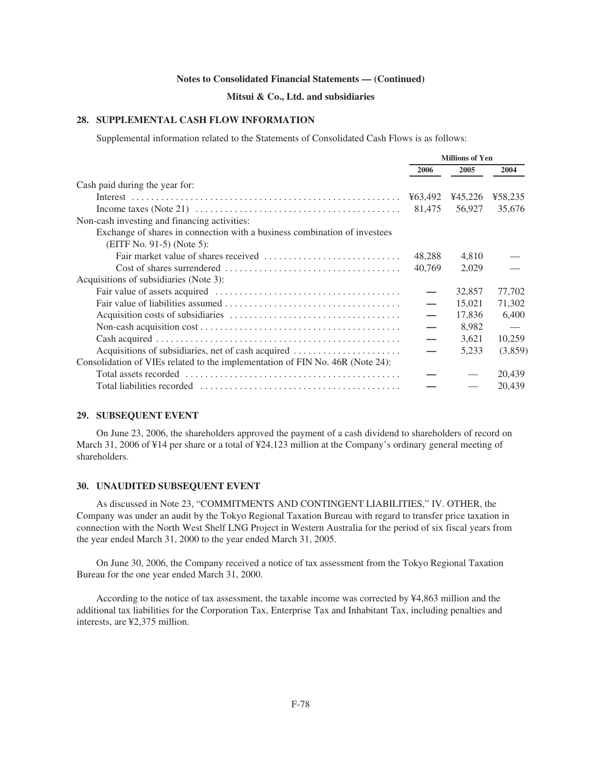## **Mitsui & Co., Ltd. and subsidiaries**

## **28. SUPPLEMENTAL CASH FLOW INFORMATION**

Supplemental information related to the Statements of Consolidated Cash Flows is as follows:

|                                                                               |         | <b>Millions of Yen</b> |         |
|-------------------------------------------------------------------------------|---------|------------------------|---------|
|                                                                               | 2006    | 2005                   | 2004    |
| Cash paid during the year for:                                                |         |                        |         |
|                                                                               | ¥63,492 | ¥45,226                | ¥58,235 |
|                                                                               | 81.475  | 56,927                 | 35,676  |
| Non-cash investing and financing activities:                                  |         |                        |         |
| Exchange of shares in connection with a business combination of investees     |         |                        |         |
| $(EITF No. 91-5)$ (Note 5):                                                   |         |                        |         |
|                                                                               | 48,288  | 4,810                  |         |
|                                                                               | 40.769  | 2,029                  |         |
| Acquisitions of subsidiaries (Note 3):                                        |         |                        |         |
|                                                                               |         | 32,857                 | 77,702  |
|                                                                               |         | 15,021                 | 71,302  |
|                                                                               |         | 17,836                 | 6.400   |
|                                                                               |         | 8.982                  |         |
|                                                                               |         | 3,621                  | 10,259  |
| Acquisitions of subsidiaries, net of cash acquired                            |         | 5,233                  | (3,859) |
| Consolidation of VIEs related to the implementation of FIN No. 46R (Note 24): |         |                        |         |
|                                                                               |         |                        | 20,439  |
|                                                                               |         |                        | 20,439  |

## **29. SUBSEQUENT EVENT**

On June 23, 2006, the shareholders approved the payment of a cash dividend to shareholders of record on March 31, 2006 of ¥14 per share or a total of ¥24,123 million at the Company's ordinary general meeting of shareholders.

## **30. UNAUDITED SUBSEQUENT EVENT**

As discussed in Note 23, "COMMITMENTS AND CONTINGENT LIABILITIES," IV. OTHER, the Company was under an audit by the Tokyo Regional Taxation Bureau with regard to transfer price taxation in connection with the North West Shelf LNG Project in Western Australia for the period of six fiscal years from the year ended March 31, 2000 to the year ended March 31, 2005.

On June 30, 2006, the Company received a notice of tax assessment from the Tokyo Regional Taxation Bureau for the one year ended March 31, 2000.

According to the notice of tax assessment, the taxable income was corrected by ¥4,863 million and the additional tax liabilities for the Corporation Tax, Enterprise Tax and Inhabitant Tax, including penalties and interests, are ¥2,375 million.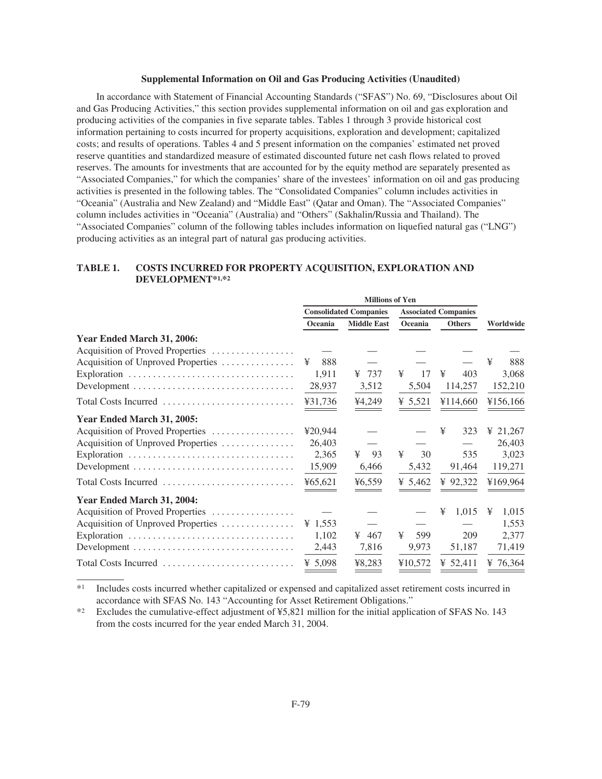### **Supplemental Information on Oil and Gas Producing Activities (Unaudited)**

In accordance with Statement of Financial Accounting Standards ("SFAS") No. 69, "Disclosures about Oil and Gas Producing Activities," this section provides supplemental information on oil and gas exploration and producing activities of the companies in five separate tables. Tables 1 through 3 provide historical cost information pertaining to costs incurred for property acquisitions, exploration and development; capitalized costs; and results of operations. Tables 4 and 5 present information on the companies' estimated net proved reserve quantities and standardized measure of estimated discounted future net cash flows related to proved reserves. The amounts for investments that are accounted for by the equity method are separately presented as "Associated Companies," for which the companies' share of the investees' information on oil and gas producing activities is presented in the following tables. The "Consolidated Companies" column includes activities in "Oceania" (Australia and New Zealand) and "Middle East" (Qatar and Oman). The "Associated Companies" column includes activities in "Oceania" (Australia) and "Others" (Sakhalin/Russia and Thailand). The "Associated Companies" column of the following tables includes information on liquefied natural gas ("LNG") producing activities as an integral part of natural gas producing activities.

## **TABLE 1. COSTS INCURRED FOR PROPERTY ACQUISITION, EXPLORATION AND DEVELOPMENT\*1,\*2**

|                                                                                 |            | <b>Millions of Yen</b>        |                             |               |            |  |  |
|---------------------------------------------------------------------------------|------------|-------------------------------|-----------------------------|---------------|------------|--|--|
|                                                                                 |            | <b>Consolidated Companies</b> | <b>Associated Companies</b> |               |            |  |  |
|                                                                                 | Oceania    | <b>Middle East</b>            | Oceania                     | <b>Others</b> | Worldwide  |  |  |
| Year Ended March 31, 2006:                                                      |            |                               |                             |               |            |  |  |
| Acquisition of Proved Properties                                                |            |                               |                             |               |            |  |  |
| Acquisition of Unproved Properties                                              | 888<br>¥   |                               |                             |               | ¥<br>888   |  |  |
|                                                                                 | 1,911      | 737<br>¥                      | ¥<br>17                     | ¥<br>403      | 3,068      |  |  |
|                                                                                 | 28,937     | 3,512                         | 5,504                       | 114,257       | 152,210    |  |  |
| Total Costs Incurred                                                            | ¥31,736    | ¥4,249                        | ¥ 5,521                     | ¥114,660      | ¥156,166   |  |  |
| Year Ended March 31, 2005:                                                      |            |                               |                             |               |            |  |  |
| Acquisition of Proved Properties                                                | ¥20,944    |                               |                             | 323<br>¥      | ¥ 21,267   |  |  |
| Acquisition of Unproved Properties                                              | 26,403     |                               |                             |               | 26,403     |  |  |
|                                                                                 | 2,365      | ¥<br>93                       | ¥<br>30                     | 535           | 3,023      |  |  |
| Development $\dots\dots\dots\dots\dots\dots\dots\dots\dots\dots\dots\dots\dots$ | 15,909     | 6,466                         | 5,432                       | 91,464        | 119,271    |  |  |
| Total Costs Incurred                                                            | ¥ $65,621$ | 46,559                        | ¥ 5,462                     | ¥ 92,322      | ¥169,964   |  |  |
| Year Ended March 31, 2004:                                                      |            |                               |                             |               |            |  |  |
| Acquisition of Proved Properties                                                |            |                               |                             | 1,015<br>¥    | 1,015<br>¥ |  |  |
| Acquisition of Unproved Properties                                              | ¥ 1,553    |                               |                             |               | 1,553      |  |  |
|                                                                                 | 1,102      | ¥<br>467                      | ¥<br>599                    | 209           | 2,377      |  |  |
|                                                                                 | 2,443      | 7,816                         | 9,973                       | 51,187        | 71,419     |  |  |
| Total Costs Incurred                                                            | ¥ 5,098    | ¥8,283                        | ¥10,572                     | ¥ 52,411      | ¥ 76,364   |  |  |

\*1 Includes costs incurred whether capitalized or expensed and capitalized asset retirement costs incurred in accordance with SFAS No. 143 "Accounting for Asset Retirement Obligations."

\*2 Excludes the cumulative-effect adjustment of ¥5,821 million for the initial application of SFAS No. 143 from the costs incurred for the year ended March 31, 2004.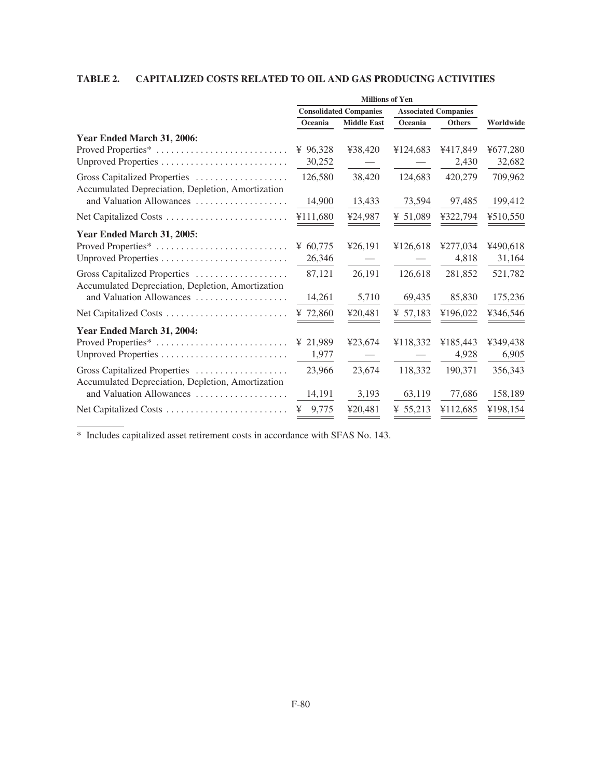## **TABLE 2. CAPITALIZED COSTS RELATED TO OIL AND GAS PRODUCING ACTIVITIES**

| <b>Millions of Yen</b>                |                               |            |                                                                                                        |
|---------------------------------------|-------------------------------|------------|--------------------------------------------------------------------------------------------------------|
| <b>Associated Companies</b>           | <b>Consolidated Companies</b> |            |                                                                                                        |
| Oceania<br>Worldwide<br><b>Others</b> | <b>Middle East</b>            | Oceania    |                                                                                                        |
|                                       |                               |            | Year Ended March 31, 2006:                                                                             |
| ¥124,683<br>¥417,849<br>¥677,280      | ¥38,420                       | ¥ $96,328$ | Proved Properties*                                                                                     |
| 2,430<br>32,682                       |                               | 30,252     |                                                                                                        |
| 124,683<br>420,279<br>709,962         | 38,420                        | 126,580    | Gross Capitalized Properties<br>Accumulated Depreciation, Depletion, Amortization                      |
| 73,594<br>97,485<br>199,412           | 13,433                        | 14,900     | and Valuation Allowances                                                                               |
| ¥ 51,089<br>¥322,794<br>¥510,550      | ¥24,987                       | ¥111,680   | Net Capitalized Costs                                                                                  |
|                                       |                               |            | Year Ended March 31, 2005:                                                                             |
| ¥126,618<br>¥277,034<br>¥490,618      | ¥26,191                       | ¥ $60,775$ | Proved Properties*                                                                                     |
| 4,818<br>31,164                       |                               | 26,346     |                                                                                                        |
| 126,618<br>281,852<br>521,782         | 26,191                        | 87,121     | Gross Capitalized Properties                                                                           |
| 85,830<br>175,236<br>69,435           | 5,710                         | 14,261     | and Valuation Allowances                                                                               |
| ¥ 57,183<br>¥196,022<br>¥346,546      | ¥20,481                       | ¥ $72,860$ |                                                                                                        |
|                                       |                               |            | Year Ended March 31, 2004:                                                                             |
| ¥349,438<br>¥118,332<br>¥185.443      | ¥23,674                       | ¥ 21,989   | Proved Properties*                                                                                     |
| 4,928<br>6,905                        |                               | 1,977      |                                                                                                        |
| 118,332<br>190,371<br>356,343         | 23,674                        | 23,966     | Gross Capitalized Properties                                                                           |
| 63,119<br>77,686<br>158,189           | 3,193                         | 14,191     | and Valuation Allowances                                                                               |
| ¥112,685<br>¥198,154<br>¥ 55,213      | ¥20,481                       | 9,775<br>¥ |                                                                                                        |
|                                       |                               |            | Accumulated Depreciation, Depletion, Amortization<br>Accumulated Depreciation, Depletion, Amortization |

\* Includes capitalized asset retirement costs in accordance with SFAS No. 143.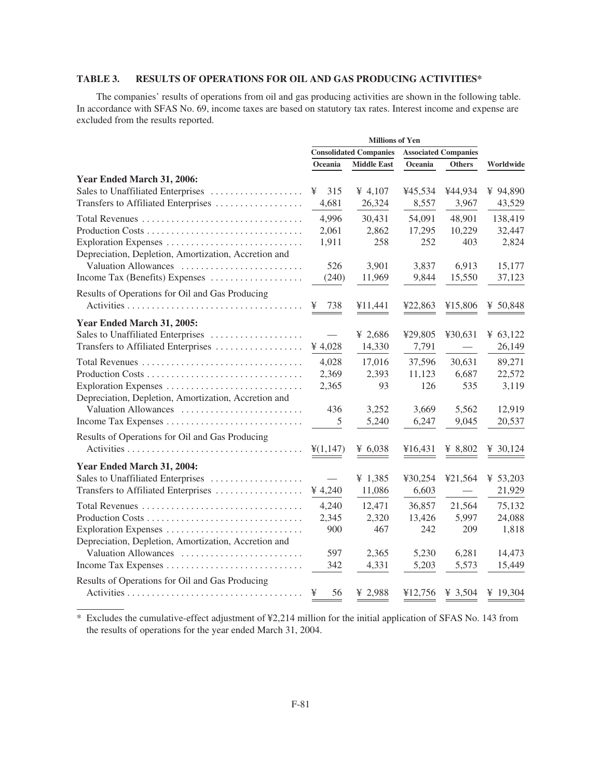## **TABLE 3. RESULTS OF OPERATIONS FOR OIL AND GAS PRODUCING ACTIVITIES\***

The companies' results of operations from oil and gas producing activities are shown in the following table. In accordance with SFAS No. 69, income taxes are based on statutory tax rates. Interest income and expense are excluded from the results reported.

|                                                      |                   | <b>Consolidated Companies</b> |         | <b>Associated Companies</b> |            |
|------------------------------------------------------|-------------------|-------------------------------|---------|-----------------------------|------------|
|                                                      | Oceania           | <b>Middle East</b>            | Oceania | <b>Others</b>               | Worldwide  |
| Year Ended March 31, 2006:                           |                   |                               |         |                             |            |
| Sales to Unaffiliated Enterprises                    | 315<br>¥          | ¥ 4,107                       | ¥45,534 | ¥44,934                     | ¥ 94,890   |
| Transfers to Affiliated Enterprises                  | 4,681             | 26,324                        | 8,557   | 3,967                       | 43,529     |
|                                                      | 4,996             | 30,431                        | 54,091  | 48,901                      | 138,419    |
| Production Costs                                     | 2,061             | 2,862                         | 17,295  | 10,229                      | 32,447     |
|                                                      | 1,911             | 258                           | 252     | 403                         | 2,824      |
| Depreciation, Depletion, Amortization, Accretion and |                   |                               |         |                             |            |
| Valuation Allowances                                 | 526               | 3,901                         | 3,837   | 6,913                       | 15,177     |
| Income Tax (Benefits) Expenses                       | (240)             | 11,969                        | 9,844   | 15,550                      | 37,123     |
| Results of Operations for Oil and Gas Producing      |                   |                               |         |                             |            |
|                                                      | 738<br>¥          | ¥11,441                       | ¥22,863 | ¥15,806                     | ¥ 50,848   |
| Year Ended March 31, 2005:                           |                   |                               |         |                             |            |
| Sales to Unaffiliated Enterprises                    |                   | ¥ 2,686                       | ¥29,805 | ¥30,631                     | ¥ $63,122$ |
| Transfers to Affiliated Enterprises                  | ¥ 4,028           | 14,330                        | 7,791   |                             | 26,149     |
|                                                      | 4,028             | 17,016                        | 37,596  | 30,631                      | 89,271     |
|                                                      | 2,369             | 2,393                         | 11,123  | 6,687                       | 22,572     |
|                                                      | 2,365             | 93                            | 126     | 535                         | 3,119      |
| Depreciation, Depletion, Amortization, Accretion and |                   |                               |         |                             |            |
| Valuation Allowances                                 | 436               | 3,252                         | 3,669   | 5,562                       | 12,919     |
|                                                      | 5                 | 5,240                         | 6,247   | 9,045                       | 20,537     |
| Results of Operations for Oil and Gas Producing      |                   |                               |         |                             |            |
|                                                      | $\frac{4}{1,147}$ | ¥ $6,038$                     | ¥16,431 | ¥ $8,802$                   | ¥ 30,124   |
| Year Ended March 31, 2004:                           |                   |                               |         |                             |            |
| Sales to Unaffiliated Enterprises                    |                   | ¥ 1,385                       | ¥30,254 | ¥21,564                     | ¥ 53,203   |
| Transfers to Affiliated Enterprises                  | ¥ 4,240           | 11,086                        | 6,603   |                             | 21,929     |
| Total Revenues                                       | 4,240             | 12,471                        | 36,857  | 21,564                      | 75,132     |
|                                                      | 2,345             | 2,320                         | 13,426  | 5,997                       | 24,088     |
| Exploration Expenses                                 | 900               | 467                           | 242     | 209                         | 1,818      |
| Depreciation, Depletion, Amortization, Accretion and |                   |                               |         |                             |            |
| Valuation Allowances                                 | 597               | 2,365                         | 5,230   | 6,281                       | 14,473     |
|                                                      | 342               | 4,331                         | 5,203   | 5,573                       | 15,449     |
| Results of Operations for Oil and Gas Producing      |                   |                               |         |                             |            |
|                                                      | ¥<br>56           | ¥ 2,988                       | ¥12,756 | ¥ 3,504                     | ¥ 19,304   |

\* Excludes the cumulative-effect adjustment of ¥2,214 million for the initial application of SFAS No. 143 from the results of operations for the year ended March 31, 2004.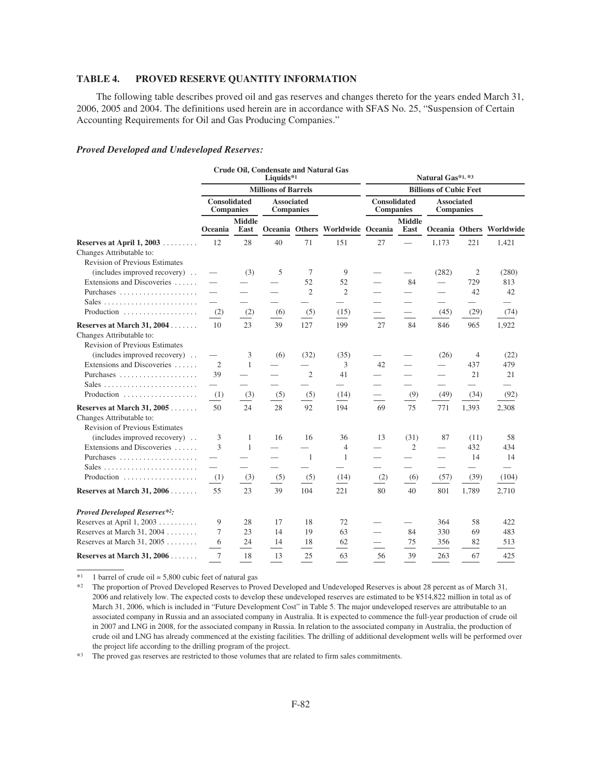## **TABLE 4. PROVED RESERVE QUANTITY INFORMATION**

The following table describes proved oil and gas reserves and changes thereto for the years ended March 31, 2006, 2005 and 2004. The definitions used herein are in accordance with SFAS No. 25, "Suspension of Certain Accounting Requirements for Oil and Gas Producing Companies."

#### *Proved Developed and Undeveloped Reserves:*

|                                                                                                   | <b>Crude Oil, Condensate and Natural Gas</b><br>Liquids*1 |                            |                                       |                | Natural Gas*1,*3                 |                                         |                               |                                |                          |                          |  |  |
|---------------------------------------------------------------------------------------------------|-----------------------------------------------------------|----------------------------|---------------------------------------|----------------|----------------------------------|-----------------------------------------|-------------------------------|--------------------------------|--------------------------|--------------------------|--|--|
|                                                                                                   |                                                           | <b>Millions of Barrels</b> |                                       |                |                                  |                                         | <b>Billions of Cubic Feet</b> |                                |                          |                          |  |  |
|                                                                                                   | <b>Consolidated</b><br><b>Companies</b>                   |                            | <b>Associated</b><br><b>Companies</b> |                |                                  | <b>Consolidated</b><br><b>Companies</b> |                               | <b>Associated</b><br>Companies |                          |                          |  |  |
|                                                                                                   | Oceania                                                   | <b>Middle</b><br>East      |                                       |                | Oceania Others Worldwide Oceania |                                         | <b>Middle</b><br>East         |                                |                          | Oceania Others Worldwide |  |  |
| Reserves at April $1, 2003$<br>Changes Attributable to:<br><b>Revision of Previous Estimates</b>  | 12                                                        | 28                         | 40                                    | 71             | 151                              | 27                                      |                               | 1,173                          | 221                      | 1,421                    |  |  |
| (includes improved recovery)                                                                      |                                                           | (3)                        | 5                                     | 7              | 9                                |                                         |                               | (282)                          | 2                        | (280)                    |  |  |
| Extensions and Discoveries                                                                        |                                                           |                            |                                       | 52             | 52                               |                                         | 84                            | $\qquad \qquad$                | 729                      | 813                      |  |  |
| Purchases                                                                                         |                                                           |                            |                                       | $\overline{2}$ | $\overline{2}$                   |                                         | $\overline{\phantom{0}}$      | $\overline{\phantom{0}}$       | 42                       | 42                       |  |  |
|                                                                                                   |                                                           | $\overline{\phantom{0}}$   | $\overline{\phantom{0}}$              |                |                                  |                                         | $\overline{\phantom{0}}$      | $\overline{\phantom{0}}$       | $\overline{\phantom{0}}$ |                          |  |  |
| Production                                                                                        | (2)                                                       | (2)                        | (6)                                   | (5)            | (15)                             |                                         |                               | (45)                           | (29)                     | (74)                     |  |  |
| Reserves at March 31, 2004                                                                        | 10                                                        | 23                         | 39                                    | 127            | 199                              | 27                                      | 84                            | 846                            | 965                      | 1,922                    |  |  |
| Changes Attributable to:<br><b>Revision of Previous Estimates</b><br>(includes improved recovery) |                                                           |                            |                                       |                |                                  |                                         |                               |                                | 4                        |                          |  |  |
| Extensions and Discoveries                                                                        | $\overline{2}$                                            | 3<br>1                     | (6)                                   | (32)           | (35)<br>3                        | 42                                      |                               | (26)                           | 437                      | (22)<br>479              |  |  |
|                                                                                                   | 39                                                        |                            |                                       | $\overline{2}$ | 41                               |                                         | $\overline{\phantom{0}}$      |                                | 21                       | 21                       |  |  |
|                                                                                                   |                                                           |                            |                                       |                |                                  |                                         |                               |                                |                          |                          |  |  |
| Production                                                                                        | (1)                                                       | (3)                        | (5)                                   | (5)            | (14)                             |                                         | (9)                           | (49)                           | (34)                     | (92)                     |  |  |
| Reserves at March 31, 2005<br>Changes Attributable to:<br><b>Revision of Previous Estimates</b>   | 50                                                        | 24                         | 28                                    | 92             | 194                              | 69                                      | 75                            | 771                            | 1,393                    | 2,308                    |  |  |
| (includes improved recovery)                                                                      | 3                                                         | 1                          | 16                                    | 16             | 36                               | 13                                      | (31)                          | 87                             | (11)                     | 58                       |  |  |
| Extensions and Discoveries                                                                        | 3                                                         | $\mathbf{1}$               |                                       |                | $\overline{4}$                   |                                         | 2                             | $\overline{\phantom{0}}$       | 432                      | 434                      |  |  |
| Purchases                                                                                         |                                                           |                            |                                       | $\overline{1}$ | 1                                |                                         |                               |                                | 14                       | 14                       |  |  |
|                                                                                                   |                                                           |                            |                                       |                |                                  |                                         | $\overline{\phantom{0}}$      | $\overline{\phantom{0}}$       | $\overline{\phantom{0}}$ |                          |  |  |
| Production                                                                                        | (1)                                                       | (3)                        | (5)                                   | (5)            | (14)                             | (2)                                     | (6)                           | (57)                           | (39)                     | (104)                    |  |  |
| Reserves at March 31, 2006                                                                        | 55                                                        | 23                         | 39                                    | 104            | 221                              | 80                                      | 40                            | 801                            | 1,789                    | 2,710                    |  |  |
| <b>Proved Developed Reserves*2:</b>                                                               |                                                           |                            |                                       |                |                                  |                                         |                               |                                |                          |                          |  |  |
| Reserves at April 1, 2003                                                                         | 9                                                         | 28                         | 17                                    | 18             | 72                               |                                         |                               | 364                            | 58                       | 422                      |  |  |
| Reserves at March 31, 2004                                                                        | 7                                                         | 23                         | 14                                    | 19             | 63                               |                                         | 84                            | 330                            | 69                       | 483                      |  |  |
| Reserves at March 31, 2005                                                                        | 6                                                         | 24                         | 14                                    | 18             | 62                               |                                         | 75                            | 356                            | 82                       | 513                      |  |  |
| Reserves at March 31, 2006                                                                        | 7                                                         | 18                         | 13                                    | 25             | 63                               | 56                                      | 39                            | 263                            | 67                       | 425                      |  |  |

 $*1$  1 barrel of crude oil = 5,800 cubic feet of natural gas

\*2 The proportion of Proved Developed Reserves to Proved Developed and Undeveloped Reserves is about 28 percent as of March 31, 2006 and relatively low. The expected costs to develop these undeveloped reserves are estimated to be ¥514,822 million in total as of March 31, 2006, which is included in "Future Development Cost" in Table 5. The major undeveloped reserves are attributable to an associated company in Russia and an associated company in Australia. It is expected to commence the full-year production of crude oil in 2007 and LNG in 2008, for the associated company in Russia. In relation to the associated company in Australia, the production of crude oil and LNG has already commenced at the existing facilities. The drilling of additional development wells will be performed over the project life according to the drilling program of the project.

\*3 The proved gas reserves are restricted to those volumes that are related to firm sales commitments.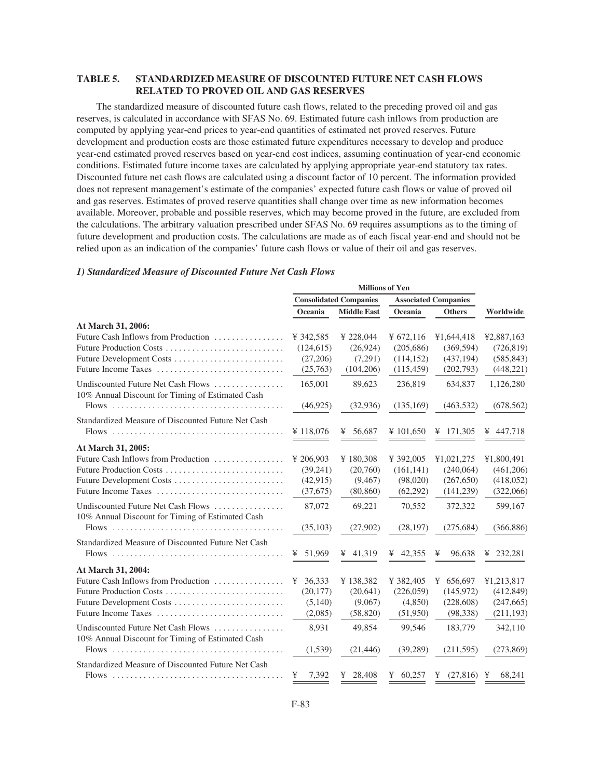## **TABLE 5. STANDARDIZED MEASURE OF DISCOUNTED FUTURE NET CASH FLOWS RELATED TO PROVED OIL AND GAS RESERVES**

The standardized measure of discounted future cash flows, related to the preceding proved oil and gas reserves, is calculated in accordance with SFAS No. 69. Estimated future cash inflows from production are computed by applying year-end prices to year-end quantities of estimated net proved reserves. Future development and production costs are those estimated future expenditures necessary to develop and produce year-end estimated proved reserves based on year-end cost indices, assuming continuation of year-end economic conditions. Estimated future income taxes are calculated by applying appropriate year-end statutory tax rates. Discounted future net cash flows are calculated using a discount factor of 10 percent. The information provided does not represent management's estimate of the companies' expected future cash flows or value of proved oil and gas reserves. Estimates of proved reserve quantities shall change over time as new information becomes available. Moreover, probable and possible reserves, which may become proved in the future, are excluded from the calculations. The arbitrary valuation prescribed under SFAS No. 69 requires assumptions as to the timing of future development and production costs. The calculations are made as of each fiscal year-end and should not be relied upon as an indication of the companies' future cash flows or value of their oil and gas reserves.

### *1) Standardized Measure of Discounted Future Net Cash Flows*

|                                                                                        |            | <b>Consolidated Companies</b> |             | <b>Associated Companies</b> |             |
|----------------------------------------------------------------------------------------|------------|-------------------------------|-------------|-----------------------------|-------------|
|                                                                                        | Oceania    | <b>Middle East</b>            | Oceania     | <b>Others</b>               | Worldwide   |
| At March 31, 2006:                                                                     |            |                               |             |                             |             |
| Future Cash Inflows from Production                                                    | ¥ 342.585  | ¥ 228,044                     | ¥ $672,116$ | ¥1,644,418                  | ¥2,887,163  |
| Future Production Costs                                                                | (124, 615) | (26,924)                      | (205, 686)  | (369, 594)                  | (726, 819)  |
| Future Development Costs                                                               | (27,206)   | (7,291)                       | (114, 152)  | (437, 194)                  | (585, 843)  |
|                                                                                        | (25,763)   | (104, 206)                    | (115, 459)  | (202,793)                   | (448, 221)  |
| Undiscounted Future Net Cash Flows<br>10% Annual Discount for Timing of Estimated Cash | 165,001    | 89,623                        | 236,819     | 634,837                     | 1,126,280   |
|                                                                                        | (46, 925)  | (32, 936)                     | (135,169)   | (463, 532)                  | (678, 562)  |
| Standardized Measure of Discounted Future Net Cash                                     |            |                               |             |                             |             |
|                                                                                        | ¥ 118,076  | ¥ 56,687                      | ¥ 101,650   | ¥ 171,305                   | ¥ $447,718$ |
| At March 31, 2005:                                                                     |            |                               |             |                             |             |
| Future Cash Inflows from Production                                                    | ¥ 206,903  | ¥180,308                      | ¥ 392,005   | ¥1,021,275                  | ¥1,800,491  |
| Future Production Costs                                                                | (39,241)   | (20,760)                      | (161, 141)  | (240,064)                   | (461, 206)  |
| Future Development Costs                                                               | (42, 915)  | (9, 467)                      | (98,020)    | (267, 650)                  | (418,052)   |
| Future Income Taxes                                                                    | (37,675)   | (80, 860)                     | (62,292)    | (141, 239)                  | (322,066)   |
| Undiscounted Future Net Cash Flows<br>10% Annual Discount for Timing of Estimated Cash | 87,072     | 69,221                        | 70,552      | 372,322                     | 599,167     |
|                                                                                        | (35, 103)  | (27,902)                      | (28, 197)   | (275, 684)                  | (366, 886)  |
| Standardized Measure of Discounted Future Net Cash                                     |            |                               |             |                             |             |
|                                                                                        | ¥ 51,969   | ¥ $41,319$                    | ¥ 42,355    | 96,638<br>¥                 | ¥ 232,281   |
| At March 31, 2004:                                                                     |            |                               |             |                             |             |
| Future Cash Inflows from Production                                                    | ¥ 36,333   | ¥138,382                      | ¥ 382,405   | ¥ $656,697$                 | ¥1,213,817  |
| Future Production Costs                                                                | (20, 177)  | (20,641)                      | (226,059)   | (145,972)                   | (412, 849)  |
| Future Development Costs                                                               | (5,140)    | (9,067)                       | (4,850)     | (228, 608)                  | (247, 665)  |
| Future Income Taxes                                                                    | (2,085)    | (58, 820)                     | (51,950)    | (98, 338)                   | (211, 193)  |
| Undiscounted Future Net Cash Flows<br>10% Annual Discount for Timing of Estimated Cash | 8.931      | 49,854                        | 99.546      | 183,779                     | 342,110     |
|                                                                                        | (1,539)    | (21, 446)                     | (39, 289)   | (211, 595)                  | (273, 869)  |
| Standardized Measure of Discounted Future Net Cash                                     |            |                               |             |                             |             |
|                                                                                        | 7,392<br>¥ | ¥ 28,408                      | ¥ $60,257$  | ¥ $(27,816)$ ¥              | 68.241      |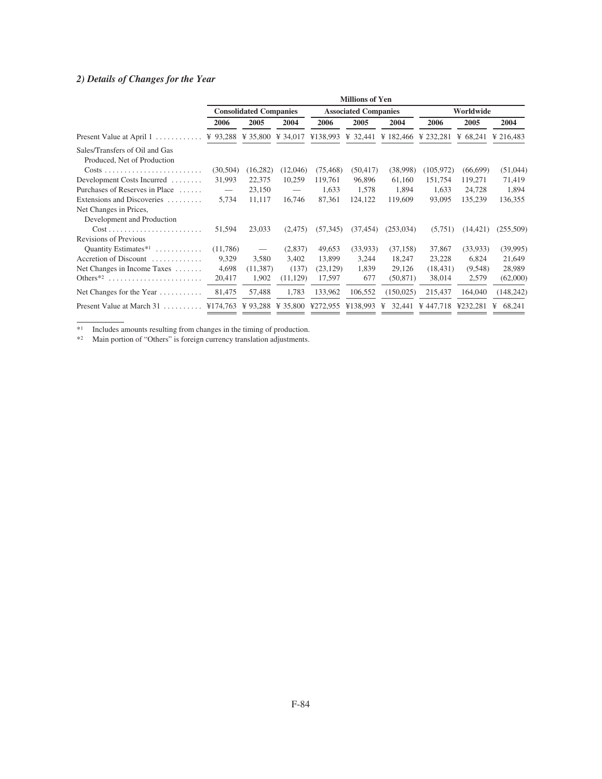# *2) Details of Changes for the Year*

|                                                               | <b>Millions of Yen</b>          |                               |                          |           |                             |             |                                       |           |             |  |  |
|---------------------------------------------------------------|---------------------------------|-------------------------------|--------------------------|-----------|-----------------------------|-------------|---------------------------------------|-----------|-------------|--|--|
|                                                               |                                 | <b>Consolidated Companies</b> |                          |           | <b>Associated Companies</b> |             |                                       | Worldwide |             |  |  |
|                                                               | 2006                            | 2005                          | 2004                     | 2006      | 2005                        | 2004        | 2006                                  | 2005      | 2004        |  |  |
| Present Value at April 1                                      | ¥ 93,288                        | ¥ 35,800 ¥ 34,017             |                          |           |                             |             | ¥138,993 ¥ 32,441 ¥ 182,466 ¥ 232,281 | ¥ 68,241  | ¥ 216,483   |  |  |
| Sales/Transfers of Oil and Gas<br>Produced, Net of Production |                                 |                               |                          |           |                             |             |                                       |           |             |  |  |
|                                                               | (30, 504)                       | (16,282)                      | (12,046)                 | (75, 468) | (50, 417)                   | (38,998)    | (105, 972)                            | (66, 699) | (51,044)    |  |  |
| Development Costs Incurred                                    | 31,993                          | 22,375                        | 10,259                   | 119,761   | 96,896                      | 61,160      | 151,754                               | 119,271   | 71,419      |  |  |
| Purchases of Reserves in Place                                | $\hspace{0.1mm}-\hspace{0.1mm}$ | 23,150                        | $\overline{\phantom{m}}$ | 1,633     | 1,578                       | 1,894       | 1,633                                 | 24,728    | 1,894       |  |  |
| Extensions and Discoveries                                    | 5,734                           | 11,117                        | 16,746                   | 87,361    | 124,122                     | 119,609     | 93,095                                | 135,239   | 136,355     |  |  |
| Net Changes in Prices,                                        |                                 |                               |                          |           |                             |             |                                       |           |             |  |  |
| Development and Production                                    |                                 |                               |                          |           |                             |             |                                       |           |             |  |  |
| $Cost \ldots \ldots \ldots \ldots \ldots \ldots \ldots$       | 51,594                          | 23,033                        | (2,475)                  | (57, 345) | (37, 454)                   | (253, 034)  | (5,751)                               | (14, 421) | (255,509)   |  |  |
| Revisions of Previous                                         |                                 |                               |                          |           |                             |             |                                       |           |             |  |  |
| Quantity Estimates <sup>*1</sup>                              | (11,786)                        | $\hspace{0.05cm}$             | (2,837)                  | 49,653    | (33,933)                    | (37, 158)   | 37,867                                | (33,933)  | (39,995)    |  |  |
| Accretion of Discount                                         | 9,329                           | 3,580                         | 3,402                    | 13,899    | 3,244                       | 18,247      | 23,228                                | 6,824     | 21,649      |  |  |
| Net Changes in Income Taxes                                   | 4,698                           | (11, 387)                     | (137)                    | (23, 129) | 1,839                       | 29,126      | (18, 431)                             | (9,548)   | 28,989      |  |  |
| Others <sup><math>*2</math></sup>                             | 20,417                          | 1,902                         | (11, 129)                | 17,597    | 677                         | (50, 871)   | 38,014                                | 2,579     | (62,000)    |  |  |
| Net Changes for the Year $\dots\dots\dots$                    | 81,475                          | 57,488                        | 1,783                    | 133,962   | 106,552                     | (150, 025)  | 215,437                               | 164,040   | (148, 242)  |  |  |
| Present Value at March 31                                     | ¥174.763                        | ¥ 93,288 ¥ 35,800             |                          | ¥272,955  | ¥138,993                    | 32,441<br>¥ | ¥447,718                              | ¥232,281  | 68,241<br>¥ |  |  |
|                                                               |                                 |                               |                          |           |                             |             |                                       |           |             |  |  |

\*1 Includes amounts resulting from changes in the timing of production.

\*2 Main portion of "Others" is foreign currency translation adjustments.